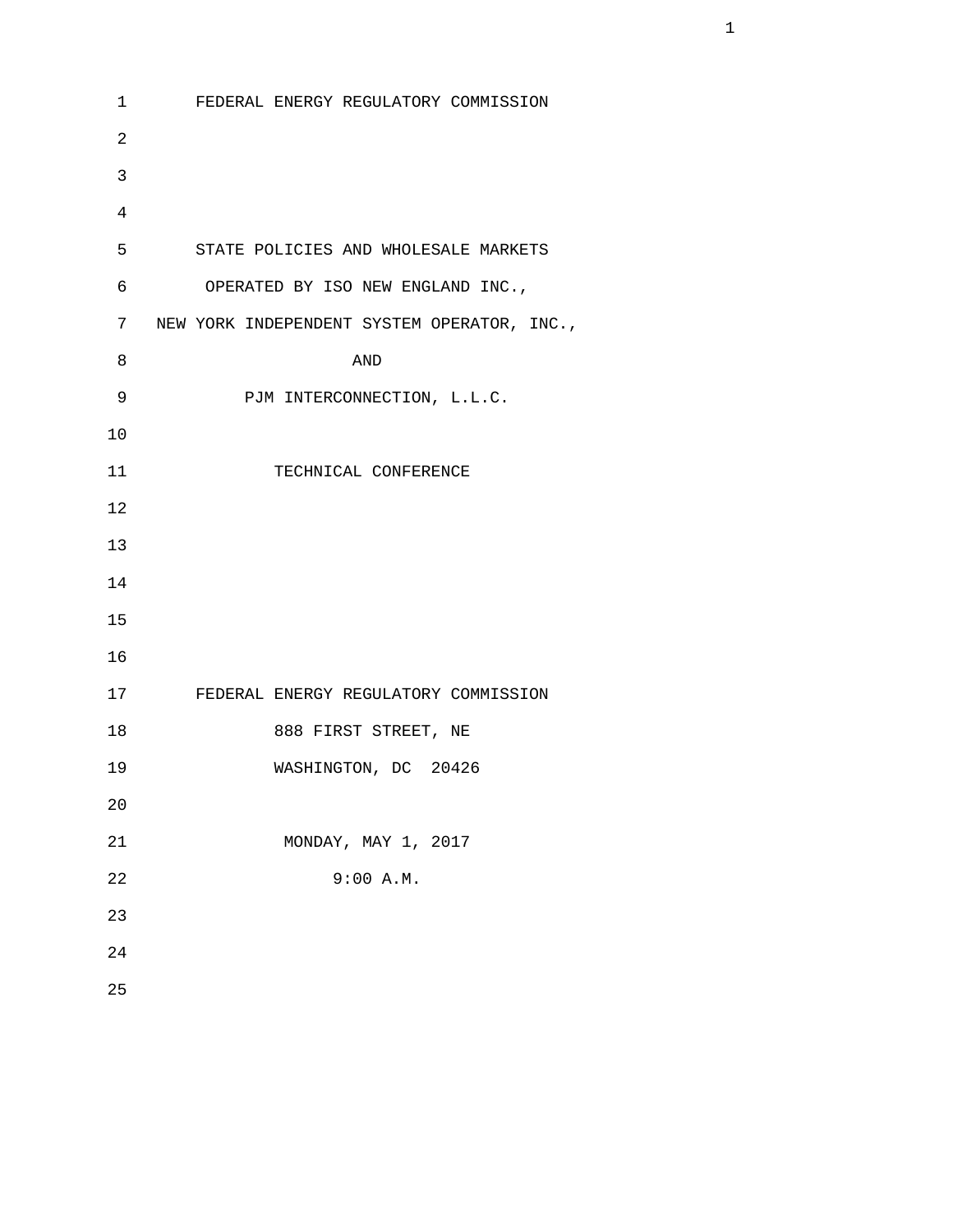```
 1 FEDERAL ENERGY REGULATORY COMMISSION
2 
3 
4 
       5 STATE POLICIES AND WHOLESALE MARKETS 
       6 OPERATED BY ISO NEW ENGLAND INC., 
       7 NEW YORK INDEPENDENT SYSTEM OPERATOR, INC., 
8 AND 
      9 PJM INTERCONNECTION, L.L.C.
      10 
     11 TECHNICAL CONFERENCE
      12 
      13 
      14 
      15 
      16 
      17 FEDERAL ENERGY REGULATORY COMMISSION
      18 888 FIRST STREET, NE
      19 WASHINGTON, DC 20426
      20 
      21 MONDAY, MAY 1, 2017
      22 9:00 A.M.
      23 
      24 
      25
```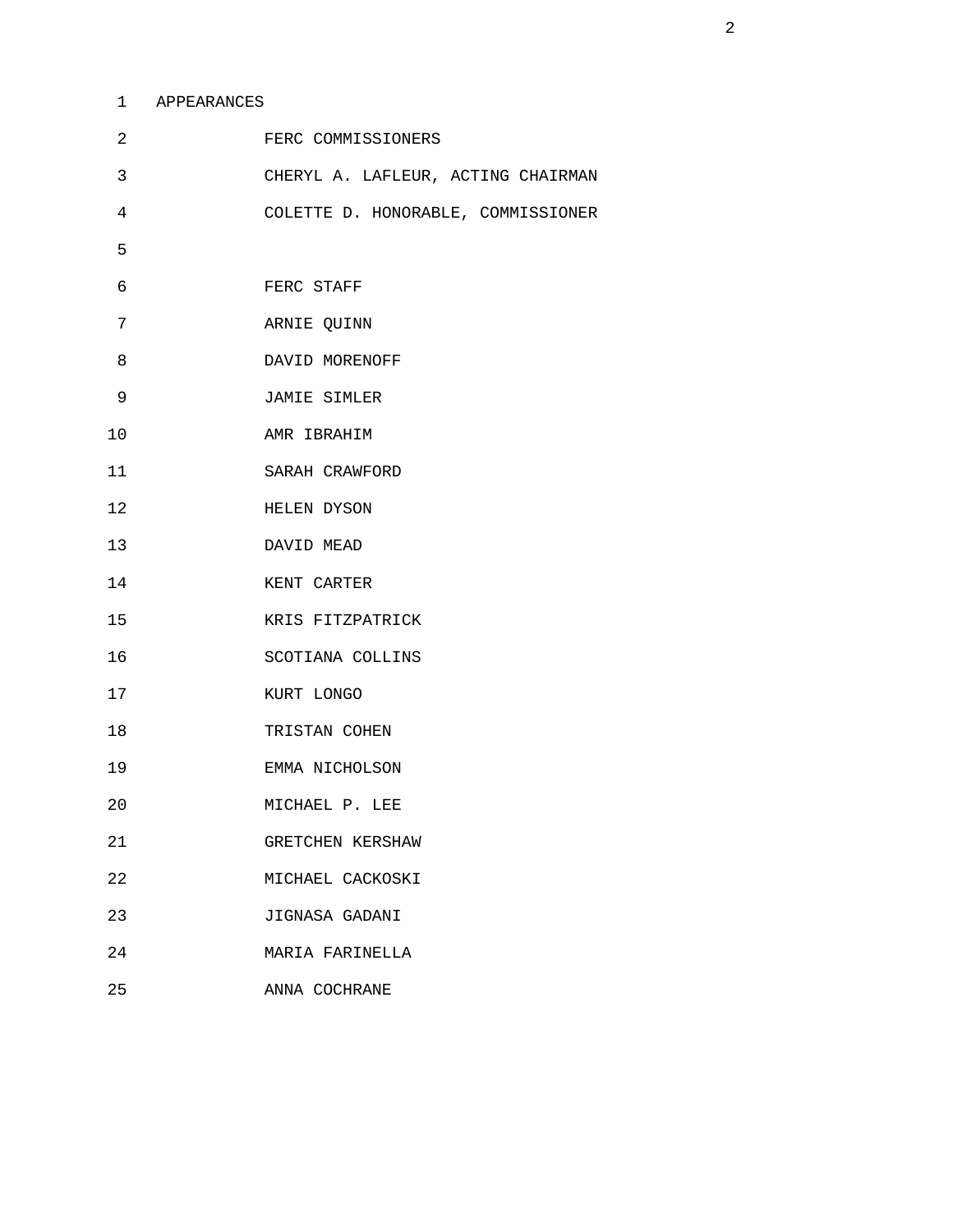## 1 APPEARANCES

| $\overline{a}$ | FERC COMMISSIONERS                 |
|----------------|------------------------------------|
| 3              | CHERYL A. LAFLEUR, ACTING CHAIRMAN |
| 4              | COLETTE D. HONORABLE, COMMISSIONER |
| 5              |                                    |
| 6              | FERC STAFF                         |
| 7              | ARNIE QUINN                        |
| 8              | DAVID MORENOFF                     |
| 9              | JAMIE SIMLER                       |
| 10             | AMR IBRAHIM                        |
| 11             | SARAH CRAWFORD                     |
| 12             | HELEN DYSON                        |
| 13             | DAVID MEAD                         |
| 14             | KENT CARTER                        |
| 15             | KRIS FITZPATRICK                   |
| 16             | SCOTIANA COLLINS                   |
| 17             | KURT LONGO                         |
| 18             | TRISTAN COHEN                      |
| 19             | EMMA NICHOLSON                     |
| 20             | MICHAEL P. LEE                     |
| 21             | GRETCHEN KERSHAW                   |
| 22             | MICHAEL CACKOSKI                   |
| 23             | JIGNASA GADANI                     |
| 24             | MARIA FARINELLA                    |
| 25             | ANNA COCHRANE                      |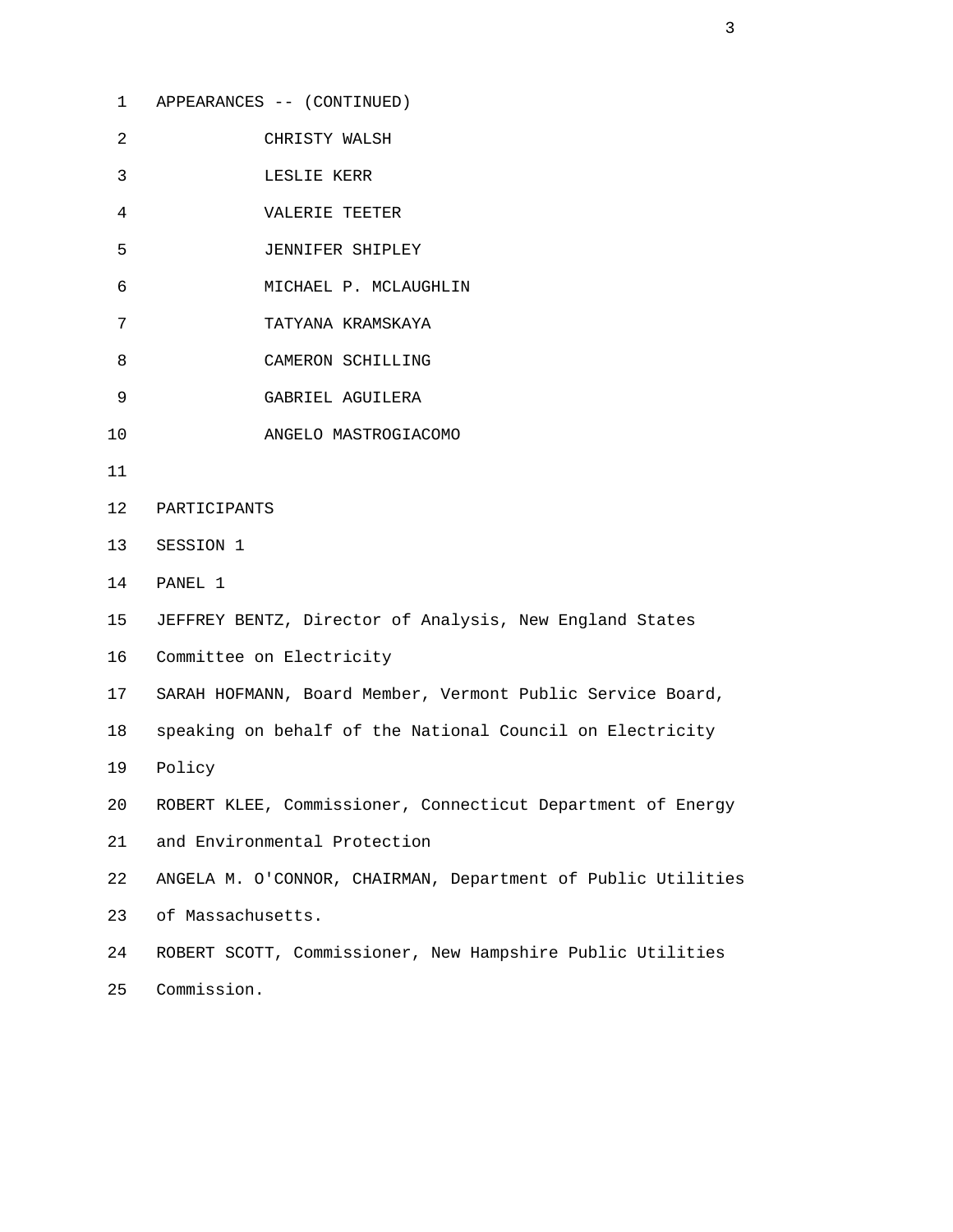1 APPEARANCES -- (CONTINUED) 2 CHRISTY WALSH 3 LESLIE KERR 4 VALERIE TEETER 5 JENNIFER SHIPLEY 6 MICHAEL P. MCLAUGHLIN 7 TATYANA KRAMSKAYA 8 CAMERON SCHILLING 9 GABRIEL AGUILERA 10 ANGELO MASTROGIACOMO 11 12 PARTICIPANTS 13 SESSION 1 14 PANEL 1 15 JEFFREY BENTZ, Director of Analysis, New England States 16 Committee on Electricity 17 SARAH HOFMANN, Board Member, Vermont Public Service Board, 18 speaking on behalf of the National Council on Electricity 19 Policy 20 ROBERT KLEE, Commissioner, Connecticut Department of Energy 21 and Environmental Protection 22 ANGELA M. O'CONNOR, CHAIRMAN, Department of Public Utilities 23 of Massachusetts. 24 ROBERT SCOTT, Commissioner, New Hampshire Public Utilities 25 Commission.

 $\sim$  3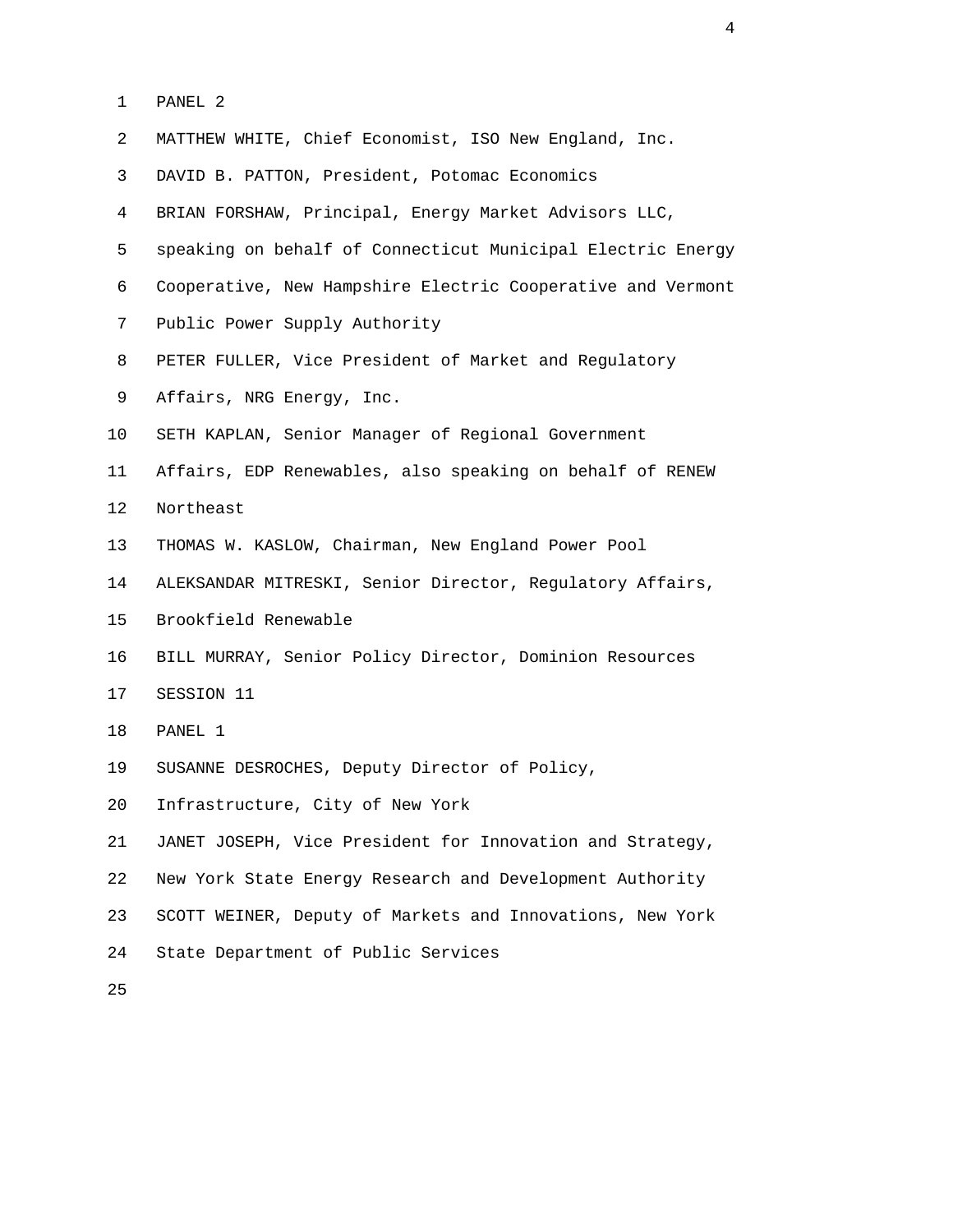| PANET. |  |
|--------|--|
|        |  |

| 2  | MATTHEW WHITE, Chief Economist, ISO New England, Inc.       |
|----|-------------------------------------------------------------|
| 3  | DAVID B. PATTON, President, Potomac Economics               |
| 4  | BRIAN FORSHAW, Principal, Energy Market Advisors LLC,       |
| 5  | speaking on behalf of Connecticut Municipal Electric Energy |
| 6  | Cooperative, New Hampshire Electric Cooperative and Vermont |
| 7  | Public Power Supply Authority                               |
| 8  | PETER FULLER, Vice President of Market and Regulatory       |
| 9  | Affairs, NRG Energy, Inc.                                   |
| 10 | SETH KAPLAN, Senior Manager of Regional Government          |
| 11 | Affairs, EDP Renewables, also speaking on behalf of RENEW   |
| 12 | Northeast                                                   |
| 13 | THOMAS W. KASLOW, Chairman, New England Power Pool          |
| 14 | ALEKSANDAR MITRESKI, Senior Director, Regulatory Affairs,   |
| 15 | Brookfield Renewable                                        |
| 16 | BILL MURRAY, Senior Policy Director, Dominion Resources     |
| 17 | SESSION 11                                                  |
| 18 | PANEL 1                                                     |
| 19 | SUSANNE DESROCHES, Deputy Director of Policy,               |
| 20 | Infrastructure, City of New York                            |
| 21 | JANET JOSEPH, Vice President for Innovation and Strategy,   |
| 22 | New York State Energy Research and Development Authority    |
| 23 | SCOTT WEINER, Deputy of Markets and Innovations, New York   |
| 24 | State Department of Public Services                         |
| 25 |                                                             |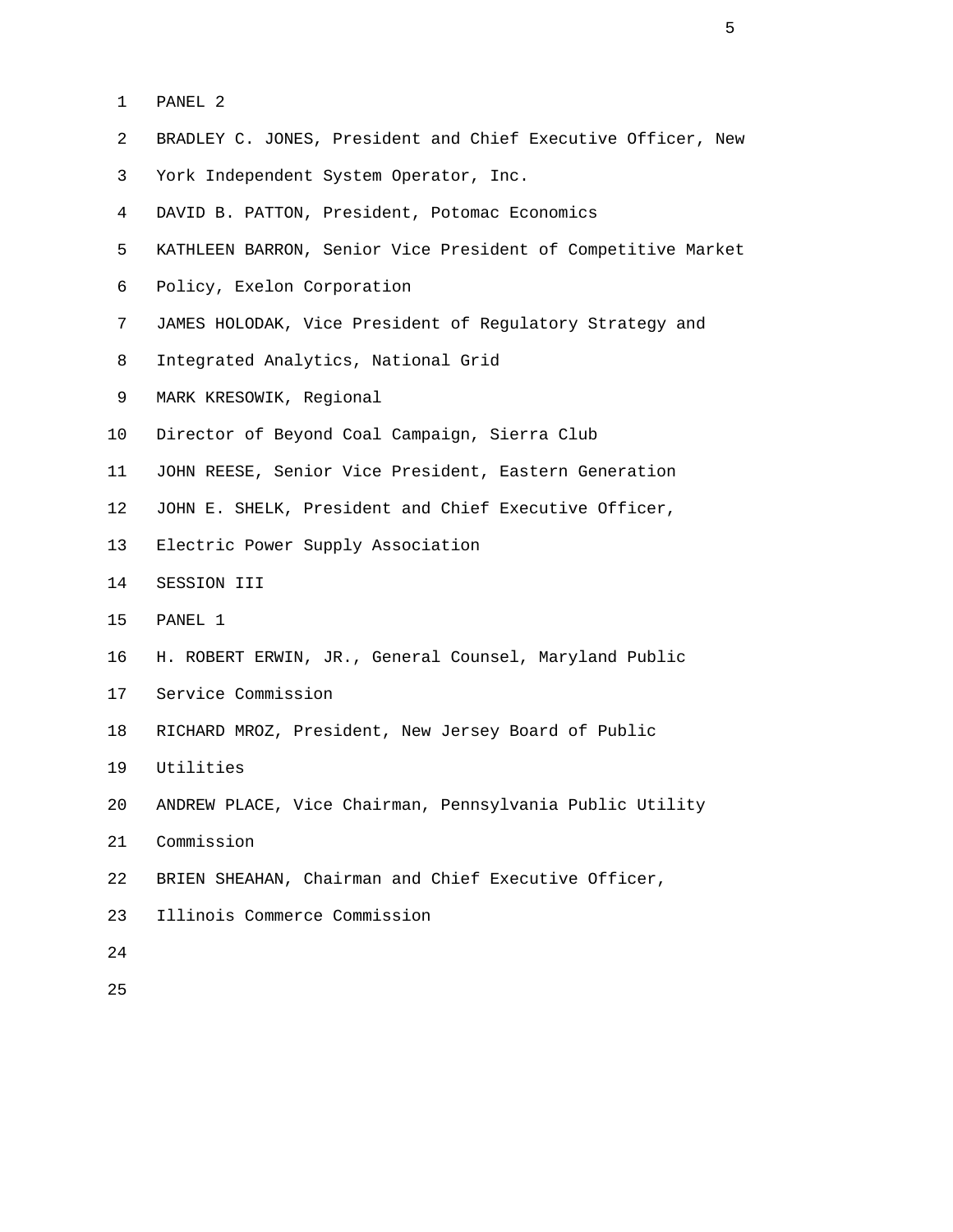- 1 PANEL 2
- 2 BRADLEY C. JONES, President and Chief Executive Officer, New
- 3 York Independent System Operator, Inc.
- 4 DAVID B. PATTON, President, Potomac Economics
- 5 KATHLEEN BARRON, Senior Vice President of Competitive Market
- 6 Policy, Exelon Corporation
- 7 JAMES HOLODAK, Vice President of Regulatory Strategy and
- 8 Integrated Analytics, National Grid
- 9 MARK KRESOWIK, Regional
- 10 Director of Beyond Coal Campaign, Sierra Club
- 11 JOHN REESE, Senior Vice President, Eastern Generation
- 12 JOHN E. SHELK, President and Chief Executive Officer,
- 13 Electric Power Supply Association
- 14 SESSION III
- 15 PANEL 1
- 16 H. ROBERT ERWIN, JR., General Counsel, Maryland Public
- 17 Service Commission
- 18 RICHARD MROZ, President, New Jersey Board of Public
- 19 Utilities
- 20 ANDREW PLACE, Vice Chairman, Pennsylvania Public Utility
- 21 Commission
- 22 BRIEN SHEAHAN, Chairman and Chief Executive Officer,
- 23 Illinois Commerce Commission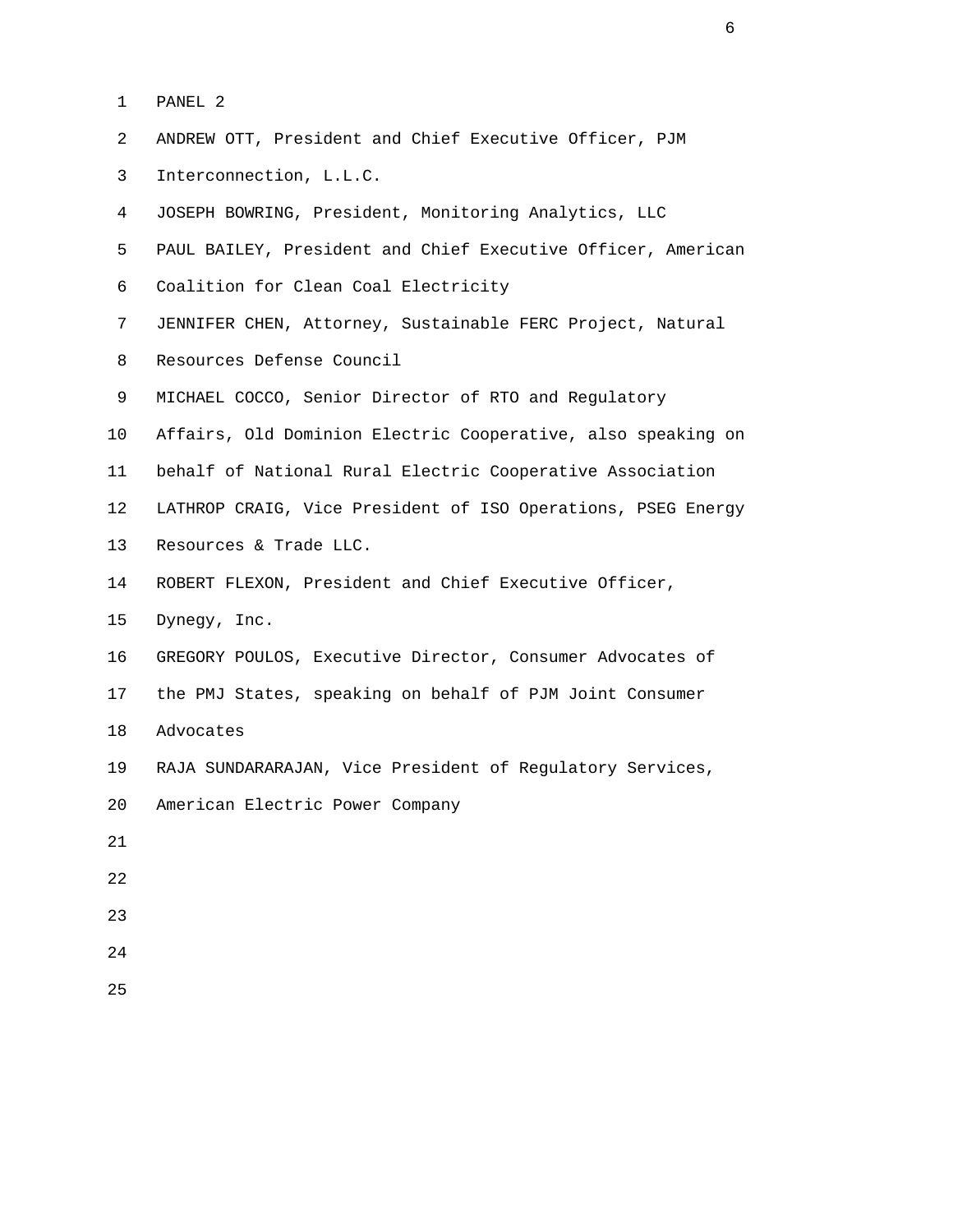|  | ∶ ∧ ה<br>٦Т<br>г.<br>\I\P.II | z. |
|--|------------------------------|----|
|  |                              |    |

- 2 ANDREW OTT, President and Chief Executive Officer, PJM
- 3 Interconnection, L.L.C.
- 4 JOSEPH BOWRING, President, Monitoring Analytics, LLC
- 5 PAUL BAILEY, President and Chief Executive Officer, American
- 6 Coalition for Clean Coal Electricity
- 7 JENNIFER CHEN, Attorney, Sustainable FERC Project, Natural
- 8 Resources Defense Council
- 9 MICHAEL COCCO, Senior Director of RTO and Regulatory
- 10 Affairs, Old Dominion Electric Cooperative, also speaking on
- 11 behalf of National Rural Electric Cooperative Association
- 12 LATHROP CRAIG, Vice President of ISO Operations, PSEG Energy
- 13 Resources & Trade LLC.
- 14 ROBERT FLEXON, President and Chief Executive Officer,
- 15 Dynegy, Inc.
- 16 GREGORY POULOS, Executive Director, Consumer Advocates of
- 17 the PMJ States, speaking on behalf of PJM Joint Consumer
- 18 Advocates
- 19 RAJA SUNDARARAJAN, Vice President of Regulatory Services,
- 20 American Electric Power Company
- 21
- 22
- 23
- 24
- 25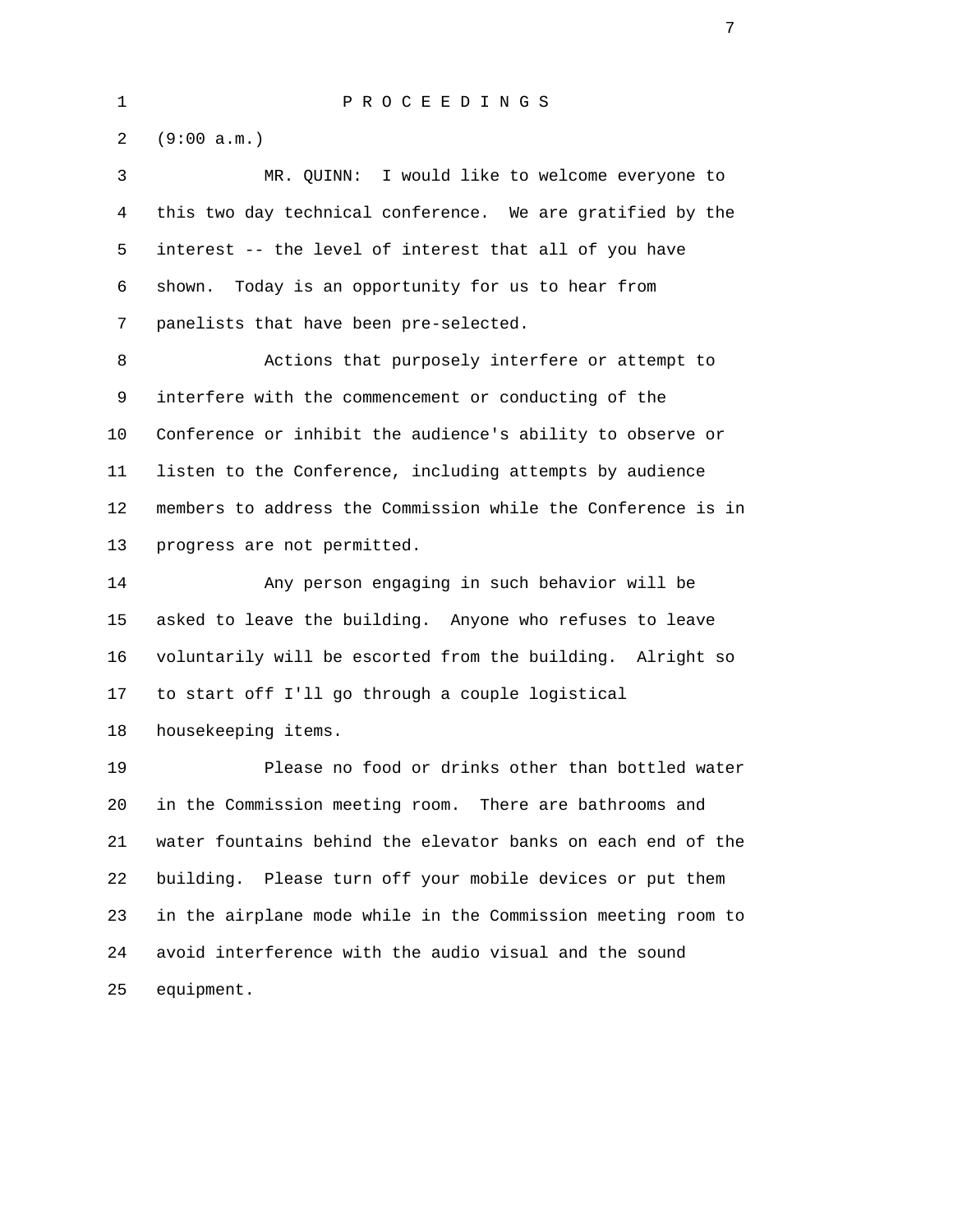2 (9:00 a.m.)

 3 MR. QUINN: I would like to welcome everyone to 4 this two day technical conference. We are gratified by the 5 interest -- the level of interest that all of you have 6 shown. Today is an opportunity for us to hear from 7 panelists that have been pre-selected.

 8 Actions that purposely interfere or attempt to 9 interfere with the commencement or conducting of the 10 Conference or inhibit the audience's ability to observe or 11 listen to the Conference, including attempts by audience 12 members to address the Commission while the Conference is in 13 progress are not permitted.

 14 Any person engaging in such behavior will be 15 asked to leave the building. Anyone who refuses to leave 16 voluntarily will be escorted from the building. Alright so 17 to start off I'll go through a couple logistical 18 housekeeping items.

 19 Please no food or drinks other than bottled water 20 in the Commission meeting room. There are bathrooms and 21 water fountains behind the elevator banks on each end of the 22 building. Please turn off your mobile devices or put them 23 in the airplane mode while in the Commission meeting room to 24 avoid interference with the audio visual and the sound 25 equipment.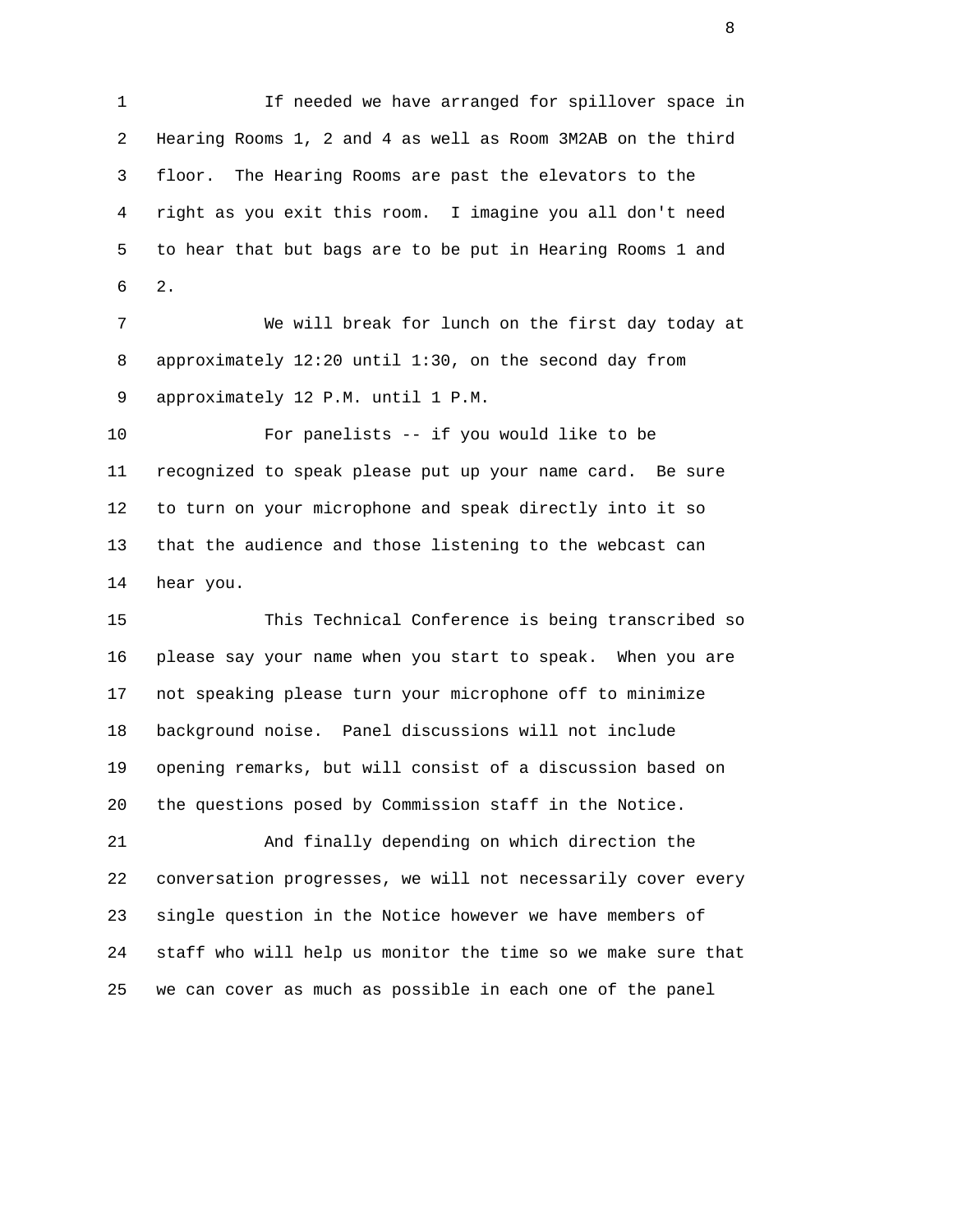1 If needed we have arranged for spillover space in 2 Hearing Rooms 1, 2 and 4 as well as Room 3M2AB on the third 3 floor. The Hearing Rooms are past the elevators to the 4 right as you exit this room. I imagine you all don't need 5 to hear that but bags are to be put in Hearing Rooms 1 and  $6\qquad 2.$ 

> 7 We will break for lunch on the first day today at 8 approximately 12:20 until 1:30, on the second day from 9 approximately 12 P.M. until 1 P.M.

 10 For panelists -- if you would like to be 11 recognized to speak please put up your name card. Be sure 12 to turn on your microphone and speak directly into it so 13 that the audience and those listening to the webcast can 14 hear you.

 15 This Technical Conference is being transcribed so 16 please say your name when you start to speak. When you are 17 not speaking please turn your microphone off to minimize 18 background noise. Panel discussions will not include 19 opening remarks, but will consist of a discussion based on 20 the questions posed by Commission staff in the Notice.

 21 And finally depending on which direction the 22 conversation progresses, we will not necessarily cover every 23 single question in the Notice however we have members of 24 staff who will help us monitor the time so we make sure that 25 we can cover as much as possible in each one of the panel

en de la construction de la construction de la construction de la construction de la construction de la constr<br>En 1980, le construction de la construction de la construction de la construction de la construction de la con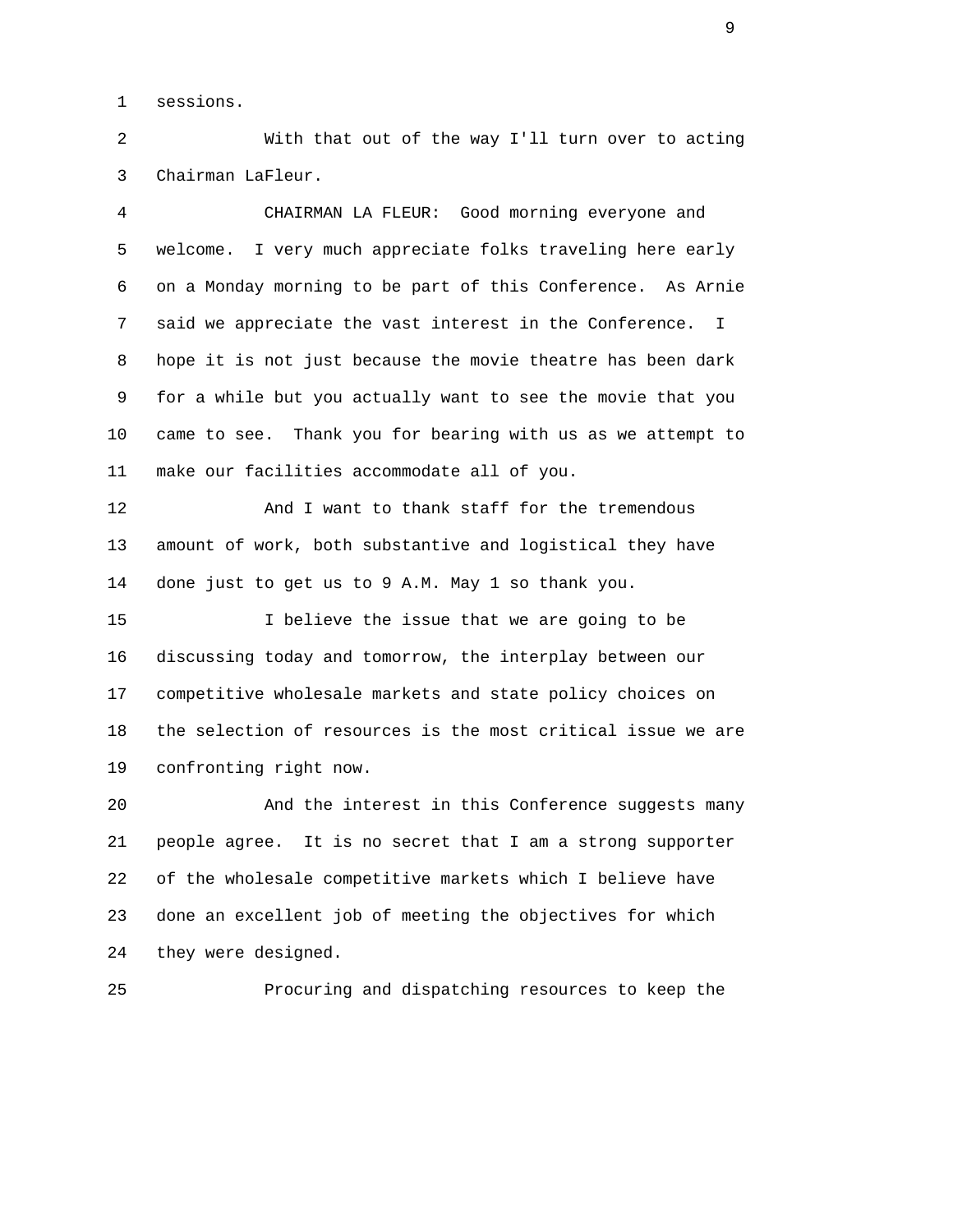1 sessions.

 2 With that out of the way I'll turn over to acting 3 Chairman LaFleur.

 4 CHAIRMAN LA FLEUR: Good morning everyone and 5 welcome. I very much appreciate folks traveling here early 6 on a Monday morning to be part of this Conference. As Arnie 7 said we appreciate the vast interest in the Conference. I 8 hope it is not just because the movie theatre has been dark 9 for a while but you actually want to see the movie that you 10 came to see. Thank you for bearing with us as we attempt to 11 make our facilities accommodate all of you. 12 And I want to thank staff for the tremendous 13 amount of work, both substantive and logistical they have 14 done just to get us to 9 A.M. May 1 so thank you. 15 I believe the issue that we are going to be 16 discussing today and tomorrow, the interplay between our 17 competitive wholesale markets and state policy choices on 18 the selection of resources is the most critical issue we are 19 confronting right now. 20 And the interest in this Conference suggests many 21 people agree. It is no secret that I am a strong supporter 22 of the wholesale competitive markets which I believe have 23 done an excellent job of meeting the objectives for which

24 they were designed.

25 Procuring and dispatching resources to keep the

 $\sim$  9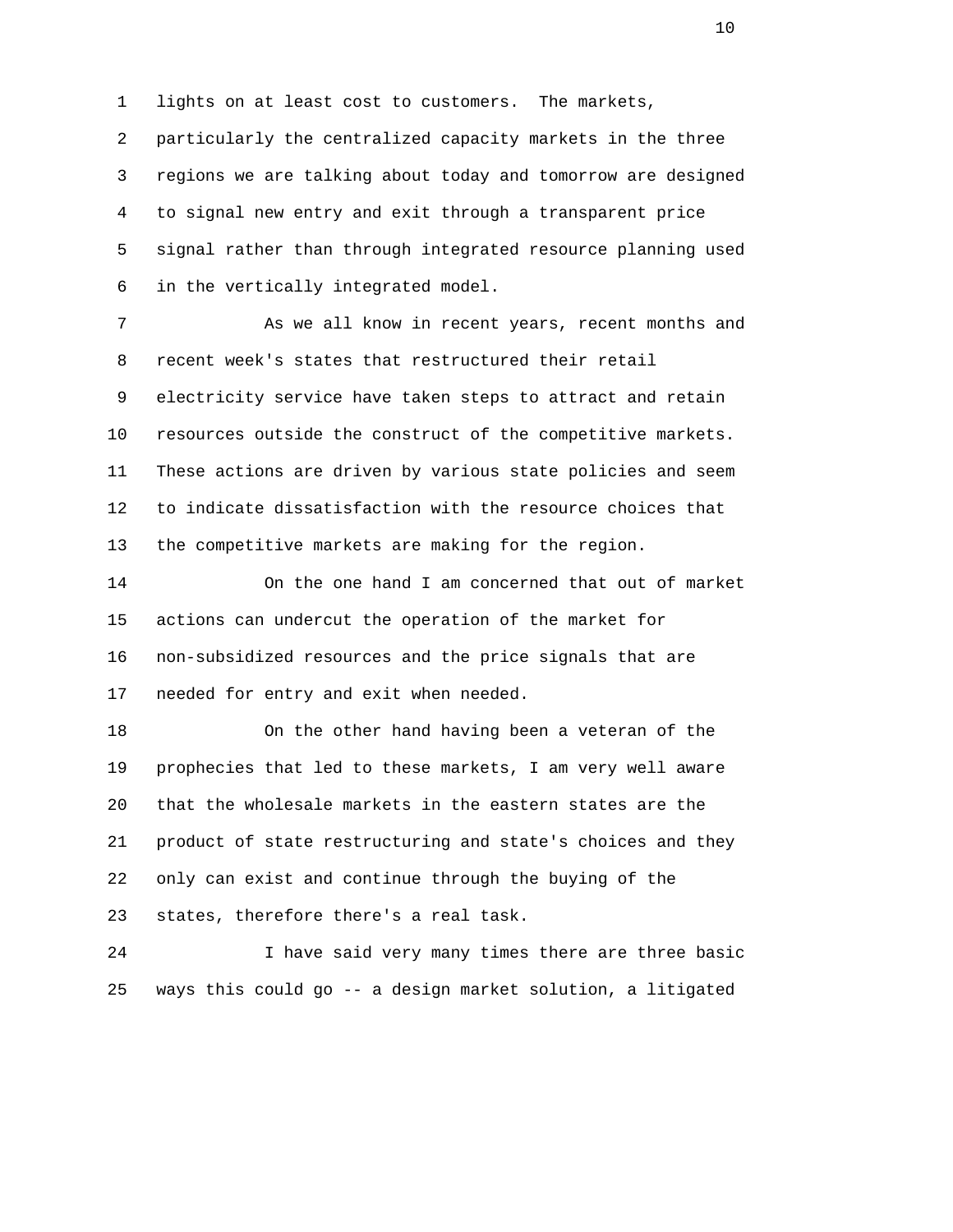1 lights on at least cost to customers. The markets, 2 particularly the centralized capacity markets in the three 3 regions we are talking about today and tomorrow are designed 4 to signal new entry and exit through a transparent price 5 signal rather than through integrated resource planning used 6 in the vertically integrated model.

 7 As we all know in recent years, recent months and 8 recent week's states that restructured their retail 9 electricity service have taken steps to attract and retain 10 resources outside the construct of the competitive markets. 11 These actions are driven by various state policies and seem 12 to indicate dissatisfaction with the resource choices that 13 the competitive markets are making for the region.

 14 On the one hand I am concerned that out of market 15 actions can undercut the operation of the market for 16 non-subsidized resources and the price signals that are 17 needed for entry and exit when needed.

 18 On the other hand having been a veteran of the 19 prophecies that led to these markets, I am very well aware 20 that the wholesale markets in the eastern states are the 21 product of state restructuring and state's choices and they 22 only can exist and continue through the buying of the 23 states, therefore there's a real task.

 24 I have said very many times there are three basic 25 ways this could go -- a design market solution, a litigated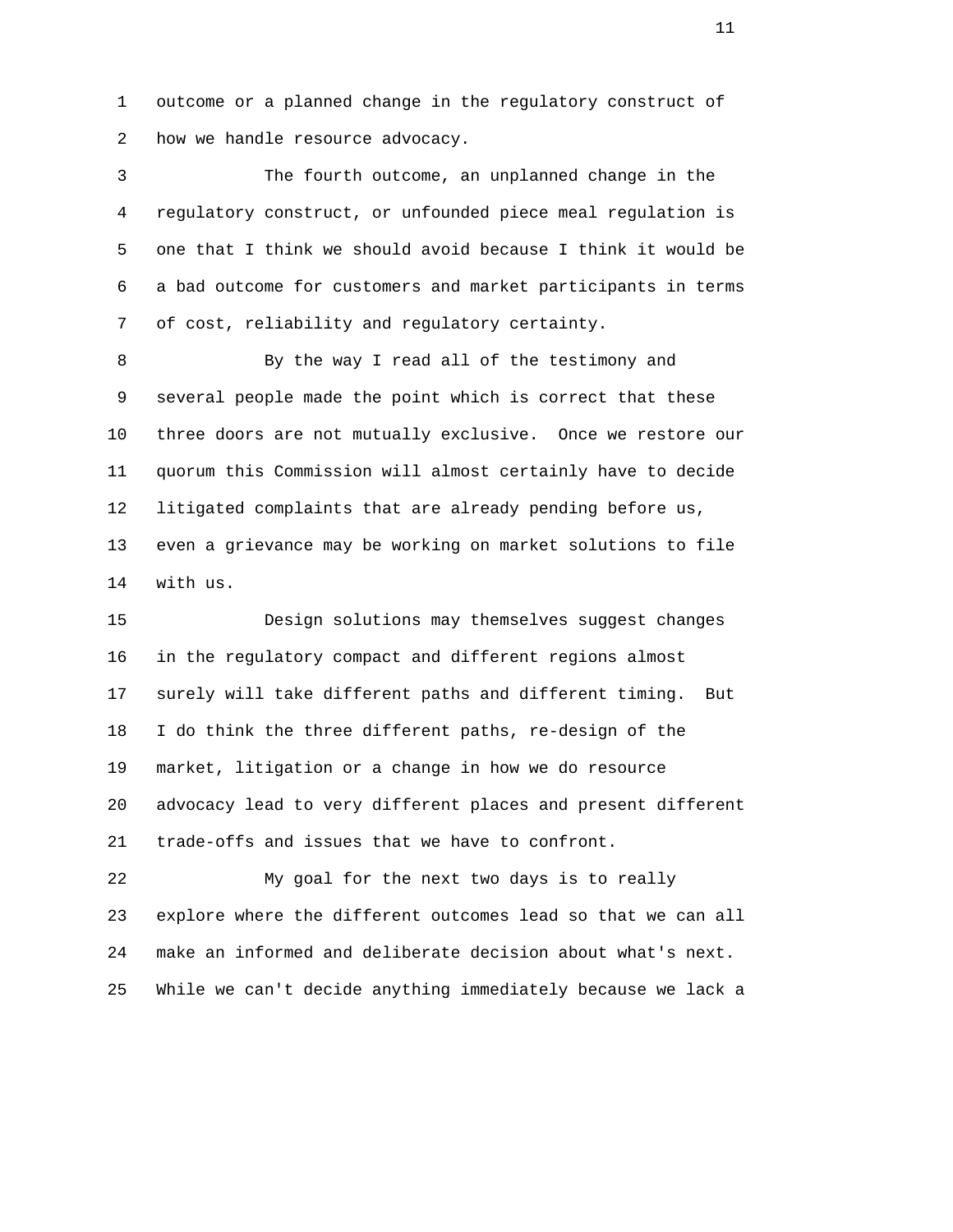1 outcome or a planned change in the regulatory construct of 2 how we handle resource advocacy.

 3 The fourth outcome, an unplanned change in the 4 regulatory construct, or unfounded piece meal regulation is 5 one that I think we should avoid because I think it would be 6 a bad outcome for customers and market participants in terms 7 of cost, reliability and regulatory certainty.

 8 By the way I read all of the testimony and 9 several people made the point which is correct that these 10 three doors are not mutually exclusive. Once we restore our 11 quorum this Commission will almost certainly have to decide 12 litigated complaints that are already pending before us, 13 even a grievance may be working on market solutions to file 14 with us.

 15 Design solutions may themselves suggest changes 16 in the regulatory compact and different regions almost 17 surely will take different paths and different timing. But 18 I do think the three different paths, re-design of the 19 market, litigation or a change in how we do resource 20 advocacy lead to very different places and present different 21 trade-offs and issues that we have to confront.

 22 My goal for the next two days is to really 23 explore where the different outcomes lead so that we can all 24 make an informed and deliberate decision about what's next. 25 While we can't decide anything immediately because we lack a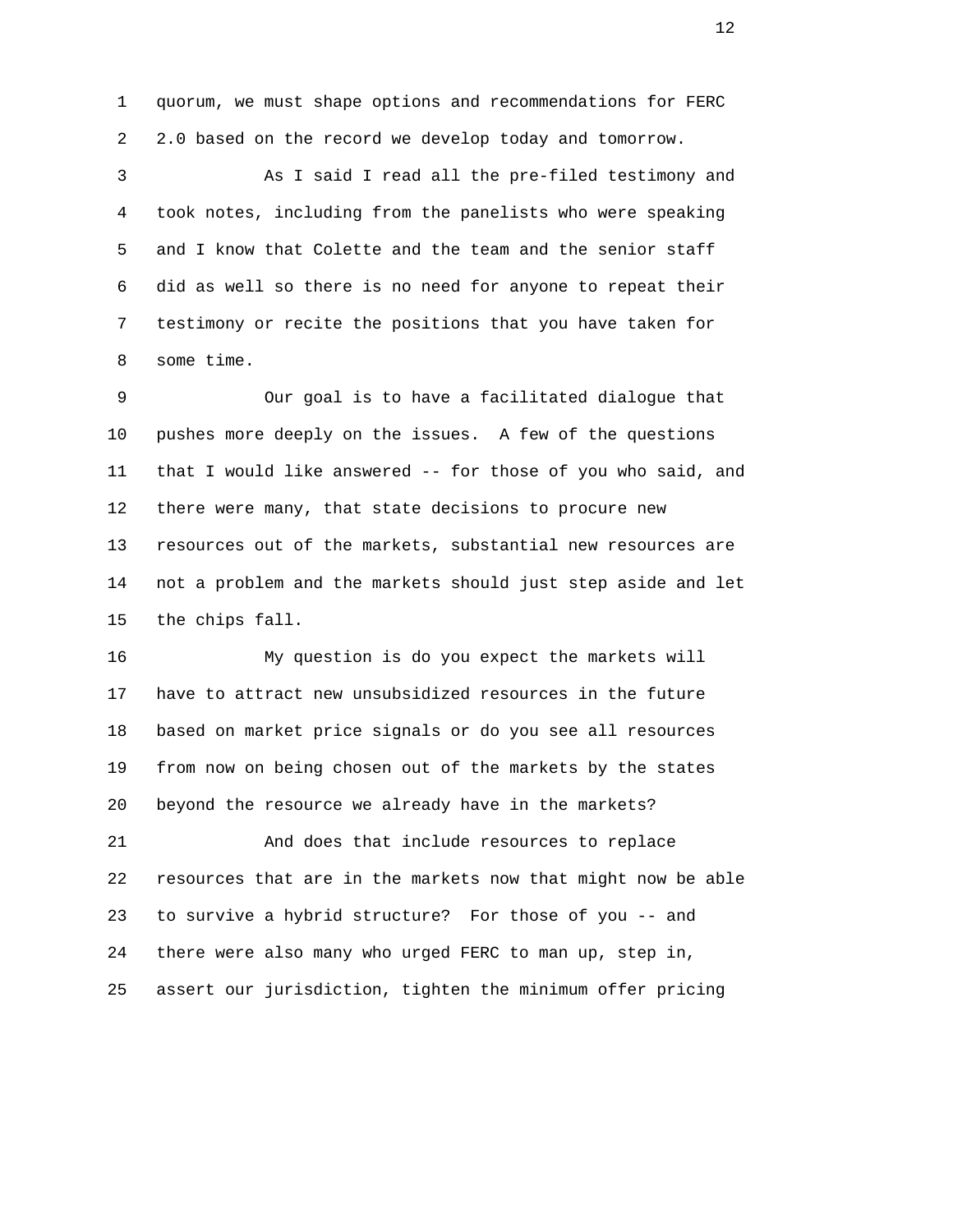1 quorum, we must shape options and recommendations for FERC 2 2.0 based on the record we develop today and tomorrow.

 3 As I said I read all the pre-filed testimony and 4 took notes, including from the panelists who were speaking 5 and I know that Colette and the team and the senior staff 6 did as well so there is no need for anyone to repeat their 7 testimony or recite the positions that you have taken for 8 some time.

 9 Our goal is to have a facilitated dialogue that 10 pushes more deeply on the issues. A few of the questions 11 that I would like answered -- for those of you who said, and 12 there were many, that state decisions to procure new 13 resources out of the markets, substantial new resources are 14 not a problem and the markets should just step aside and let 15 the chips fall.

 16 My question is do you expect the markets will 17 have to attract new unsubsidized resources in the future 18 based on market price signals or do you see all resources 19 from now on being chosen out of the markets by the states 20 beyond the resource we already have in the markets? 21 And does that include resources to replace 22 resources that are in the markets now that might now be able 23 to survive a hybrid structure? For those of you -- and 24 there were also many who urged FERC to man up, step in, 25 assert our jurisdiction, tighten the minimum offer pricing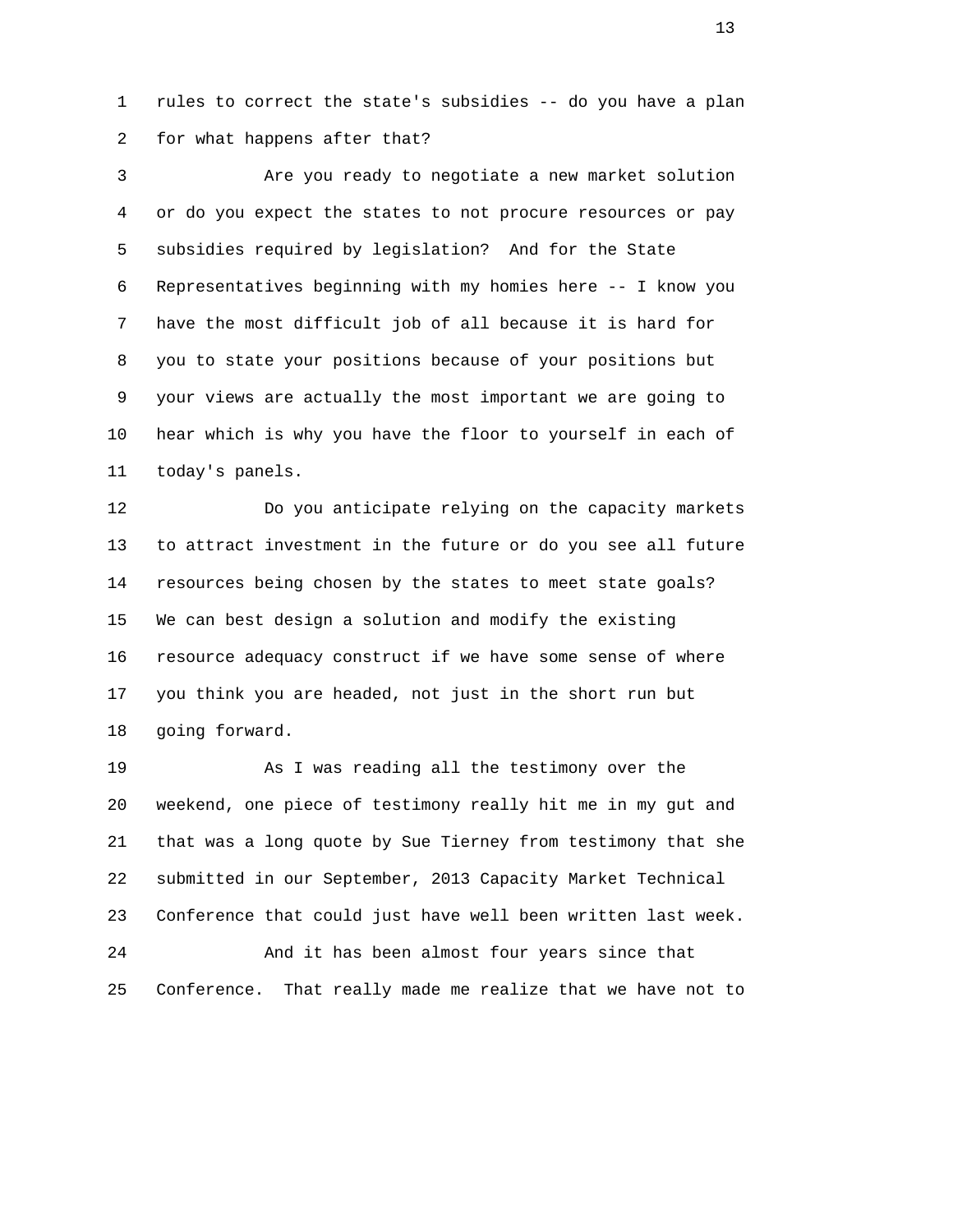1 rules to correct the state's subsidies -- do you have a plan 2 for what happens after that?

 3 Are you ready to negotiate a new market solution 4 or do you expect the states to not procure resources or pay 5 subsidies required by legislation? And for the State 6 Representatives beginning with my homies here -- I know you 7 have the most difficult job of all because it is hard for 8 you to state your positions because of your positions but 9 your views are actually the most important we are going to 10 hear which is why you have the floor to yourself in each of 11 today's panels.

 12 Do you anticipate relying on the capacity markets 13 to attract investment in the future or do you see all future 14 resources being chosen by the states to meet state goals? 15 We can best design a solution and modify the existing 16 resource adequacy construct if we have some sense of where 17 you think you are headed, not just in the short run but 18 going forward.

 19 As I was reading all the testimony over the 20 weekend, one piece of testimony really hit me in my gut and 21 that was a long quote by Sue Tierney from testimony that she 22 submitted in our September, 2013 Capacity Market Technical 23 Conference that could just have well been written last week. 24 And it has been almost four years since that 25 Conference. That really made me realize that we have not to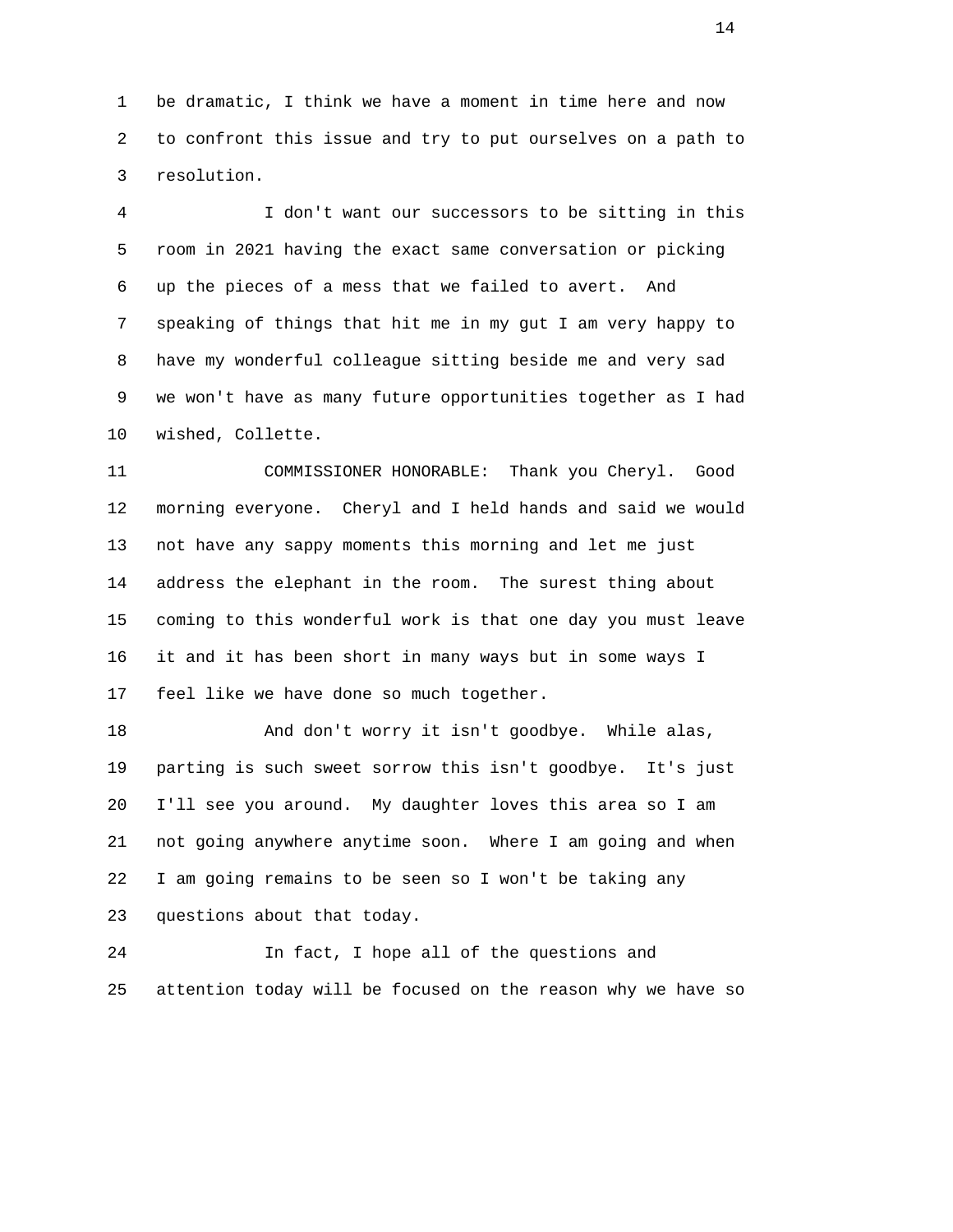1 be dramatic, I think we have a moment in time here and now 2 to confront this issue and try to put ourselves on a path to 3 resolution.

 4 I don't want our successors to be sitting in this 5 room in 2021 having the exact same conversation or picking 6 up the pieces of a mess that we failed to avert. And 7 speaking of things that hit me in my gut I am very happy to 8 have my wonderful colleague sitting beside me and very sad 9 we won't have as many future opportunities together as I had 10 wished, Collette.

 11 COMMISSIONER HONORABLE: Thank you Cheryl. Good 12 morning everyone. Cheryl and I held hands and said we would 13 not have any sappy moments this morning and let me just 14 address the elephant in the room. The surest thing about 15 coming to this wonderful work is that one day you must leave 16 it and it has been short in many ways but in some ways I 17 feel like we have done so much together.

 18 And don't worry it isn't goodbye. While alas, 19 parting is such sweet sorrow this isn't goodbye. It's just 20 I'll see you around. My daughter loves this area so I am 21 not going anywhere anytime soon. Where I am going and when 22 I am going remains to be seen so I won't be taking any 23 questions about that today.

 24 In fact, I hope all of the questions and 25 attention today will be focused on the reason why we have so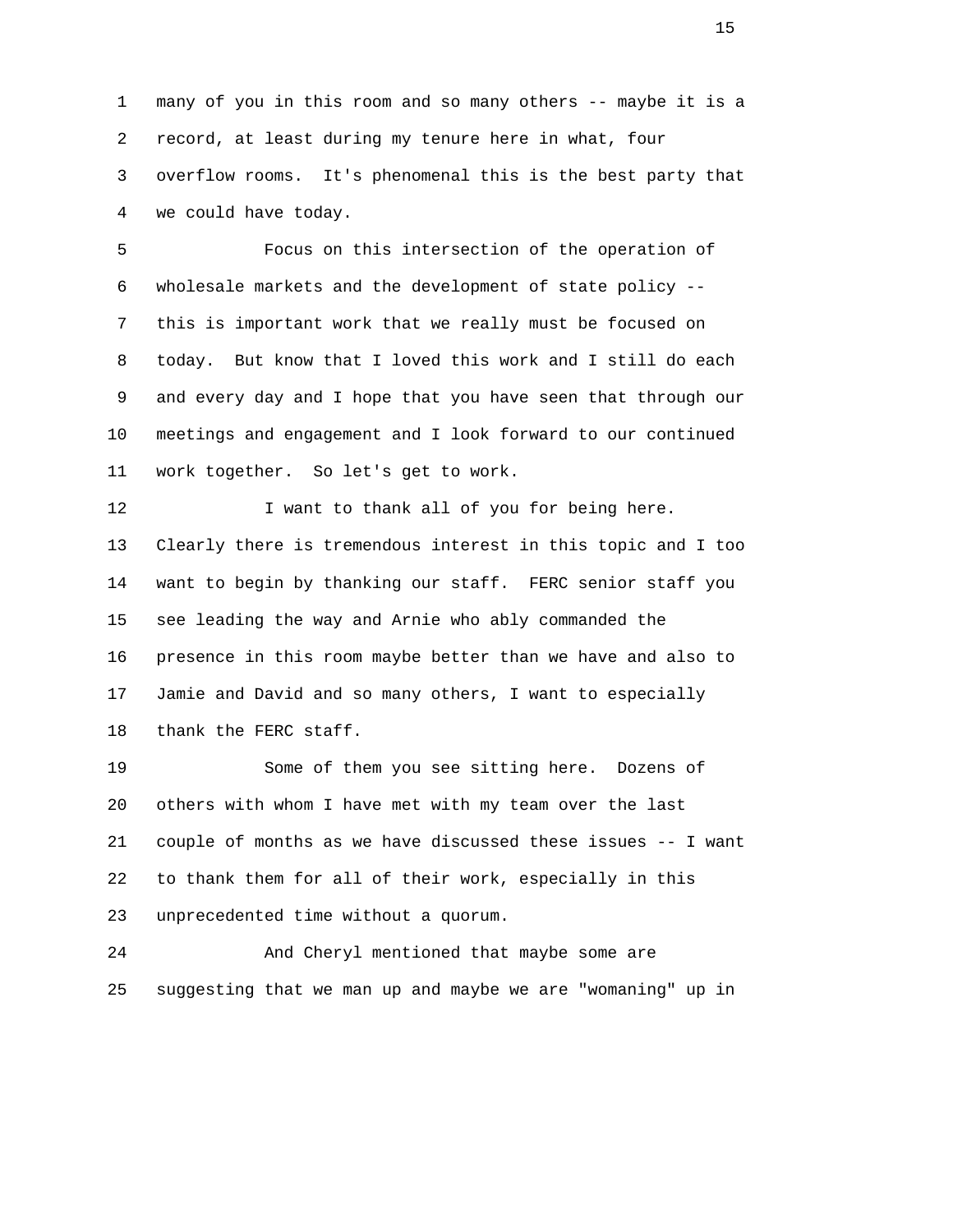1 many of you in this room and so many others -- maybe it is a 2 record, at least during my tenure here in what, four 3 overflow rooms. It's phenomenal this is the best party that 4 we could have today.

 5 Focus on this intersection of the operation of 6 wholesale markets and the development of state policy -- 7 this is important work that we really must be focused on 8 today. But know that I loved this work and I still do each 9 and every day and I hope that you have seen that through our 10 meetings and engagement and I look forward to our continued 11 work together. So let's get to work.

12 **I** want to thank all of you for being here. 13 Clearly there is tremendous interest in this topic and I too 14 want to begin by thanking our staff. FERC senior staff you 15 see leading the way and Arnie who ably commanded the 16 presence in this room maybe better than we have and also to 17 Jamie and David and so many others, I want to especially 18 thank the FERC staff.

 19 Some of them you see sitting here. Dozens of 20 others with whom I have met with my team over the last 21 couple of months as we have discussed these issues -- I want 22 to thank them for all of their work, especially in this 23 unprecedented time without a quorum.

 24 And Cheryl mentioned that maybe some are 25 suggesting that we man up and maybe we are "womaning" up in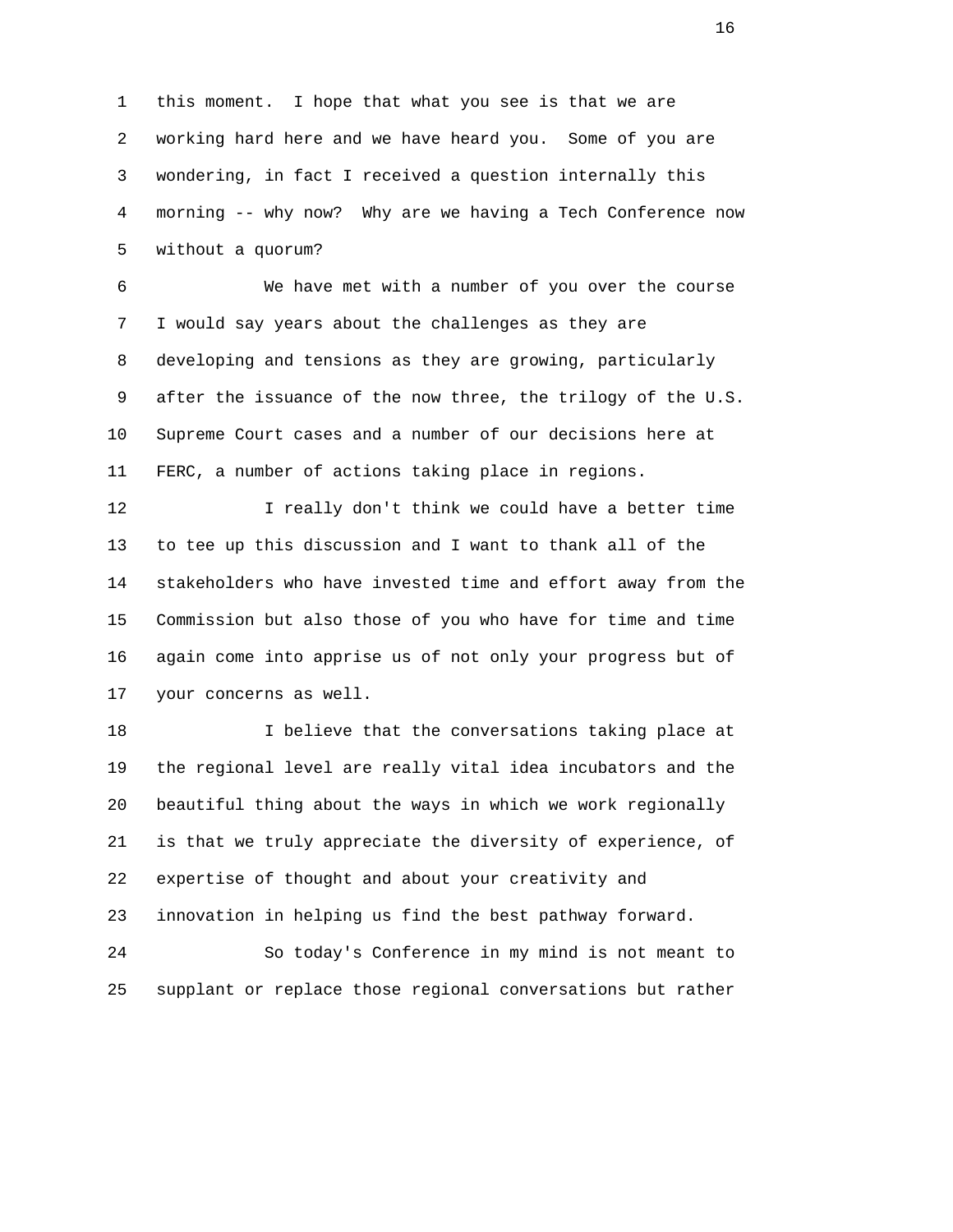1 this moment. I hope that what you see is that we are 2 working hard here and we have heard you. Some of you are 3 wondering, in fact I received a question internally this 4 morning -- why now? Why are we having a Tech Conference now 5 without a quorum?

 6 We have met with a number of you over the course 7 I would say years about the challenges as they are 8 developing and tensions as they are growing, particularly 9 after the issuance of the now three, the trilogy of the U.S. 10 Supreme Court cases and a number of our decisions here at 11 FERC, a number of actions taking place in regions.

 12 I really don't think we could have a better time 13 to tee up this discussion and I want to thank all of the 14 stakeholders who have invested time and effort away from the 15 Commission but also those of you who have for time and time 16 again come into apprise us of not only your progress but of 17 your concerns as well.

 18 I believe that the conversations taking place at 19 the regional level are really vital idea incubators and the 20 beautiful thing about the ways in which we work regionally 21 is that we truly appreciate the diversity of experience, of 22 expertise of thought and about your creativity and 23 innovation in helping us find the best pathway forward.

 24 So today's Conference in my mind is not meant to 25 supplant or replace those regional conversations but rather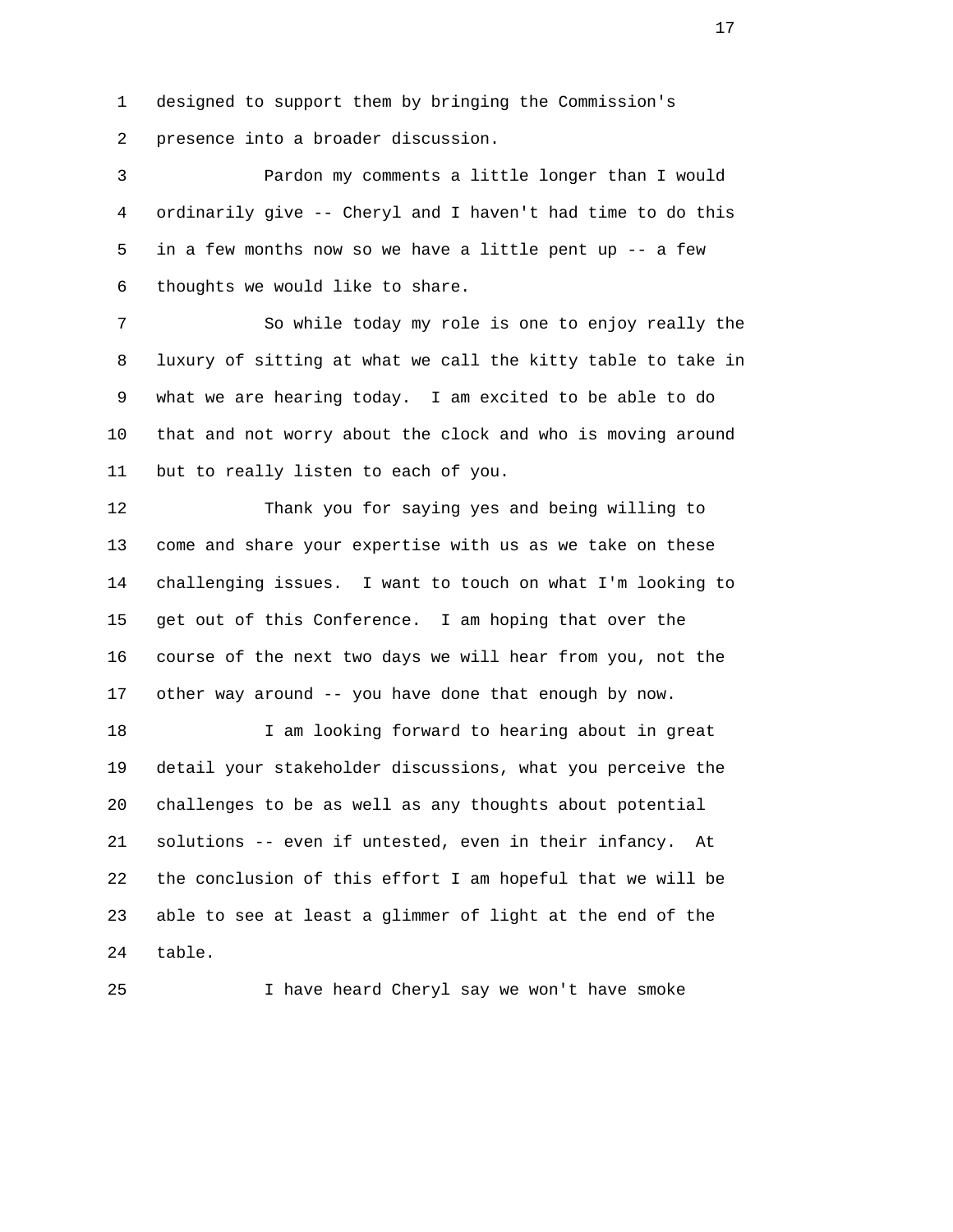1 designed to support them by bringing the Commission's 2 presence into a broader discussion.

 3 Pardon my comments a little longer than I would 4 ordinarily give -- Cheryl and I haven't had time to do this 5 in a few months now so we have a little pent up -- a few 6 thoughts we would like to share.

 7 So while today my role is one to enjoy really the 8 luxury of sitting at what we call the kitty table to take in 9 what we are hearing today. I am excited to be able to do 10 that and not worry about the clock and who is moving around 11 but to really listen to each of you.

 12 Thank you for saying yes and being willing to 13 come and share your expertise with us as we take on these 14 challenging issues. I want to touch on what I'm looking to 15 get out of this Conference. I am hoping that over the 16 course of the next two days we will hear from you, not the 17 other way around -- you have done that enough by now.

 18 I am looking forward to hearing about in great 19 detail your stakeholder discussions, what you perceive the 20 challenges to be as well as any thoughts about potential 21 solutions -- even if untested, even in their infancy. At 22 the conclusion of this effort I am hopeful that we will be 23 able to see at least a glimmer of light at the end of the 24 table.

25 I have heard Cheryl say we won't have smoke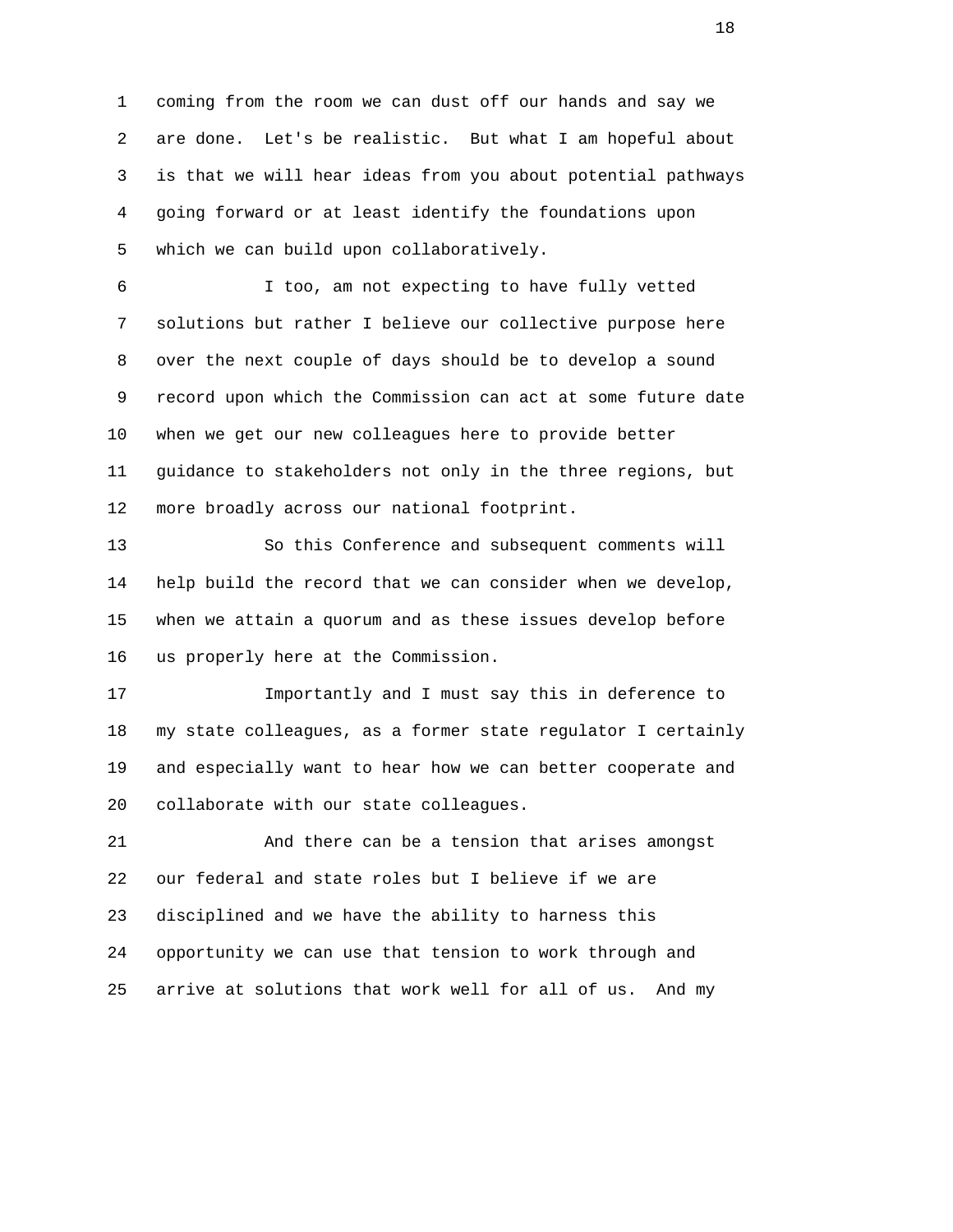1 coming from the room we can dust off our hands and say we 2 are done. Let's be realistic. But what I am hopeful about 3 is that we will hear ideas from you about potential pathways 4 going forward or at least identify the foundations upon 5 which we can build upon collaboratively.

 6 I too, am not expecting to have fully vetted 7 solutions but rather I believe our collective purpose here 8 over the next couple of days should be to develop a sound 9 record upon which the Commission can act at some future date 10 when we get our new colleagues here to provide better 11 guidance to stakeholders not only in the three regions, but 12 more broadly across our national footprint.

 13 So this Conference and subsequent comments will 14 help build the record that we can consider when we develop, 15 when we attain a quorum and as these issues develop before 16 us properly here at the Commission.

 17 Importantly and I must say this in deference to 18 my state colleagues, as a former state regulator I certainly 19 and especially want to hear how we can better cooperate and 20 collaborate with our state colleagues.

 21 And there can be a tension that arises amongst 22 our federal and state roles but I believe if we are 23 disciplined and we have the ability to harness this 24 opportunity we can use that tension to work through and 25 arrive at solutions that work well for all of us. And my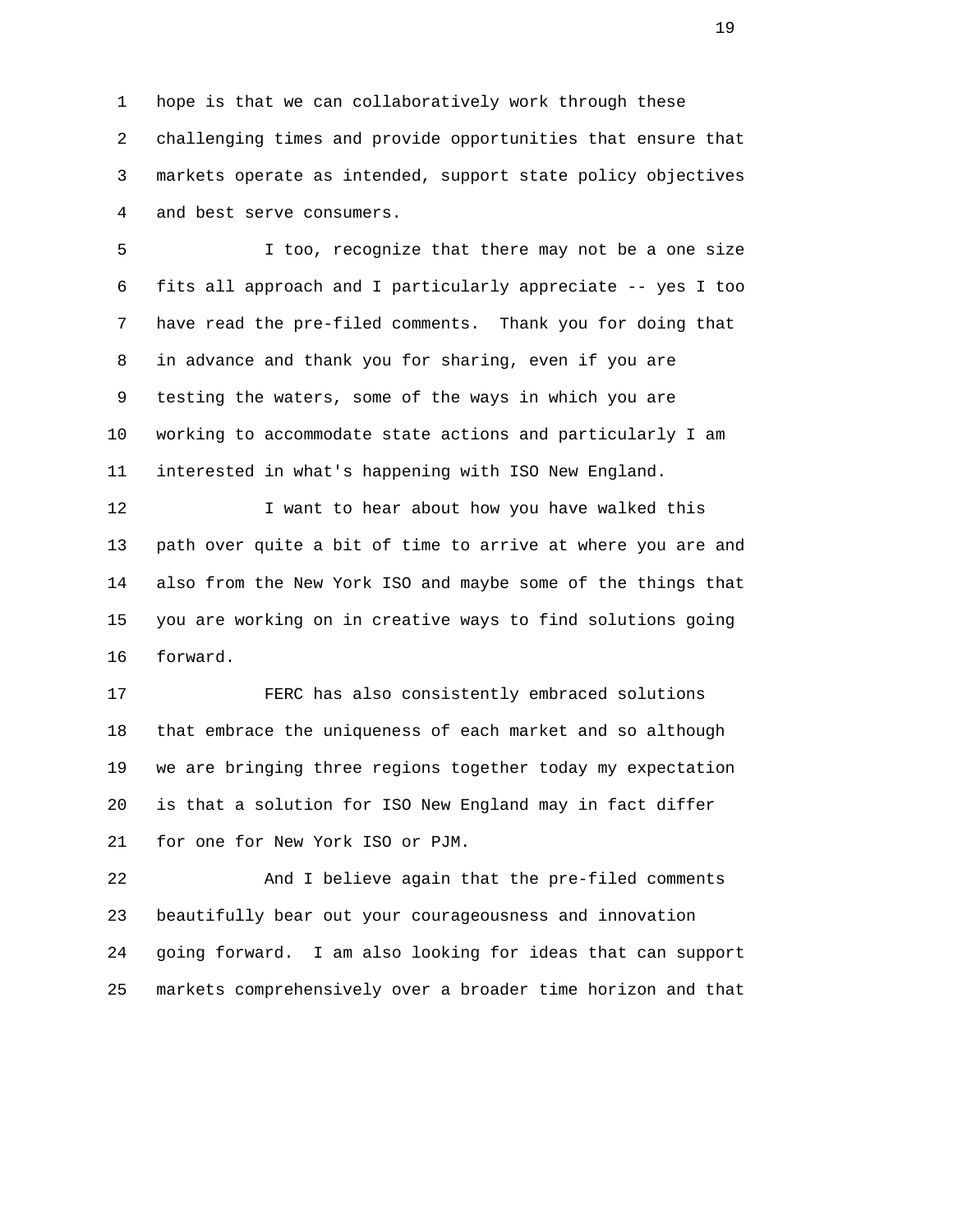1 hope is that we can collaboratively work through these 2 challenging times and provide opportunities that ensure that 3 markets operate as intended, support state policy objectives 4 and best serve consumers.

 5 I too, recognize that there may not be a one size 6 fits all approach and I particularly appreciate -- yes I too 7 have read the pre-filed comments. Thank you for doing that 8 in advance and thank you for sharing, even if you are 9 testing the waters, some of the ways in which you are 10 working to accommodate state actions and particularly I am 11 interested in what's happening with ISO New England.

12 I want to hear about how you have walked this 13 path over quite a bit of time to arrive at where you are and 14 also from the New York ISO and maybe some of the things that 15 you are working on in creative ways to find solutions going 16 forward.

 17 FERC has also consistently embraced solutions 18 that embrace the uniqueness of each market and so although 19 we are bringing three regions together today my expectation 20 is that a solution for ISO New England may in fact differ 21 for one for New York ISO or PJM.

 22 And I believe again that the pre-filed comments 23 beautifully bear out your courageousness and innovation 24 going forward. I am also looking for ideas that can support 25 markets comprehensively over a broader time horizon and that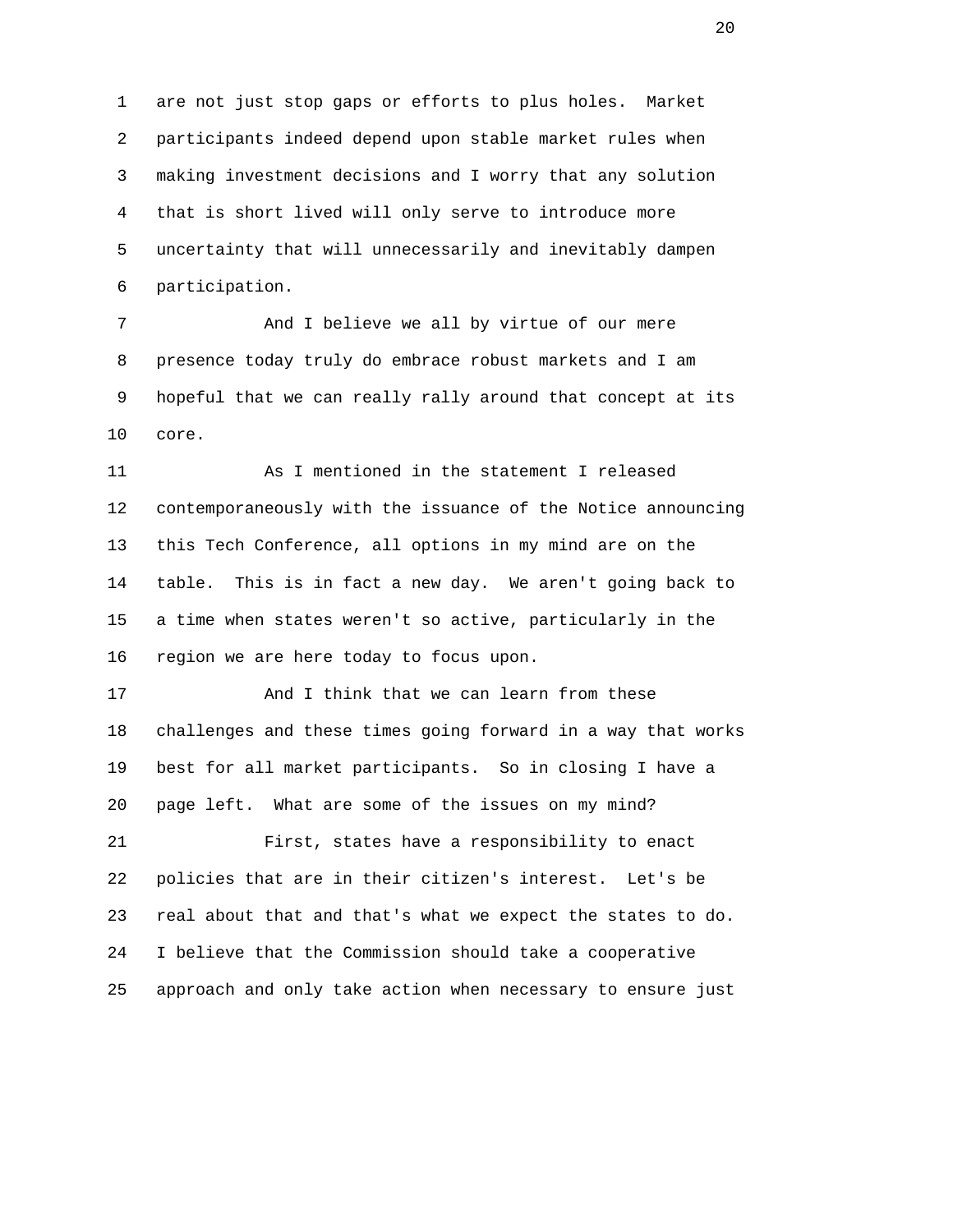1 are not just stop gaps or efforts to plus holes. Market 2 participants indeed depend upon stable market rules when 3 making investment decisions and I worry that any solution 4 that is short lived will only serve to introduce more 5 uncertainty that will unnecessarily and inevitably dampen 6 participation.

7 And I believe we all by virtue of our mere 8 presence today truly do embrace robust markets and I am 9 hopeful that we can really rally around that concept at its 10 core.

 11 As I mentioned in the statement I released 12 contemporaneously with the issuance of the Notice announcing 13 this Tech Conference, all options in my mind are on the 14 table. This is in fact a new day. We aren't going back to 15 a time when states weren't so active, particularly in the 16 region we are here today to focus upon.

 17 And I think that we can learn from these 18 challenges and these times going forward in a way that works 19 best for all market participants. So in closing I have a 20 page left. What are some of the issues on my mind? 21 First, states have a responsibility to enact 22 policies that are in their citizen's interest. Let's be

 23 real about that and that's what we expect the states to do. 24 I believe that the Commission should take a cooperative 25 approach and only take action when necessary to ensure just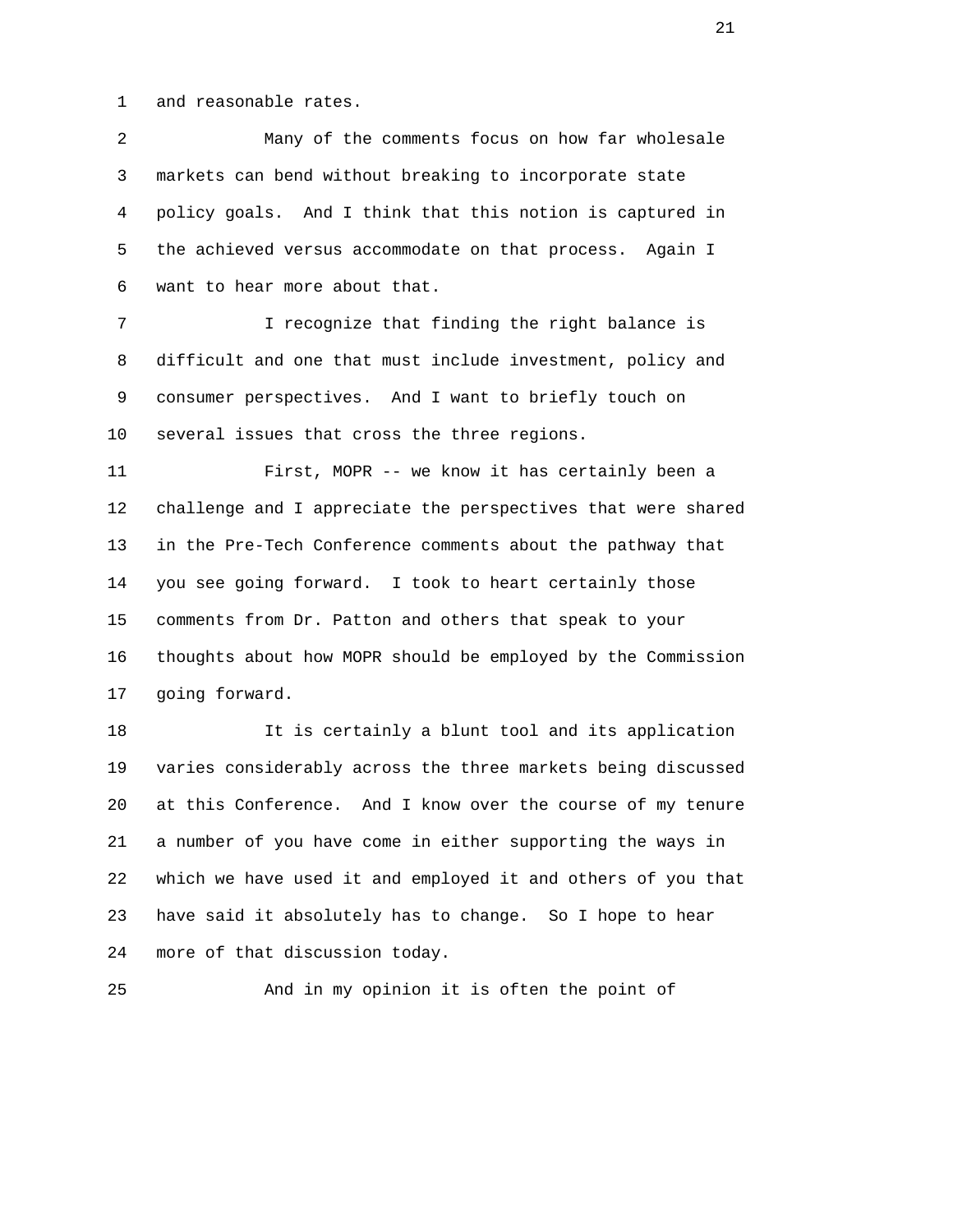1 and reasonable rates.

 2 Many of the comments focus on how far wholesale 3 markets can bend without breaking to incorporate state 4 policy goals. And I think that this notion is captured in 5 the achieved versus accommodate on that process. Again I 6 want to hear more about that. 7 I recognize that finding the right balance is 8 difficult and one that must include investment, policy and 9 consumer perspectives. And I want to briefly touch on 10 several issues that cross the three regions. 11 First, MOPR -- we know it has certainly been a 12 challenge and I appreciate the perspectives that were shared 13 in the Pre-Tech Conference comments about the pathway that 14 you see going forward. I took to heart certainly those 15 comments from Dr. Patton and others that speak to your 16 thoughts about how MOPR should be employed by the Commission 17 going forward. 18 It is certainly a blunt tool and its application 19 varies considerably across the three markets being discussed 20 at this Conference. And I know over the course of my tenure 21 a number of you have come in either supporting the ways in 22 which we have used it and employed it and others of you that

 23 have said it absolutely has to change. So I hope to hear 24 more of that discussion today.

25 And in my opinion it is often the point of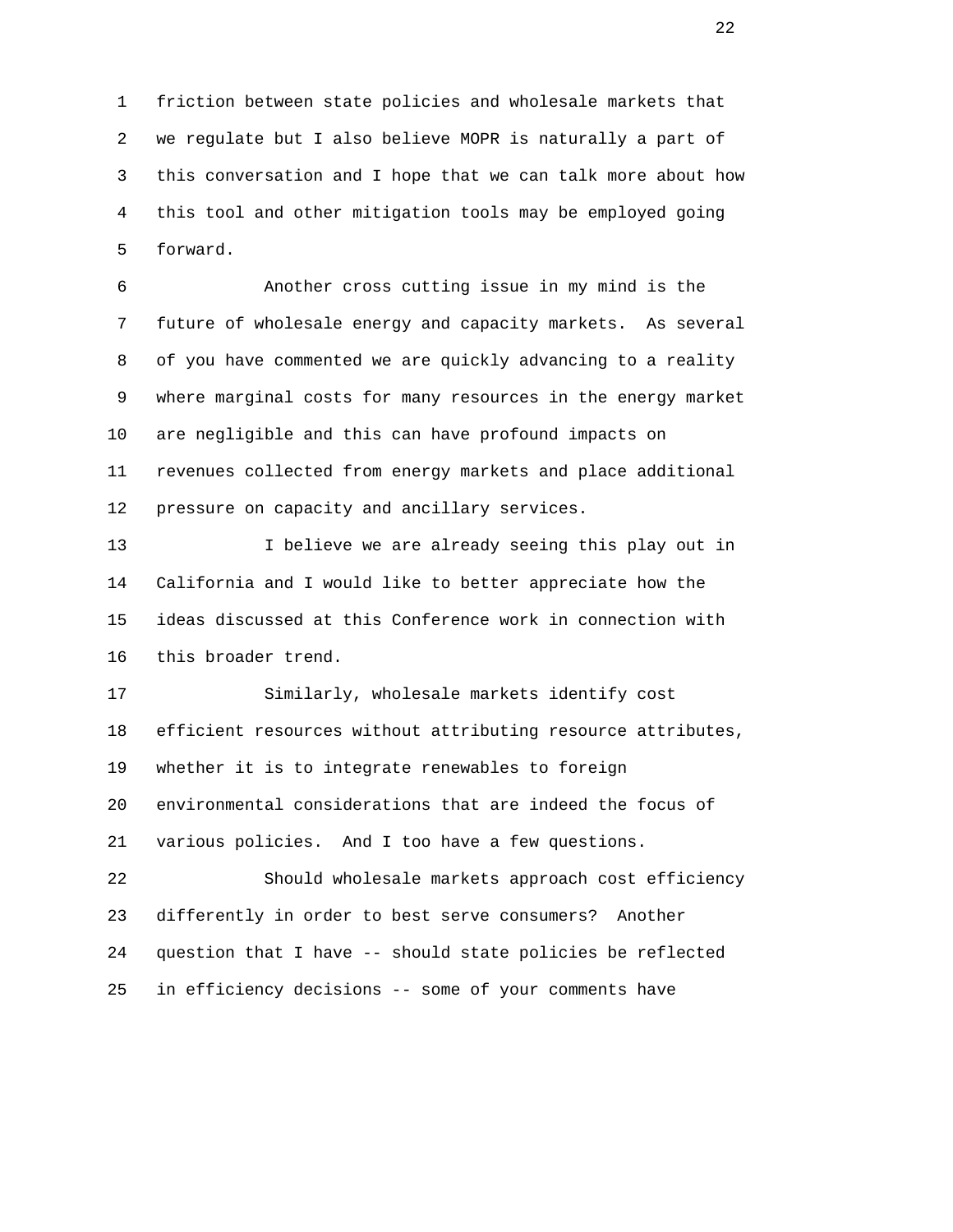1 friction between state policies and wholesale markets that 2 we regulate but I also believe MOPR is naturally a part of 3 this conversation and I hope that we can talk more about how 4 this tool and other mitigation tools may be employed going 5 forward.

 6 Another cross cutting issue in my mind is the 7 future of wholesale energy and capacity markets. As several 8 of you have commented we are quickly advancing to a reality 9 where marginal costs for many resources in the energy market 10 are negligible and this can have profound impacts on 11 revenues collected from energy markets and place additional 12 pressure on capacity and ancillary services.

13 I believe we are already seeing this play out in 14 California and I would like to better appreciate how the 15 ideas discussed at this Conference work in connection with 16 this broader trend.

 17 Similarly, wholesale markets identify cost 18 efficient resources without attributing resource attributes, 19 whether it is to integrate renewables to foreign 20 environmental considerations that are indeed the focus of 21 various policies. And I too have a few questions.

 22 Should wholesale markets approach cost efficiency 23 differently in order to best serve consumers? Another 24 question that I have -- should state policies be reflected 25 in efficiency decisions -- some of your comments have

22 and 22 and 22 and 22 and 22 and 22 and 22 and 22 and 22 and 22 and 22 and 22 and 22 and 22 and 22 and 22 and 22 and 22 and 22 and 22 and 22 and 22 and 22 and 22 and 22 and 22 and 22 and 22 and 22 and 22 and 22 and 22 an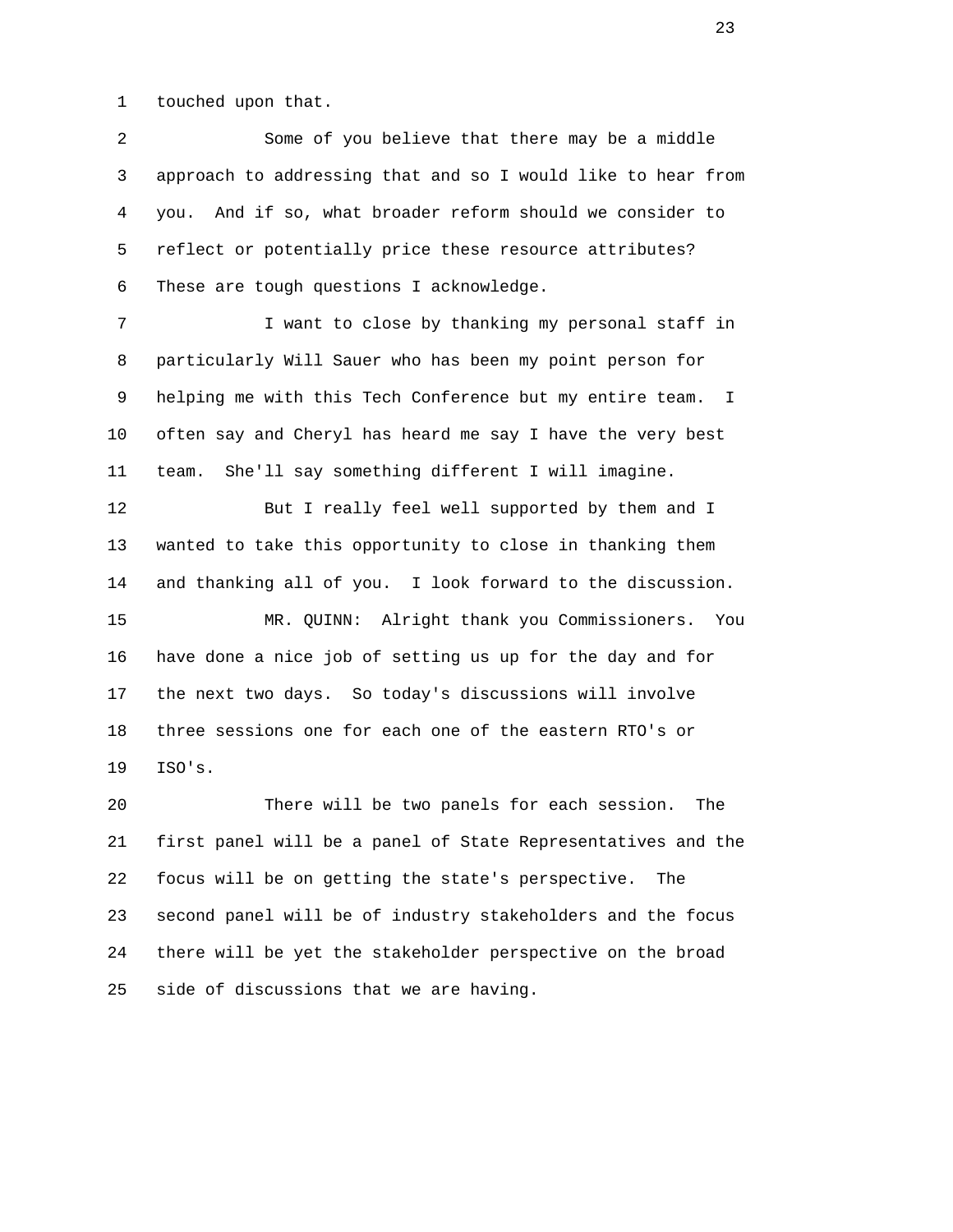1 touched upon that.

 2 Some of you believe that there may be a middle 3 approach to addressing that and so I would like to hear from 4 you. And if so, what broader reform should we consider to 5 reflect or potentially price these resource attributes? 6 These are tough questions I acknowledge.

 7 I want to close by thanking my personal staff in 8 particularly Will Sauer who has been my point person for 9 helping me with this Tech Conference but my entire team. I 10 often say and Cheryl has heard me say I have the very best 11 team. She'll say something different I will imagine.

12 But I really feel well supported by them and I 13 wanted to take this opportunity to close in thanking them 14 and thanking all of you. I look forward to the discussion.

 15 MR. QUINN: Alright thank you Commissioners. You 16 have done a nice job of setting us up for the day and for 17 the next two days. So today's discussions will involve 18 three sessions one for each one of the eastern RTO's or 19 ISO's.

 20 There will be two panels for each session. The 21 first panel will be a panel of State Representatives and the 22 focus will be on getting the state's perspective. The 23 second panel will be of industry stakeholders and the focus 24 there will be yet the stakeholder perspective on the broad 25 side of discussions that we are having.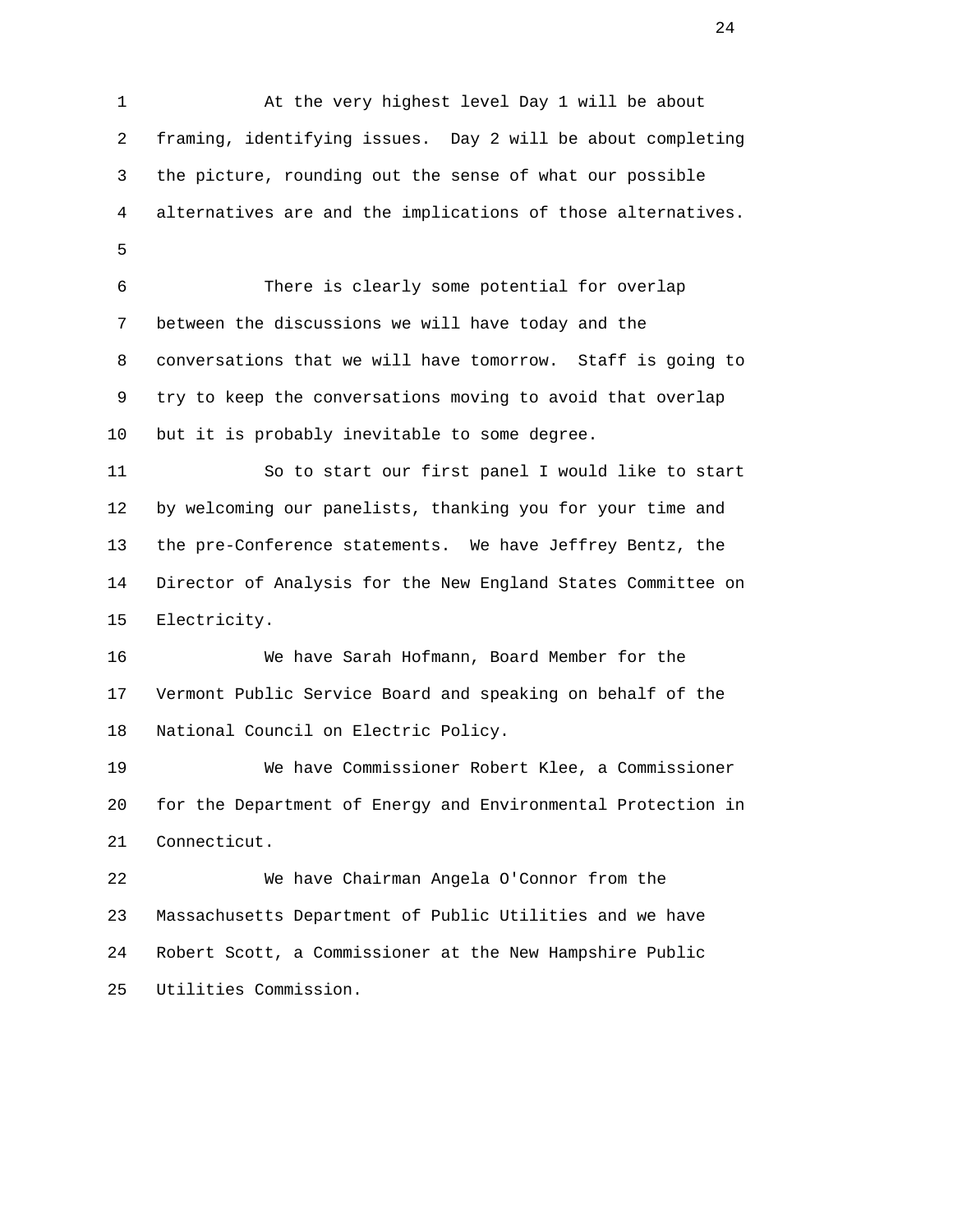1 At the very highest level Day 1 will be about 2 framing, identifying issues. Day 2 will be about completing 3 the picture, rounding out the sense of what our possible 4 alternatives are and the implications of those alternatives.  $5<sub>5</sub>$  6 There is clearly some potential for overlap 7 between the discussions we will have today and the 8 conversations that we will have tomorrow. Staff is going to 9 try to keep the conversations moving to avoid that overlap 10 but it is probably inevitable to some degree. 11 So to start our first panel I would like to start 12 by welcoming our panelists, thanking you for your time and 13 the pre-Conference statements. We have Jeffrey Bentz, the 14 Director of Analysis for the New England States Committee on 15 Electricity. 16 We have Sarah Hofmann, Board Member for the 17 Vermont Public Service Board and speaking on behalf of the 18 National Council on Electric Policy. 19 We have Commissioner Robert Klee, a Commissioner 20 for the Department of Energy and Environmental Protection in 21 Connecticut. 22 We have Chairman Angela O'Connor from the 23 Massachusetts Department of Public Utilities and we have 24 Robert Scott, a Commissioner at the New Hampshire Public 25 Utilities Commission.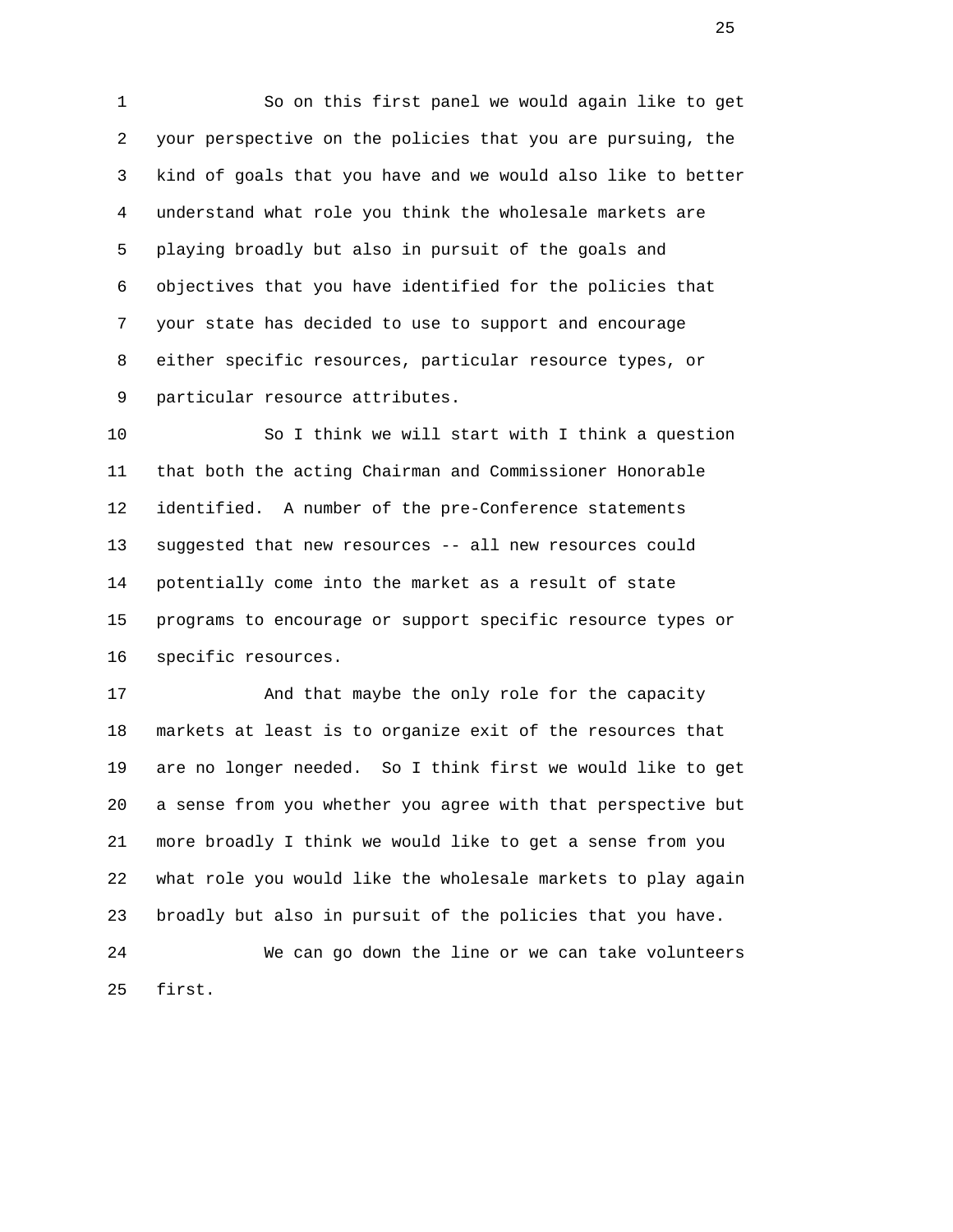1 So on this first panel we would again like to get 2 your perspective on the policies that you are pursuing, the 3 kind of goals that you have and we would also like to better 4 understand what role you think the wholesale markets are 5 playing broadly but also in pursuit of the goals and 6 objectives that you have identified for the policies that 7 your state has decided to use to support and encourage 8 either specific resources, particular resource types, or 9 particular resource attributes.

 10 So I think we will start with I think a question 11 that both the acting Chairman and Commissioner Honorable 12 identified. A number of the pre-Conference statements 13 suggested that new resources -- all new resources could 14 potentially come into the market as a result of state 15 programs to encourage or support specific resource types or 16 specific resources.

 17 And that maybe the only role for the capacity 18 markets at least is to organize exit of the resources that 19 are no longer needed. So I think first we would like to get 20 a sense from you whether you agree with that perspective but 21 more broadly I think we would like to get a sense from you 22 what role you would like the wholesale markets to play again 23 broadly but also in pursuit of the policies that you have.

 24 We can go down the line or we can take volunteers 25 first.

<u>25 and 25</u>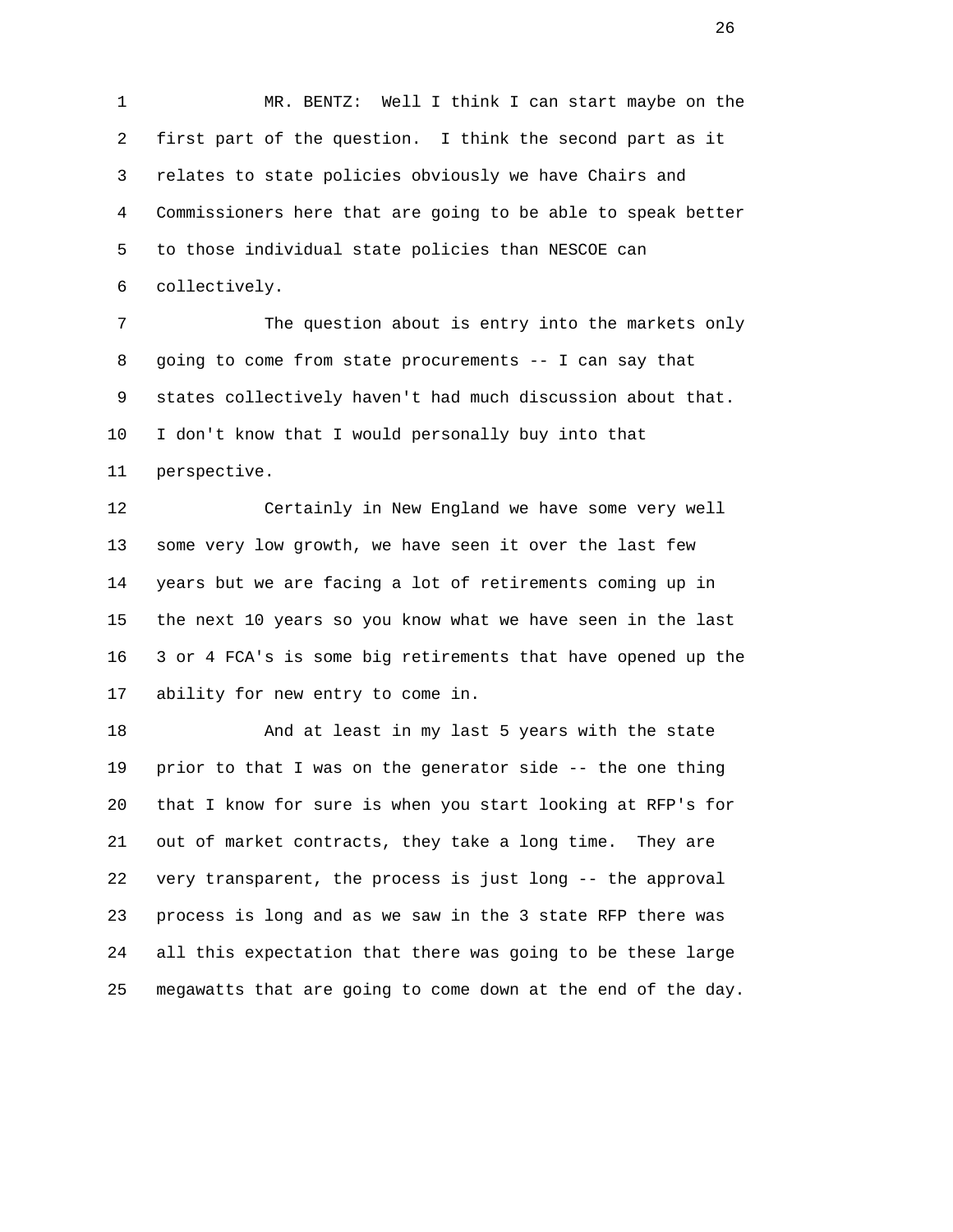1 MR. BENTZ: Well I think I can start maybe on the 2 first part of the question. I think the second part as it 3 relates to state policies obviously we have Chairs and 4 Commissioners here that are going to be able to speak better 5 to those individual state policies than NESCOE can 6 collectively.

 7 The question about is entry into the markets only 8 going to come from state procurements -- I can say that 9 states collectively haven't had much discussion about that. 10 I don't know that I would personally buy into that 11 perspective.

 12 Certainly in New England we have some very well 13 some very low growth, we have seen it over the last few 14 years but we are facing a lot of retirements coming up in 15 the next 10 years so you know what we have seen in the last 16 3 or 4 FCA's is some big retirements that have opened up the 17 ability for new entry to come in.

 18 And at least in my last 5 years with the state 19 prior to that I was on the generator side -- the one thing 20 that I know for sure is when you start looking at RFP's for 21 out of market contracts, they take a long time. They are 22 very transparent, the process is just long -- the approval 23 process is long and as we saw in the 3 state RFP there was 24 all this expectation that there was going to be these large 25 megawatts that are going to come down at the end of the day.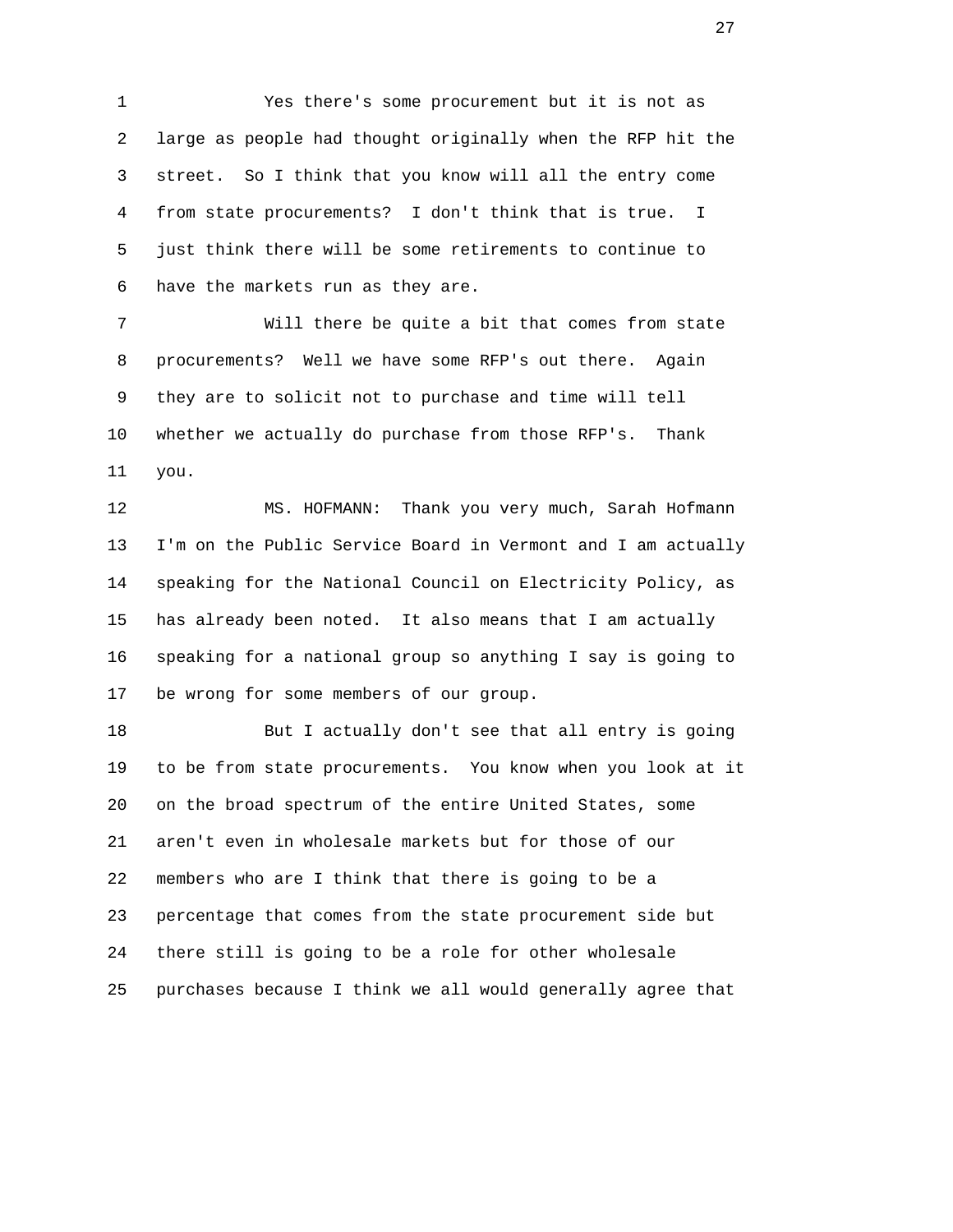1 Yes there's some procurement but it is not as 2 large as people had thought originally when the RFP hit the 3 street. So I think that you know will all the entry come 4 from state procurements? I don't think that is true. I 5 just think there will be some retirements to continue to 6 have the markets run as they are.

 7 Will there be quite a bit that comes from state 8 procurements? Well we have some RFP's out there. Again 9 they are to solicit not to purchase and time will tell 10 whether we actually do purchase from those RFP's. Thank 11 you.

 12 MS. HOFMANN: Thank you very much, Sarah Hofmann 13 I'm on the Public Service Board in Vermont and I am actually 14 speaking for the National Council on Electricity Policy, as 15 has already been noted. It also means that I am actually 16 speaking for a national group so anything I say is going to 17 be wrong for some members of our group.

 18 But I actually don't see that all entry is going 19 to be from state procurements. You know when you look at it 20 on the broad spectrum of the entire United States, some 21 aren't even in wholesale markets but for those of our 22 members who are I think that there is going to be a 23 percentage that comes from the state procurement side but 24 there still is going to be a role for other wholesale 25 purchases because I think we all would generally agree that

<u>27 дене</u> в 27 денември 27 денември 27 денември 27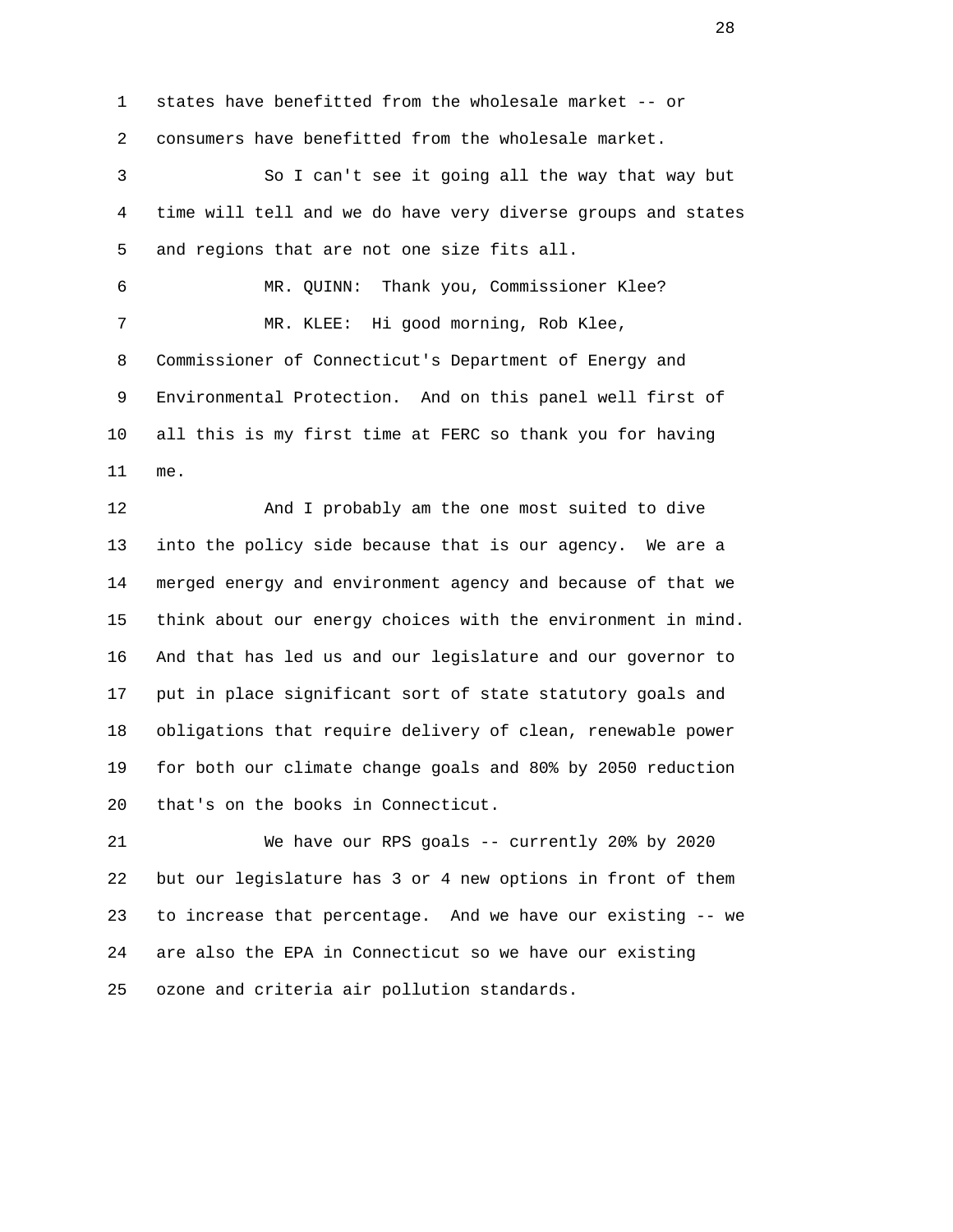1 states have benefitted from the wholesale market -- or 2 consumers have benefitted from the wholesale market. 3 So I can't see it going all the way that way but 4 time will tell and we do have very diverse groups and states 5 and regions that are not one size fits all. 6 MR. QUINN: Thank you, Commissioner Klee? 7 MR. KLEE: Hi good morning, Rob Klee, 8 Commissioner of Connecticut's Department of Energy and 9 Environmental Protection. And on this panel well first of 10 all this is my first time at FERC so thank you for having 11 me.

 12 And I probably am the one most suited to dive 13 into the policy side because that is our agency. We are a 14 merged energy and environment agency and because of that we 15 think about our energy choices with the environment in mind. 16 And that has led us and our legislature and our governor to 17 put in place significant sort of state statutory goals and 18 obligations that require delivery of clean, renewable power 19 for both our climate change goals and 80% by 2050 reduction 20 that's on the books in Connecticut.

 21 We have our RPS goals -- currently 20% by 2020 22 but our legislature has 3 or 4 new options in front of them 23 to increase that percentage. And we have our existing -- we 24 are also the EPA in Connecticut so we have our existing 25 ozone and criteria air pollution standards.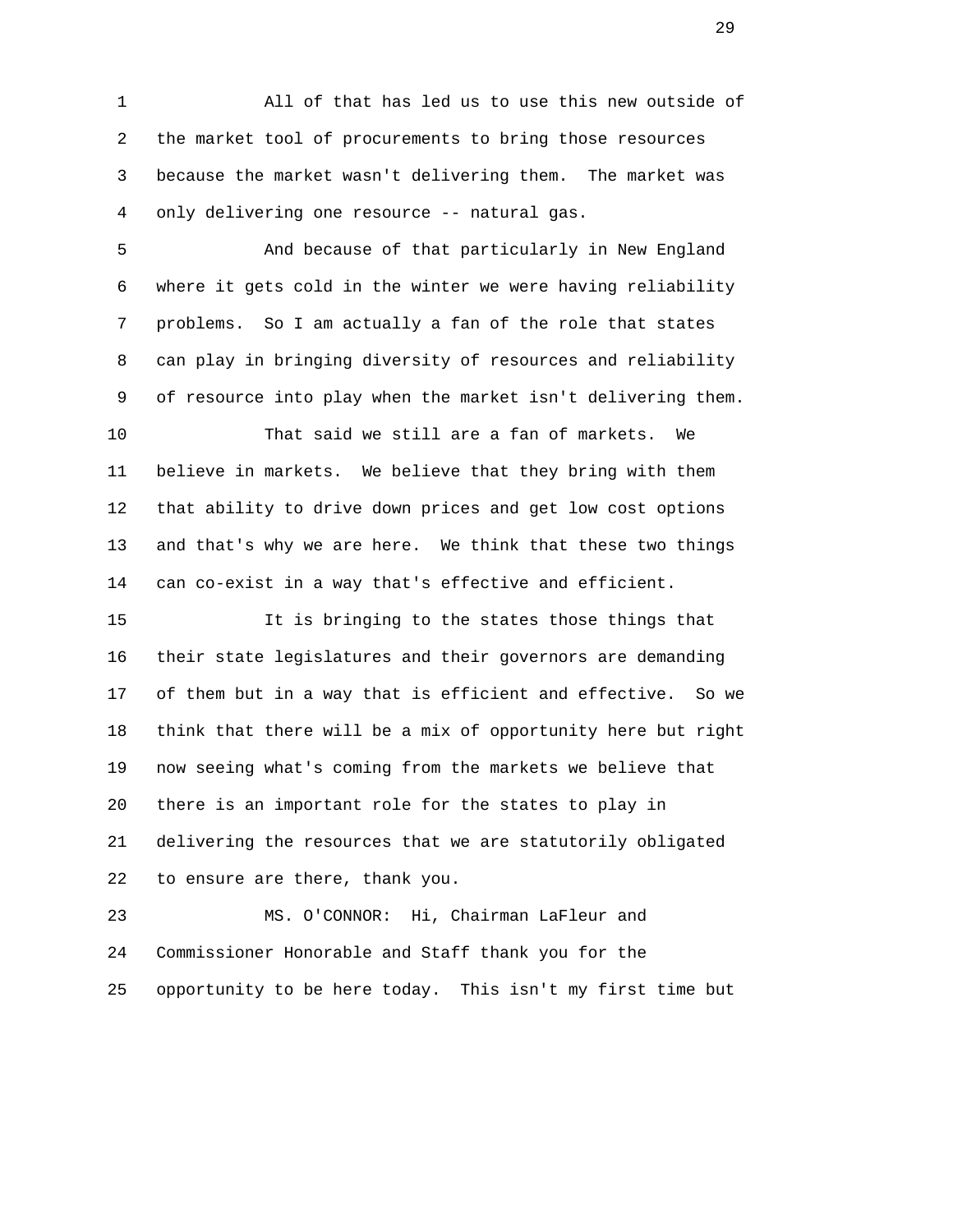1 All of that has led us to use this new outside of 2 the market tool of procurements to bring those resources 3 because the market wasn't delivering them. The market was 4 only delivering one resource -- natural gas.

 5 And because of that particularly in New England 6 where it gets cold in the winter we were having reliability 7 problems. So I am actually a fan of the role that states 8 can play in bringing diversity of resources and reliability 9 of resource into play when the market isn't delivering them.

 10 That said we still are a fan of markets. We 11 believe in markets. We believe that they bring with them 12 that ability to drive down prices and get low cost options 13 and that's why we are here. We think that these two things 14 can co-exist in a way that's effective and efficient.

 15 It is bringing to the states those things that 16 their state legislatures and their governors are demanding 17 of them but in a way that is efficient and effective. So we 18 think that there will be a mix of opportunity here but right 19 now seeing what's coming from the markets we believe that 20 there is an important role for the states to play in 21 delivering the resources that we are statutorily obligated 22 to ensure are there, thank you.

 23 MS. O'CONNOR: Hi, Chairman LaFleur and 24 Commissioner Honorable and Staff thank you for the 25 opportunity to be here today. This isn't my first time but

29 and 20 and 20 and 20 and 20 and 20 and 20 and 20 and 20 and 20 and 20 and 20 and 20 and 20 and 20 and 20 an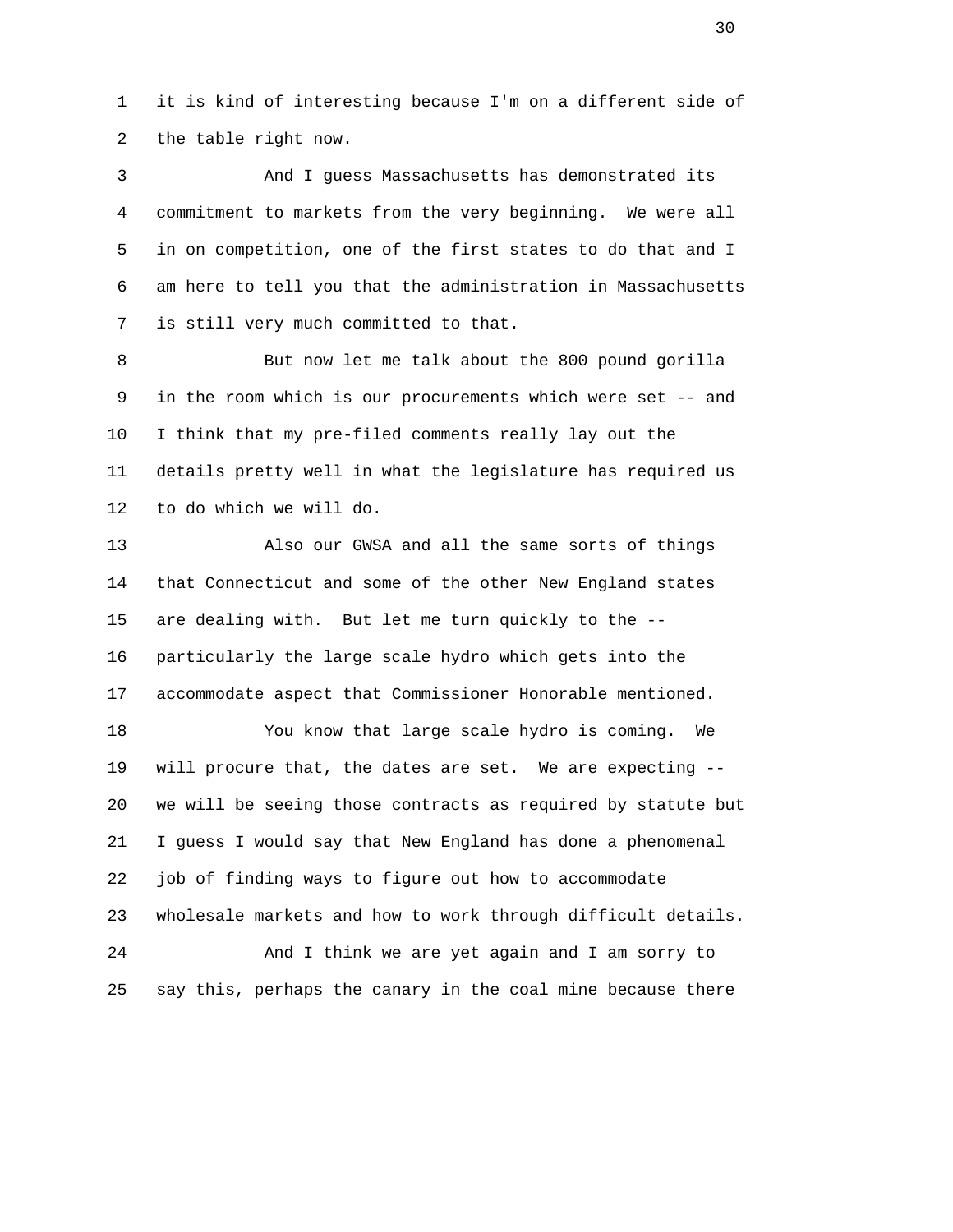1 it is kind of interesting because I'm on a different side of 2 the table right now.

 3 And I guess Massachusetts has demonstrated its 4 commitment to markets from the very beginning. We were all 5 in on competition, one of the first states to do that and I 6 am here to tell you that the administration in Massachusetts 7 is still very much committed to that.

 8 But now let me talk about the 800 pound gorilla 9 in the room which is our procurements which were set -- and 10 I think that my pre-filed comments really lay out the 11 details pretty well in what the legislature has required us 12 to do which we will do.

 13 Also our GWSA and all the same sorts of things 14 that Connecticut and some of the other New England states 15 are dealing with. But let me turn quickly to the -- 16 particularly the large scale hydro which gets into the 17 accommodate aspect that Commissioner Honorable mentioned.

 18 You know that large scale hydro is coming. We 19 will procure that, the dates are set. We are expecting -- 20 we will be seeing those contracts as required by statute but 21 I guess I would say that New England has done a phenomenal 22 job of finding ways to figure out how to accommodate 23 wholesale markets and how to work through difficult details. 24 And I think we are yet again and I am sorry to

25 say this, perhaps the canary in the coal mine because there

 $30<sup>2</sup>$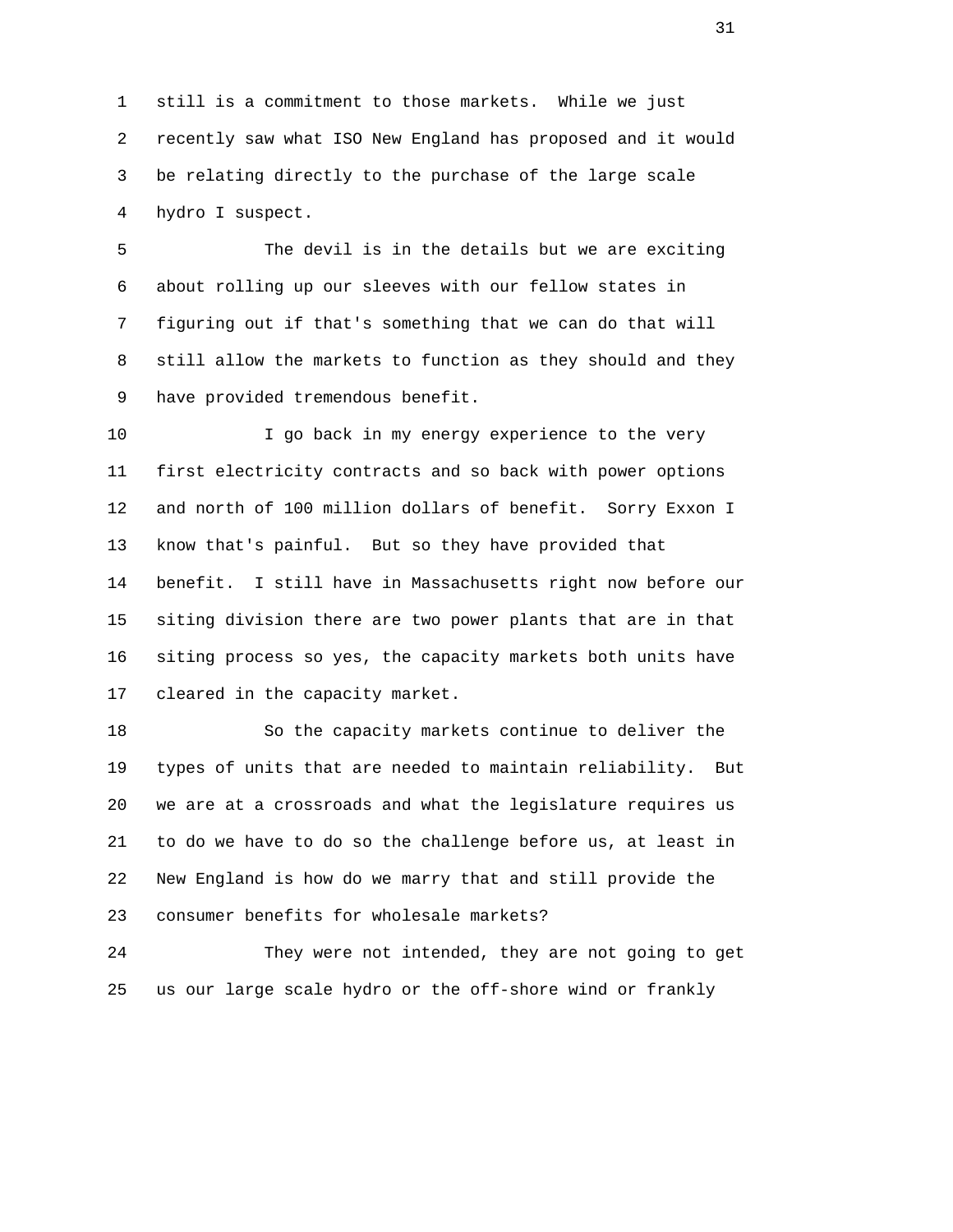1 still is a commitment to those markets. While we just 2 recently saw what ISO New England has proposed and it would 3 be relating directly to the purchase of the large scale 4 hydro I suspect.

 5 The devil is in the details but we are exciting 6 about rolling up our sleeves with our fellow states in 7 figuring out if that's something that we can do that will 8 still allow the markets to function as they should and they 9 have provided tremendous benefit.

10 10 I go back in my energy experience to the very 11 first electricity contracts and so back with power options 12 and north of 100 million dollars of benefit. Sorry Exxon I 13 know that's painful. But so they have provided that 14 benefit. I still have in Massachusetts right now before our 15 siting division there are two power plants that are in that 16 siting process so yes, the capacity markets both units have 17 cleared in the capacity market.

 18 So the capacity markets continue to deliver the 19 types of units that are needed to maintain reliability. But 20 we are at a crossroads and what the legislature requires us 21 to do we have to do so the challenge before us, at least in 22 New England is how do we marry that and still provide the 23 consumer benefits for wholesale markets?

 24 They were not intended, they are not going to get 25 us our large scale hydro or the off-shore wind or frankly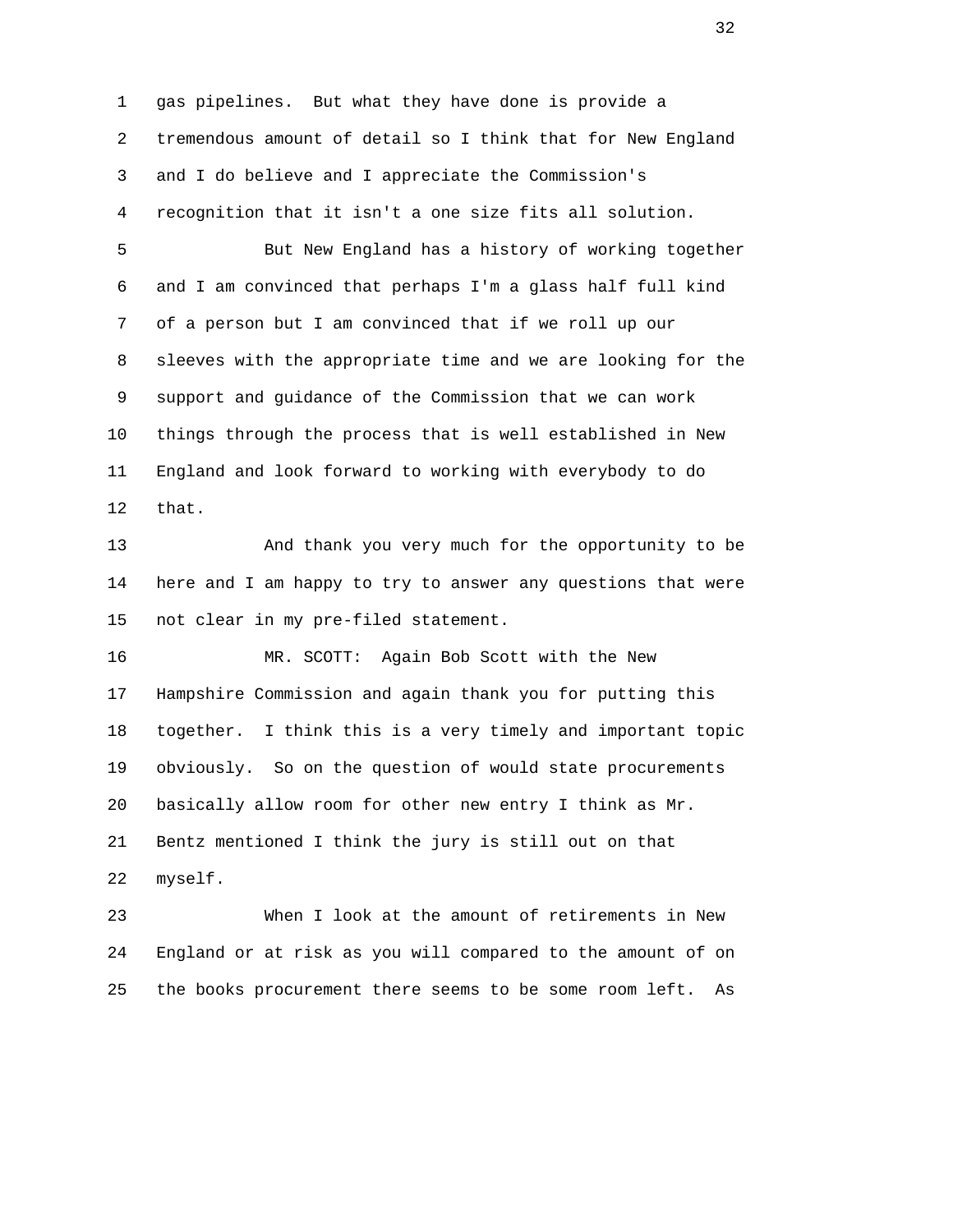1 gas pipelines. But what they have done is provide a 2 tremendous amount of detail so I think that for New England 3 and I do believe and I appreciate the Commission's 4 recognition that it isn't a one size fits all solution. 5 But New England has a history of working together 6 and I am convinced that perhaps I'm a glass half full kind 7 of a person but I am convinced that if we roll up our

 8 sleeves with the appropriate time and we are looking for the 9 support and guidance of the Commission that we can work 10 things through the process that is well established in New 11 England and look forward to working with everybody to do 12 that.

 13 And thank you very much for the opportunity to be 14 here and I am happy to try to answer any questions that were 15 not clear in my pre-filed statement.

 16 MR. SCOTT: Again Bob Scott with the New 17 Hampshire Commission and again thank you for putting this 18 together. I think this is a very timely and important topic 19 obviously. So on the question of would state procurements 20 basically allow room for other new entry I think as Mr. 21 Bentz mentioned I think the jury is still out on that 22 myself.

 23 When I look at the amount of retirements in New 24 England or at risk as you will compared to the amount of on 25 the books procurement there seems to be some room left. As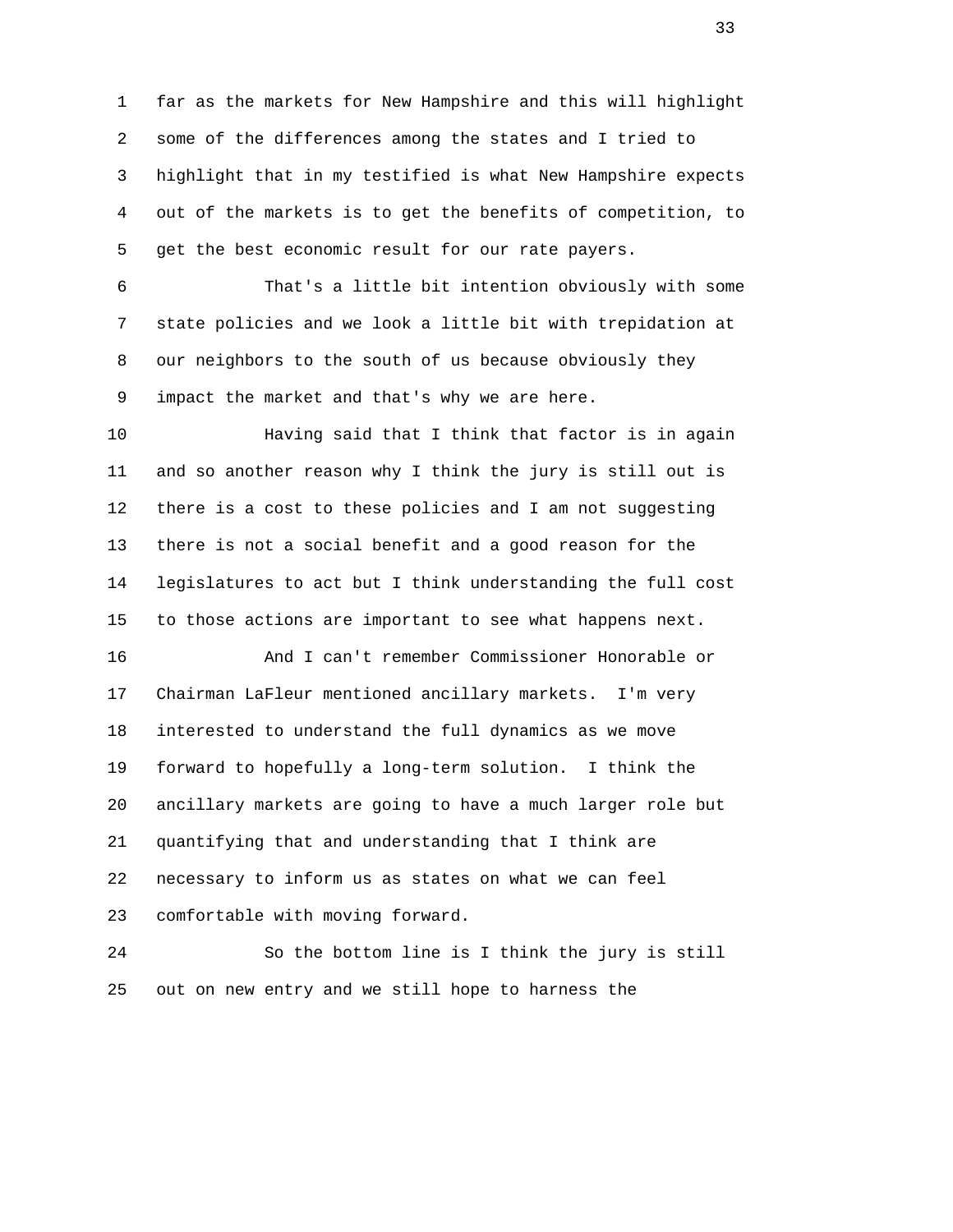1 far as the markets for New Hampshire and this will highlight 2 some of the differences among the states and I tried to 3 highlight that in my testified is what New Hampshire expects 4 out of the markets is to get the benefits of competition, to 5 get the best economic result for our rate payers.

 6 That's a little bit intention obviously with some 7 state policies and we look a little bit with trepidation at 8 our neighbors to the south of us because obviously they 9 impact the market and that's why we are here.

 10 Having said that I think that factor is in again 11 and so another reason why I think the jury is still out is 12 there is a cost to these policies and I am not suggesting 13 there is not a social benefit and a good reason for the 14 legislatures to act but I think understanding the full cost 15 to those actions are important to see what happens next.

 16 And I can't remember Commissioner Honorable or 17 Chairman LaFleur mentioned ancillary markets. I'm very 18 interested to understand the full dynamics as we move 19 forward to hopefully a long-term solution. I think the 20 ancillary markets are going to have a much larger role but 21 quantifying that and understanding that I think are 22 necessary to inform us as states on what we can feel 23 comfortable with moving forward.

 24 So the bottom line is I think the jury is still 25 out on new entry and we still hope to harness the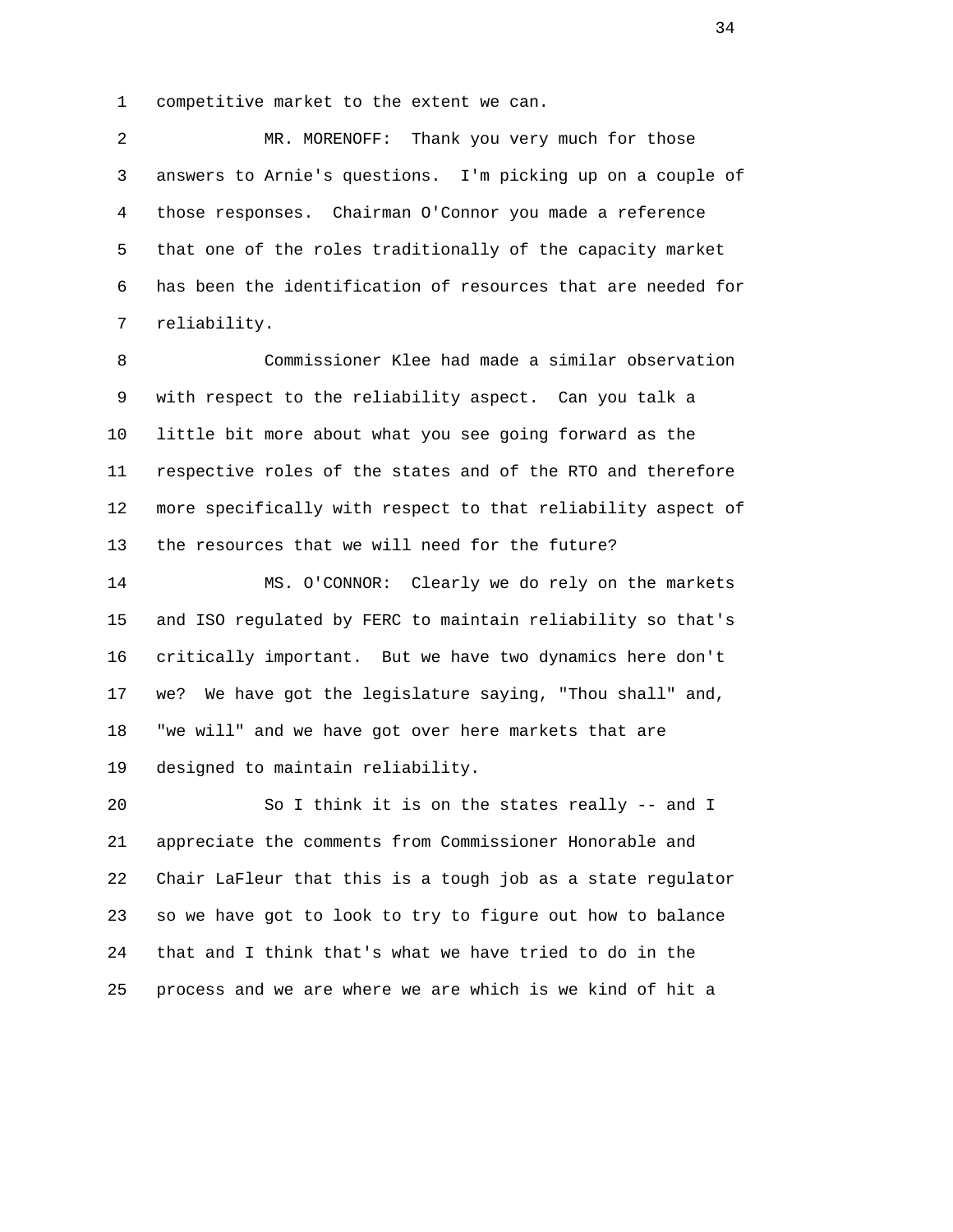1 competitive market to the extent we can.

 2 MR. MORENOFF: Thank you very much for those 3 answers to Arnie's questions. I'm picking up on a couple of 4 those responses. Chairman O'Connor you made a reference 5 that one of the roles traditionally of the capacity market 6 has been the identification of resources that are needed for 7 reliability.

 8 Commissioner Klee had made a similar observation 9 with respect to the reliability aspect. Can you talk a 10 little bit more about what you see going forward as the 11 respective roles of the states and of the RTO and therefore 12 more specifically with respect to that reliability aspect of 13 the resources that we will need for the future?

 14 MS. O'CONNOR: Clearly we do rely on the markets 15 and ISO regulated by FERC to maintain reliability so that's 16 critically important. But we have two dynamics here don't 17 we? We have got the legislature saying, "Thou shall" and, 18 "we will" and we have got over here markets that are 19 designed to maintain reliability.

 20 So I think it is on the states really -- and I 21 appreciate the comments from Commissioner Honorable and 22 Chair LaFleur that this is a tough job as a state regulator 23 so we have got to look to try to figure out how to balance 24 that and I think that's what we have tried to do in the 25 process and we are where we are which is we kind of hit a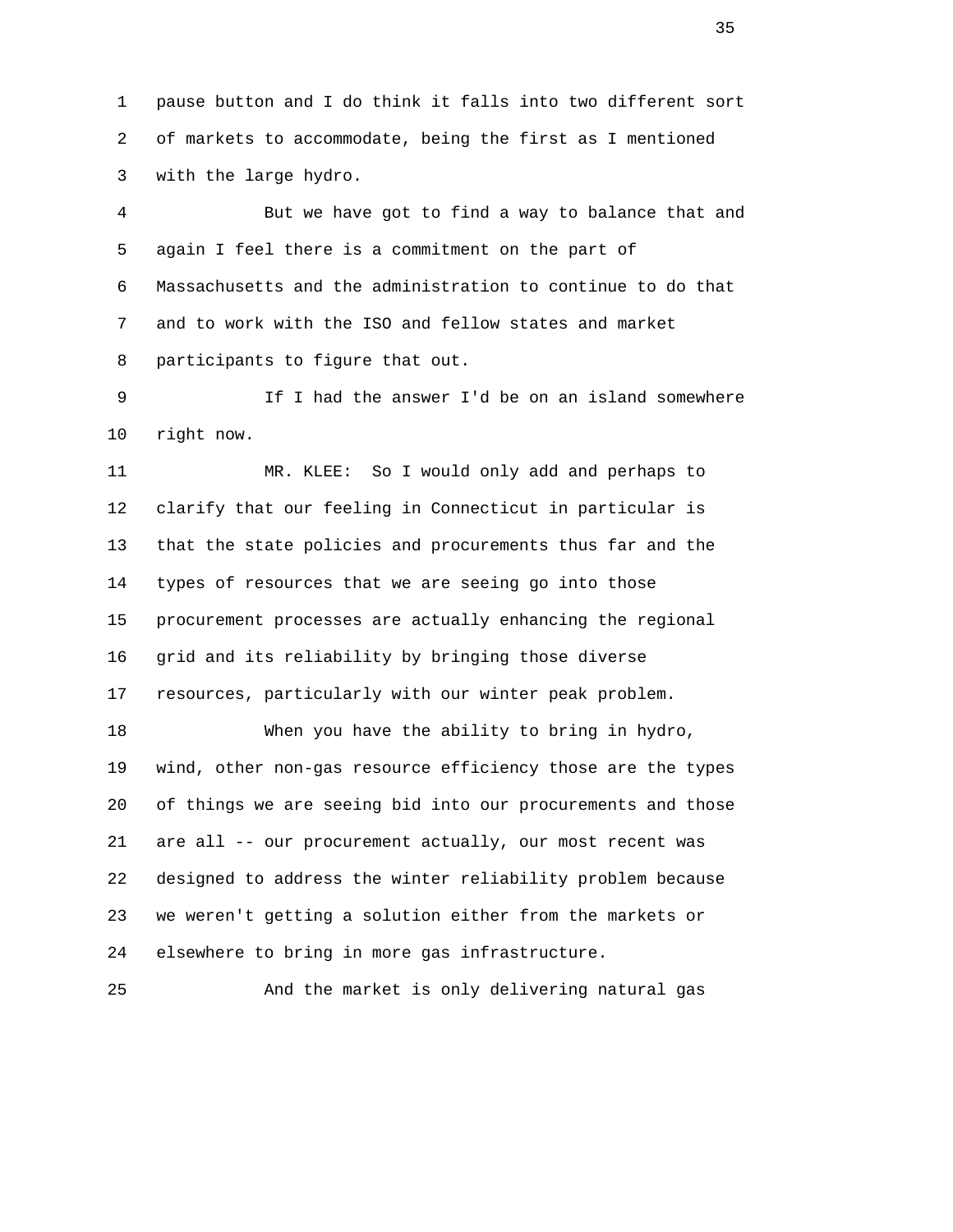1 pause button and I do think it falls into two different sort 2 of markets to accommodate, being the first as I mentioned 3 with the large hydro.

 4 But we have got to find a way to balance that and 5 again I feel there is a commitment on the part of 6 Massachusetts and the administration to continue to do that 7 and to work with the ISO and fellow states and market 8 participants to figure that out.

 9 If I had the answer I'd be on an island somewhere 10 right now.

 11 MR. KLEE: So I would only add and perhaps to 12 clarify that our feeling in Connecticut in particular is 13 that the state policies and procurements thus far and the 14 types of resources that we are seeing go into those 15 procurement processes are actually enhancing the regional 16 grid and its reliability by bringing those diverse 17 resources, particularly with our winter peak problem.

 18 When you have the ability to bring in hydro, 19 wind, other non-gas resource efficiency those are the types 20 of things we are seeing bid into our procurements and those 21 are all -- our procurement actually, our most recent was 22 designed to address the winter reliability problem because 23 we weren't getting a solution either from the markets or 24 elsewhere to bring in more gas infrastructure.

25 And the market is only delivering natural gas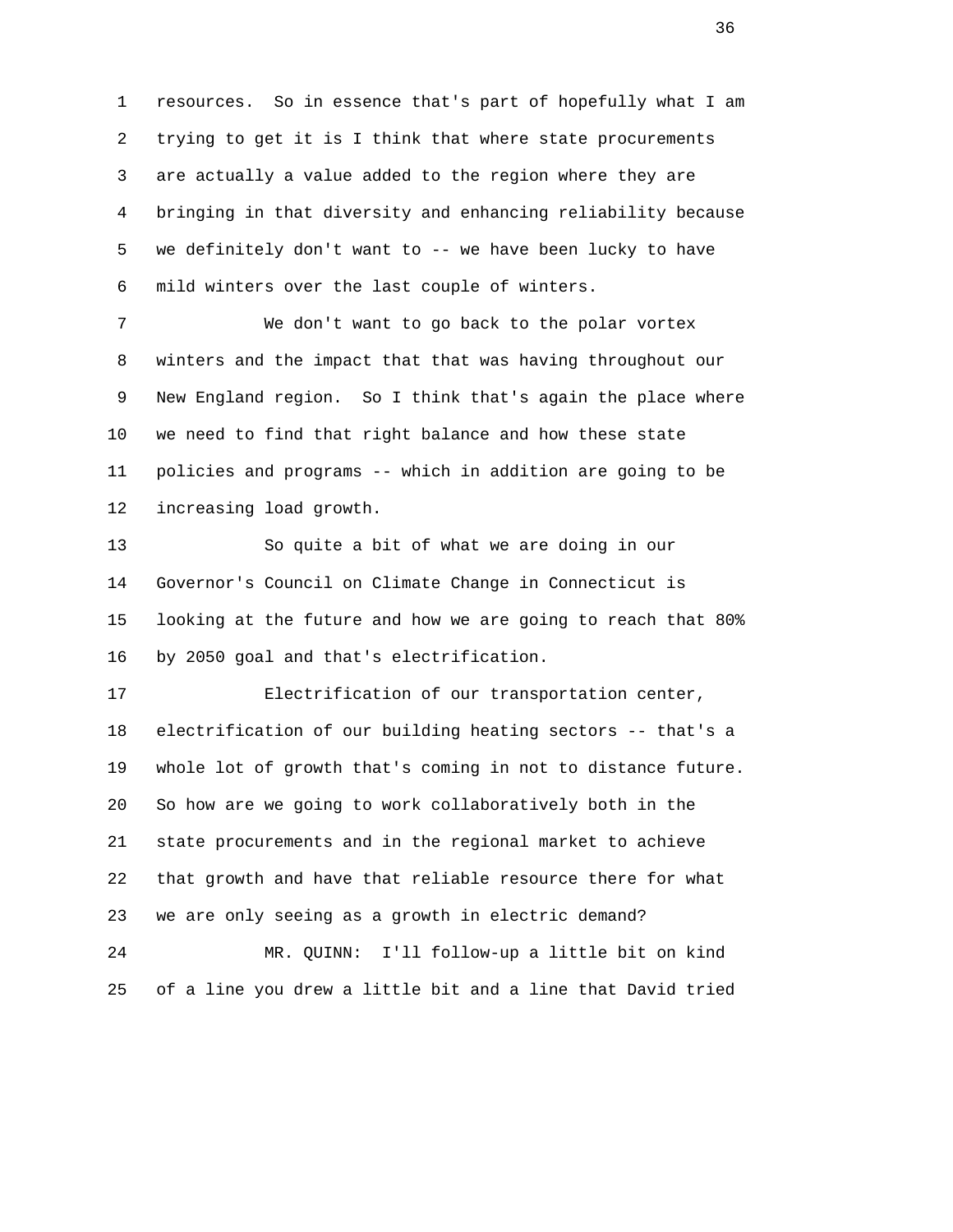1 resources. So in essence that's part of hopefully what I am 2 trying to get it is I think that where state procurements 3 are actually a value added to the region where they are 4 bringing in that diversity and enhancing reliability because 5 we definitely don't want to -- we have been lucky to have 6 mild winters over the last couple of winters.

 7 We don't want to go back to the polar vortex 8 winters and the impact that that was having throughout our 9 New England region. So I think that's again the place where 10 we need to find that right balance and how these state 11 policies and programs -- which in addition are going to be 12 increasing load growth.

 13 So quite a bit of what we are doing in our 14 Governor's Council on Climate Change in Connecticut is 15 looking at the future and how we are going to reach that 80% 16 by 2050 goal and that's electrification.

 17 Electrification of our transportation center, 18 electrification of our building heating sectors -- that's a 19 whole lot of growth that's coming in not to distance future. 20 So how are we going to work collaboratively both in the 21 state procurements and in the regional market to achieve 22 that growth and have that reliable resource there for what 23 we are only seeing as a growth in electric demand? 24 MR. QUINN: I'll follow-up a little bit on kind

25 of a line you drew a little bit and a line that David tried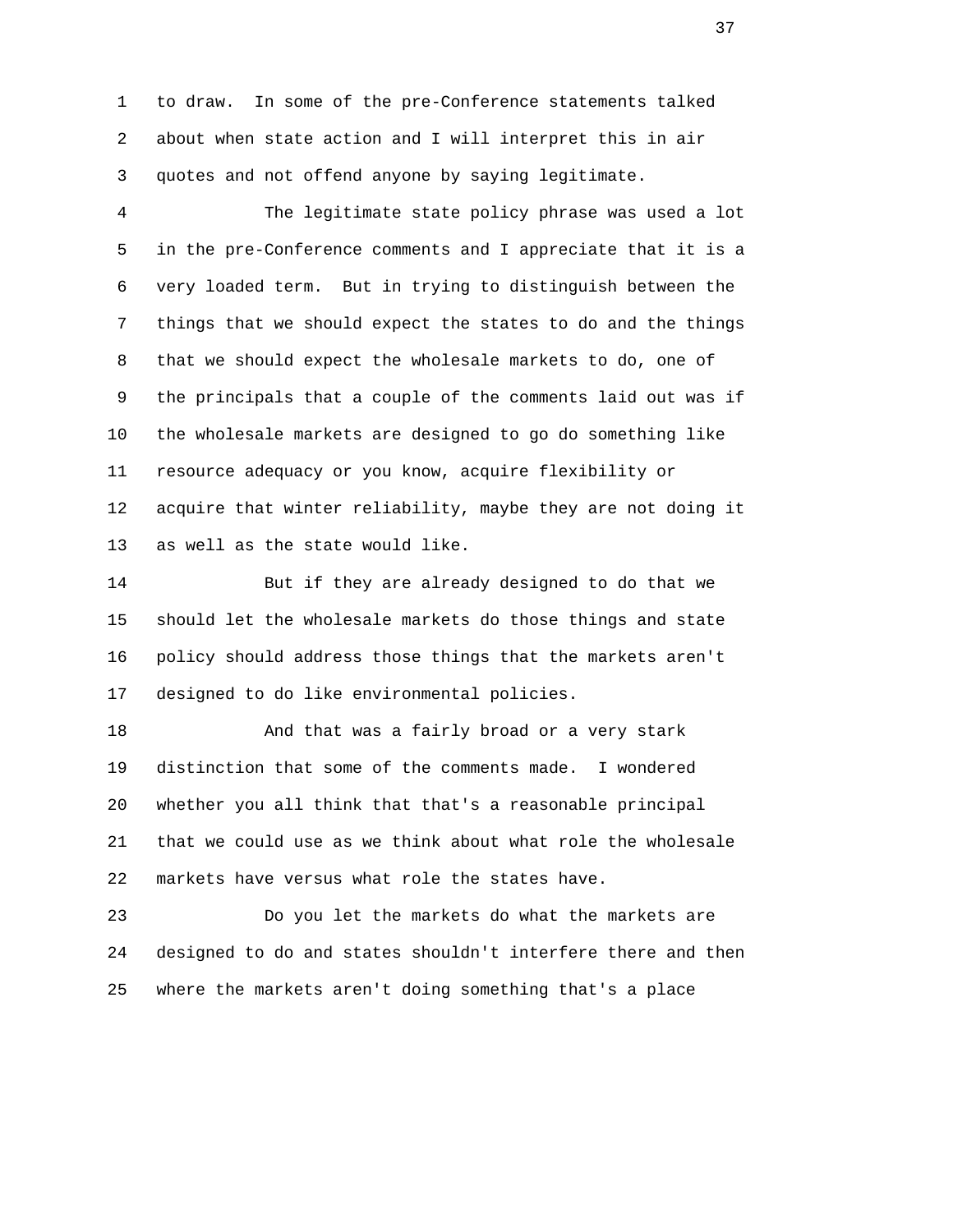1 to draw. In some of the pre-Conference statements talked 2 about when state action and I will interpret this in air 3 quotes and not offend anyone by saying legitimate.

 4 The legitimate state policy phrase was used a lot 5 in the pre-Conference comments and I appreciate that it is a 6 very loaded term. But in trying to distinguish between the 7 things that we should expect the states to do and the things 8 that we should expect the wholesale markets to do, one of 9 the principals that a couple of the comments laid out was if 10 the wholesale markets are designed to go do something like 11 resource adequacy or you know, acquire flexibility or 12 acquire that winter reliability, maybe they are not doing it 13 as well as the state would like.

 14 But if they are already designed to do that we 15 should let the wholesale markets do those things and state 16 policy should address those things that the markets aren't 17 designed to do like environmental policies.

18 And that was a fairly broad or a very stark 19 distinction that some of the comments made. I wondered 20 whether you all think that that's a reasonable principal 21 that we could use as we think about what role the wholesale 22 markets have versus what role the states have.

 23 Do you let the markets do what the markets are 24 designed to do and states shouldn't interfere there and then 25 where the markets aren't doing something that's a place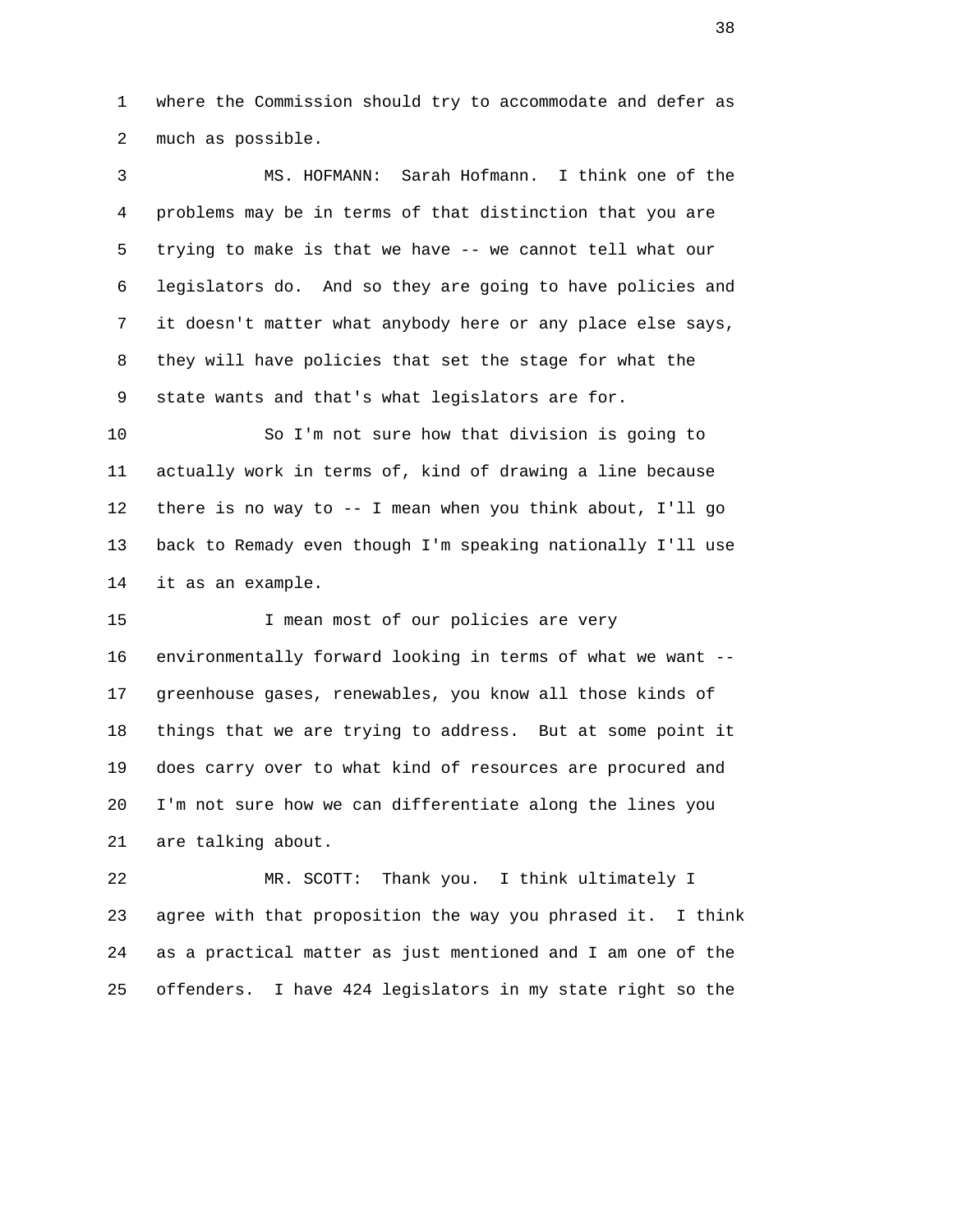1 where the Commission should try to accommodate and defer as 2 much as possible.

 3 MS. HOFMANN: Sarah Hofmann. I think one of the 4 problems may be in terms of that distinction that you are 5 trying to make is that we have -- we cannot tell what our 6 legislators do. And so they are going to have policies and 7 it doesn't matter what anybody here or any place else says, 8 they will have policies that set the stage for what the 9 state wants and that's what legislators are for.

 10 So I'm not sure how that division is going to 11 actually work in terms of, kind of drawing a line because 12 there is no way to -- I mean when you think about, I'll go 13 back to Remady even though I'm speaking nationally I'll use 14 it as an example.

 15 I mean most of our policies are very 16 environmentally forward looking in terms of what we want -- 17 greenhouse gases, renewables, you know all those kinds of 18 things that we are trying to address. But at some point it 19 does carry over to what kind of resources are procured and 20 I'm not sure how we can differentiate along the lines you 21 are talking about.

 22 MR. SCOTT: Thank you. I think ultimately I 23 agree with that proposition the way you phrased it. I think 24 as a practical matter as just mentioned and I am one of the 25 offenders. I have 424 legislators in my state right so the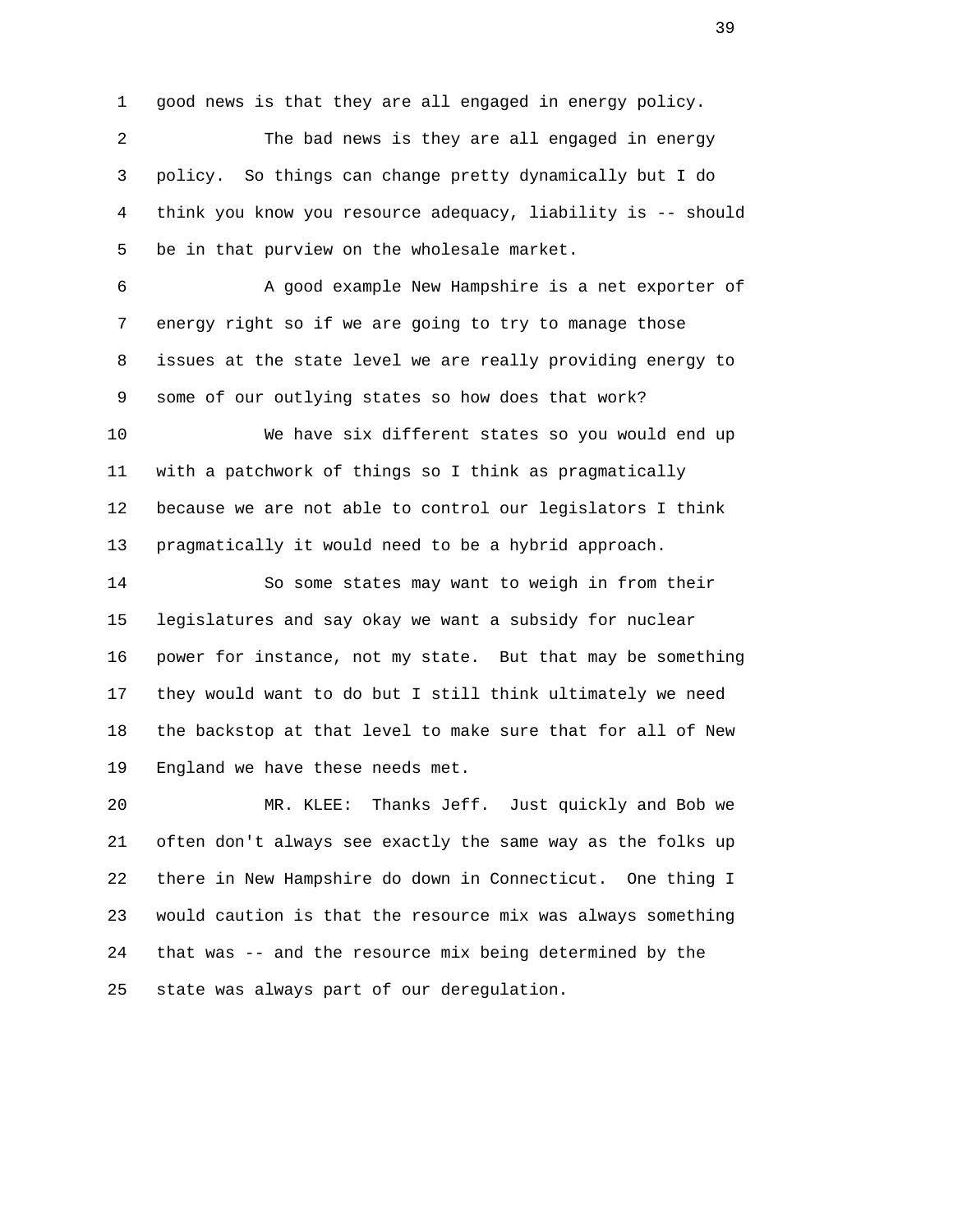1 good news is that they are all engaged in energy policy.

 2 The bad news is they are all engaged in energy 3 policy. So things can change pretty dynamically but I do 4 think you know you resource adequacy, liability is -- should 5 be in that purview on the wholesale market.

 6 A good example New Hampshire is a net exporter of 7 energy right so if we are going to try to manage those 8 issues at the state level we are really providing energy to 9 some of our outlying states so how does that work?

 10 We have six different states so you would end up 11 with a patchwork of things so I think as pragmatically 12 because we are not able to control our legislators I think 13 pragmatically it would need to be a hybrid approach.

 14 So some states may want to weigh in from their 15 legislatures and say okay we want a subsidy for nuclear 16 power for instance, not my state. But that may be something 17 they would want to do but I still think ultimately we need 18 the backstop at that level to make sure that for all of New 19 England we have these needs met.

 20 MR. KLEE: Thanks Jeff. Just quickly and Bob we 21 often don't always see exactly the same way as the folks up 22 there in New Hampshire do down in Connecticut. One thing I 23 would caution is that the resource mix was always something 24 that was -- and the resource mix being determined by the 25 state was always part of our deregulation.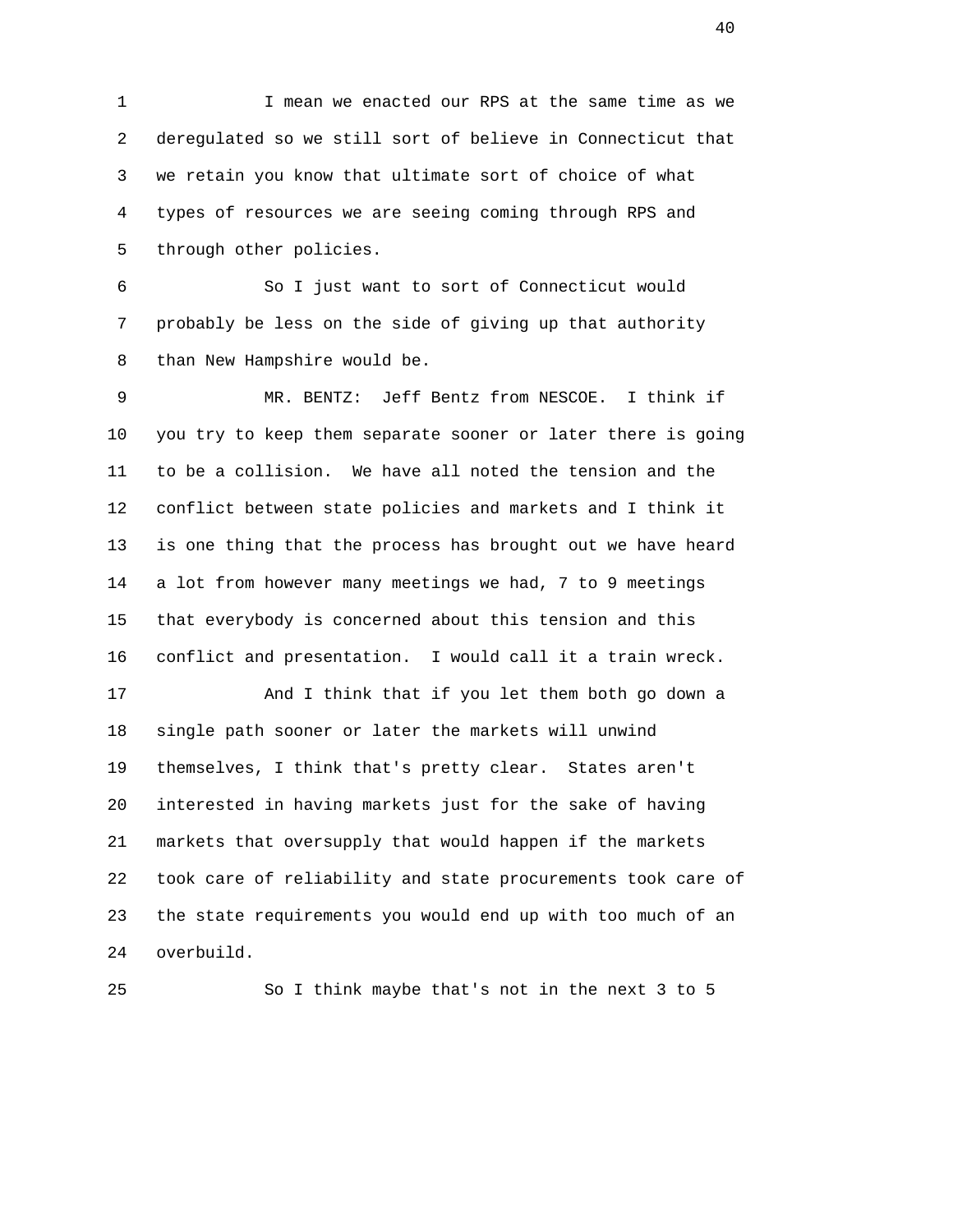1 I mean we enacted our RPS at the same time as we 2 deregulated so we still sort of believe in Connecticut that 3 we retain you know that ultimate sort of choice of what 4 types of resources we are seeing coming through RPS and 5 through other policies.

 6 So I just want to sort of Connecticut would 7 probably be less on the side of giving up that authority 8 than New Hampshire would be.

 9 MR. BENTZ: Jeff Bentz from NESCOE. I think if 10 you try to keep them separate sooner or later there is going 11 to be a collision. We have all noted the tension and the 12 conflict between state policies and markets and I think it 13 is one thing that the process has brought out we have heard 14 a lot from however many meetings we had, 7 to 9 meetings 15 that everybody is concerned about this tension and this 16 conflict and presentation. I would call it a train wreck. 17 And I think that if you let them both go down a 18 single path sooner or later the markets will unwind

 19 themselves, I think that's pretty clear. States aren't 20 interested in having markets just for the sake of having 21 markets that oversupply that would happen if the markets 22 took care of reliability and state procurements took care of 23 the state requirements you would end up with too much of an 24 overbuild.

25 So I think maybe that's not in the next 3 to 5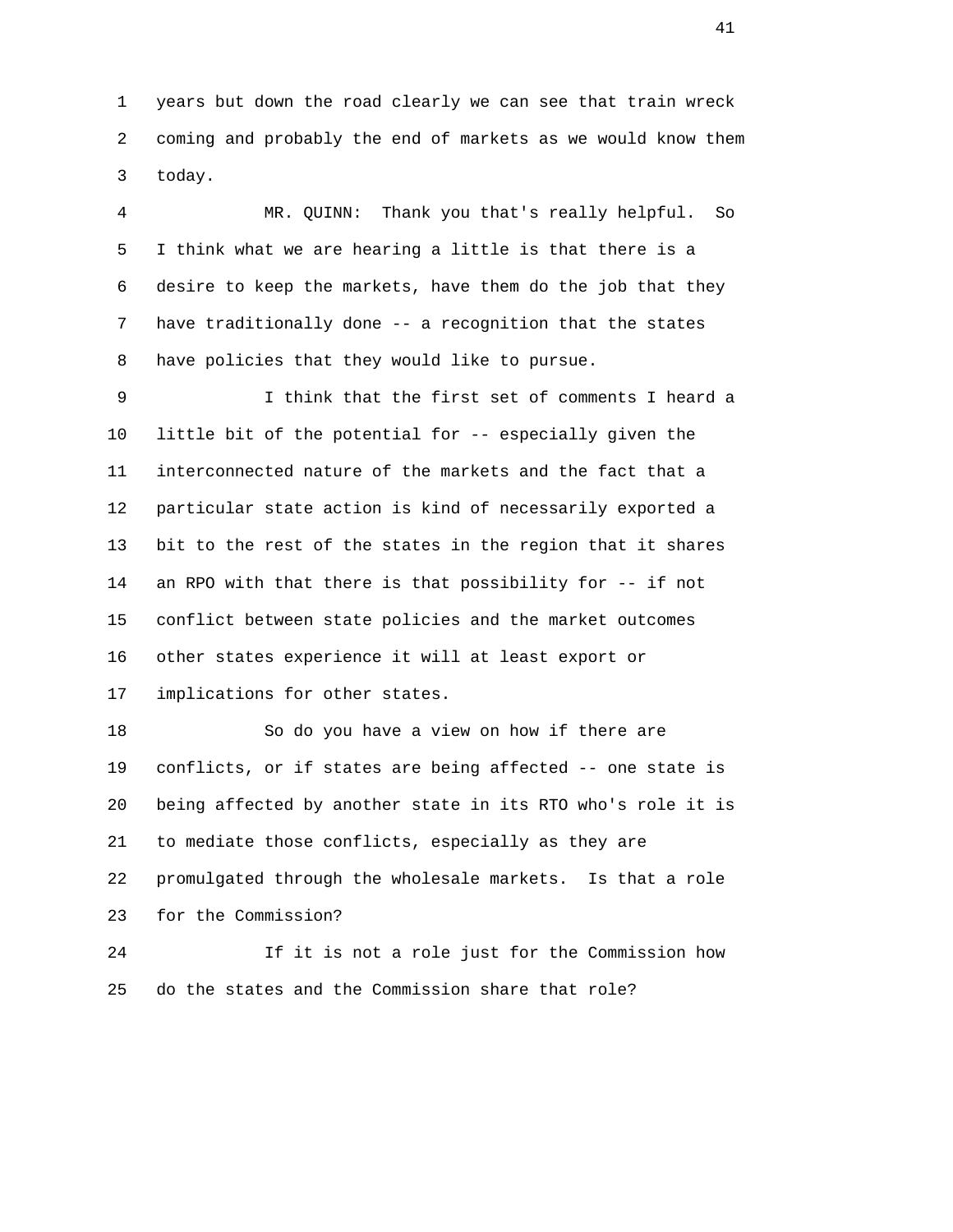1 years but down the road clearly we can see that train wreck 2 coming and probably the end of markets as we would know them 3 today.

 4 MR. QUINN: Thank you that's really helpful. So 5 I think what we are hearing a little is that there is a 6 desire to keep the markets, have them do the job that they 7 have traditionally done -- a recognition that the states 8 have policies that they would like to pursue.

 9 I think that the first set of comments I heard a 10 little bit of the potential for -- especially given the 11 interconnected nature of the markets and the fact that a 12 particular state action is kind of necessarily exported a 13 bit to the rest of the states in the region that it shares 14 an RPO with that there is that possibility for -- if not 15 conflict between state policies and the market outcomes 16 other states experience it will at least export or 17 implications for other states.

 18 So do you have a view on how if there are 19 conflicts, or if states are being affected -- one state is 20 being affected by another state in its RTO who's role it is 21 to mediate those conflicts, especially as they are 22 promulgated through the wholesale markets. Is that a role 23 for the Commission? 24 If it is not a role just for the Commission how

25 do the states and the Commission share that role?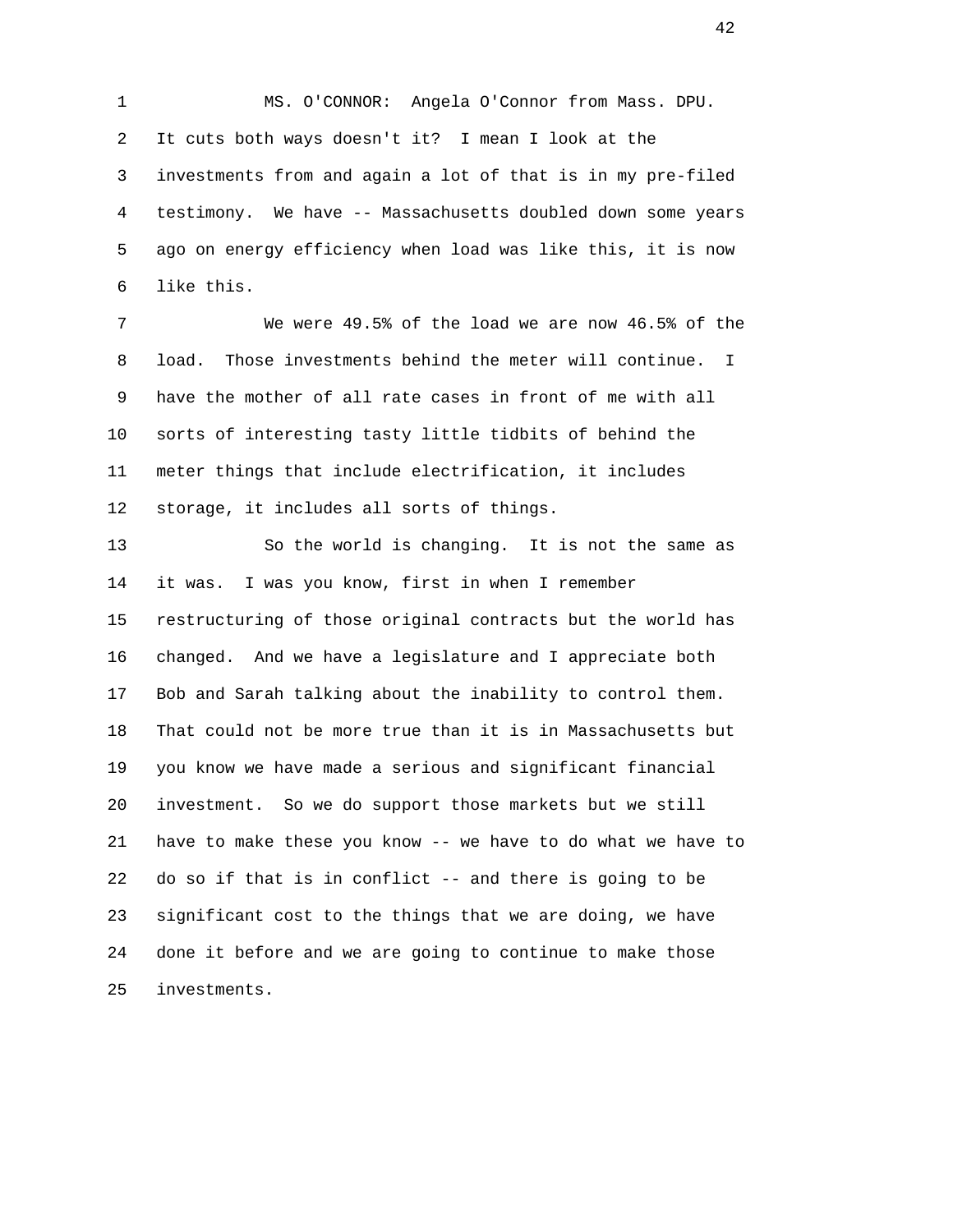1 MS. O'CONNOR: Angela O'Connor from Mass. DPU. 2 It cuts both ways doesn't it? I mean I look at the 3 investments from and again a lot of that is in my pre-filed 4 testimony. We have -- Massachusetts doubled down some years 5 ago on energy efficiency when load was like this, it is now 6 like this.

 7 We were 49.5% of the load we are now 46.5% of the 8 load. Those investments behind the meter will continue. I 9 have the mother of all rate cases in front of me with all 10 sorts of interesting tasty little tidbits of behind the 11 meter things that include electrification, it includes 12 storage, it includes all sorts of things.

 13 So the world is changing. It is not the same as 14 it was. I was you know, first in when I remember 15 restructuring of those original contracts but the world has 16 changed. And we have a legislature and I appreciate both 17 Bob and Sarah talking about the inability to control them. 18 That could not be more true than it is in Massachusetts but 19 you know we have made a serious and significant financial 20 investment. So we do support those markets but we still 21 have to make these you know -- we have to do what we have to 22 do so if that is in conflict -- and there is going to be 23 significant cost to the things that we are doing, we have 24 done it before and we are going to continue to make those 25 investments.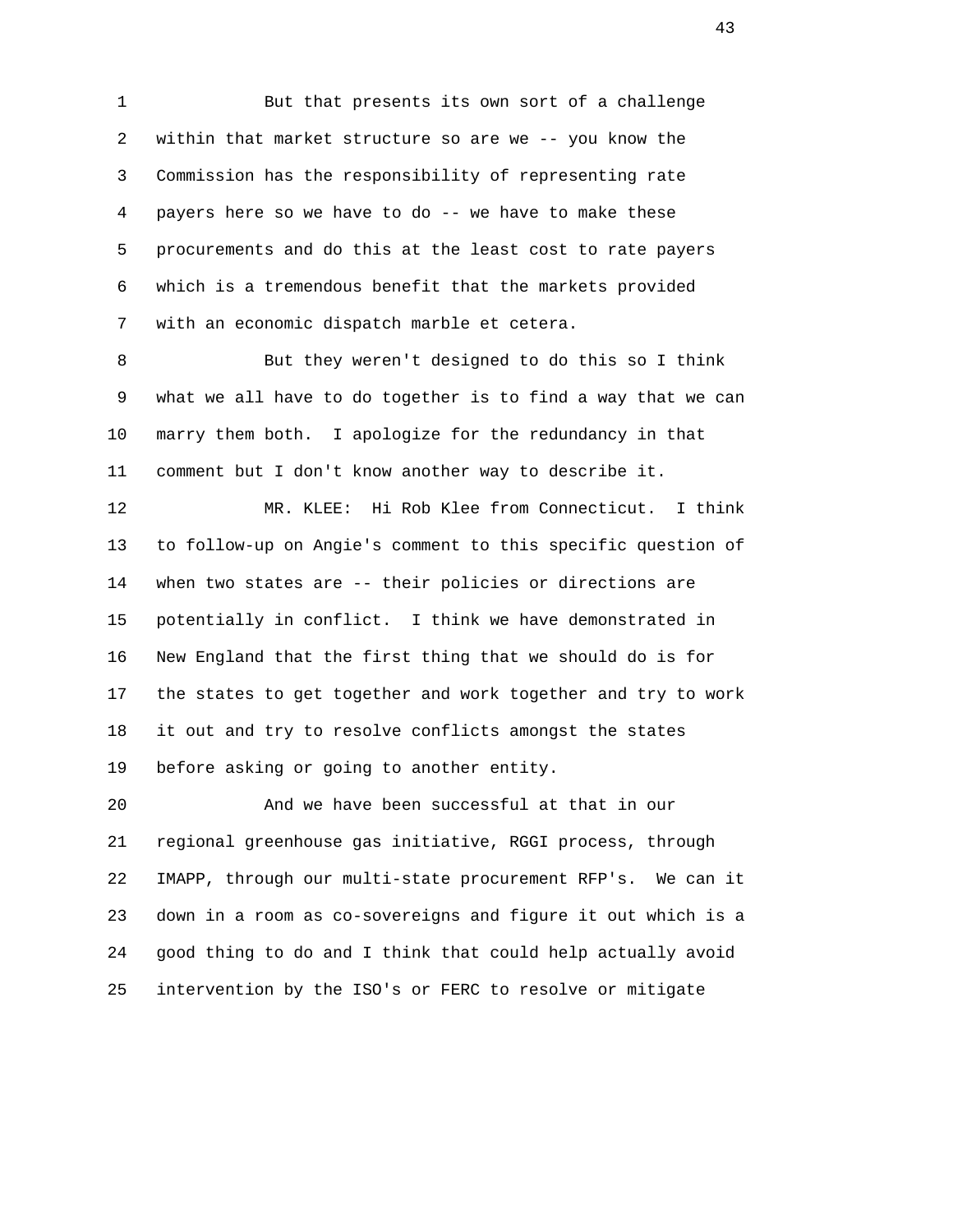1 But that presents its own sort of a challenge 2 within that market structure so are we -- you know the 3 Commission has the responsibility of representing rate 4 payers here so we have to do -- we have to make these 5 procurements and do this at the least cost to rate payers 6 which is a tremendous benefit that the markets provided 7 with an economic dispatch marble et cetera.

 8 But they weren't designed to do this so I think 9 what we all have to do together is to find a way that we can 10 marry them both. I apologize for the redundancy in that 11 comment but I don't know another way to describe it.

 12 MR. KLEE: Hi Rob Klee from Connecticut. I think 13 to follow-up on Angie's comment to this specific question of 14 when two states are -- their policies or directions are 15 potentially in conflict. I think we have demonstrated in 16 New England that the first thing that we should do is for 17 the states to get together and work together and try to work 18 it out and try to resolve conflicts amongst the states 19 before asking or going to another entity.

 20 And we have been successful at that in our 21 regional greenhouse gas initiative, RGGI process, through 22 IMAPP, through our multi-state procurement RFP's. We can it 23 down in a room as co-sovereigns and figure it out which is a 24 good thing to do and I think that could help actually avoid 25 intervention by the ISO's or FERC to resolve or mitigate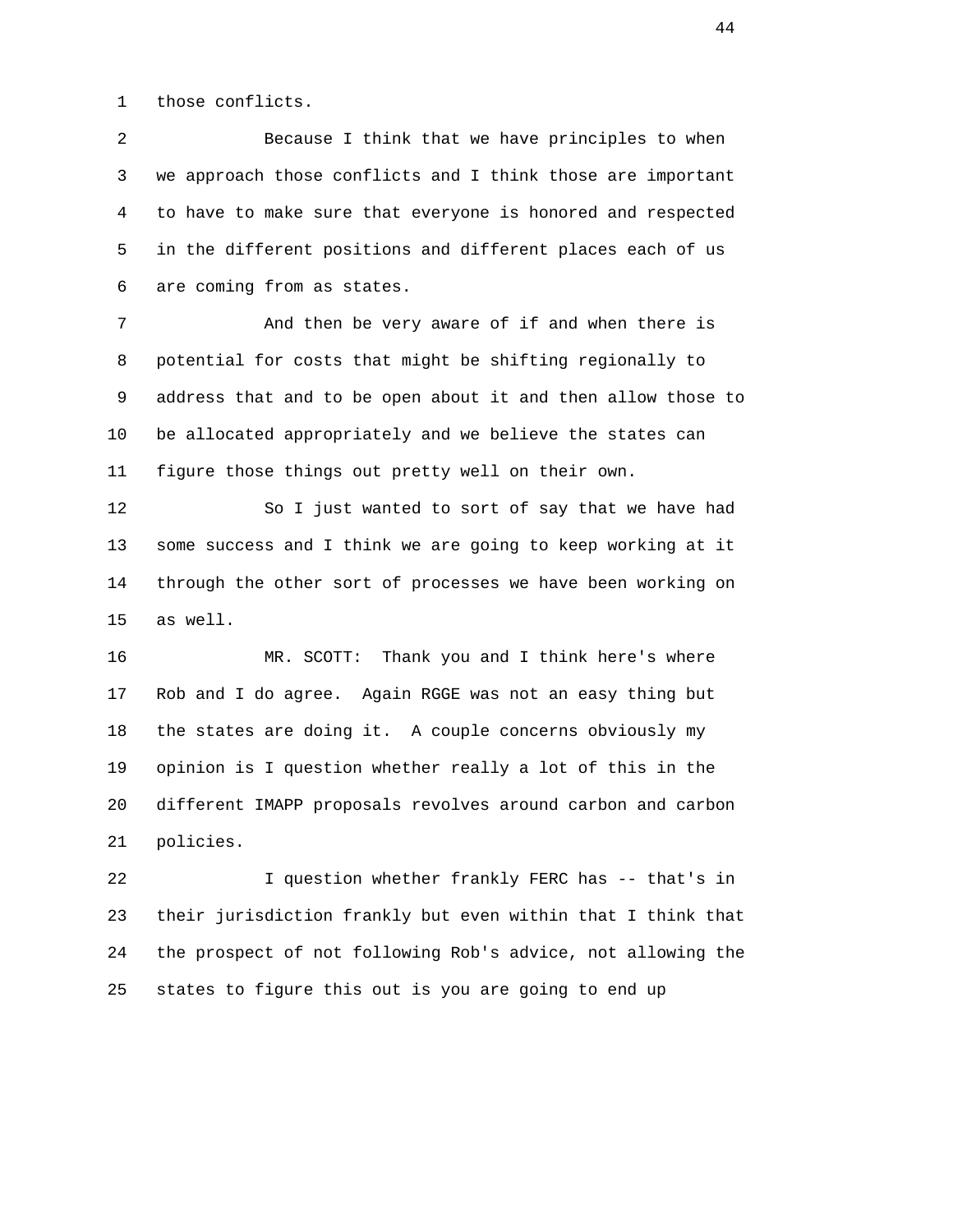1 those conflicts.

 2 Because I think that we have principles to when 3 we approach those conflicts and I think those are important 4 to have to make sure that everyone is honored and respected 5 in the different positions and different places each of us 6 are coming from as states.

 7 And then be very aware of if and when there is 8 potential for costs that might be shifting regionally to 9 address that and to be open about it and then allow those to 10 be allocated appropriately and we believe the states can 11 figure those things out pretty well on their own.

 12 So I just wanted to sort of say that we have had 13 some success and I think we are going to keep working at it 14 through the other sort of processes we have been working on 15 as well.

 16 MR. SCOTT: Thank you and I think here's where 17 Rob and I do agree. Again RGGE was not an easy thing but 18 the states are doing it. A couple concerns obviously my 19 opinion is I question whether really a lot of this in the 20 different IMAPP proposals revolves around carbon and carbon 21 policies.

 22 I question whether frankly FERC has -- that's in 23 their jurisdiction frankly but even within that I think that 24 the prospect of not following Rob's advice, not allowing the 25 states to figure this out is you are going to end up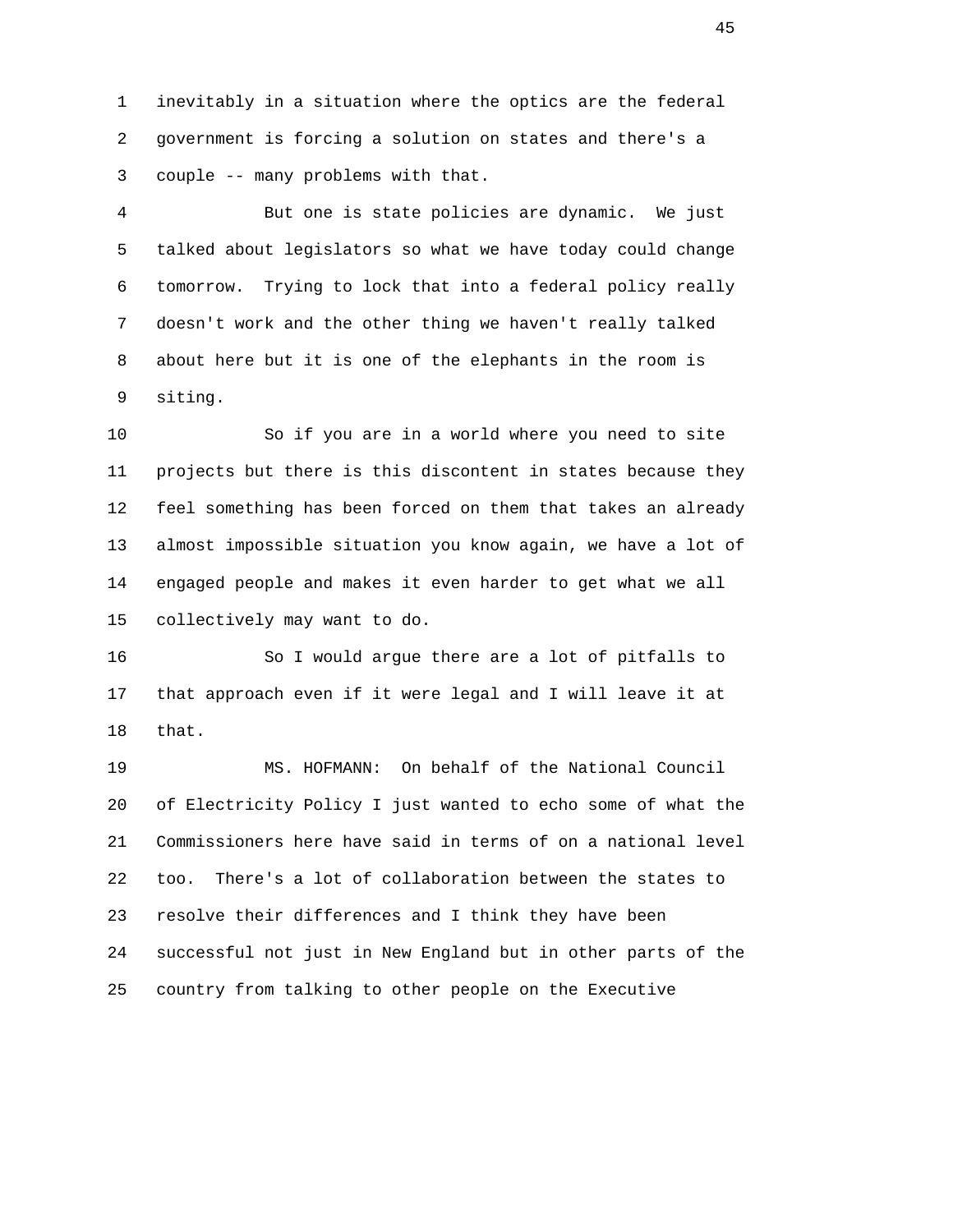1 inevitably in a situation where the optics are the federal 2 government is forcing a solution on states and there's a 3 couple -- many problems with that.

 4 But one is state policies are dynamic. We just 5 talked about legislators so what we have today could change 6 tomorrow. Trying to lock that into a federal policy really 7 doesn't work and the other thing we haven't really talked 8 about here but it is one of the elephants in the room is 9 siting.

 10 So if you are in a world where you need to site 11 projects but there is this discontent in states because they 12 feel something has been forced on them that takes an already 13 almost impossible situation you know again, we have a lot of 14 engaged people and makes it even harder to get what we all 15 collectively may want to do.

 16 So I would argue there are a lot of pitfalls to 17 that approach even if it were legal and I will leave it at 18 that.

 19 MS. HOFMANN: On behalf of the National Council 20 of Electricity Policy I just wanted to echo some of what the 21 Commissioners here have said in terms of on a national level 22 too. There's a lot of collaboration between the states to 23 resolve their differences and I think they have been 24 successful not just in New England but in other parts of the 25 country from talking to other people on the Executive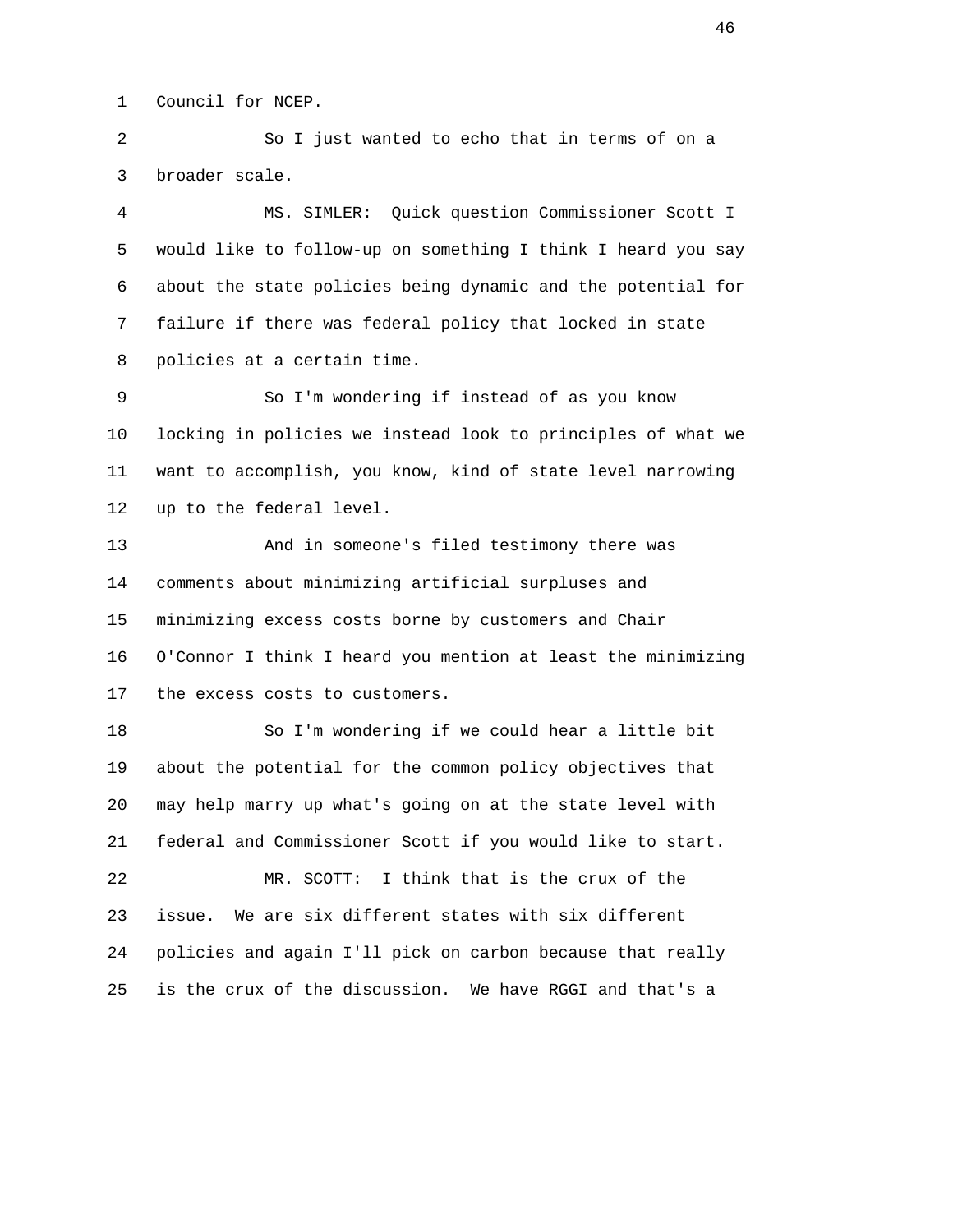1 Council for NCEP.

 2 So I just wanted to echo that in terms of on a 3 broader scale.

 4 MS. SIMLER: Quick question Commissioner Scott I 5 would like to follow-up on something I think I heard you say 6 about the state policies being dynamic and the potential for 7 failure if there was federal policy that locked in state 8 policies at a certain time.

 9 So I'm wondering if instead of as you know 10 locking in policies we instead look to principles of what we 11 want to accomplish, you know, kind of state level narrowing 12 up to the federal level.

 13 And in someone's filed testimony there was 14 comments about minimizing artificial surpluses and 15 minimizing excess costs borne by customers and Chair 16 O'Connor I think I heard you mention at least the minimizing 17 the excess costs to customers.

 18 So I'm wondering if we could hear a little bit 19 about the potential for the common policy objectives that 20 may help marry up what's going on at the state level with 21 federal and Commissioner Scott if you would like to start. 22 MR. SCOTT: I think that is the crux of the 23 issue. We are six different states with six different 24 policies and again I'll pick on carbon because that really

25 is the crux of the discussion. We have RGGI and that's a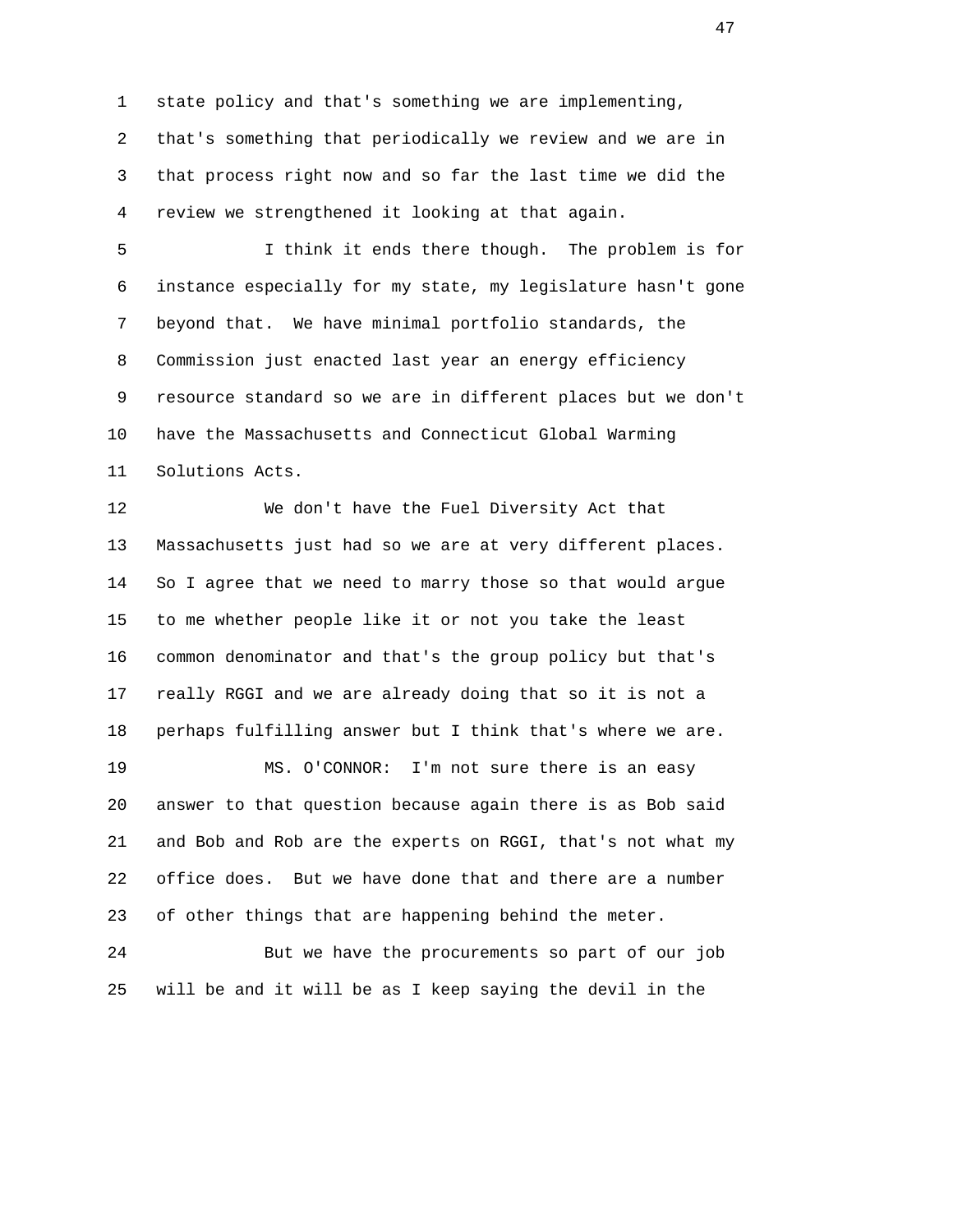1 state policy and that's something we are implementing,

 2 that's something that periodically we review and we are in 3 that process right now and so far the last time we did the 4 review we strengthened it looking at that again.

 5 I think it ends there though. The problem is for 6 instance especially for my state, my legislature hasn't gone 7 beyond that. We have minimal portfolio standards, the 8 Commission just enacted last year an energy efficiency 9 resource standard so we are in different places but we don't 10 have the Massachusetts and Connecticut Global Warming 11 Solutions Acts.

 12 We don't have the Fuel Diversity Act that 13 Massachusetts just had so we are at very different places. 14 So I agree that we need to marry those so that would argue 15 to me whether people like it or not you take the least 16 common denominator and that's the group policy but that's 17 really RGGI and we are already doing that so it is not a 18 perhaps fulfilling answer but I think that's where we are.

 19 MS. O'CONNOR: I'm not sure there is an easy 20 answer to that question because again there is as Bob said 21 and Bob and Rob are the experts on RGGI, that's not what my 22 office does. But we have done that and there are a number 23 of other things that are happening behind the meter.

 24 But we have the procurements so part of our job 25 will be and it will be as I keep saying the devil in the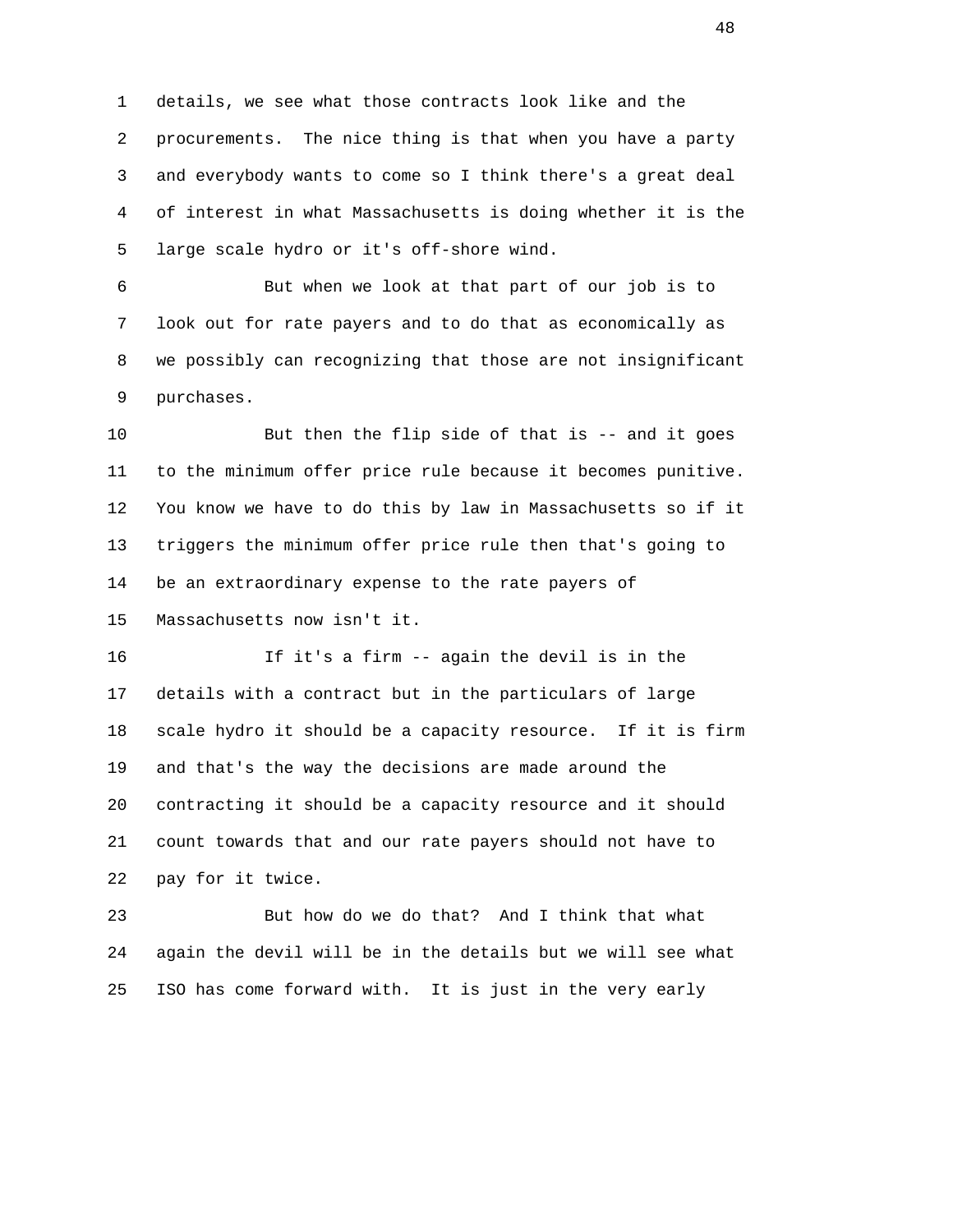1 details, we see what those contracts look like and the 2 procurements. The nice thing is that when you have a party 3 and everybody wants to come so I think there's a great deal 4 of interest in what Massachusetts is doing whether it is the 5 large scale hydro or it's off-shore wind.

 6 But when we look at that part of our job is to 7 look out for rate payers and to do that as economically as 8 we possibly can recognizing that those are not insignificant 9 purchases.

 10 But then the flip side of that is -- and it goes 11 to the minimum offer price rule because it becomes punitive. 12 You know we have to do this by law in Massachusetts so if it 13 triggers the minimum offer price rule then that's going to 14 be an extraordinary expense to the rate payers of 15 Massachusetts now isn't it.

 16 If it's a firm -- again the devil is in the 17 details with a contract but in the particulars of large 18 scale hydro it should be a capacity resource. If it is firm 19 and that's the way the decisions are made around the 20 contracting it should be a capacity resource and it should 21 count towards that and our rate payers should not have to 22 pay for it twice.

 23 But how do we do that? And I think that what 24 again the devil will be in the details but we will see what 25 ISO has come forward with. It is just in the very early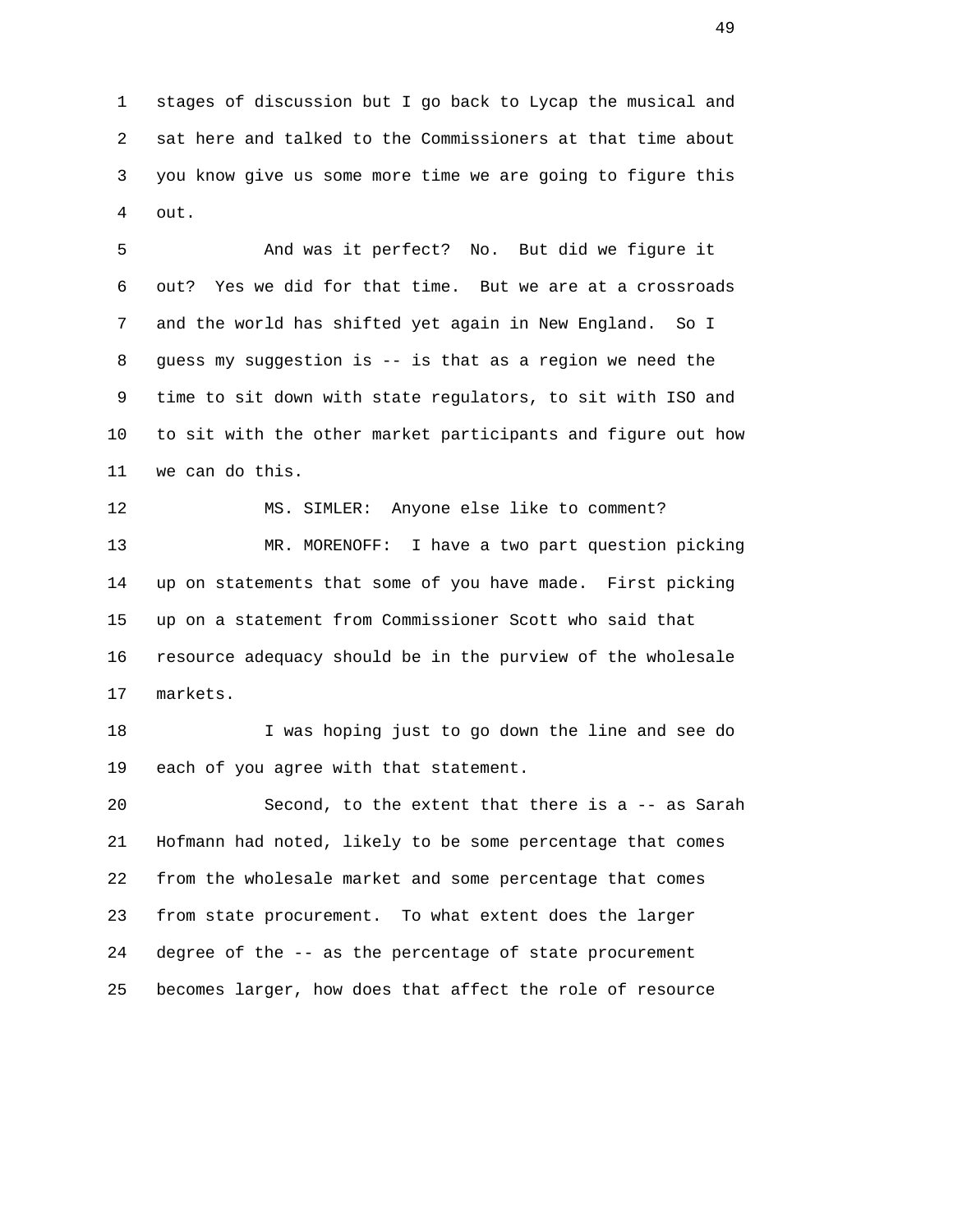1 stages of discussion but I go back to Lycap the musical and 2 sat here and talked to the Commissioners at that time about 3 you know give us some more time we are going to figure this 4 out.

 5 And was it perfect? No. But did we figure it 6 out? Yes we did for that time. But we are at a crossroads 7 and the world has shifted yet again in New England. So I 8 guess my suggestion is -- is that as a region we need the 9 time to sit down with state regulators, to sit with ISO and 10 to sit with the other market participants and figure out how 11 we can do this.

 12 MS. SIMLER: Anyone else like to comment? 13 MR. MORENOFF: I have a two part question picking 14 up on statements that some of you have made. First picking 15 up on a statement from Commissioner Scott who said that 16 resource adequacy should be in the purview of the wholesale 17 markets.

 18 I was hoping just to go down the line and see do 19 each of you agree with that statement.

 20 Second, to the extent that there is a -- as Sarah 21 Hofmann had noted, likely to be some percentage that comes 22 from the wholesale market and some percentage that comes 23 from state procurement. To what extent does the larger 24 degree of the -- as the percentage of state procurement 25 becomes larger, how does that affect the role of resource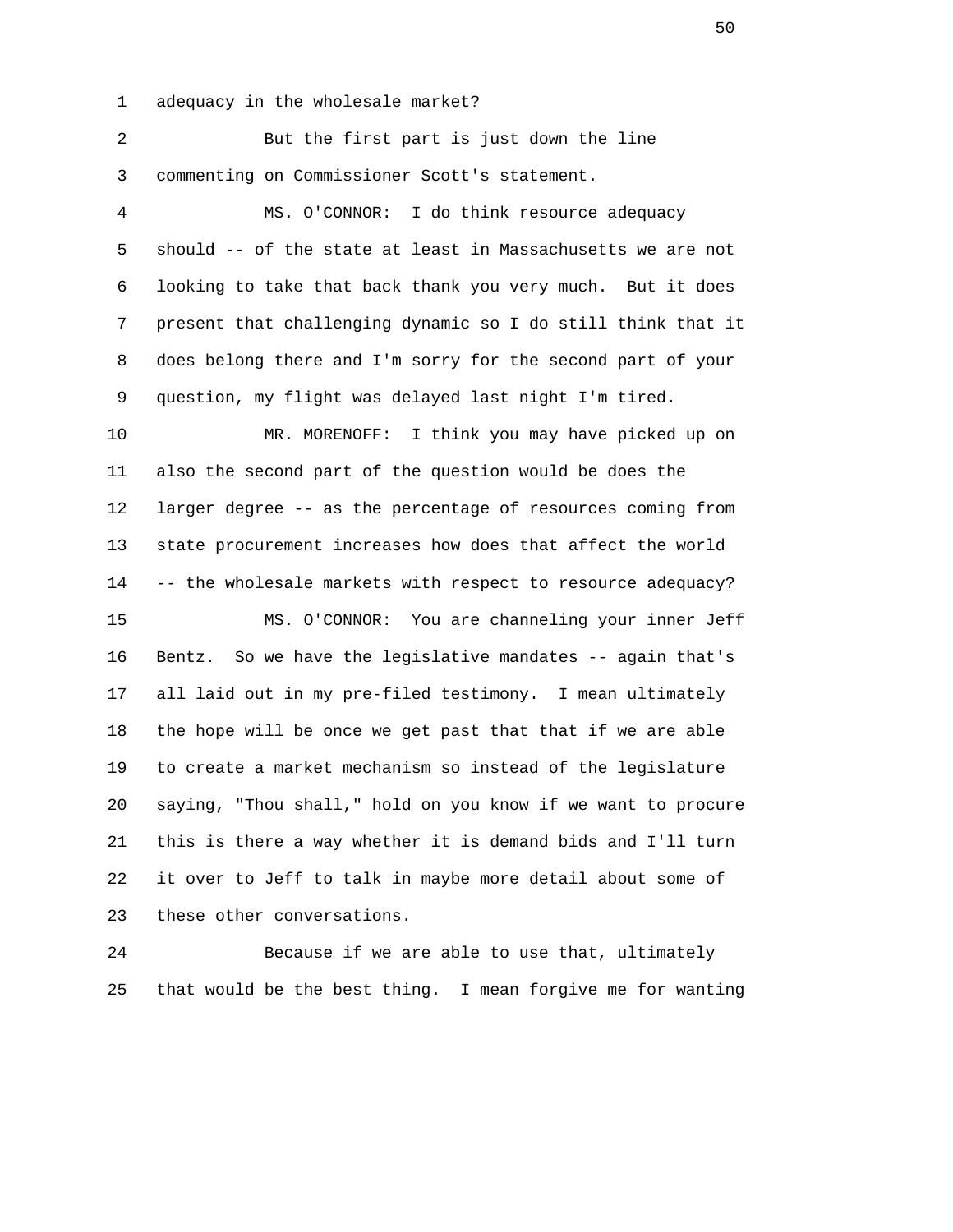1 adequacy in the wholesale market?

| ⊥.             | adequacy in the wholesale market?                            |
|----------------|--------------------------------------------------------------|
| $\overline{a}$ | But the first part is just down the line                     |
| 3              | commenting on Commissioner Scott's statement.                |
| $\overline{4}$ | MS. O'CONNOR: I do think resource adequacy                   |
| 5              | should -- of the state at least in Massachusetts we are not  |
| 6              | looking to take that back thank you very much. But it does   |
| 7              | present that challenging dynamic so I do still think that it |
| 8              | does belong there and I'm sorry for the second part of your  |
| 9              | question, my flight was delayed last night I'm tired.        |
| 10             | MR. MORENOFF: I think you may have picked up on              |
| 11             | also the second part of the question would be does the       |
| 12             | larger degree -- as the percentage of resources coming from  |
| 13             | state procurement increases how does that affect the world   |
| 14             | -- the wholesale markets with respect to resource adequacy?  |
| 15             | MS. O'CONNOR: You are channeling your inner Jeff             |
| 16             | Bentz. So we have the legislative mandates -- again that's   |
| 17             | all laid out in my pre-filed testimony. I mean ultimately    |
| 18             | the hope will be once we get past that that if we are able   |
| 19             | to create a market mechanism so instead of the legislature   |
| 20             | saying, "Thou shall," hold on you know if we want to procure |
| 21             | this is there a way whether it is demand bids and I'll turn  |
| 22             | it over to Jeff to talk in maybe more detail about some of   |
| 23             | these other conversations.                                   |
| 24             | Because if we are able to use that, ultimately               |

25 that would be the best thing. I mean forgive me for wanting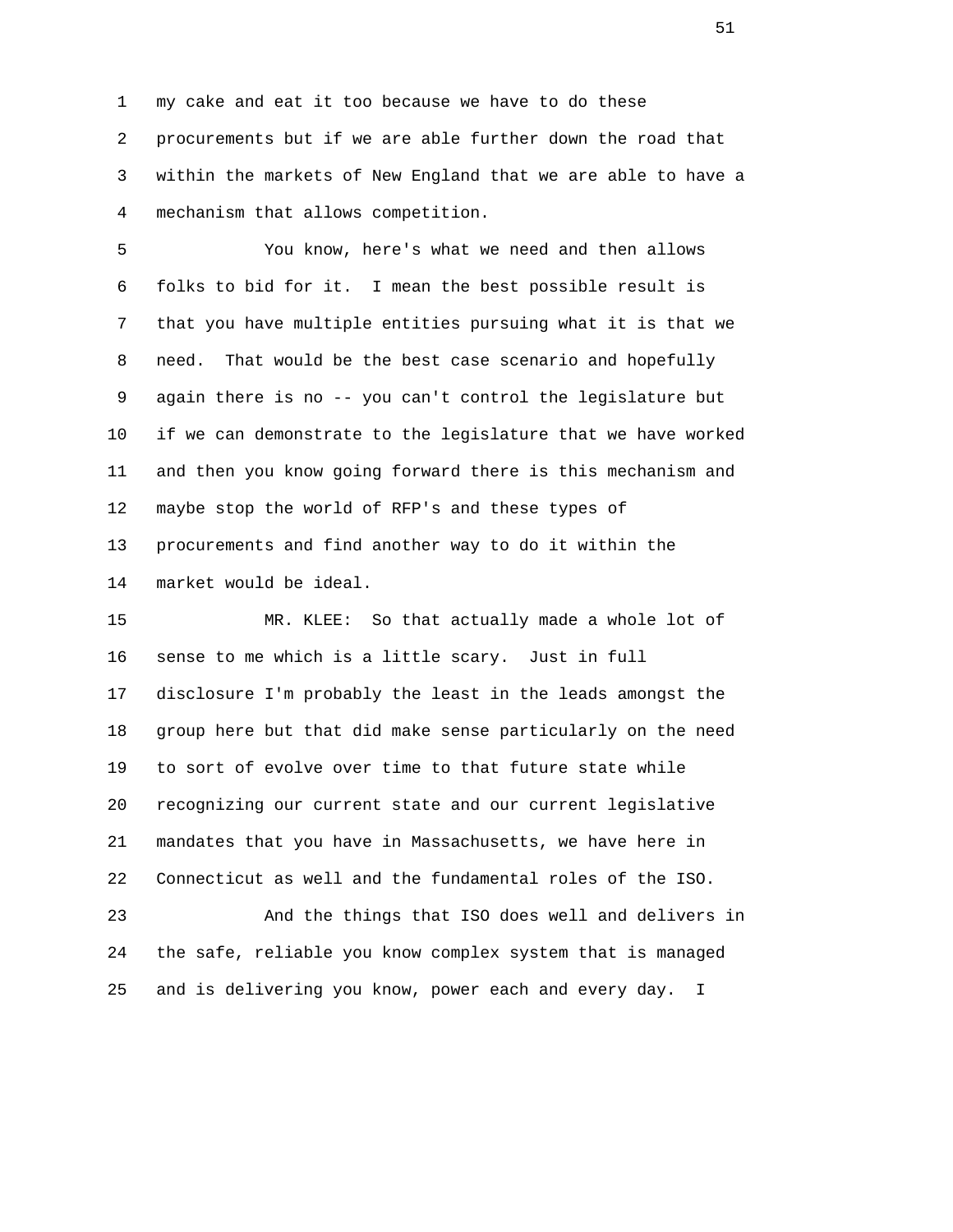1 my cake and eat it too because we have to do these 2 procurements but if we are able further down the road that 3 within the markets of New England that we are able to have a 4 mechanism that allows competition.

 5 You know, here's what we need and then allows 6 folks to bid for it. I mean the best possible result is 7 that you have multiple entities pursuing what it is that we 8 need. That would be the best case scenario and hopefully 9 again there is no -- you can't control the legislature but 10 if we can demonstrate to the legislature that we have worked 11 and then you know going forward there is this mechanism and 12 maybe stop the world of RFP's and these types of 13 procurements and find another way to do it within the 14 market would be ideal.

 15 MR. KLEE: So that actually made a whole lot of 16 sense to me which is a little scary. Just in full 17 disclosure I'm probably the least in the leads amongst the 18 group here but that did make sense particularly on the need 19 to sort of evolve over time to that future state while 20 recognizing our current state and our current legislative 21 mandates that you have in Massachusetts, we have here in 22 Connecticut as well and the fundamental roles of the ISO.

 23 And the things that ISO does well and delivers in 24 the safe, reliable you know complex system that is managed 25 and is delivering you know, power each and every day. I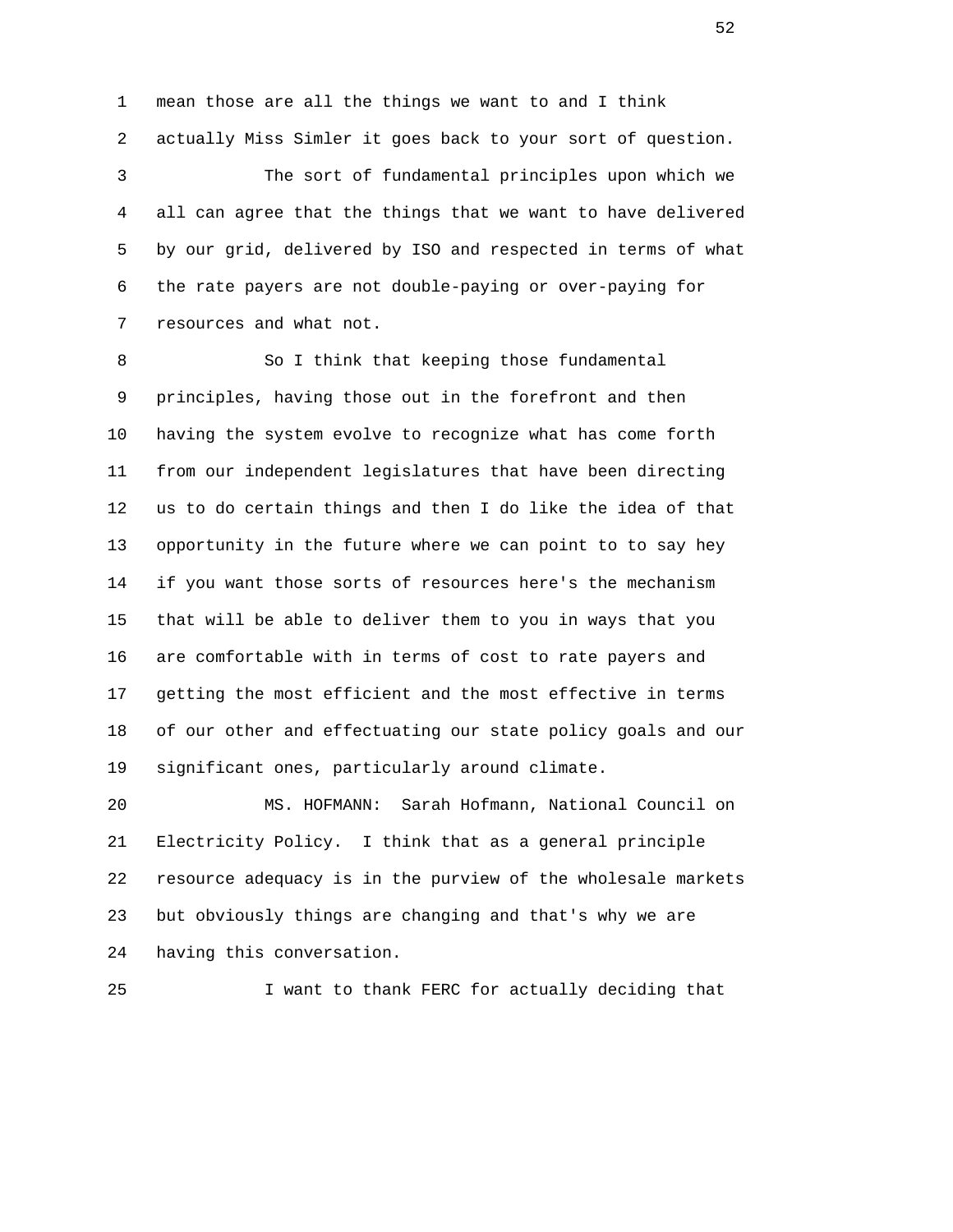1 mean those are all the things we want to and I think 2 actually Miss Simler it goes back to your sort of question. 3 The sort of fundamental principles upon which we 4 all can agree that the things that we want to have delivered 5 by our grid, delivered by ISO and respected in terms of what 6 the rate payers are not double-paying or over-paying for 7 resources and what not.

 8 So I think that keeping those fundamental 9 principles, having those out in the forefront and then 10 having the system evolve to recognize what has come forth 11 from our independent legislatures that have been directing 12 us to do certain things and then I do like the idea of that 13 opportunity in the future where we can point to to say hey 14 if you want those sorts of resources here's the mechanism 15 that will be able to deliver them to you in ways that you 16 are comfortable with in terms of cost to rate payers and 17 getting the most efficient and the most effective in terms 18 of our other and effectuating our state policy goals and our 19 significant ones, particularly around climate.

 20 MS. HOFMANN: Sarah Hofmann, National Council on 21 Electricity Policy. I think that as a general principle 22 resource adequacy is in the purview of the wholesale markets 23 but obviously things are changing and that's why we are 24 having this conversation.

25 I want to thank FERC for actually deciding that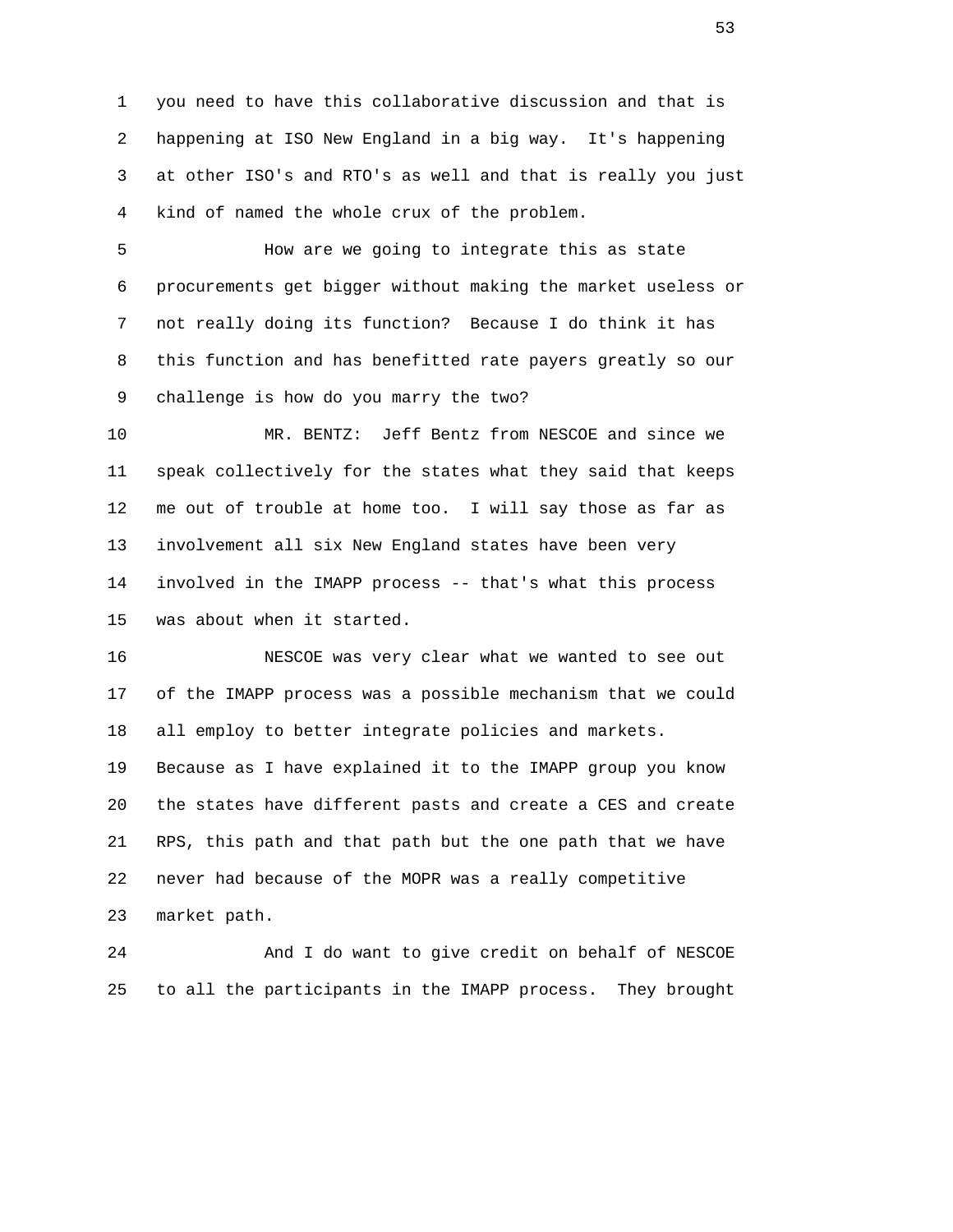1 you need to have this collaborative discussion and that is 2 happening at ISO New England in a big way. It's happening 3 at other ISO's and RTO's as well and that is really you just 4 kind of named the whole crux of the problem.

 5 How are we going to integrate this as state 6 procurements get bigger without making the market useless or 7 not really doing its function? Because I do think it has 8 this function and has benefitted rate payers greatly so our 9 challenge is how do you marry the two?

 10 MR. BENTZ: Jeff Bentz from NESCOE and since we 11 speak collectively for the states what they said that keeps 12 me out of trouble at home too. I will say those as far as 13 involvement all six New England states have been very 14 involved in the IMAPP process -- that's what this process 15 was about when it started.

 16 NESCOE was very clear what we wanted to see out 17 of the IMAPP process was a possible mechanism that we could 18 all employ to better integrate policies and markets. 19 Because as I have explained it to the IMAPP group you know 20 the states have different pasts and create a CES and create 21 RPS, this path and that path but the one path that we have 22 never had because of the MOPR was a really competitive

23 market path.

 24 And I do want to give credit on behalf of NESCOE 25 to all the participants in the IMAPP process. They brought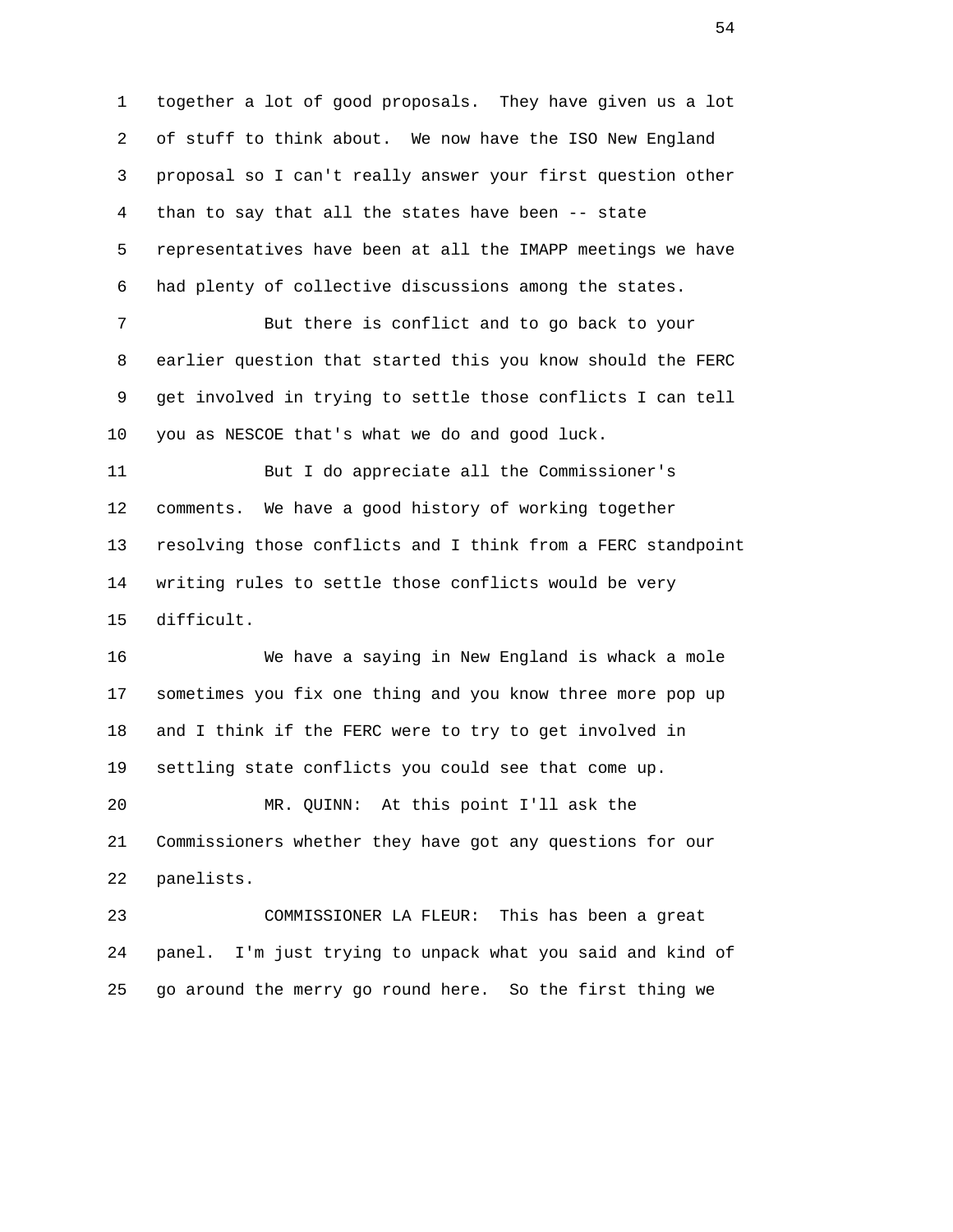1 together a lot of good proposals. They have given us a lot 2 of stuff to think about. We now have the ISO New England 3 proposal so I can't really answer your first question other 4 than to say that all the states have been -- state 5 representatives have been at all the IMAPP meetings we have 6 had plenty of collective discussions among the states. 7 But there is conflict and to go back to your 8 earlier question that started this you know should the FERC 9 get involved in trying to settle those conflicts I can tell 10 you as NESCOE that's what we do and good luck. 11 But I do appreciate all the Commissioner's 12 comments. We have a good history of working together 13 resolving those conflicts and I think from a FERC standpoint 14 writing rules to settle those conflicts would be very

15 difficult.

 16 We have a saying in New England is whack a mole 17 sometimes you fix one thing and you know three more pop up 18 and I think if the FERC were to try to get involved in 19 settling state conflicts you could see that come up.

 20 MR. QUINN: At this point I'll ask the 21 Commissioners whether they have got any questions for our 22 panelists.

 23 COMMISSIONER LA FLEUR: This has been a great 24 panel. I'm just trying to unpack what you said and kind of 25 go around the merry go round here. So the first thing we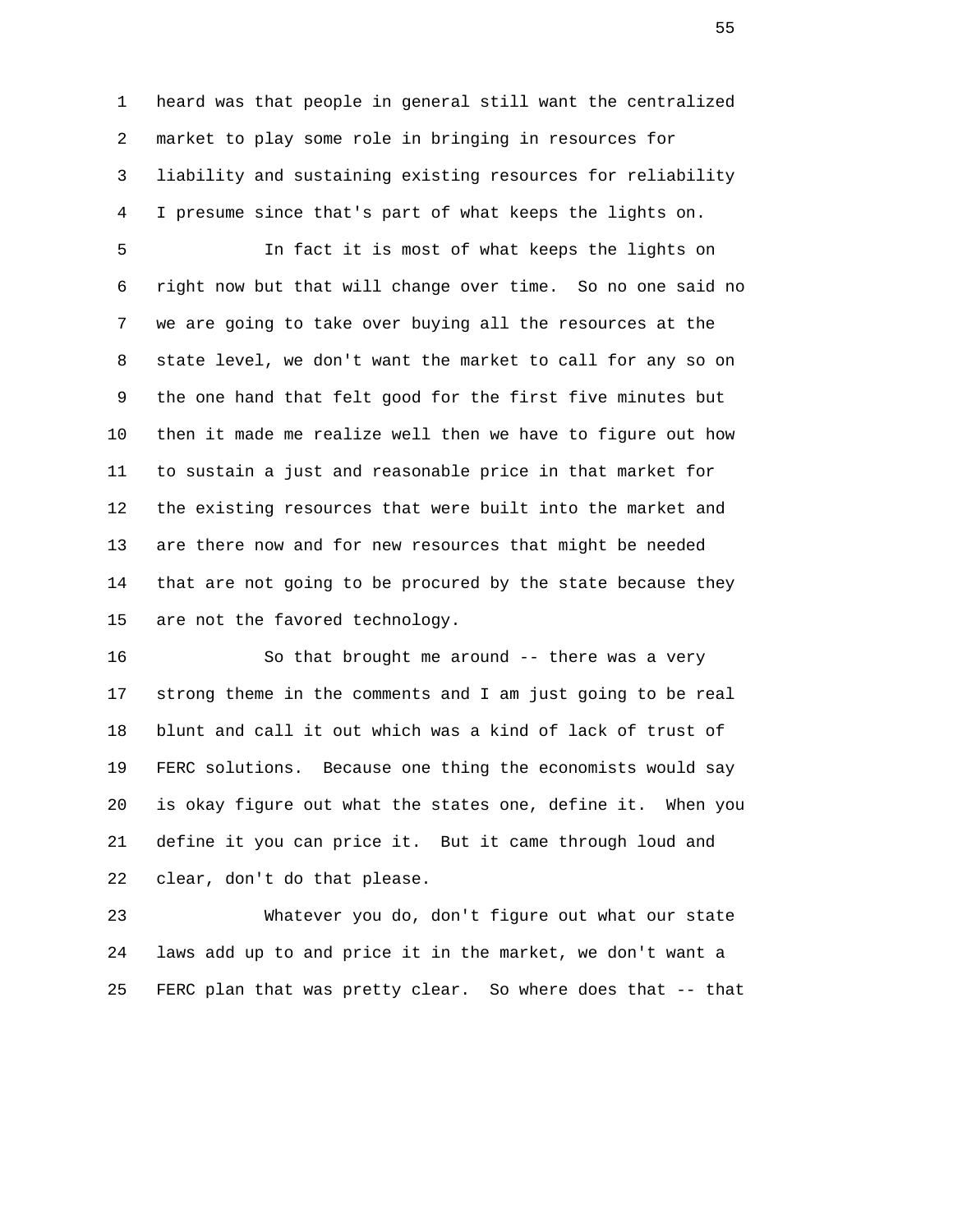1 heard was that people in general still want the centralized 2 market to play some role in bringing in resources for 3 liability and sustaining existing resources for reliability 4 I presume since that's part of what keeps the lights on.

 5 In fact it is most of what keeps the lights on 6 right now but that will change over time. So no one said no 7 we are going to take over buying all the resources at the 8 state level, we don't want the market to call for any so on 9 the one hand that felt good for the first five minutes but 10 then it made me realize well then we have to figure out how 11 to sustain a just and reasonable price in that market for 12 the existing resources that were built into the market and 13 are there now and for new resources that might be needed 14 that are not going to be procured by the state because they 15 are not the favored technology.

 16 So that brought me around -- there was a very 17 strong theme in the comments and I am just going to be real 18 blunt and call it out which was a kind of lack of trust of 19 FERC solutions. Because one thing the economists would say 20 is okay figure out what the states one, define it. When you 21 define it you can price it. But it came through loud and 22 clear, don't do that please.

 23 Whatever you do, don't figure out what our state 24 laws add up to and price it in the market, we don't want a 25 FERC plan that was pretty clear. So where does that -- that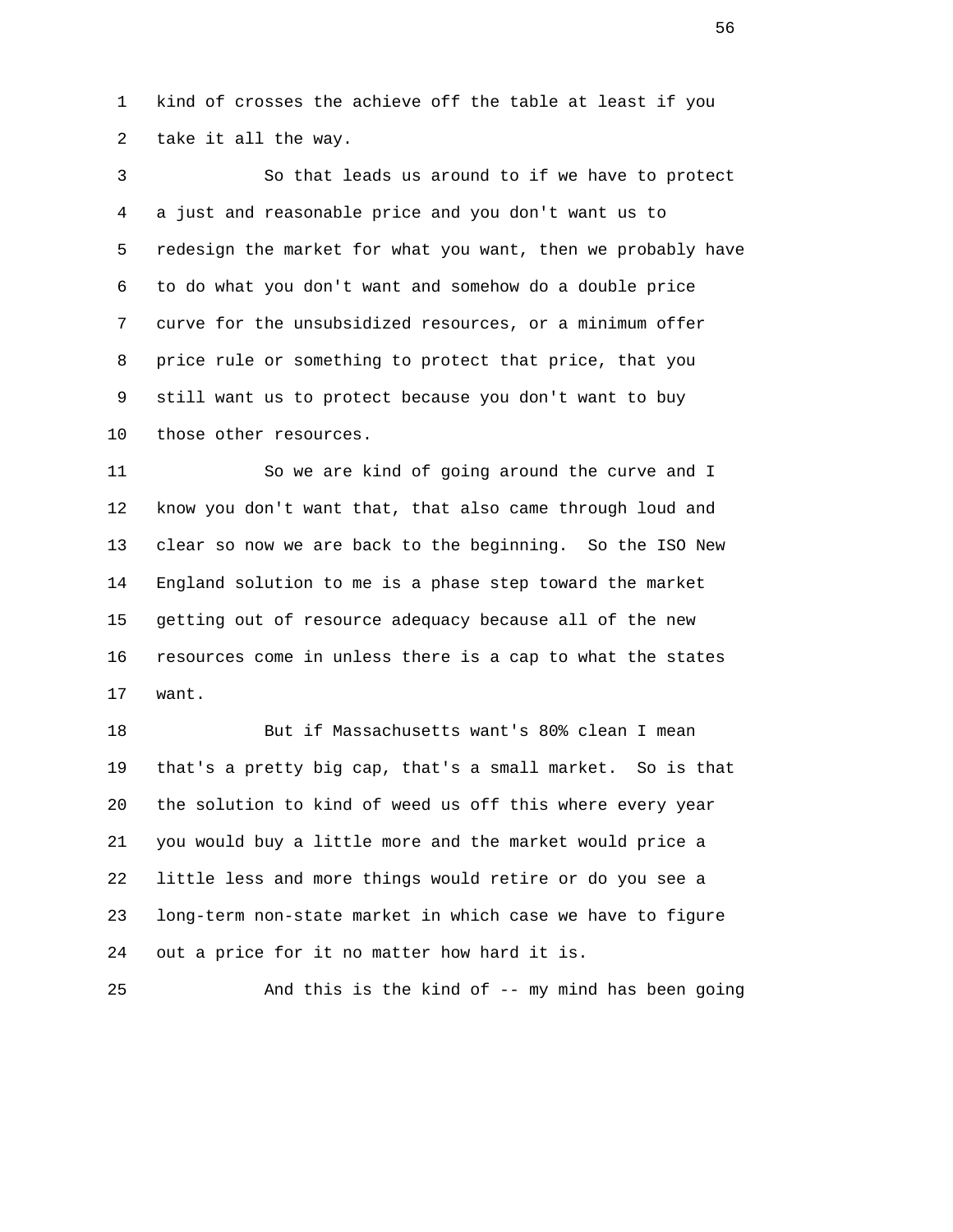1 kind of crosses the achieve off the table at least if you 2 take it all the way.

 3 So that leads us around to if we have to protect 4 a just and reasonable price and you don't want us to 5 redesign the market for what you want, then we probably have 6 to do what you don't want and somehow do a double price 7 curve for the unsubsidized resources, or a minimum offer 8 price rule or something to protect that price, that you 9 still want us to protect because you don't want to buy 10 those other resources.

 11 So we are kind of going around the curve and I 12 know you don't want that, that also came through loud and 13 clear so now we are back to the beginning. So the ISO New 14 England solution to me is a phase step toward the market 15 getting out of resource adequacy because all of the new 16 resources come in unless there is a cap to what the states 17 want.

 18 But if Massachusetts want's 80% clean I mean 19 that's a pretty big cap, that's a small market. So is that 20 the solution to kind of weed us off this where every year 21 you would buy a little more and the market would price a 22 little less and more things would retire or do you see a 23 long-term non-state market in which case we have to figure 24 out a price for it no matter how hard it is.

25 And this is the kind of -- my mind has been going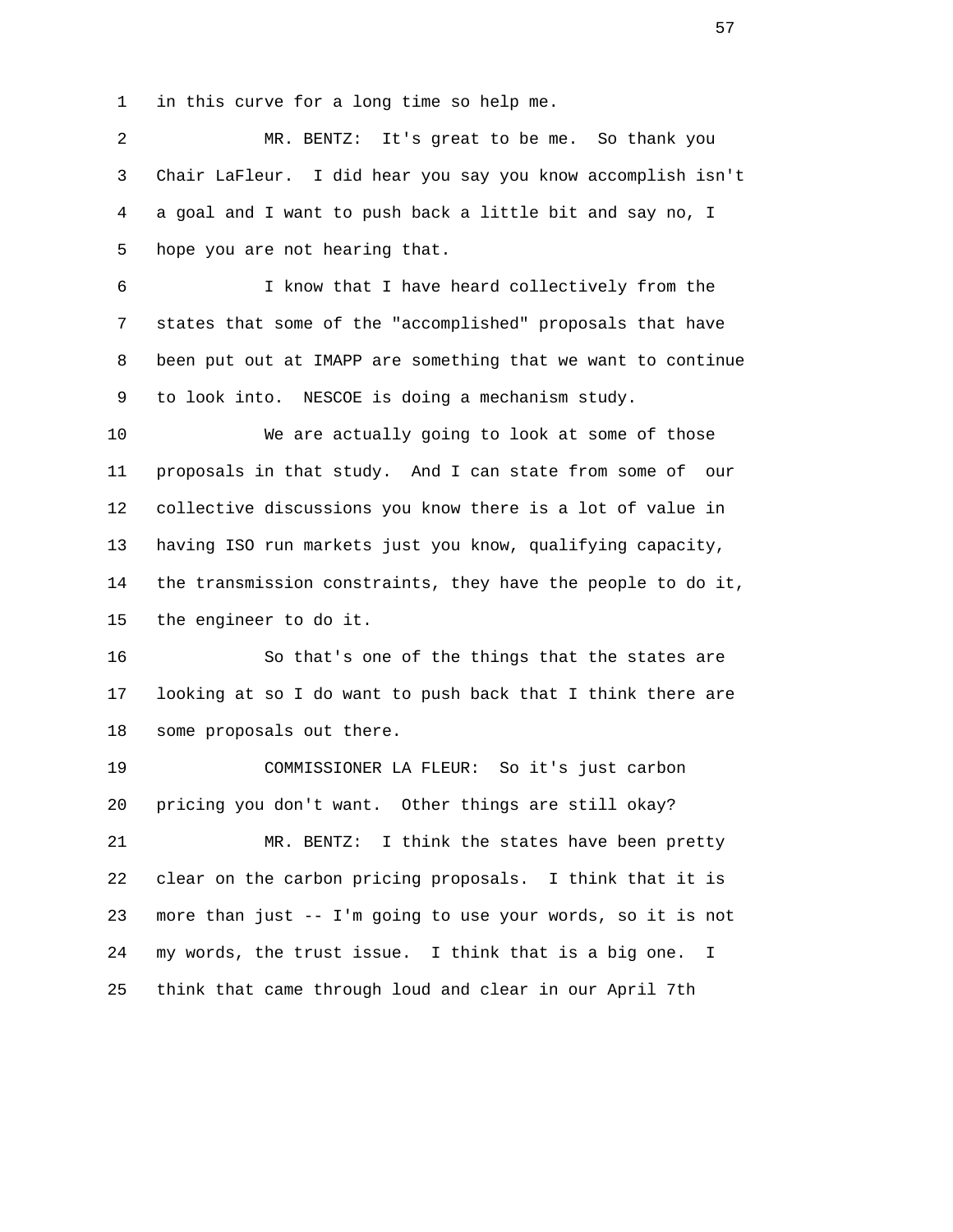1 in this curve for a long time so help me.

 2 MR. BENTZ: It's great to be me. So thank you 3 Chair LaFleur. I did hear you say you know accomplish isn't 4 a goal and I want to push back a little bit and say no, I 5 hope you are not hearing that.

 6 I know that I have heard collectively from the 7 states that some of the "accomplished" proposals that have 8 been put out at IMAPP are something that we want to continue 9 to look into. NESCOE is doing a mechanism study.

 10 We are actually going to look at some of those 11 proposals in that study. And I can state from some of our 12 collective discussions you know there is a lot of value in 13 having ISO run markets just you know, qualifying capacity, 14 the transmission constraints, they have the people to do it, 15 the engineer to do it.

 16 So that's one of the things that the states are 17 looking at so I do want to push back that I think there are 18 some proposals out there.

 19 COMMISSIONER LA FLEUR: So it's just carbon 20 pricing you don't want. Other things are still okay? 21 MR. BENTZ: I think the states have been pretty 22 clear on the carbon pricing proposals. I think that it is 23 more than just -- I'm going to use your words, so it is not 24 my words, the trust issue. I think that is a big one. I 25 think that came through loud and clear in our April 7th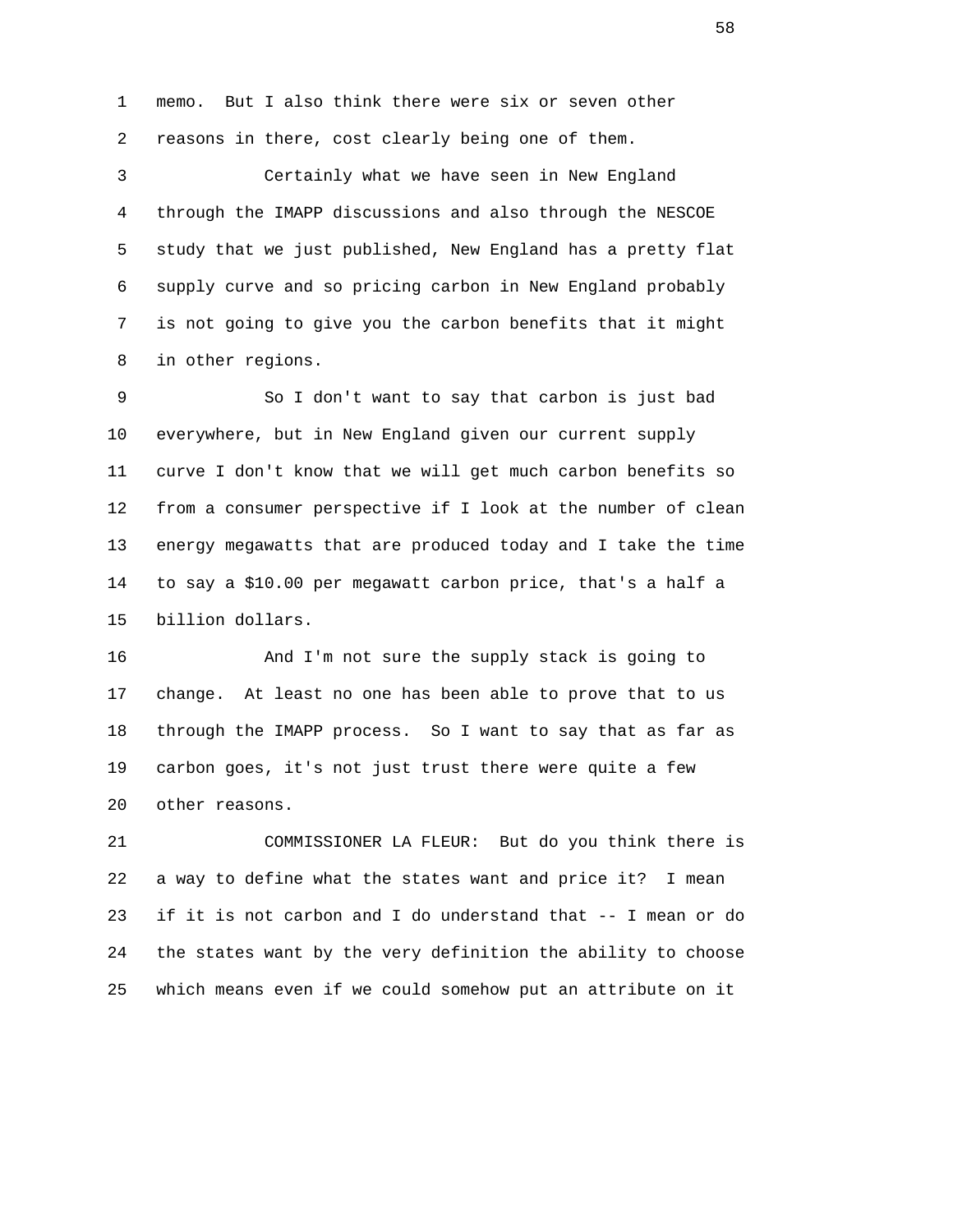1 memo. But I also think there were six or seven other 2 reasons in there, cost clearly being one of them.

 3 Certainly what we have seen in New England 4 through the IMAPP discussions and also through the NESCOE 5 study that we just published, New England has a pretty flat 6 supply curve and so pricing carbon in New England probably 7 is not going to give you the carbon benefits that it might 8 in other regions.

 9 So I don't want to say that carbon is just bad 10 everywhere, but in New England given our current supply 11 curve I don't know that we will get much carbon benefits so 12 from a consumer perspective if I look at the number of clean 13 energy megawatts that are produced today and I take the time 14 to say a \$10.00 per megawatt carbon price, that's a half a 15 billion dollars.

 16 And I'm not sure the supply stack is going to 17 change. At least no one has been able to prove that to us 18 through the IMAPP process. So I want to say that as far as 19 carbon goes, it's not just trust there were quite a few 20 other reasons.

 21 COMMISSIONER LA FLEUR: But do you think there is 22 a way to define what the states want and price it? I mean 23 if it is not carbon and I do understand that -- I mean or do 24 the states want by the very definition the ability to choose 25 which means even if we could somehow put an attribute on it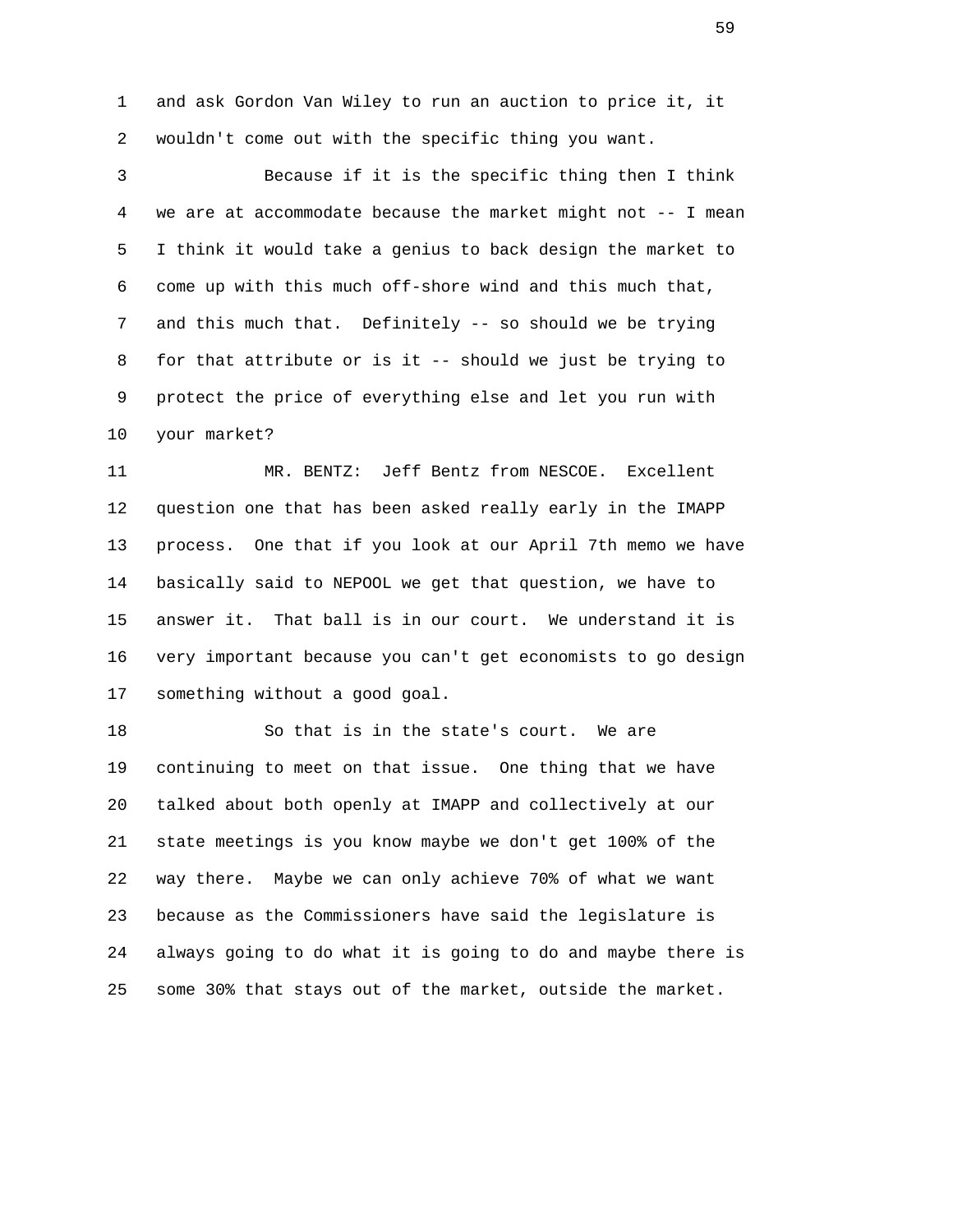1 and ask Gordon Van Wiley to run an auction to price it, it 2 wouldn't come out with the specific thing you want.

 3 Because if it is the specific thing then I think 4 we are at accommodate because the market might not -- I mean 5 I think it would take a genius to back design the market to 6 come up with this much off-shore wind and this much that, 7 and this much that. Definitely -- so should we be trying 8 for that attribute or is it -- should we just be trying to 9 protect the price of everything else and let you run with 10 your market?

 11 MR. BENTZ: Jeff Bentz from NESCOE. Excellent 12 question one that has been asked really early in the IMAPP 13 process. One that if you look at our April 7th memo we have 14 basically said to NEPOOL we get that question, we have to 15 answer it. That ball is in our court. We understand it is 16 very important because you can't get economists to go design 17 something without a good goal.

 18 So that is in the state's court. We are 19 continuing to meet on that issue. One thing that we have 20 talked about both openly at IMAPP and collectively at our 21 state meetings is you know maybe we don't get 100% of the 22 way there. Maybe we can only achieve 70% of what we want 23 because as the Commissioners have said the legislature is 24 always going to do what it is going to do and maybe there is 25 some 30% that stays out of the market, outside the market.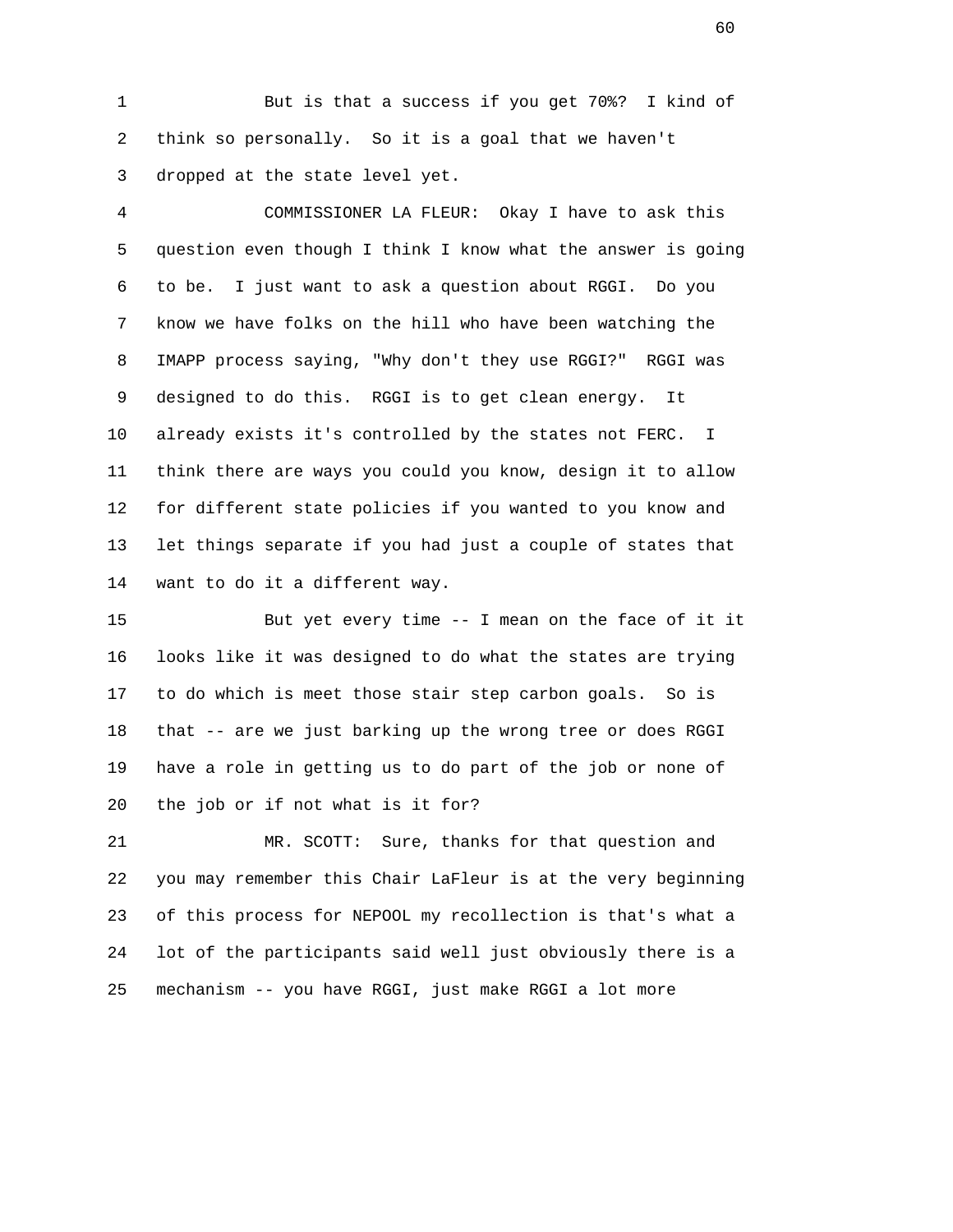1 But is that a success if you get 70%? I kind of 2 think so personally. So it is a goal that we haven't 3 dropped at the state level yet.

 4 COMMISSIONER LA FLEUR: Okay I have to ask this 5 question even though I think I know what the answer is going 6 to be. I just want to ask a question about RGGI. Do you 7 know we have folks on the hill who have been watching the 8 IMAPP process saying, "Why don't they use RGGI?" RGGI was 9 designed to do this. RGGI is to get clean energy. It 10 already exists it's controlled by the states not FERC. I 11 think there are ways you could you know, design it to allow 12 for different state policies if you wanted to you know and 13 let things separate if you had just a couple of states that 14 want to do it a different way.

 15 But yet every time -- I mean on the face of it it 16 looks like it was designed to do what the states are trying 17 to do which is meet those stair step carbon goals. So is 18 that -- are we just barking up the wrong tree or does RGGI 19 have a role in getting us to do part of the job or none of 20 the job or if not what is it for?

 21 MR. SCOTT: Sure, thanks for that question and 22 you may remember this Chair LaFleur is at the very beginning 23 of this process for NEPOOL my recollection is that's what a 24 lot of the participants said well just obviously there is a 25 mechanism -- you have RGGI, just make RGGI a lot more

 $\sim$  60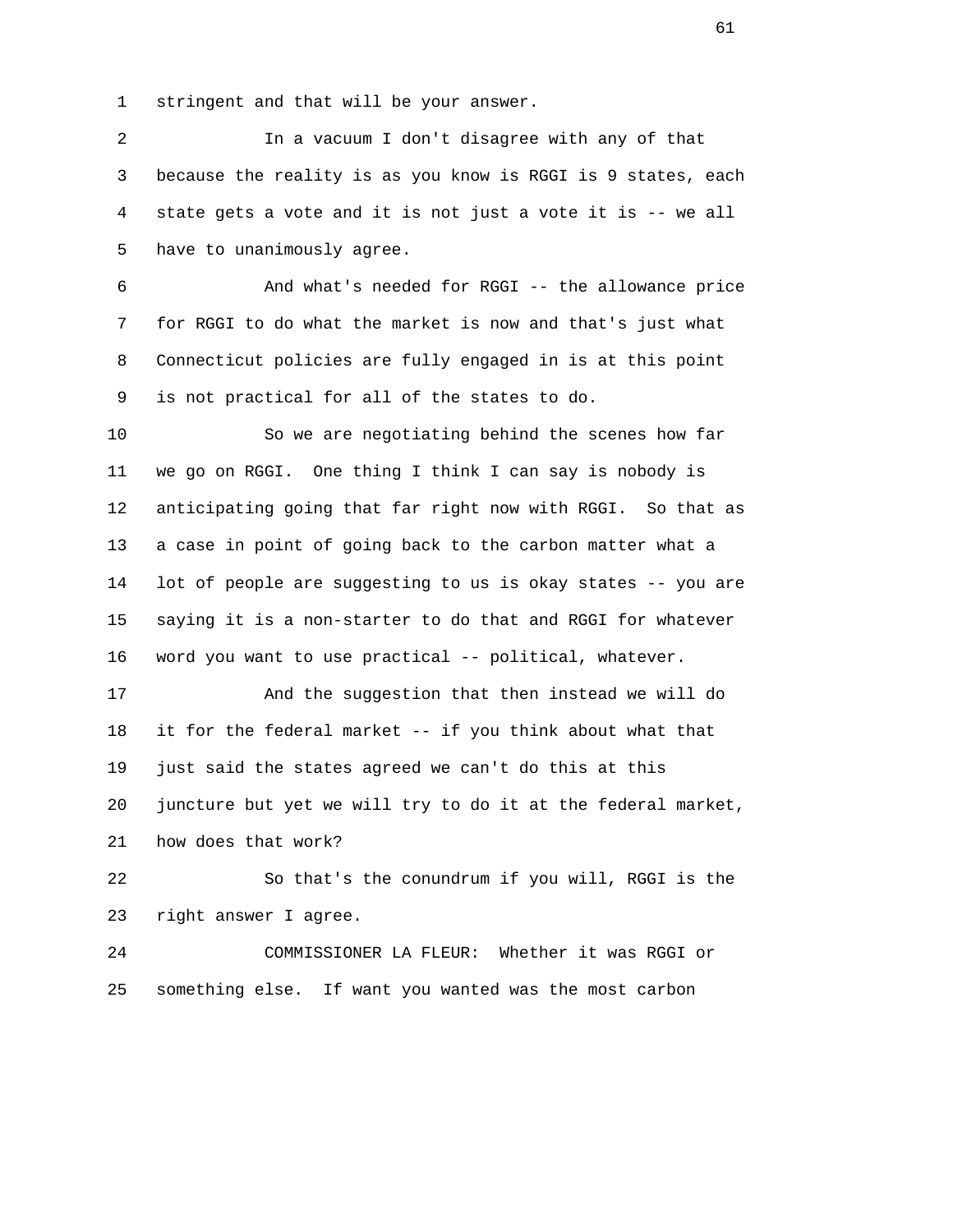1 stringent and that will be your answer.

 2 In a vacuum I don't disagree with any of that 3 because the reality is as you know is RGGI is 9 states, each 4 state gets a vote and it is not just a vote it is -- we all 5 have to unanimously agree.

 6 And what's needed for RGGI -- the allowance price 7 for RGGI to do what the market is now and that's just what 8 Connecticut policies are fully engaged in is at this point 9 is not practical for all of the states to do.

 10 So we are negotiating behind the scenes how far 11 we go on RGGI. One thing I think I can say is nobody is 12 anticipating going that far right now with RGGI. So that as 13 a case in point of going back to the carbon matter what a 14 lot of people are suggesting to us is okay states -- you are 15 saying it is a non-starter to do that and RGGI for whatever 16 word you want to use practical -- political, whatever.

 17 And the suggestion that then instead we will do 18 it for the federal market -- if you think about what that 19 just said the states agreed we can't do this at this 20 juncture but yet we will try to do it at the federal market, 21 how does that work?

 22 So that's the conundrum if you will, RGGI is the 23 right answer I agree.

 24 COMMISSIONER LA FLEUR: Whether it was RGGI or 25 something else. If want you wanted was the most carbon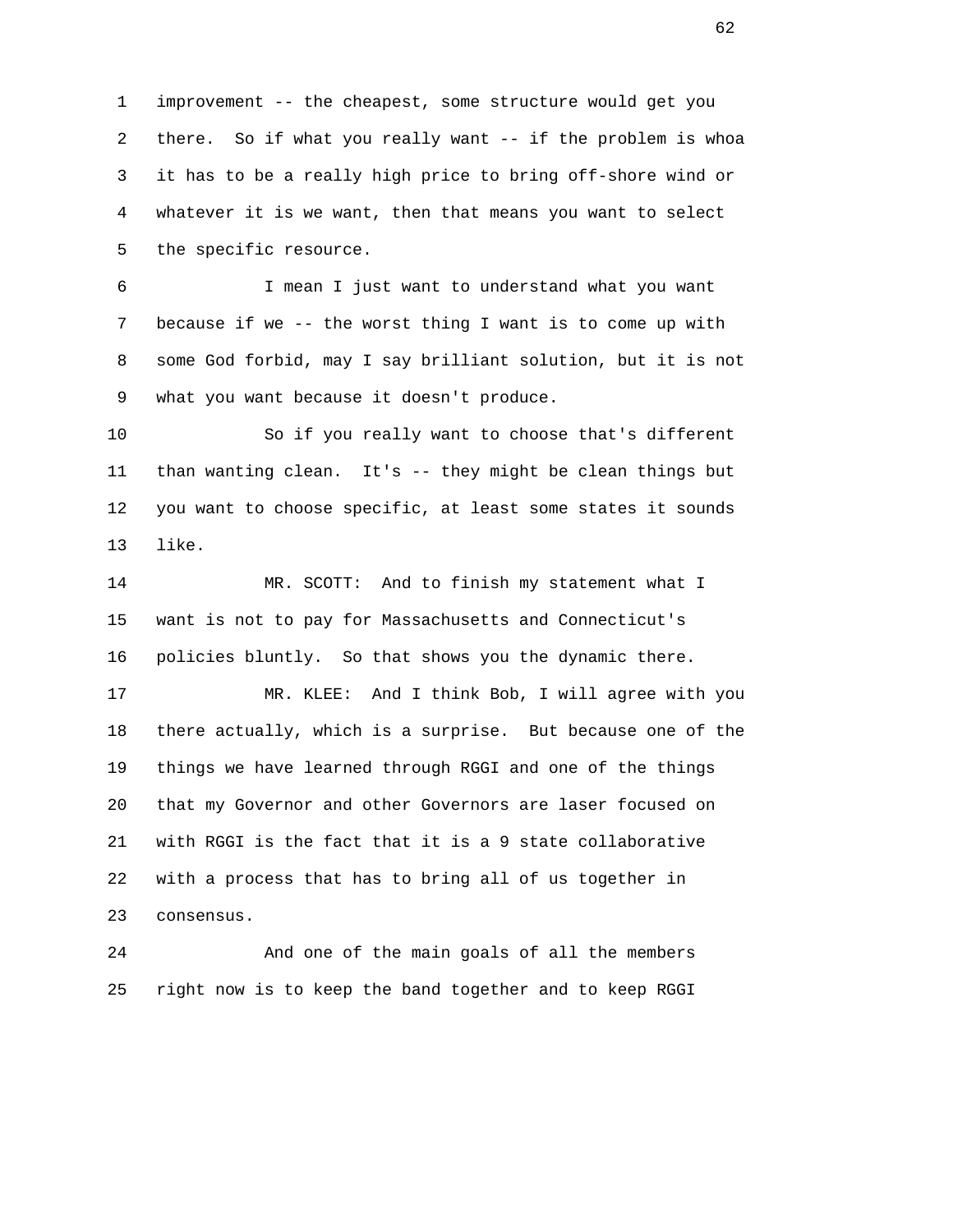1 improvement -- the cheapest, some structure would get you 2 there. So if what you really want -- if the problem is whoa 3 it has to be a really high price to bring off-shore wind or 4 whatever it is we want, then that means you want to select 5 the specific resource.

 6 I mean I just want to understand what you want 7 because if we -- the worst thing I want is to come up with 8 some God forbid, may I say brilliant solution, but it is not 9 what you want because it doesn't produce.

 10 So if you really want to choose that's different 11 than wanting clean. It's -- they might be clean things but 12 you want to choose specific, at least some states it sounds 13 like.

 14 MR. SCOTT: And to finish my statement what I 15 want is not to pay for Massachusetts and Connecticut's 16 policies bluntly. So that shows you the dynamic there.

 17 MR. KLEE: And I think Bob, I will agree with you 18 there actually, which is a surprise. But because one of the 19 things we have learned through RGGI and one of the things 20 that my Governor and other Governors are laser focused on 21 with RGGI is the fact that it is a 9 state collaborative 22 with a process that has to bring all of us together in 23 consensus.

 24 And one of the main goals of all the members 25 right now is to keep the band together and to keep RGGI

 $\sim$  62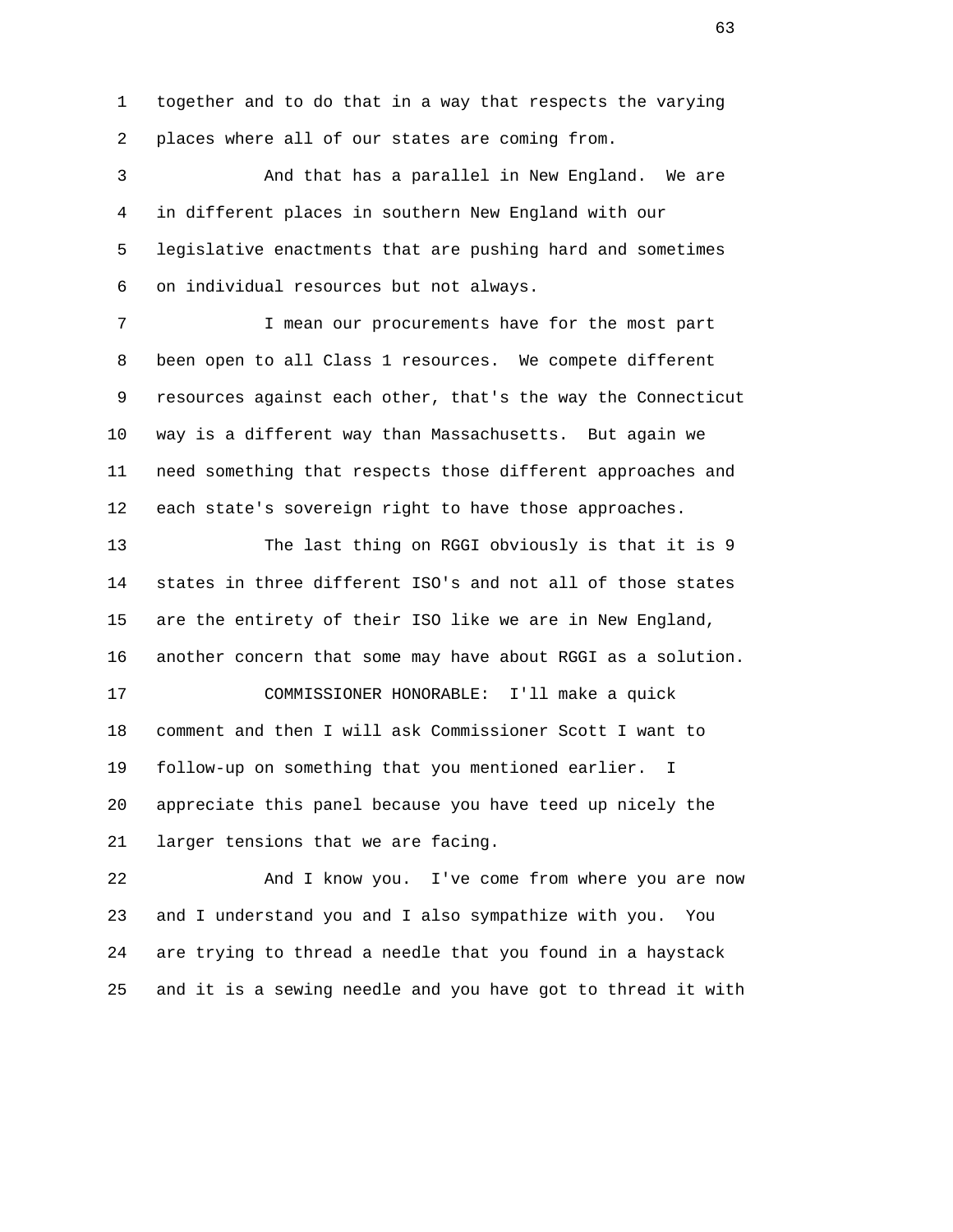1 together and to do that in a way that respects the varying 2 places where all of our states are coming from.

 3 And that has a parallel in New England. We are 4 in different places in southern New England with our 5 legislative enactments that are pushing hard and sometimes 6 on individual resources but not always.

 7 I mean our procurements have for the most part 8 been open to all Class 1 resources. We compete different 9 resources against each other, that's the way the Connecticut 10 way is a different way than Massachusetts. But again we 11 need something that respects those different approaches and 12 each state's sovereign right to have those approaches.

 13 The last thing on RGGI obviously is that it is 9 14 states in three different ISO's and not all of those states 15 are the entirety of their ISO like we are in New England, 16 another concern that some may have about RGGI as a solution. 17 COMMISSIONER HONORABLE: I'll make a quick 18 comment and then I will ask Commissioner Scott I want to 19 follow-up on something that you mentioned earlier. I 20 appreciate this panel because you have teed up nicely the 21 larger tensions that we are facing.

 22 And I know you. I've come from where you are now 23 and I understand you and I also sympathize with you. You 24 are trying to thread a needle that you found in a haystack 25 and it is a sewing needle and you have got to thread it with

 $\sim$  63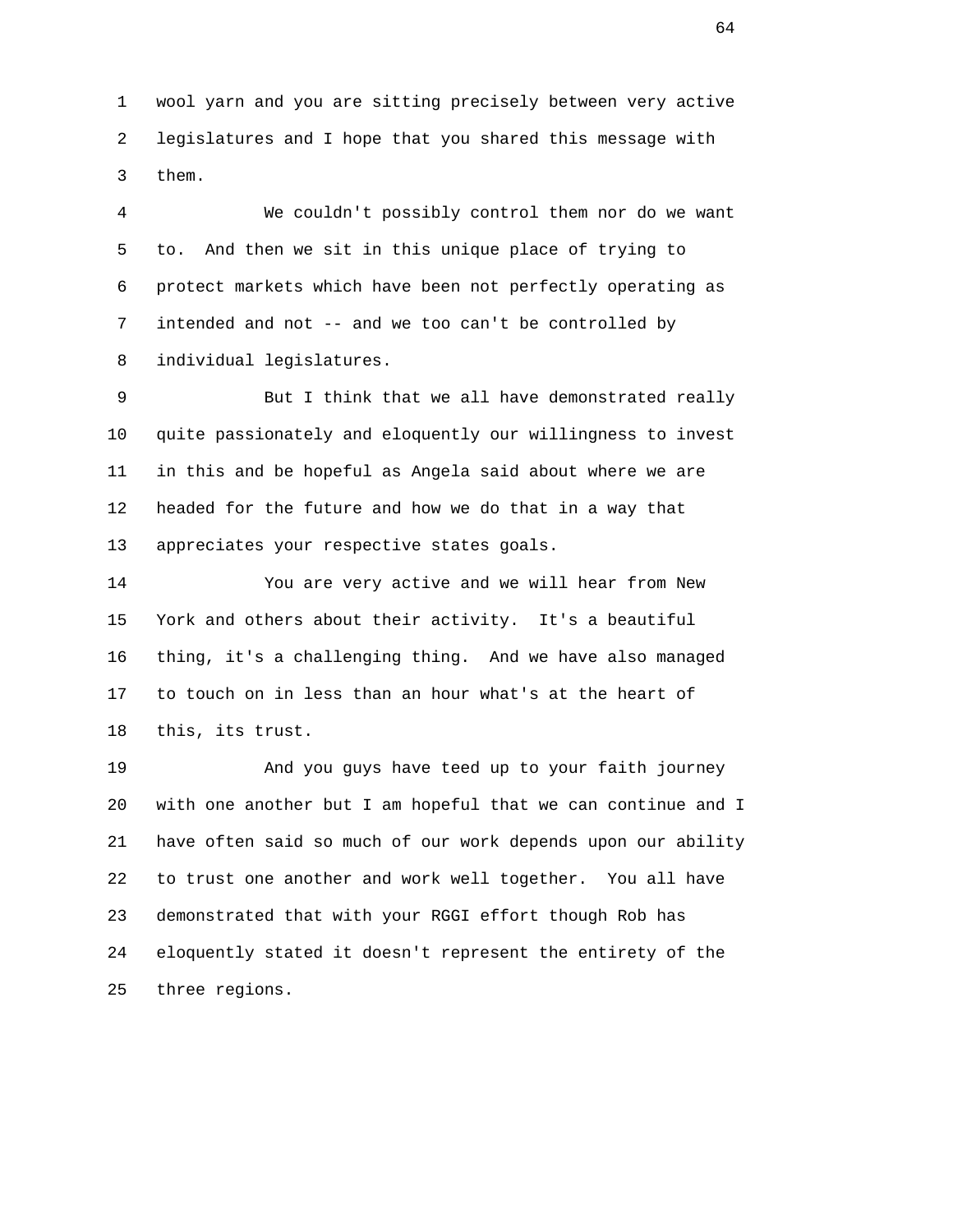1 wool yarn and you are sitting precisely between very active 2 legislatures and I hope that you shared this message with 3 them.

 4 We couldn't possibly control them nor do we want 5 to. And then we sit in this unique place of trying to 6 protect markets which have been not perfectly operating as 7 intended and not -- and we too can't be controlled by 8 individual legislatures.

 9 But I think that we all have demonstrated really 10 quite passionately and eloquently our willingness to invest 11 in this and be hopeful as Angela said about where we are 12 headed for the future and how we do that in a way that 13 appreciates your respective states goals.

 14 You are very active and we will hear from New 15 York and others about their activity. It's a beautiful 16 thing, it's a challenging thing. And we have also managed 17 to touch on in less than an hour what's at the heart of 18 this, its trust.

 19 And you guys have teed up to your faith journey 20 with one another but I am hopeful that we can continue and I 21 have often said so much of our work depends upon our ability 22 to trust one another and work well together. You all have 23 demonstrated that with your RGGI effort though Rob has 24 eloquently stated it doesn't represent the entirety of the 25 three regions.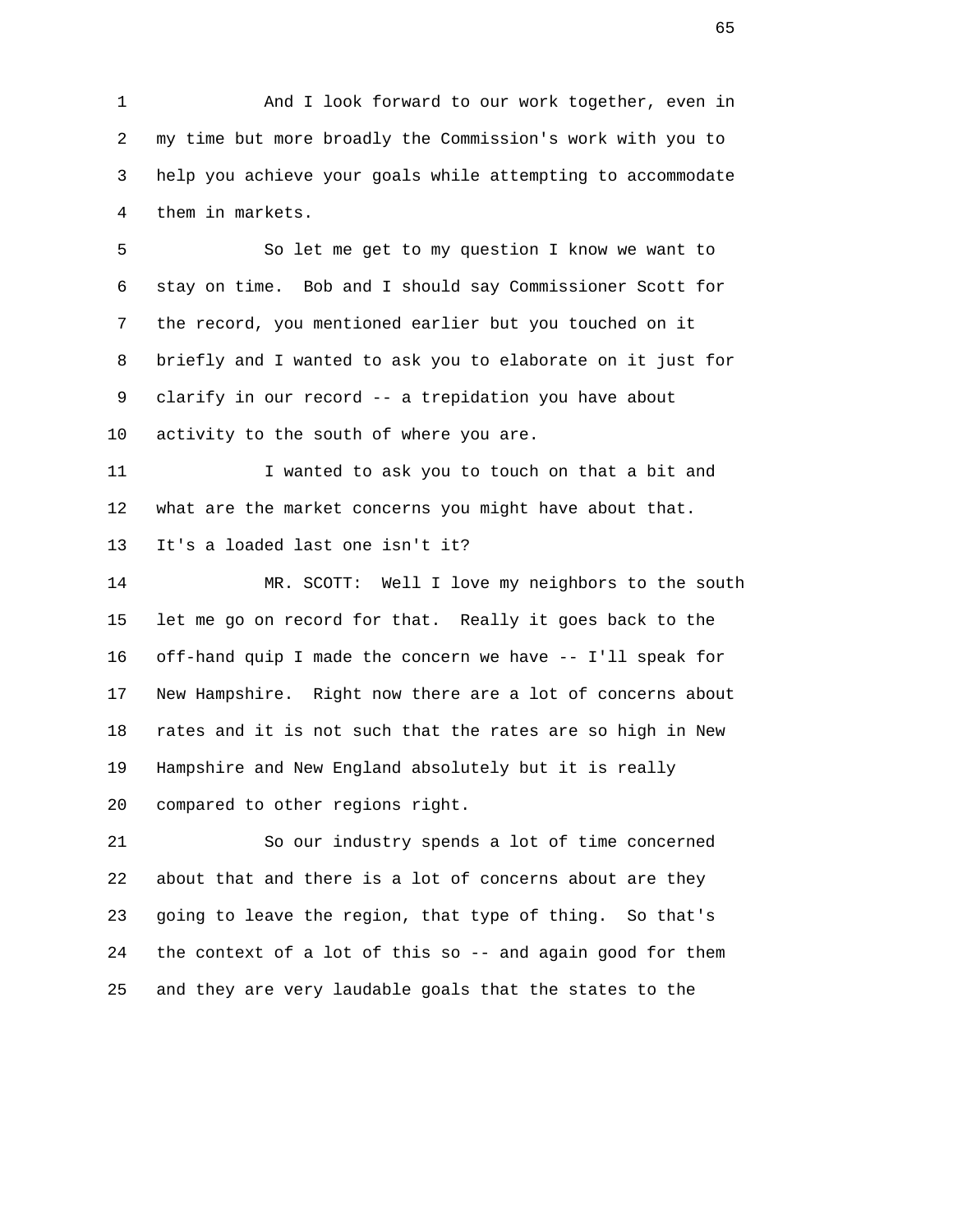1 And I look forward to our work together, even in 2 my time but more broadly the Commission's work with you to 3 help you achieve your goals while attempting to accommodate 4 them in markets.

 5 So let me get to my question I know we want to 6 stay on time. Bob and I should say Commissioner Scott for 7 the record, you mentioned earlier but you touched on it 8 briefly and I wanted to ask you to elaborate on it just for 9 clarify in our record -- a trepidation you have about 10 activity to the south of where you are.

 11 I wanted to ask you to touch on that a bit and 12 what are the market concerns you might have about that. 13 It's a loaded last one isn't it?

 14 MR. SCOTT: Well I love my neighbors to the south 15 let me go on record for that. Really it goes back to the 16 off-hand quip I made the concern we have -- I'll speak for 17 New Hampshire. Right now there are a lot of concerns about 18 rates and it is not such that the rates are so high in New 19 Hampshire and New England absolutely but it is really 20 compared to other regions right.

 21 So our industry spends a lot of time concerned 22 about that and there is a lot of concerns about are they 23 going to leave the region, that type of thing. So that's 24 the context of a lot of this so -- and again good for them 25 and they are very laudable goals that the states to the

 $\sim$  65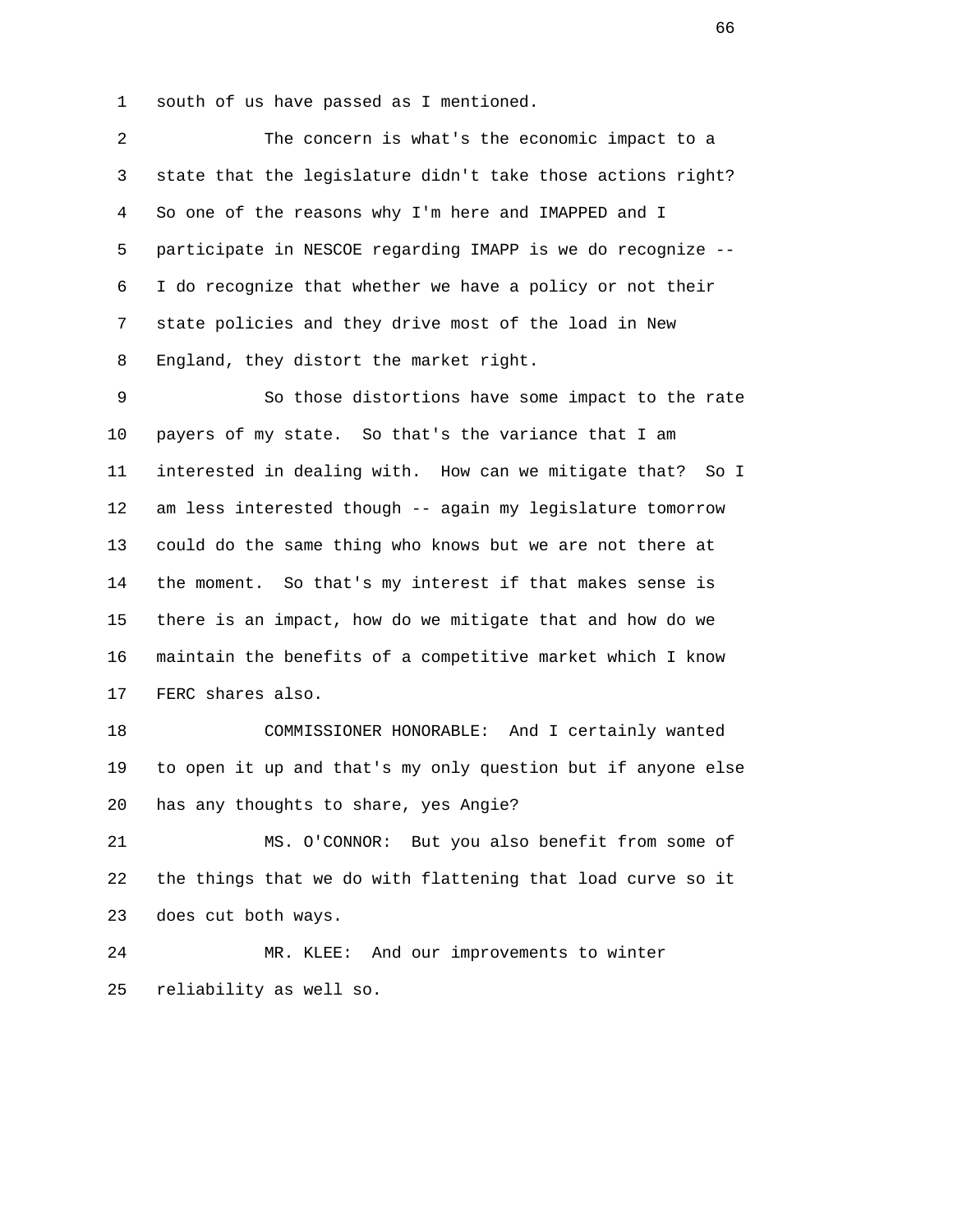1 south of us have passed as I mentioned.

 2 The concern is what's the economic impact to a 3 state that the legislature didn't take those actions right? 4 So one of the reasons why I'm here and IMAPPED and I 5 participate in NESCOE regarding IMAPP is we do recognize -- 6 I do recognize that whether we have a policy or not their 7 state policies and they drive most of the load in New 8 England, they distort the market right.

 9 So those distortions have some impact to the rate 10 payers of my state. So that's the variance that I am 11 interested in dealing with. How can we mitigate that? So I 12 am less interested though -- again my legislature tomorrow 13 could do the same thing who knows but we are not there at 14 the moment. So that's my interest if that makes sense is 15 there is an impact, how do we mitigate that and how do we 16 maintain the benefits of a competitive market which I know 17 FERC shares also.

 18 COMMISSIONER HONORABLE: And I certainly wanted 19 to open it up and that's my only question but if anyone else 20 has any thoughts to share, yes Angie?

 21 MS. O'CONNOR: But you also benefit from some of 22 the things that we do with flattening that load curve so it 23 does cut both ways.

 24 MR. KLEE: And our improvements to winter 25 reliability as well so.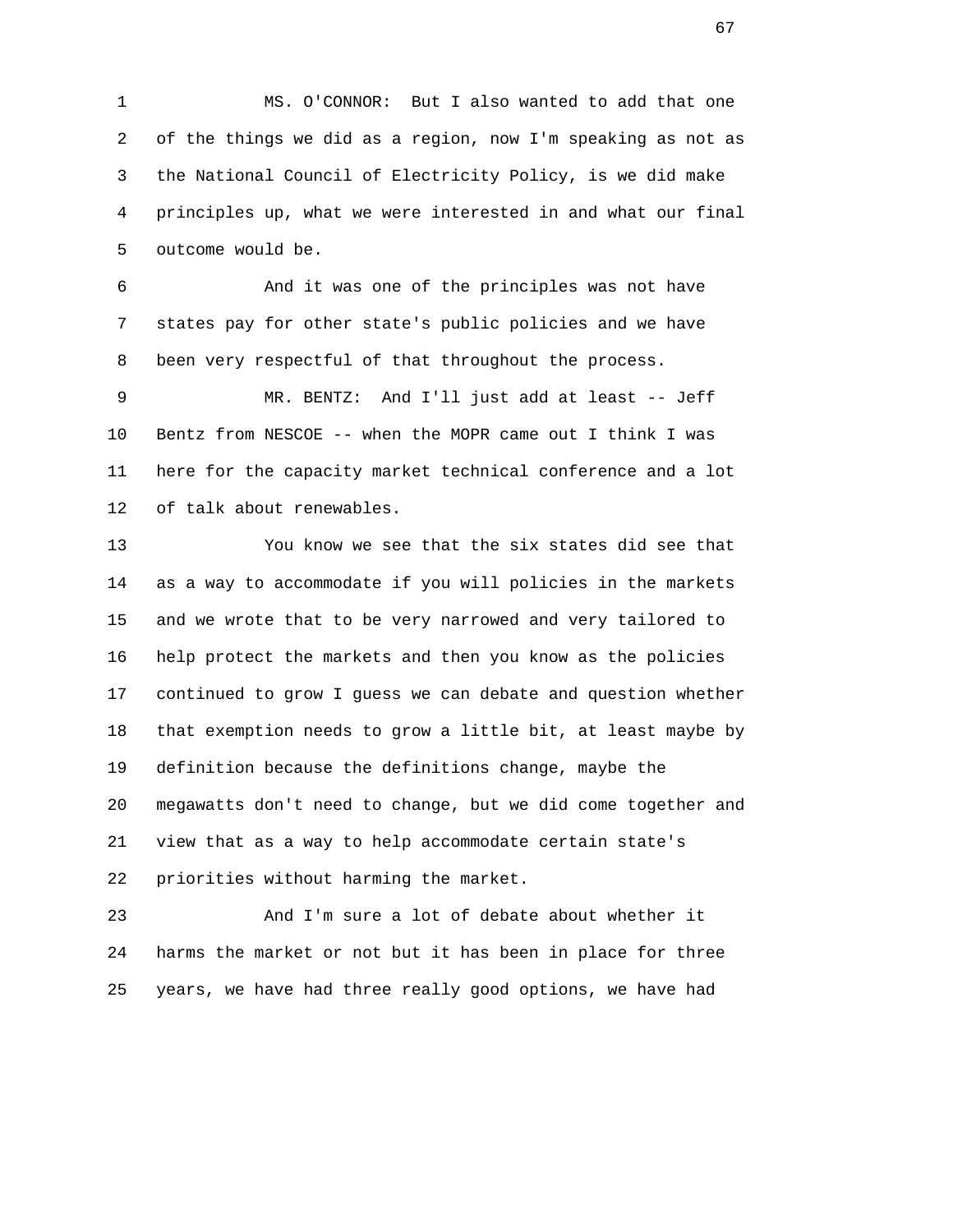1 MS. O'CONNOR: But I also wanted to add that one 2 of the things we did as a region, now I'm speaking as not as 3 the National Council of Electricity Policy, is we did make 4 principles up, what we were interested in and what our final 5 outcome would be.

 6 And it was one of the principles was not have 7 states pay for other state's public policies and we have 8 been very respectful of that throughout the process.

 9 MR. BENTZ: And I'll just add at least -- Jeff 10 Bentz from NESCOE -- when the MOPR came out I think I was 11 here for the capacity market technical conference and a lot 12 of talk about renewables.

 13 You know we see that the six states did see that 14 as a way to accommodate if you will policies in the markets 15 and we wrote that to be very narrowed and very tailored to 16 help protect the markets and then you know as the policies 17 continued to grow I guess we can debate and question whether 18 that exemption needs to grow a little bit, at least maybe by 19 definition because the definitions change, maybe the 20 megawatts don't need to change, but we did come together and 21 view that as a way to help accommodate certain state's 22 priorities without harming the market.

 23 And I'm sure a lot of debate about whether it 24 harms the market or not but it has been in place for three 25 years, we have had three really good options, we have had

 $\sim$  67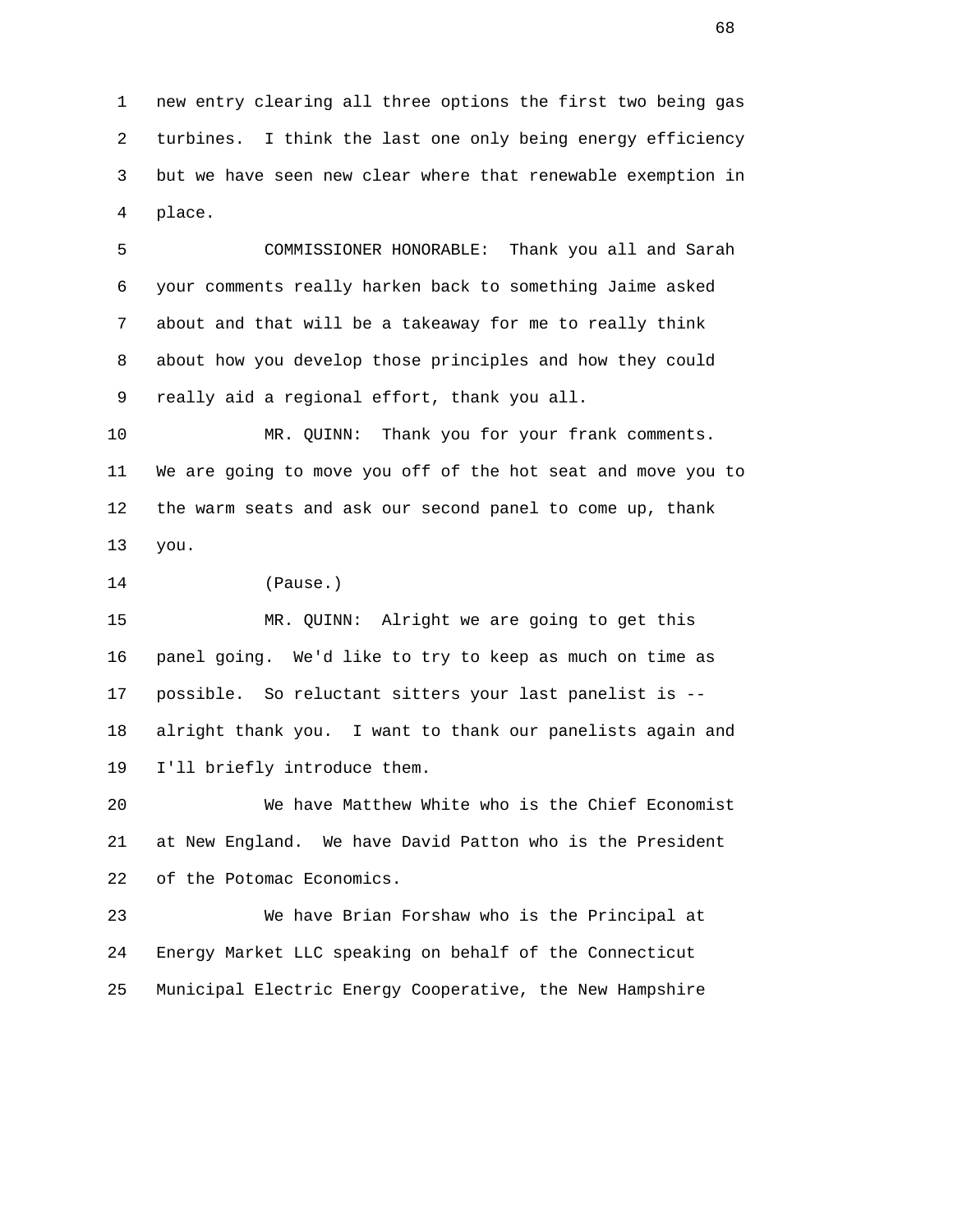1 new entry clearing all three options the first two being gas 2 turbines. I think the last one only being energy efficiency 3 but we have seen new clear where that renewable exemption in 4 place.

 5 COMMISSIONER HONORABLE: Thank you all and Sarah 6 your comments really harken back to something Jaime asked 7 about and that will be a takeaway for me to really think 8 about how you develop those principles and how they could 9 really aid a regional effort, thank you all.

 10 MR. QUINN: Thank you for your frank comments. 11 We are going to move you off of the hot seat and move you to 12 the warm seats and ask our second panel to come up, thank 13 you.

14 (Pause.)

 15 MR. QUINN: Alright we are going to get this 16 panel going. We'd like to try to keep as much on time as 17 possible. So reluctant sitters your last panelist is -- 18 alright thank you. I want to thank our panelists again and 19 I'll briefly introduce them.

 20 We have Matthew White who is the Chief Economist 21 at New England. We have David Patton who is the President 22 of the Potomac Economics.

 23 We have Brian Forshaw who is the Principal at 24 Energy Market LLC speaking on behalf of the Connecticut 25 Municipal Electric Energy Cooperative, the New Hampshire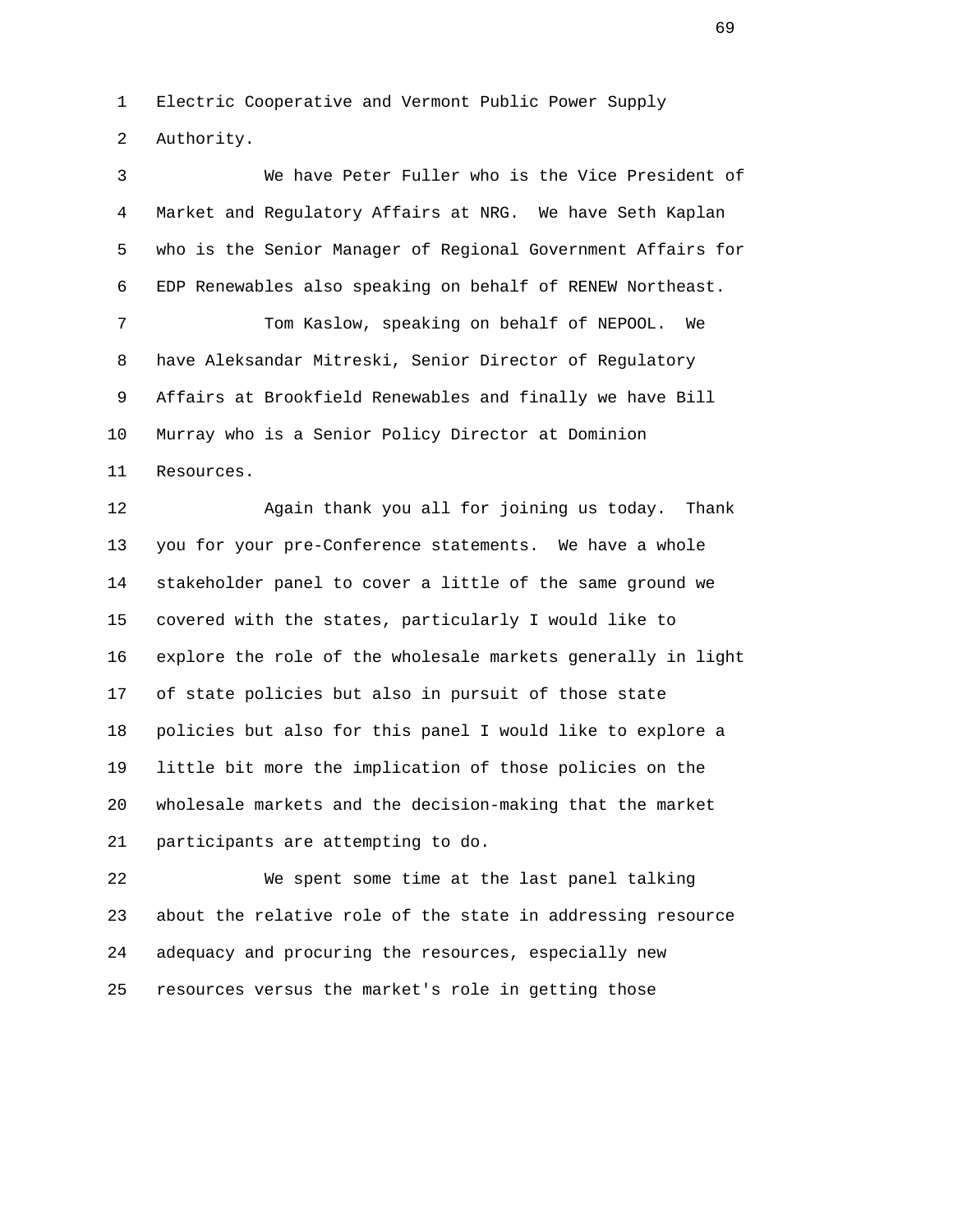1 Electric Cooperative and Vermont Public Power Supply 2 Authority.

 3 We have Peter Fuller who is the Vice President of 4 Market and Regulatory Affairs at NRG. We have Seth Kaplan 5 who is the Senior Manager of Regional Government Affairs for 6 EDP Renewables also speaking on behalf of RENEW Northeast. 7 Tom Kaslow, speaking on behalf of NEPOOL. We 8 have Aleksandar Mitreski, Senior Director of Regulatory 9 Affairs at Brookfield Renewables and finally we have Bill 10 Murray who is a Senior Policy Director at Dominion 11 Resources. 12 Again thank you all for joining us today. Thank

 13 you for your pre-Conference statements. We have a whole 14 stakeholder panel to cover a little of the same ground we 15 covered with the states, particularly I would like to 16 explore the role of the wholesale markets generally in light 17 of state policies but also in pursuit of those state 18 policies but also for this panel I would like to explore a 19 little bit more the implication of those policies on the 20 wholesale markets and the decision-making that the market 21 participants are attempting to do.

 22 We spent some time at the last panel talking 23 about the relative role of the state in addressing resource 24 adequacy and procuring the resources, especially new 25 resources versus the market's role in getting those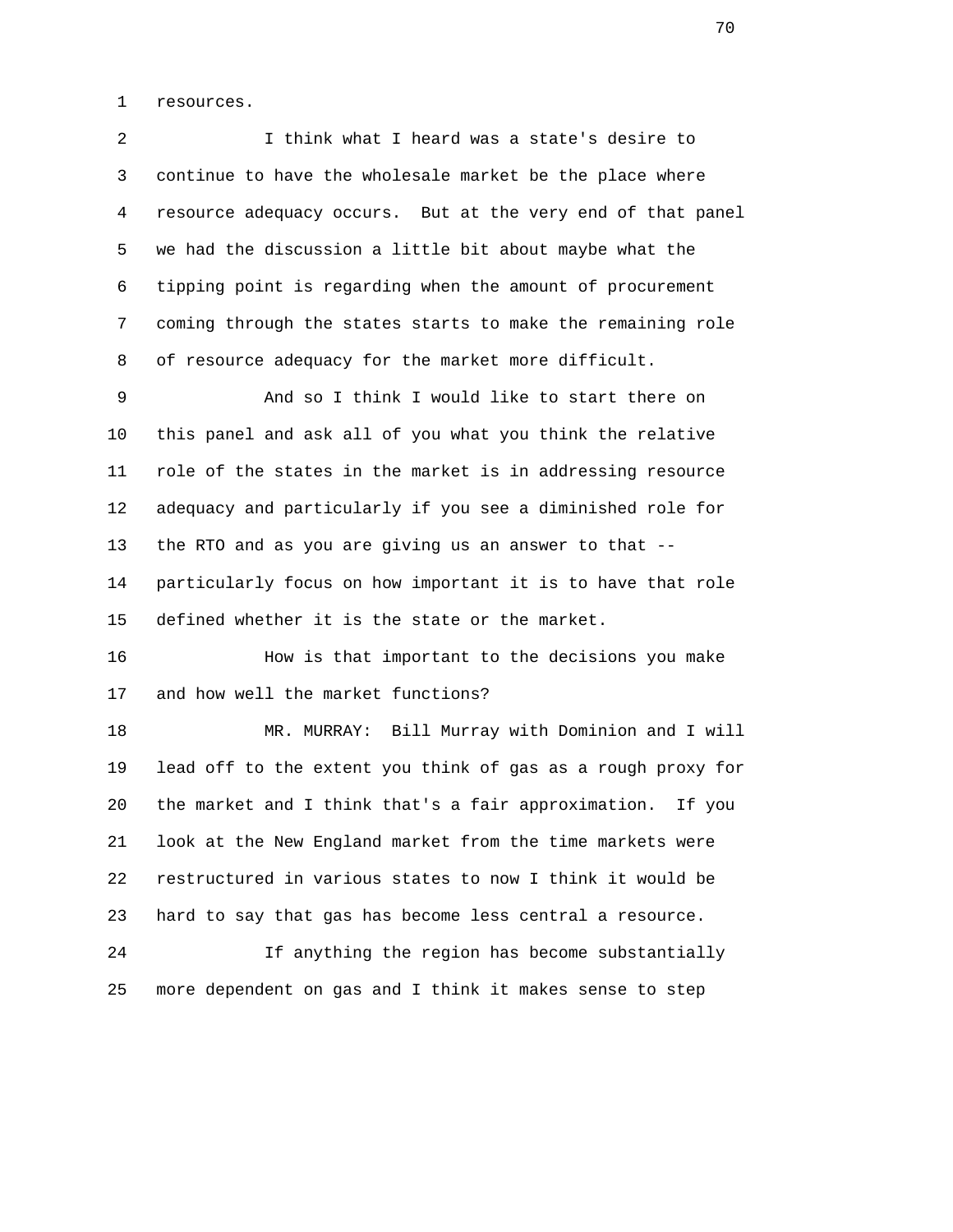1 resources.

 2 I think what I heard was a state's desire to 3 continue to have the wholesale market be the place where 4 resource adequacy occurs. But at the very end of that panel 5 we had the discussion a little bit about maybe what the 6 tipping point is regarding when the amount of procurement 7 coming through the states starts to make the remaining role 8 of resource adequacy for the market more difficult.

 9 And so I think I would like to start there on 10 this panel and ask all of you what you think the relative 11 role of the states in the market is in addressing resource 12 adequacy and particularly if you see a diminished role for 13 the RTO and as you are giving us an answer to that -- 14 particularly focus on how important it is to have that role 15 defined whether it is the state or the market.

 16 How is that important to the decisions you make 17 and how well the market functions?

 18 MR. MURRAY: Bill Murray with Dominion and I will 19 lead off to the extent you think of gas as a rough proxy for 20 the market and I think that's a fair approximation. If you 21 look at the New England market from the time markets were 22 restructured in various states to now I think it would be 23 hard to say that gas has become less central a resource.

 24 If anything the region has become substantially 25 more dependent on gas and I think it makes sense to step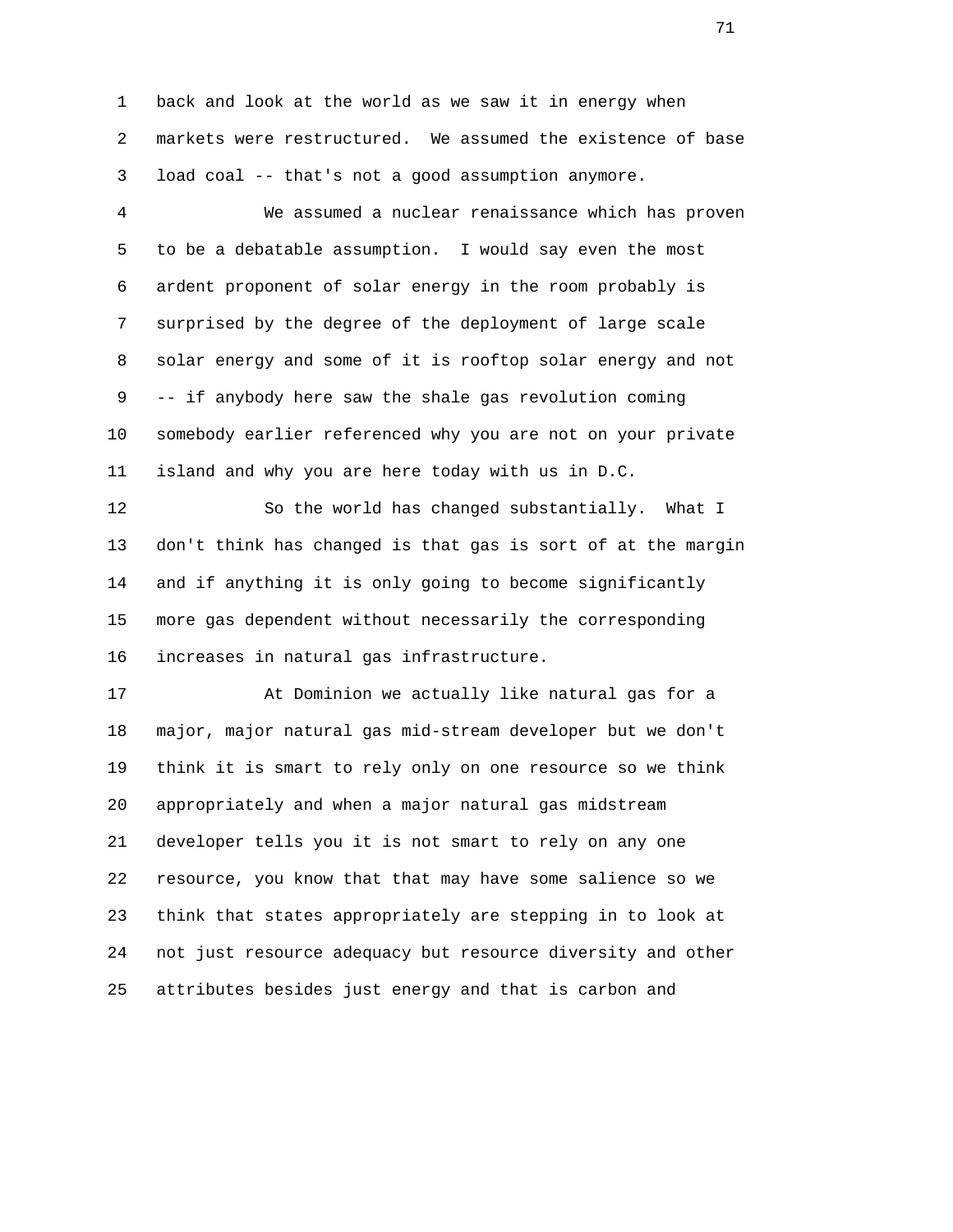1 back and look at the world as we saw it in energy when 2 markets were restructured. We assumed the existence of base 3 load coal -- that's not a good assumption anymore.

 4 We assumed a nuclear renaissance which has proven 5 to be a debatable assumption. I would say even the most 6 ardent proponent of solar energy in the room probably is 7 surprised by the degree of the deployment of large scale 8 solar energy and some of it is rooftop solar energy and not 9 -- if anybody here saw the shale gas revolution coming 10 somebody earlier referenced why you are not on your private 11 island and why you are here today with us in D.C.

 12 So the world has changed substantially. What I 13 don't think has changed is that gas is sort of at the margin 14 and if anything it is only going to become significantly 15 more gas dependent without necessarily the corresponding 16 increases in natural gas infrastructure.

 17 At Dominion we actually like natural gas for a 18 major, major natural gas mid-stream developer but we don't 19 think it is smart to rely only on one resource so we think 20 appropriately and when a major natural gas midstream 21 developer tells you it is not smart to rely on any one 22 resource, you know that that may have some salience so we 23 think that states appropriately are stepping in to look at 24 not just resource adequacy but resource diversity and other 25 attributes besides just energy and that is carbon and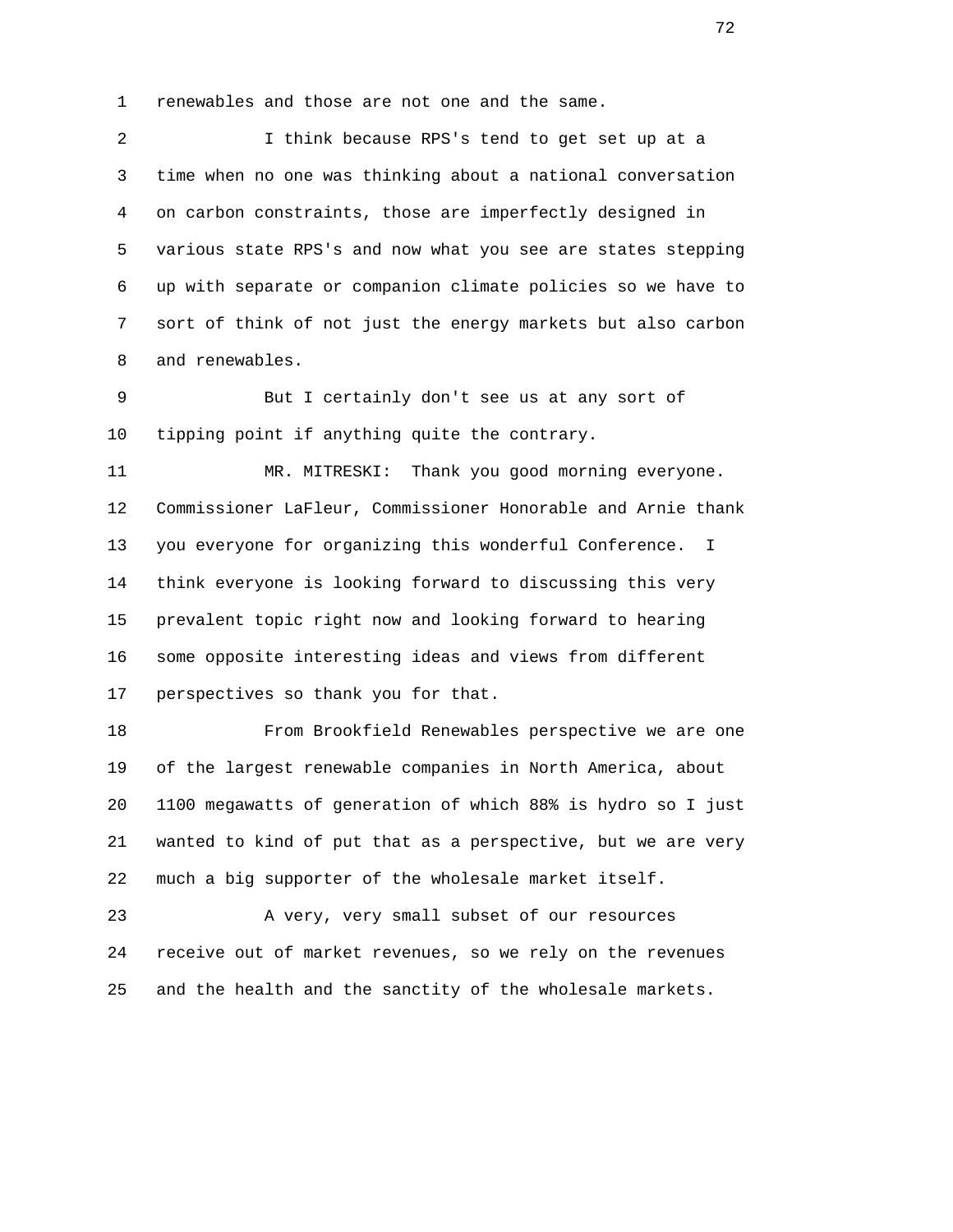1 renewables and those are not one and the same.

 2 I think because RPS's tend to get set up at a 3 time when no one was thinking about a national conversation 4 on carbon constraints, those are imperfectly designed in 5 various state RPS's and now what you see are states stepping 6 up with separate or companion climate policies so we have to 7 sort of think of not just the energy markets but also carbon 8 and renewables.

 9 But I certainly don't see us at any sort of 10 tipping point if anything quite the contrary.

 11 MR. MITRESKI: Thank you good morning everyone. 12 Commissioner LaFleur, Commissioner Honorable and Arnie thank 13 you everyone for organizing this wonderful Conference. I 14 think everyone is looking forward to discussing this very 15 prevalent topic right now and looking forward to hearing 16 some opposite interesting ideas and views from different 17 perspectives so thank you for that.

 18 From Brookfield Renewables perspective we are one 19 of the largest renewable companies in North America, about 20 1100 megawatts of generation of which 88% is hydro so I just 21 wanted to kind of put that as a perspective, but we are very 22 much a big supporter of the wholesale market itself.

 23 A very, very small subset of our resources 24 receive out of market revenues, so we rely on the revenues 25 and the health and the sanctity of the wholesale markets.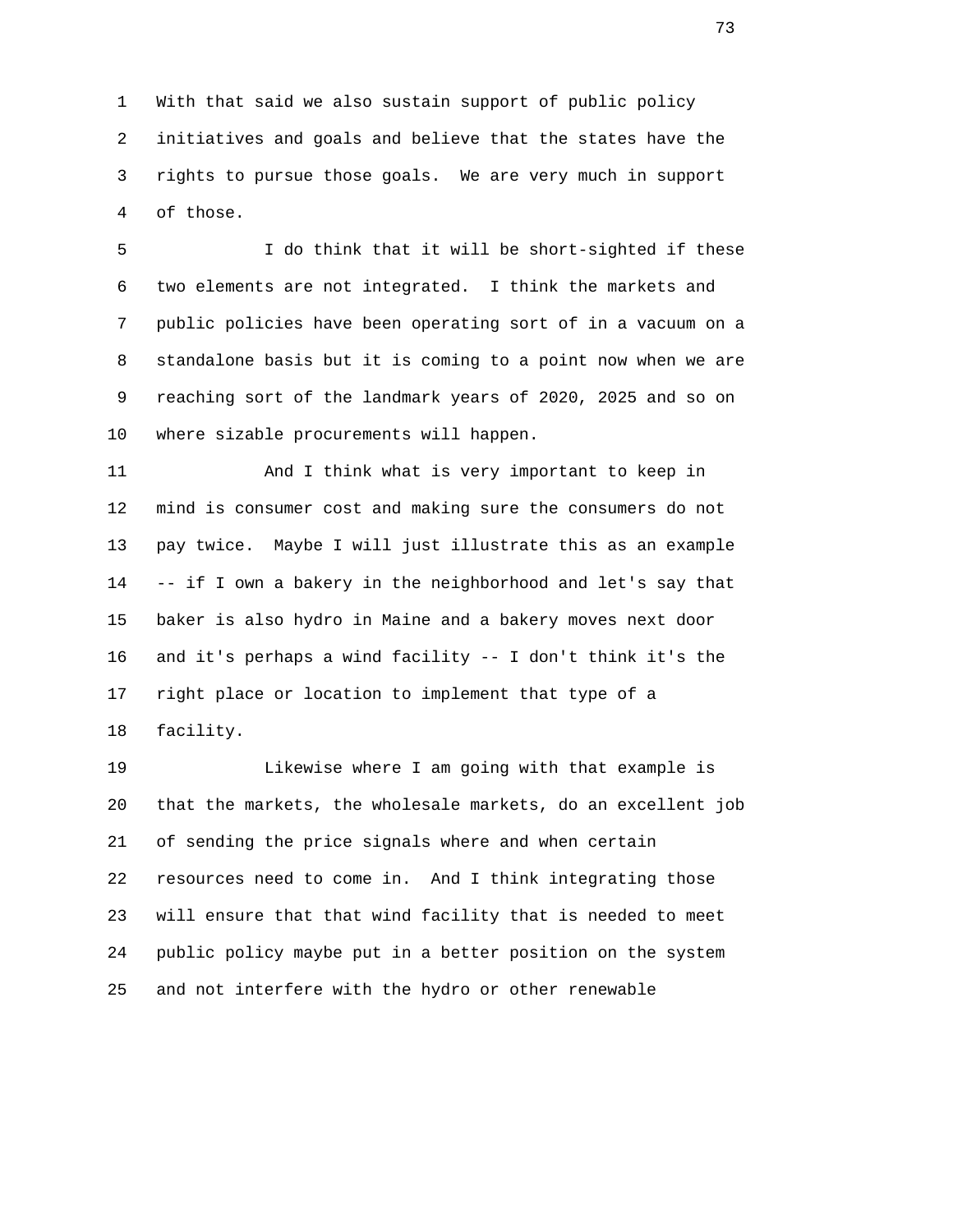1 With that said we also sustain support of public policy 2 initiatives and goals and believe that the states have the 3 rights to pursue those goals. We are very much in support 4 of those.

 5 I do think that it will be short-sighted if these 6 two elements are not integrated. I think the markets and 7 public policies have been operating sort of in a vacuum on a 8 standalone basis but it is coming to a point now when we are 9 reaching sort of the landmark years of 2020, 2025 and so on 10 where sizable procurements will happen.

 11 And I think what is very important to keep in 12 mind is consumer cost and making sure the consumers do not 13 pay twice. Maybe I will just illustrate this as an example 14 -- if I own a bakery in the neighborhood and let's say that 15 baker is also hydro in Maine and a bakery moves next door 16 and it's perhaps a wind facility -- I don't think it's the 17 right place or location to implement that type of a 18 facility.

 19 Likewise where I am going with that example is 20 that the markets, the wholesale markets, do an excellent job 21 of sending the price signals where and when certain 22 resources need to come in. And I think integrating those 23 will ensure that that wind facility that is needed to meet 24 public policy maybe put in a better position on the system 25 and not interfere with the hydro or other renewable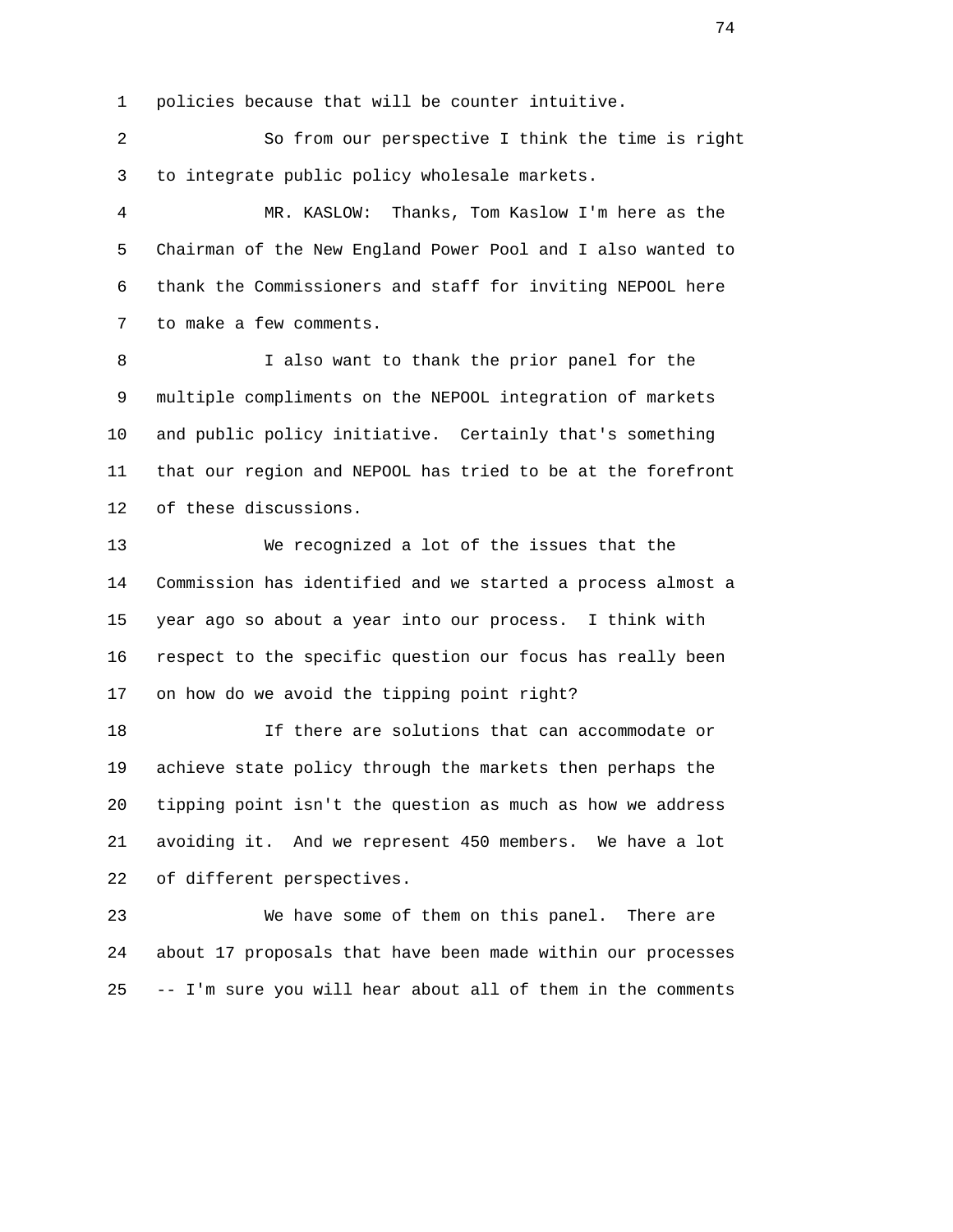1 policies because that will be counter intuitive.

 2 So from our perspective I think the time is right 3 to integrate public policy wholesale markets.

 4 MR. KASLOW: Thanks, Tom Kaslow I'm here as the 5 Chairman of the New England Power Pool and I also wanted to 6 thank the Commissioners and staff for inviting NEPOOL here 7 to make a few comments.

 8 I also want to thank the prior panel for the 9 multiple compliments on the NEPOOL integration of markets 10 and public policy initiative. Certainly that's something 11 that our region and NEPOOL has tried to be at the forefront 12 of these discussions.

 13 We recognized a lot of the issues that the 14 Commission has identified and we started a process almost a 15 year ago so about a year into our process. I think with 16 respect to the specific question our focus has really been 17 on how do we avoid the tipping point right?

 18 If there are solutions that can accommodate or 19 achieve state policy through the markets then perhaps the 20 tipping point isn't the question as much as how we address 21 avoiding it. And we represent 450 members. We have a lot 22 of different perspectives.

 23 We have some of them on this panel. There are 24 about 17 proposals that have been made within our processes 25 -- I'm sure you will hear about all of them in the comments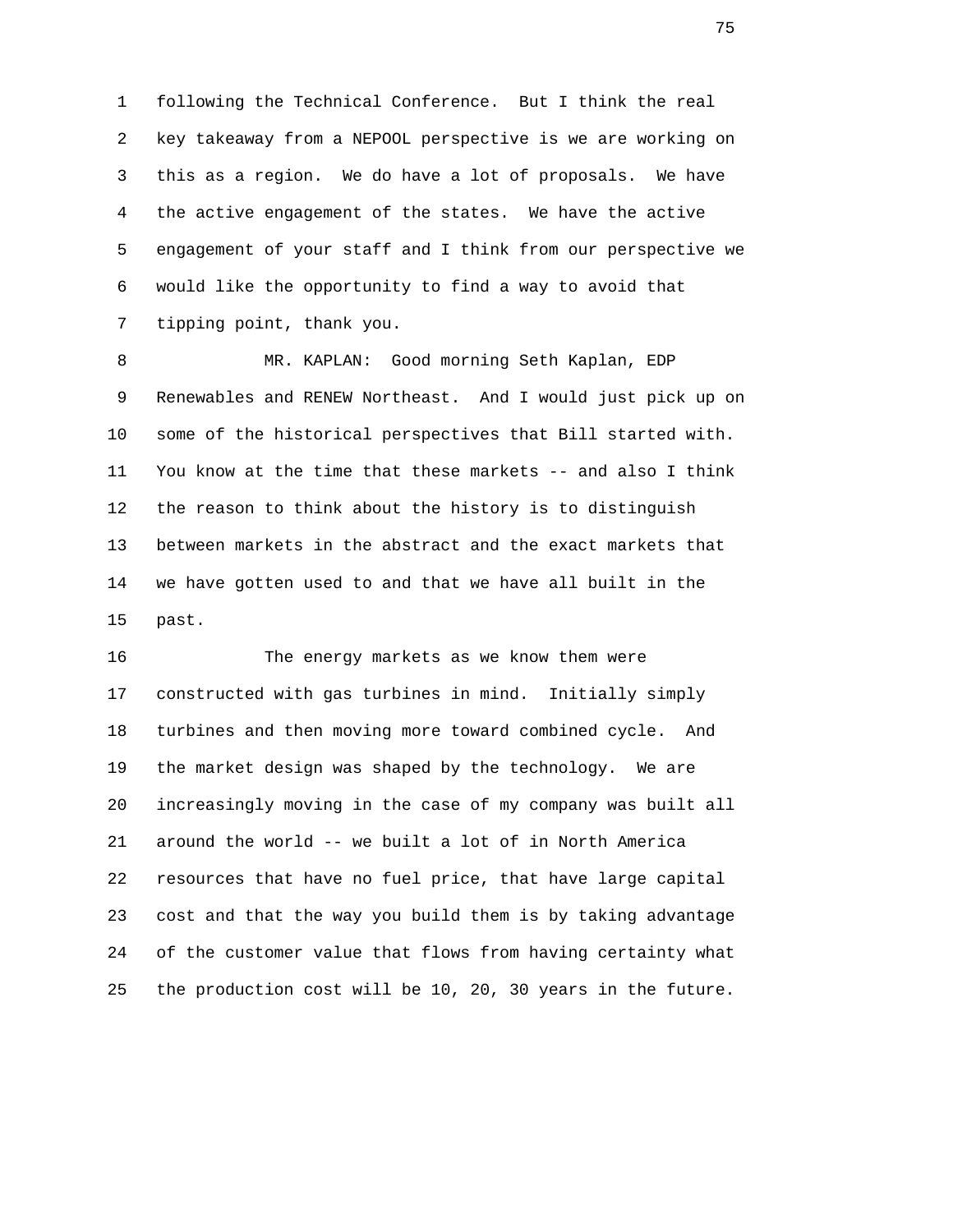1 following the Technical Conference. But I think the real 2 key takeaway from a NEPOOL perspective is we are working on 3 this as a region. We do have a lot of proposals. We have 4 the active engagement of the states. We have the active 5 engagement of your staff and I think from our perspective we 6 would like the opportunity to find a way to avoid that 7 tipping point, thank you.

 8 MR. KAPLAN: Good morning Seth Kaplan, EDP 9 Renewables and RENEW Northeast. And I would just pick up on 10 some of the historical perspectives that Bill started with. 11 You know at the time that these markets -- and also I think 12 the reason to think about the history is to distinguish 13 between markets in the abstract and the exact markets that 14 we have gotten used to and that we have all built in the 15 past.

 16 The energy markets as we know them were 17 constructed with gas turbines in mind. Initially simply 18 turbines and then moving more toward combined cycle. And 19 the market design was shaped by the technology. We are 20 increasingly moving in the case of my company was built all 21 around the world -- we built a lot of in North America 22 resources that have no fuel price, that have large capital 23 cost and that the way you build them is by taking advantage 24 of the customer value that flows from having certainty what 25 the production cost will be 10, 20, 30 years in the future.

na matsay na katalog as na katalog as na katalog as na katalog as na katalog as na katalog as na katalog as na<br>Tagairta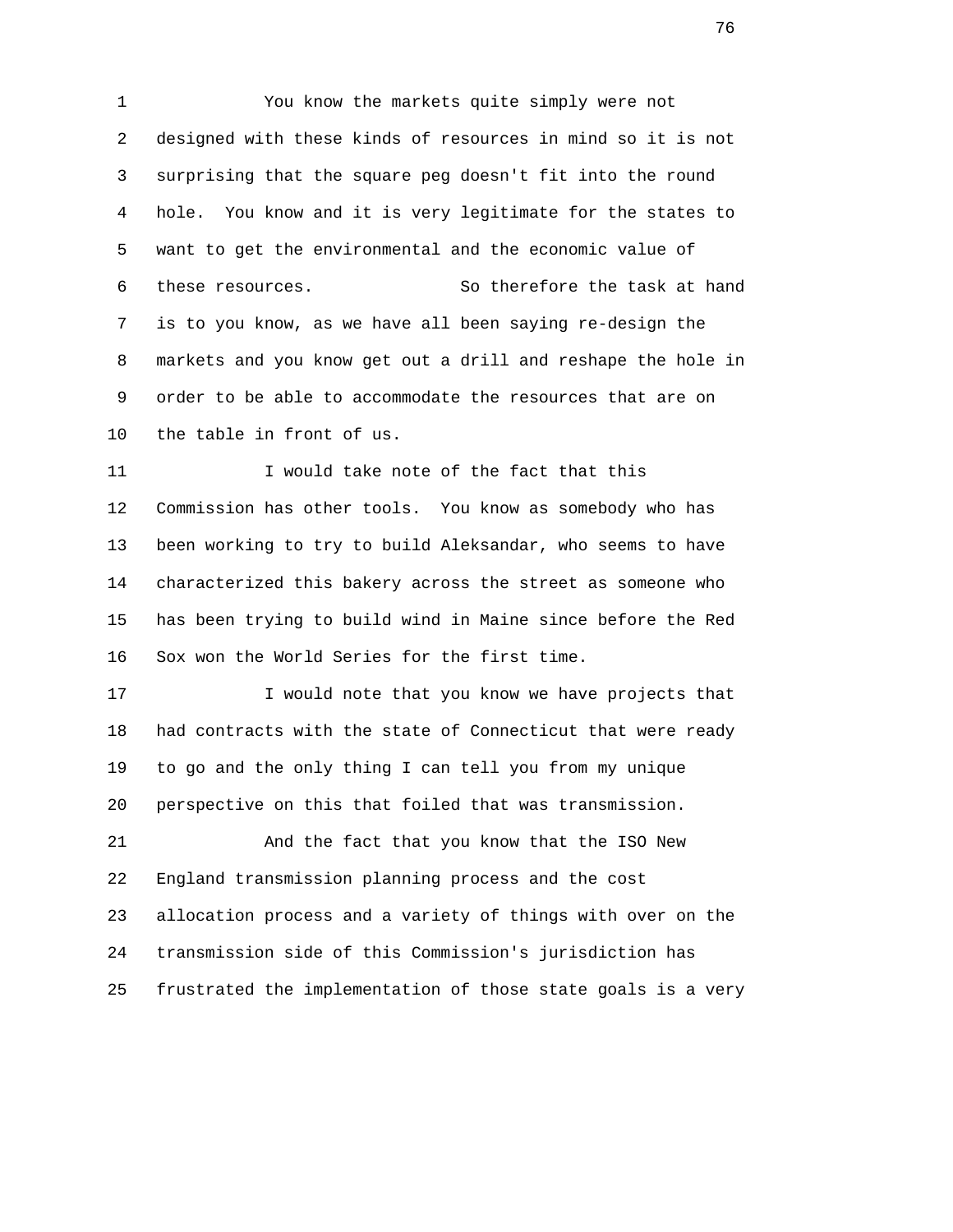1 You know the markets quite simply were not 2 designed with these kinds of resources in mind so it is not 3 surprising that the square peg doesn't fit into the round 4 hole. You know and it is very legitimate for the states to 5 want to get the environmental and the economic value of 6 these resources. So therefore the task at hand 7 is to you know, as we have all been saying re-design the 8 markets and you know get out a drill and reshape the hole in 9 order to be able to accommodate the resources that are on 10 the table in front of us.

11 I would take note of the fact that this 12 Commission has other tools. You know as somebody who has 13 been working to try to build Aleksandar, who seems to have 14 characterized this bakery across the street as someone who 15 has been trying to build wind in Maine since before the Red 16 Sox won the World Series for the first time.

17 I would note that you know we have projects that 18 had contracts with the state of Connecticut that were ready 19 to go and the only thing I can tell you from my unique 20 perspective on this that foiled that was transmission.

 21 And the fact that you know that the ISO New 22 England transmission planning process and the cost 23 allocation process and a variety of things with over on the 24 transmission side of this Commission's jurisdiction has 25 frustrated the implementation of those state goals is a very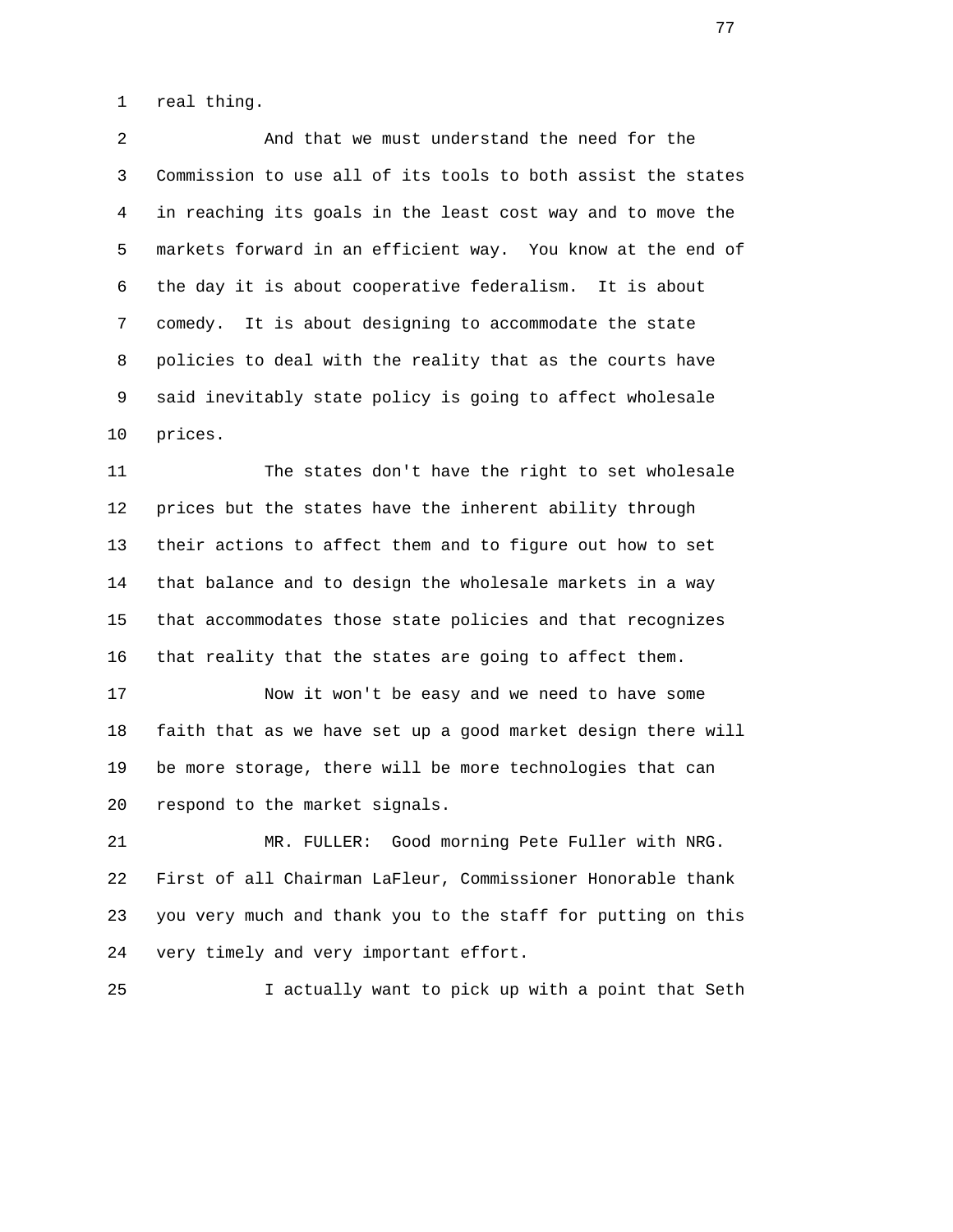1 real thing.

 2 And that we must understand the need for the 3 Commission to use all of its tools to both assist the states 4 in reaching its goals in the least cost way and to move the 5 markets forward in an efficient way. You know at the end of 6 the day it is about cooperative federalism. It is about 7 comedy. It is about designing to accommodate the state 8 policies to deal with the reality that as the courts have 9 said inevitably state policy is going to affect wholesale 10 prices.

 11 The states don't have the right to set wholesale 12 prices but the states have the inherent ability through 13 their actions to affect them and to figure out how to set 14 that balance and to design the wholesale markets in a way 15 that accommodates those state policies and that recognizes 16 that reality that the states are going to affect them.

 17 Now it won't be easy and we need to have some 18 faith that as we have set up a good market design there will 19 be more storage, there will be more technologies that can 20 respond to the market signals.

 21 MR. FULLER: Good morning Pete Fuller with NRG. 22 First of all Chairman LaFleur, Commissioner Honorable thank 23 you very much and thank you to the staff for putting on this 24 very timely and very important effort.

25 I actually want to pick up with a point that Seth

ли в село в село во село во село во село во село во село во село во село во село во село во село во село во се<br>Во село во село во село во село во село во село во село во село во село во село во село во село во село во сел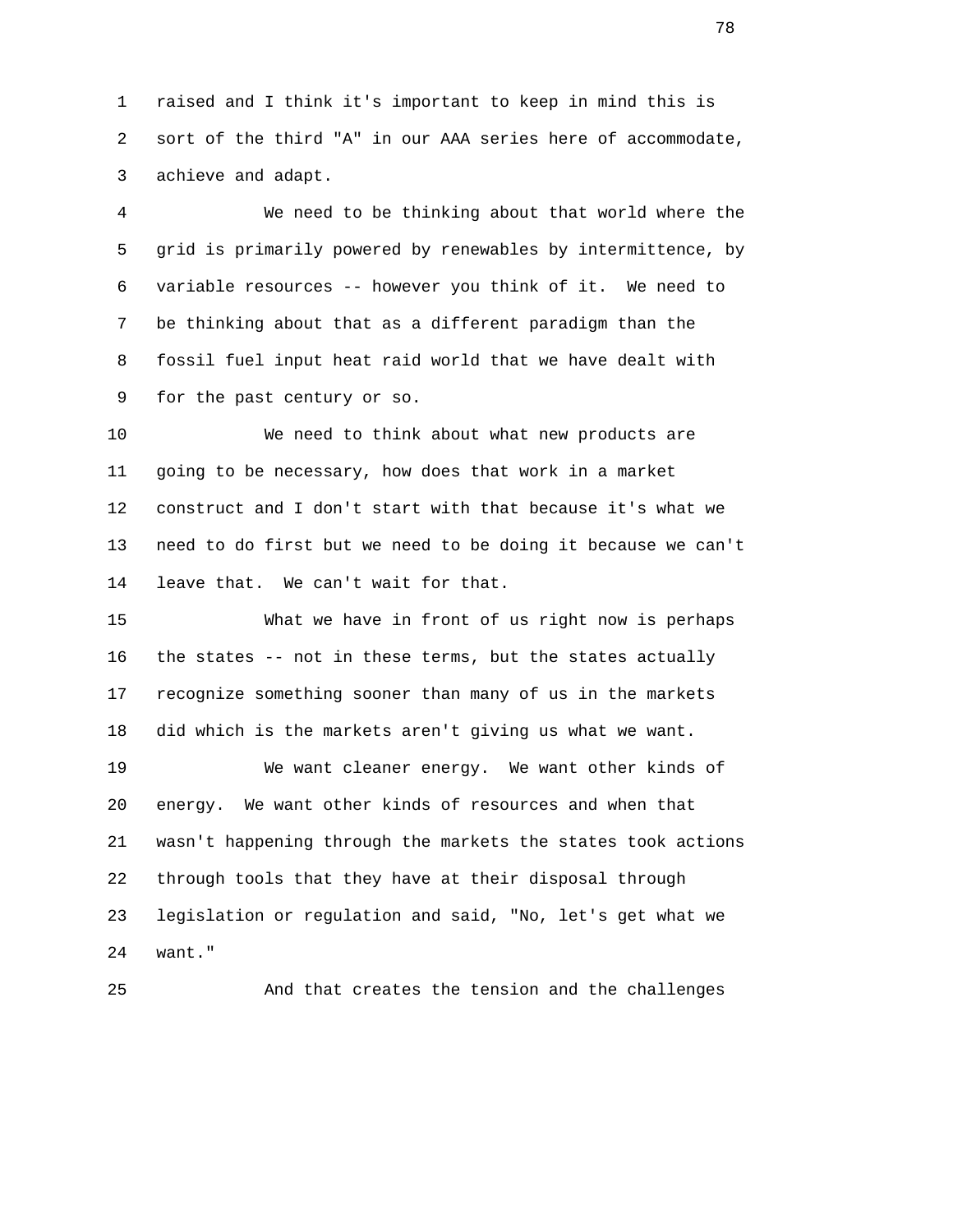1 raised and I think it's important to keep in mind this is 2 sort of the third "A" in our AAA series here of accommodate, 3 achieve and adapt.

 4 We need to be thinking about that world where the 5 grid is primarily powered by renewables by intermittence, by 6 variable resources -- however you think of it. We need to 7 be thinking about that as a different paradigm than the 8 fossil fuel input heat raid world that we have dealt with 9 for the past century or so.

 10 We need to think about what new products are 11 going to be necessary, how does that work in a market 12 construct and I don't start with that because it's what we 13 need to do first but we need to be doing it because we can't 14 leave that. We can't wait for that.

 15 What we have in front of us right now is perhaps 16 the states -- not in these terms, but the states actually 17 recognize something sooner than many of us in the markets 18 did which is the markets aren't giving us what we want.

 19 We want cleaner energy. We want other kinds of 20 energy. We want other kinds of resources and when that 21 wasn't happening through the markets the states took actions 22 through tools that they have at their disposal through 23 legislation or regulation and said, "No, let's get what we 24 want."

25 And that creates the tension and the challenges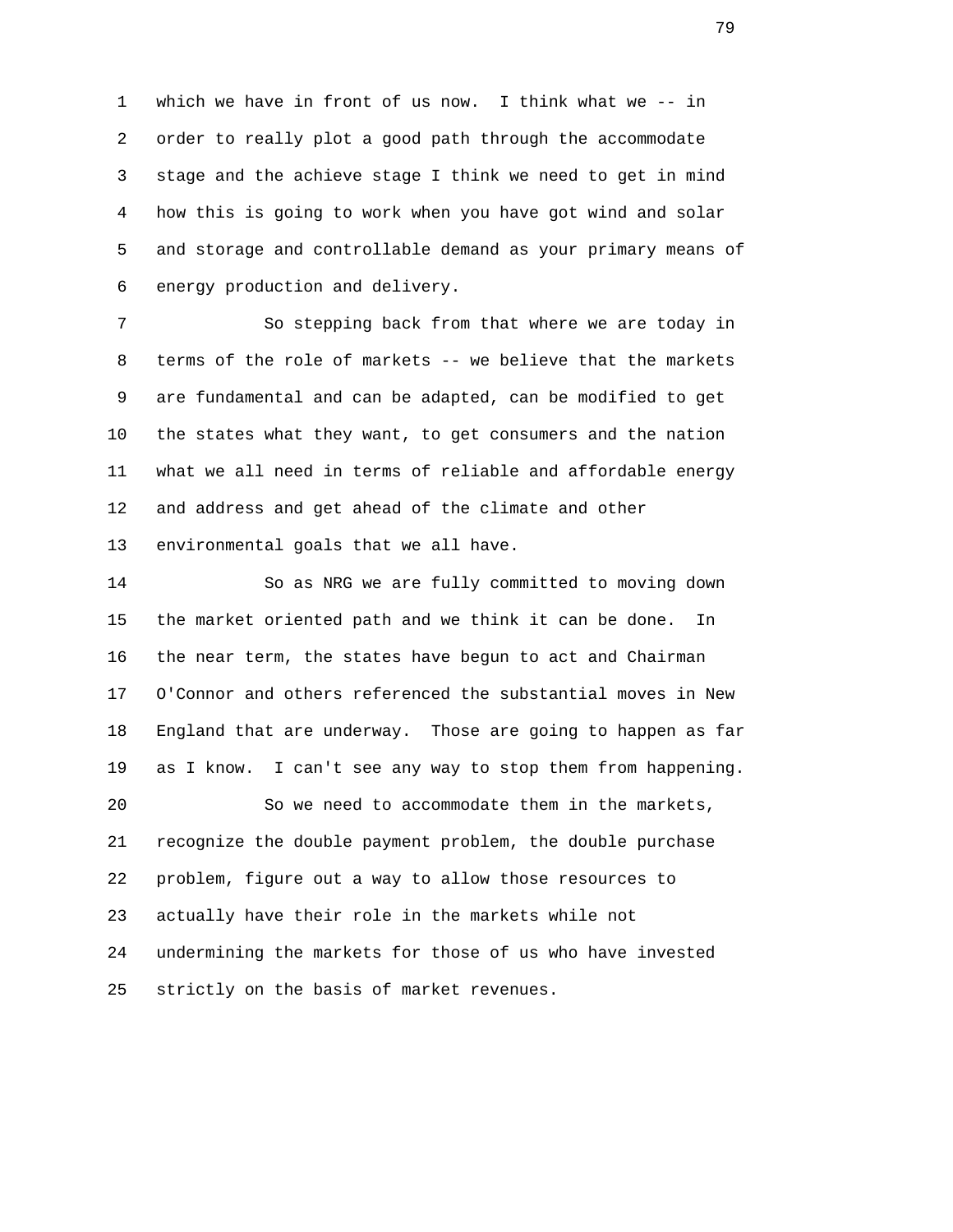1 which we have in front of us now. I think what we -- in 2 order to really plot a good path through the accommodate 3 stage and the achieve stage I think we need to get in mind 4 how this is going to work when you have got wind and solar 5 and storage and controllable demand as your primary means of 6 energy production and delivery.

 7 So stepping back from that where we are today in 8 terms of the role of markets -- we believe that the markets 9 are fundamental and can be adapted, can be modified to get 10 the states what they want, to get consumers and the nation 11 what we all need in terms of reliable and affordable energy 12 and address and get ahead of the climate and other 13 environmental goals that we all have.

 14 So as NRG we are fully committed to moving down 15 the market oriented path and we think it can be done. In 16 the near term, the states have begun to act and Chairman 17 O'Connor and others referenced the substantial moves in New 18 England that are underway. Those are going to happen as far 19 as I know. I can't see any way to stop them from happening. 20 So we need to accommodate them in the markets, 21 recognize the double payment problem, the double purchase 22 problem, figure out a way to allow those resources to 23 actually have their role in the markets while not 24 undermining the markets for those of us who have invested 25 strictly on the basis of market revenues.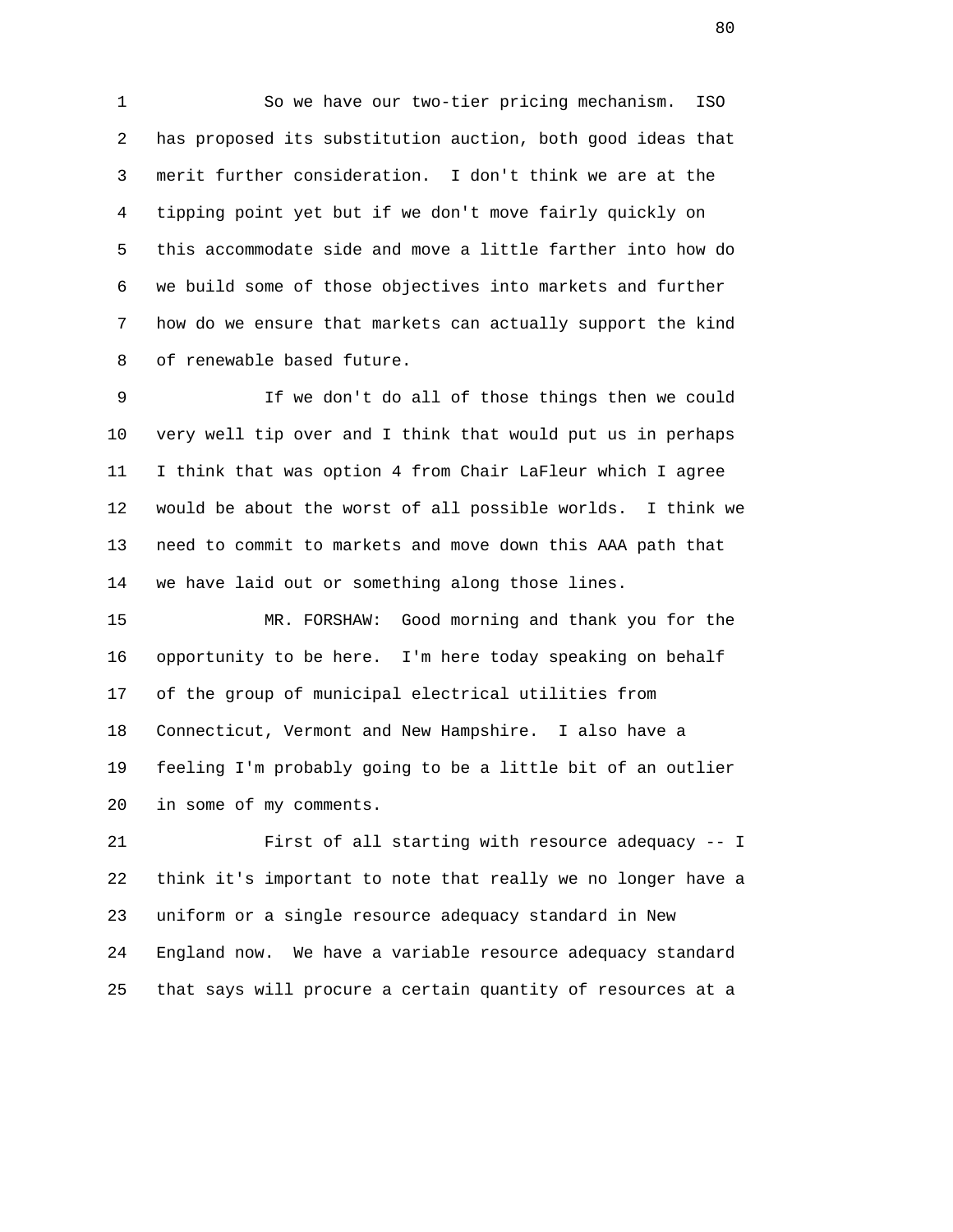1 So we have our two-tier pricing mechanism. ISO 2 has proposed its substitution auction, both good ideas that 3 merit further consideration. I don't think we are at the 4 tipping point yet but if we don't move fairly quickly on 5 this accommodate side and move a little farther into how do 6 we build some of those objectives into markets and further 7 how do we ensure that markets can actually support the kind 8 of renewable based future.

 9 If we don't do all of those things then we could 10 very well tip over and I think that would put us in perhaps 11 I think that was option 4 from Chair LaFleur which I agree 12 would be about the worst of all possible worlds. I think we 13 need to commit to markets and move down this AAA path that 14 we have laid out or something along those lines.

 15 MR. FORSHAW: Good morning and thank you for the 16 opportunity to be here. I'm here today speaking on behalf 17 of the group of municipal electrical utilities from 18 Connecticut, Vermont and New Hampshire. I also have a 19 feeling I'm probably going to be a little bit of an outlier 20 in some of my comments.

 21 First of all starting with resource adequacy -- I 22 think it's important to note that really we no longer have a 23 uniform or a single resource adequacy standard in New 24 England now. We have a variable resource adequacy standard 25 that says will procure a certain quantity of resources at a

en de la construction de la construction de la construction de la construction de la construction de la constr<br>De la construction de la construction de la construction de la construction de la construction de la construct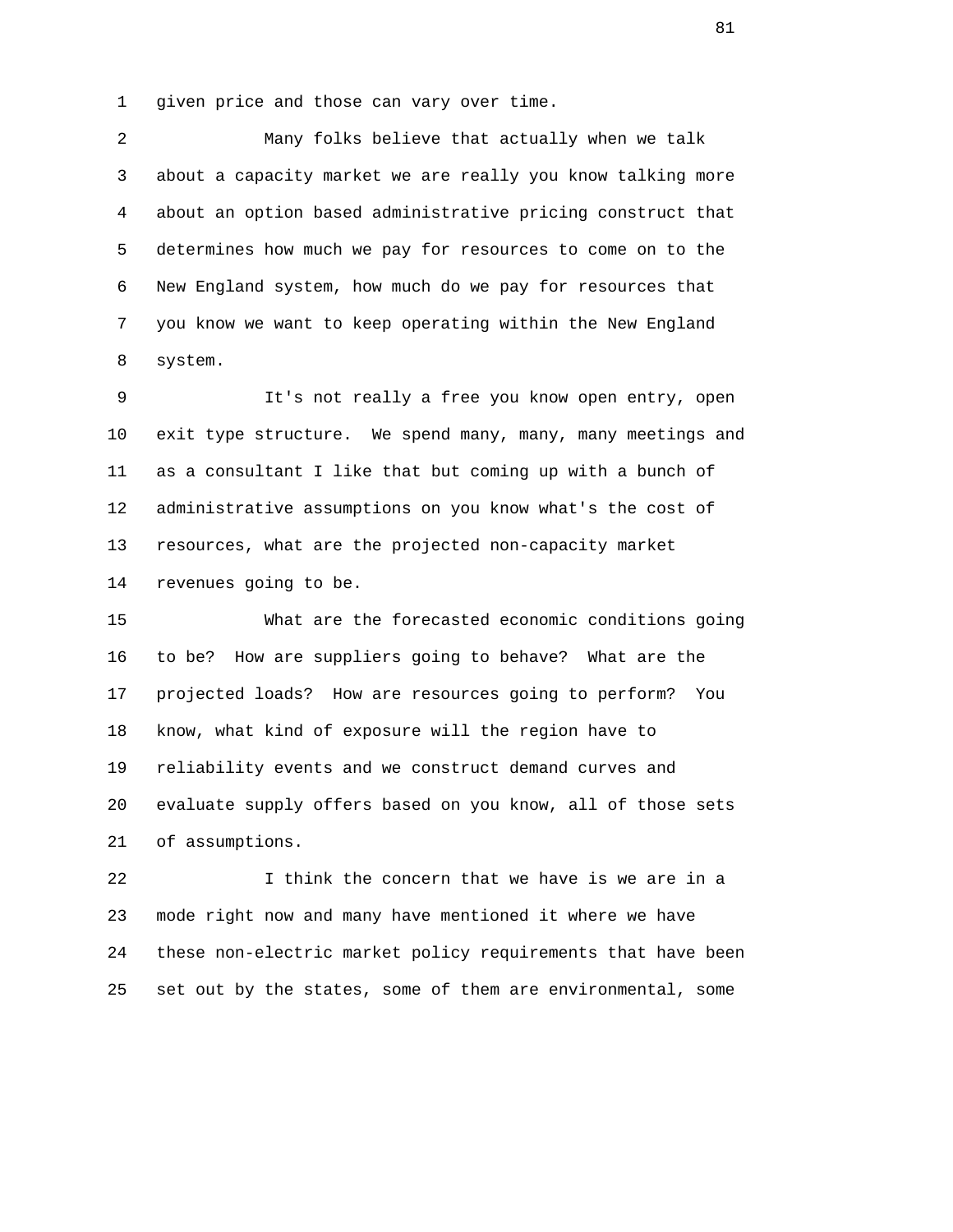1 given price and those can vary over time.

 2 Many folks believe that actually when we talk 3 about a capacity market we are really you know talking more 4 about an option based administrative pricing construct that 5 determines how much we pay for resources to come on to the 6 New England system, how much do we pay for resources that 7 you know we want to keep operating within the New England 8 system.

 9 It's not really a free you know open entry, open 10 exit type structure. We spend many, many, many meetings and 11 as a consultant I like that but coming up with a bunch of 12 administrative assumptions on you know what's the cost of 13 resources, what are the projected non-capacity market 14 revenues going to be.

 15 What are the forecasted economic conditions going 16 to be? How are suppliers going to behave? What are the 17 projected loads? How are resources going to perform? You 18 know, what kind of exposure will the region have to 19 reliability events and we construct demand curves and 20 evaluate supply offers based on you know, all of those sets 21 of assumptions.

 22 I think the concern that we have is we are in a 23 mode right now and many have mentioned it where we have 24 these non-electric market policy requirements that have been 25 set out by the states, some of them are environmental, some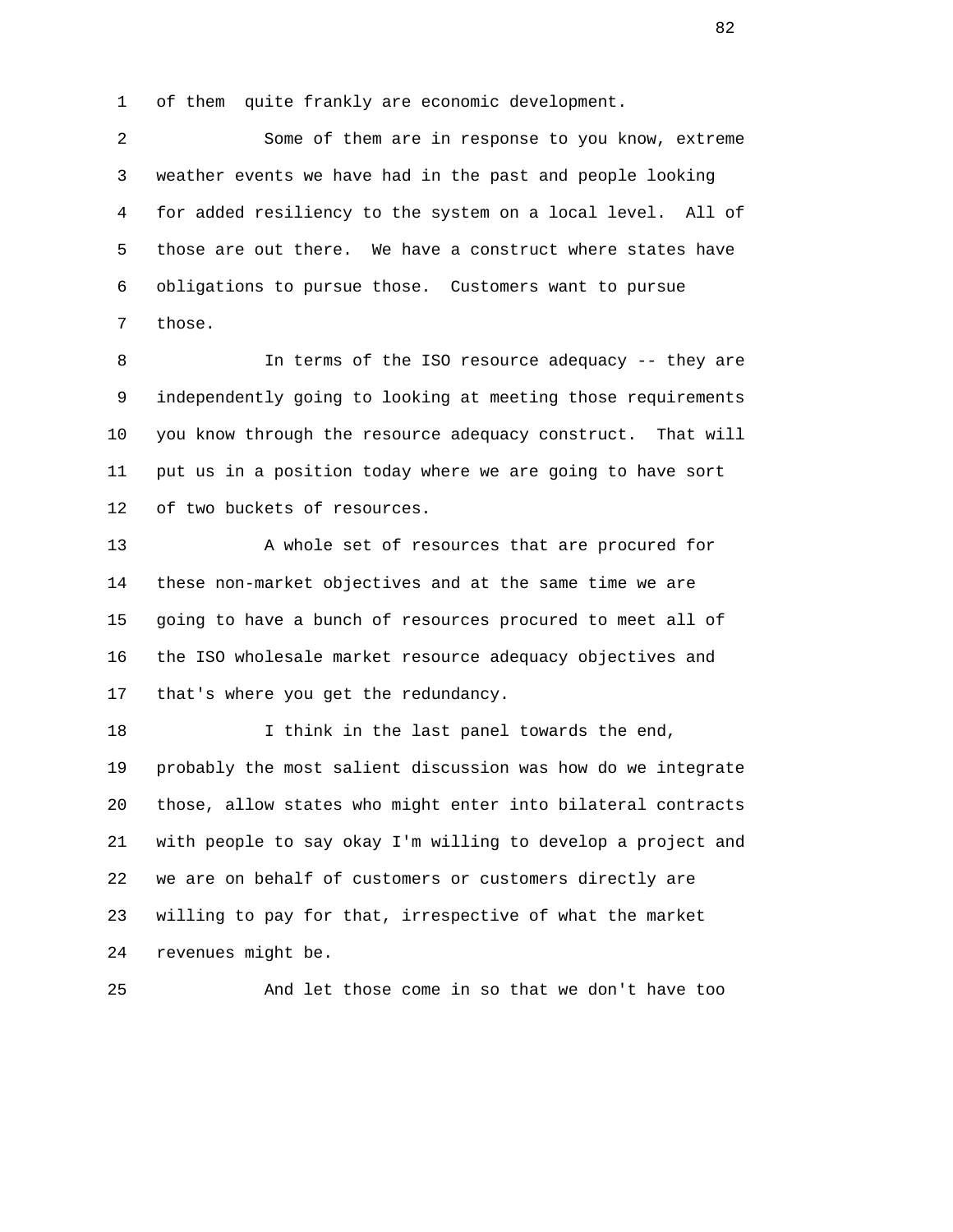1 of them quite frankly are economic development.

 2 Some of them are in response to you know, extreme 3 weather events we have had in the past and people looking 4 for added resiliency to the system on a local level. All of 5 those are out there. We have a construct where states have 6 obligations to pursue those. Customers want to pursue 7 those.

 8 In terms of the ISO resource adequacy -- they are 9 independently going to looking at meeting those requirements 10 you know through the resource adequacy construct. That will 11 put us in a position today where we are going to have sort 12 of two buckets of resources.

13 A whole set of resources that are procured for 14 these non-market objectives and at the same time we are 15 going to have a bunch of resources procured to meet all of 16 the ISO wholesale market resource adequacy objectives and 17 that's where you get the redundancy.

 18 I think in the last panel towards the end, 19 probably the most salient discussion was how do we integrate 20 those, allow states who might enter into bilateral contracts 21 with people to say okay I'm willing to develop a project and 22 we are on behalf of customers or customers directly are 23 willing to pay for that, irrespective of what the market 24 revenues might be.

25 And let those come in so that we don't have too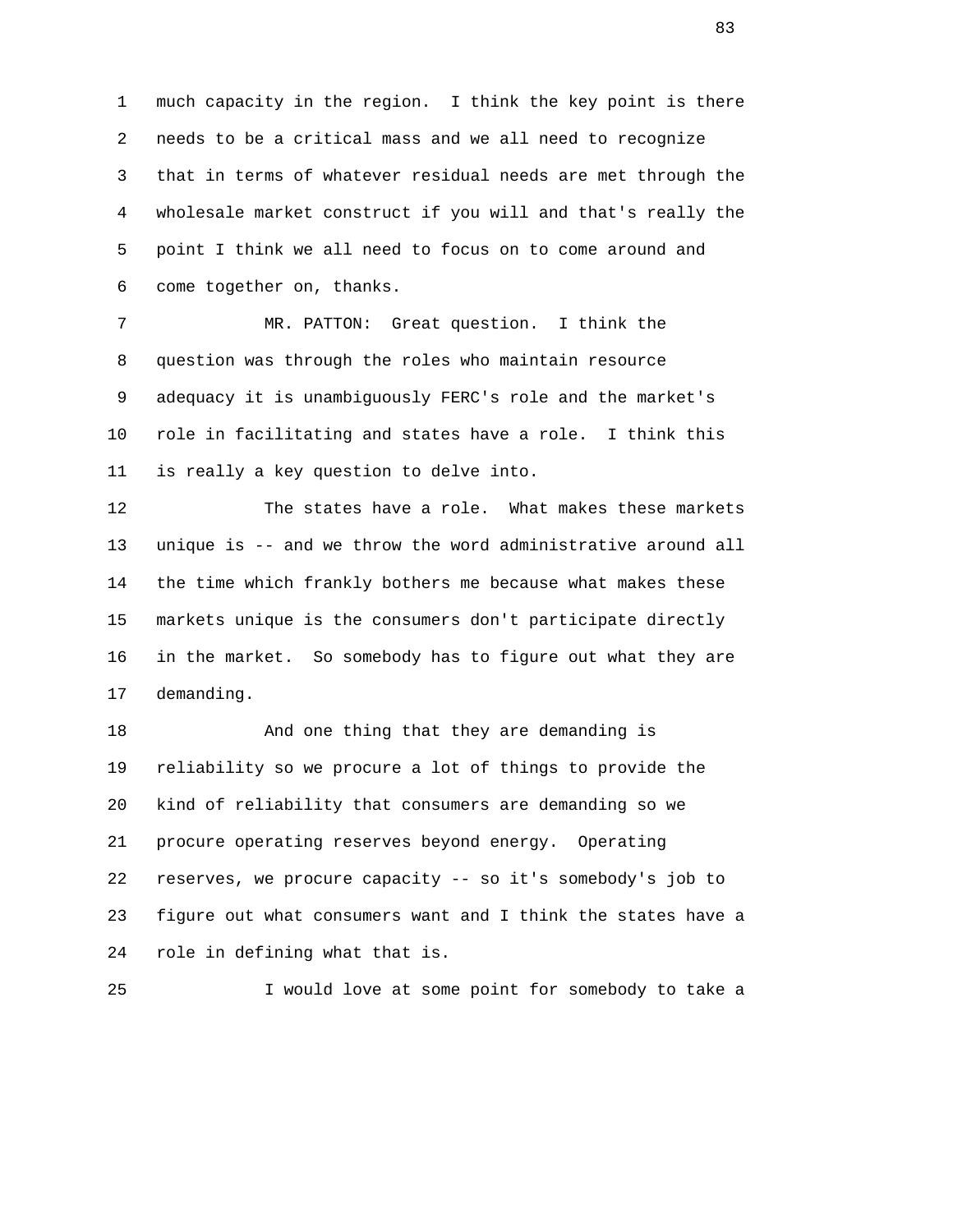1 much capacity in the region. I think the key point is there 2 needs to be a critical mass and we all need to recognize 3 that in terms of whatever residual needs are met through the 4 wholesale market construct if you will and that's really the 5 point I think we all need to focus on to come around and 6 come together on, thanks.

 7 MR. PATTON: Great question. I think the 8 question was through the roles who maintain resource 9 adequacy it is unambiguously FERC's role and the market's 10 role in facilitating and states have a role. I think this 11 is really a key question to delve into.

 12 The states have a role. What makes these markets 13 unique is -- and we throw the word administrative around all 14 the time which frankly bothers me because what makes these 15 markets unique is the consumers don't participate directly 16 in the market. So somebody has to figure out what they are 17 demanding.

 18 And one thing that they are demanding is 19 reliability so we procure a lot of things to provide the 20 kind of reliability that consumers are demanding so we 21 procure operating reserves beyond energy. Operating 22 reserves, we procure capacity -- so it's somebody's job to 23 figure out what consumers want and I think the states have a 24 role in defining what that is.

25 I would love at some point for somebody to take a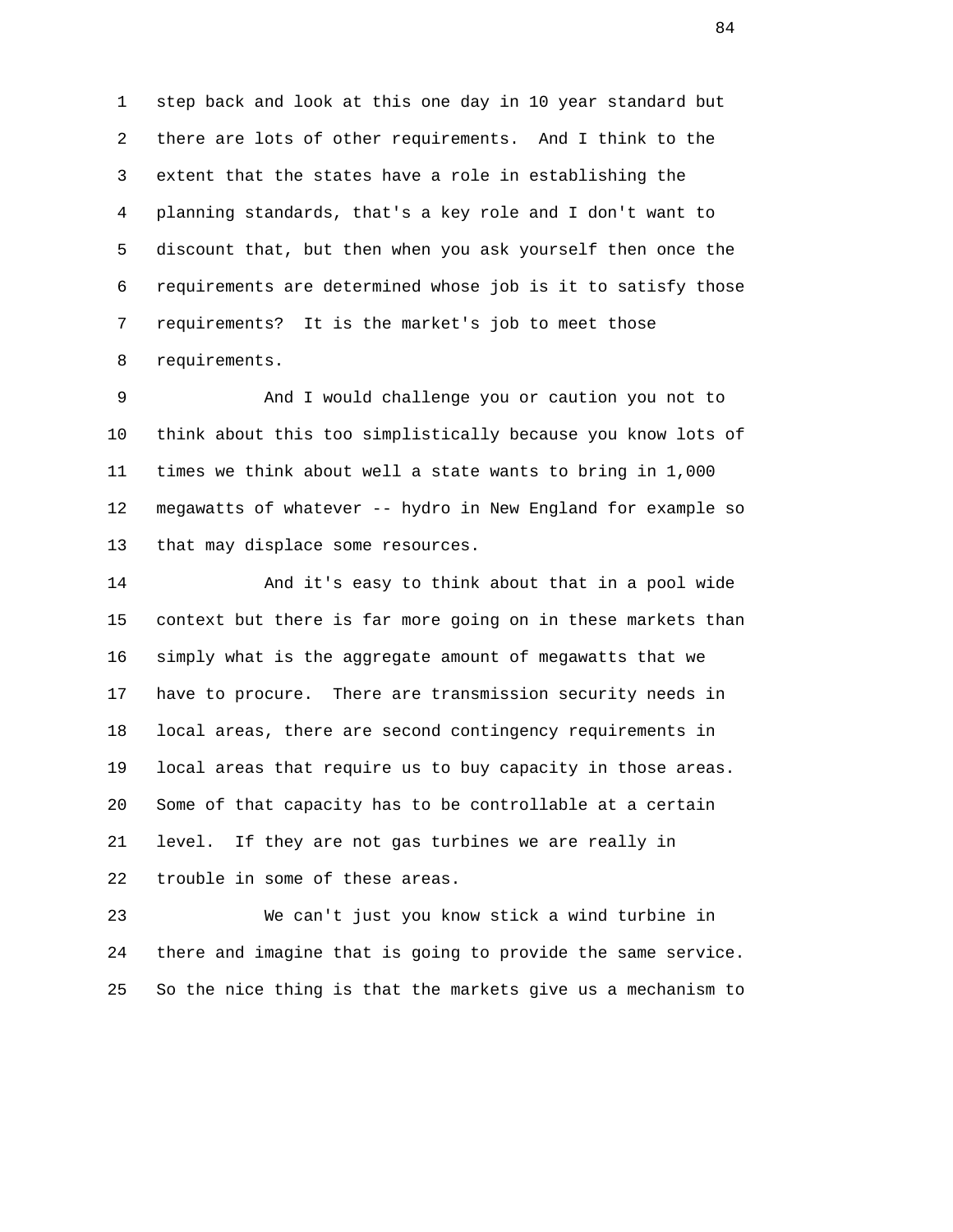1 step back and look at this one day in 10 year standard but 2 there are lots of other requirements. And I think to the 3 extent that the states have a role in establishing the 4 planning standards, that's a key role and I don't want to 5 discount that, but then when you ask yourself then once the 6 requirements are determined whose job is it to satisfy those 7 requirements? It is the market's job to meet those 8 requirements.

 9 And I would challenge you or caution you not to 10 think about this too simplistically because you know lots of 11 times we think about well a state wants to bring in 1,000 12 megawatts of whatever -- hydro in New England for example so 13 that may displace some resources.

 14 And it's easy to think about that in a pool wide 15 context but there is far more going on in these markets than 16 simply what is the aggregate amount of megawatts that we 17 have to procure. There are transmission security needs in 18 local areas, there are second contingency requirements in 19 local areas that require us to buy capacity in those areas. 20 Some of that capacity has to be controllable at a certain 21 level. If they are not gas turbines we are really in 22 trouble in some of these areas.

 23 We can't just you know stick a wind turbine in 24 there and imagine that is going to provide the same service. 25 So the nice thing is that the markets give us a mechanism to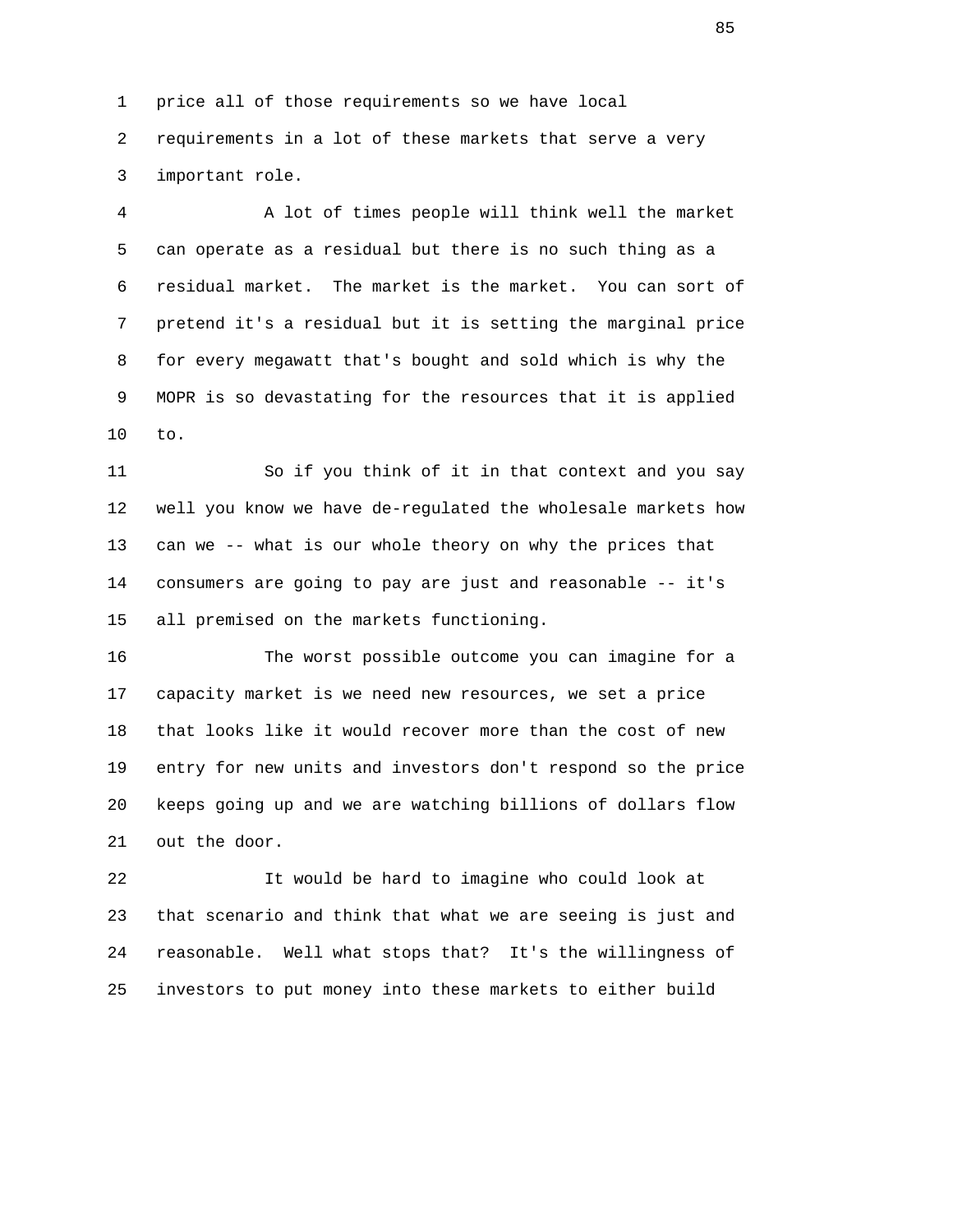1 price all of those requirements so we have local

 2 requirements in a lot of these markets that serve a very 3 important role.

 4 A lot of times people will think well the market 5 can operate as a residual but there is no such thing as a 6 residual market. The market is the market. You can sort of 7 pretend it's a residual but it is setting the marginal price 8 for every megawatt that's bought and sold which is why the 9 MOPR is so devastating for the resources that it is applied 10 to.

 11 So if you think of it in that context and you say 12 well you know we have de-regulated the wholesale markets how 13 can we -- what is our whole theory on why the prices that 14 consumers are going to pay are just and reasonable -- it's 15 all premised on the markets functioning.

 16 The worst possible outcome you can imagine for a 17 capacity market is we need new resources, we set a price 18 that looks like it would recover more than the cost of new 19 entry for new units and investors don't respond so the price 20 keeps going up and we are watching billions of dollars flow 21 out the door.

 22 It would be hard to imagine who could look at 23 that scenario and think that what we are seeing is just and 24 reasonable. Well what stops that? It's the willingness of 25 investors to put money into these markets to either build

en de la construction de la construction de la construction de la construction de la construction de la constr<br>De la construction de la construction de la construction de la construction de la construction de la construct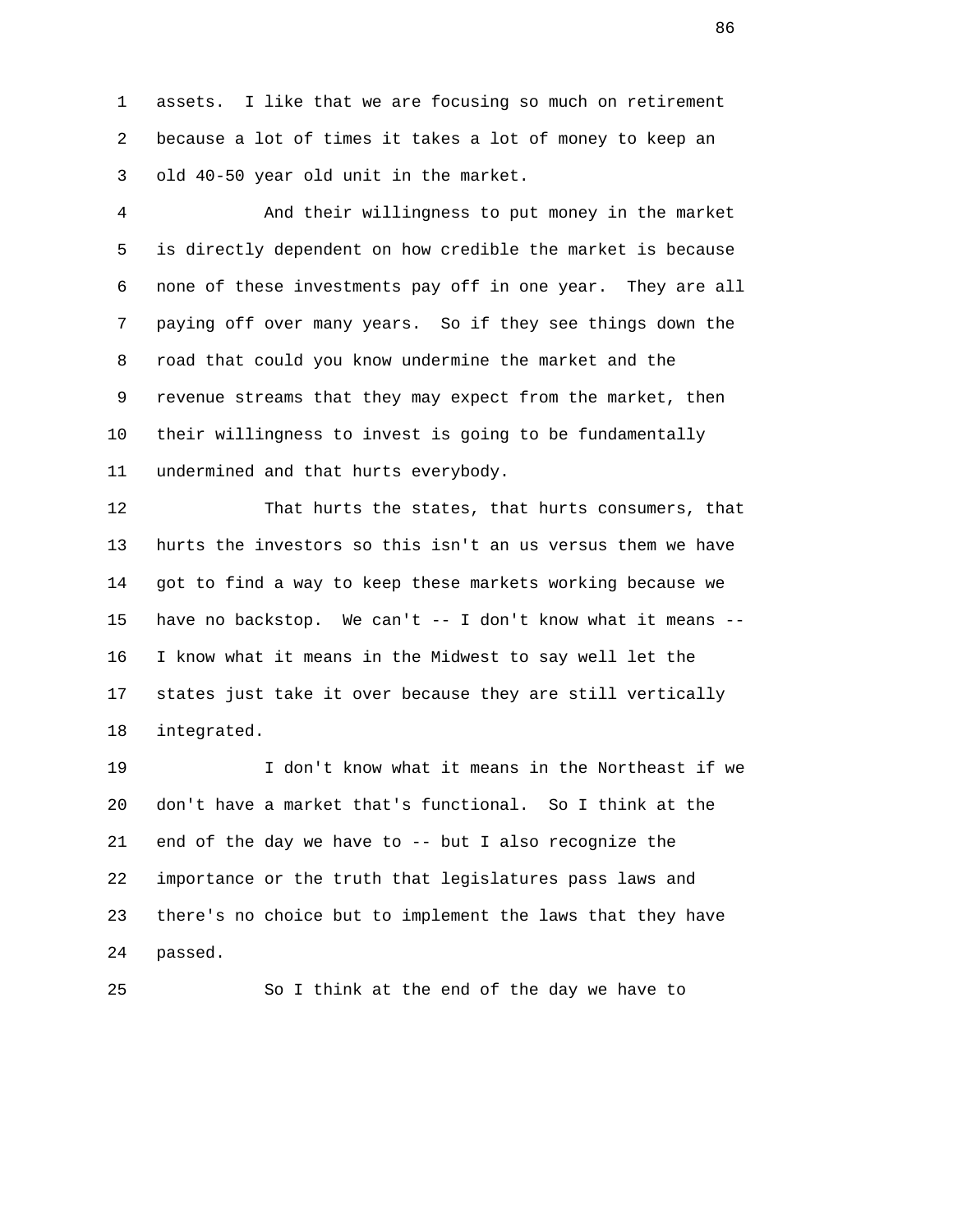1 assets. I like that we are focusing so much on retirement 2 because a lot of times it takes a lot of money to keep an 3 old 40-50 year old unit in the market.

 4 And their willingness to put money in the market 5 is directly dependent on how credible the market is because 6 none of these investments pay off in one year. They are all 7 paying off over many years. So if they see things down the 8 road that could you know undermine the market and the 9 revenue streams that they may expect from the market, then 10 their willingness to invest is going to be fundamentally 11 undermined and that hurts everybody.

 12 That hurts the states, that hurts consumers, that 13 hurts the investors so this isn't an us versus them we have 14 got to find a way to keep these markets working because we 15 have no backstop. We can't -- I don't know what it means -- 16 I know what it means in the Midwest to say well let the 17 states just take it over because they are still vertically 18 integrated.

 19 I don't know what it means in the Northeast if we 20 don't have a market that's functional. So I think at the 21 end of the day we have to -- but I also recognize the 22 importance or the truth that legislatures pass laws and 23 there's no choice but to implement the laws that they have 24 passed.

25 So I think at the end of the day we have to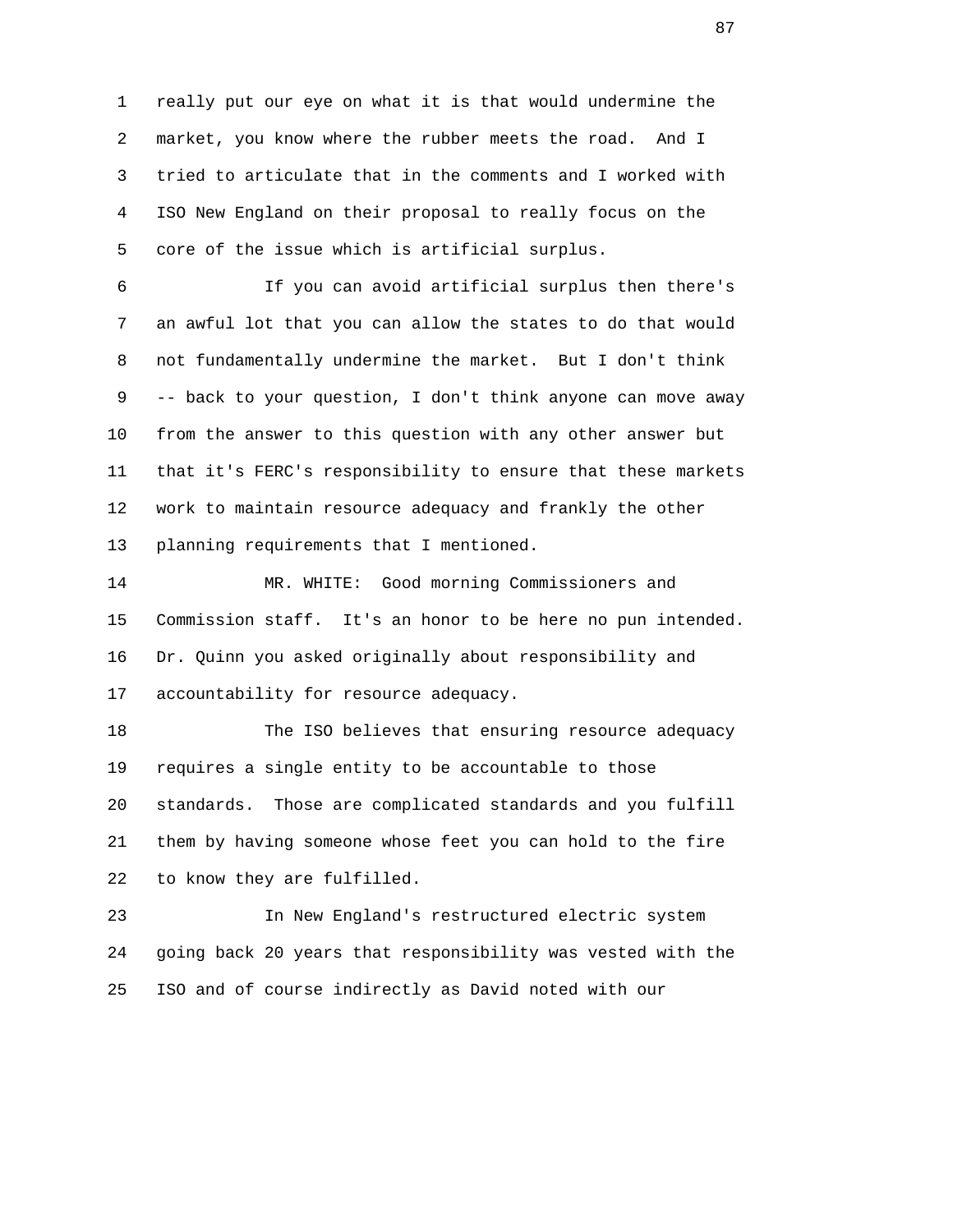1 really put our eye on what it is that would undermine the 2 market, you know where the rubber meets the road. And I 3 tried to articulate that in the comments and I worked with 4 ISO New England on their proposal to really focus on the 5 core of the issue which is artificial surplus.

 6 If you can avoid artificial surplus then there's 7 an awful lot that you can allow the states to do that would 8 not fundamentally undermine the market. But I don't think 9 -- back to your question, I don't think anyone can move away 10 from the answer to this question with any other answer but 11 that it's FERC's responsibility to ensure that these markets 12 work to maintain resource adequacy and frankly the other 13 planning requirements that I mentioned.

 14 MR. WHITE: Good morning Commissioners and 15 Commission staff. It's an honor to be here no pun intended. 16 Dr. Quinn you asked originally about responsibility and 17 accountability for resource adequacy.

 18 The ISO believes that ensuring resource adequacy 19 requires a single entity to be accountable to those 20 standards. Those are complicated standards and you fulfill 21 them by having someone whose feet you can hold to the fire 22 to know they are fulfilled.

 23 In New England's restructured electric system 24 going back 20 years that responsibility was vested with the 25 ISO and of course indirectly as David noted with our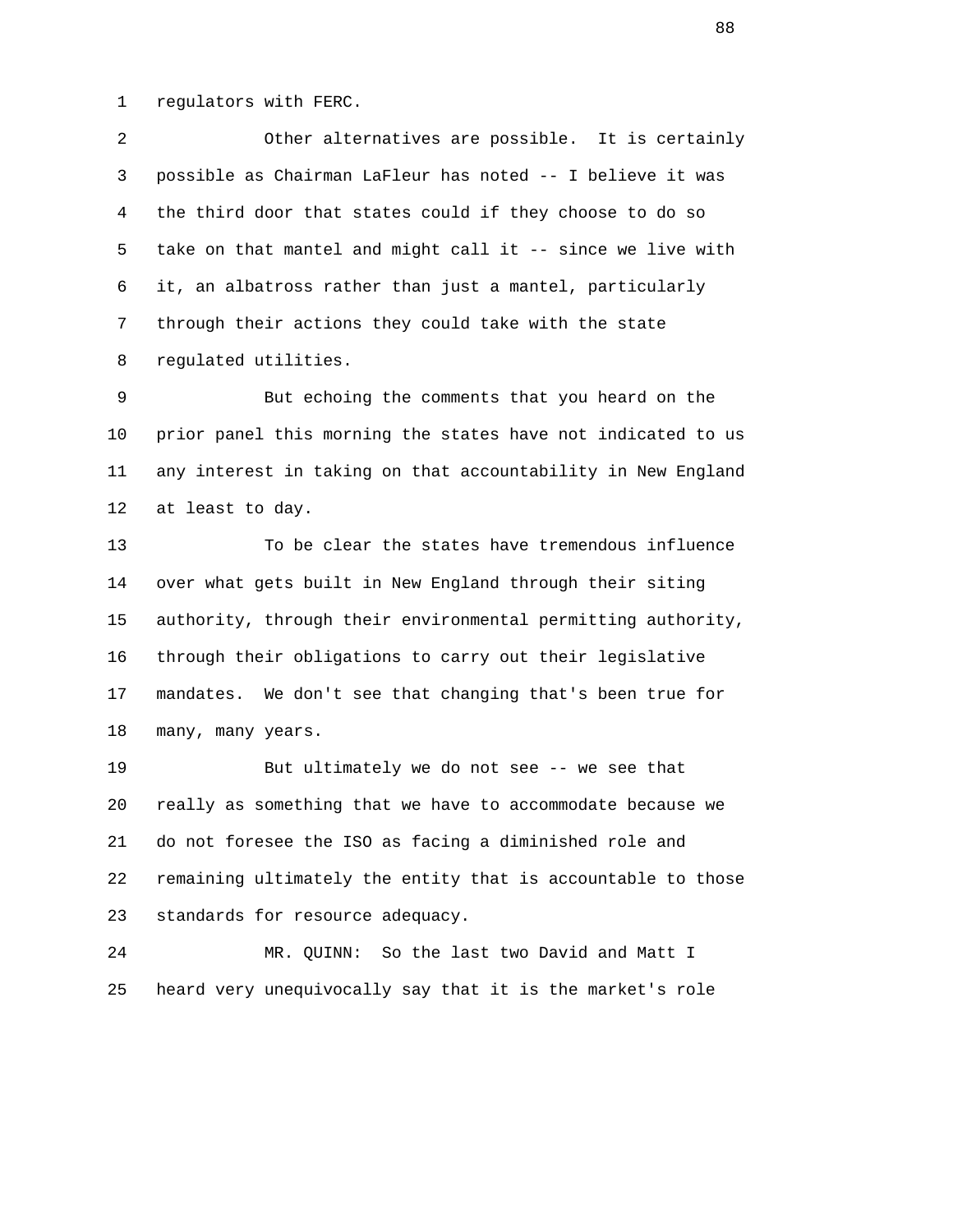1 regulators with FERC.

 2 Other alternatives are possible. It is certainly 3 possible as Chairman LaFleur has noted -- I believe it was 4 the third door that states could if they choose to do so 5 take on that mantel and might call it -- since we live with 6 it, an albatross rather than just a mantel, particularly 7 through their actions they could take with the state 8 regulated utilities.

 9 But echoing the comments that you heard on the 10 prior panel this morning the states have not indicated to us 11 any interest in taking on that accountability in New England 12 at least to day.

 13 To be clear the states have tremendous influence 14 over what gets built in New England through their siting 15 authority, through their environmental permitting authority, 16 through their obligations to carry out their legislative 17 mandates. We don't see that changing that's been true for 18 many, many years.

 19 But ultimately we do not see -- we see that 20 really as something that we have to accommodate because we 21 do not foresee the ISO as facing a diminished role and 22 remaining ultimately the entity that is accountable to those 23 standards for resource adequacy.

 24 MR. QUINN: So the last two David and Matt I 25 heard very unequivocally say that it is the market's role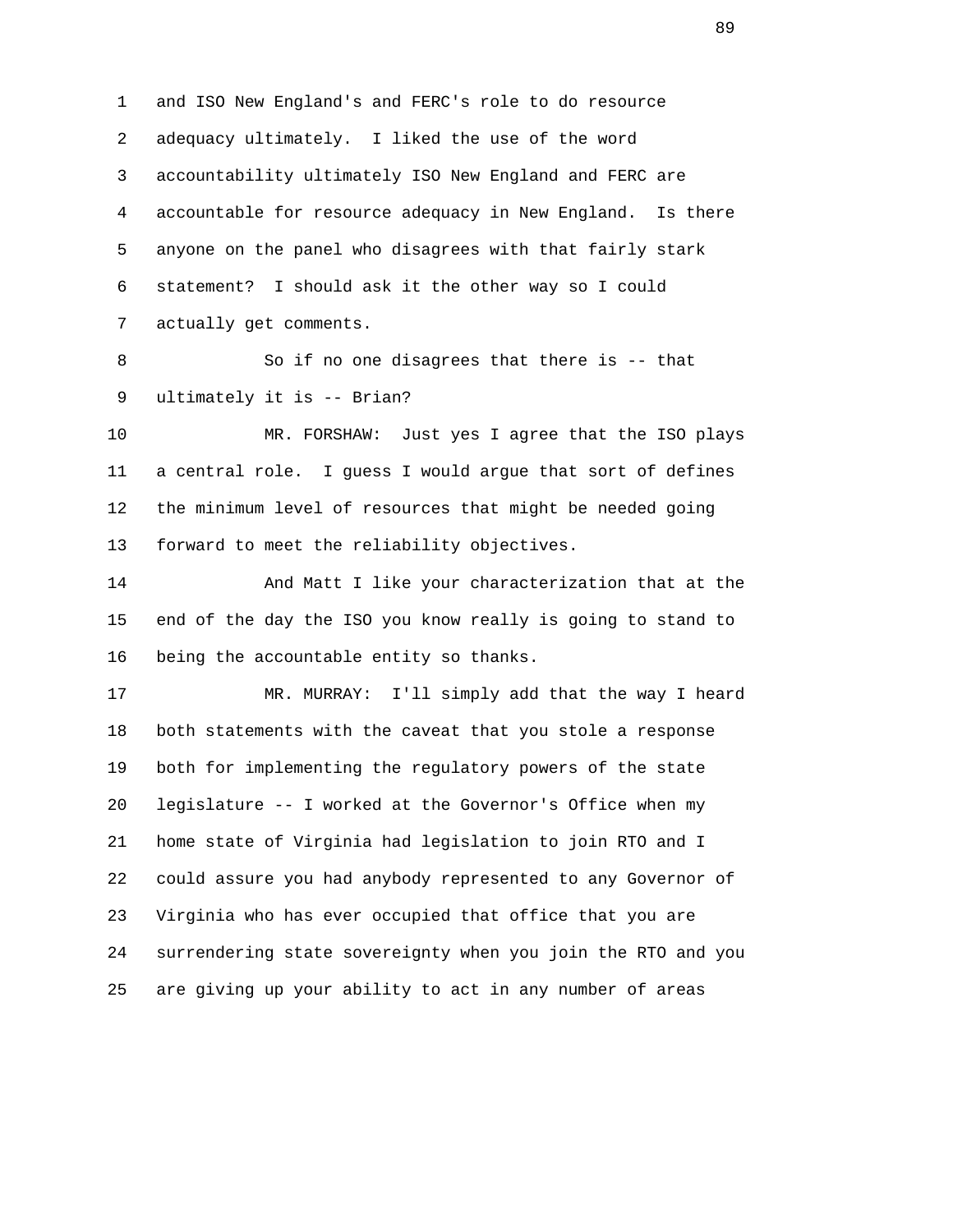1 and ISO New England's and FERC's role to do resource 2 adequacy ultimately. I liked the use of the word 3 accountability ultimately ISO New England and FERC are 4 accountable for resource adequacy in New England. Is there 5 anyone on the panel who disagrees with that fairly stark 6 statement? I should ask it the other way so I could 7 actually get comments.

 8 So if no one disagrees that there is -- that 9 ultimately it is -- Brian?

 10 MR. FORSHAW: Just yes I agree that the ISO plays 11 a central role. I guess I would argue that sort of defines 12 the minimum level of resources that might be needed going 13 forward to meet the reliability objectives.

 14 And Matt I like your characterization that at the 15 end of the day the ISO you know really is going to stand to 16 being the accountable entity so thanks.

 17 MR. MURRAY: I'll simply add that the way I heard 18 both statements with the caveat that you stole a response 19 both for implementing the regulatory powers of the state 20 legislature -- I worked at the Governor's Office when my 21 home state of Virginia had legislation to join RTO and I 22 could assure you had anybody represented to any Governor of 23 Virginia who has ever occupied that office that you are 24 surrendering state sovereignty when you join the RTO and you 25 are giving up your ability to act in any number of areas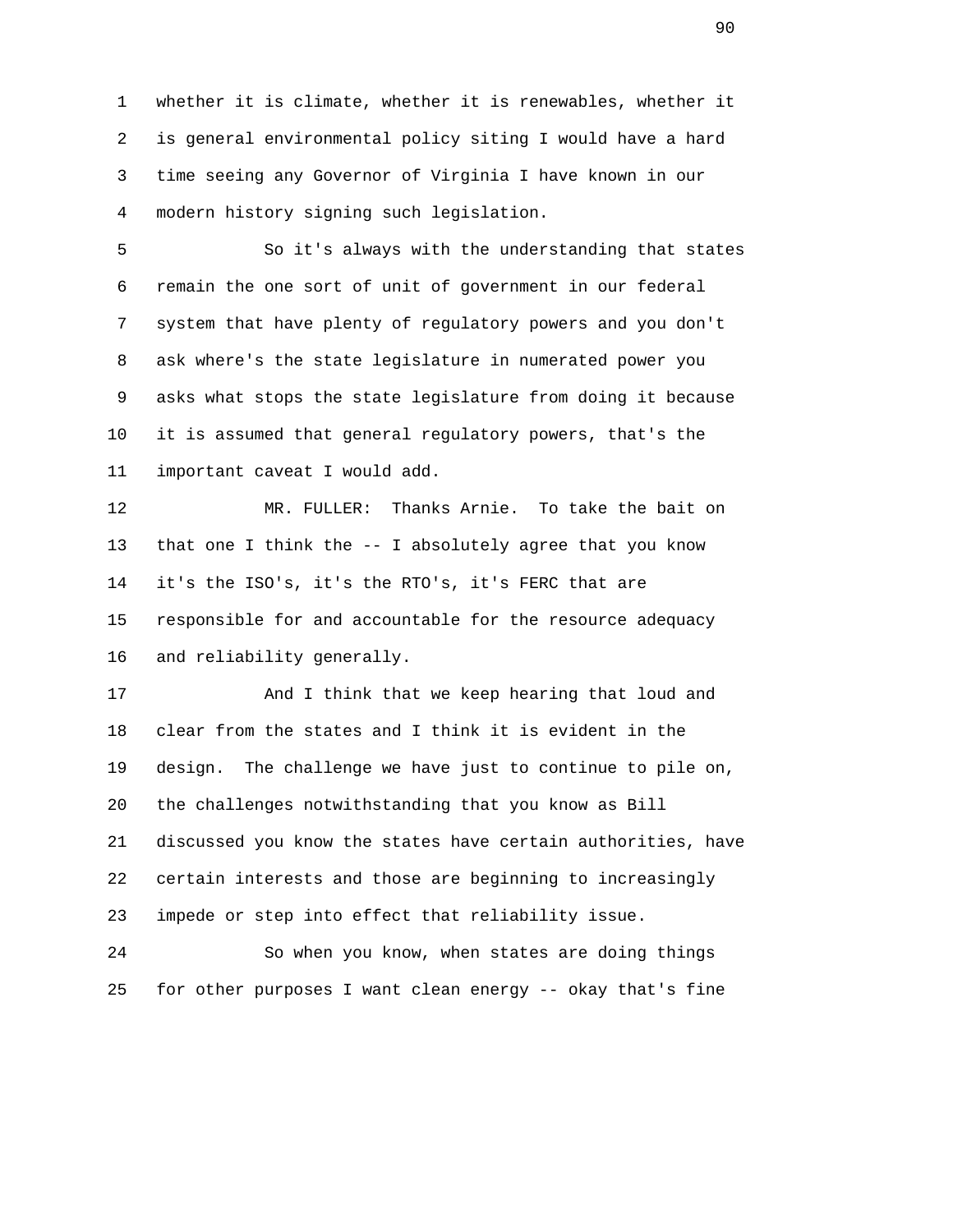1 whether it is climate, whether it is renewables, whether it 2 is general environmental policy siting I would have a hard 3 time seeing any Governor of Virginia I have known in our 4 modern history signing such legislation.

 5 So it's always with the understanding that states 6 remain the one sort of unit of government in our federal 7 system that have plenty of regulatory powers and you don't 8 ask where's the state legislature in numerated power you 9 asks what stops the state legislature from doing it because 10 it is assumed that general regulatory powers, that's the 11 important caveat I would add.

 12 MR. FULLER: Thanks Arnie. To take the bait on 13 that one I think the -- I absolutely agree that you know 14 it's the ISO's, it's the RTO's, it's FERC that are 15 responsible for and accountable for the resource adequacy 16 and reliability generally.

 17 And I think that we keep hearing that loud and 18 clear from the states and I think it is evident in the 19 design. The challenge we have just to continue to pile on, 20 the challenges notwithstanding that you know as Bill 21 discussed you know the states have certain authorities, have 22 certain interests and those are beginning to increasingly 23 impede or step into effect that reliability issue.

 24 So when you know, when states are doing things 25 for other purposes I want clean energy -- okay that's fine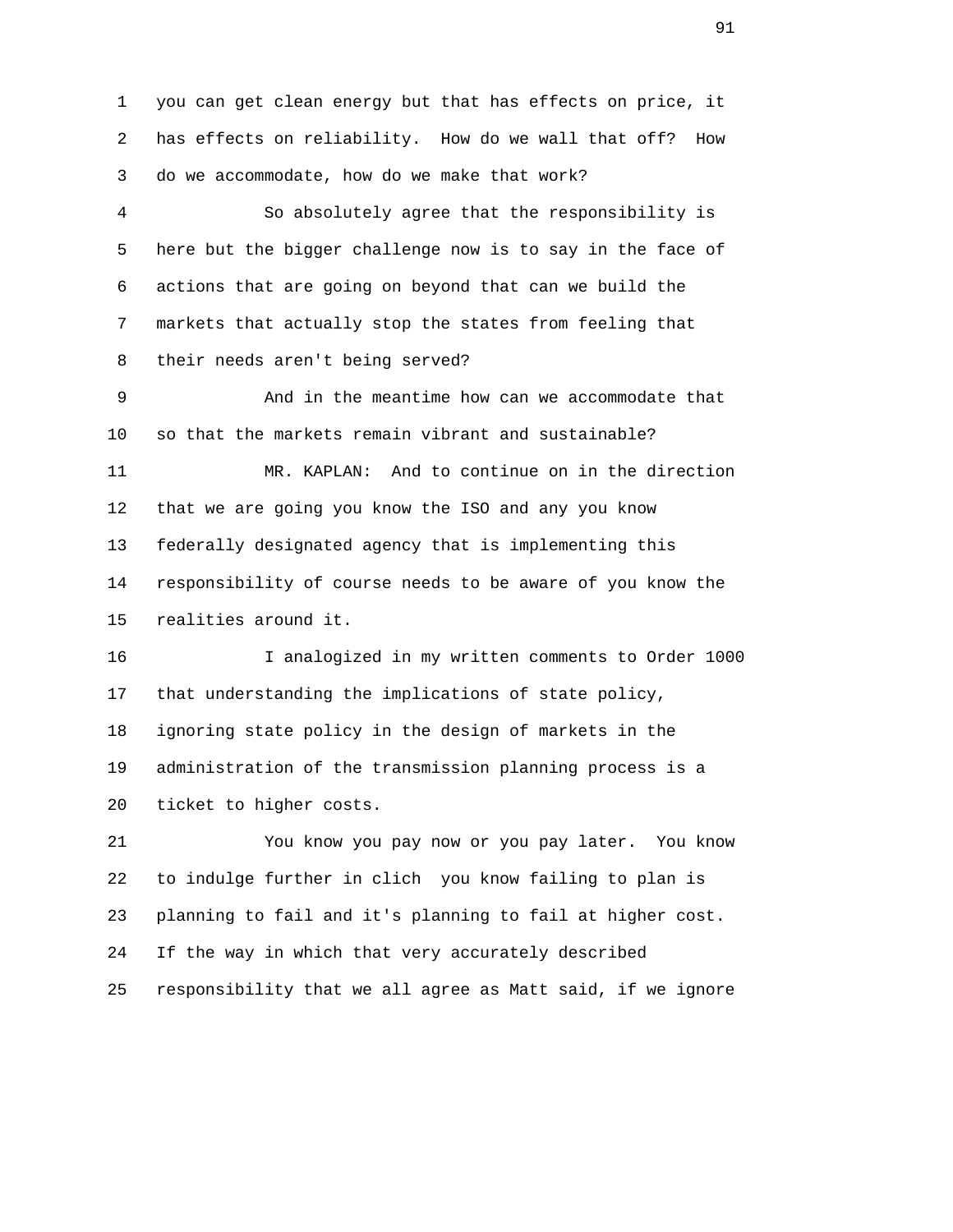1 you can get clean energy but that has effects on price, it 2 has effects on reliability. How do we wall that off? How 3 do we accommodate, how do we make that work?

 4 So absolutely agree that the responsibility is 5 here but the bigger challenge now is to say in the face of 6 actions that are going on beyond that can we build the 7 markets that actually stop the states from feeling that 8 their needs aren't being served?

 9 And in the meantime how can we accommodate that 10 so that the markets remain vibrant and sustainable?

 11 MR. KAPLAN: And to continue on in the direction 12 that we are going you know the ISO and any you know 13 federally designated agency that is implementing this 14 responsibility of course needs to be aware of you know the 15 realities around it.

 16 I analogized in my written comments to Order 1000 17 that understanding the implications of state policy, 18 ignoring state policy in the design of markets in the 19 administration of the transmission planning process is a 20 ticket to higher costs.

 21 You know you pay now or you pay later. You know 22 to indulge further in clich you know failing to plan is 23 planning to fail and it's planning to fail at higher cost. 24 If the way in which that very accurately described 25 responsibility that we all agree as Matt said, if we ignore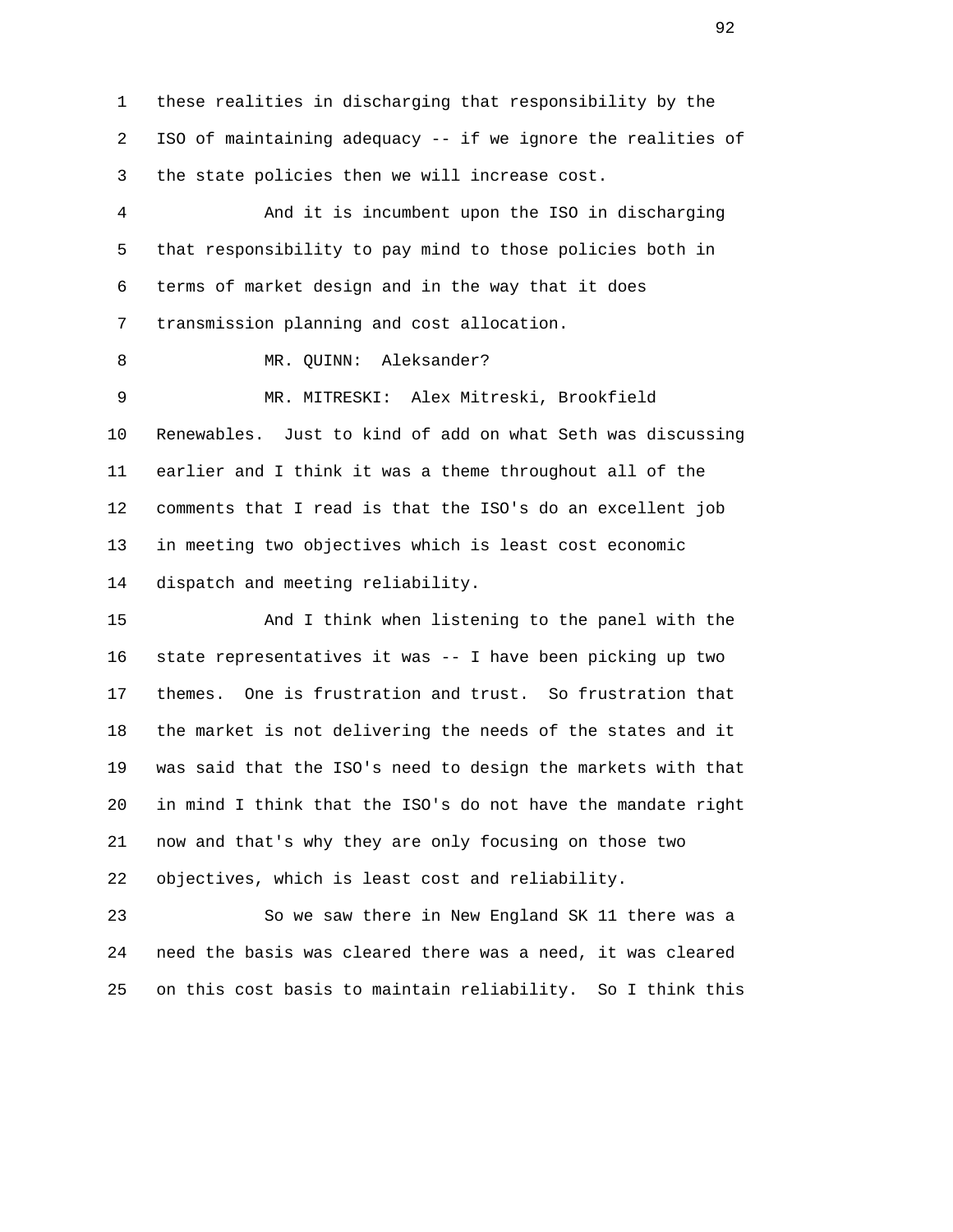1 these realities in discharging that responsibility by the 2 ISO of maintaining adequacy -- if we ignore the realities of 3 the state policies then we will increase cost.

 4 And it is incumbent upon the ISO in discharging 5 that responsibility to pay mind to those policies both in 6 terms of market design and in the way that it does 7 transmission planning and cost allocation.

8 MR. QUINN: Aleksander?

 9 MR. MITRESKI: Alex Mitreski, Brookfield 10 Renewables. Just to kind of add on what Seth was discussing 11 earlier and I think it was a theme throughout all of the 12 comments that I read is that the ISO's do an excellent job 13 in meeting two objectives which is least cost economic 14 dispatch and meeting reliability.

 15 And I think when listening to the panel with the 16 state representatives it was -- I have been picking up two 17 themes. One is frustration and trust. So frustration that 18 the market is not delivering the needs of the states and it 19 was said that the ISO's need to design the markets with that 20 in mind I think that the ISO's do not have the mandate right 21 now and that's why they are only focusing on those two 22 objectives, which is least cost and reliability.

 23 So we saw there in New England SK 11 there was a 24 need the basis was cleared there was a need, it was cleared 25 on this cost basis to maintain reliability. So I think this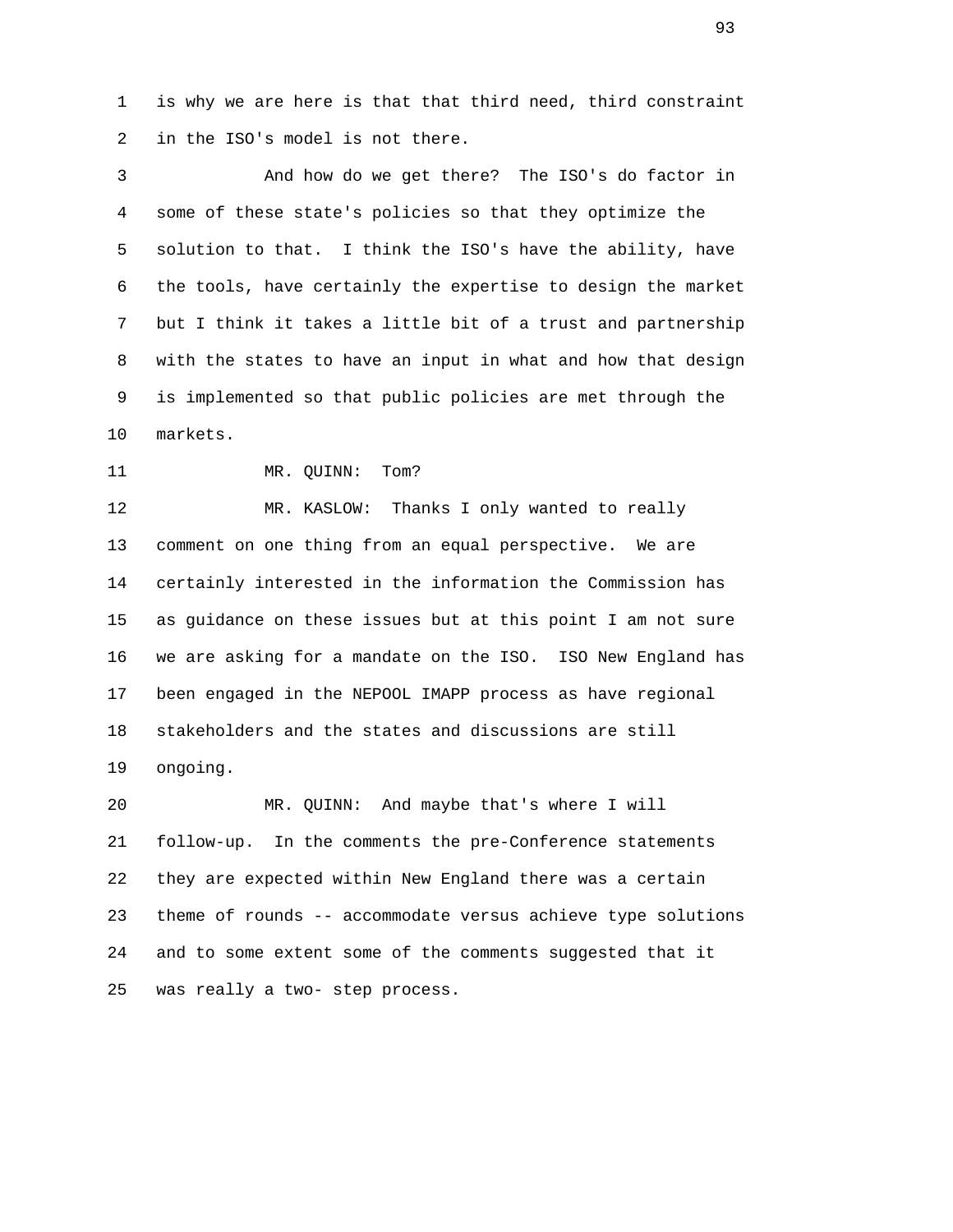1 is why we are here is that that third need, third constraint 2 in the ISO's model is not there.

 3 And how do we get there? The ISO's do factor in 4 some of these state's policies so that they optimize the 5 solution to that. I think the ISO's have the ability, have 6 the tools, have certainly the expertise to design the market 7 but I think it takes a little bit of a trust and partnership 8 with the states to have an input in what and how that design 9 is implemented so that public policies are met through the 10 markets.

11 MR. QUINN: Tom?

 12 MR. KASLOW: Thanks I only wanted to really 13 comment on one thing from an equal perspective. We are 14 certainly interested in the information the Commission has 15 as guidance on these issues but at this point I am not sure 16 we are asking for a mandate on the ISO. ISO New England has 17 been engaged in the NEPOOL IMAPP process as have regional 18 stakeholders and the states and discussions are still 19 ongoing.

 20 MR. QUINN: And maybe that's where I will 21 follow-up. In the comments the pre-Conference statements 22 they are expected within New England there was a certain 23 theme of rounds -- accommodate versus achieve type solutions 24 and to some extent some of the comments suggested that it 25 was really a two- step process.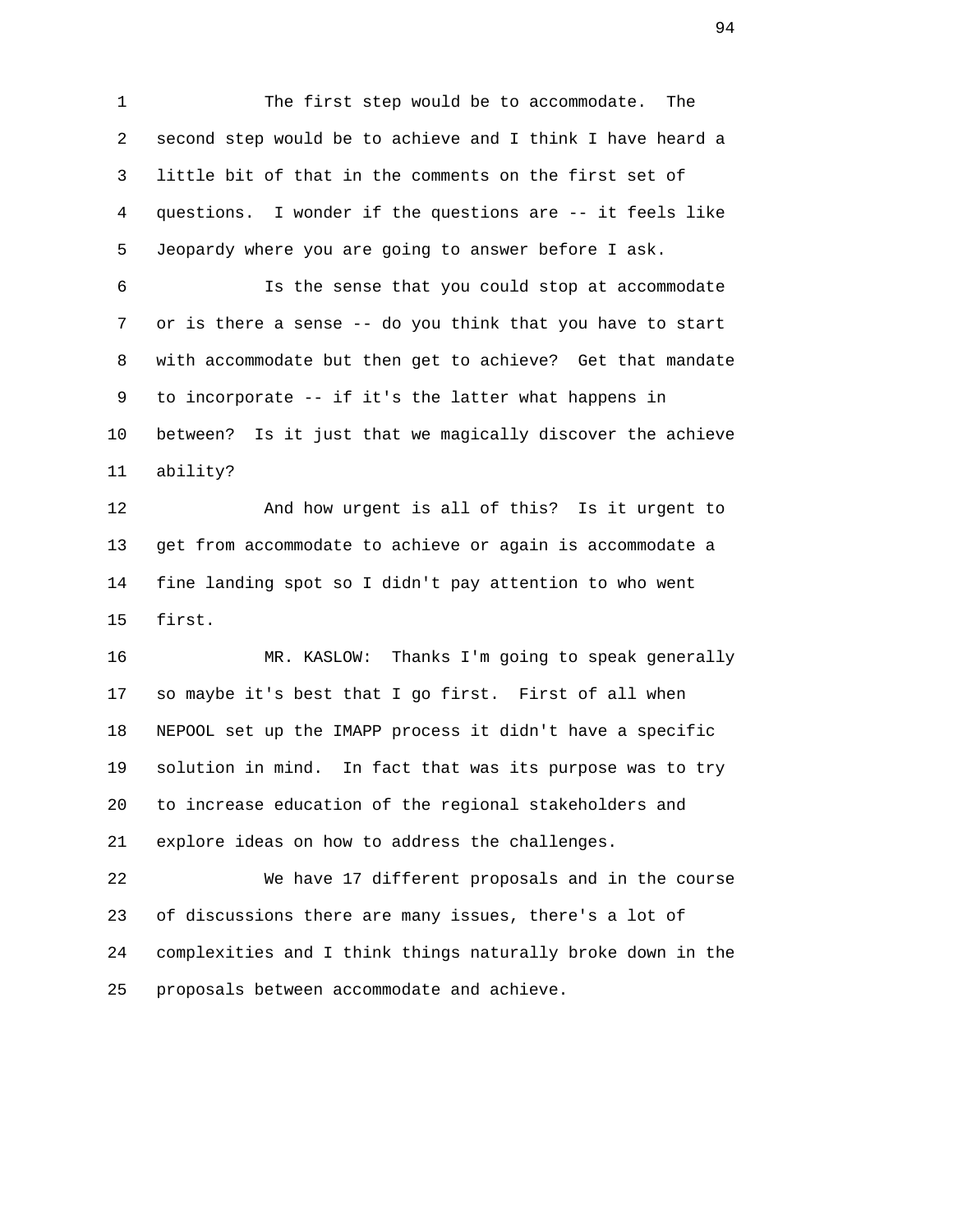1 The first step would be to accommodate. The 2 second step would be to achieve and I think I have heard a 3 little bit of that in the comments on the first set of 4 questions. I wonder if the questions are -- it feels like 5 Jeopardy where you are going to answer before I ask.

 6 Is the sense that you could stop at accommodate 7 or is there a sense -- do you think that you have to start 8 with accommodate but then get to achieve? Get that mandate 9 to incorporate -- if it's the latter what happens in 10 between? Is it just that we magically discover the achieve 11 ability?

 12 And how urgent is all of this? Is it urgent to 13 get from accommodate to achieve or again is accommodate a 14 fine landing spot so I didn't pay attention to who went 15 first.

 16 MR. KASLOW: Thanks I'm going to speak generally 17 so maybe it's best that I go first. First of all when 18 NEPOOL set up the IMAPP process it didn't have a specific 19 solution in mind. In fact that was its purpose was to try 20 to increase education of the regional stakeholders and 21 explore ideas on how to address the challenges.

 22 We have 17 different proposals and in the course 23 of discussions there are many issues, there's a lot of 24 complexities and I think things naturally broke down in the 25 proposals between accommodate and achieve.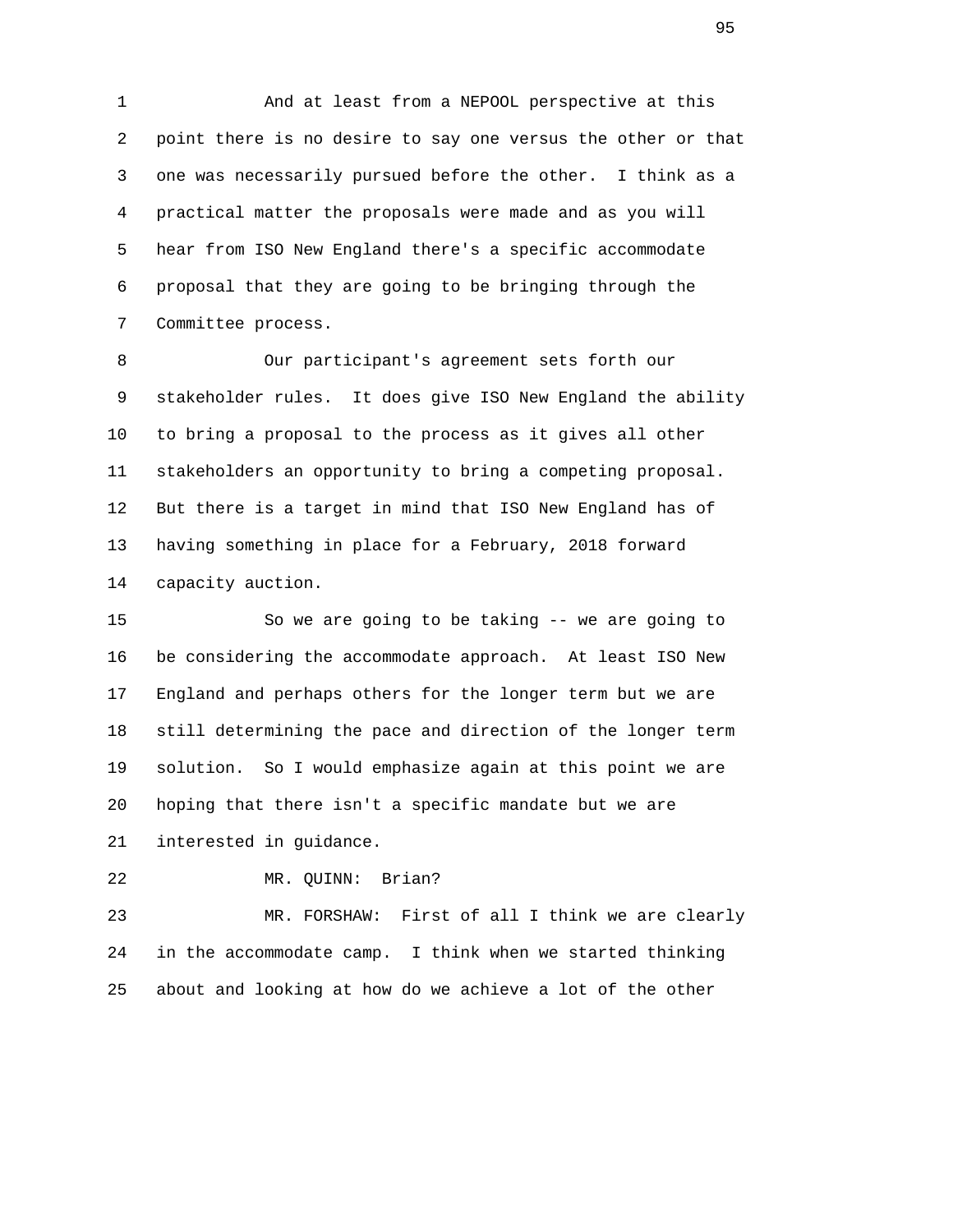1 And at least from a NEPOOL perspective at this 2 point there is no desire to say one versus the other or that 3 one was necessarily pursued before the other. I think as a 4 practical matter the proposals were made and as you will 5 hear from ISO New England there's a specific accommodate 6 proposal that they are going to be bringing through the 7 Committee process.

 8 Our participant's agreement sets forth our 9 stakeholder rules. It does give ISO New England the ability 10 to bring a proposal to the process as it gives all other 11 stakeholders an opportunity to bring a competing proposal. 12 But there is a target in mind that ISO New England has of 13 having something in place for a February, 2018 forward 14 capacity auction.

 15 So we are going to be taking -- we are going to 16 be considering the accommodate approach. At least ISO New 17 England and perhaps others for the longer term but we are 18 still determining the pace and direction of the longer term 19 solution. So I would emphasize again at this point we are 20 hoping that there isn't a specific mandate but we are

21 interested in guidance.

22 MR. QUINN: Brian?

 23 MR. FORSHAW: First of all I think we are clearly 24 in the accommodate camp. I think when we started thinking 25 about and looking at how do we achieve a lot of the other

 $\sim$  95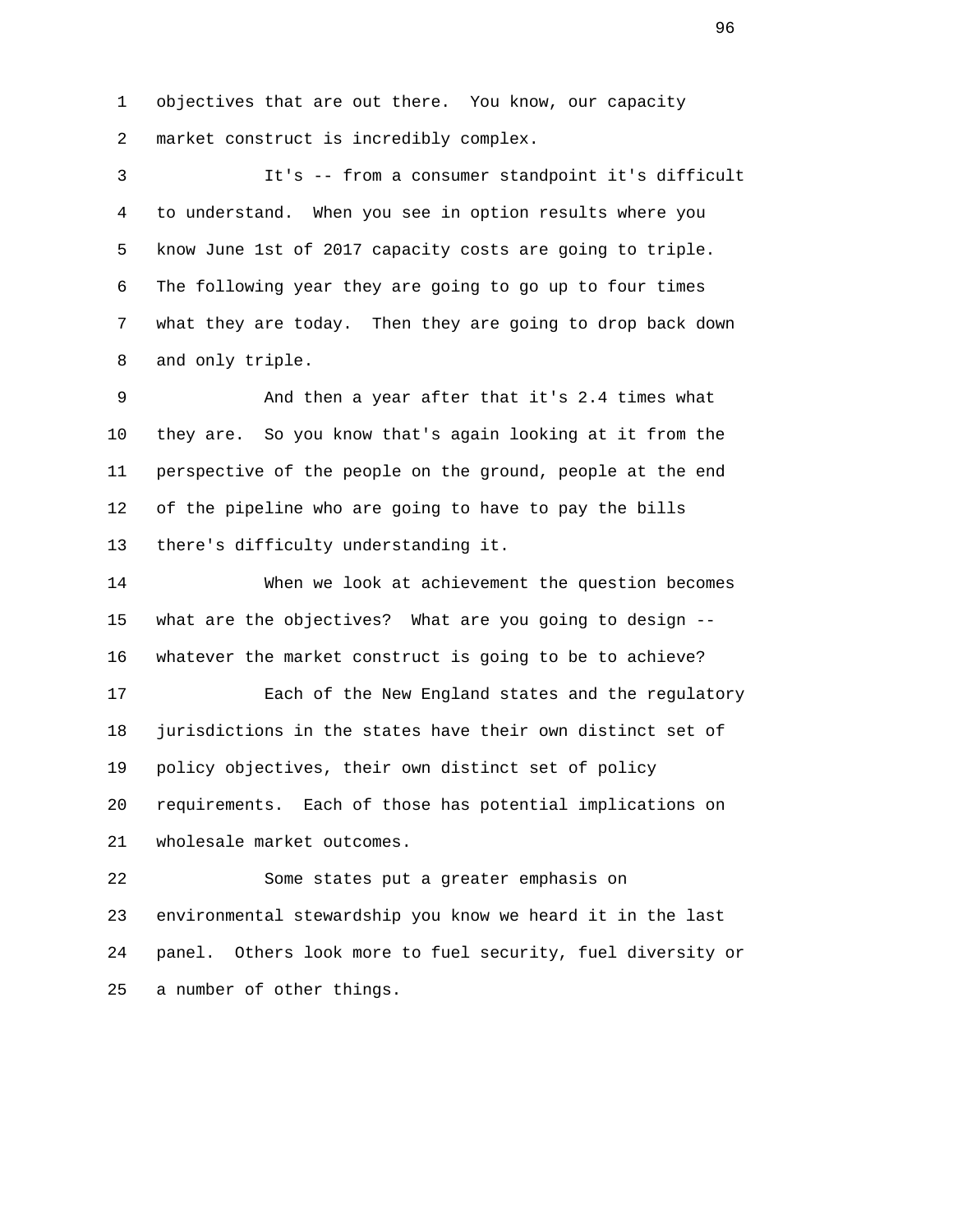1 objectives that are out there. You know, our capacity 2 market construct is incredibly complex.

 3 It's -- from a consumer standpoint it's difficult 4 to understand. When you see in option results where you 5 know June 1st of 2017 capacity costs are going to triple. 6 The following year they are going to go up to four times 7 what they are today. Then they are going to drop back down 8 and only triple.

 9 And then a year after that it's 2.4 times what 10 they are. So you know that's again looking at it from the 11 perspective of the people on the ground, people at the end 12 of the pipeline who are going to have to pay the bills 13 there's difficulty understanding it.

 14 When we look at achievement the question becomes 15 what are the objectives? What are you going to design -- 16 whatever the market construct is going to be to achieve?

 17 Each of the New England states and the regulatory 18 jurisdictions in the states have their own distinct set of 19 policy objectives, their own distinct set of policy 20 requirements. Each of those has potential implications on 21 wholesale market outcomes.

 22 Some states put a greater emphasis on 23 environmental stewardship you know we heard it in the last 24 panel. Others look more to fuel security, fuel diversity or 25 a number of other things.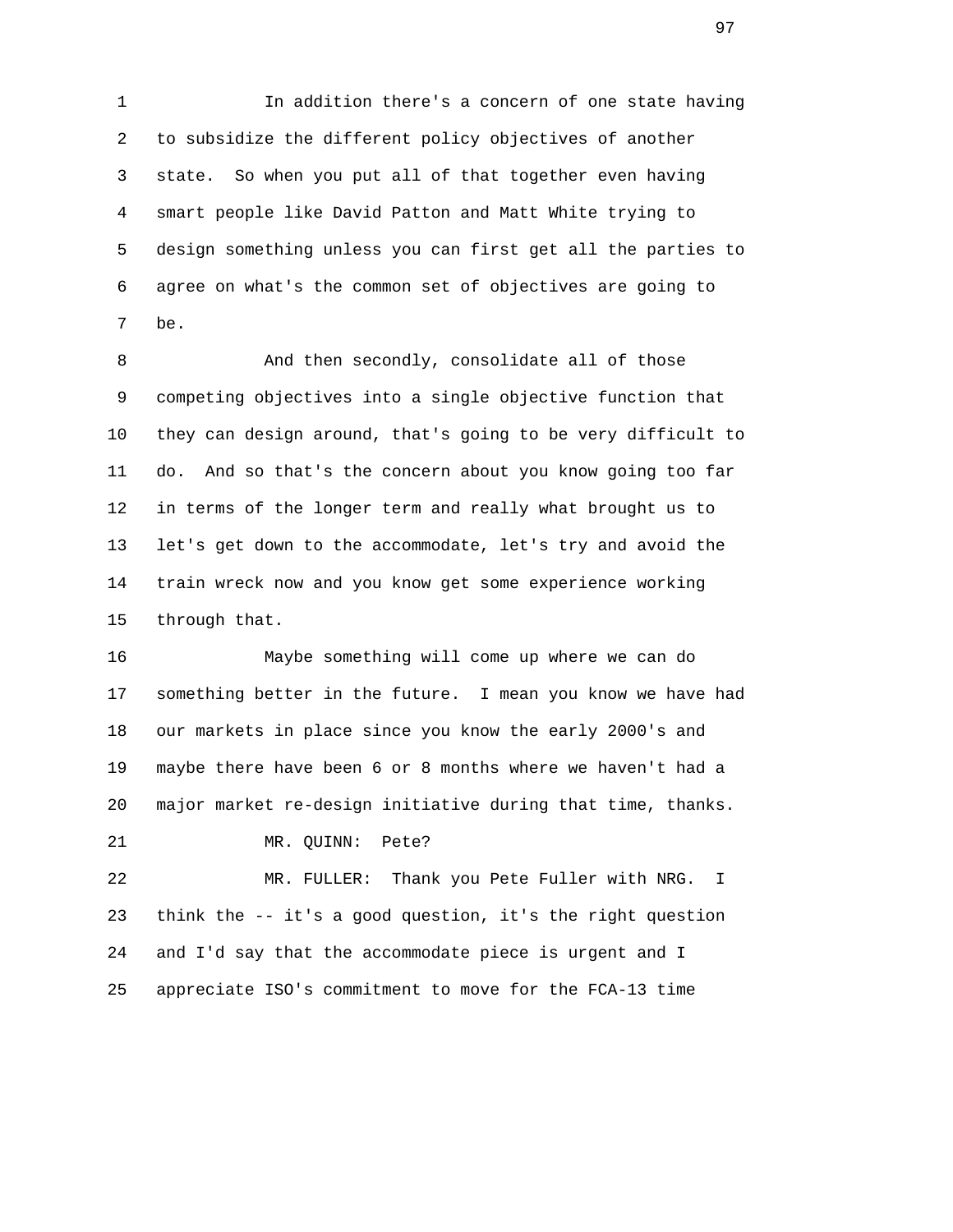1 In addition there's a concern of one state having 2 to subsidize the different policy objectives of another 3 state. So when you put all of that together even having 4 smart people like David Patton and Matt White trying to 5 design something unless you can first get all the parties to 6 agree on what's the common set of objectives are going to 7 be.

 8 And then secondly, consolidate all of those 9 competing objectives into a single objective function that 10 they can design around, that's going to be very difficult to 11 do. And so that's the concern about you know going too far 12 in terms of the longer term and really what brought us to 13 let's get down to the accommodate, let's try and avoid the 14 train wreck now and you know get some experience working 15 through that.

 16 Maybe something will come up where we can do 17 something better in the future. I mean you know we have had 18 our markets in place since you know the early 2000's and 19 maybe there have been 6 or 8 months where we haven't had a 20 major market re-design initiative during that time, thanks.

21 MR. QUINN: Pete?

 22 MR. FULLER: Thank you Pete Fuller with NRG. I 23 think the -- it's a good question, it's the right question 24 and I'd say that the accommodate piece is urgent and I 25 appreciate ISO's commitment to move for the FCA-13 time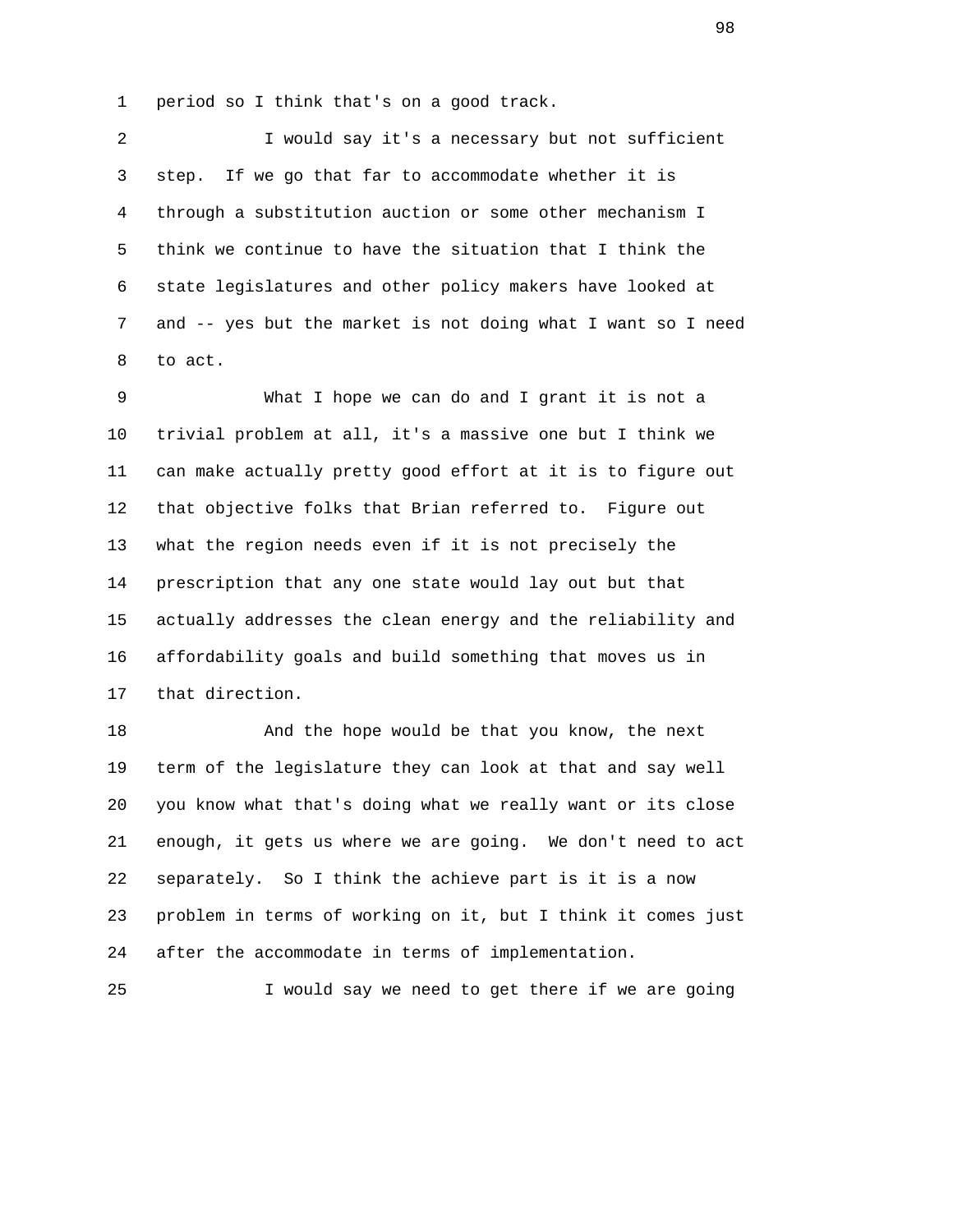1 period so I think that's on a good track.

 2 I would say it's a necessary but not sufficient 3 step. If we go that far to accommodate whether it is 4 through a substitution auction or some other mechanism I 5 think we continue to have the situation that I think the 6 state legislatures and other policy makers have looked at 7 and -- yes but the market is not doing what I want so I need 8 to act.

 9 What I hope we can do and I grant it is not a 10 trivial problem at all, it's a massive one but I think we 11 can make actually pretty good effort at it is to figure out 12 that objective folks that Brian referred to. Figure out 13 what the region needs even if it is not precisely the 14 prescription that any one state would lay out but that 15 actually addresses the clean energy and the reliability and 16 affordability goals and build something that moves us in 17 that direction.

18 And the hope would be that you know, the next 19 term of the legislature they can look at that and say well 20 you know what that's doing what we really want or its close 21 enough, it gets us where we are going. We don't need to act 22 separately. So I think the achieve part is it is a now 23 problem in terms of working on it, but I think it comes just 24 after the accommodate in terms of implementation.

25 I would say we need to get there if we are going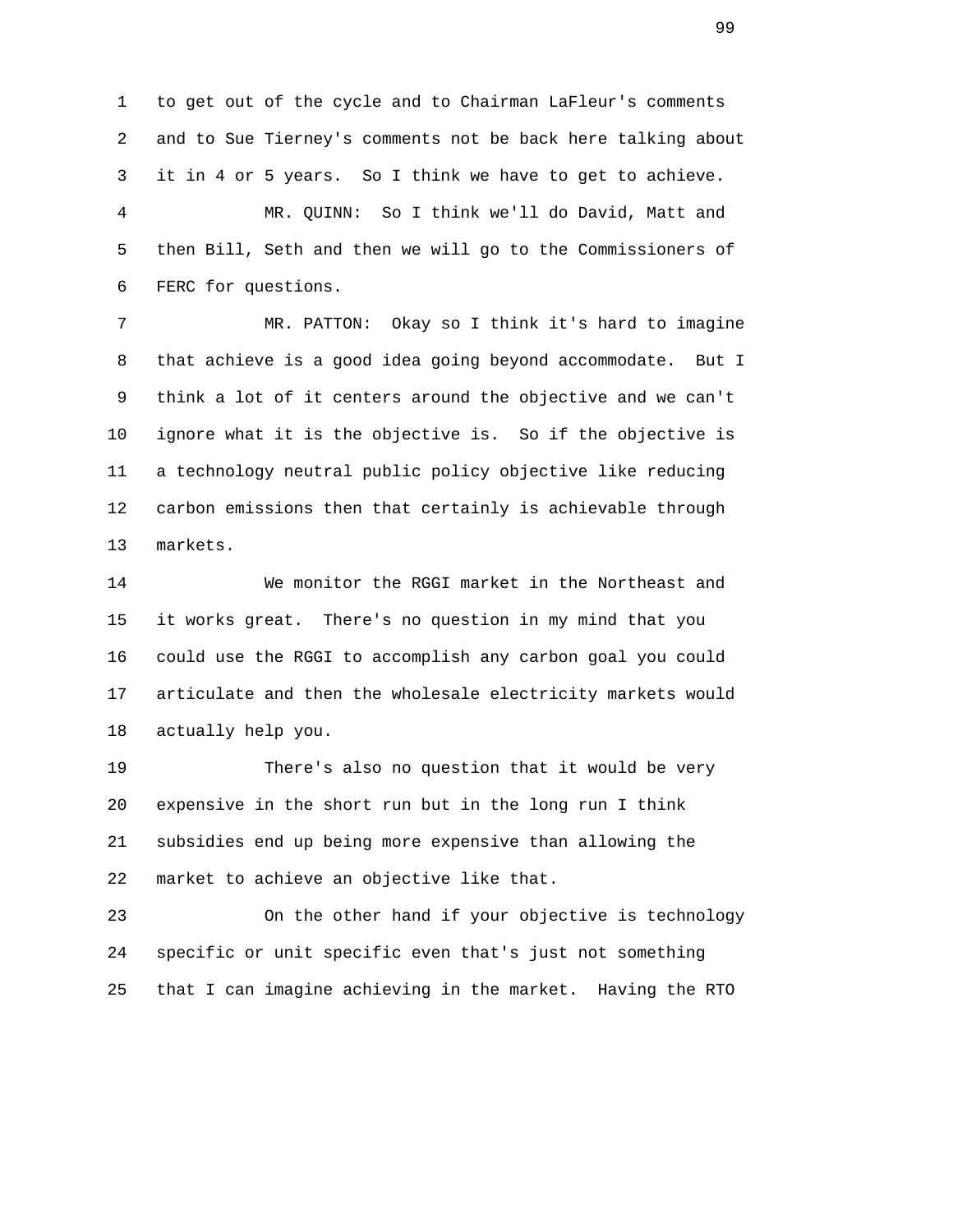1 to get out of the cycle and to Chairman LaFleur's comments 2 and to Sue Tierney's comments not be back here talking about 3 it in 4 or 5 years. So I think we have to get to achieve. 4 MR. QUINN: So I think we'll do David, Matt and 5 then Bill, Seth and then we will go to the Commissioners of 6 FERC for questions.

 7 MR. PATTON: Okay so I think it's hard to imagine 8 that achieve is a good idea going beyond accommodate. But I 9 think a lot of it centers around the objective and we can't 10 ignore what it is the objective is. So if the objective is 11 a technology neutral public policy objective like reducing 12 carbon emissions then that certainly is achievable through 13 markets.

 14 We monitor the RGGI market in the Northeast and 15 it works great. There's no question in my mind that you 16 could use the RGGI to accomplish any carbon goal you could 17 articulate and then the wholesale electricity markets would 18 actually help you.

 19 There's also no question that it would be very 20 expensive in the short run but in the long run I think 21 subsidies end up being more expensive than allowing the 22 market to achieve an objective like that.

 23 On the other hand if your objective is technology 24 specific or unit specific even that's just not something 25 that I can imagine achieving in the market. Having the RTO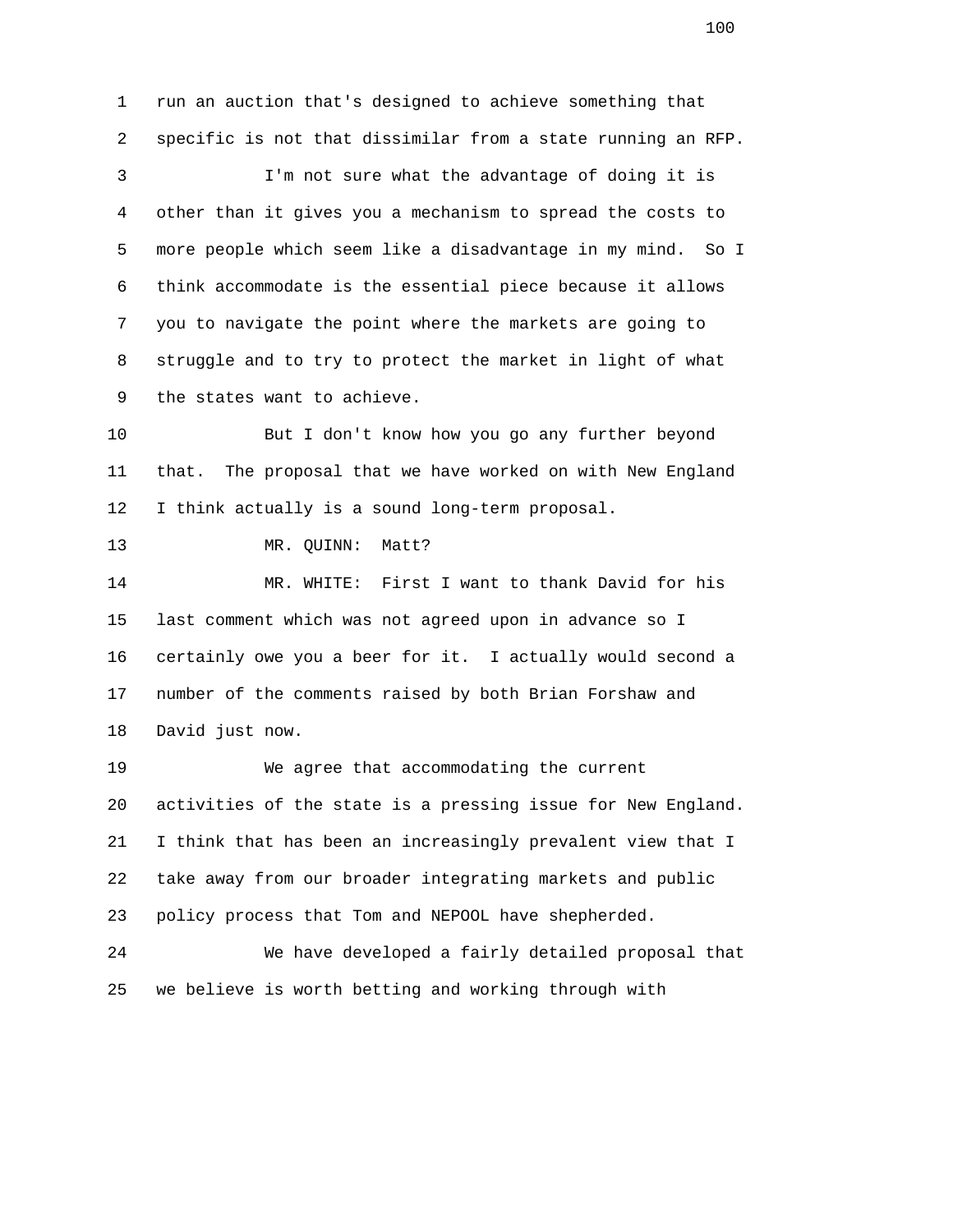1 run an auction that's designed to achieve something that 2 specific is not that dissimilar from a state running an RFP. 3 I'm not sure what the advantage of doing it is 4 other than it gives you a mechanism to spread the costs to 5 more people which seem like a disadvantage in my mind. So I 6 think accommodate is the essential piece because it allows 7 you to navigate the point where the markets are going to 8 struggle and to try to protect the market in light of what 9 the states want to achieve. 10 But I don't know how you go any further beyond 11 that. The proposal that we have worked on with New England 12 I think actually is a sound long-term proposal. 13 MR. QUINN: Matt? 14 MR. WHITE: First I want to thank David for his 15 last comment which was not agreed upon in advance so I 16 certainly owe you a beer for it. I actually would second a 17 number of the comments raised by both Brian Forshaw and 18 David just now. 19 We agree that accommodating the current 20 activities of the state is a pressing issue for New England. 21 I think that has been an increasingly prevalent view that I 22 take away from our broader integrating markets and public 23 policy process that Tom and NEPOOL have shepherded. 24 We have developed a fairly detailed proposal that 25 we believe is worth betting and working through with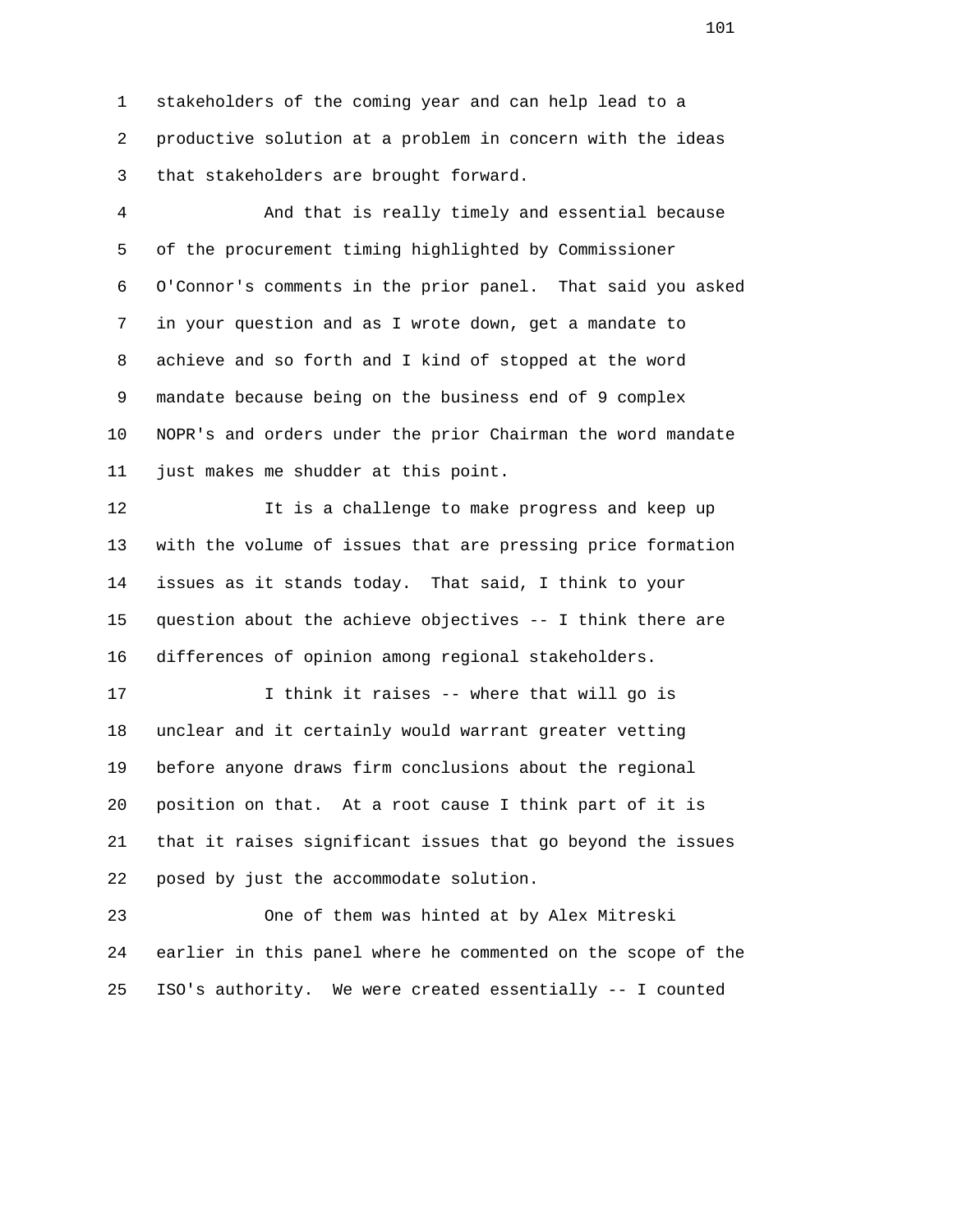1 stakeholders of the coming year and can help lead to a 2 productive solution at a problem in concern with the ideas 3 that stakeholders are brought forward.

 4 And that is really timely and essential because 5 of the procurement timing highlighted by Commissioner 6 O'Connor's comments in the prior panel. That said you asked 7 in your question and as I wrote down, get a mandate to 8 achieve and so forth and I kind of stopped at the word 9 mandate because being on the business end of 9 complex 10 NOPR's and orders under the prior Chairman the word mandate 11 just makes me shudder at this point.

 12 It is a challenge to make progress and keep up 13 with the volume of issues that are pressing price formation 14 issues as it stands today. That said, I think to your 15 question about the achieve objectives -- I think there are 16 differences of opinion among regional stakeholders.

 17 I think it raises -- where that will go is 18 unclear and it certainly would warrant greater vetting 19 before anyone draws firm conclusions about the regional 20 position on that. At a root cause I think part of it is 21 that it raises significant issues that go beyond the issues 22 posed by just the accommodate solution.

 23 One of them was hinted at by Alex Mitreski 24 earlier in this panel where he commented on the scope of the 25 ISO's authority. We were created essentially -- I counted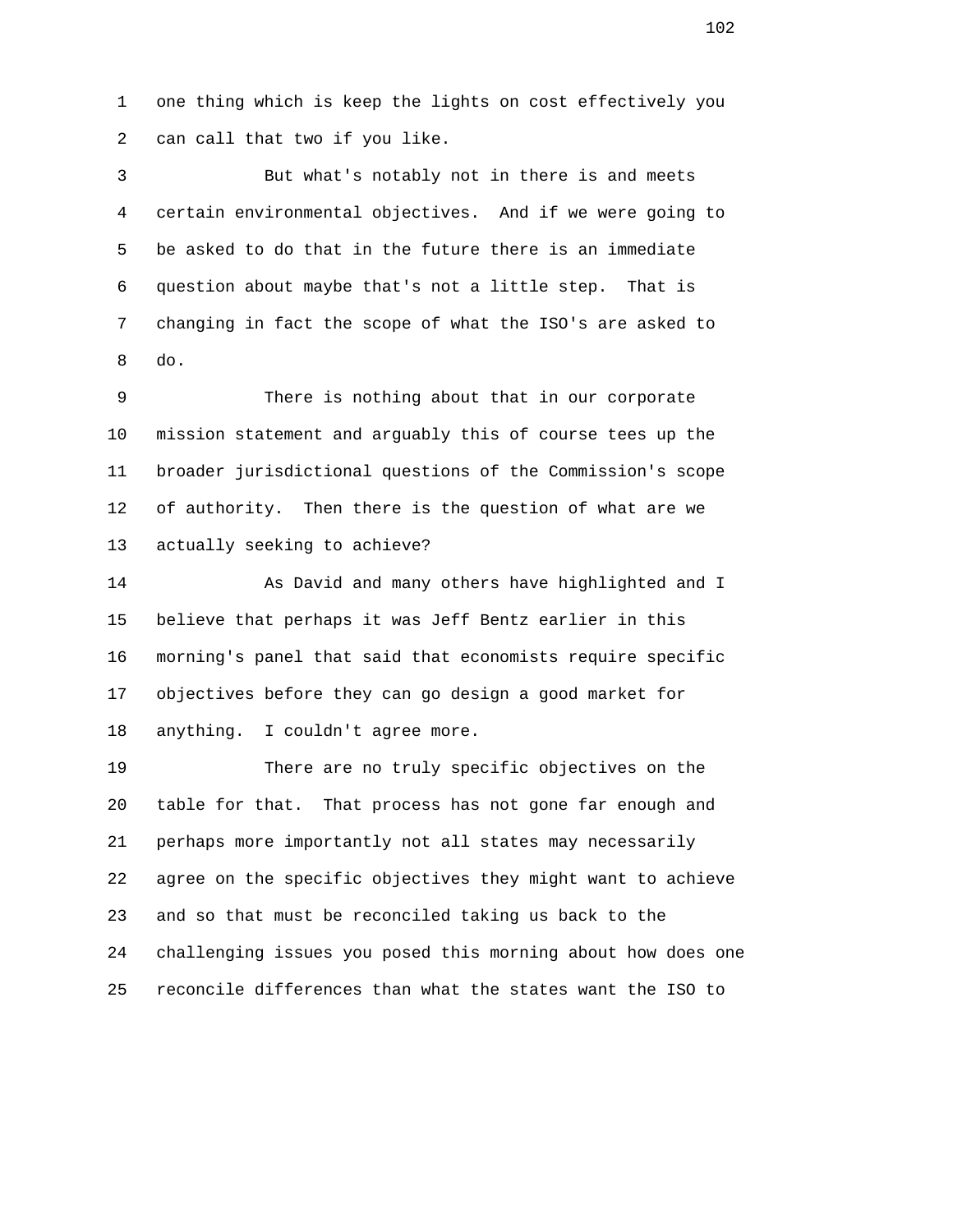1 one thing which is keep the lights on cost effectively you 2 can call that two if you like.

 3 But what's notably not in there is and meets 4 certain environmental objectives. And if we were going to 5 be asked to do that in the future there is an immediate 6 question about maybe that's not a little step. That is 7 changing in fact the scope of what the ISO's are asked to 8 do.

 9 There is nothing about that in our corporate 10 mission statement and arguably this of course tees up the 11 broader jurisdictional questions of the Commission's scope 12 of authority. Then there is the question of what are we 13 actually seeking to achieve?

 14 As David and many others have highlighted and I 15 believe that perhaps it was Jeff Bentz earlier in this 16 morning's panel that said that economists require specific 17 objectives before they can go design a good market for 18 anything. I couldn't agree more.

 19 There are no truly specific objectives on the 20 table for that. That process has not gone far enough and 21 perhaps more importantly not all states may necessarily 22 agree on the specific objectives they might want to achieve 23 and so that must be reconciled taking us back to the 24 challenging issues you posed this morning about how does one 25 reconcile differences than what the states want the ISO to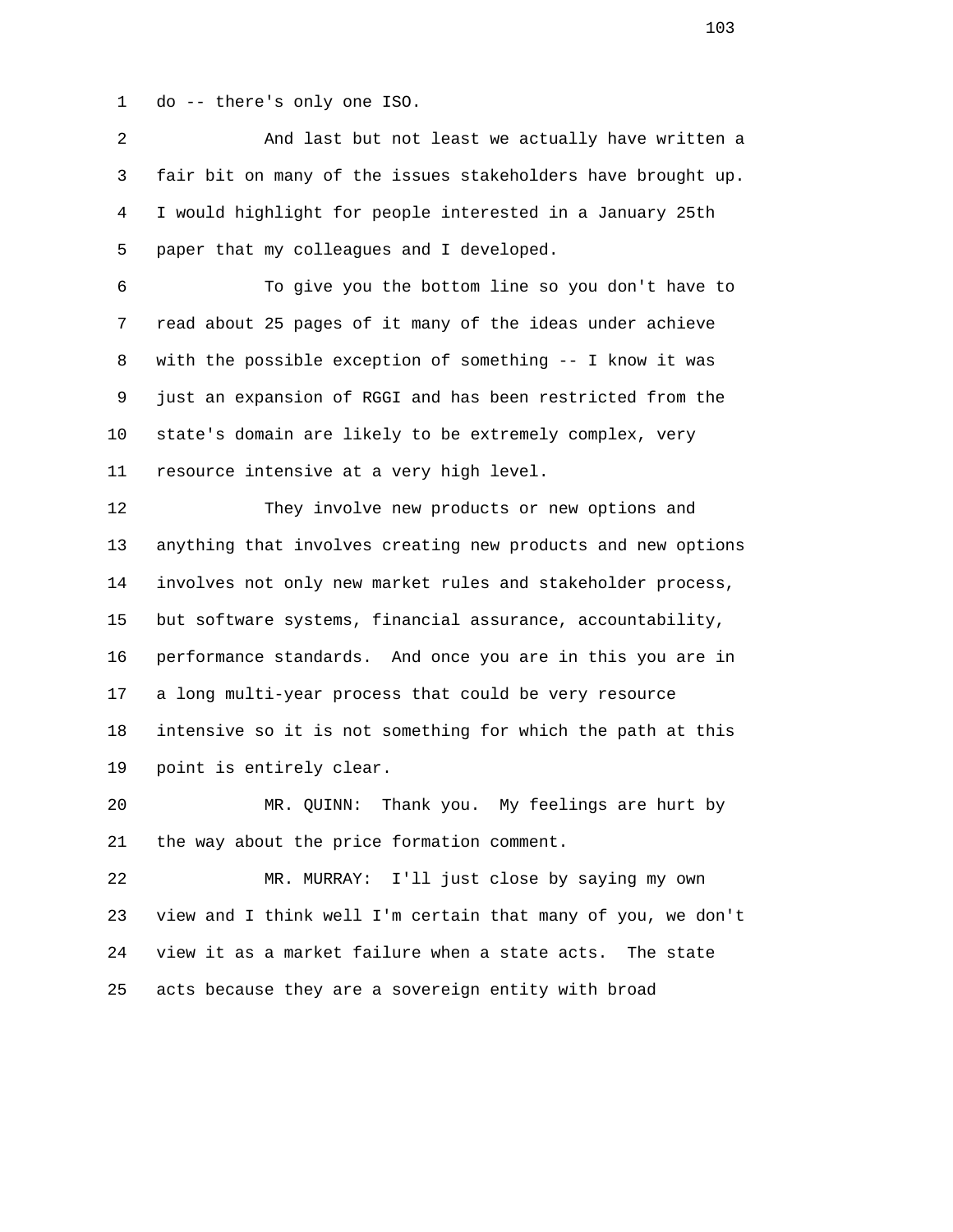1 do -- there's only one ISO.

 2 And last but not least we actually have written a 3 fair bit on many of the issues stakeholders have brought up. 4 I would highlight for people interested in a January 25th 5 paper that my colleagues and I developed.

 6 To give you the bottom line so you don't have to 7 read about 25 pages of it many of the ideas under achieve 8 with the possible exception of something -- I know it was 9 just an expansion of RGGI and has been restricted from the 10 state's domain are likely to be extremely complex, very 11 resource intensive at a very high level.

 12 They involve new products or new options and 13 anything that involves creating new products and new options 14 involves not only new market rules and stakeholder process, 15 but software systems, financial assurance, accountability, 16 performance standards. And once you are in this you are in 17 a long multi-year process that could be very resource 18 intensive so it is not something for which the path at this 19 point is entirely clear.

 20 MR. QUINN: Thank you. My feelings are hurt by 21 the way about the price formation comment.

 22 MR. MURRAY: I'll just close by saying my own 23 view and I think well I'm certain that many of you, we don't 24 view it as a market failure when a state acts. The state 25 acts because they are a sovereign entity with broad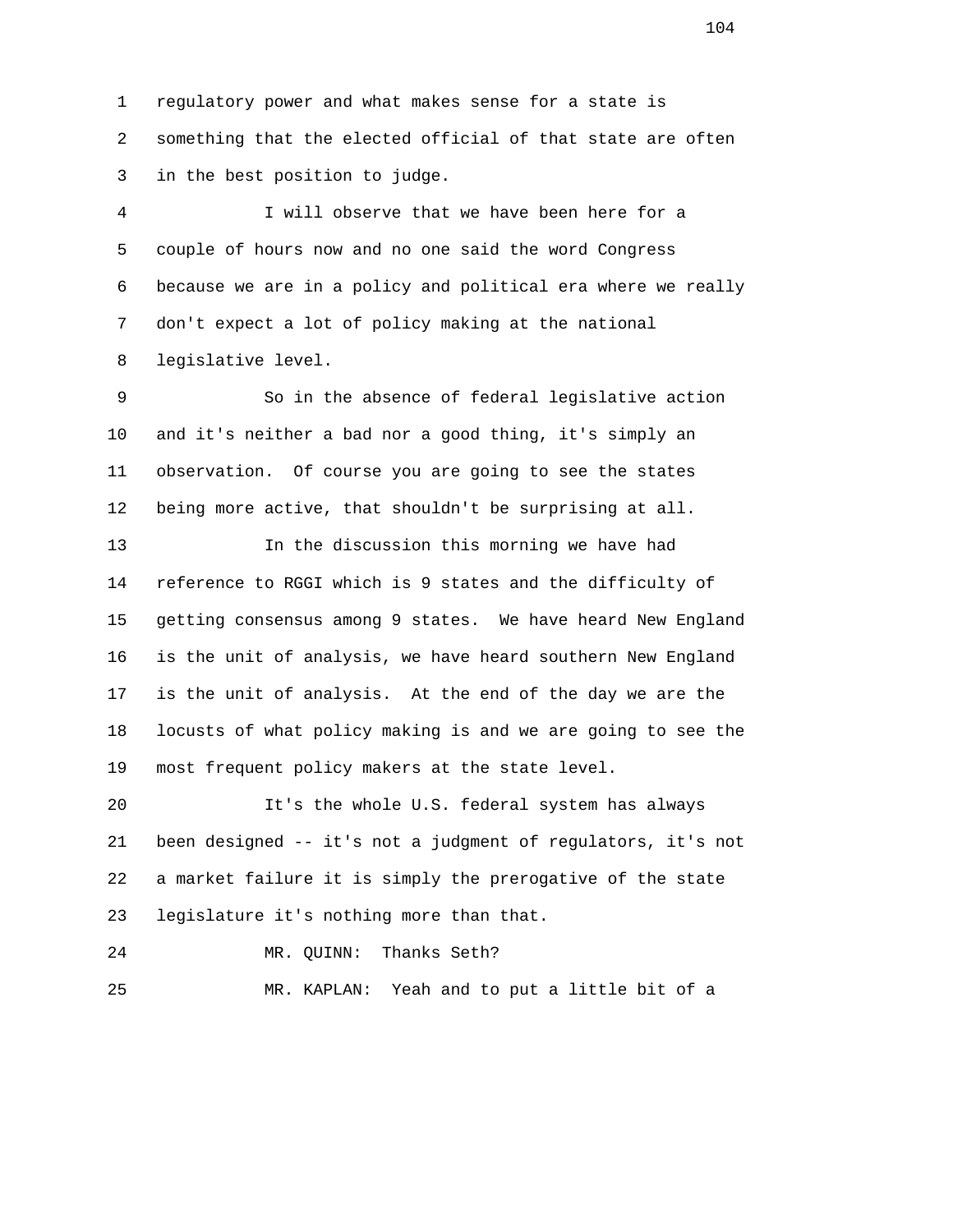1 regulatory power and what makes sense for a state is 2 something that the elected official of that state are often 3 in the best position to judge.

 4 I will observe that we have been here for a 5 couple of hours now and no one said the word Congress 6 because we are in a policy and political era where we really 7 don't expect a lot of policy making at the national 8 legislative level.

 9 So in the absence of federal legislative action 10 and it's neither a bad nor a good thing, it's simply an 11 observation. Of course you are going to see the states 12 being more active, that shouldn't be surprising at all.

 13 In the discussion this morning we have had 14 reference to RGGI which is 9 states and the difficulty of 15 getting consensus among 9 states. We have heard New England 16 is the unit of analysis, we have heard southern New England 17 is the unit of analysis. At the end of the day we are the 18 locusts of what policy making is and we are going to see the 19 most frequent policy makers at the state level.

 20 It's the whole U.S. federal system has always 21 been designed -- it's not a judgment of regulators, it's not 22 a market failure it is simply the prerogative of the state 23 legislature it's nothing more than that.

24 MR. QUINN: Thanks Seth?

25 MR. KAPLAN: Yeah and to put a little bit of a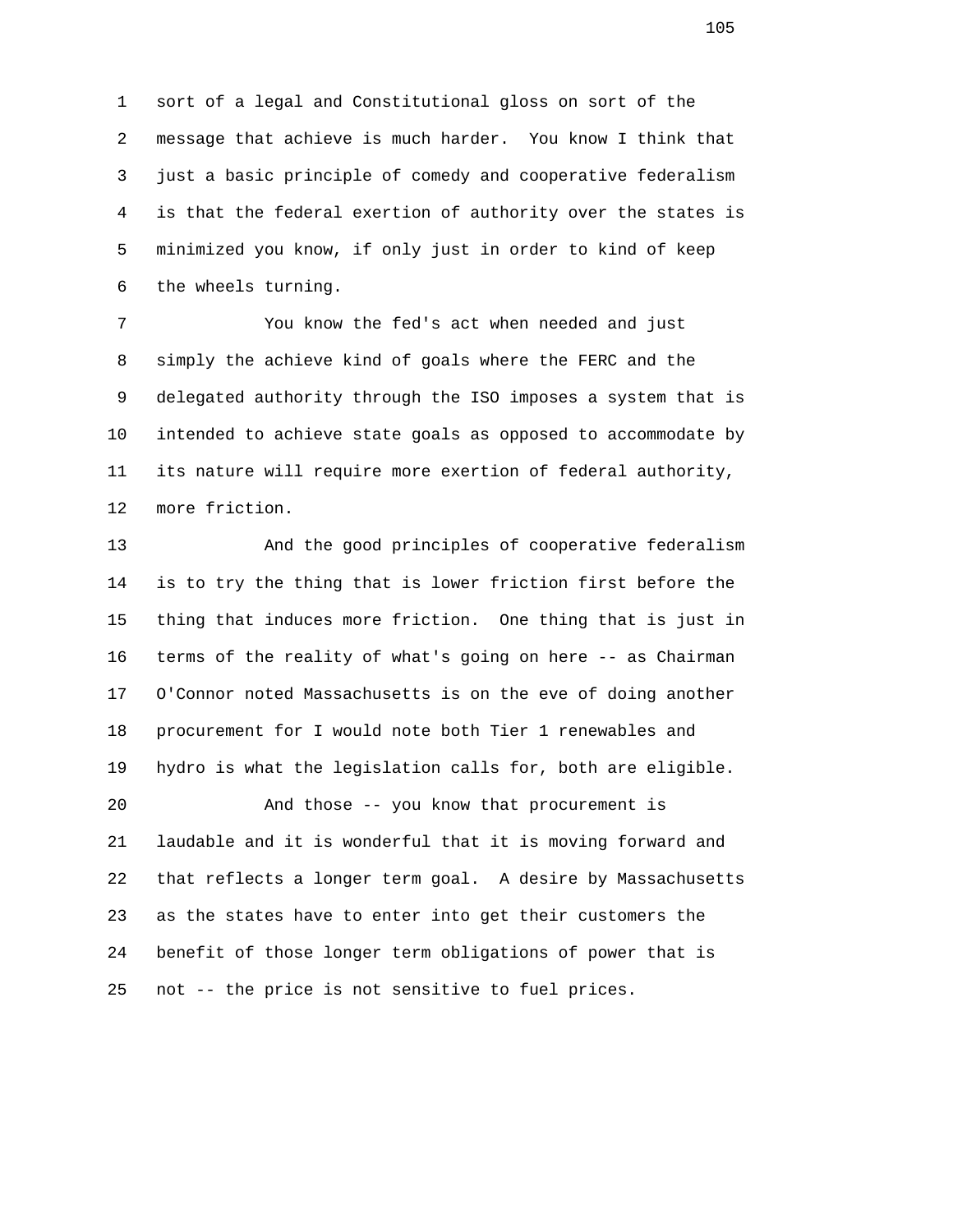1 sort of a legal and Constitutional gloss on sort of the 2 message that achieve is much harder. You know I think that 3 just a basic principle of comedy and cooperative federalism 4 is that the federal exertion of authority over the states is 5 minimized you know, if only just in order to kind of keep 6 the wheels turning.

 7 You know the fed's act when needed and just 8 simply the achieve kind of goals where the FERC and the 9 delegated authority through the ISO imposes a system that is 10 intended to achieve state goals as opposed to accommodate by 11 its nature will require more exertion of federal authority, 12 more friction.

 13 And the good principles of cooperative federalism 14 is to try the thing that is lower friction first before the 15 thing that induces more friction. One thing that is just in 16 terms of the reality of what's going on here -- as Chairman 17 O'Connor noted Massachusetts is on the eve of doing another 18 procurement for I would note both Tier 1 renewables and 19 hydro is what the legislation calls for, both are eligible. 20 And those -- you know that procurement is 21 laudable and it is wonderful that it is moving forward and

 22 that reflects a longer term goal. A desire by Massachusetts 23 as the states have to enter into get their customers the 24 benefit of those longer term obligations of power that is 25 not -- the price is not sensitive to fuel prices.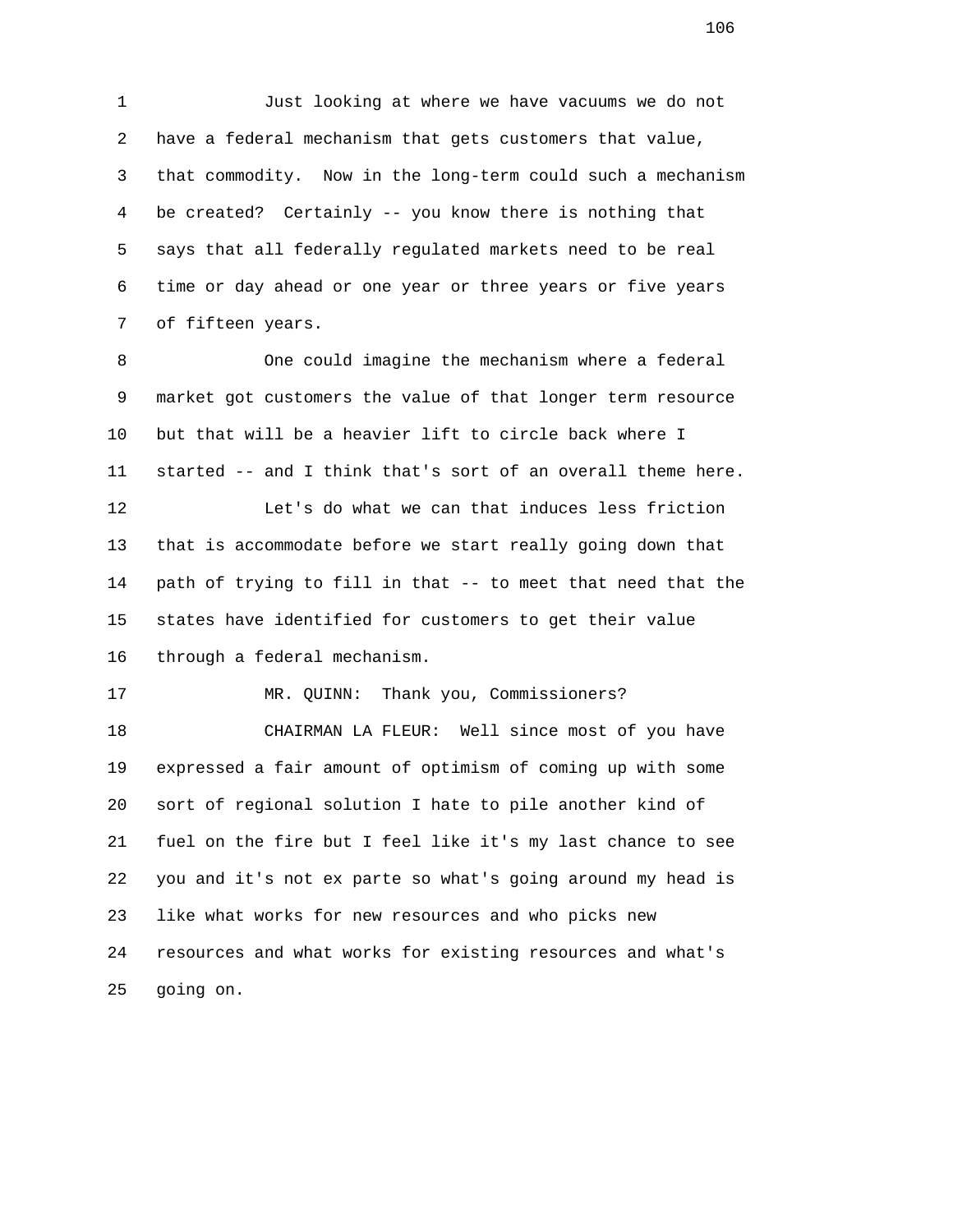1 Just looking at where we have vacuums we do not 2 have a federal mechanism that gets customers that value, 3 that commodity. Now in the long-term could such a mechanism 4 be created? Certainly -- you know there is nothing that 5 says that all federally regulated markets need to be real 6 time or day ahead or one year or three years or five years 7 of fifteen years.

 8 One could imagine the mechanism where a federal 9 market got customers the value of that longer term resource 10 but that will be a heavier lift to circle back where I 11 started -- and I think that's sort of an overall theme here. 12 Let's do what we can that induces less friction 13 that is accommodate before we start really going down that 14 path of trying to fill in that -- to meet that need that the 15 states have identified for customers to get their value 16 through a federal mechanism.

17 MR. QUINN: Thank you, Commissioners?

 18 CHAIRMAN LA FLEUR: Well since most of you have 19 expressed a fair amount of optimism of coming up with some 20 sort of regional solution I hate to pile another kind of 21 fuel on the fire but I feel like it's my last chance to see 22 you and it's not ex parte so what's going around my head is 23 like what works for new resources and who picks new 24 resources and what works for existing resources and what's 25 going on.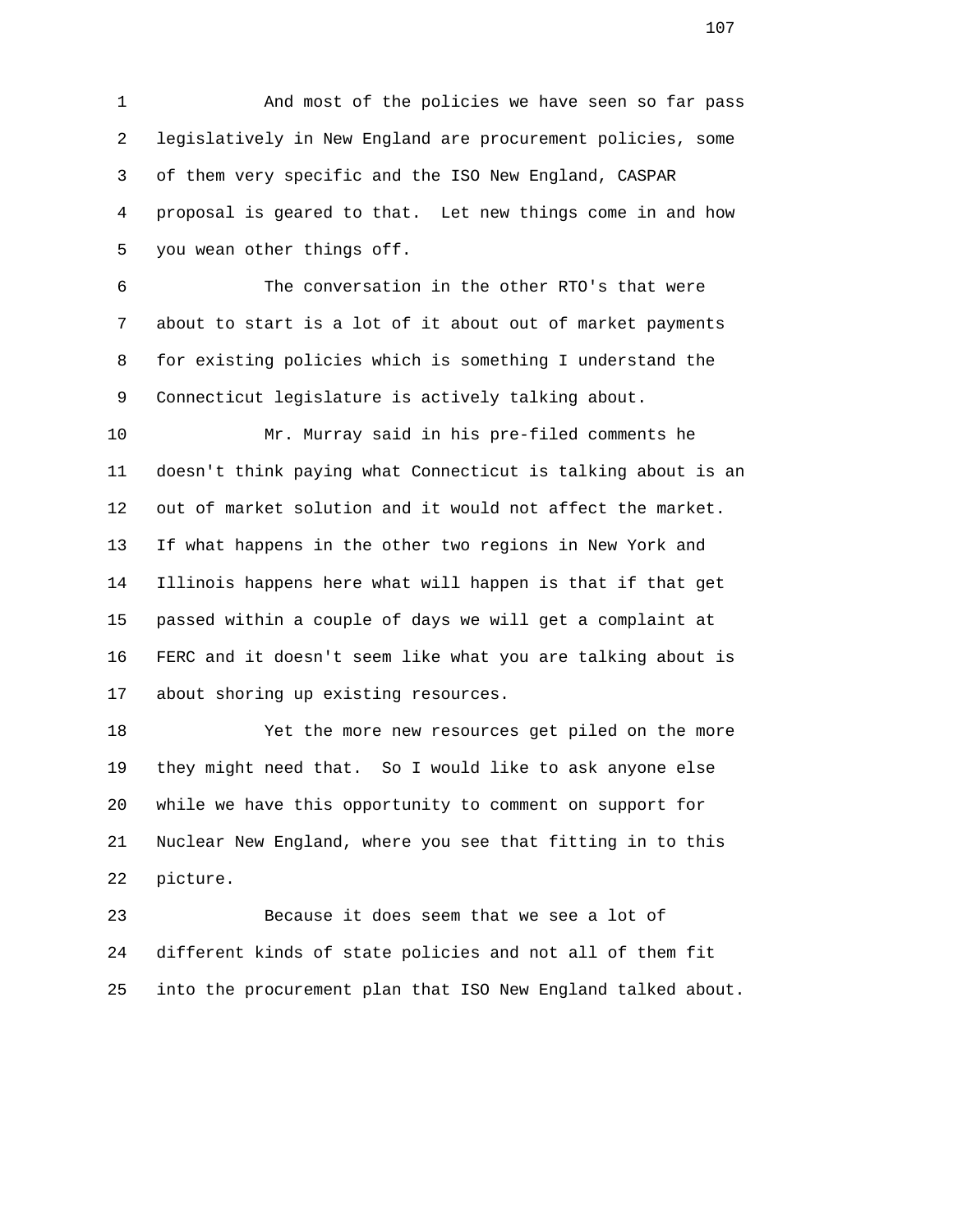1 And most of the policies we have seen so far pass 2 legislatively in New England are procurement policies, some 3 of them very specific and the ISO New England, CASPAR 4 proposal is geared to that. Let new things come in and how 5 you wean other things off.

 6 The conversation in the other RTO's that were 7 about to start is a lot of it about out of market payments 8 for existing policies which is something I understand the 9 Connecticut legislature is actively talking about.

 10 Mr. Murray said in his pre-filed comments he 11 doesn't think paying what Connecticut is talking about is an 12 out of market solution and it would not affect the market. 13 If what happens in the other two regions in New York and 14 Illinois happens here what will happen is that if that get 15 passed within a couple of days we will get a complaint at 16 FERC and it doesn't seem like what you are talking about is 17 about shoring up existing resources.

 18 Yet the more new resources get piled on the more 19 they might need that. So I would like to ask anyone else 20 while we have this opportunity to comment on support for 21 Nuclear New England, where you see that fitting in to this 22 picture.

 23 Because it does seem that we see a lot of 24 different kinds of state policies and not all of them fit 25 into the procurement plan that ISO New England talked about.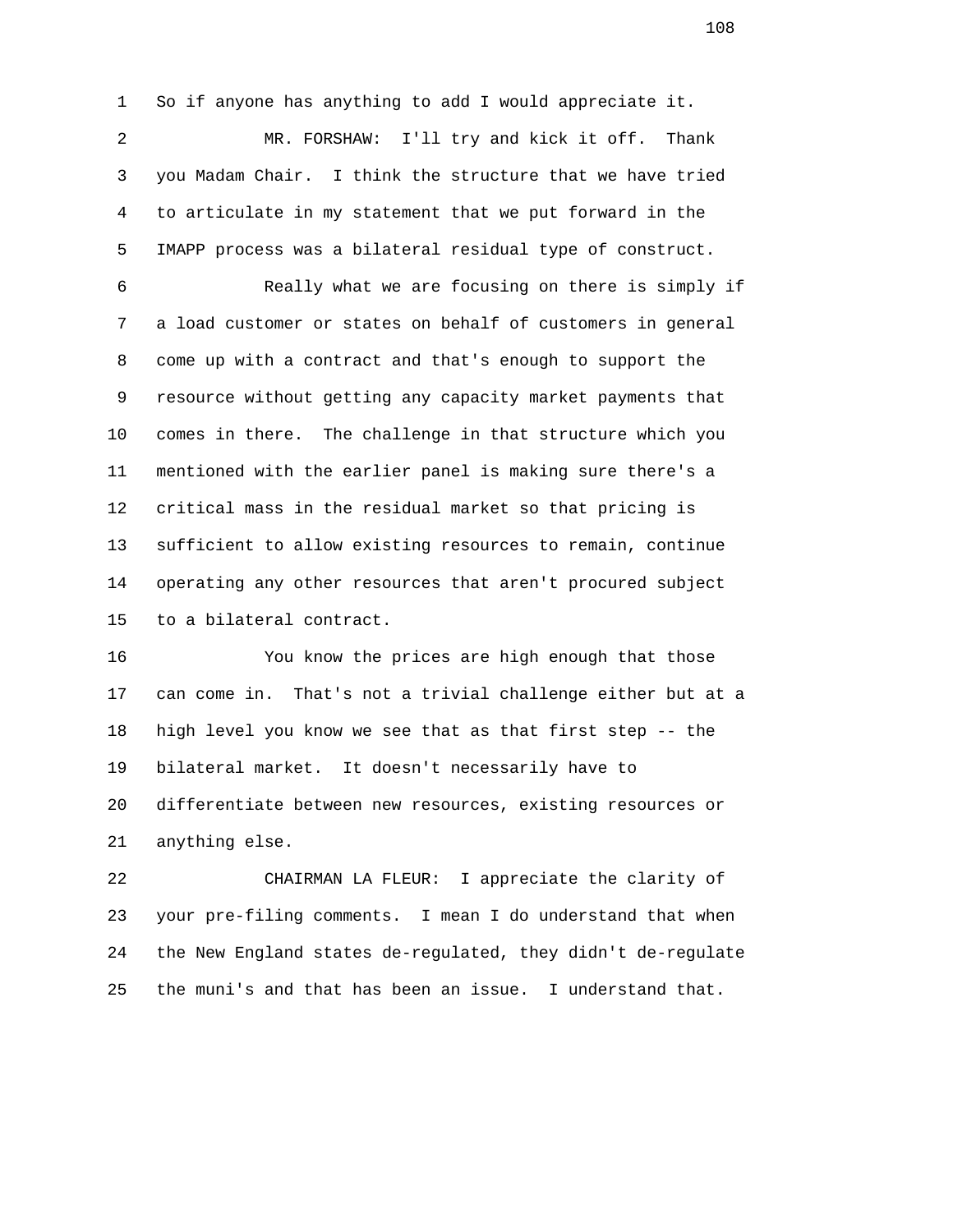1 So if anyone has anything to add I would appreciate it. 2 MR. FORSHAW: I'll try and kick it off. Thank 3 you Madam Chair. I think the structure that we have tried 4 to articulate in my statement that we put forward in the 5 IMAPP process was a bilateral residual type of construct. 6 Really what we are focusing on there is simply if 7 a load customer or states on behalf of customers in general 8 come up with a contract and that's enough to support the 9 resource without getting any capacity market payments that 10 comes in there. The challenge in that structure which you 11 mentioned with the earlier panel is making sure there's a 12 critical mass in the residual market so that pricing is 13 sufficient to allow existing resources to remain, continue

 14 operating any other resources that aren't procured subject 15 to a bilateral contract.

 16 You know the prices are high enough that those 17 can come in. That's not a trivial challenge either but at a 18 high level you know we see that as that first step -- the 19 bilateral market. It doesn't necessarily have to 20 differentiate between new resources, existing resources or 21 anything else.

 22 CHAIRMAN LA FLEUR: I appreciate the clarity of 23 your pre-filing comments. I mean I do understand that when 24 the New England states de-regulated, they didn't de-regulate 25 the muni's and that has been an issue. I understand that.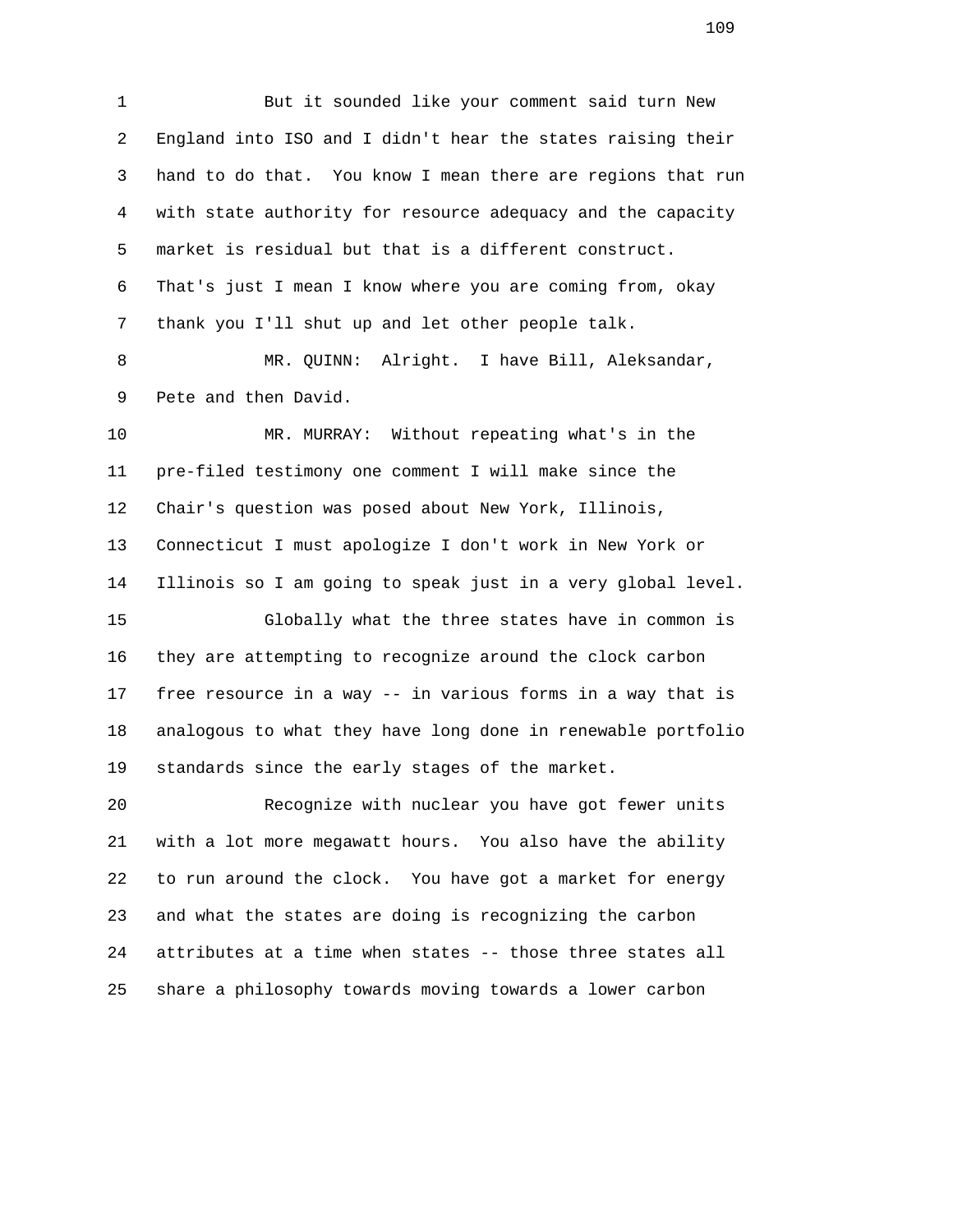1 But it sounded like your comment said turn New 2 England into ISO and I didn't hear the states raising their 3 hand to do that. You know I mean there are regions that run 4 with state authority for resource adequacy and the capacity 5 market is residual but that is a different construct. 6 That's just I mean I know where you are coming from, okay 7 thank you I'll shut up and let other people talk.

 8 MR. QUINN: Alright. I have Bill, Aleksandar, 9 Pete and then David.

 10 MR. MURRAY: Without repeating what's in the 11 pre-filed testimony one comment I will make since the 12 Chair's question was posed about New York, Illinois, 13 Connecticut I must apologize I don't work in New York or 14 Illinois so I am going to speak just in a very global level. 15 Globally what the three states have in common is

 16 they are attempting to recognize around the clock carbon 17 free resource in a way -- in various forms in a way that is 18 analogous to what they have long done in renewable portfolio 19 standards since the early stages of the market.

 20 Recognize with nuclear you have got fewer units 21 with a lot more megawatt hours. You also have the ability 22 to run around the clock. You have got a market for energy 23 and what the states are doing is recognizing the carbon 24 attributes at a time when states -- those three states all 25 share a philosophy towards moving towards a lower carbon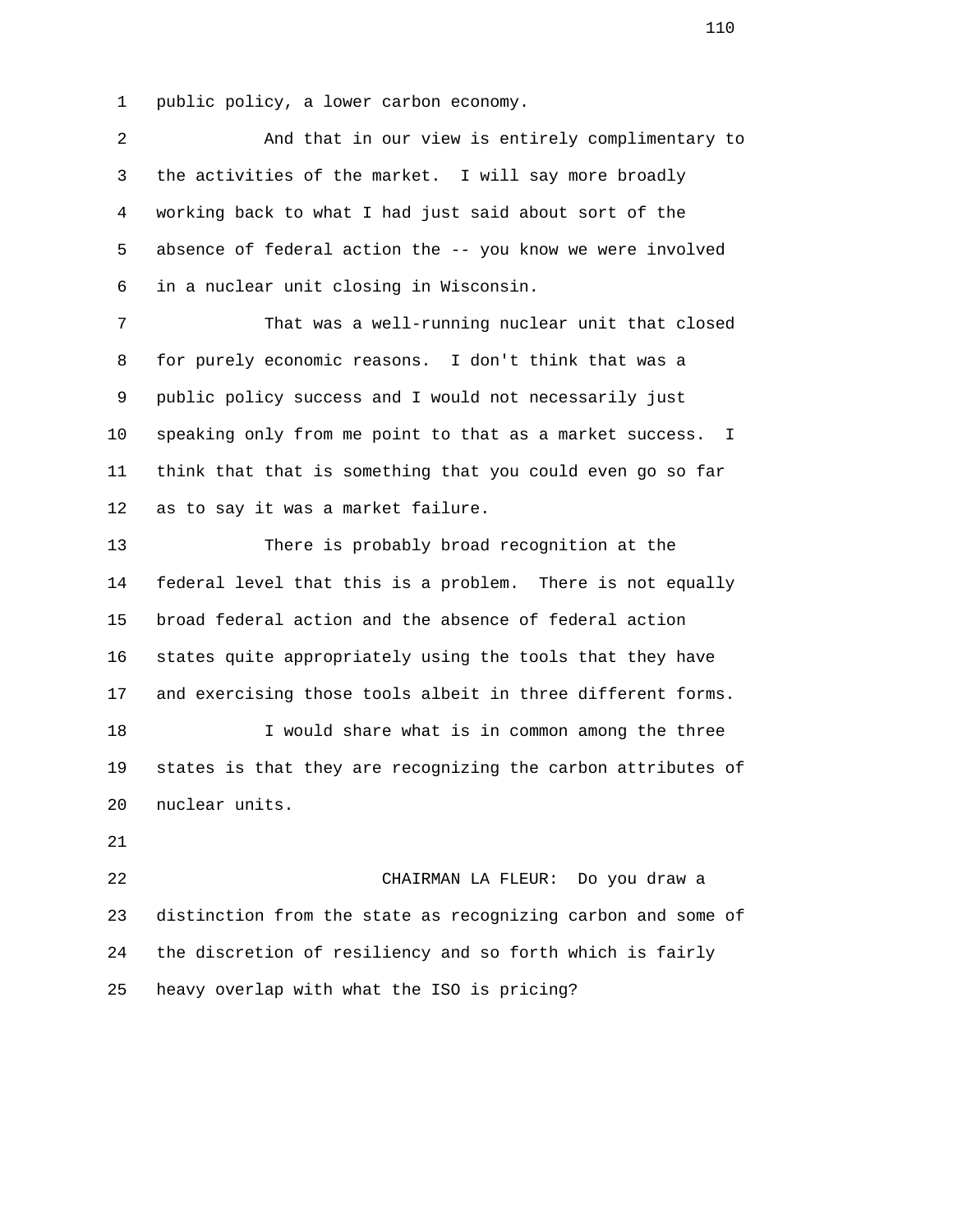1 public policy, a lower carbon economy.

| 2              | And that in our view is entirely complimentary to                        |
|----------------|--------------------------------------------------------------------------|
| 3              | the activities of the market. I will say more broadly                    |
| $\overline{4}$ | working back to what I had just said about sort of the                   |
| 5              | absence of federal action the -- you know we were involved               |
| 6              | in a nuclear unit closing in Wisconsin.                                  |
| 7              | That was a well-running nuclear unit that closed                         |
| 8              | for purely economic reasons. I don't think that was a                    |
| 9              | public policy success and I would not necessarily just                   |
| 10             | speaking only from me point to that as a market success.<br>$\mathbf{I}$ |
| 11             | think that that is something that you could even go so far               |
| 12             | as to say it was a market failure.                                       |
| 13             | There is probably broad recognition at the                               |
| 14             | federal level that this is a problem. There is not equally               |
| 15             | broad federal action and the absence of federal action                   |
| 16             | states quite appropriately using the tools that they have                |
| 17             | and exercising those tools albeit in three different forms.              |
| 18             | I would share what is in common among the three                          |
| 19             | states is that they are recognizing the carbon attributes of             |
| 20             | nuclear units.                                                           |
| 21             |                                                                          |
| 22             | CHAIRMAN LA FLEUR: Do you draw a                                         |
| 23             | distinction from the state as recognizing carbon and some of             |
| 24             | the discretion of resiliency and so forth which is fairly                |
| 25             | heavy overlap with what the ISO is pricing?                              |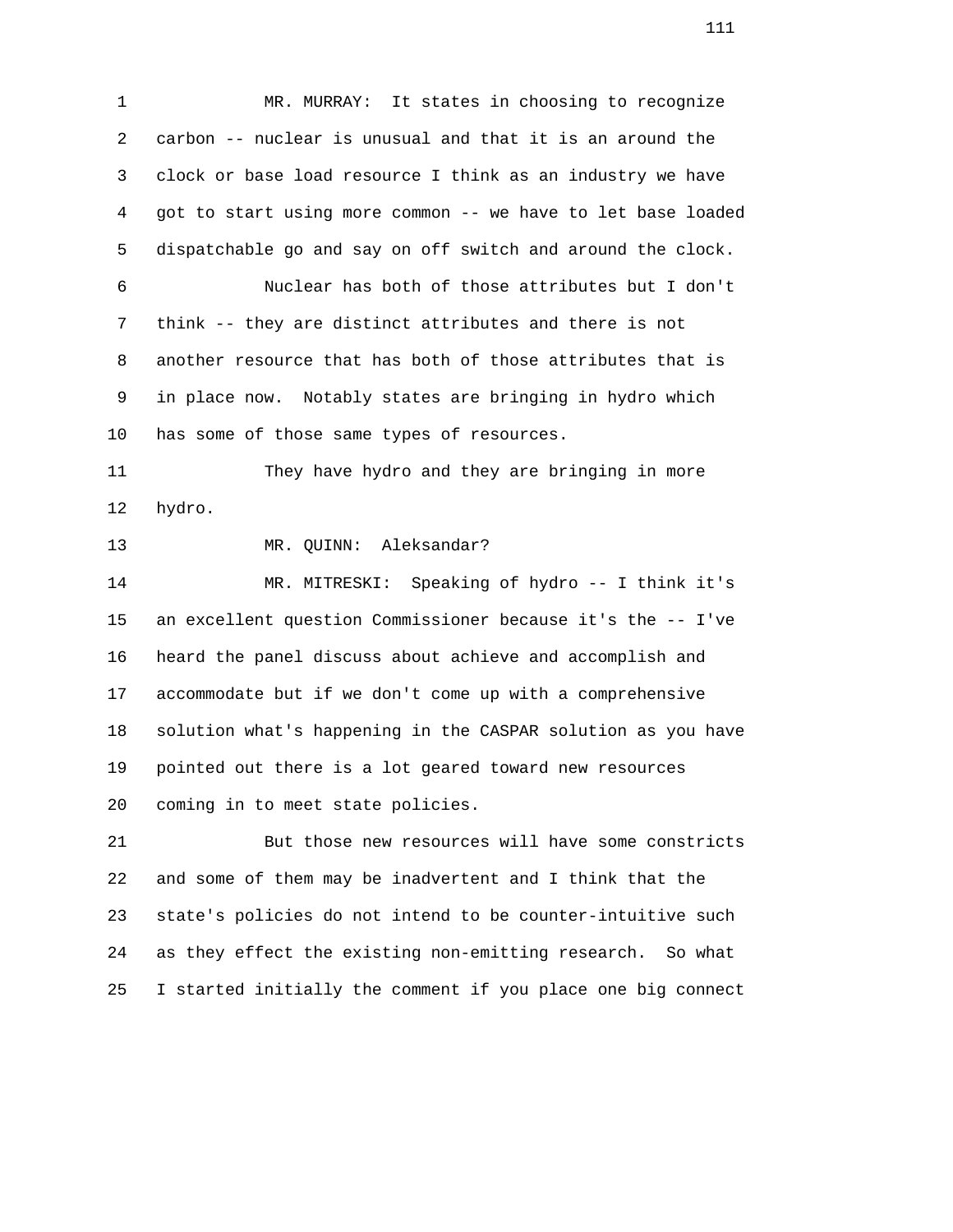1 MR. MURRAY: It states in choosing to recognize 2 carbon -- nuclear is unusual and that it is an around the 3 clock or base load resource I think as an industry we have 4 got to start using more common -- we have to let base loaded 5 dispatchable go and say on off switch and around the clock. 6 Nuclear has both of those attributes but I don't 7 think -- they are distinct attributes and there is not 8 another resource that has both of those attributes that is 9 in place now. Notably states are bringing in hydro which 10 has some of those same types of resources. 11 They have hydro and they are bringing in more 12 hydro. 13 MR. QUINN: Aleksandar? 14 MR. MITRESKI: Speaking of hydro -- I think it's 15 an excellent question Commissioner because it's the -- I've 16 heard the panel discuss about achieve and accomplish and 17 accommodate but if we don't come up with a comprehensive 18 solution what's happening in the CASPAR solution as you have 19 pointed out there is a lot geared toward new resources 20 coming in to meet state policies. 21 But those new resources will have some constricts 22 and some of them may be inadvertent and I think that the 23 state's policies do not intend to be counter-intuitive such

25 I started initially the comment if you place one big connect

24 as they effect the existing non-emitting research. So what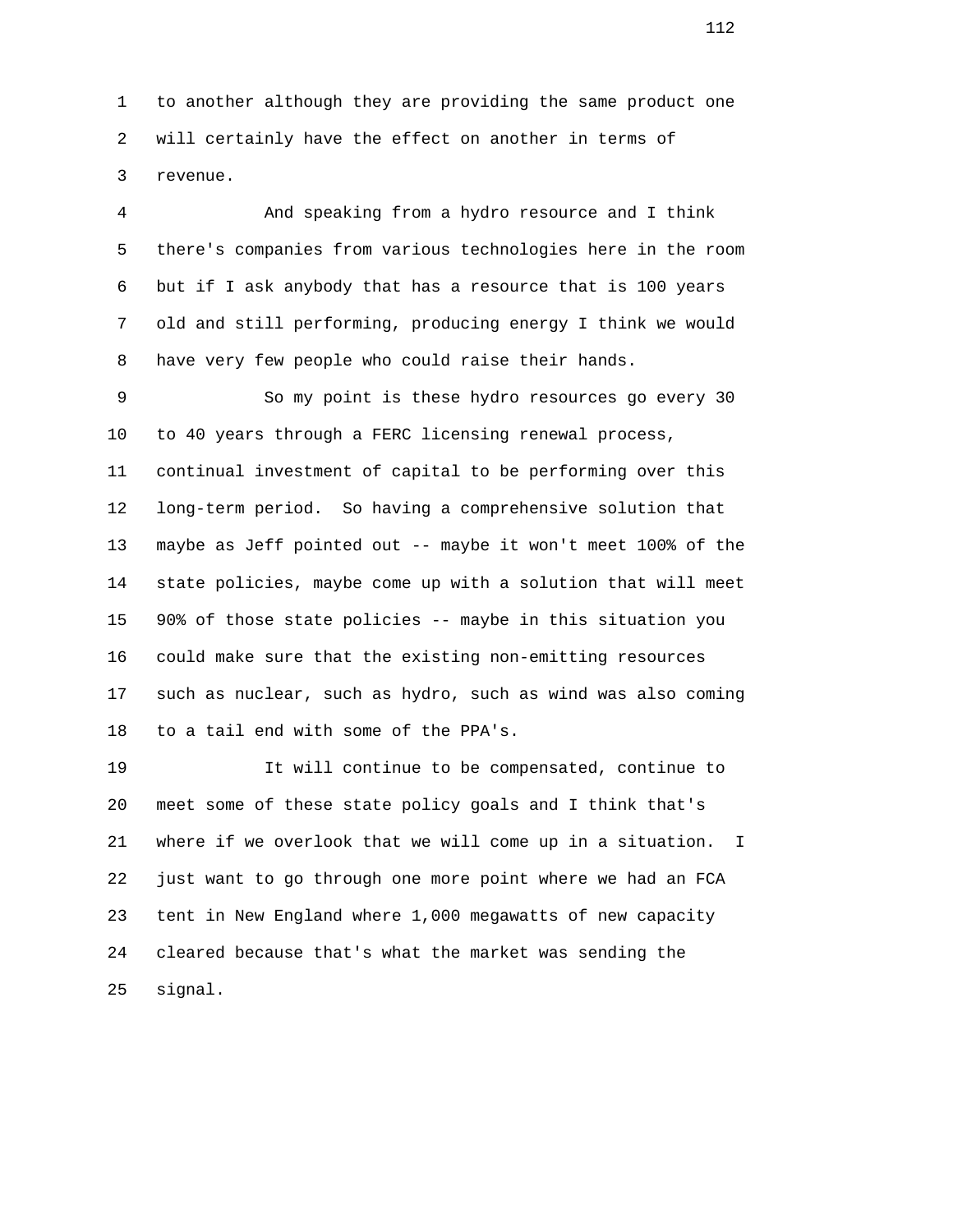1 to another although they are providing the same product one 2 will certainly have the effect on another in terms of 3 revenue.

 4 And speaking from a hydro resource and I think 5 there's companies from various technologies here in the room 6 but if I ask anybody that has a resource that is 100 years 7 old and still performing, producing energy I think we would 8 have very few people who could raise their hands.

 9 So my point is these hydro resources go every 30 10 to 40 years through a FERC licensing renewal process, 11 continual investment of capital to be performing over this 12 long-term period. So having a comprehensive solution that 13 maybe as Jeff pointed out -- maybe it won't meet 100% of the 14 state policies, maybe come up with a solution that will meet 15 90% of those state policies -- maybe in this situation you 16 could make sure that the existing non-emitting resources 17 such as nuclear, such as hydro, such as wind was also coming 18 to a tail end with some of the PPA's.

 19 It will continue to be compensated, continue to 20 meet some of these state policy goals and I think that's 21 where if we overlook that we will come up in a situation. I 22 just want to go through one more point where we had an FCA 23 tent in New England where 1,000 megawatts of new capacity 24 cleared because that's what the market was sending the 25 signal.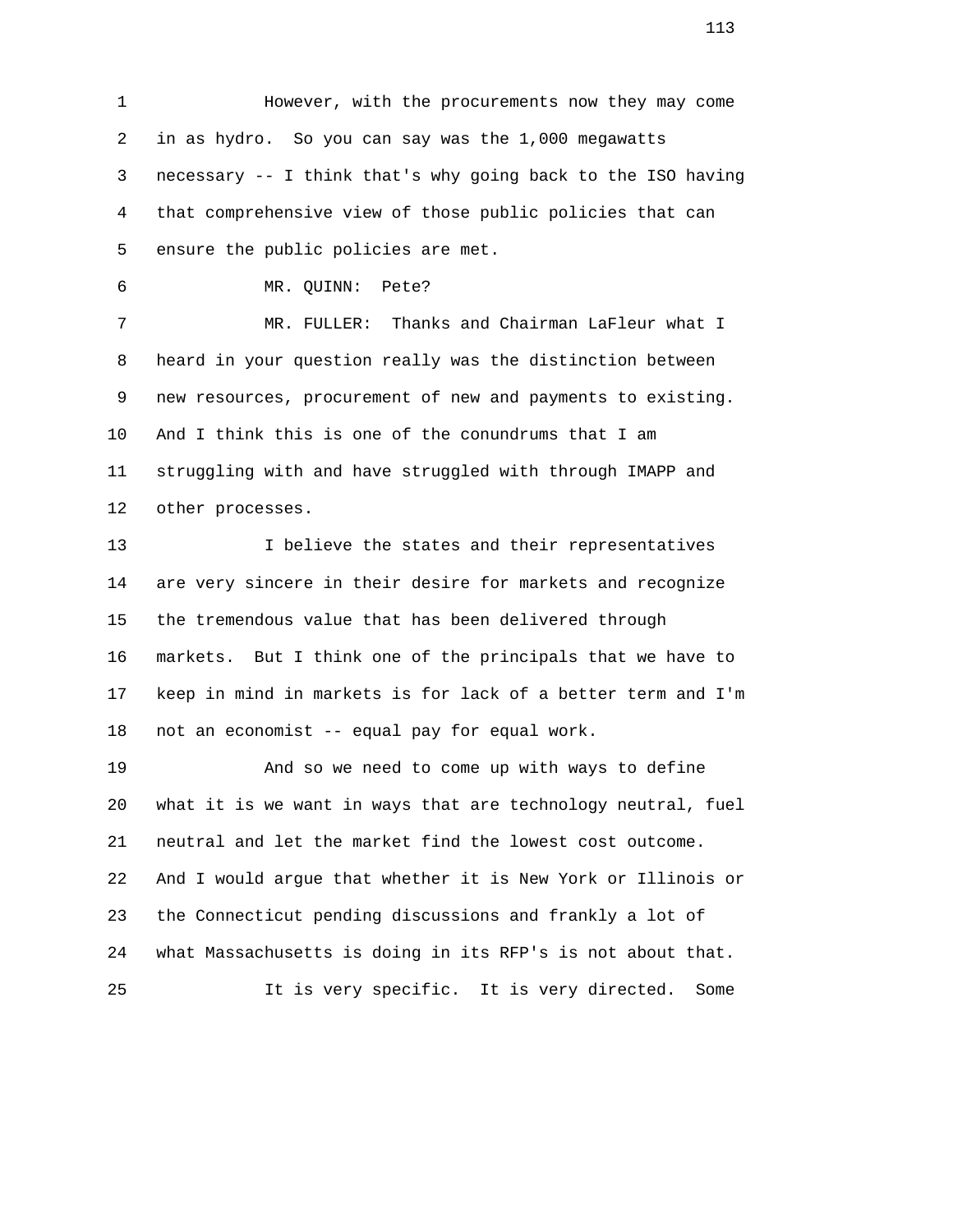1 However, with the procurements now they may come 2 in as hydro. So you can say was the 1,000 megawatts 3 necessary -- I think that's why going back to the ISO having 4 that comprehensive view of those public policies that can 5 ensure the public policies are met.

6 MR. QUINN: Pete?

 7 MR. FULLER: Thanks and Chairman LaFleur what I 8 heard in your question really was the distinction between 9 new resources, procurement of new and payments to existing. 10 And I think this is one of the conundrums that I am 11 struggling with and have struggled with through IMAPP and 12 other processes.

 13 I believe the states and their representatives 14 are very sincere in their desire for markets and recognize 15 the tremendous value that has been delivered through 16 markets. But I think one of the principals that we have to 17 keep in mind in markets is for lack of a better term and I'm 18 not an economist -- equal pay for equal work.

 19 And so we need to come up with ways to define 20 what it is we want in ways that are technology neutral, fuel 21 neutral and let the market find the lowest cost outcome. 22 And I would argue that whether it is New York or Illinois or 23 the Connecticut pending discussions and frankly a lot of 24 what Massachusetts is doing in its RFP's is not about that. 25 It is very specific. It is very directed. Some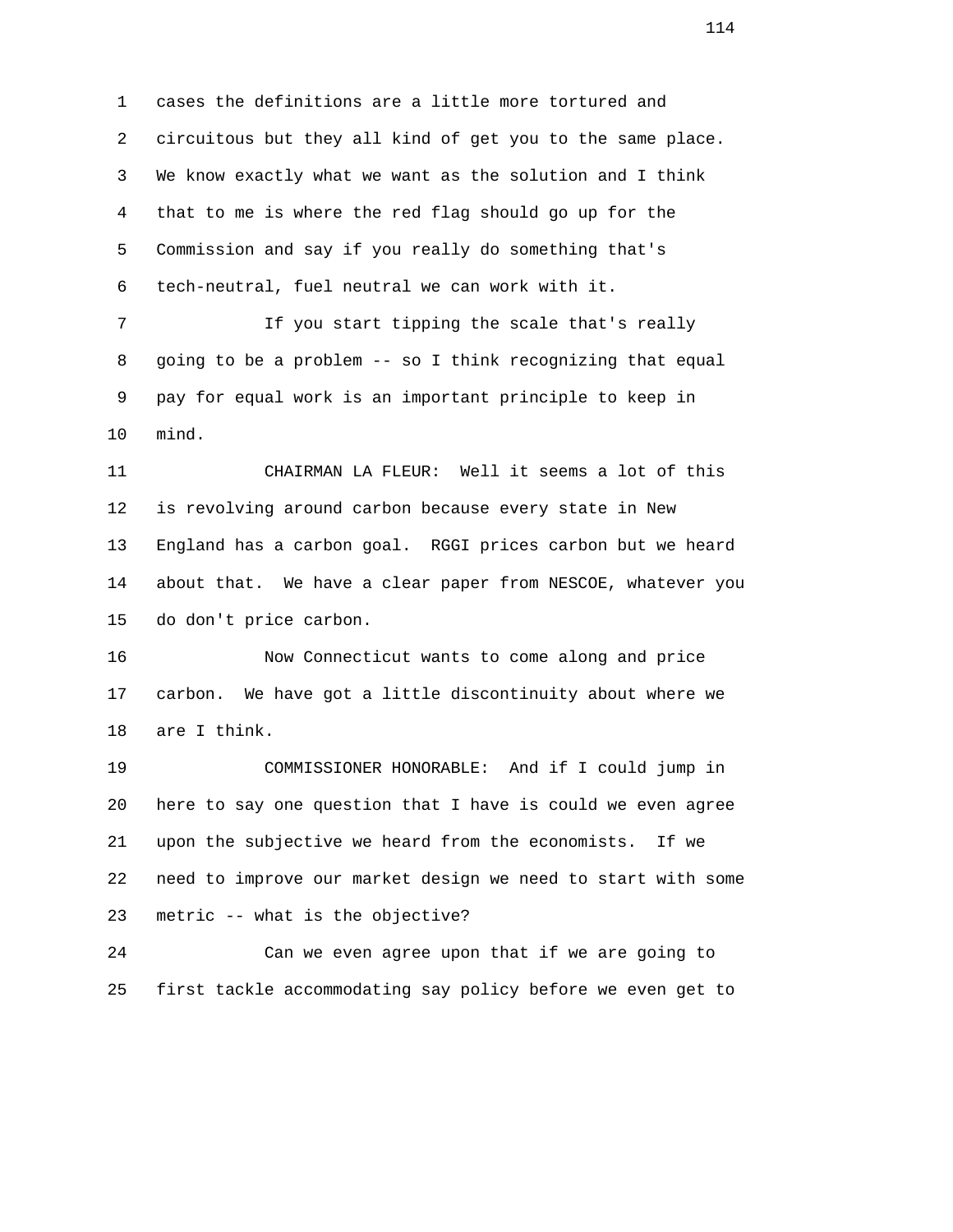1 cases the definitions are a little more tortured and 2 circuitous but they all kind of get you to the same place. 3 We know exactly what we want as the solution and I think 4 that to me is where the red flag should go up for the 5 Commission and say if you really do something that's 6 tech-neutral, fuel neutral we can work with it. 7 If you start tipping the scale that's really

 8 going to be a problem -- so I think recognizing that equal 9 pay for equal work is an important principle to keep in 10 mind.

 11 CHAIRMAN LA FLEUR: Well it seems a lot of this 12 is revolving around carbon because every state in New 13 England has a carbon goal. RGGI prices carbon but we heard 14 about that. We have a clear paper from NESCOE, whatever you 15 do don't price carbon.

 16 Now Connecticut wants to come along and price 17 carbon. We have got a little discontinuity about where we 18 are I think.

 19 COMMISSIONER HONORABLE: And if I could jump in 20 here to say one question that I have is could we even agree 21 upon the subjective we heard from the economists. If we 22 need to improve our market design we need to start with some 23 metric -- what is the objective?

 24 Can we even agree upon that if we are going to 25 first tackle accommodating say policy before we even get to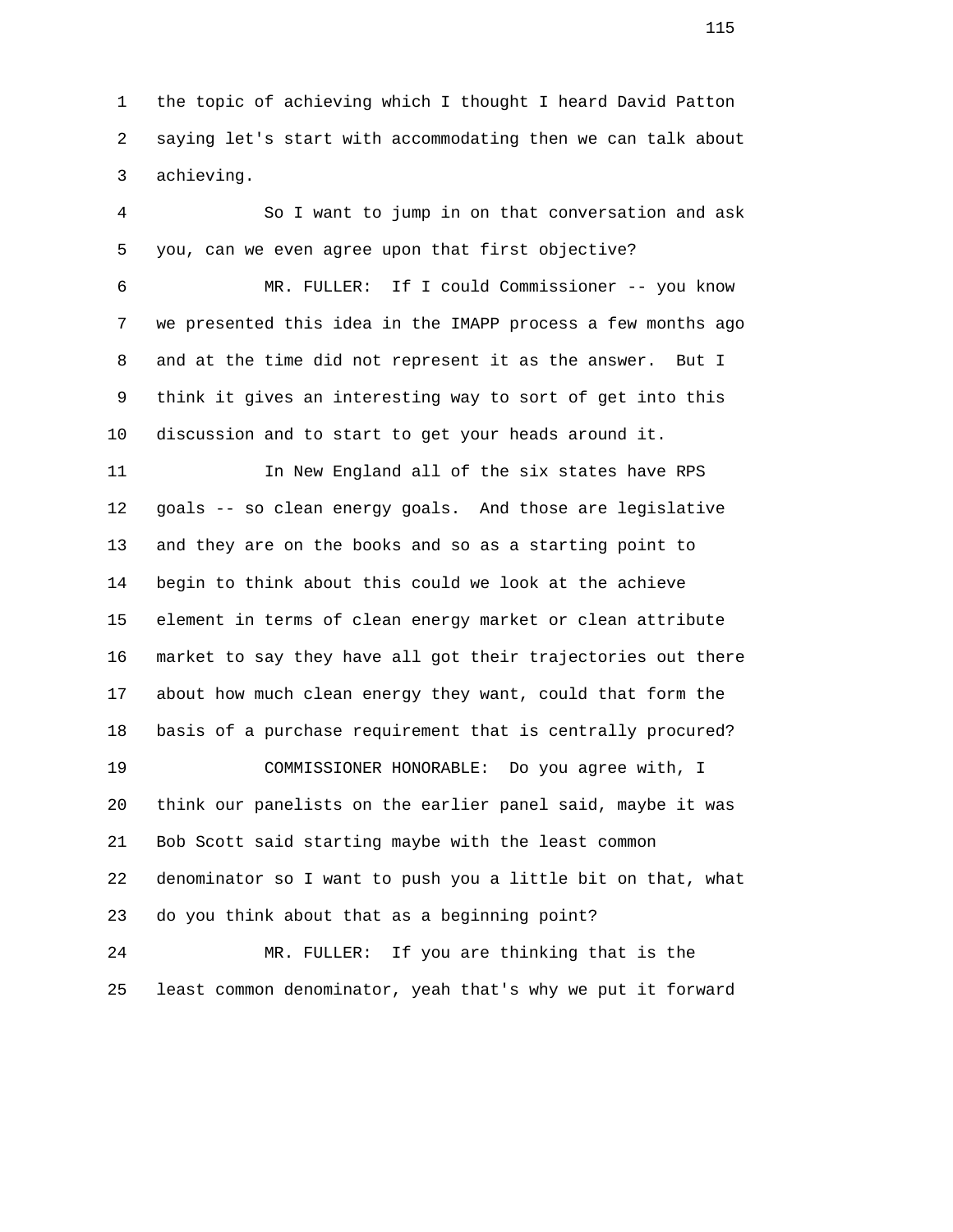1 the topic of achieving which I thought I heard David Patton 2 saying let's start with accommodating then we can talk about 3 achieving.

 4 So I want to jump in on that conversation and ask 5 you, can we even agree upon that first objective? 6 MR. FULLER: If I could Commissioner -- you know 7 we presented this idea in the IMAPP process a few months ago 8 and at the time did not represent it as the answer. But I 9 think it gives an interesting way to sort of get into this 10 discussion and to start to get your heads around it. 11 In New England all of the six states have RPS 12 goals -- so clean energy goals. And those are legislative 13 and they are on the books and so as a starting point to 14 begin to think about this could we look at the achieve 15 element in terms of clean energy market or clean attribute 16 market to say they have all got their trajectories out there 17 about how much clean energy they want, could that form the 18 basis of a purchase requirement that is centrally procured? 19 COMMISSIONER HONORABLE: Do you agree with, I 20 think our panelists on the earlier panel said, maybe it was

 22 denominator so I want to push you a little bit on that, what 23 do you think about that as a beginning point?

21 Bob Scott said starting maybe with the least common

 24 MR. FULLER: If you are thinking that is the 25 least common denominator, yeah that's why we put it forward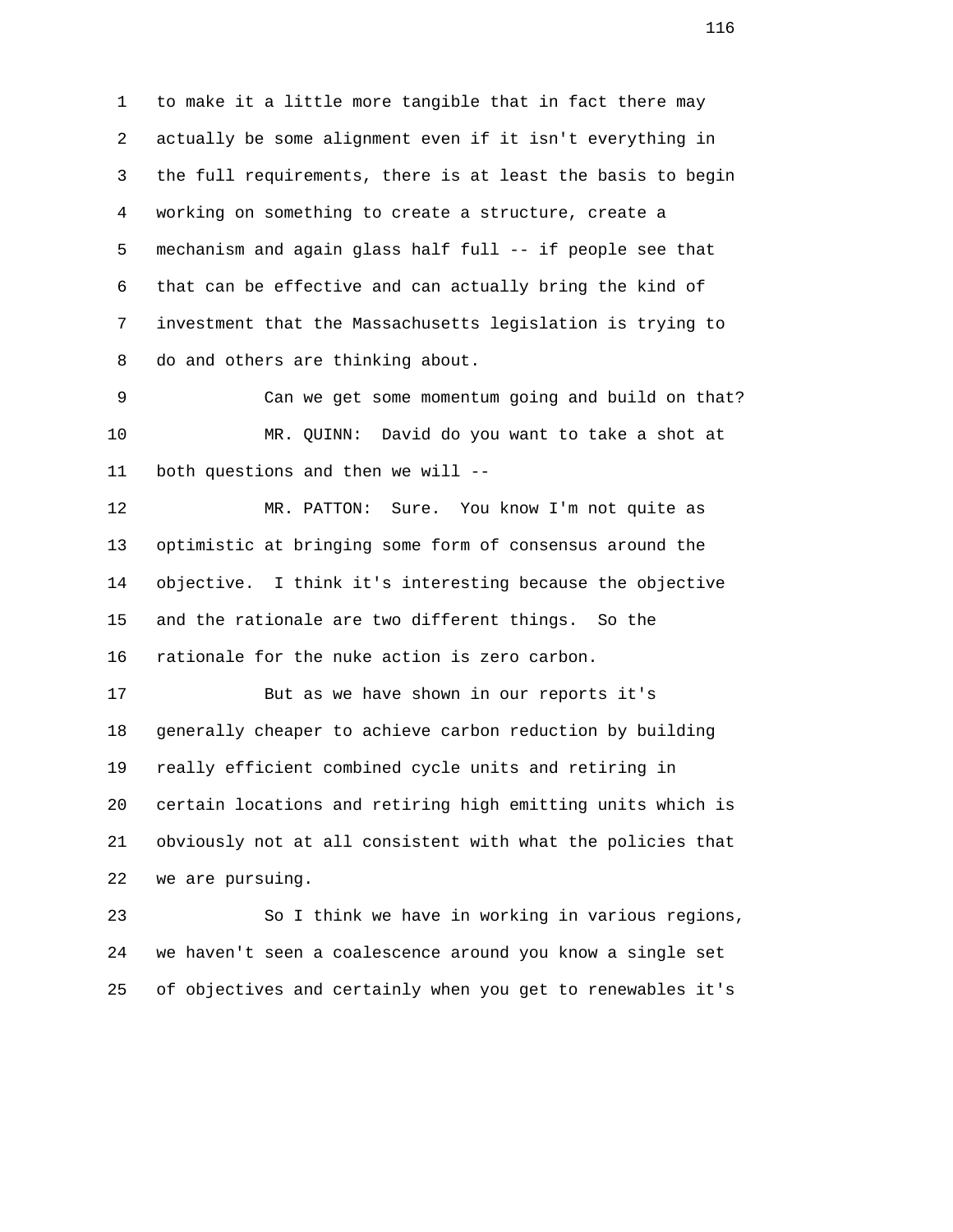1 to make it a little more tangible that in fact there may 2 actually be some alignment even if it isn't everything in 3 the full requirements, there is at least the basis to begin 4 working on something to create a structure, create a 5 mechanism and again glass half full -- if people see that 6 that can be effective and can actually bring the kind of 7 investment that the Massachusetts legislation is trying to 8 do and others are thinking about.

 9 Can we get some momentum going and build on that? 10 MR. QUINN: David do you want to take a shot at 11 both questions and then we will --

 12 MR. PATTON: Sure. You know I'm not quite as 13 optimistic at bringing some form of consensus around the 14 objective. I think it's interesting because the objective 15 and the rationale are two different things. So the 16 rationale for the nuke action is zero carbon.

 17 But as we have shown in our reports it's 18 generally cheaper to achieve carbon reduction by building 19 really efficient combined cycle units and retiring in 20 certain locations and retiring high emitting units which is 21 obviously not at all consistent with what the policies that 22 we are pursuing.

 23 So I think we have in working in various regions, 24 we haven't seen a coalescence around you know a single set 25 of objectives and certainly when you get to renewables it's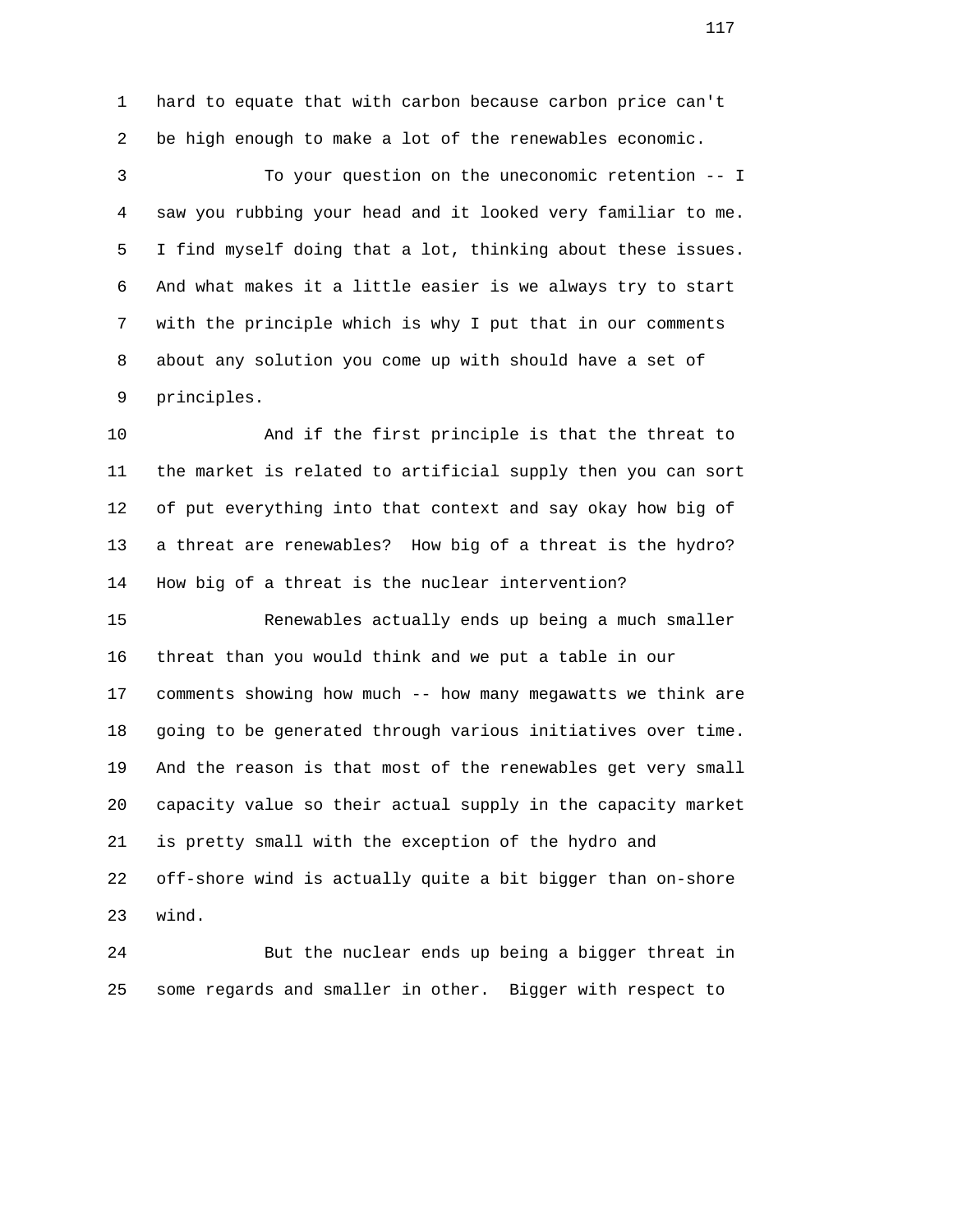1 hard to equate that with carbon because carbon price can't 2 be high enough to make a lot of the renewables economic.

 3 To your question on the uneconomic retention -- I 4 saw you rubbing your head and it looked very familiar to me. 5 I find myself doing that a lot, thinking about these issues. 6 And what makes it a little easier is we always try to start 7 with the principle which is why I put that in our comments 8 about any solution you come up with should have a set of 9 principles.

 10 And if the first principle is that the threat to 11 the market is related to artificial supply then you can sort 12 of put everything into that context and say okay how big of 13 a threat are renewables? How big of a threat is the hydro? 14 How big of a threat is the nuclear intervention?

 15 Renewables actually ends up being a much smaller 16 threat than you would think and we put a table in our 17 comments showing how much -- how many megawatts we think are 18 going to be generated through various initiatives over time. 19 And the reason is that most of the renewables get very small 20 capacity value so their actual supply in the capacity market 21 is pretty small with the exception of the hydro and 22 off-shore wind is actually quite a bit bigger than on-shore 23 wind.

 24 But the nuclear ends up being a bigger threat in 25 some regards and smaller in other. Bigger with respect to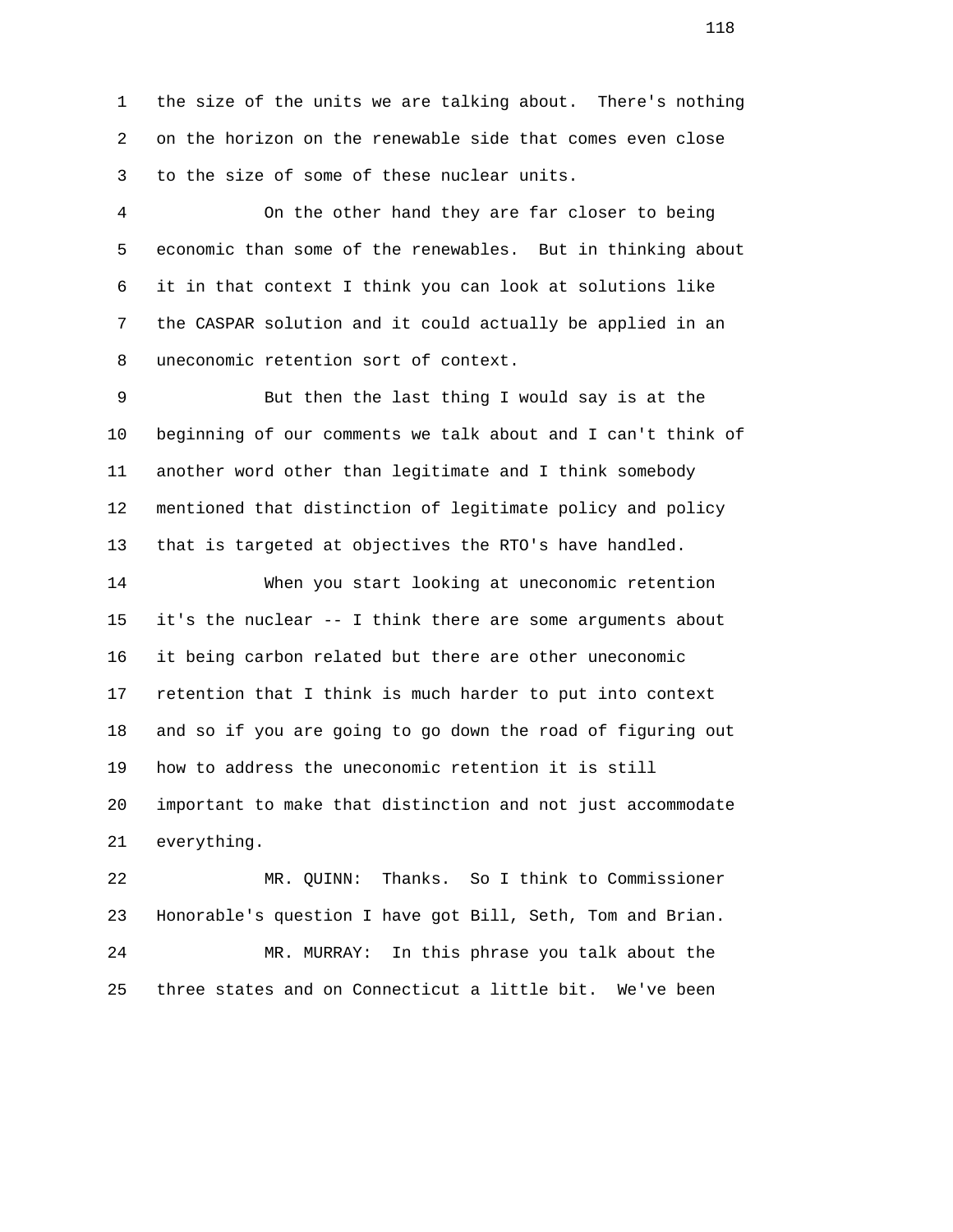1 the size of the units we are talking about. There's nothing 2 on the horizon on the renewable side that comes even close 3 to the size of some of these nuclear units.

 4 On the other hand they are far closer to being 5 economic than some of the renewables. But in thinking about 6 it in that context I think you can look at solutions like 7 the CASPAR solution and it could actually be applied in an 8 uneconomic retention sort of context.

 9 But then the last thing I would say is at the 10 beginning of our comments we talk about and I can't think of 11 another word other than legitimate and I think somebody 12 mentioned that distinction of legitimate policy and policy 13 that is targeted at objectives the RTO's have handled.

 14 When you start looking at uneconomic retention 15 it's the nuclear -- I think there are some arguments about 16 it being carbon related but there are other uneconomic 17 retention that I think is much harder to put into context 18 and so if you are going to go down the road of figuring out 19 how to address the uneconomic retention it is still 20 important to make that distinction and not just accommodate 21 everything.

 22 MR. QUINN: Thanks. So I think to Commissioner 23 Honorable's question I have got Bill, Seth, Tom and Brian. 24 MR. MURRAY: In this phrase you talk about the 25 three states and on Connecticut a little bit. We've been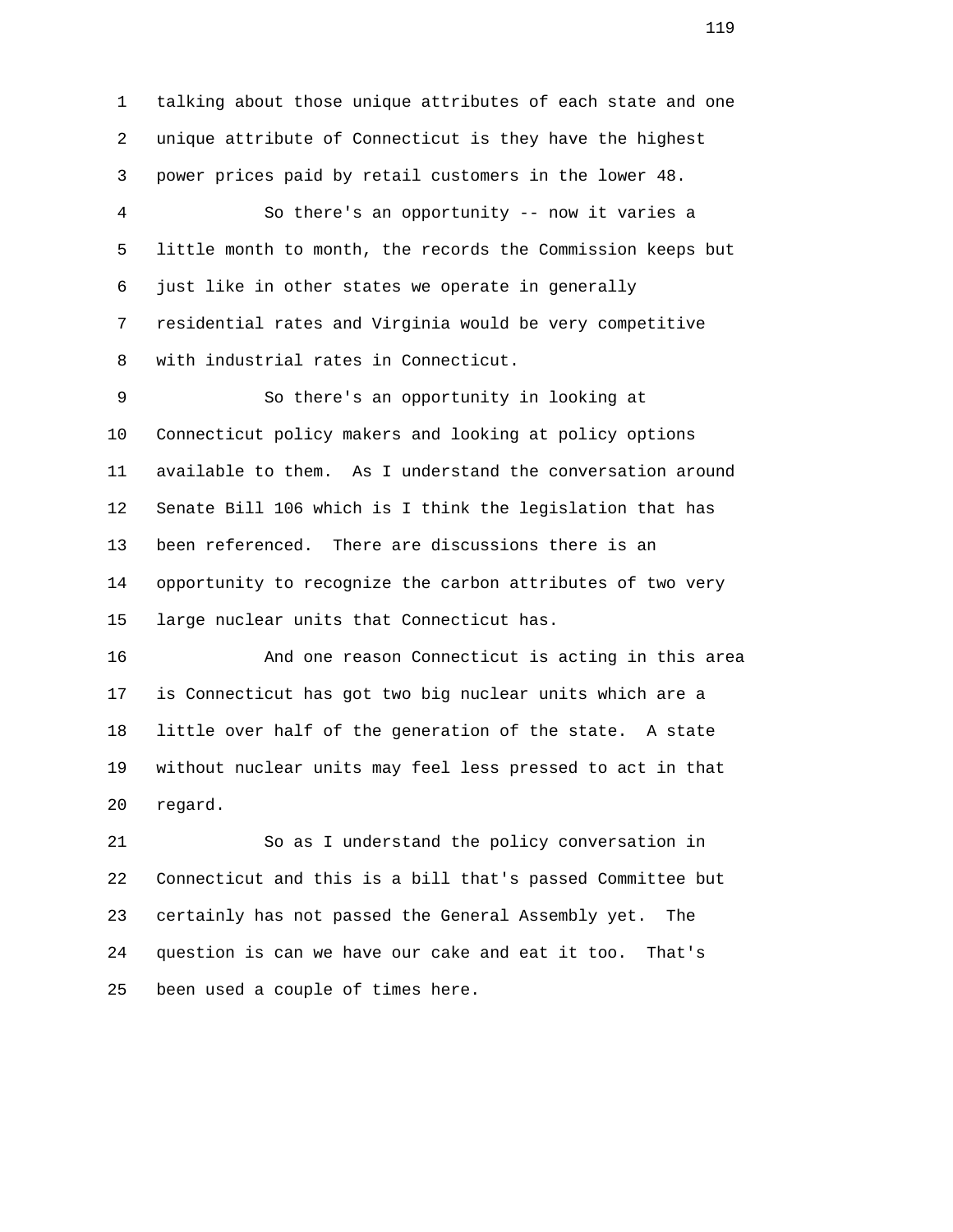1 talking about those unique attributes of each state and one 2 unique attribute of Connecticut is they have the highest 3 power prices paid by retail customers in the lower 48. 4 So there's an opportunity -- now it varies a

 5 little month to month, the records the Commission keeps but 6 just like in other states we operate in generally 7 residential rates and Virginia would be very competitive 8 with industrial rates in Connecticut.

 9 So there's an opportunity in looking at 10 Connecticut policy makers and looking at policy options 11 available to them. As I understand the conversation around 12 Senate Bill 106 which is I think the legislation that has 13 been referenced. There are discussions there is an 14 opportunity to recognize the carbon attributes of two very 15 large nuclear units that Connecticut has.

 16 And one reason Connecticut is acting in this area 17 is Connecticut has got two big nuclear units which are a 18 little over half of the generation of the state. A state 19 without nuclear units may feel less pressed to act in that 20 regard.

 21 So as I understand the policy conversation in 22 Connecticut and this is a bill that's passed Committee but 23 certainly has not passed the General Assembly yet. The 24 question is can we have our cake and eat it too. That's 25 been used a couple of times here.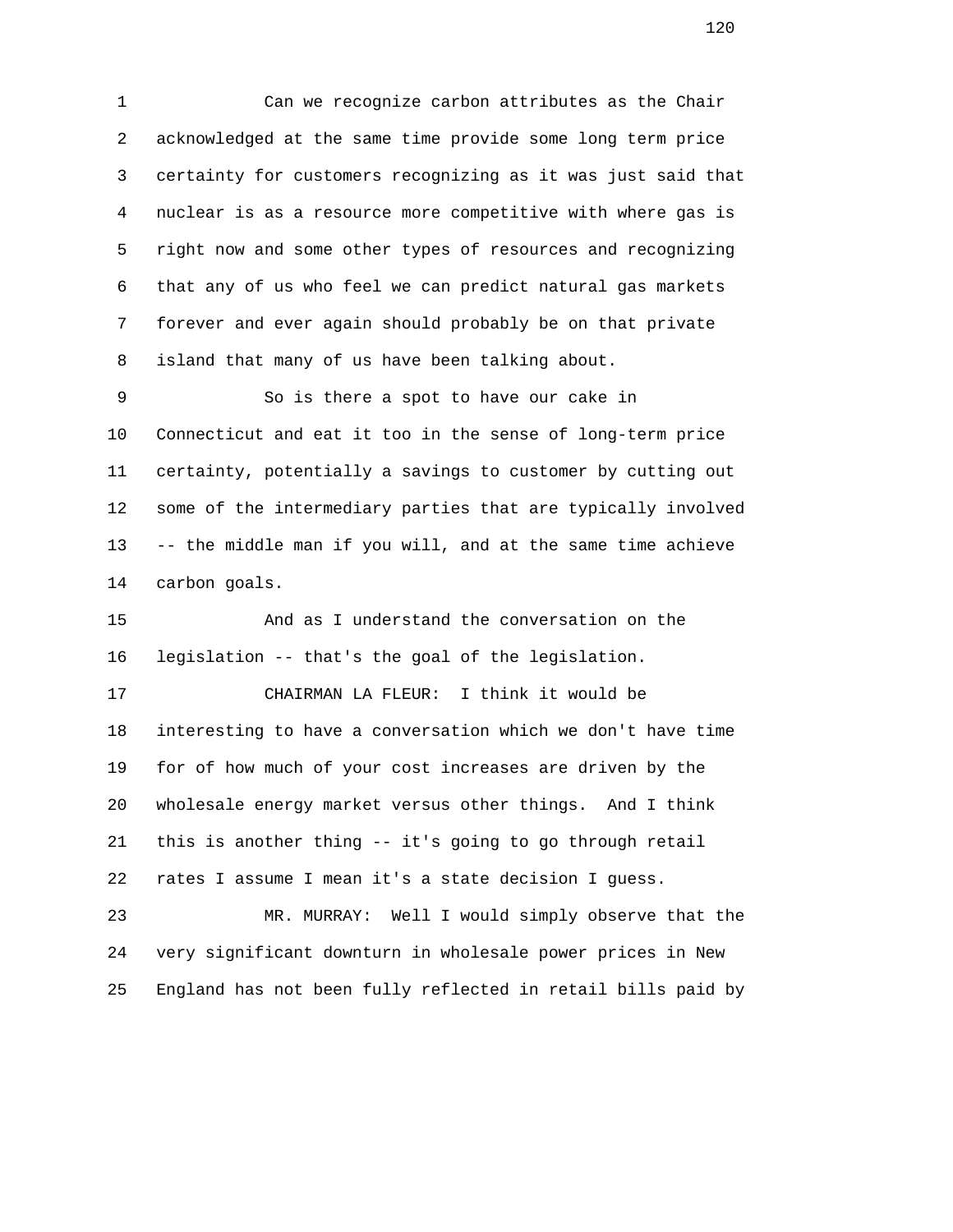1 Can we recognize carbon attributes as the Chair 2 acknowledged at the same time provide some long term price 3 certainty for customers recognizing as it was just said that 4 nuclear is as a resource more competitive with where gas is 5 right now and some other types of resources and recognizing 6 that any of us who feel we can predict natural gas markets 7 forever and ever again should probably be on that private 8 island that many of us have been talking about.

 9 So is there a spot to have our cake in 10 Connecticut and eat it too in the sense of long-term price 11 certainty, potentially a savings to customer by cutting out 12 some of the intermediary parties that are typically involved 13 -- the middle man if you will, and at the same time achieve 14 carbon goals.

 15 And as I understand the conversation on the 16 legislation -- that's the goal of the legislation.

 17 CHAIRMAN LA FLEUR: I think it would be 18 interesting to have a conversation which we don't have time 19 for of how much of your cost increases are driven by the 20 wholesale energy market versus other things. And I think 21 this is another thing -- it's going to go through retail 22 rates I assume I mean it's a state decision I guess.

 23 MR. MURRAY: Well I would simply observe that the 24 very significant downturn in wholesale power prices in New 25 England has not been fully reflected in retail bills paid by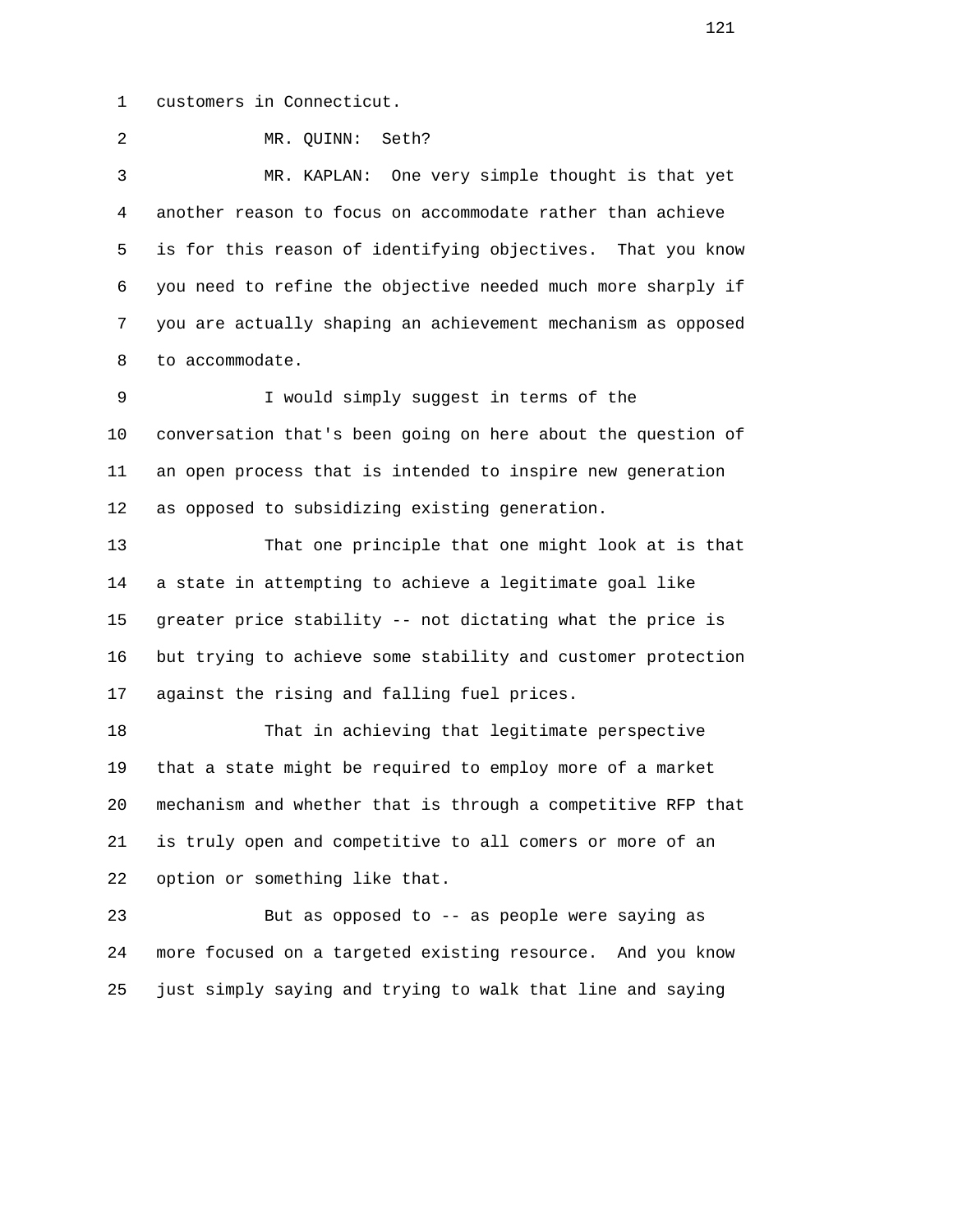1 customers in Connecticut.

2 MR. QUINN: Seth?

 3 MR. KAPLAN: One very simple thought is that yet 4 another reason to focus on accommodate rather than achieve 5 is for this reason of identifying objectives. That you know 6 you need to refine the objective needed much more sharply if 7 you are actually shaping an achievement mechanism as opposed 8 to accommodate.

 9 I would simply suggest in terms of the 10 conversation that's been going on here about the question of 11 an open process that is intended to inspire new generation 12 as opposed to subsidizing existing generation.

 13 That one principle that one might look at is that 14 a state in attempting to achieve a legitimate goal like 15 greater price stability -- not dictating what the price is 16 but trying to achieve some stability and customer protection 17 against the rising and falling fuel prices.

 18 That in achieving that legitimate perspective 19 that a state might be required to employ more of a market 20 mechanism and whether that is through a competitive RFP that 21 is truly open and competitive to all comers or more of an 22 option or something like that.

 23 But as opposed to -- as people were saying as 24 more focused on a targeted existing resource. And you know 25 just simply saying and trying to walk that line and saying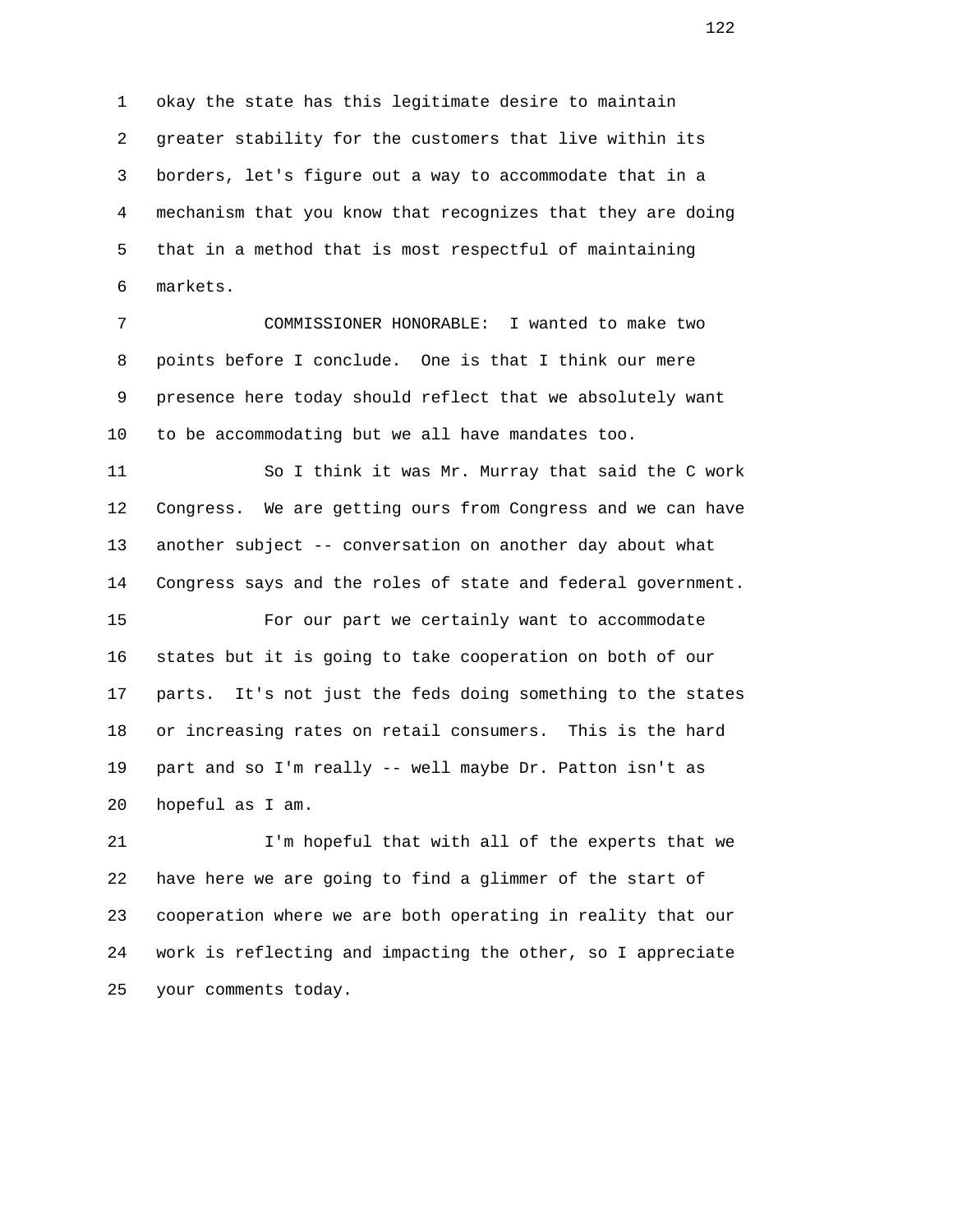1 okay the state has this legitimate desire to maintain 2 greater stability for the customers that live within its 3 borders, let's figure out a way to accommodate that in a 4 mechanism that you know that recognizes that they are doing 5 that in a method that is most respectful of maintaining 6 markets.

 7 COMMISSIONER HONORABLE: I wanted to make two 8 points before I conclude. One is that I think our mere 9 presence here today should reflect that we absolutely want 10 to be accommodating but we all have mandates too.

 11 So I think it was Mr. Murray that said the C work 12 Congress. We are getting ours from Congress and we can have 13 another subject -- conversation on another day about what 14 Congress says and the roles of state and federal government.

 15 For our part we certainly want to accommodate 16 states but it is going to take cooperation on both of our 17 parts. It's not just the feds doing something to the states 18 or increasing rates on retail consumers. This is the hard 19 part and so I'm really -- well maybe Dr. Patton isn't as 20 hopeful as I am.

 21 I'm hopeful that with all of the experts that we 22 have here we are going to find a glimmer of the start of 23 cooperation where we are both operating in reality that our 24 work is reflecting and impacting the other, so I appreciate 25 your comments today.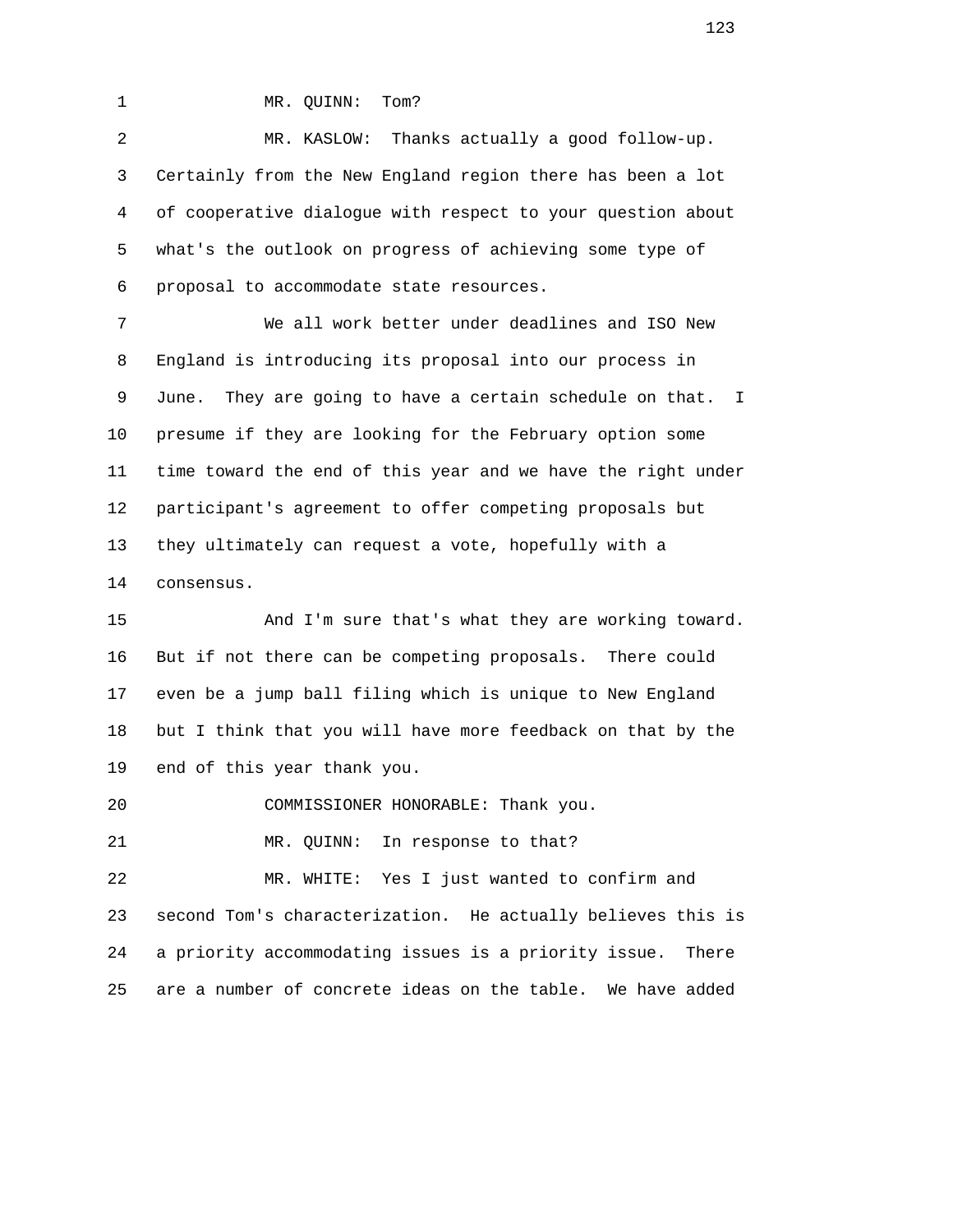1 MR. QUINN: Tom?

 2 MR. KASLOW: Thanks actually a good follow-up. 3 Certainly from the New England region there has been a lot 4 of cooperative dialogue with respect to your question about 5 what's the outlook on progress of achieving some type of 6 proposal to accommodate state resources.

 7 We all work better under deadlines and ISO New 8 England is introducing its proposal into our process in 9 June. They are going to have a certain schedule on that. I 10 presume if they are looking for the February option some 11 time toward the end of this year and we have the right under 12 participant's agreement to offer competing proposals but 13 they ultimately can request a vote, hopefully with a 14 consensus.

 15 And I'm sure that's what they are working toward. 16 But if not there can be competing proposals. There could 17 even be a jump ball filing which is unique to New England 18 but I think that you will have more feedback on that by the 19 end of this year thank you.

20 COMMISSIONER HONORABLE: Thank you.

21 MR. QUINN: In response to that?

 22 MR. WHITE: Yes I just wanted to confirm and 23 second Tom's characterization. He actually believes this is 24 a priority accommodating issues is a priority issue. There 25 are a number of concrete ideas on the table. We have added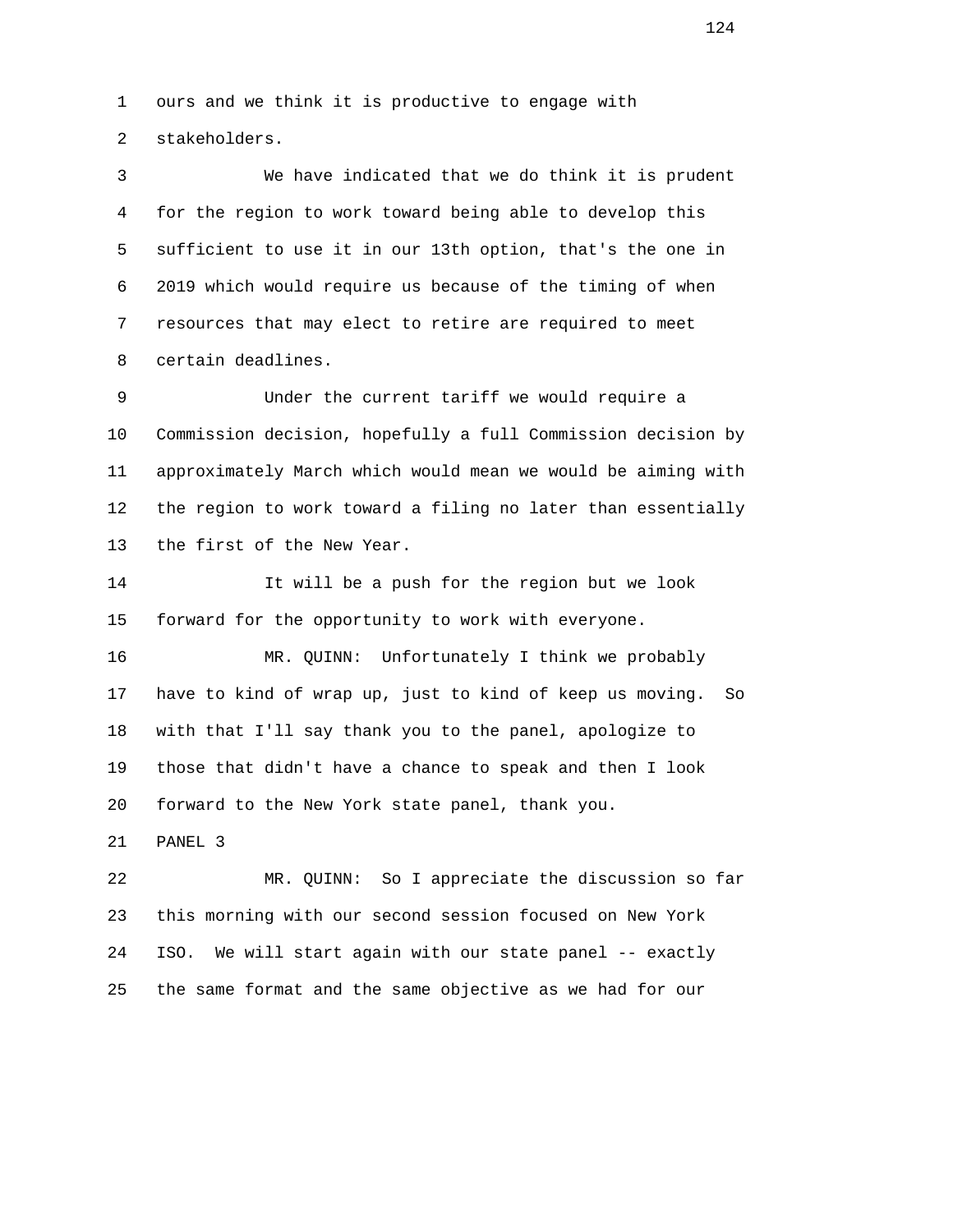1 ours and we think it is productive to engage with 2 stakeholders.

 3 We have indicated that we do think it is prudent 4 for the region to work toward being able to develop this 5 sufficient to use it in our 13th option, that's the one in 6 2019 which would require us because of the timing of when 7 resources that may elect to retire are required to meet 8 certain deadlines.

 9 Under the current tariff we would require a 10 Commission decision, hopefully a full Commission decision by 11 approximately March which would mean we would be aiming with 12 the region to work toward a filing no later than essentially 13 the first of the New Year.

 14 It will be a push for the region but we look 15 forward for the opportunity to work with everyone.

 16 MR. QUINN: Unfortunately I think we probably 17 have to kind of wrap up, just to kind of keep us moving. So 18 with that I'll say thank you to the panel, apologize to 19 those that didn't have a chance to speak and then I look 20 forward to the New York state panel, thank you.

21 PANEL 3

 22 MR. QUINN: So I appreciate the discussion so far 23 this morning with our second session focused on New York 24 ISO. We will start again with our state panel -- exactly 25 the same format and the same objective as we had for our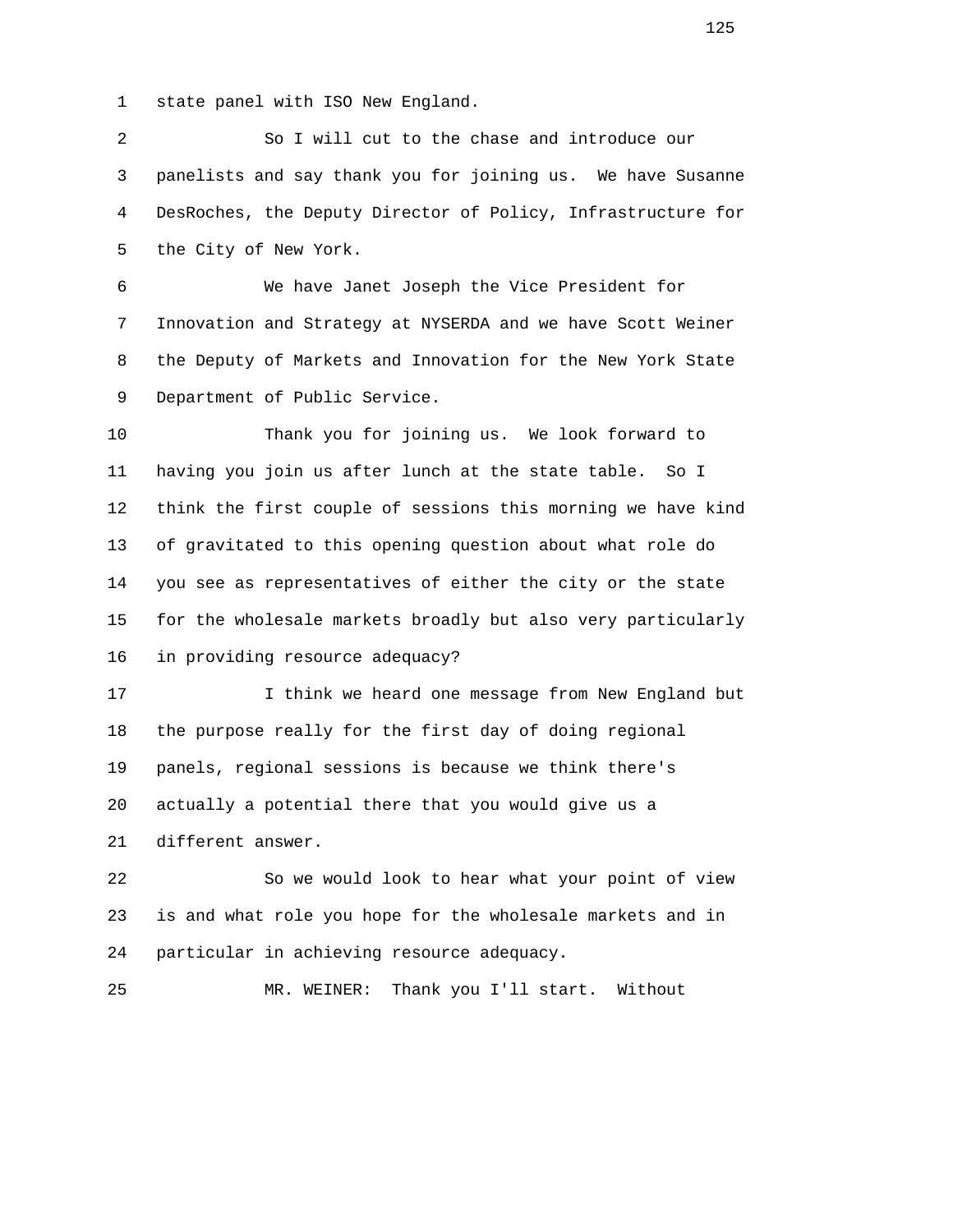1 state panel with ISO New England.

 2 So I will cut to the chase and introduce our 3 panelists and say thank you for joining us. We have Susanne 4 DesRoches, the Deputy Director of Policy, Infrastructure for 5 the City of New York.

 6 We have Janet Joseph the Vice President for 7 Innovation and Strategy at NYSERDA and we have Scott Weiner 8 the Deputy of Markets and Innovation for the New York State 9 Department of Public Service.

 10 Thank you for joining us. We look forward to 11 having you join us after lunch at the state table. So I 12 think the first couple of sessions this morning we have kind 13 of gravitated to this opening question about what role do 14 you see as representatives of either the city or the state 15 for the wholesale markets broadly but also very particularly 16 in providing resource adequacy?

 17 I think we heard one message from New England but 18 the purpose really for the first day of doing regional 19 panels, regional sessions is because we think there's 20 actually a potential there that you would give us a 21 different answer.

 22 So we would look to hear what your point of view 23 is and what role you hope for the wholesale markets and in 24 particular in achieving resource adequacy.

```
 25 MR. WEINER: Thank you I'll start. Without
```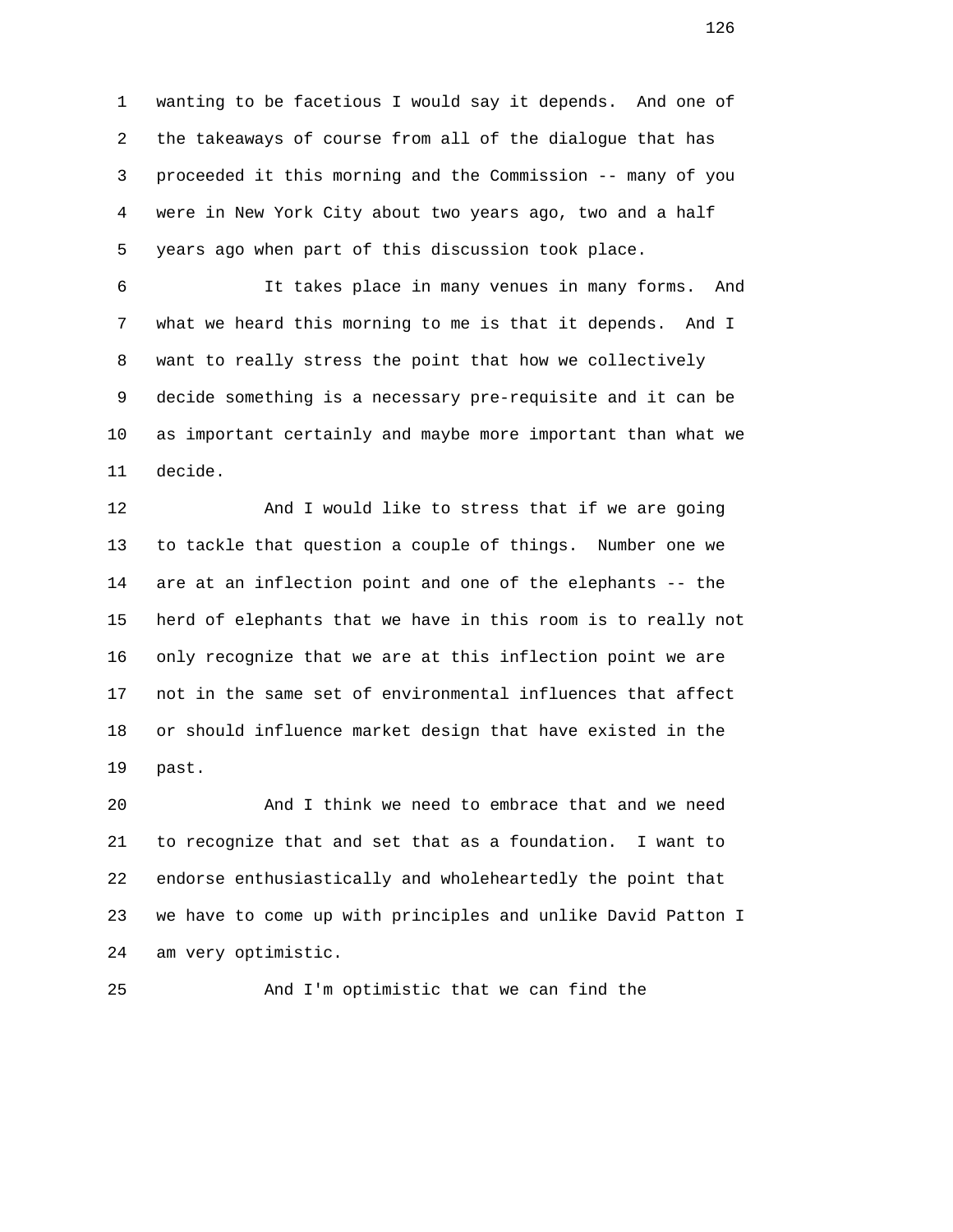1 wanting to be facetious I would say it depends. And one of 2 the takeaways of course from all of the dialogue that has 3 proceeded it this morning and the Commission -- many of you 4 were in New York City about two years ago, two and a half 5 years ago when part of this discussion took place.

 6 It takes place in many venues in many forms. And 7 what we heard this morning to me is that it depends. And I 8 want to really stress the point that how we collectively 9 decide something is a necessary pre-requisite and it can be 10 as important certainly and maybe more important than what we 11 decide.

 12 And I would like to stress that if we are going 13 to tackle that question a couple of things. Number one we 14 are at an inflection point and one of the elephants -- the 15 herd of elephants that we have in this room is to really not 16 only recognize that we are at this inflection point we are 17 not in the same set of environmental influences that affect 18 or should influence market design that have existed in the 19 past.

 20 And I think we need to embrace that and we need 21 to recognize that and set that as a foundation. I want to 22 endorse enthusiastically and wholeheartedly the point that 23 we have to come up with principles and unlike David Patton I 24 am very optimistic.

25 And I'm optimistic that we can find the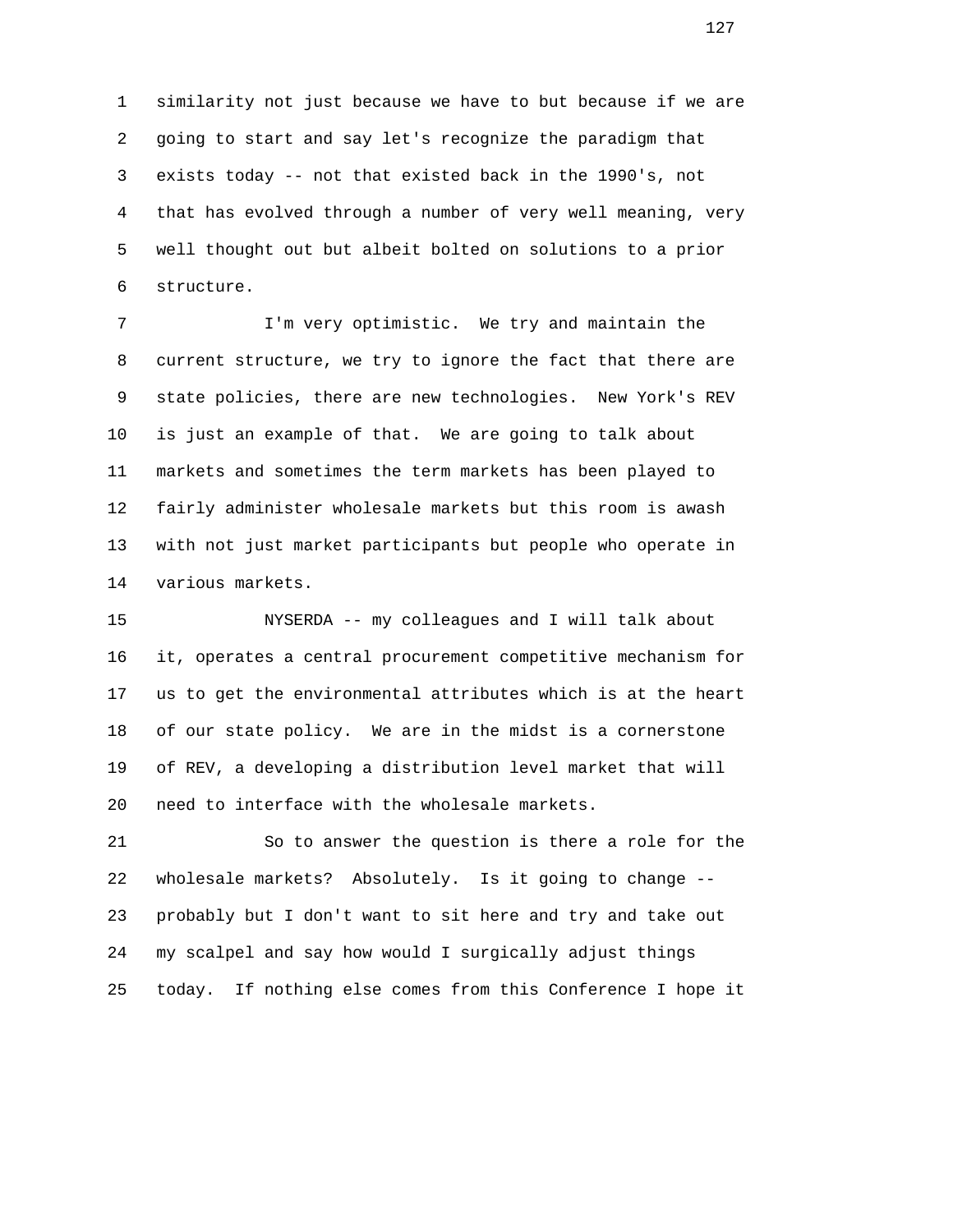1 similarity not just because we have to but because if we are 2 going to start and say let's recognize the paradigm that 3 exists today -- not that existed back in the 1990's, not 4 that has evolved through a number of very well meaning, very 5 well thought out but albeit bolted on solutions to a prior 6 structure.

 7 I'm very optimistic. We try and maintain the 8 current structure, we try to ignore the fact that there are 9 state policies, there are new technologies. New York's REV 10 is just an example of that. We are going to talk about 11 markets and sometimes the term markets has been played to 12 fairly administer wholesale markets but this room is awash 13 with not just market participants but people who operate in 14 various markets.

 15 NYSERDA -- my colleagues and I will talk about 16 it, operates a central procurement competitive mechanism for 17 us to get the environmental attributes which is at the heart 18 of our state policy. We are in the midst is a cornerstone 19 of REV, a developing a distribution level market that will 20 need to interface with the wholesale markets.

 21 So to answer the question is there a role for the 22 wholesale markets? Absolutely. Is it going to change -- 23 probably but I don't want to sit here and try and take out 24 my scalpel and say how would I surgically adjust things 25 today. If nothing else comes from this Conference I hope it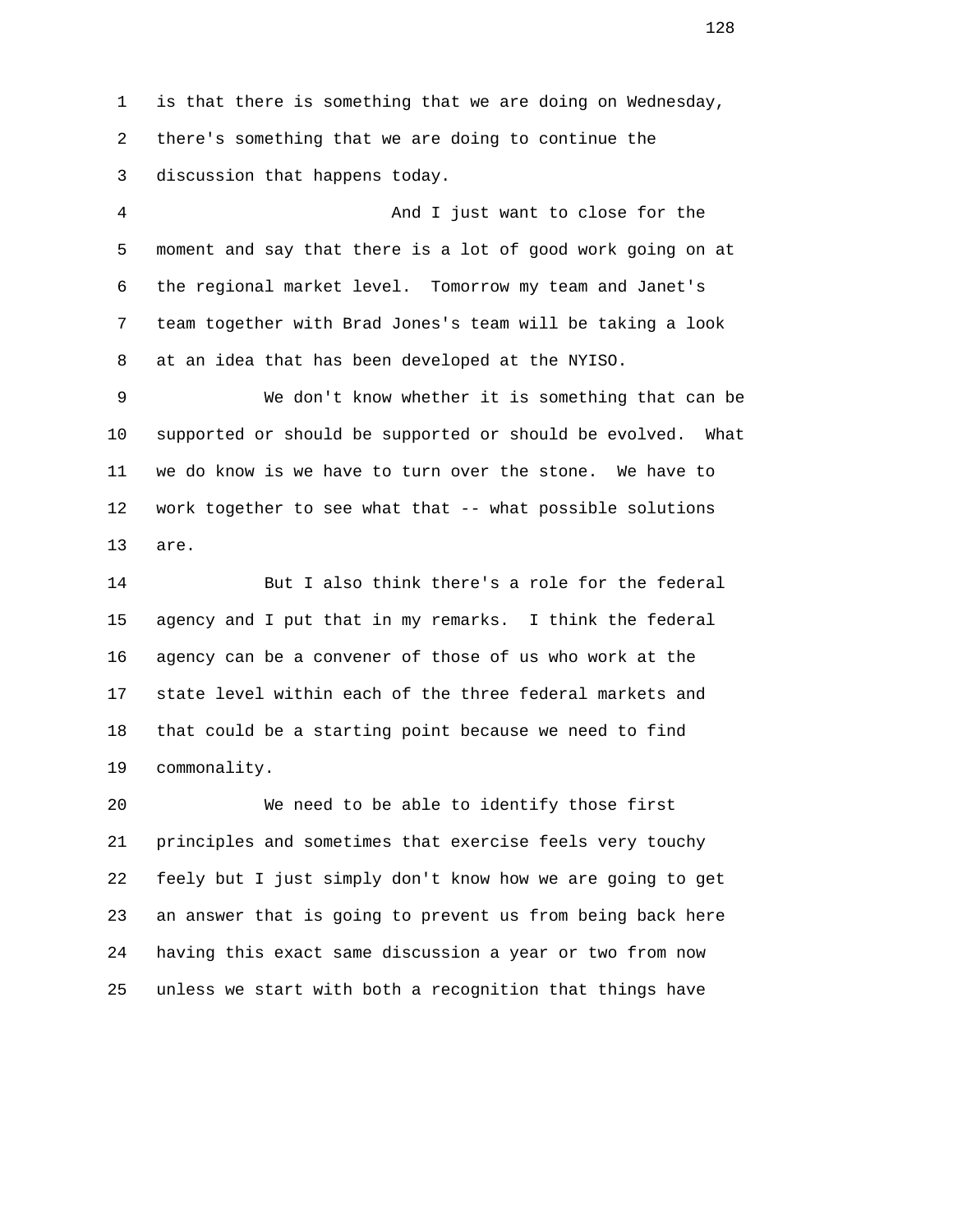1 is that there is something that we are doing on Wednesday, 2 there's something that we are doing to continue the 3 discussion that happens today.

 4 And I just want to close for the 5 moment and say that there is a lot of good work going on at 6 the regional market level. Tomorrow my team and Janet's 7 team together with Brad Jones's team will be taking a look 8 at an idea that has been developed at the NYISO.

 9 We don't know whether it is something that can be 10 supported or should be supported or should be evolved. What 11 we do know is we have to turn over the stone. We have to 12 work together to see what that -- what possible solutions 13 are.

 14 But I also think there's a role for the federal 15 agency and I put that in my remarks. I think the federal 16 agency can be a convener of those of us who work at the 17 state level within each of the three federal markets and 18 that could be a starting point because we need to find 19 commonality.

 20 We need to be able to identify those first 21 principles and sometimes that exercise feels very touchy 22 feely but I just simply don't know how we are going to get 23 an answer that is going to prevent us from being back here 24 having this exact same discussion a year or two from now 25 unless we start with both a recognition that things have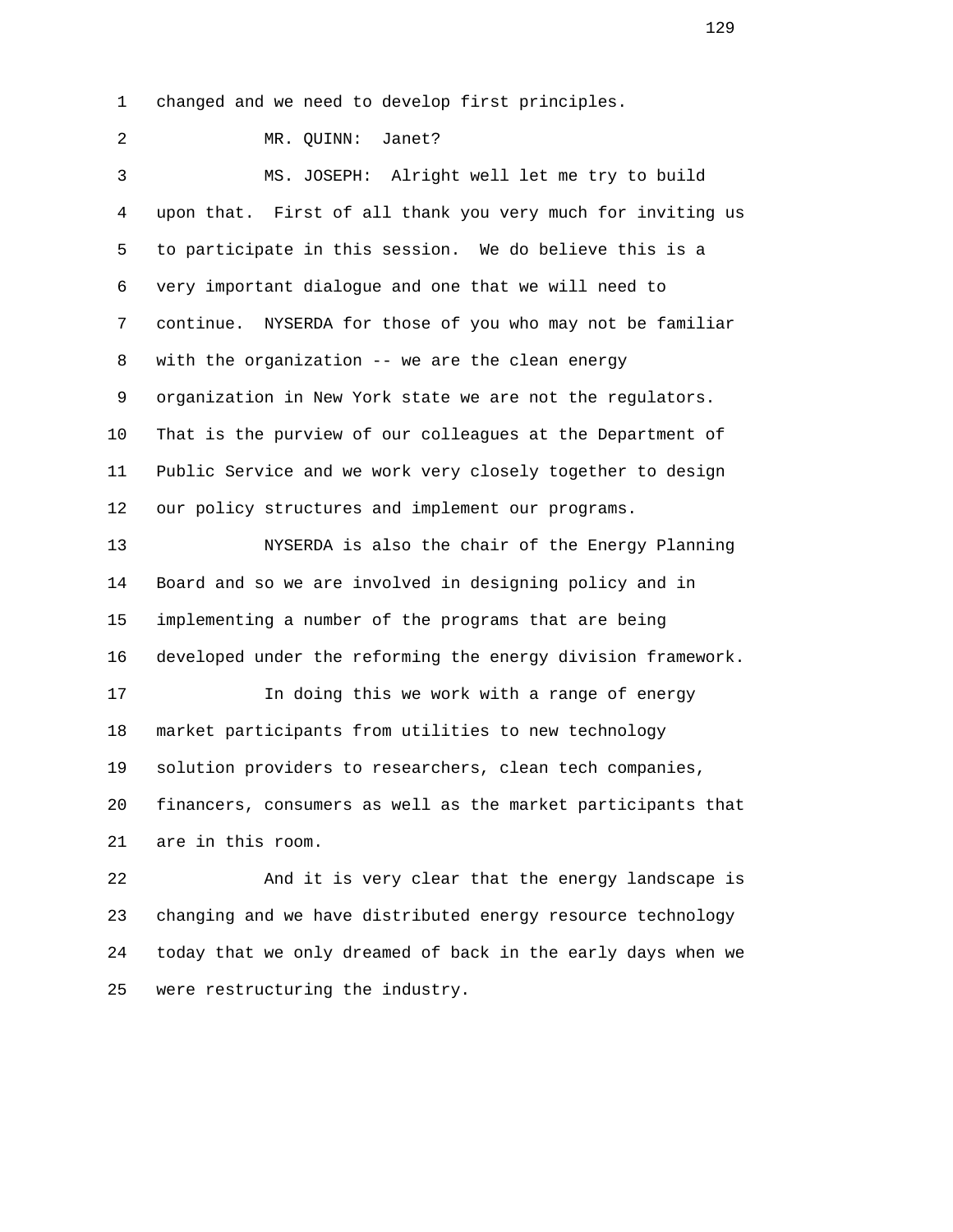1 changed and we need to develop first principles.

 2 MR. QUINN: Janet? 3 MS. JOSEPH: Alright well let me try to build 4 upon that. First of all thank you very much for inviting us 5 to participate in this session. We do believe this is a 6 very important dialogue and one that we will need to 7 continue. NYSERDA for those of you who may not be familiar 8 with the organization -- we are the clean energy 9 organization in New York state we are not the regulators. 10 That is the purview of our colleagues at the Department of 11 Public Service and we work very closely together to design 12 our policy structures and implement our programs. 13 NYSERDA is also the chair of the Energy Planning 14 Board and so we are involved in designing policy and in 15 implementing a number of the programs that are being 16 developed under the reforming the energy division framework. 17 In doing this we work with a range of energy 18 market participants from utilities to new technology 19 solution providers to researchers, clean tech companies, 20 financers, consumers as well as the market participants that 21 are in this room. 22 And it is very clear that the energy landscape is 23 changing and we have distributed energy resource technology

24 today that we only dreamed of back in the early days when we

25 were restructuring the industry.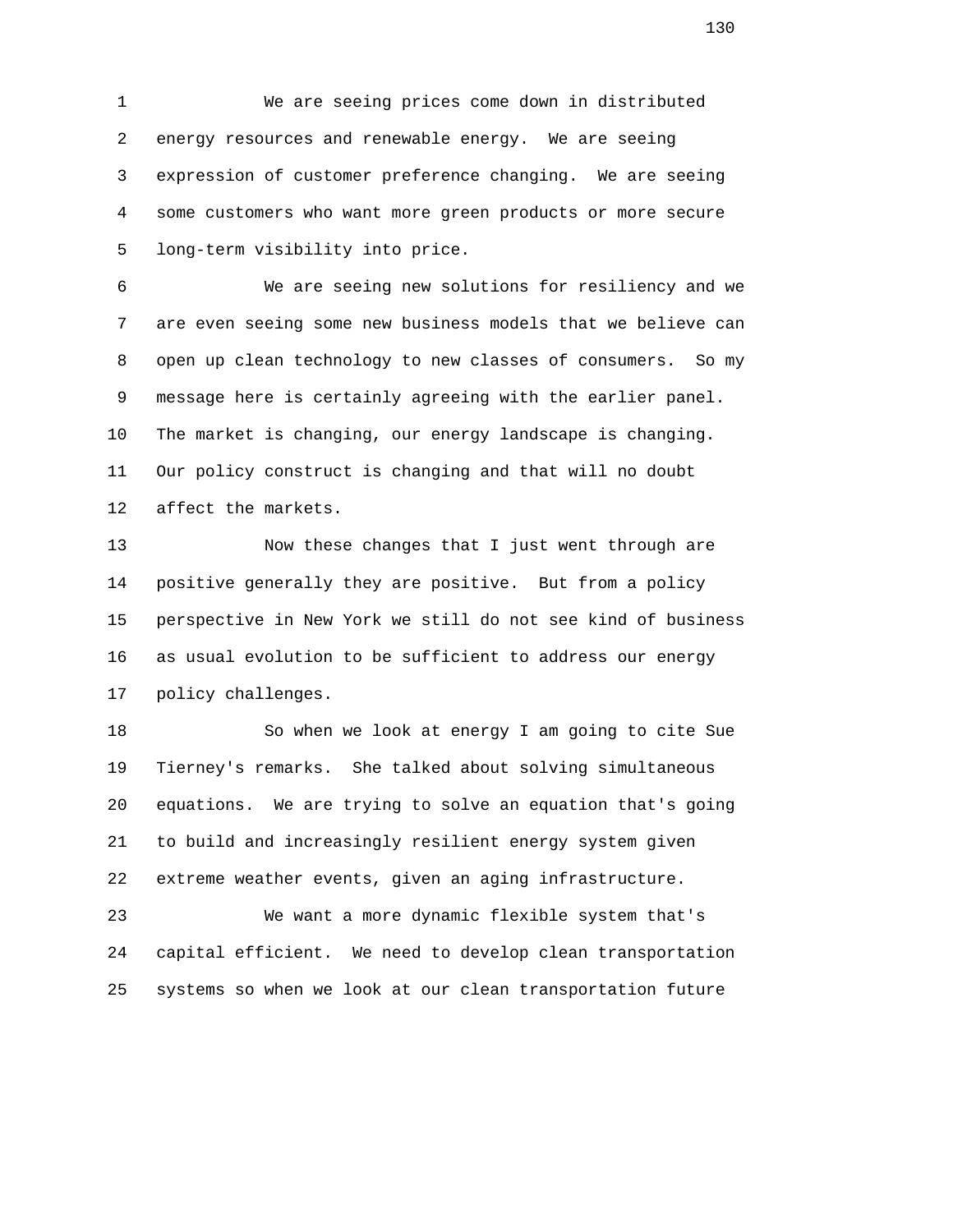1 We are seeing prices come down in distributed 2 energy resources and renewable energy. We are seeing 3 expression of customer preference changing. We are seeing 4 some customers who want more green products or more secure 5 long-term visibility into price.

 6 We are seeing new solutions for resiliency and we 7 are even seeing some new business models that we believe can 8 open up clean technology to new classes of consumers. So my 9 message here is certainly agreeing with the earlier panel. 10 The market is changing, our energy landscape is changing. 11 Our policy construct is changing and that will no doubt 12 affect the markets.

 13 Now these changes that I just went through are 14 positive generally they are positive. But from a policy 15 perspective in New York we still do not see kind of business 16 as usual evolution to be sufficient to address our energy 17 policy challenges.

 18 So when we look at energy I am going to cite Sue 19 Tierney's remarks. She talked about solving simultaneous 20 equations. We are trying to solve an equation that's going 21 to build and increasingly resilient energy system given 22 extreme weather events, given an aging infrastructure.

 23 We want a more dynamic flexible system that's 24 capital efficient. We need to develop clean transportation 25 systems so when we look at our clean transportation future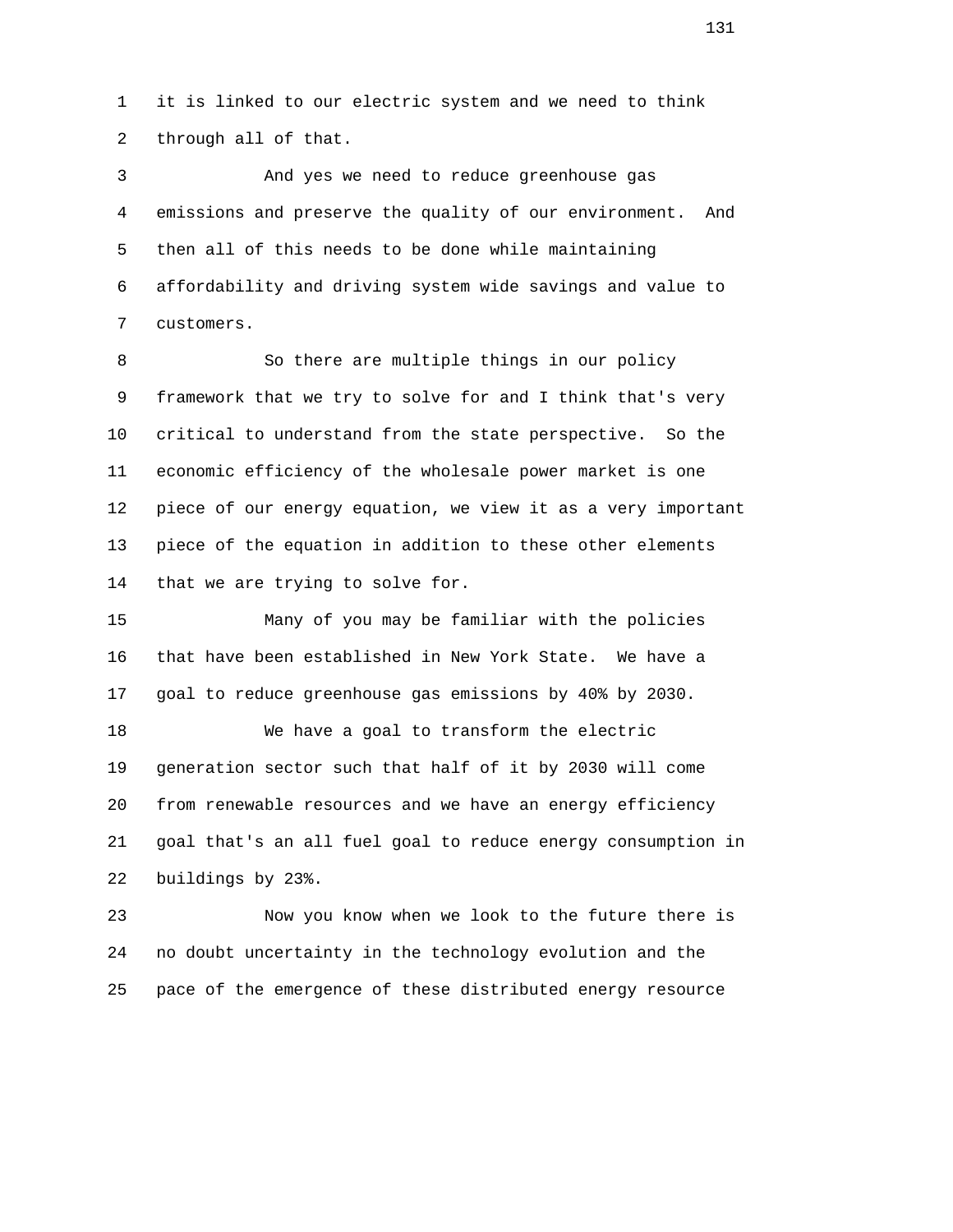1 it is linked to our electric system and we need to think 2 through all of that.

 3 And yes we need to reduce greenhouse gas 4 emissions and preserve the quality of our environment. And 5 then all of this needs to be done while maintaining 6 affordability and driving system wide savings and value to 7 customers.

 8 So there are multiple things in our policy 9 framework that we try to solve for and I think that's very 10 critical to understand from the state perspective. So the 11 economic efficiency of the wholesale power market is one 12 piece of our energy equation, we view it as a very important 13 piece of the equation in addition to these other elements 14 that we are trying to solve for.

 15 Many of you may be familiar with the policies 16 that have been established in New York State. We have a 17 goal to reduce greenhouse gas emissions by 40% by 2030.

 18 We have a goal to transform the electric 19 generation sector such that half of it by 2030 will come 20 from renewable resources and we have an energy efficiency 21 goal that's an all fuel goal to reduce energy consumption in 22 buildings by 23%.

 23 Now you know when we look to the future there is 24 no doubt uncertainty in the technology evolution and the 25 pace of the emergence of these distributed energy resource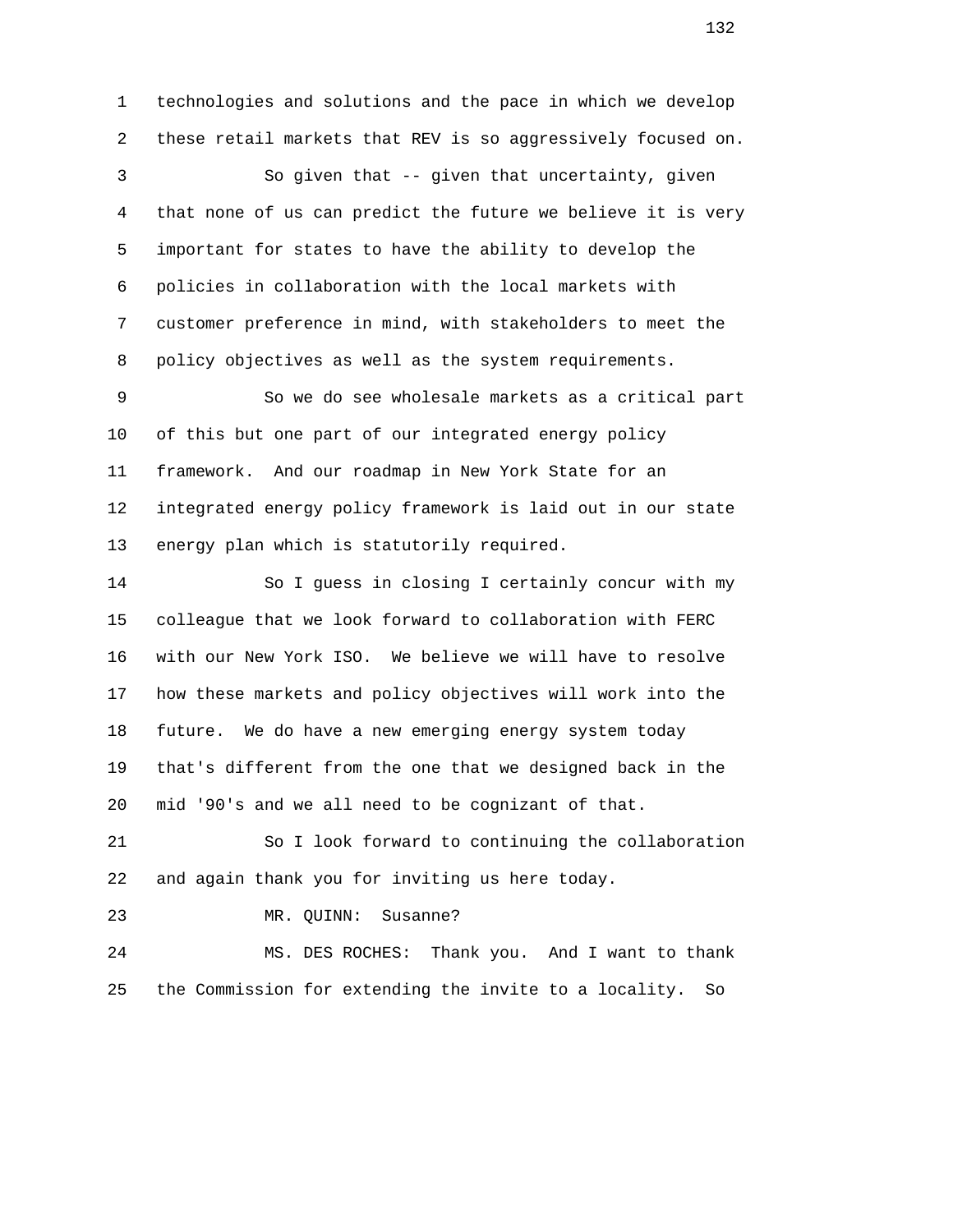1 technologies and solutions and the pace in which we develop 2 these retail markets that REV is so aggressively focused on. 3 So given that -- given that uncertainty, given 4 that none of us can predict the future we believe it is very 5 important for states to have the ability to develop the 6 policies in collaboration with the local markets with 7 customer preference in mind, with stakeholders to meet the 8 policy objectives as well as the system requirements. 9 So we do see wholesale markets as a critical part 10 of this but one part of our integrated energy policy 11 framework. And our roadmap in New York State for an 12 integrated energy policy framework is laid out in our state 13 energy plan which is statutorily required. 14 So I guess in closing I certainly concur with my 15 colleague that we look forward to collaboration with FERC 16 with our New York ISO. We believe we will have to resolve 17 how these markets and policy objectives will work into the 18 future. We do have a new emerging energy system today 19 that's different from the one that we designed back in the 20 mid '90's and we all need to be cognizant of that. 21 So I look forward to continuing the collaboration 22 and again thank you for inviting us here today. 23 MR. QUINN: Susanne? 24 MS. DES ROCHES: Thank you. And I want to thank

25 the Commission for extending the invite to a locality. So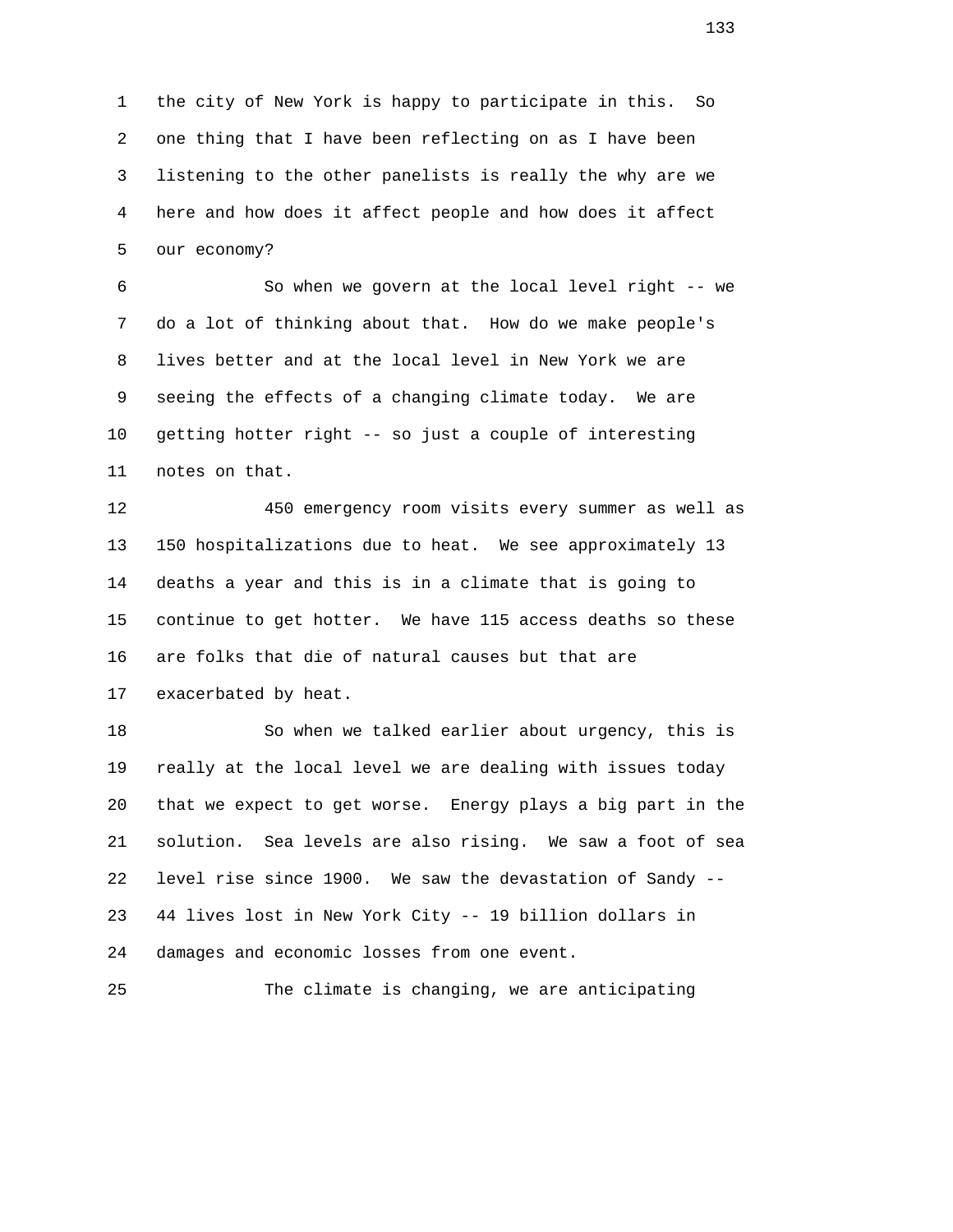1 the city of New York is happy to participate in this. So 2 one thing that I have been reflecting on as I have been 3 listening to the other panelists is really the why are we 4 here and how does it affect people and how does it affect 5 our economy?

 6 So when we govern at the local level right -- we 7 do a lot of thinking about that. How do we make people's 8 lives better and at the local level in New York we are 9 seeing the effects of a changing climate today. We are 10 getting hotter right -- so just a couple of interesting 11 notes on that.

 12 450 emergency room visits every summer as well as 13 150 hospitalizations due to heat. We see approximately 13 14 deaths a year and this is in a climate that is going to 15 continue to get hotter. We have 115 access deaths so these 16 are folks that die of natural causes but that are 17 exacerbated by heat.

 18 So when we talked earlier about urgency, this is 19 really at the local level we are dealing with issues today 20 that we expect to get worse. Energy plays a big part in the 21 solution. Sea levels are also rising. We saw a foot of sea 22 level rise since 1900. We saw the devastation of Sandy -- 23 44 lives lost in New York City -- 19 billion dollars in 24 damages and economic losses from one event.

25 The climate is changing, we are anticipating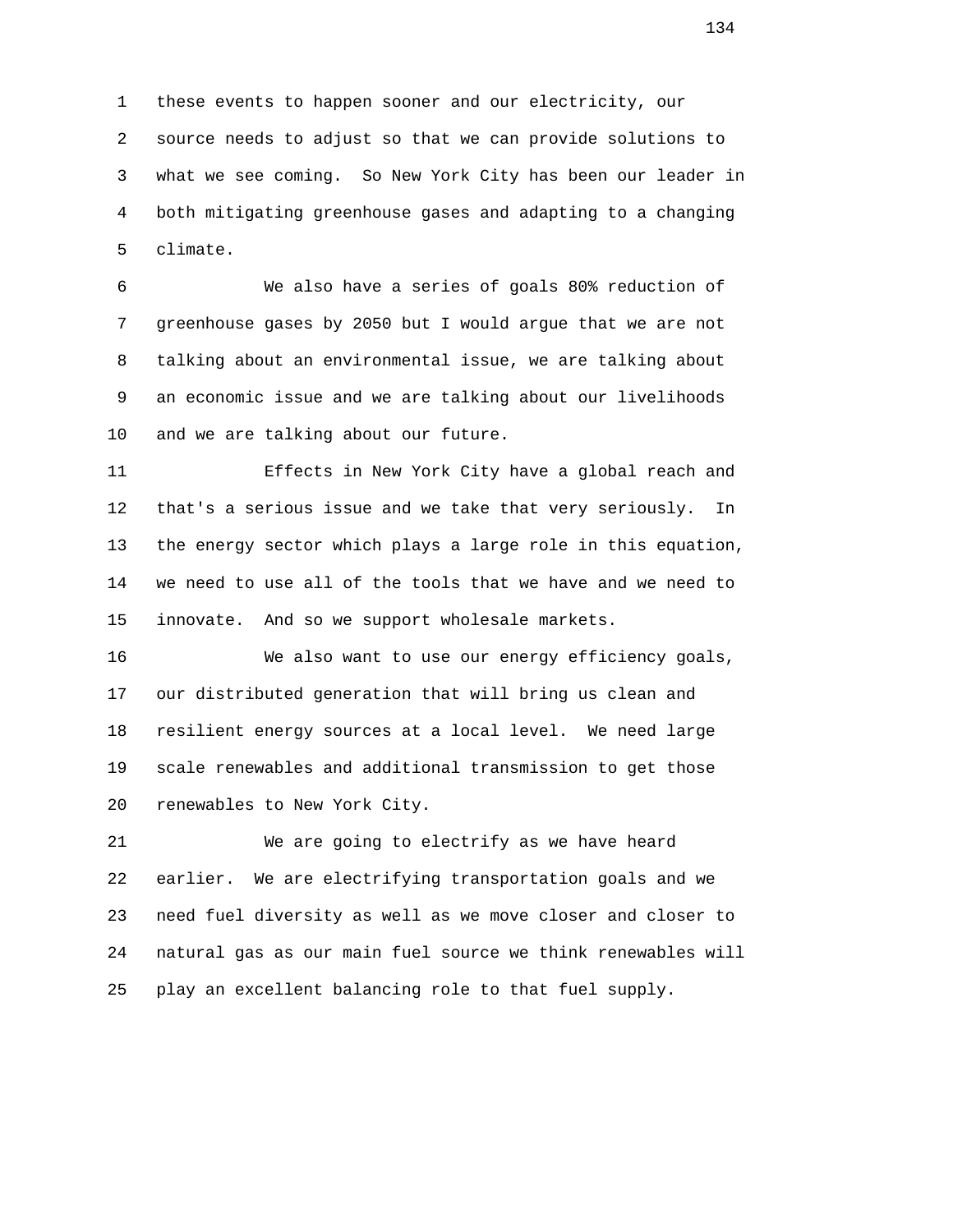1 these events to happen sooner and our electricity, our 2 source needs to adjust so that we can provide solutions to 3 what we see coming. So New York City has been our leader in 4 both mitigating greenhouse gases and adapting to a changing 5 climate.

 6 We also have a series of goals 80% reduction of 7 greenhouse gases by 2050 but I would argue that we are not 8 talking about an environmental issue, we are talking about 9 an economic issue and we are talking about our livelihoods 10 and we are talking about our future.

 11 Effects in New York City have a global reach and 12 that's a serious issue and we take that very seriously. In 13 the energy sector which plays a large role in this equation, 14 we need to use all of the tools that we have and we need to 15 innovate. And so we support wholesale markets.

 16 We also want to use our energy efficiency goals, 17 our distributed generation that will bring us clean and 18 resilient energy sources at a local level. We need large 19 scale renewables and additional transmission to get those 20 renewables to New York City.

 21 We are going to electrify as we have heard 22 earlier. We are electrifying transportation goals and we 23 need fuel diversity as well as we move closer and closer to 24 natural gas as our main fuel source we think renewables will 25 play an excellent balancing role to that fuel supply.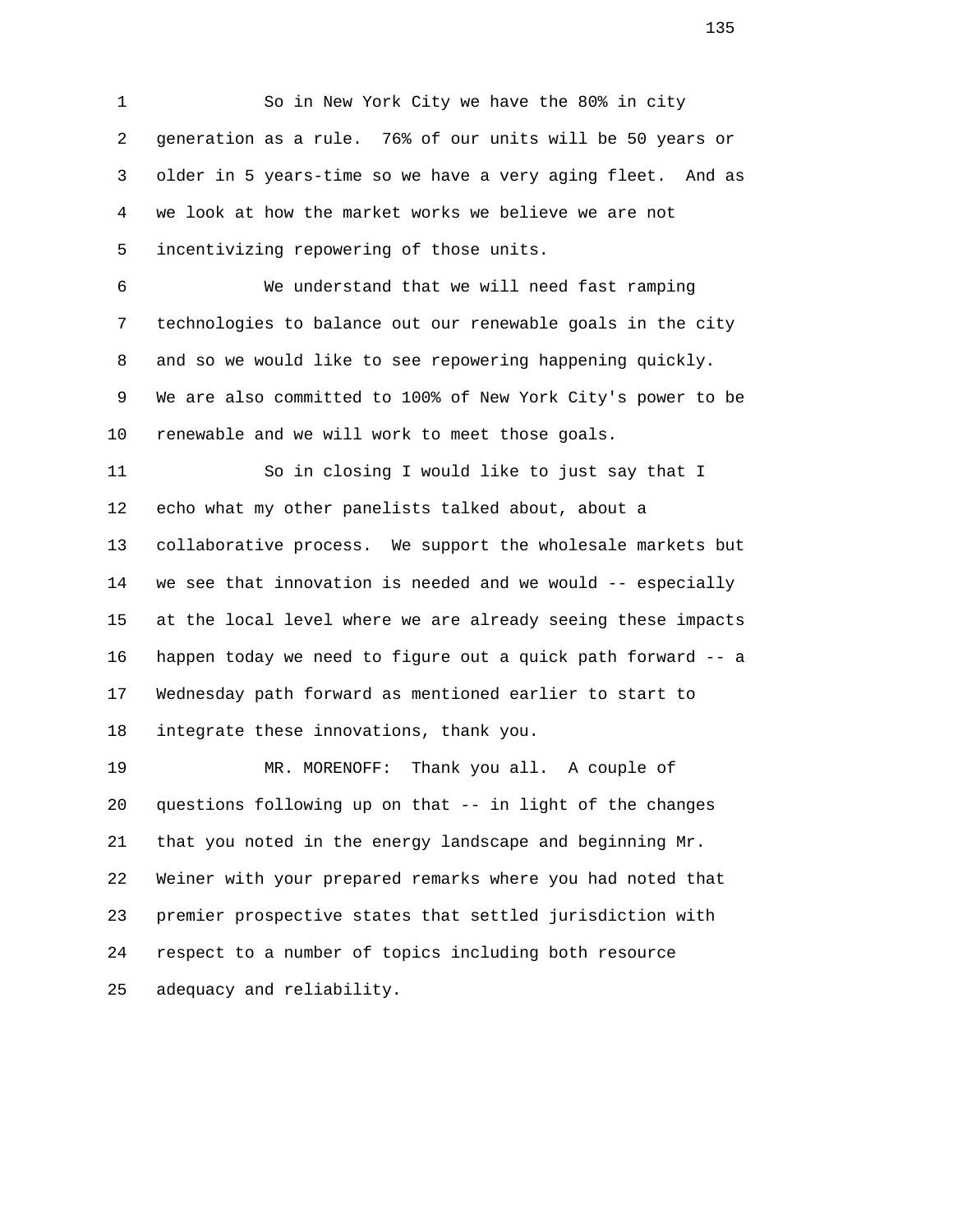1 So in New York City we have the 80% in city 2 generation as a rule. 76% of our units will be 50 years or 3 older in 5 years-time so we have a very aging fleet. And as 4 we look at how the market works we believe we are not 5 incentivizing repowering of those units.

 6 We understand that we will need fast ramping 7 technologies to balance out our renewable goals in the city 8 and so we would like to see repowering happening quickly. 9 We are also committed to 100% of New York City's power to be 10 renewable and we will work to meet those goals.

 11 So in closing I would like to just say that I 12 echo what my other panelists talked about, about a 13 collaborative process. We support the wholesale markets but 14 we see that innovation is needed and we would -- especially 15 at the local level where we are already seeing these impacts 16 happen today we need to figure out a quick path forward -- a 17 Wednesday path forward as mentioned earlier to start to 18 integrate these innovations, thank you.

 19 MR. MORENOFF: Thank you all. A couple of 20 questions following up on that -- in light of the changes 21 that you noted in the energy landscape and beginning Mr. 22 Weiner with your prepared remarks where you had noted that 23 premier prospective states that settled jurisdiction with 24 respect to a number of topics including both resource 25 adequacy and reliability.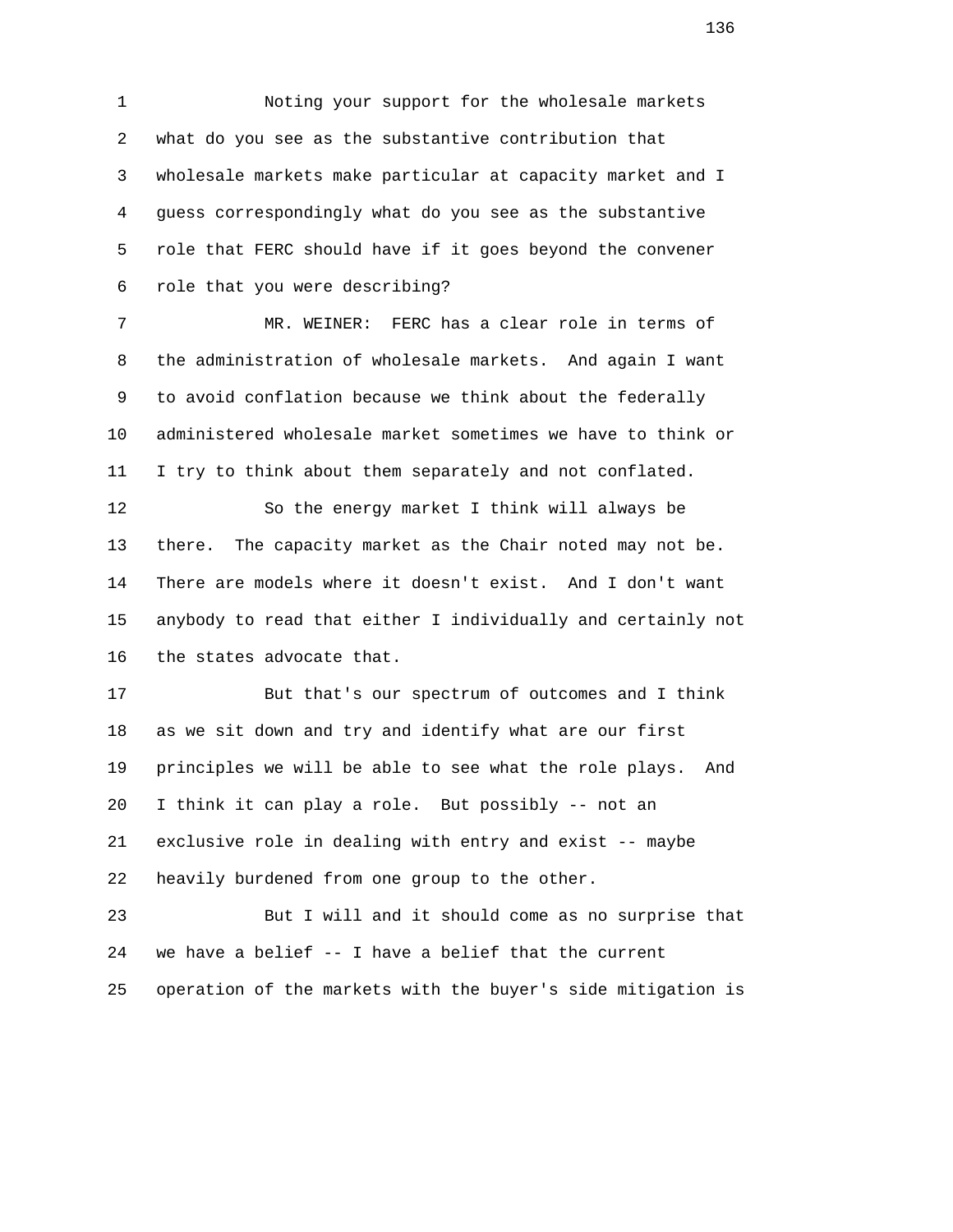1 Noting your support for the wholesale markets 2 what do you see as the substantive contribution that 3 wholesale markets make particular at capacity market and I 4 guess correspondingly what do you see as the substantive 5 role that FERC should have if it goes beyond the convener 6 role that you were describing?

 7 MR. WEINER: FERC has a clear role in terms of 8 the administration of wholesale markets. And again I want 9 to avoid conflation because we think about the federally 10 administered wholesale market sometimes we have to think or 11 I try to think about them separately and not conflated.

 12 So the energy market I think will always be 13 there. The capacity market as the Chair noted may not be. 14 There are models where it doesn't exist. And I don't want 15 anybody to read that either I individually and certainly not 16 the states advocate that.

 17 But that's our spectrum of outcomes and I think 18 as we sit down and try and identify what are our first 19 principles we will be able to see what the role plays. And 20 I think it can play a role. But possibly -- not an 21 exclusive role in dealing with entry and exist -- maybe 22 heavily burdened from one group to the other.

 23 But I will and it should come as no surprise that 24 we have a belief -- I have a belief that the current 25 operation of the markets with the buyer's side mitigation is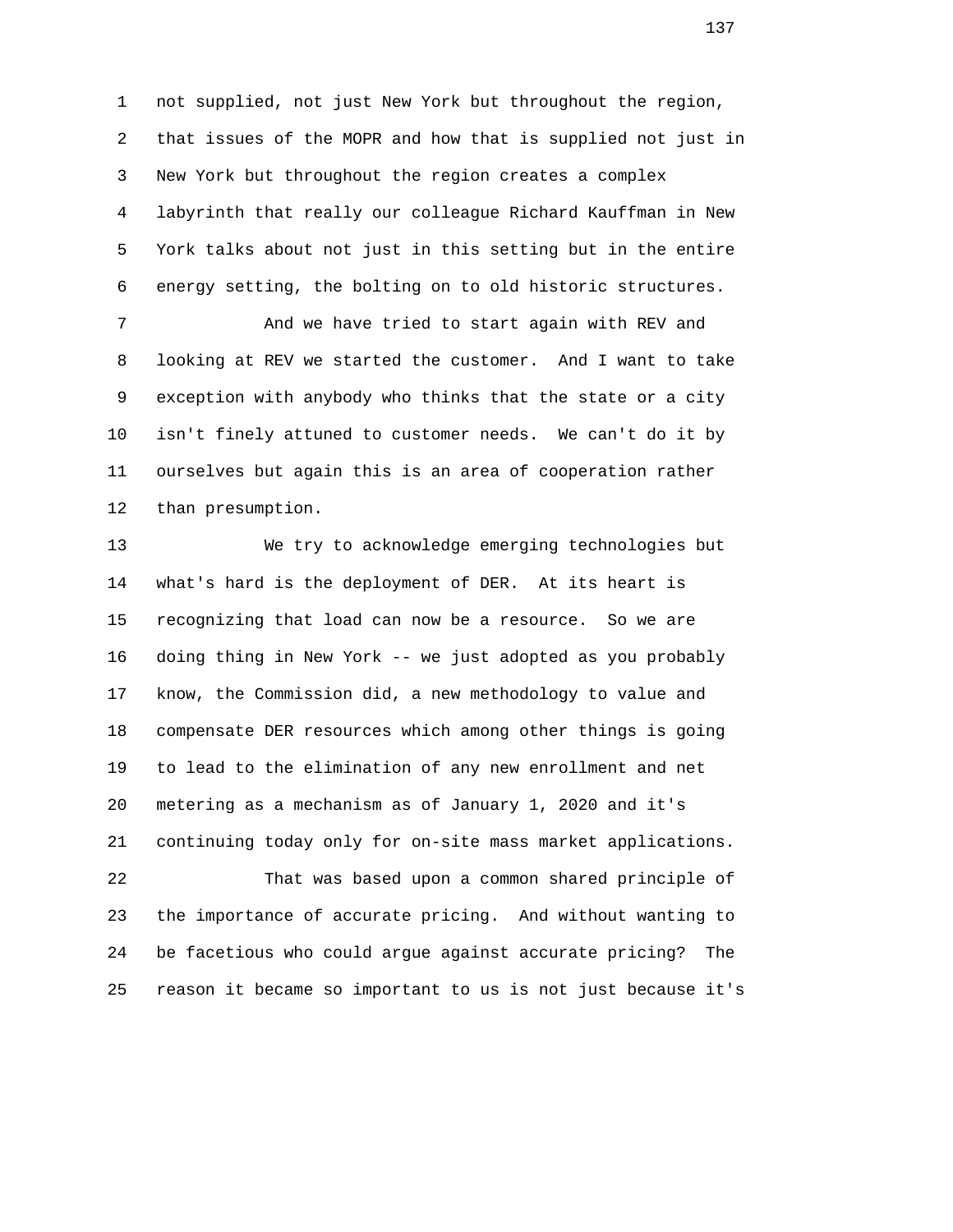1 not supplied, not just New York but throughout the region, 2 that issues of the MOPR and how that is supplied not just in 3 New York but throughout the region creates a complex 4 labyrinth that really our colleague Richard Kauffman in New 5 York talks about not just in this setting but in the entire 6 energy setting, the bolting on to old historic structures.

 7 And we have tried to start again with REV and 8 looking at REV we started the customer. And I want to take 9 exception with anybody who thinks that the state or a city 10 isn't finely attuned to customer needs. We can't do it by 11 ourselves but again this is an area of cooperation rather 12 than presumption.

 13 We try to acknowledge emerging technologies but 14 what's hard is the deployment of DER. At its heart is 15 recognizing that load can now be a resource. So we are 16 doing thing in New York -- we just adopted as you probably 17 know, the Commission did, a new methodology to value and 18 compensate DER resources which among other things is going 19 to lead to the elimination of any new enrollment and net 20 metering as a mechanism as of January 1, 2020 and it's 21 continuing today only for on-site mass market applications. 22 That was based upon a common shared principle of

 23 the importance of accurate pricing. And without wanting to 24 be facetious who could argue against accurate pricing? The 25 reason it became so important to us is not just because it's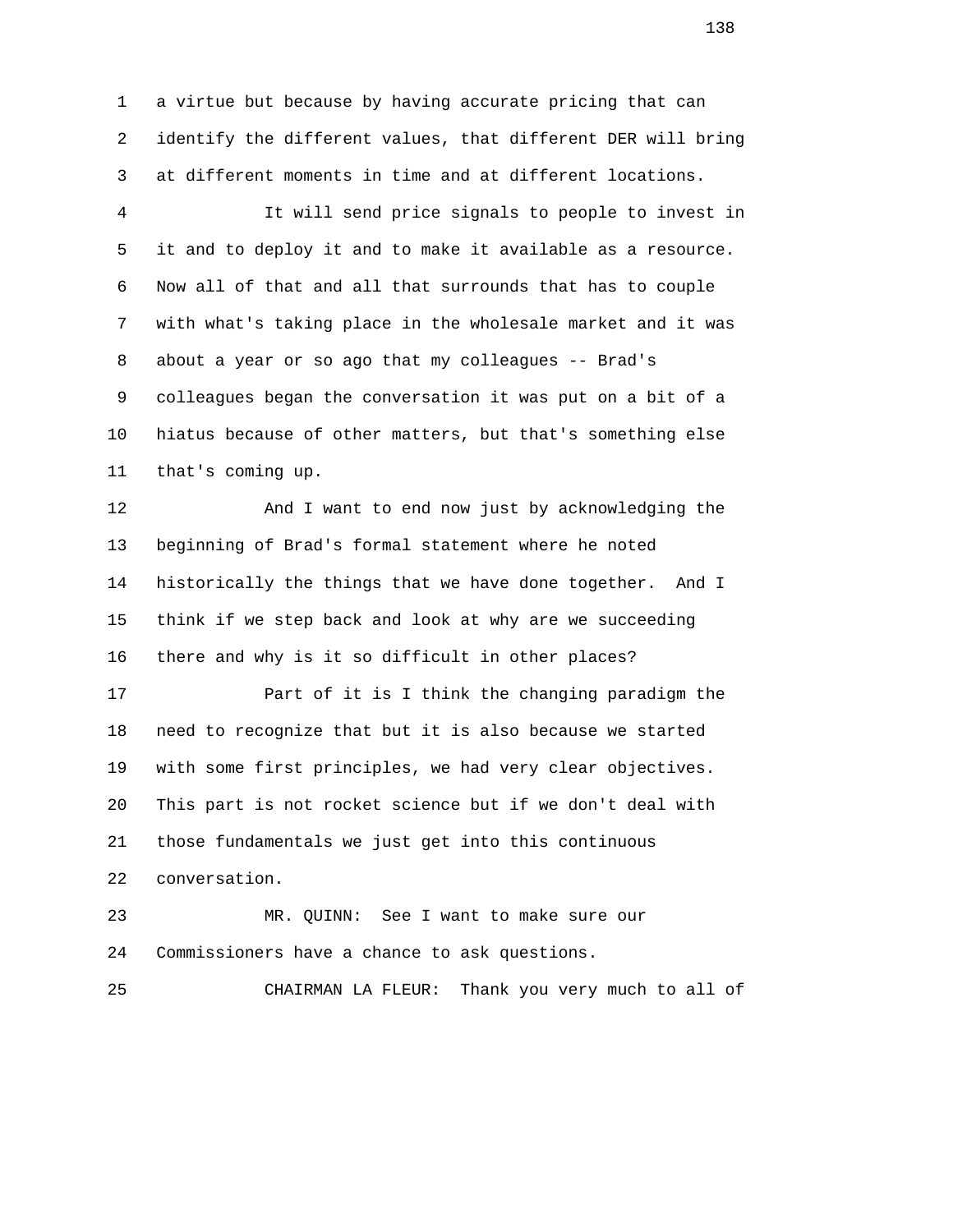1 a virtue but because by having accurate pricing that can 2 identify the different values, that different DER will bring 3 at different moments in time and at different locations.

 4 It will send price signals to people to invest in 5 it and to deploy it and to make it available as a resource. 6 Now all of that and all that surrounds that has to couple 7 with what's taking place in the wholesale market and it was 8 about a year or so ago that my colleagues -- Brad's 9 colleagues began the conversation it was put on a bit of a 10 hiatus because of other matters, but that's something else 11 that's coming up.

 12 And I want to end now just by acknowledging the 13 beginning of Brad's formal statement where he noted 14 historically the things that we have done together. And I 15 think if we step back and look at why are we succeeding 16 there and why is it so difficult in other places?

 17 Part of it is I think the changing paradigm the 18 need to recognize that but it is also because we started 19 with some first principles, we had very clear objectives. 20 This part is not rocket science but if we don't deal with 21 those fundamentals we just get into this continuous 22 conversation.

 23 MR. QUINN: See I want to make sure our 24 Commissioners have a chance to ask questions.

25 CHAIRMAN LA FLEUR: Thank you very much to all of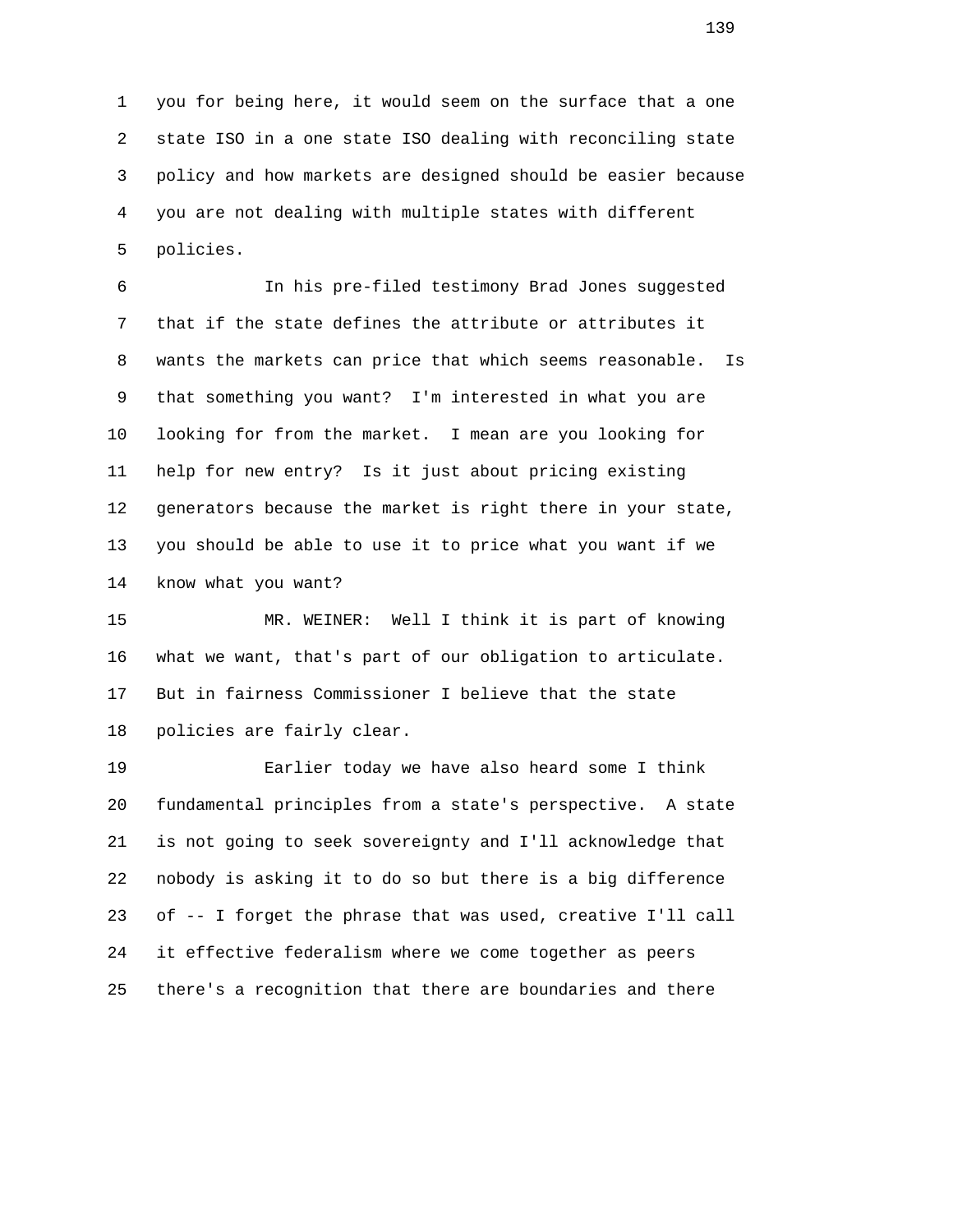1 you for being here, it would seem on the surface that a one 2 state ISO in a one state ISO dealing with reconciling state 3 policy and how markets are designed should be easier because 4 you are not dealing with multiple states with different 5 policies.

 6 In his pre-filed testimony Brad Jones suggested 7 that if the state defines the attribute or attributes it 8 wants the markets can price that which seems reasonable. Is 9 that something you want? I'm interested in what you are 10 looking for from the market. I mean are you looking for 11 help for new entry? Is it just about pricing existing 12 generators because the market is right there in your state, 13 you should be able to use it to price what you want if we 14 know what you want?

 15 MR. WEINER: Well I think it is part of knowing 16 what we want, that's part of our obligation to articulate. 17 But in fairness Commissioner I believe that the state 18 policies are fairly clear.

 19 Earlier today we have also heard some I think 20 fundamental principles from a state's perspective. A state 21 is not going to seek sovereignty and I'll acknowledge that 22 nobody is asking it to do so but there is a big difference 23 of -- I forget the phrase that was used, creative I'll call 24 it effective federalism where we come together as peers 25 there's a recognition that there are boundaries and there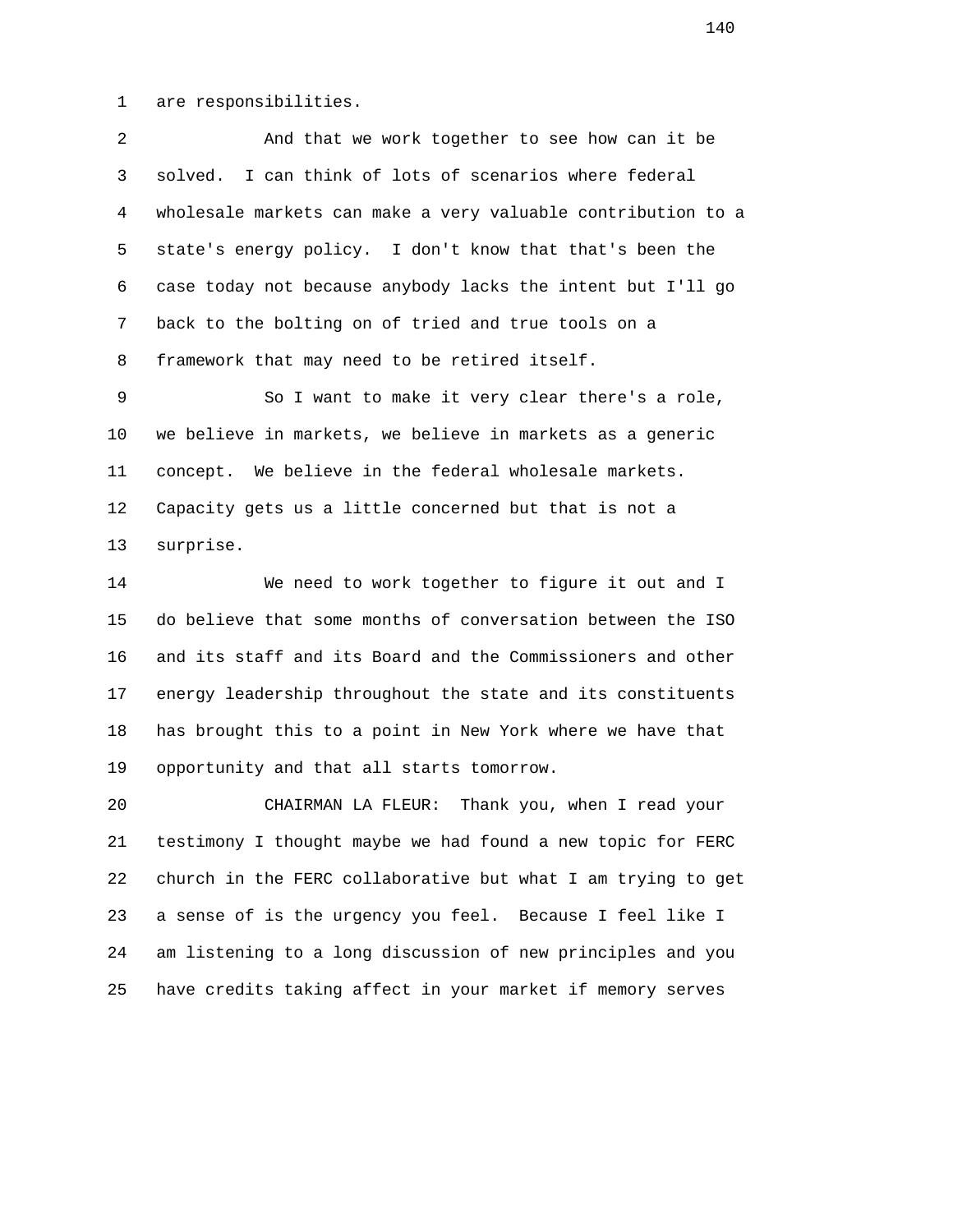1 are responsibilities.

 2 And that we work together to see how can it be 3 solved. I can think of lots of scenarios where federal 4 wholesale markets can make a very valuable contribution to a 5 state's energy policy. I don't know that that's been the 6 case today not because anybody lacks the intent but I'll go 7 back to the bolting on of tried and true tools on a 8 framework that may need to be retired itself.

 9 So I want to make it very clear there's a role, 10 we believe in markets, we believe in markets as a generic 11 concept. We believe in the federal wholesale markets. 12 Capacity gets us a little concerned but that is not a 13 surprise.

 14 We need to work together to figure it out and I 15 do believe that some months of conversation between the ISO 16 and its staff and its Board and the Commissioners and other 17 energy leadership throughout the state and its constituents 18 has brought this to a point in New York where we have that 19 opportunity and that all starts tomorrow.

 20 CHAIRMAN LA FLEUR: Thank you, when I read your 21 testimony I thought maybe we had found a new topic for FERC 22 church in the FERC collaborative but what I am trying to get 23 a sense of is the urgency you feel. Because I feel like I 24 am listening to a long discussion of new principles and you 25 have credits taking affect in your market if memory serves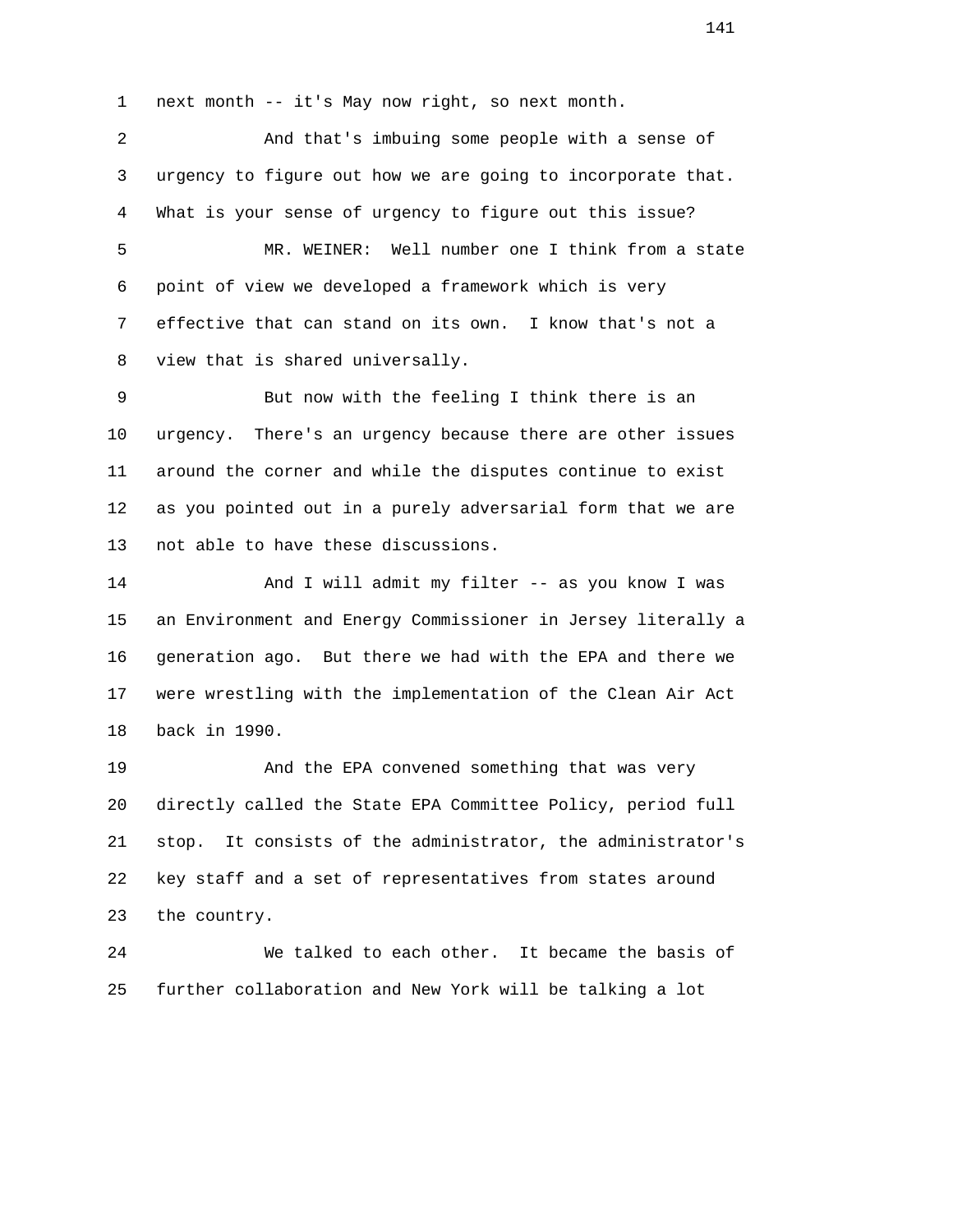1 next month -- it's May now right, so next month.

 2 And that's imbuing some people with a sense of 3 urgency to figure out how we are going to incorporate that. 4 What is your sense of urgency to figure out this issue? 5 MR. WEINER: Well number one I think from a state 6 point of view we developed a framework which is very 7 effective that can stand on its own. I know that's not a 8 view that is shared universally.

 9 But now with the feeling I think there is an 10 urgency. There's an urgency because there are other issues 11 around the corner and while the disputes continue to exist 12 as you pointed out in a purely adversarial form that we are 13 not able to have these discussions.

 14 And I will admit my filter -- as you know I was 15 an Environment and Energy Commissioner in Jersey literally a 16 generation ago. But there we had with the EPA and there we 17 were wrestling with the implementation of the Clean Air Act 18 back in 1990.

 19 And the EPA convened something that was very 20 directly called the State EPA Committee Policy, period full 21 stop. It consists of the administrator, the administrator's 22 key staff and a set of representatives from states around 23 the country.

 24 We talked to each other. It became the basis of 25 further collaboration and New York will be talking a lot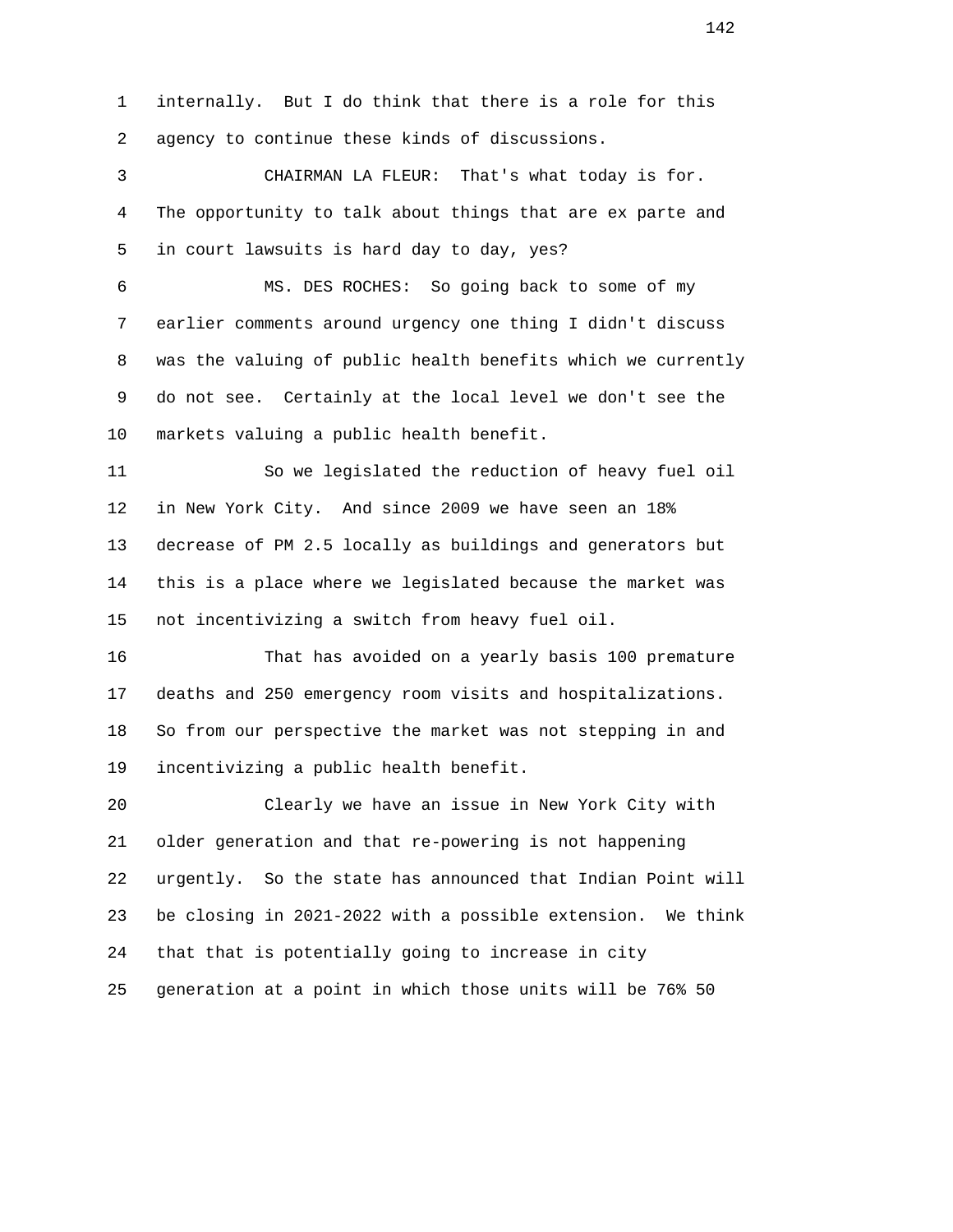1 internally. But I do think that there is a role for this 2 agency to continue these kinds of discussions.

 3 CHAIRMAN LA FLEUR: That's what today is for. 4 The opportunity to talk about things that are ex parte and 5 in court lawsuits is hard day to day, yes?

 6 MS. DES ROCHES: So going back to some of my 7 earlier comments around urgency one thing I didn't discuss 8 was the valuing of public health benefits which we currently 9 do not see. Certainly at the local level we don't see the 10 markets valuing a public health benefit.

 11 So we legislated the reduction of heavy fuel oil 12 in New York City. And since 2009 we have seen an 18% 13 decrease of PM 2.5 locally as buildings and generators but 14 this is a place where we legislated because the market was 15 not incentivizing a switch from heavy fuel oil.

 16 That has avoided on a yearly basis 100 premature 17 deaths and 250 emergency room visits and hospitalizations. 18 So from our perspective the market was not stepping in and 19 incentivizing a public health benefit.

 20 Clearly we have an issue in New York City with 21 older generation and that re-powering is not happening 22 urgently. So the state has announced that Indian Point will 23 be closing in 2021-2022 with a possible extension. We think 24 that that is potentially going to increase in city 25 generation at a point in which those units will be 76% 50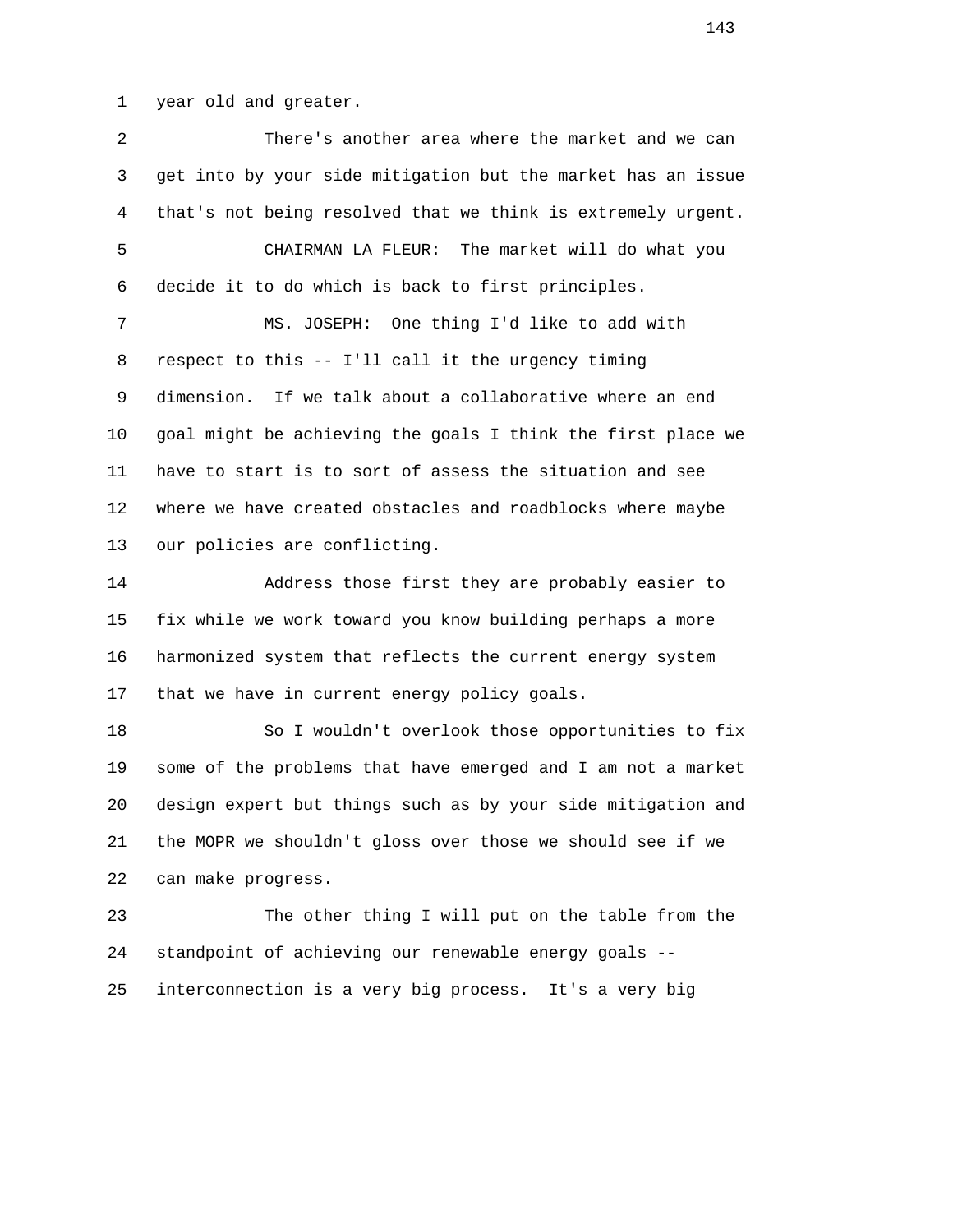1 year old and greater.

 2 There's another area where the market and we can 3 get into by your side mitigation but the market has an issue 4 that's not being resolved that we think is extremely urgent. 5 CHAIRMAN LA FLEUR: The market will do what you 6 decide it to do which is back to first principles. 7 MS. JOSEPH: One thing I'd like to add with 8 respect to this -- I'll call it the urgency timing 9 dimension. If we talk about a collaborative where an end 10 goal might be achieving the goals I think the first place we 11 have to start is to sort of assess the situation and see 12 where we have created obstacles and roadblocks where maybe 13 our policies are conflicting. 14 Address those first they are probably easier to 15 fix while we work toward you know building perhaps a more 16 harmonized system that reflects the current energy system 17 that we have in current energy policy goals. 18 So I wouldn't overlook those opportunities to fix 19 some of the problems that have emerged and I am not a market 20 design expert but things such as by your side mitigation and 21 the MOPR we shouldn't gloss over those we should see if we 22 can make progress. 23 The other thing I will put on the table from the

 24 standpoint of achieving our renewable energy goals -- 25 interconnection is a very big process. It's a very big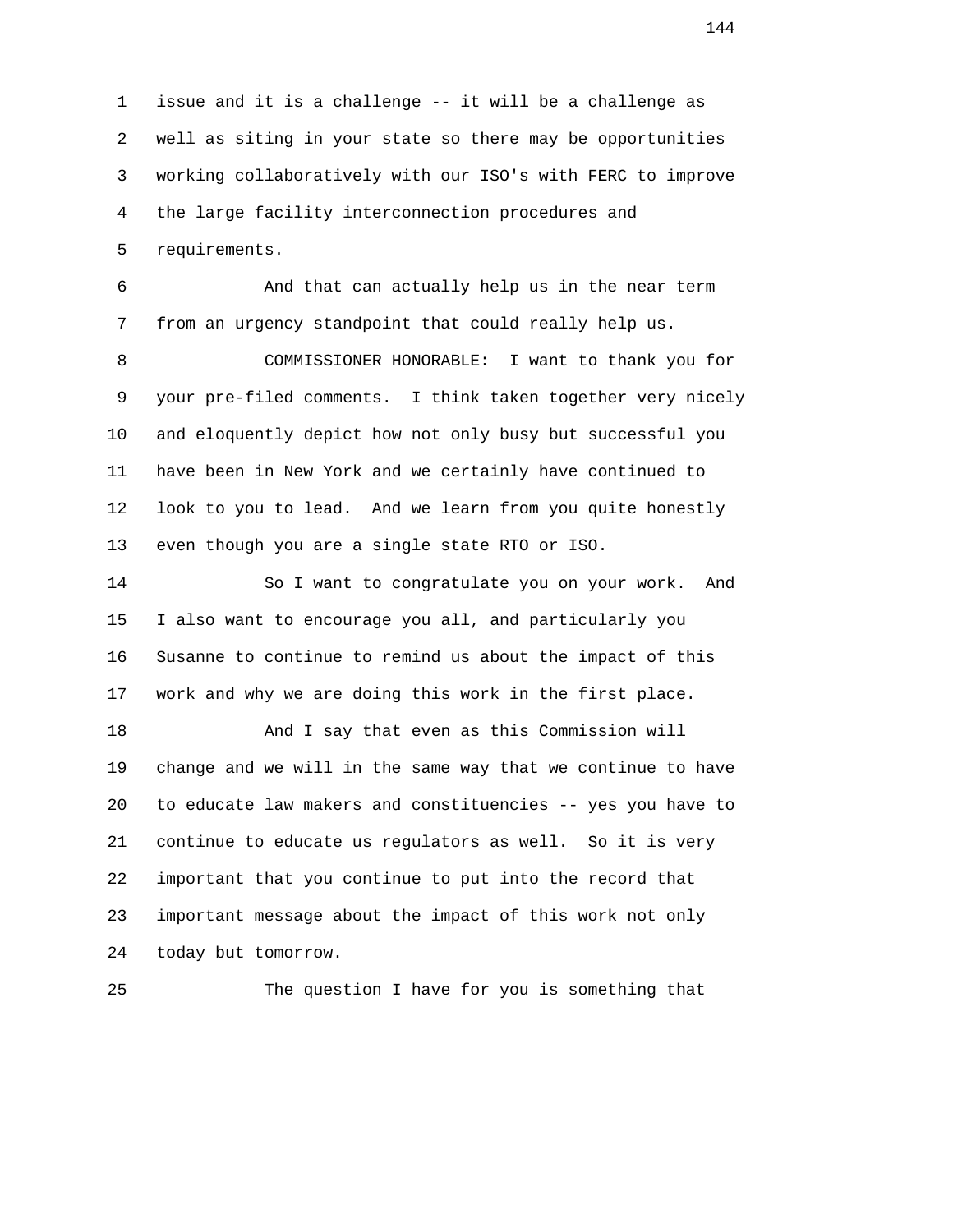1 issue and it is a challenge -- it will be a challenge as 2 well as siting in your state so there may be opportunities 3 working collaboratively with our ISO's with FERC to improve 4 the large facility interconnection procedures and 5 requirements.

 6 And that can actually help us in the near term 7 from an urgency standpoint that could really help us.

 8 COMMISSIONER HONORABLE: I want to thank you for 9 your pre-filed comments. I think taken together very nicely 10 and eloquently depict how not only busy but successful you 11 have been in New York and we certainly have continued to 12 look to you to lead. And we learn from you quite honestly 13 even though you are a single state RTO or ISO.

 14 So I want to congratulate you on your work. And 15 I also want to encourage you all, and particularly you 16 Susanne to continue to remind us about the impact of this 17 work and why we are doing this work in the first place.

 18 And I say that even as this Commission will 19 change and we will in the same way that we continue to have 20 to educate law makers and constituencies -- yes you have to 21 continue to educate us regulators as well. So it is very 22 important that you continue to put into the record that 23 important message about the impact of this work not only 24 today but tomorrow.

25 The question I have for you is something that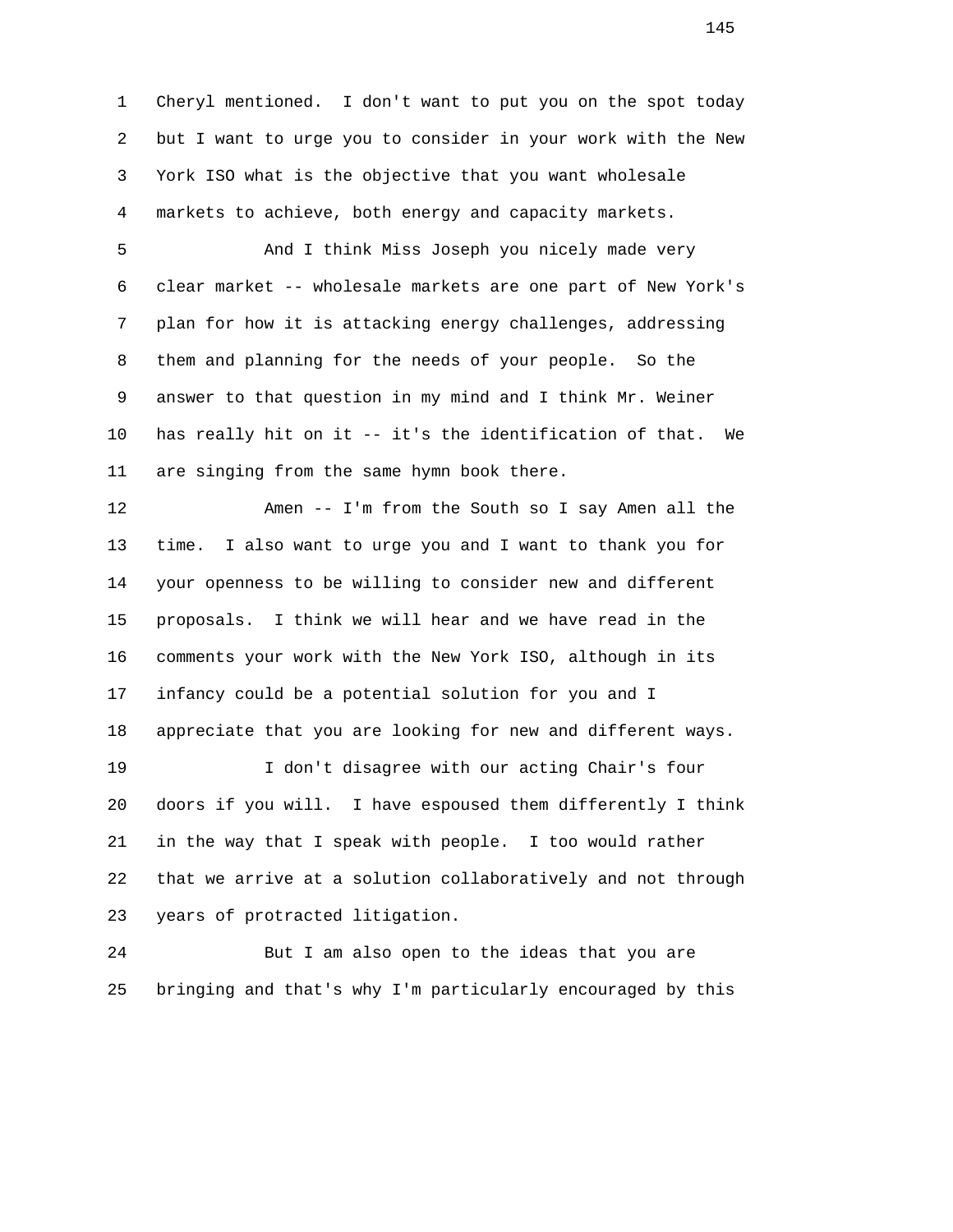1 Cheryl mentioned. I don't want to put you on the spot today 2 but I want to urge you to consider in your work with the New 3 York ISO what is the objective that you want wholesale 4 markets to achieve, both energy and capacity markets.

 5 And I think Miss Joseph you nicely made very 6 clear market -- wholesale markets are one part of New York's 7 plan for how it is attacking energy challenges, addressing 8 them and planning for the needs of your people. So the 9 answer to that question in my mind and I think Mr. Weiner 10 has really hit on it -- it's the identification of that. We 11 are singing from the same hymn book there.

 12 Amen -- I'm from the South so I say Amen all the 13 time. I also want to urge you and I want to thank you for 14 your openness to be willing to consider new and different 15 proposals. I think we will hear and we have read in the 16 comments your work with the New York ISO, although in its 17 infancy could be a potential solution for you and I 18 appreciate that you are looking for new and different ways. 19 I don't disagree with our acting Chair's four

 20 doors if you will. I have espoused them differently I think 21 in the way that I speak with people. I too would rather 22 that we arrive at a solution collaboratively and not through 23 years of protracted litigation.

 24 But I am also open to the ideas that you are 25 bringing and that's why I'm particularly encouraged by this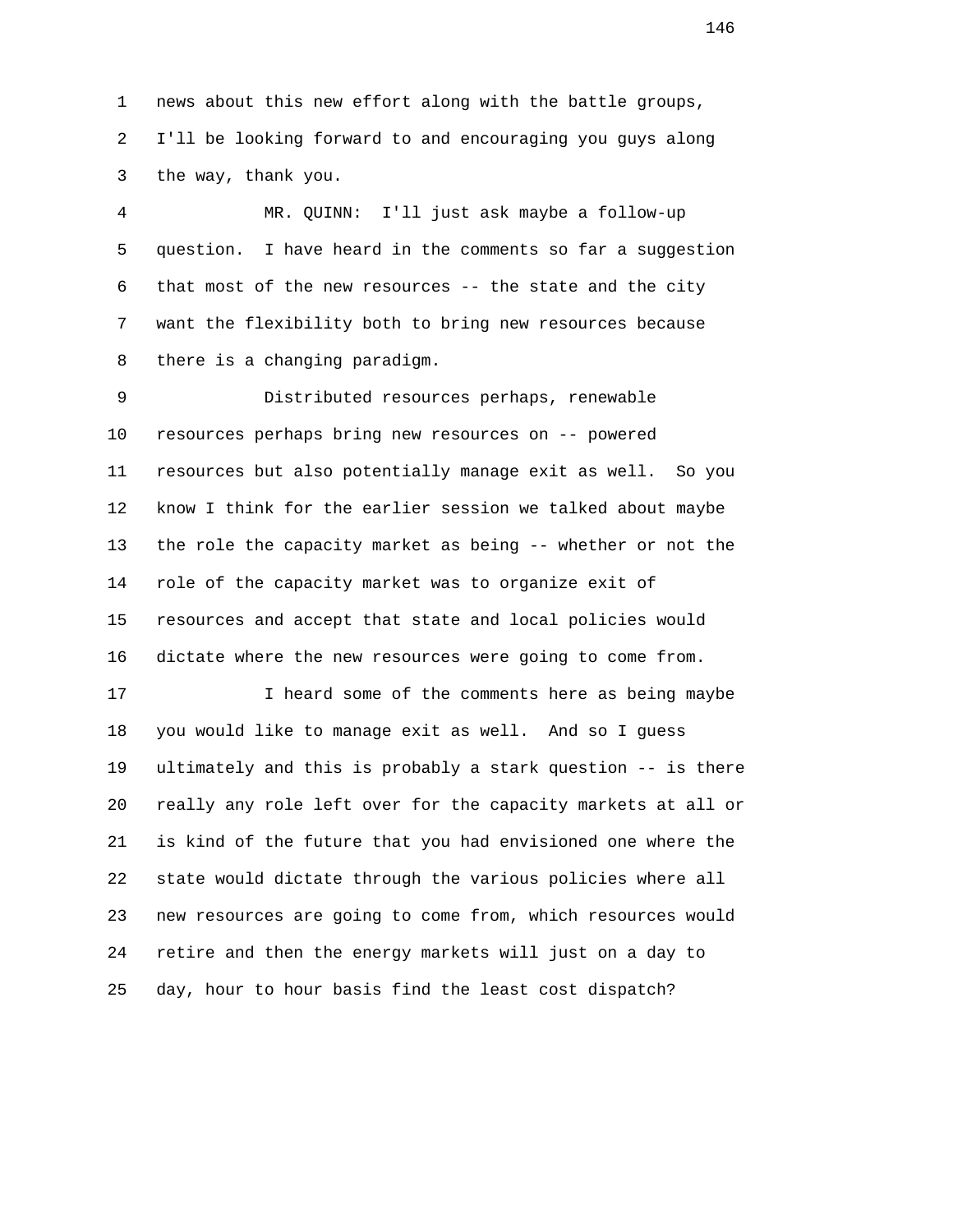1 news about this new effort along with the battle groups, 2 I'll be looking forward to and encouraging you guys along 3 the way, thank you.

 4 MR. QUINN: I'll just ask maybe a follow-up 5 question. I have heard in the comments so far a suggestion 6 that most of the new resources -- the state and the city 7 want the flexibility both to bring new resources because 8 there is a changing paradigm.

 9 Distributed resources perhaps, renewable 10 resources perhaps bring new resources on -- powered 11 resources but also potentially manage exit as well. So you 12 know I think for the earlier session we talked about maybe 13 the role the capacity market as being -- whether or not the 14 role of the capacity market was to organize exit of 15 resources and accept that state and local policies would 16 dictate where the new resources were going to come from.

17 17 I heard some of the comments here as being maybe 18 you would like to manage exit as well. And so I guess 19 ultimately and this is probably a stark question -- is there 20 really any role left over for the capacity markets at all or 21 is kind of the future that you had envisioned one where the 22 state would dictate through the various policies where all 23 new resources are going to come from, which resources would 24 retire and then the energy markets will just on a day to 25 day, hour to hour basis find the least cost dispatch?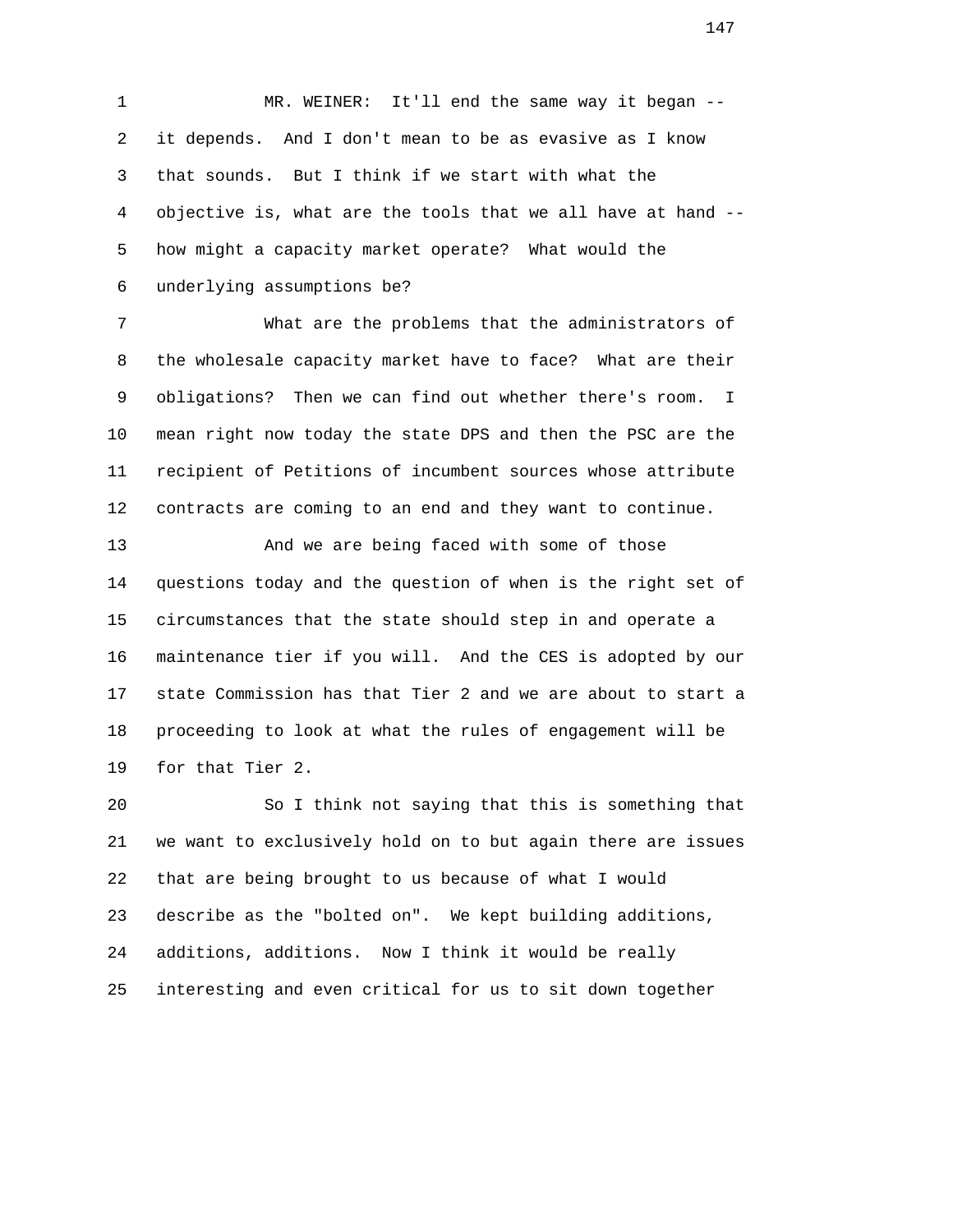1 MR. WEINER: It'll end the same way it began -- 2 it depends. And I don't mean to be as evasive as I know 3 that sounds. But I think if we start with what the 4 objective is, what are the tools that we all have at hand -- 5 how might a capacity market operate? What would the 6 underlying assumptions be?

 7 What are the problems that the administrators of 8 the wholesale capacity market have to face? What are their 9 obligations? Then we can find out whether there's room. I 10 mean right now today the state DPS and then the PSC are the 11 recipient of Petitions of incumbent sources whose attribute 12 contracts are coming to an end and they want to continue.

 13 And we are being faced with some of those 14 questions today and the question of when is the right set of 15 circumstances that the state should step in and operate a 16 maintenance tier if you will. And the CES is adopted by our 17 state Commission has that Tier 2 and we are about to start a 18 proceeding to look at what the rules of engagement will be 19 for that Tier 2.

 20 So I think not saying that this is something that 21 we want to exclusively hold on to but again there are issues 22 that are being brought to us because of what I would 23 describe as the "bolted on". We kept building additions, 24 additions, additions. Now I think it would be really 25 interesting and even critical for us to sit down together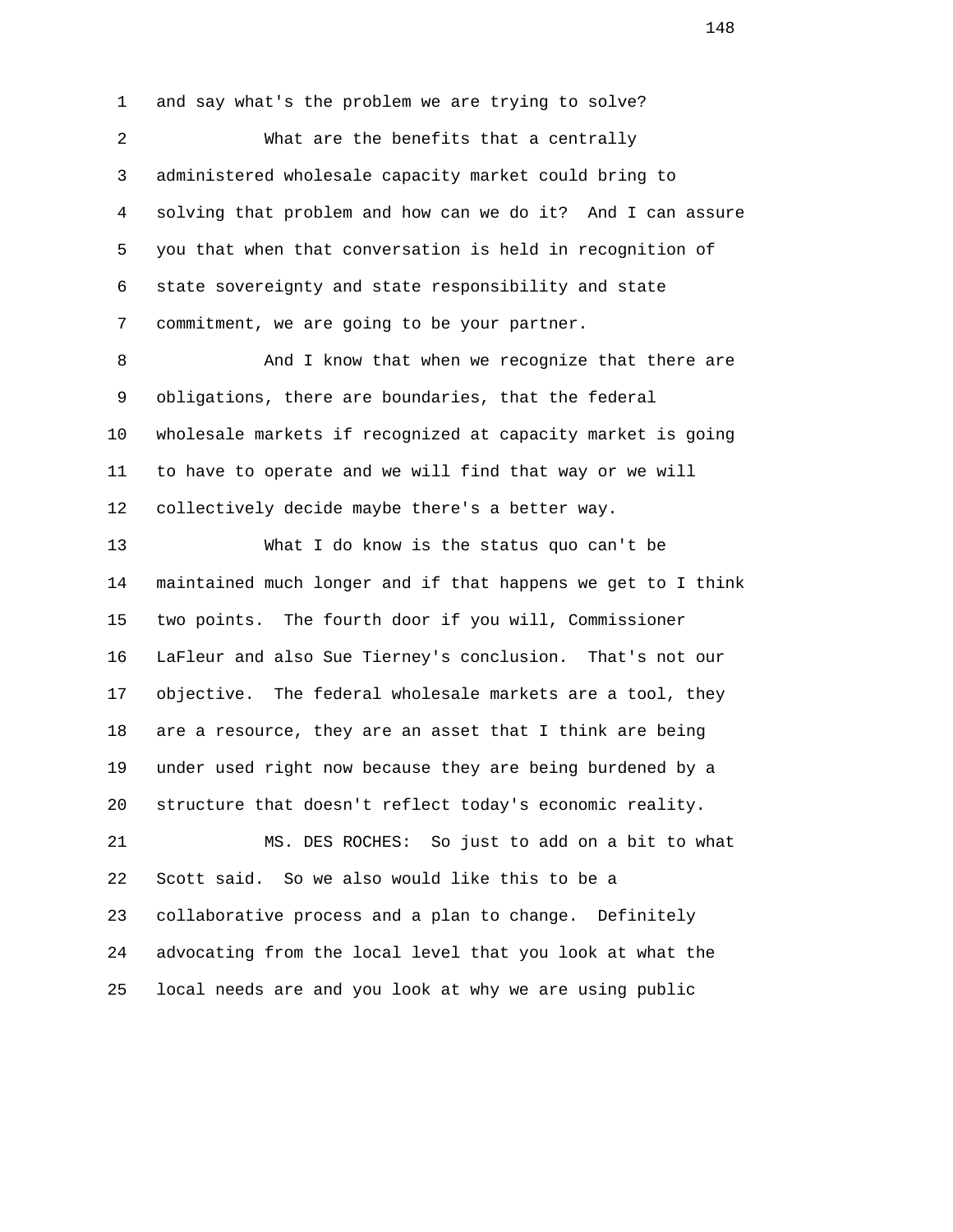1 and say what's the problem we are trying to solve? 2 What are the benefits that a centrally 3 administered wholesale capacity market could bring to 4 solving that problem and how can we do it? And I can assure 5 you that when that conversation is held in recognition of 6 state sovereignty and state responsibility and state 7 commitment, we are going to be your partner.

8 And I know that when we recognize that there are 9 obligations, there are boundaries, that the federal 10 wholesale markets if recognized at capacity market is going 11 to have to operate and we will find that way or we will 12 collectively decide maybe there's a better way.

 13 What I do know is the status quo can't be 14 maintained much longer and if that happens we get to I think 15 two points. The fourth door if you will, Commissioner 16 LaFleur and also Sue Tierney's conclusion. That's not our 17 objective. The federal wholesale markets are a tool, they 18 are a resource, they are an asset that I think are being 19 under used right now because they are being burdened by a 20 structure that doesn't reflect today's economic reality. 21 MS. DES ROCHES: So just to add on a bit to what 22 Scott said. So we also would like this to be a 23 collaborative process and a plan to change. Definitely 24 advocating from the local level that you look at what the

25 local needs are and you look at why we are using public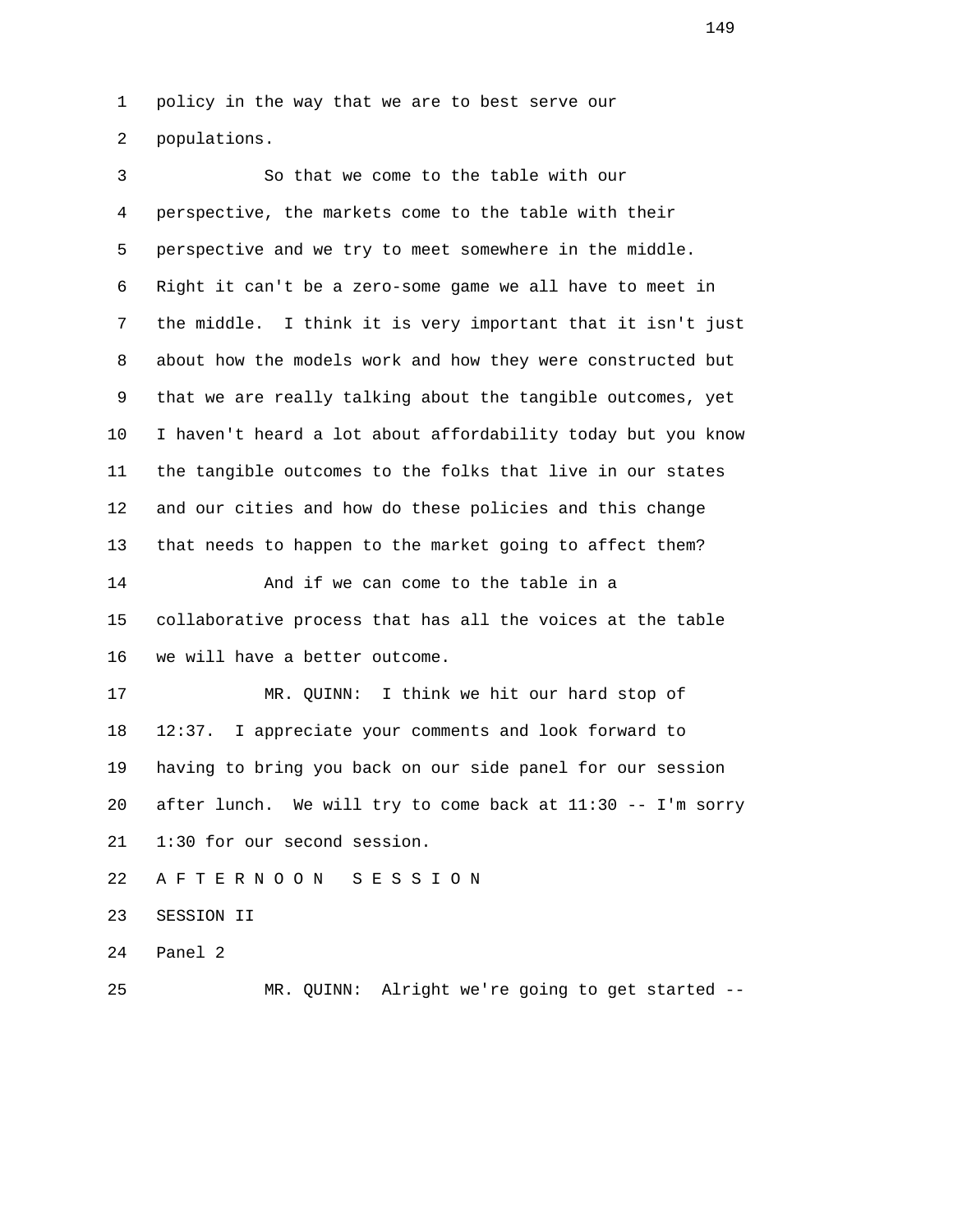1 policy in the way that we are to best serve our

2 populations.

| 3  | So that we come to the table with our                        |
|----|--------------------------------------------------------------|
| 4  | perspective, the markets come to the table with their        |
| 5  | perspective and we try to meet somewhere in the middle.      |
| 6  | Right it can't be a zero-some game we all have to meet in    |
| 7  | the middle. I think it is very important that it isn't just  |
| 8  | about how the models work and how they were constructed but  |
| 9  | that we are really talking about the tangible outcomes, yet  |
| 10 | I haven't heard a lot about affordability today but you know |
| 11 | the tangible outcomes to the folks that live in our states   |
| 12 | and our cities and how do these policies and this change     |
| 13 | that needs to happen to the market going to affect them?     |
| 14 | And if we can come to the table in a                         |
| 15 | collaborative process that has all the voices at the table   |
| 16 | we will have a better outcome.                               |
| 17 | MR. QUINN: I think we hit our hard stop of                   |
| 18 | I appreciate your comments and look forward to<br>12:37.     |
| 19 | having to bring you back on our side panel for our session   |
| 20 | after lunch. We will try to come back at 11:30 -- I'm sorry  |
| 21 | 1:30 for our second session.                                 |
| 22 | A F T E R N O O N<br>S E S S I O N                           |
| 23 | SESSION II                                                   |
| 24 | Panel 2                                                      |
| 25 | MR. QUINN: Alright we're going to get started --             |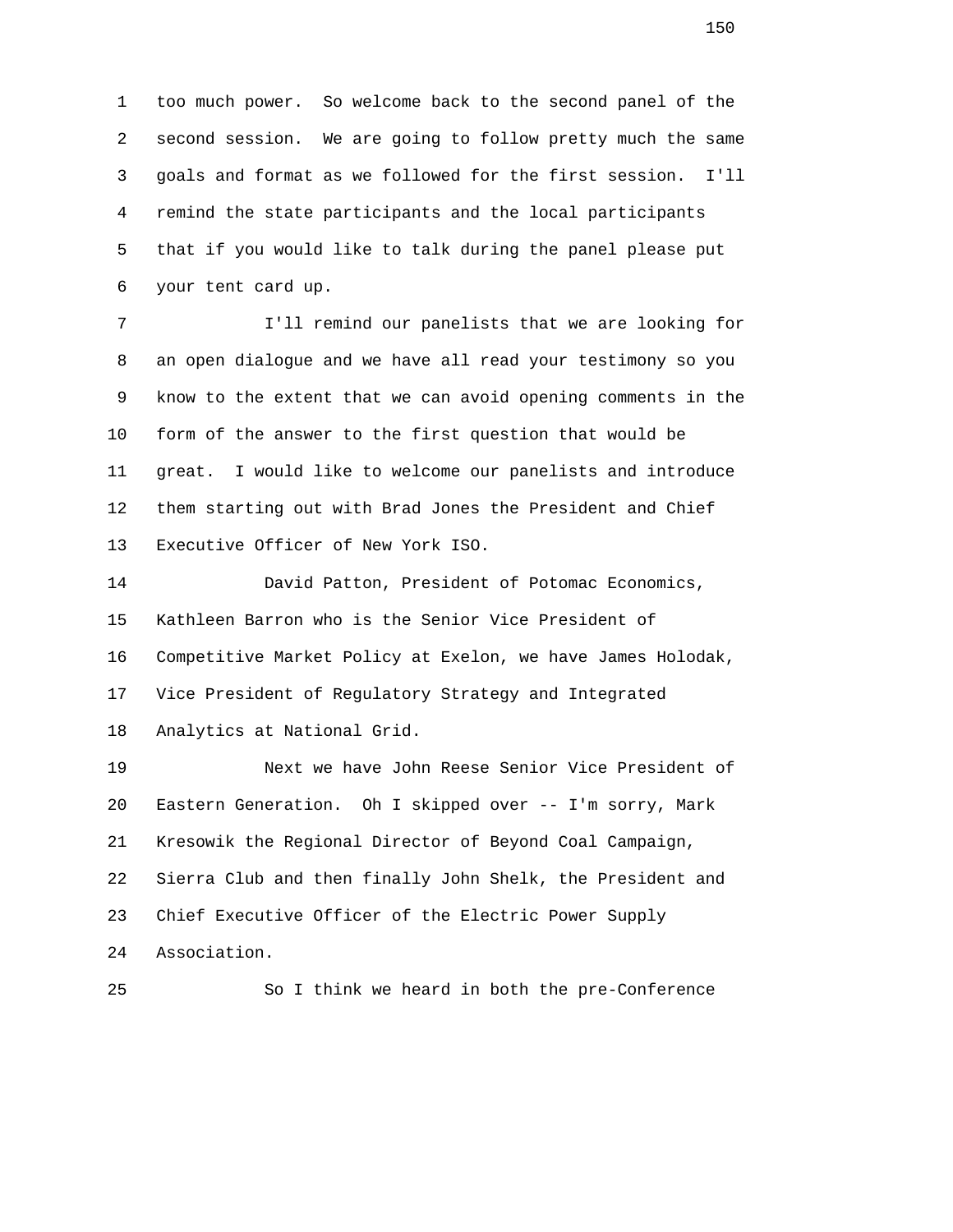1 too much power. So welcome back to the second panel of the 2 second session. We are going to follow pretty much the same 3 goals and format as we followed for the first session. I'll 4 remind the state participants and the local participants 5 that if you would like to talk during the panel please put 6 your tent card up.

 7 I'll remind our panelists that we are looking for 8 an open dialogue and we have all read your testimony so you 9 know to the extent that we can avoid opening comments in the 10 form of the answer to the first question that would be 11 great. I would like to welcome our panelists and introduce 12 them starting out with Brad Jones the President and Chief 13 Executive Officer of New York ISO.

 14 David Patton, President of Potomac Economics, 15 Kathleen Barron who is the Senior Vice President of 16 Competitive Market Policy at Exelon, we have James Holodak, 17 Vice President of Regulatory Strategy and Integrated 18 Analytics at National Grid.

 19 Next we have John Reese Senior Vice President of 20 Eastern Generation. Oh I skipped over -- I'm sorry, Mark 21 Kresowik the Regional Director of Beyond Coal Campaign, 22 Sierra Club and then finally John Shelk, the President and 23 Chief Executive Officer of the Electric Power Supply 24 Association.

25 So I think we heard in both the pre-Conference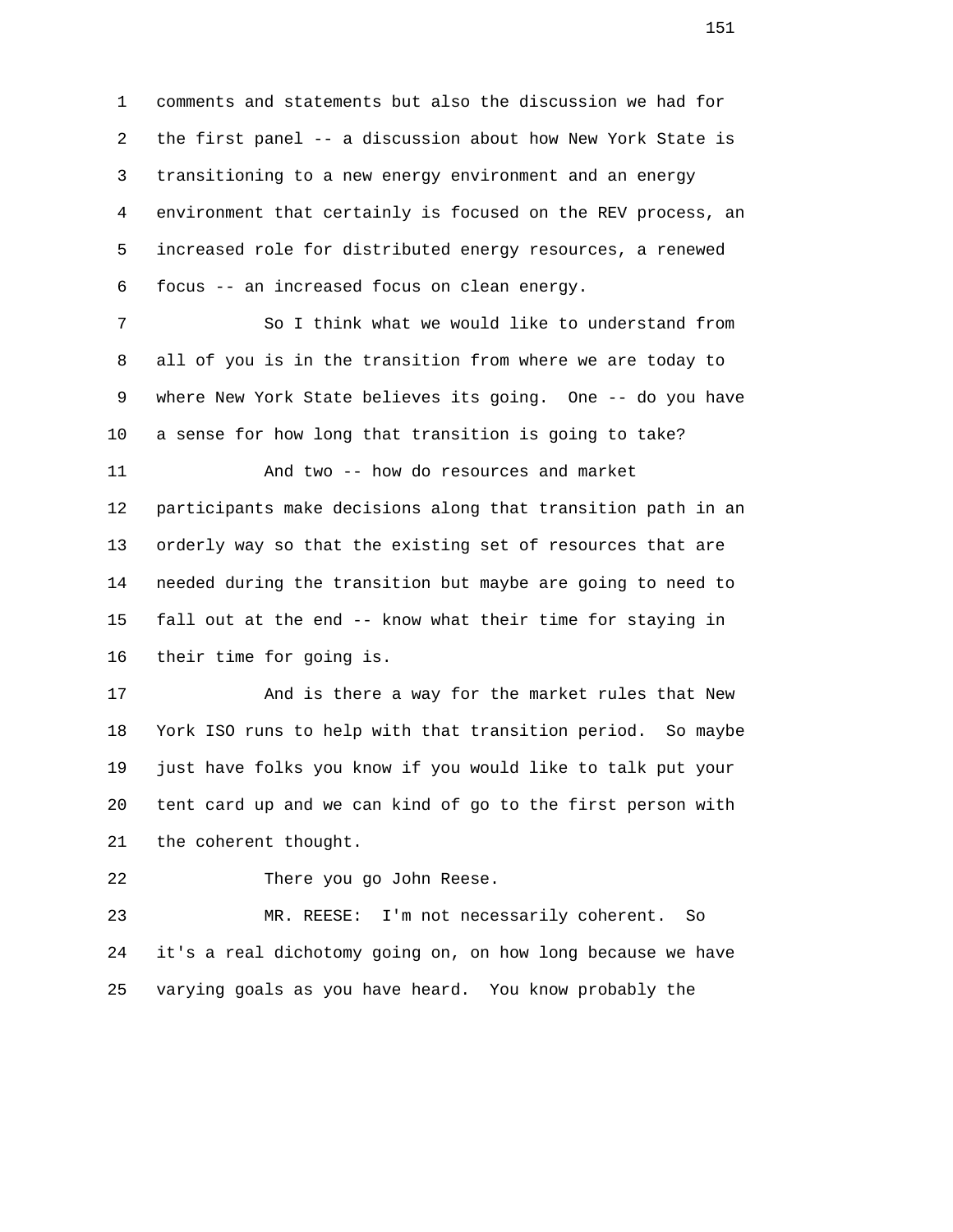1 comments and statements but also the discussion we had for 2 the first panel -- a discussion about how New York State is 3 transitioning to a new energy environment and an energy 4 environment that certainly is focused on the REV process, an 5 increased role for distributed energy resources, a renewed 6 focus -- an increased focus on clean energy.

 7 So I think what we would like to understand from 8 all of you is in the transition from where we are today to 9 where New York State believes its going. One -- do you have 10 a sense for how long that transition is going to take?

 11 And two -- how do resources and market 12 participants make decisions along that transition path in an 13 orderly way so that the existing set of resources that are 14 needed during the transition but maybe are going to need to 15 fall out at the end -- know what their time for staying in 16 their time for going is.

 17 And is there a way for the market rules that New 18 York ISO runs to help with that transition period. So maybe 19 just have folks you know if you would like to talk put your 20 tent card up and we can kind of go to the first person with 21 the coherent thought.

22 There you go John Reese.

 23 MR. REESE: I'm not necessarily coherent. So 24 it's a real dichotomy going on, on how long because we have 25 varying goals as you have heard. You know probably the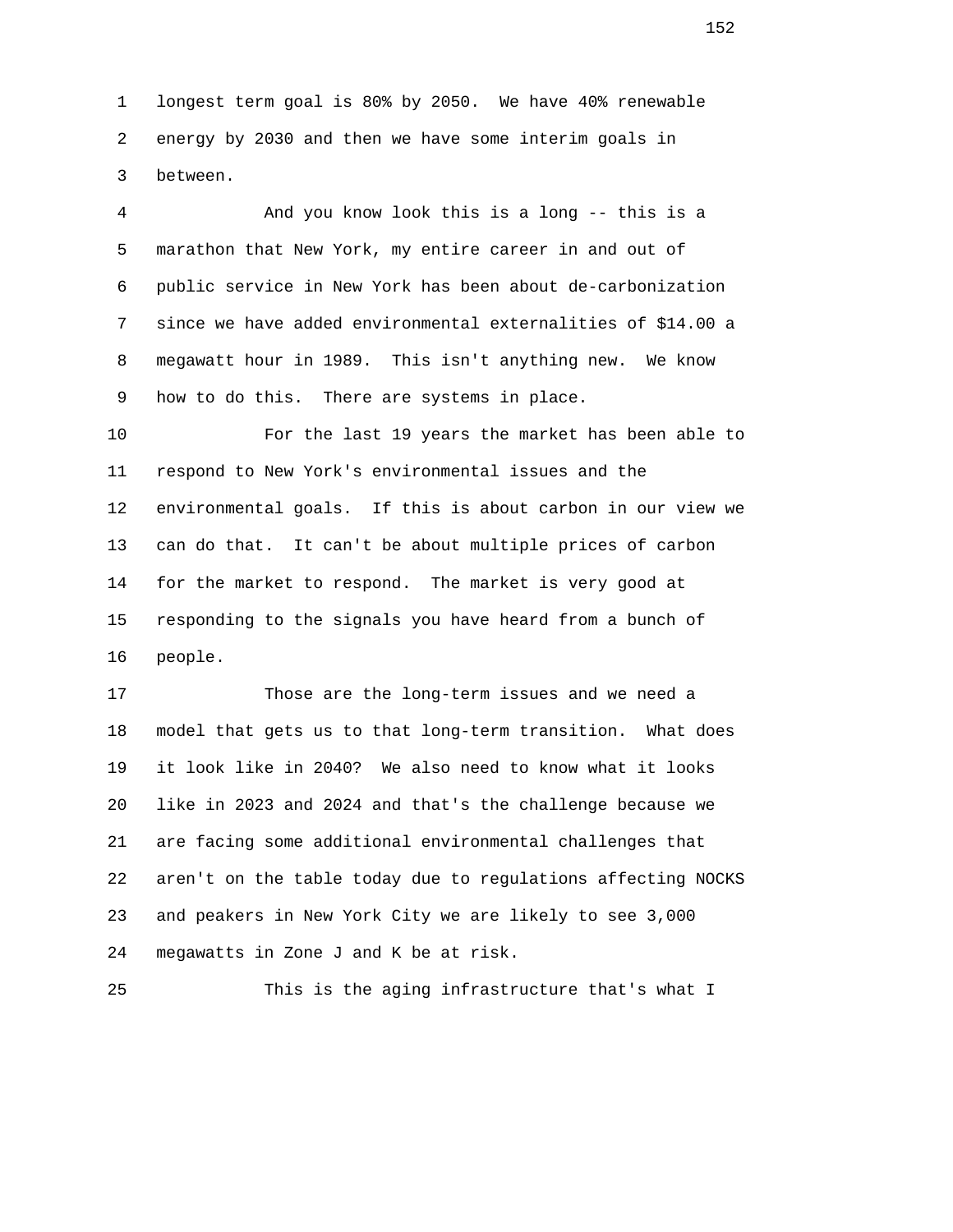1 longest term goal is 80% by 2050. We have 40% renewable 2 energy by 2030 and then we have some interim goals in 3 between.

 4 And you know look this is a long -- this is a 5 marathon that New York, my entire career in and out of 6 public service in New York has been about de-carbonization 7 since we have added environmental externalities of \$14.00 a 8 megawatt hour in 1989. This isn't anything new. We know 9 how to do this. There are systems in place.

 10 For the last 19 years the market has been able to 11 respond to New York's environmental issues and the 12 environmental goals. If this is about carbon in our view we 13 can do that. It can't be about multiple prices of carbon 14 for the market to respond. The market is very good at 15 responding to the signals you have heard from a bunch of 16 people.

 17 Those are the long-term issues and we need a 18 model that gets us to that long-term transition. What does 19 it look like in 2040? We also need to know what it looks 20 like in 2023 and 2024 and that's the challenge because we 21 are facing some additional environmental challenges that 22 aren't on the table today due to regulations affecting NOCKS 23 and peakers in New York City we are likely to see 3,000 24 megawatts in Zone J and K be at risk.

25 This is the aging infrastructure that's what I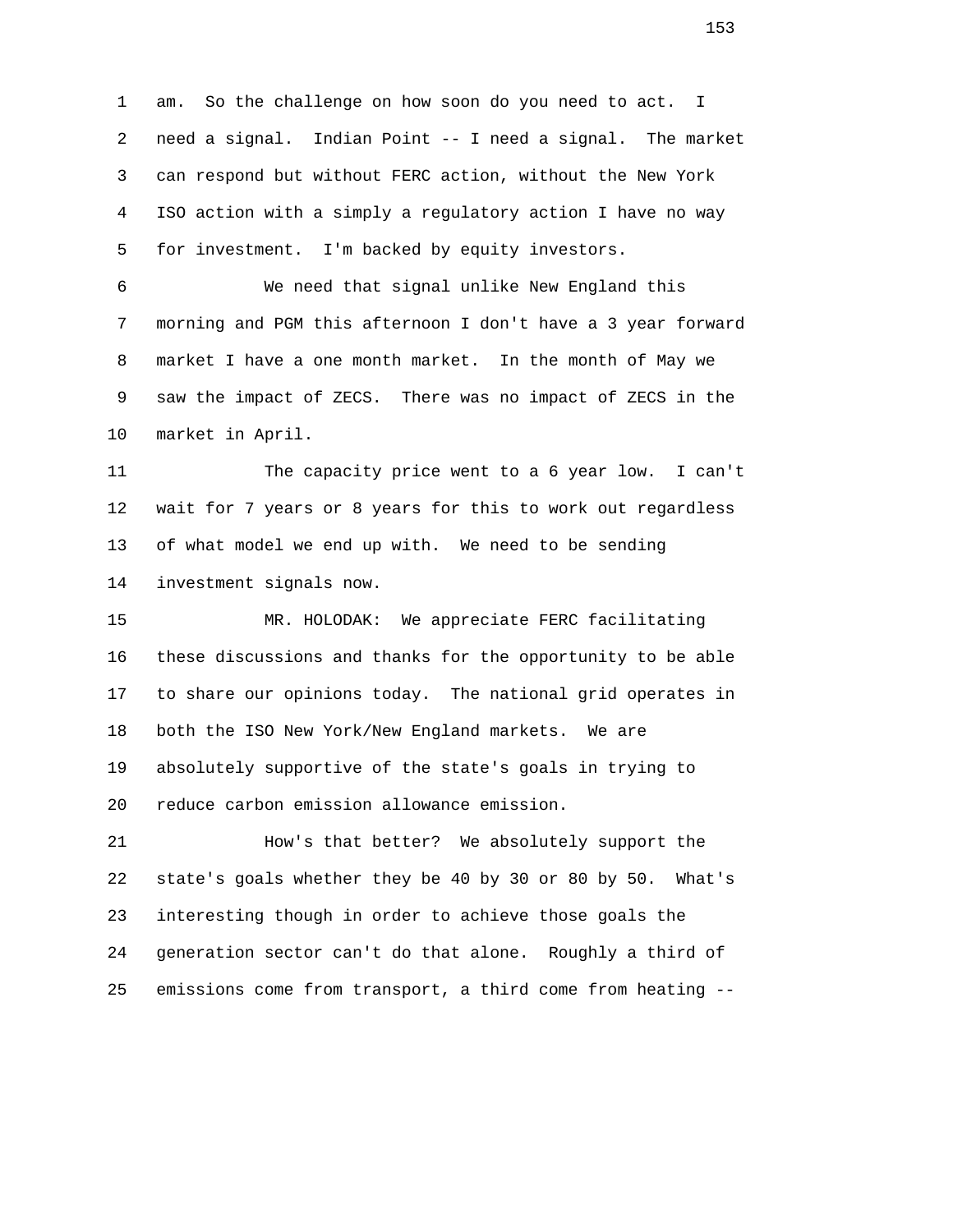1 am. So the challenge on how soon do you need to act. I 2 need a signal. Indian Point -- I need a signal. The market 3 can respond but without FERC action, without the New York 4 ISO action with a simply a regulatory action I have no way 5 for investment. I'm backed by equity investors.

 6 We need that signal unlike New England this 7 morning and PGM this afternoon I don't have a 3 year forward 8 market I have a one month market. In the month of May we 9 saw the impact of ZECS. There was no impact of ZECS in the 10 market in April.

 11 The capacity price went to a 6 year low. I can't 12 wait for 7 years or 8 years for this to work out regardless 13 of what model we end up with. We need to be sending 14 investment signals now.

 15 MR. HOLODAK: We appreciate FERC facilitating 16 these discussions and thanks for the opportunity to be able 17 to share our opinions today. The national grid operates in 18 both the ISO New York/New England markets. We are 19 absolutely supportive of the state's goals in trying to 20 reduce carbon emission allowance emission.

 21 How's that better? We absolutely support the 22 state's goals whether they be 40 by 30 or 80 by 50. What's 23 interesting though in order to achieve those goals the 24 generation sector can't do that alone. Roughly a third of 25 emissions come from transport, a third come from heating --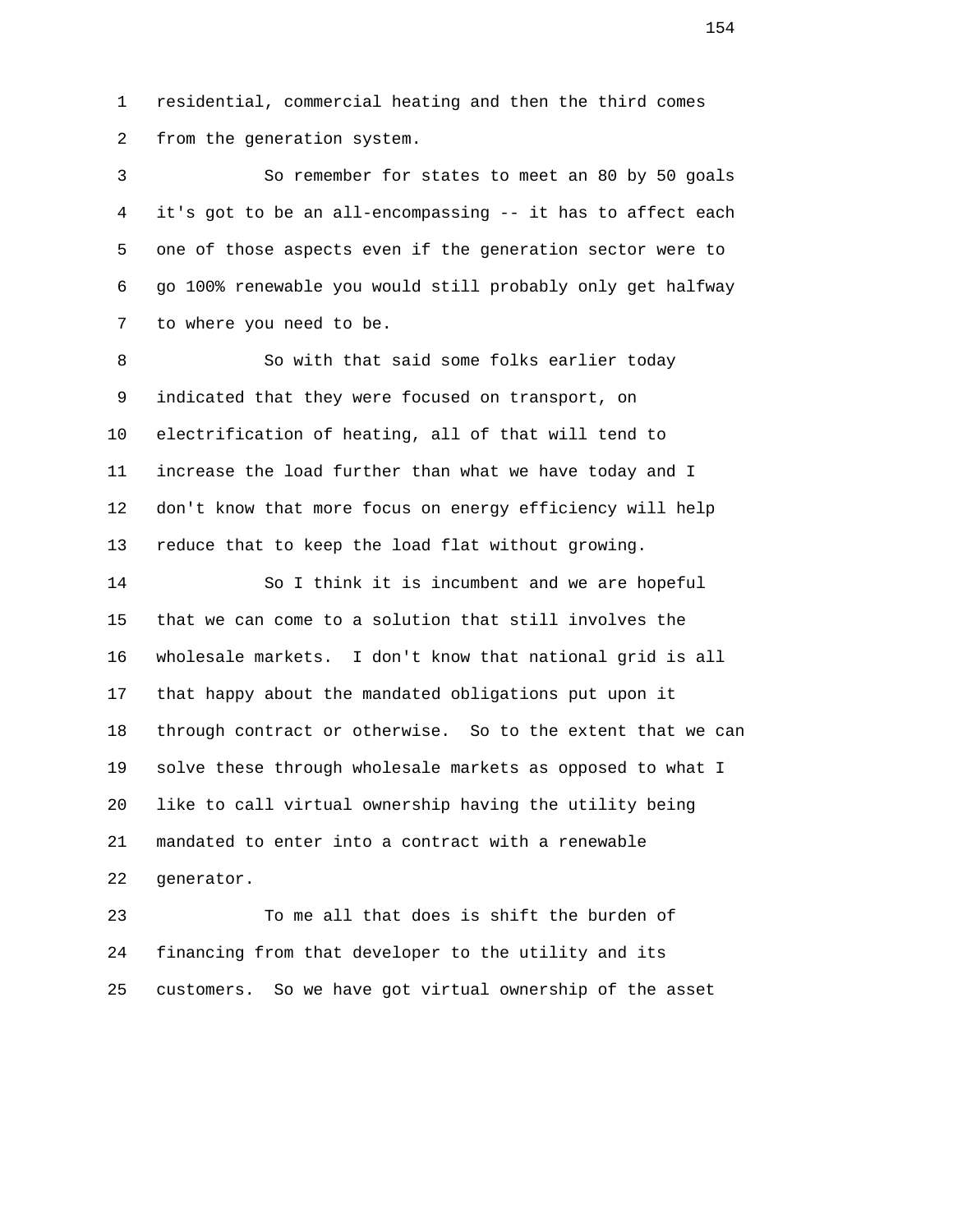1 residential, commercial heating and then the third comes 2 from the generation system.

 3 So remember for states to meet an 80 by 50 goals 4 it's got to be an all-encompassing -- it has to affect each 5 one of those aspects even if the generation sector were to 6 go 100% renewable you would still probably only get halfway 7 to where you need to be.

 8 So with that said some folks earlier today 9 indicated that they were focused on transport, on 10 electrification of heating, all of that will tend to 11 increase the load further than what we have today and I 12 don't know that more focus on energy efficiency will help 13 reduce that to keep the load flat without growing.

 14 So I think it is incumbent and we are hopeful 15 that we can come to a solution that still involves the 16 wholesale markets. I don't know that national grid is all 17 that happy about the mandated obligations put upon it 18 through contract or otherwise. So to the extent that we can 19 solve these through wholesale markets as opposed to what I 20 like to call virtual ownership having the utility being 21 mandated to enter into a contract with a renewable 22 generator.

 23 To me all that does is shift the burden of 24 financing from that developer to the utility and its 25 customers. So we have got virtual ownership of the asset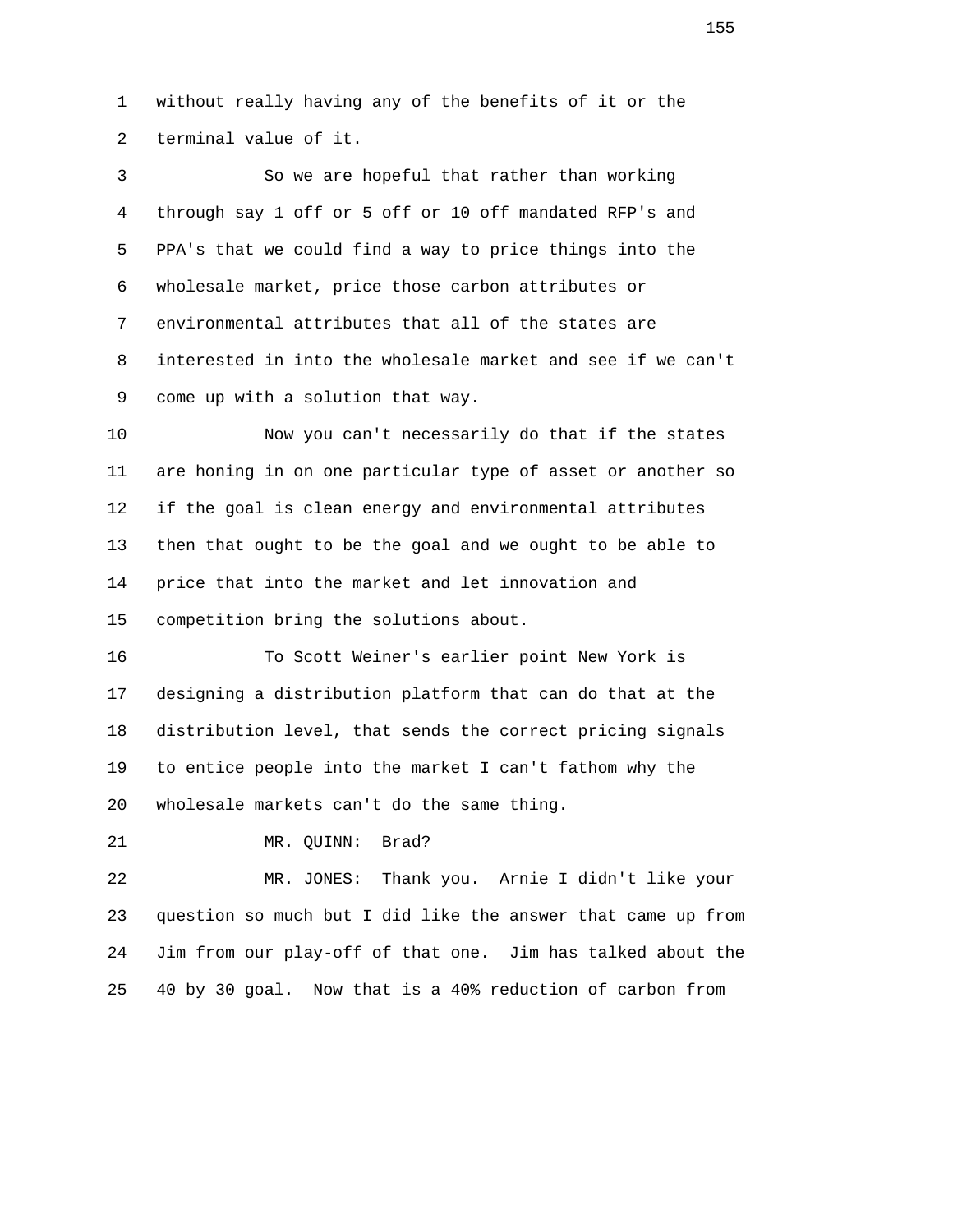1 without really having any of the benefits of it or the 2 terminal value of it.

 3 So we are hopeful that rather than working 4 through say 1 off or 5 off or 10 off mandated RFP's and 5 PPA's that we could find a way to price things into the 6 wholesale market, price those carbon attributes or 7 environmental attributes that all of the states are 8 interested in into the wholesale market and see if we can't 9 come up with a solution that way.

 10 Now you can't necessarily do that if the states 11 are honing in on one particular type of asset or another so 12 if the goal is clean energy and environmental attributes 13 then that ought to be the goal and we ought to be able to 14 price that into the market and let innovation and 15 competition bring the solutions about.

 16 To Scott Weiner's earlier point New York is 17 designing a distribution platform that can do that at the 18 distribution level, that sends the correct pricing signals 19 to entice people into the market I can't fathom why the 20 wholesale markets can't do the same thing.

21 MR. QUINN: Brad?

 22 MR. JONES: Thank you. Arnie I didn't like your 23 question so much but I did like the answer that came up from 24 Jim from our play-off of that one. Jim has talked about the 25 40 by 30 goal. Now that is a 40% reduction of carbon from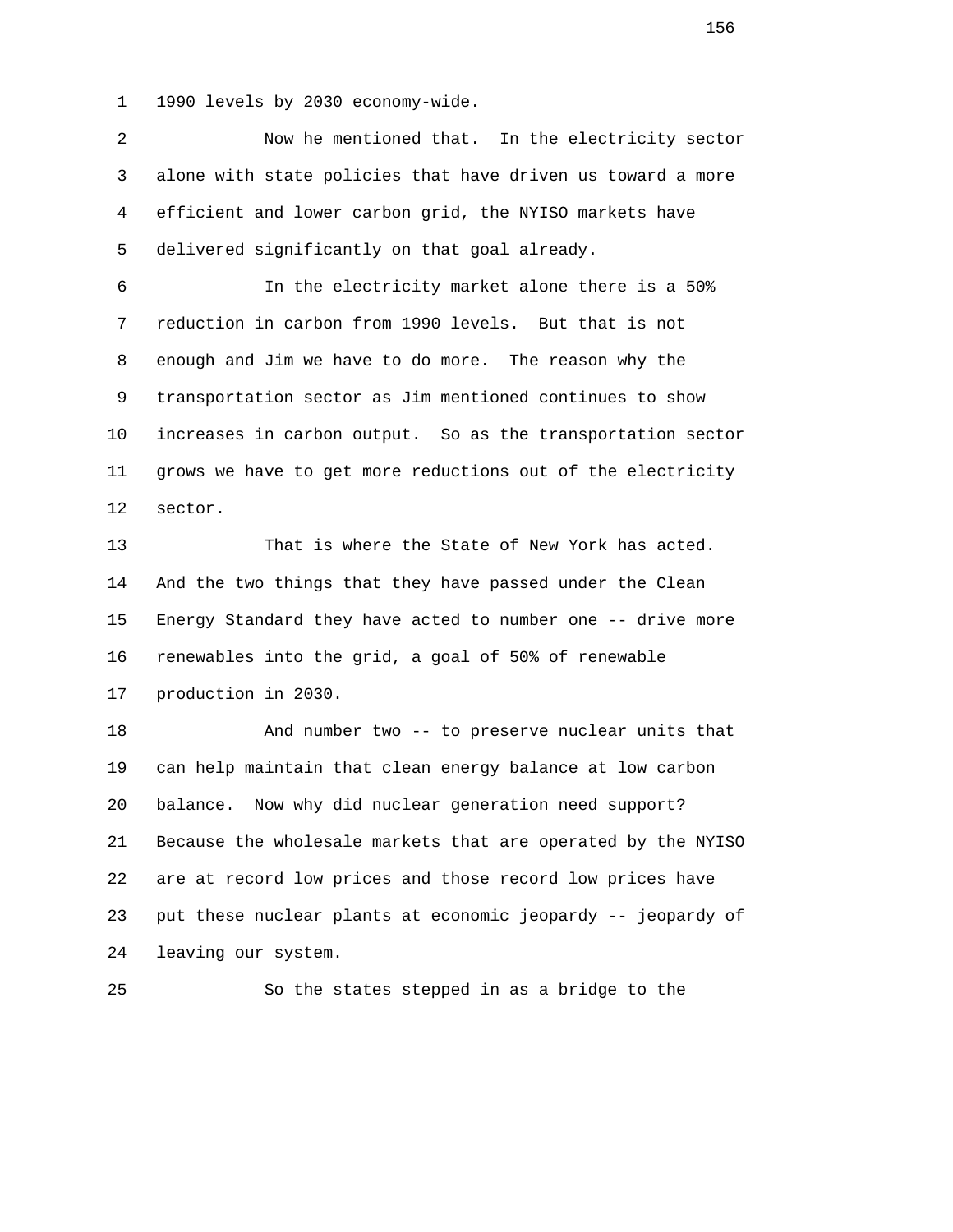1 1990 levels by 2030 economy-wide.

 2 Now he mentioned that. In the electricity sector 3 alone with state policies that have driven us toward a more 4 efficient and lower carbon grid, the NYISO markets have 5 delivered significantly on that goal already. 6 In the electricity market alone there is a 50% 7 reduction in carbon from 1990 levels. But that is not 8 enough and Jim we have to do more. The reason why the 9 transportation sector as Jim mentioned continues to show 10 increases in carbon output. So as the transportation sector 11 grows we have to get more reductions out of the electricity 12 sector. 13 That is where the State of New York has acted. 14 And the two things that they have passed under the Clean 15 Energy Standard they have acted to number one -- drive more 16 renewables into the grid, a goal of 50% of renewable 17 production in 2030. 18 And number two -- to preserve nuclear units that 19 can help maintain that clean energy balance at low carbon 20 balance. Now why did nuclear generation need support? 21 Because the wholesale markets that are operated by the NYISO 22 are at record low prices and those record low prices have 23 put these nuclear plants at economic jeopardy -- jeopardy of 24 leaving our system.

25 So the states stepped in as a bridge to the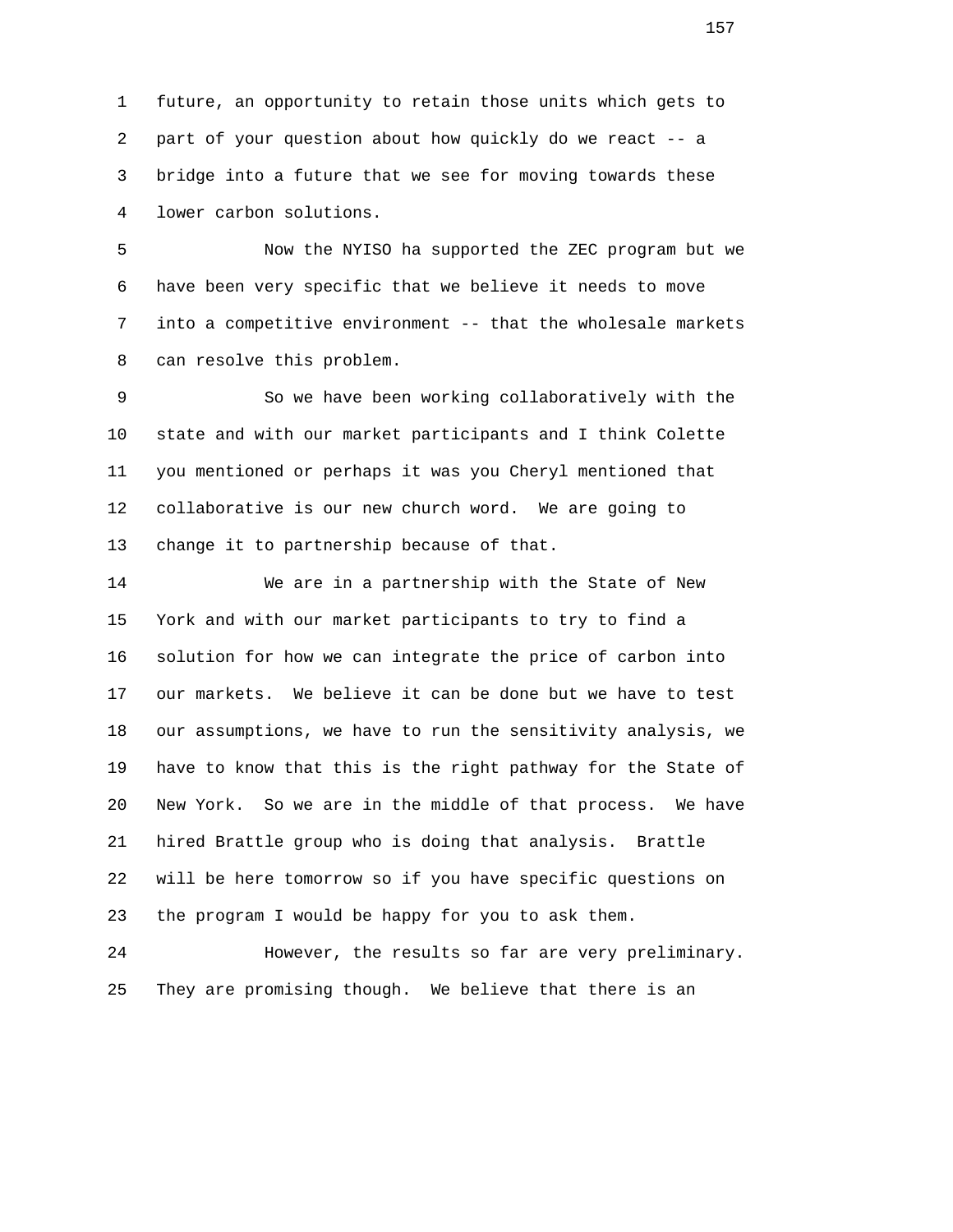1 future, an opportunity to retain those units which gets to 2 part of your question about how quickly do we react -- a 3 bridge into a future that we see for moving towards these 4 lower carbon solutions.

 5 Now the NYISO ha supported the ZEC program but we 6 have been very specific that we believe it needs to move 7 into a competitive environment -- that the wholesale markets 8 can resolve this problem.

 9 So we have been working collaboratively with the 10 state and with our market participants and I think Colette 11 you mentioned or perhaps it was you Cheryl mentioned that 12 collaborative is our new church word. We are going to 13 change it to partnership because of that.

 14 We are in a partnership with the State of New 15 York and with our market participants to try to find a 16 solution for how we can integrate the price of carbon into 17 our markets. We believe it can be done but we have to test 18 our assumptions, we have to run the sensitivity analysis, we 19 have to know that this is the right pathway for the State of 20 New York. So we are in the middle of that process. We have 21 hired Brattle group who is doing that analysis. Brattle 22 will be here tomorrow so if you have specific questions on 23 the program I would be happy for you to ask them.

 24 However, the results so far are very preliminary. 25 They are promising though. We believe that there is an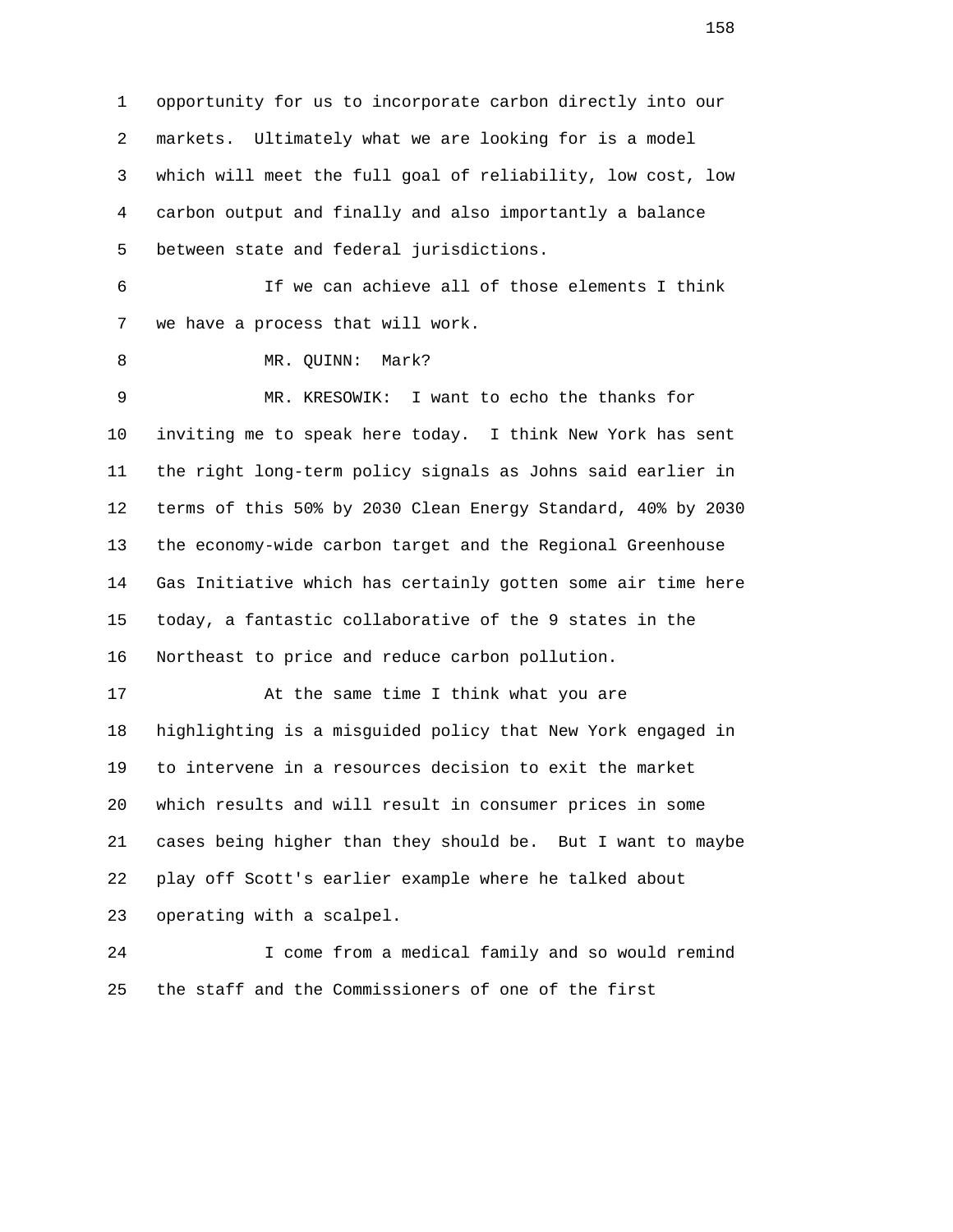1 opportunity for us to incorporate carbon directly into our 2 markets. Ultimately what we are looking for is a model 3 which will meet the full goal of reliability, low cost, low 4 carbon output and finally and also importantly a balance 5 between state and federal jurisdictions.

 6 If we can achieve all of those elements I think 7 we have a process that will work.

8 MR. QUINN: Mark?

 9 MR. KRESOWIK: I want to echo the thanks for 10 inviting me to speak here today. I think New York has sent 11 the right long-term policy signals as Johns said earlier in 12 terms of this 50% by 2030 Clean Energy Standard, 40% by 2030 13 the economy-wide carbon target and the Regional Greenhouse 14 Gas Initiative which has certainly gotten some air time here 15 today, a fantastic collaborative of the 9 states in the 16 Northeast to price and reduce carbon pollution.

 17 At the same time I think what you are 18 highlighting is a misguided policy that New York engaged in 19 to intervene in a resources decision to exit the market 20 which results and will result in consumer prices in some 21 cases being higher than they should be. But I want to maybe 22 play off Scott's earlier example where he talked about 23 operating with a scalpel.

 24 I come from a medical family and so would remind 25 the staff and the Commissioners of one of the first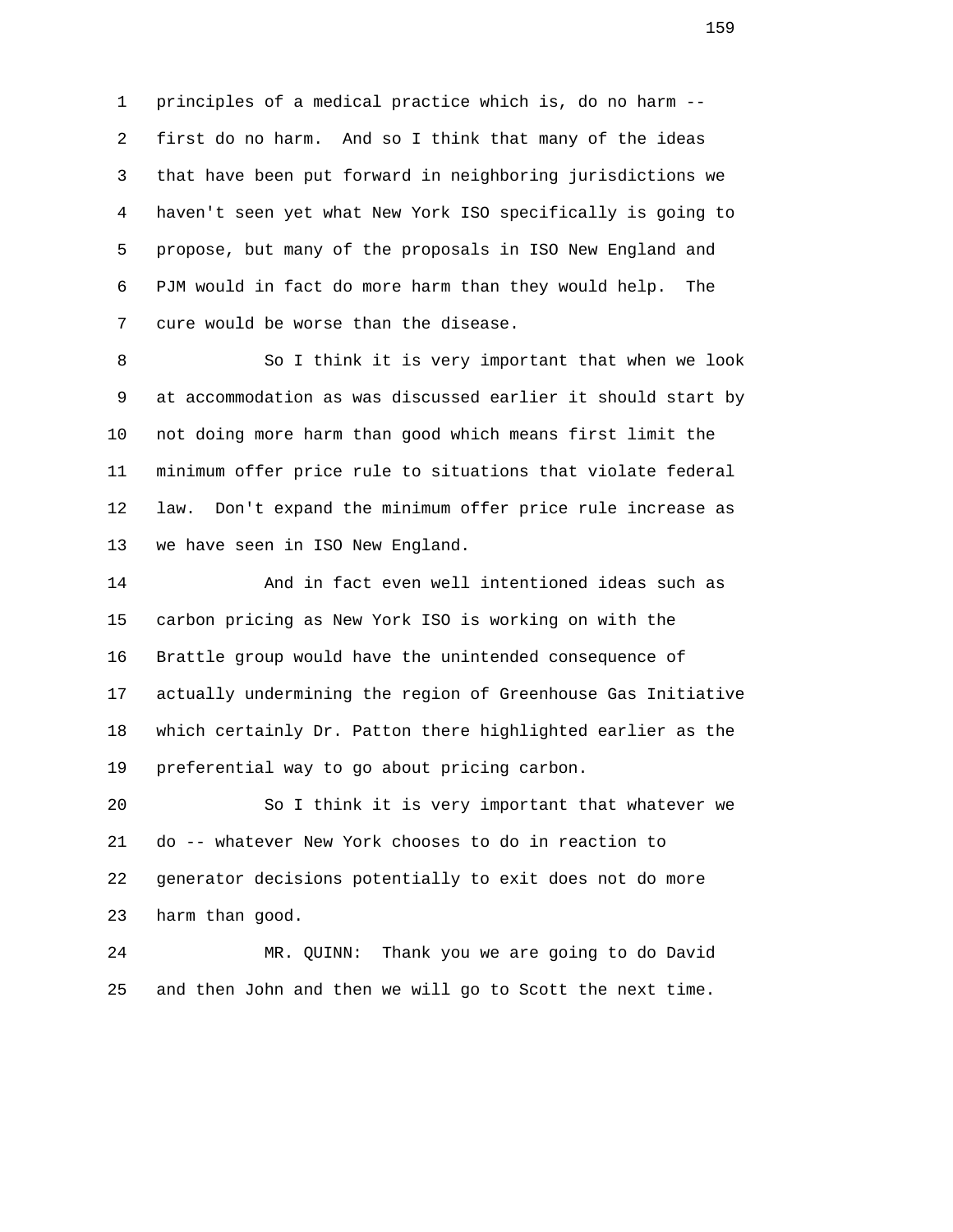1 principles of a medical practice which is, do no harm -- 2 first do no harm. And so I think that many of the ideas 3 that have been put forward in neighboring jurisdictions we 4 haven't seen yet what New York ISO specifically is going to 5 propose, but many of the proposals in ISO New England and 6 PJM would in fact do more harm than they would help. The 7 cure would be worse than the disease.

8 So I think it is very important that when we look 9 at accommodation as was discussed earlier it should start by 10 not doing more harm than good which means first limit the 11 minimum offer price rule to situations that violate federal 12 law. Don't expand the minimum offer price rule increase as 13 we have seen in ISO New England.

 14 And in fact even well intentioned ideas such as 15 carbon pricing as New York ISO is working on with the 16 Brattle group would have the unintended consequence of 17 actually undermining the region of Greenhouse Gas Initiative 18 which certainly Dr. Patton there highlighted earlier as the 19 preferential way to go about pricing carbon.

 20 So I think it is very important that whatever we 21 do -- whatever New York chooses to do in reaction to 22 generator decisions potentially to exit does not do more 23 harm than good.

 24 MR. QUINN: Thank you we are going to do David 25 and then John and then we will go to Scott the next time.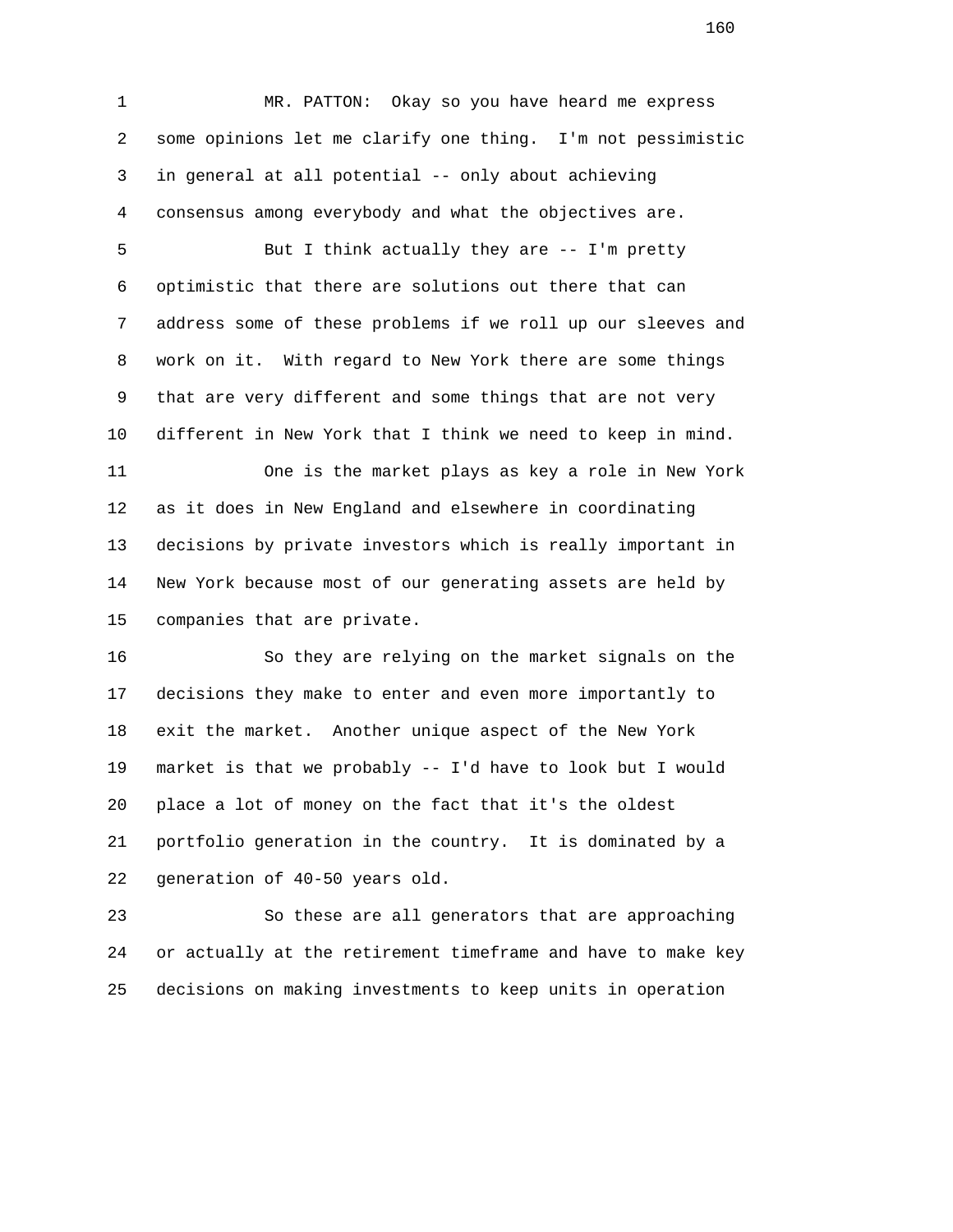1 MR. PATTON: Okay so you have heard me express 2 some opinions let me clarify one thing. I'm not pessimistic 3 in general at all potential -- only about achieving 4 consensus among everybody and what the objectives are.

 5 But I think actually they are -- I'm pretty 6 optimistic that there are solutions out there that can 7 address some of these problems if we roll up our sleeves and 8 work on it. With regard to New York there are some things 9 that are very different and some things that are not very 10 different in New York that I think we need to keep in mind.

 11 One is the market plays as key a role in New York 12 as it does in New England and elsewhere in coordinating 13 decisions by private investors which is really important in 14 New York because most of our generating assets are held by 15 companies that are private.

 16 So they are relying on the market signals on the 17 decisions they make to enter and even more importantly to 18 exit the market. Another unique aspect of the New York 19 market is that we probably -- I'd have to look but I would 20 place a lot of money on the fact that it's the oldest 21 portfolio generation in the country. It is dominated by a 22 generation of 40-50 years old.

 23 So these are all generators that are approaching 24 or actually at the retirement timeframe and have to make key 25 decisions on making investments to keep units in operation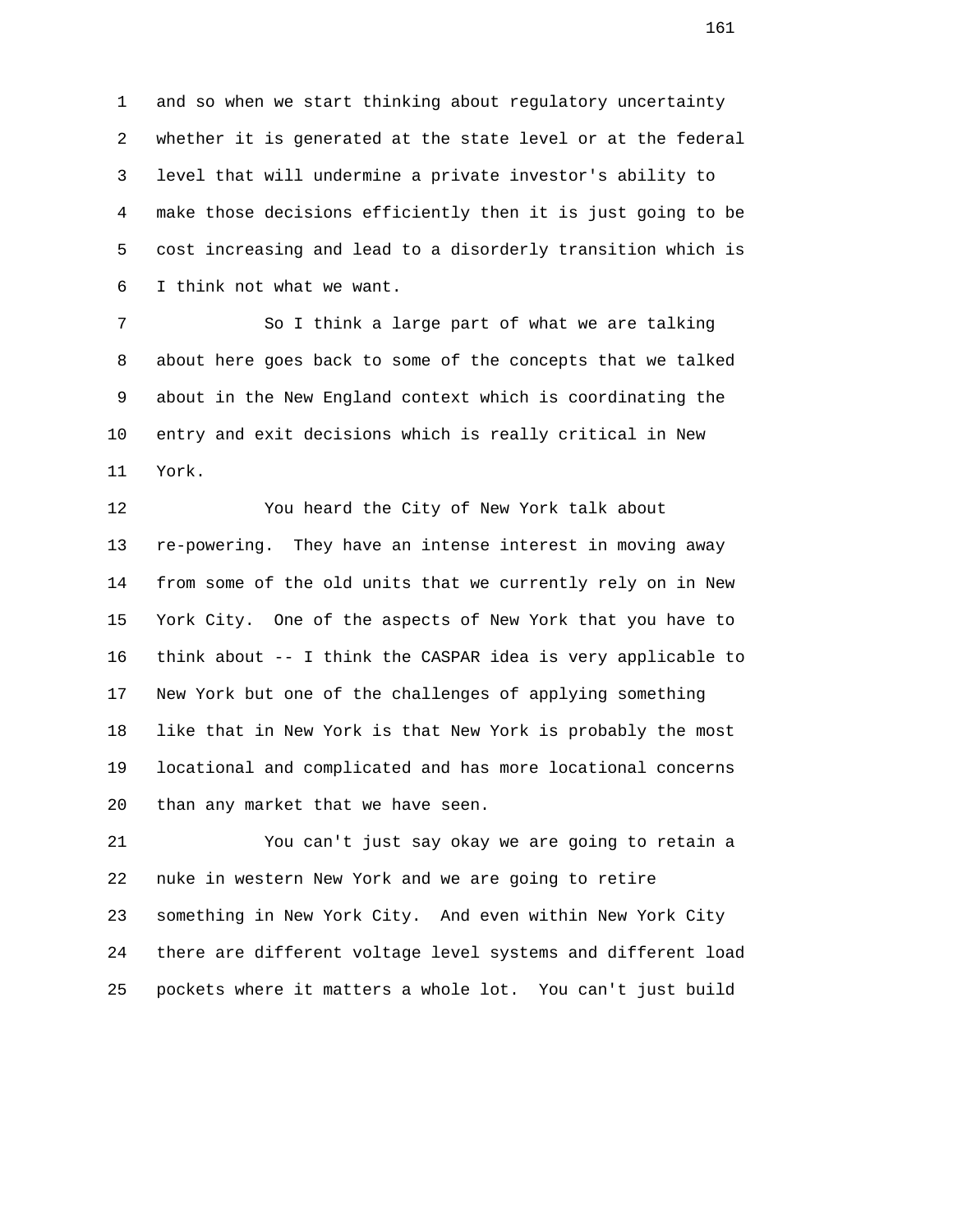1 and so when we start thinking about regulatory uncertainty 2 whether it is generated at the state level or at the federal 3 level that will undermine a private investor's ability to 4 make those decisions efficiently then it is just going to be 5 cost increasing and lead to a disorderly transition which is 6 I think not what we want.

 7 So I think a large part of what we are talking 8 about here goes back to some of the concepts that we talked 9 about in the New England context which is coordinating the 10 entry and exit decisions which is really critical in New 11 York.

 12 You heard the City of New York talk about 13 re-powering. They have an intense interest in moving away 14 from some of the old units that we currently rely on in New 15 York City. One of the aspects of New York that you have to 16 think about -- I think the CASPAR idea is very applicable to 17 New York but one of the challenges of applying something 18 like that in New York is that New York is probably the most 19 locational and complicated and has more locational concerns 20 than any market that we have seen.

 21 You can't just say okay we are going to retain a 22 nuke in western New York and we are going to retire 23 something in New York City. And even within New York City 24 there are different voltage level systems and different load 25 pockets where it matters a whole lot. You can't just build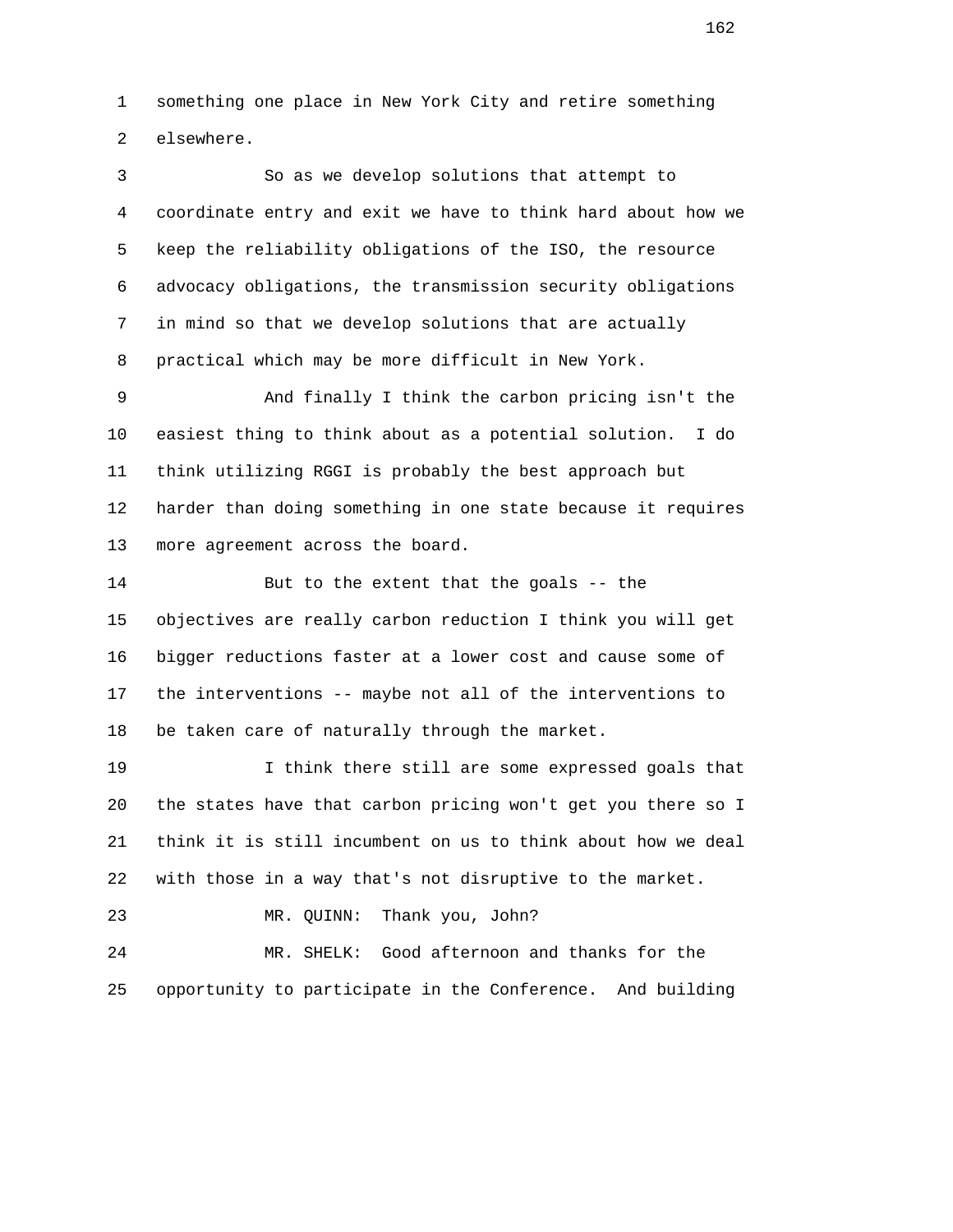1 something one place in New York City and retire something 2 elsewhere.

 3 So as we develop solutions that attempt to 4 coordinate entry and exit we have to think hard about how we 5 keep the reliability obligations of the ISO, the resource 6 advocacy obligations, the transmission security obligations 7 in mind so that we develop solutions that are actually 8 practical which may be more difficult in New York.

 9 And finally I think the carbon pricing isn't the 10 easiest thing to think about as a potential solution. I do 11 think utilizing RGGI is probably the best approach but 12 harder than doing something in one state because it requires 13 more agreement across the board.

 14 But to the extent that the goals -- the 15 objectives are really carbon reduction I think you will get 16 bigger reductions faster at a lower cost and cause some of 17 the interventions -- maybe not all of the interventions to 18 be taken care of naturally through the market.

 19 I think there still are some expressed goals that 20 the states have that carbon pricing won't get you there so I 21 think it is still incumbent on us to think about how we deal 22 with those in a way that's not disruptive to the market.

23 MR. QUINN: Thank you, John?

 24 MR. SHELK: Good afternoon and thanks for the 25 opportunity to participate in the Conference. And building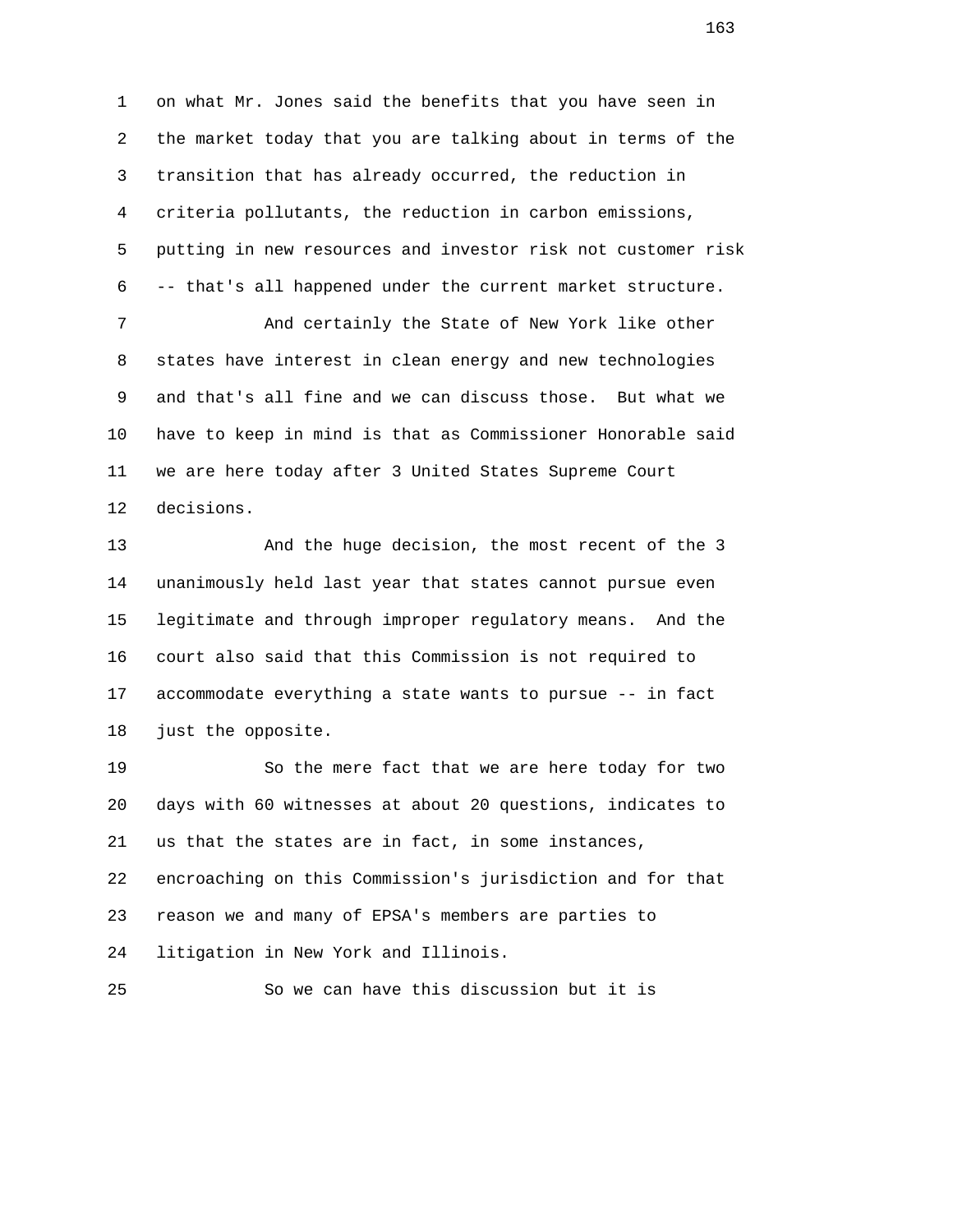1 on what Mr. Jones said the benefits that you have seen in 2 the market today that you are talking about in terms of the 3 transition that has already occurred, the reduction in 4 criteria pollutants, the reduction in carbon emissions, 5 putting in new resources and investor risk not customer risk 6 -- that's all happened under the current market structure.

 7 And certainly the State of New York like other 8 states have interest in clean energy and new technologies 9 and that's all fine and we can discuss those. But what we 10 have to keep in mind is that as Commissioner Honorable said 11 we are here today after 3 United States Supreme Court 12 decisions.

 13 And the huge decision, the most recent of the 3 14 unanimously held last year that states cannot pursue even 15 legitimate and through improper regulatory means. And the 16 court also said that this Commission is not required to 17 accommodate everything a state wants to pursue -- in fact 18 just the opposite.

 19 So the mere fact that we are here today for two 20 days with 60 witnesses at about 20 questions, indicates to 21 us that the states are in fact, in some instances, 22 encroaching on this Commission's jurisdiction and for that 23 reason we and many of EPSA's members are parties to 24 litigation in New York and Illinois.

25 So we can have this discussion but it is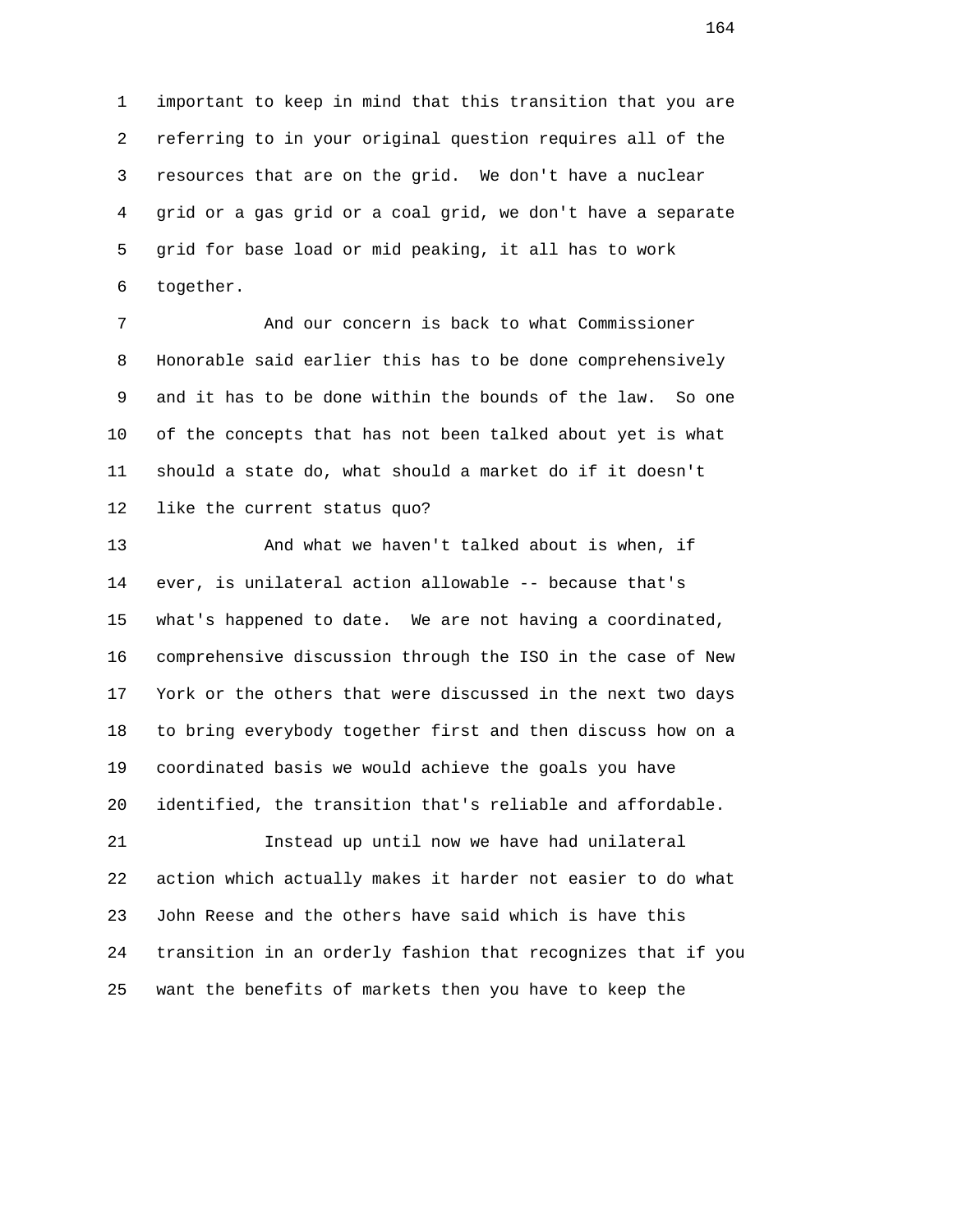1 important to keep in mind that this transition that you are 2 referring to in your original question requires all of the 3 resources that are on the grid. We don't have a nuclear 4 grid or a gas grid or a coal grid, we don't have a separate 5 grid for base load or mid peaking, it all has to work 6 together.

 7 And our concern is back to what Commissioner 8 Honorable said earlier this has to be done comprehensively 9 and it has to be done within the bounds of the law. So one 10 of the concepts that has not been talked about yet is what 11 should a state do, what should a market do if it doesn't 12 like the current status quo?

 13 And what we haven't talked about is when, if 14 ever, is unilateral action allowable -- because that's 15 what's happened to date. We are not having a coordinated, 16 comprehensive discussion through the ISO in the case of New 17 York or the others that were discussed in the next two days 18 to bring everybody together first and then discuss how on a 19 coordinated basis we would achieve the goals you have 20 identified, the transition that's reliable and affordable. 21 Instead up until now we have had unilateral 22 action which actually makes it harder not easier to do what 23 John Reese and the others have said which is have this 24 transition in an orderly fashion that recognizes that if you 25 want the benefits of markets then you have to keep the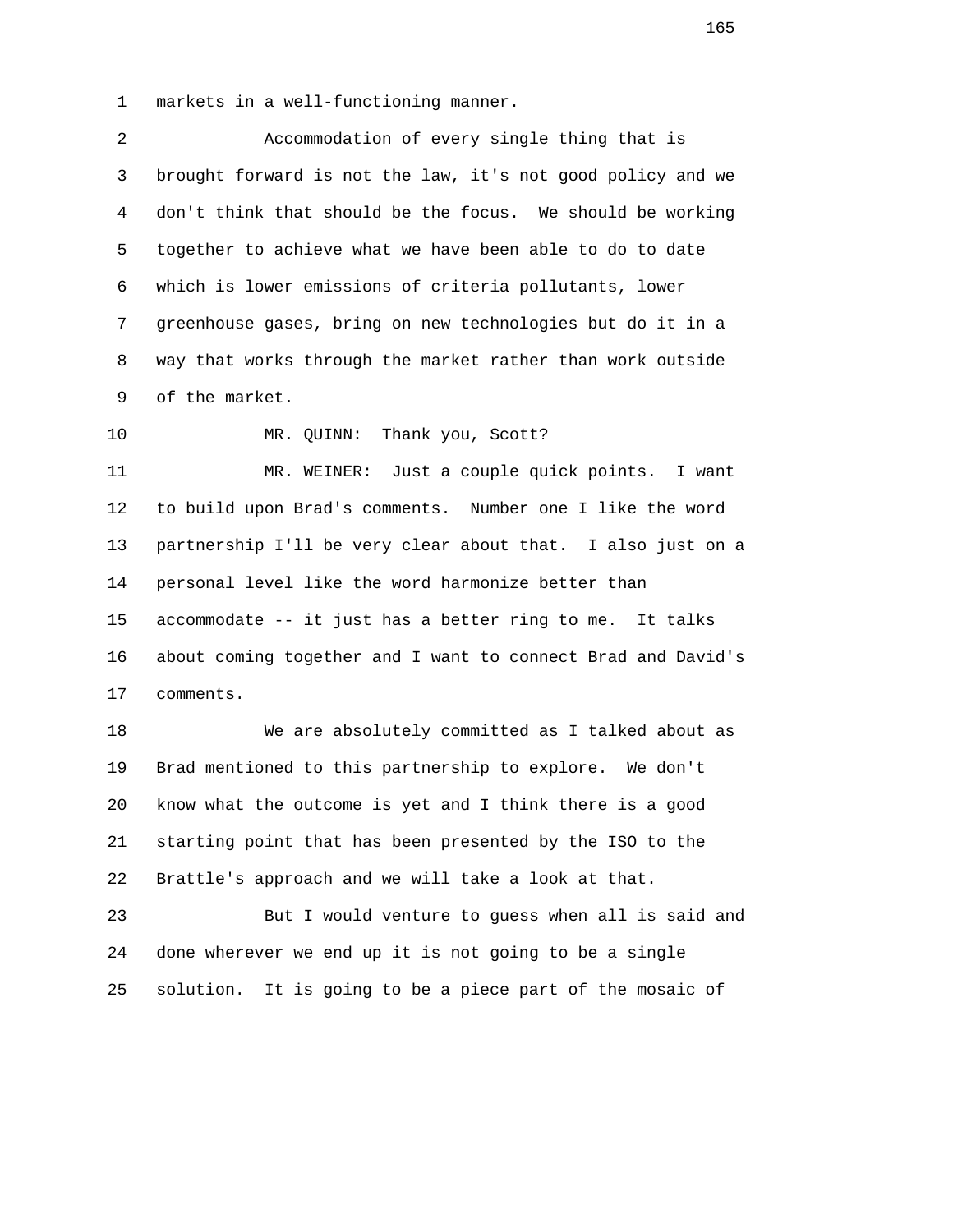1 markets in a well-functioning manner.

 2 Accommodation of every single thing that is 3 brought forward is not the law, it's not good policy and we 4 don't think that should be the focus. We should be working 5 together to achieve what we have been able to do to date 6 which is lower emissions of criteria pollutants, lower 7 greenhouse gases, bring on new technologies but do it in a 8 way that works through the market rather than work outside 9 of the market.

10 MR. QUINN: Thank you, Scott?

 11 MR. WEINER: Just a couple quick points. I want 12 to build upon Brad's comments. Number one I like the word 13 partnership I'll be very clear about that. I also just on a 14 personal level like the word harmonize better than 15 accommodate -- it just has a better ring to me. It talks 16 about coming together and I want to connect Brad and David's 17 comments.

 18 We are absolutely committed as I talked about as 19 Brad mentioned to this partnership to explore. We don't 20 know what the outcome is yet and I think there is a good 21 starting point that has been presented by the ISO to the 22 Brattle's approach and we will take a look at that.

 23 But I would venture to guess when all is said and 24 done wherever we end up it is not going to be a single 25 solution. It is going to be a piece part of the mosaic of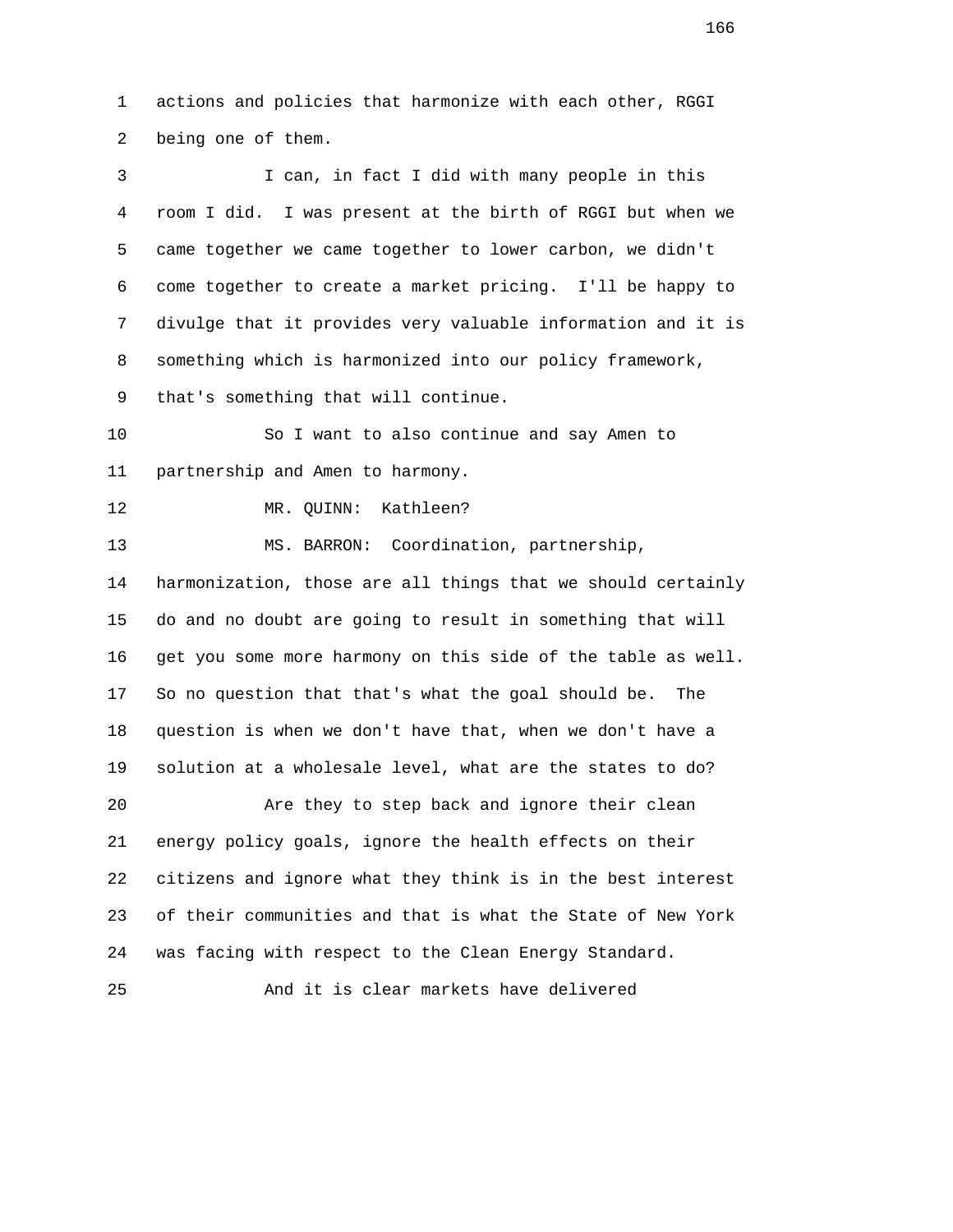1 actions and policies that harmonize with each other, RGGI 2 being one of them. 3 I can, in fact I did with many people in this

 4 room I did. I was present at the birth of RGGI but when we 5 came together we came together to lower carbon, we didn't 6 come together to create a market pricing. I'll be happy to 7 divulge that it provides very valuable information and it is 8 something which is harmonized into our policy framework,

9 that's something that will continue.

 10 So I want to also continue and say Amen to 11 partnership and Amen to harmony.

12 MR. QUINN: Kathleen?

13 MS. BARRON: Coordination, partnership,

 14 harmonization, those are all things that we should certainly 15 do and no doubt are going to result in something that will 16 get you some more harmony on this side of the table as well. 17 So no question that that's what the goal should be. The 18 question is when we don't have that, when we don't have a 19 solution at a wholesale level, what are the states to do?

 20 Are they to step back and ignore their clean 21 energy policy goals, ignore the health effects on their 22 citizens and ignore what they think is in the best interest 23 of their communities and that is what the State of New York 24 was facing with respect to the Clean Energy Standard.

25 And it is clear markets have delivered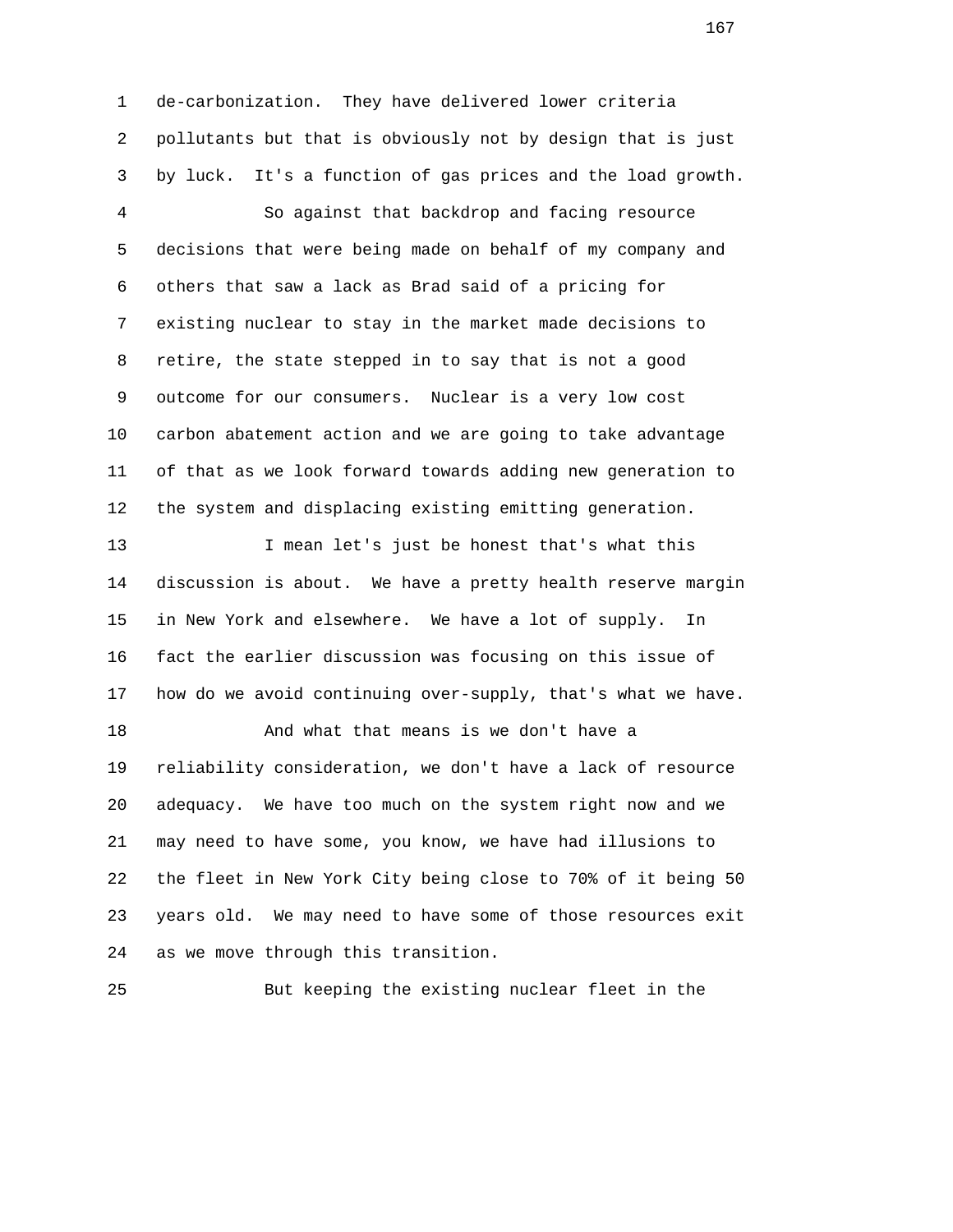1 de-carbonization. They have delivered lower criteria 2 pollutants but that is obviously not by design that is just 3 by luck. It's a function of gas prices and the load growth. 4 So against that backdrop and facing resource 5 decisions that were being made on behalf of my company and 6 others that saw a lack as Brad said of a pricing for 7 existing nuclear to stay in the market made decisions to 8 retire, the state stepped in to say that is not a good 9 outcome for our consumers. Nuclear is a very low cost 10 carbon abatement action and we are going to take advantage 11 of that as we look forward towards adding new generation to 12 the system and displacing existing emitting generation. 13 I mean let's just be honest that's what this 14 discussion is about. We have a pretty health reserve margin 15 in New York and elsewhere. We have a lot of supply. In 16 fact the earlier discussion was focusing on this issue of 17 how do we avoid continuing over-supply, that's what we have. 18 And what that means is we don't have a 19 reliability consideration, we don't have a lack of resource 20 adequacy. We have too much on the system right now and we 21 may need to have some, you know, we have had illusions to 22 the fleet in New York City being close to 70% of it being 50 23 years old. We may need to have some of those resources exit 24 as we move through this transition.

25 But keeping the existing nuclear fleet in the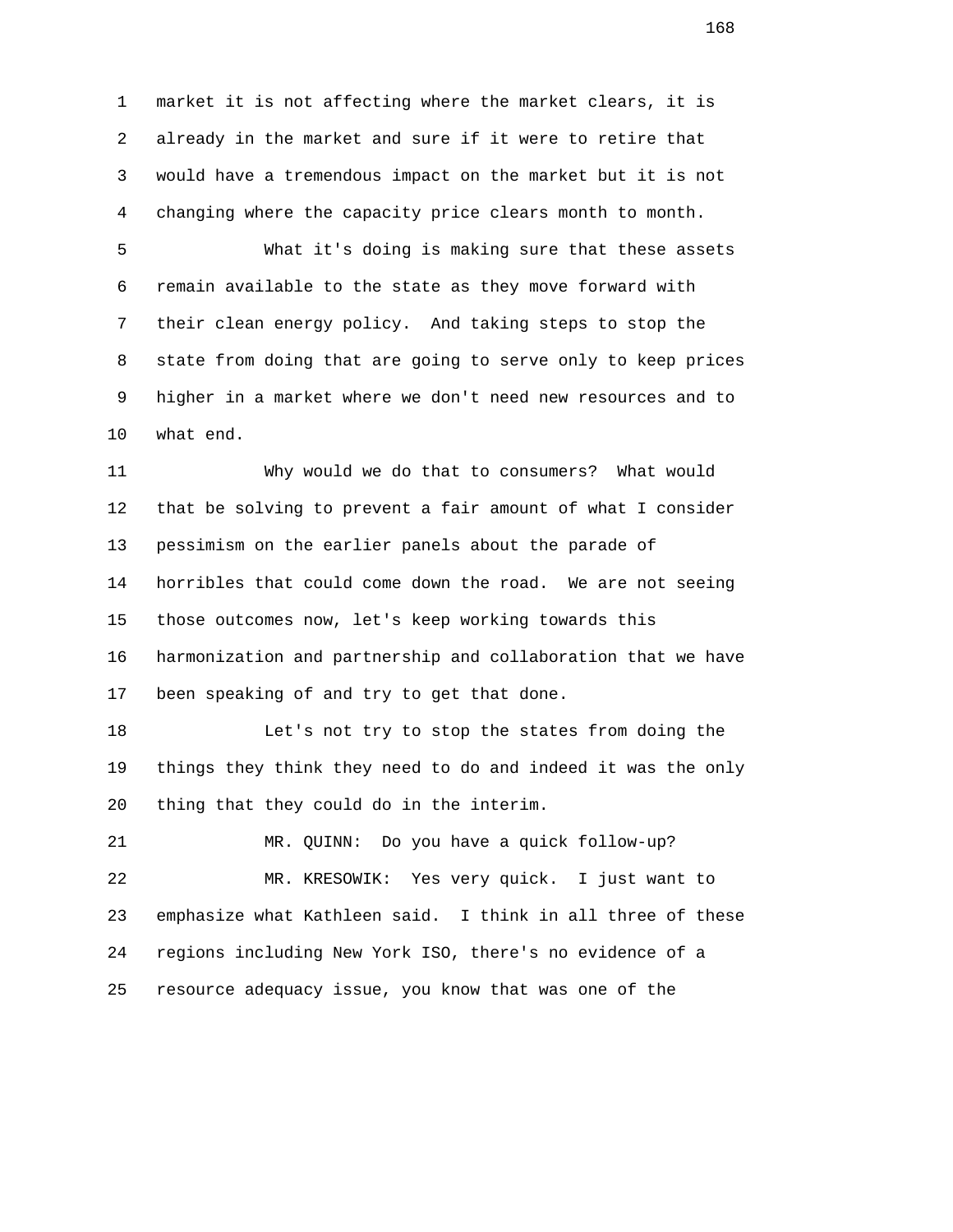1 market it is not affecting where the market clears, it is 2 already in the market and sure if it were to retire that 3 would have a tremendous impact on the market but it is not 4 changing where the capacity price clears month to month.

 5 What it's doing is making sure that these assets 6 remain available to the state as they move forward with 7 their clean energy policy. And taking steps to stop the 8 state from doing that are going to serve only to keep prices 9 higher in a market where we don't need new resources and to 10 what end.

 11 Why would we do that to consumers? What would 12 that be solving to prevent a fair amount of what I consider 13 pessimism on the earlier panels about the parade of 14 horribles that could come down the road. We are not seeing 15 those outcomes now, let's keep working towards this 16 harmonization and partnership and collaboration that we have 17 been speaking of and try to get that done.

 18 Let's not try to stop the states from doing the 19 things they think they need to do and indeed it was the only 20 thing that they could do in the interim.

 21 MR. QUINN: Do you have a quick follow-up? 22 MR. KRESOWIK: Yes very quick. I just want to 23 emphasize what Kathleen said. I think in all three of these 24 regions including New York ISO, there's no evidence of a 25 resource adequacy issue, you know that was one of the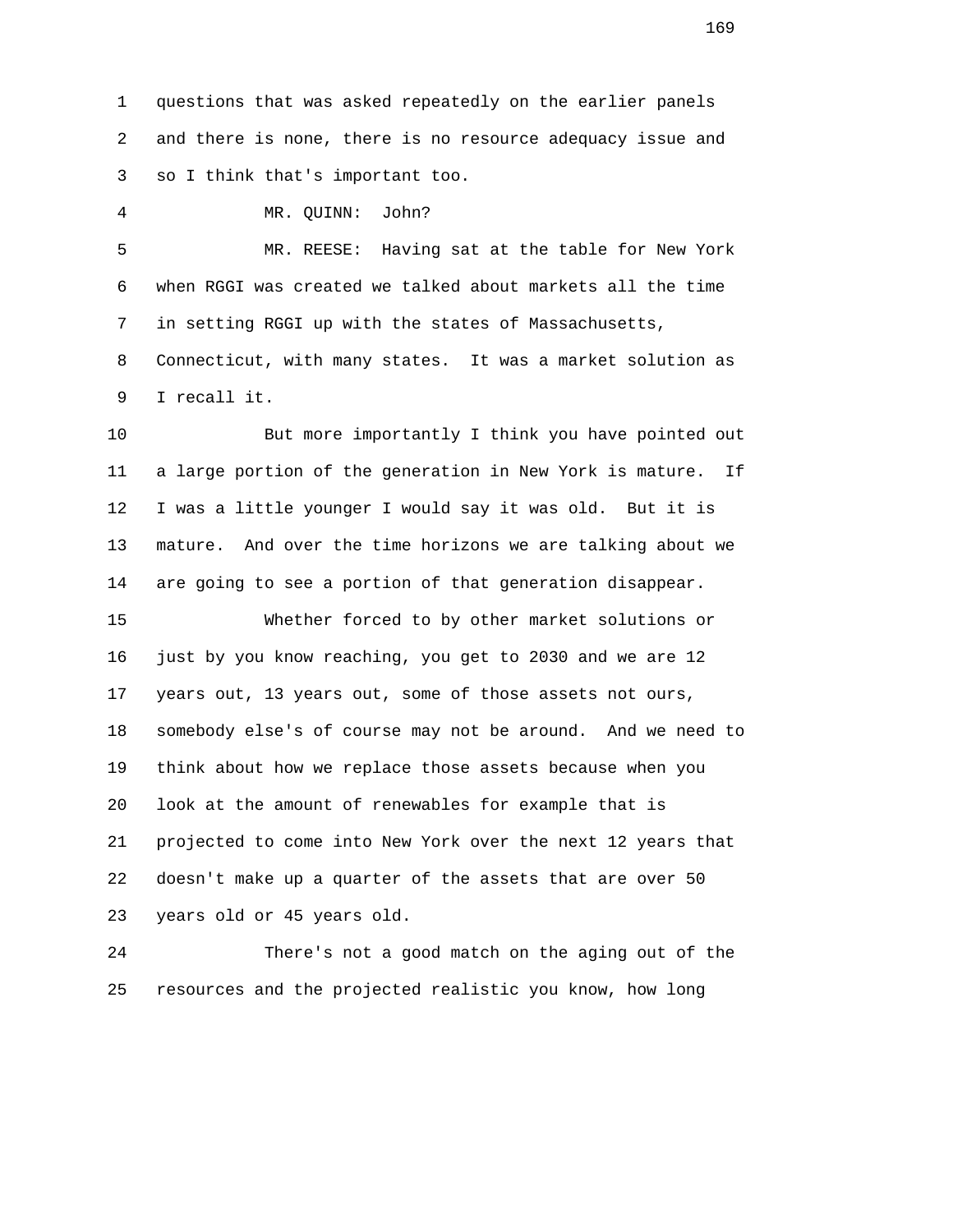1 questions that was asked repeatedly on the earlier panels 2 and there is none, there is no resource adequacy issue and 3 so I think that's important too.

4 MR. QUINN: John?

 5 MR. REESE: Having sat at the table for New York 6 when RGGI was created we talked about markets all the time 7 in setting RGGI up with the states of Massachusetts, 8 Connecticut, with many states. It was a market solution as 9 I recall it.

 10 But more importantly I think you have pointed out 11 a large portion of the generation in New York is mature. If 12 I was a little younger I would say it was old. But it is 13 mature. And over the time horizons we are talking about we 14 are going to see a portion of that generation disappear.

 15 Whether forced to by other market solutions or 16 just by you know reaching, you get to 2030 and we are 12 17 years out, 13 years out, some of those assets not ours, 18 somebody else's of course may not be around. And we need to 19 think about how we replace those assets because when you 20 look at the amount of renewables for example that is 21 projected to come into New York over the next 12 years that 22 doesn't make up a quarter of the assets that are over 50 23 years old or 45 years old.

 24 There's not a good match on the aging out of the 25 resources and the projected realistic you know, how long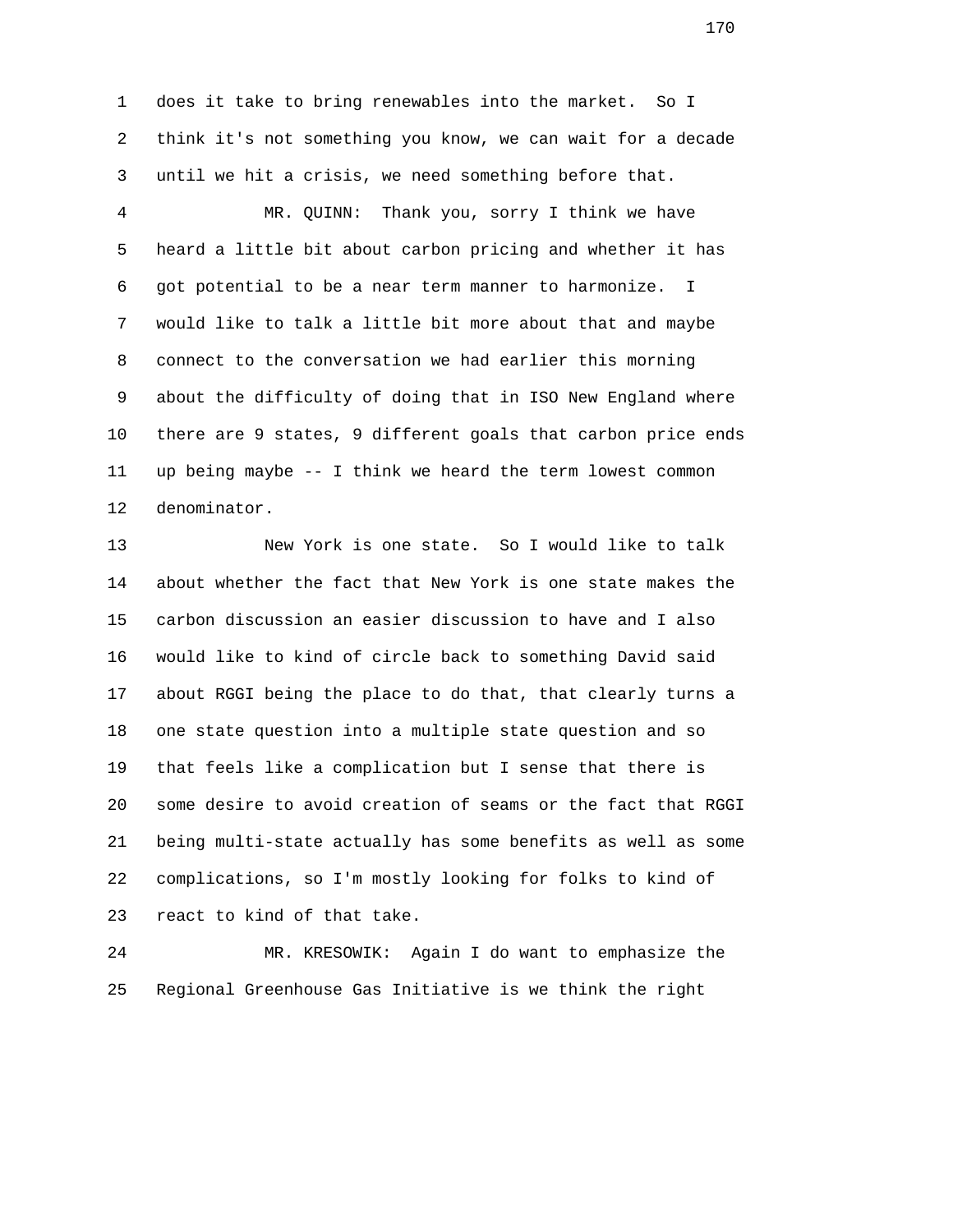1 does it take to bring renewables into the market. So I 2 think it's not something you know, we can wait for a decade 3 until we hit a crisis, we need something before that.

 4 MR. QUINN: Thank you, sorry I think we have 5 heard a little bit about carbon pricing and whether it has 6 got potential to be a near term manner to harmonize. I 7 would like to talk a little bit more about that and maybe 8 connect to the conversation we had earlier this morning 9 about the difficulty of doing that in ISO New England where 10 there are 9 states, 9 different goals that carbon price ends 11 up being maybe -- I think we heard the term lowest common 12 denominator.

 13 New York is one state. So I would like to talk 14 about whether the fact that New York is one state makes the 15 carbon discussion an easier discussion to have and I also 16 would like to kind of circle back to something David said 17 about RGGI being the place to do that, that clearly turns a 18 one state question into a multiple state question and so 19 that feels like a complication but I sense that there is 20 some desire to avoid creation of seams or the fact that RGGI 21 being multi-state actually has some benefits as well as some 22 complications, so I'm mostly looking for folks to kind of 23 react to kind of that take.

 24 MR. KRESOWIK: Again I do want to emphasize the 25 Regional Greenhouse Gas Initiative is we think the right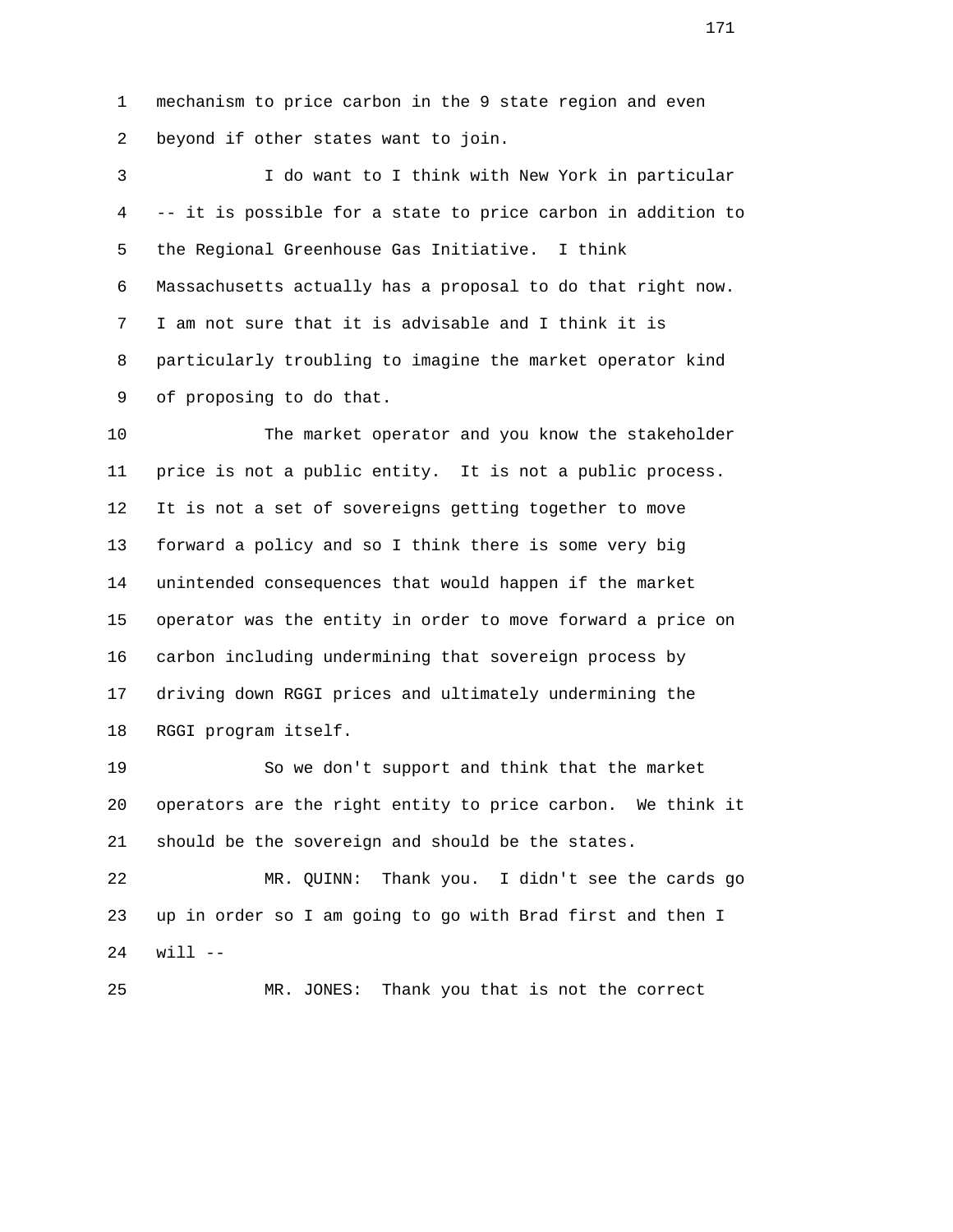1 mechanism to price carbon in the 9 state region and even 2 beyond if other states want to join.

 3 I do want to I think with New York in particular 4 -- it is possible for a state to price carbon in addition to 5 the Regional Greenhouse Gas Initiative. I think 6 Massachusetts actually has a proposal to do that right now. 7 I am not sure that it is advisable and I think it is 8 particularly troubling to imagine the market operator kind 9 of proposing to do that.

 10 The market operator and you know the stakeholder 11 price is not a public entity. It is not a public process. 12 It is not a set of sovereigns getting together to move 13 forward a policy and so I think there is some very big 14 unintended consequences that would happen if the market 15 operator was the entity in order to move forward a price on 16 carbon including undermining that sovereign process by 17 driving down RGGI prices and ultimately undermining the 18 RGGI program itself.

 19 So we don't support and think that the market 20 operators are the right entity to price carbon. We think it 21 should be the sovereign and should be the states.

 22 MR. QUINN: Thank you. I didn't see the cards go 23 up in order so I am going to go with Brad first and then I 24 will --

25 MR. JONES: Thank you that is not the correct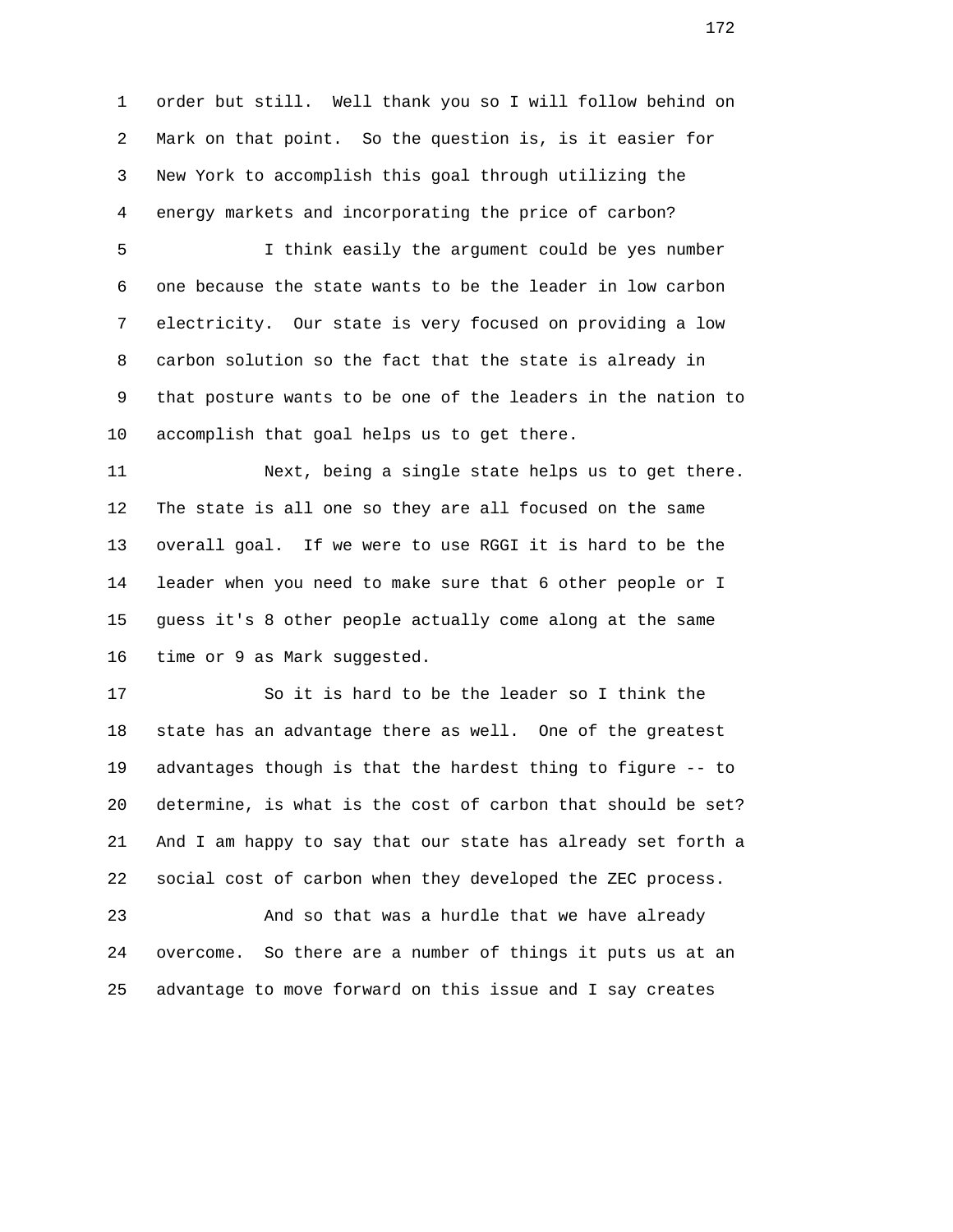1 order but still. Well thank you so I will follow behind on 2 Mark on that point. So the question is, is it easier for 3 New York to accomplish this goal through utilizing the 4 energy markets and incorporating the price of carbon?

 5 I think easily the argument could be yes number 6 one because the state wants to be the leader in low carbon 7 electricity. Our state is very focused on providing a low 8 carbon solution so the fact that the state is already in 9 that posture wants to be one of the leaders in the nation to 10 accomplish that goal helps us to get there.

 11 Next, being a single state helps us to get there. 12 The state is all one so they are all focused on the same 13 overall goal. If we were to use RGGI it is hard to be the 14 leader when you need to make sure that 6 other people or I 15 guess it's 8 other people actually come along at the same 16 time or 9 as Mark suggested.

 17 So it is hard to be the leader so I think the 18 state has an advantage there as well. One of the greatest 19 advantages though is that the hardest thing to figure -- to 20 determine, is what is the cost of carbon that should be set? 21 And I am happy to say that our state has already set forth a 22 social cost of carbon when they developed the ZEC process.

 23 And so that was a hurdle that we have already 24 overcome. So there are a number of things it puts us at an 25 advantage to move forward on this issue and I say creates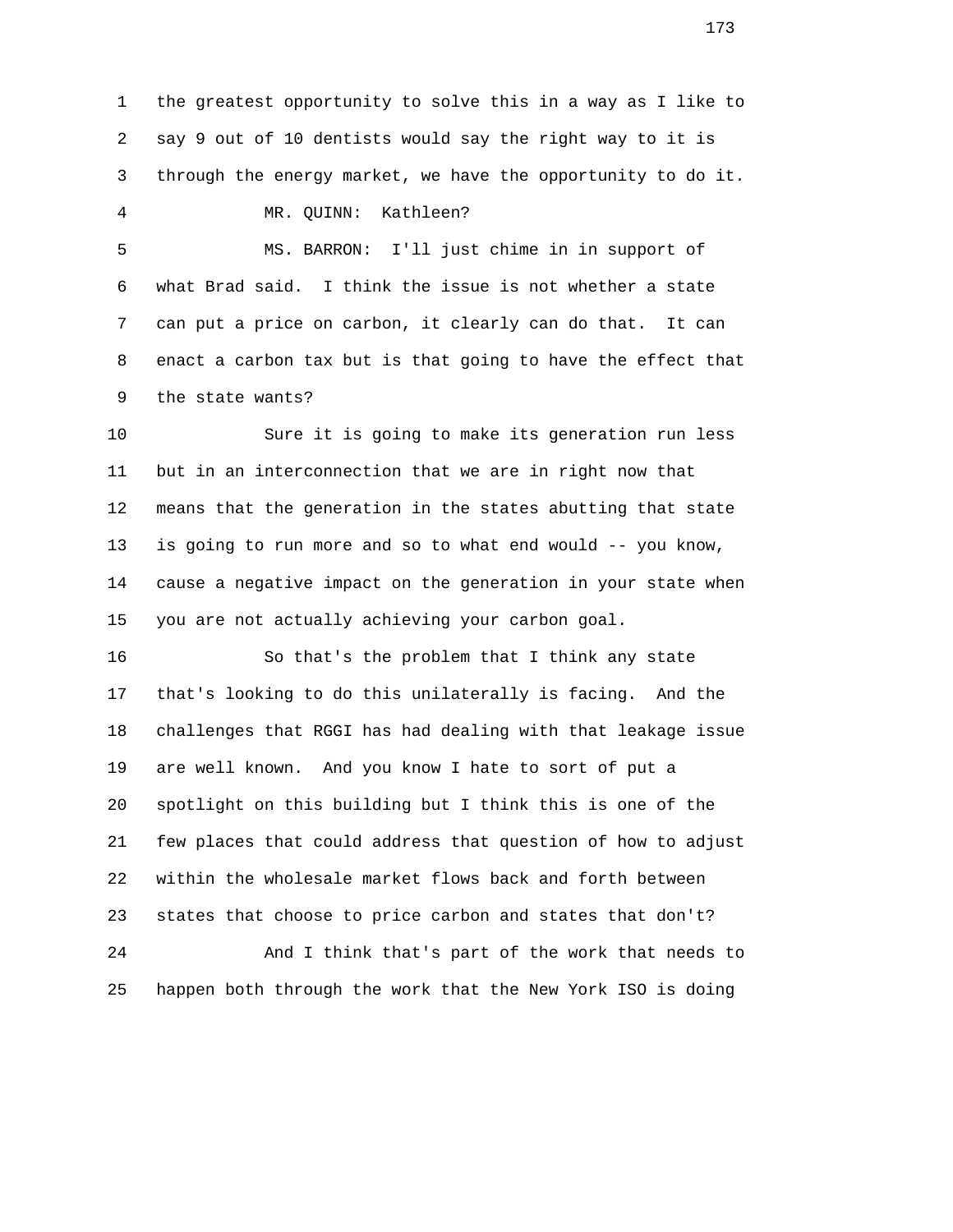1 the greatest opportunity to solve this in a way as I like to 2 say 9 out of 10 dentists would say the right way to it is 3 through the energy market, we have the opportunity to do it.

4 MR. QUINN: Kathleen?

 5 MS. BARRON: I'll just chime in in support of 6 what Brad said. I think the issue is not whether a state 7 can put a price on carbon, it clearly can do that. It can 8 enact a carbon tax but is that going to have the effect that 9 the state wants?

 10 Sure it is going to make its generation run less 11 but in an interconnection that we are in right now that 12 means that the generation in the states abutting that state 13 is going to run more and so to what end would -- you know, 14 cause a negative impact on the generation in your state when 15 you are not actually achieving your carbon goal.

 16 So that's the problem that I think any state 17 that's looking to do this unilaterally is facing. And the 18 challenges that RGGI has had dealing with that leakage issue 19 are well known. And you know I hate to sort of put a 20 spotlight on this building but I think this is one of the 21 few places that could address that question of how to adjust 22 within the wholesale market flows back and forth between 23 states that choose to price carbon and states that don't?

 24 And I think that's part of the work that needs to 25 happen both through the work that the New York ISO is doing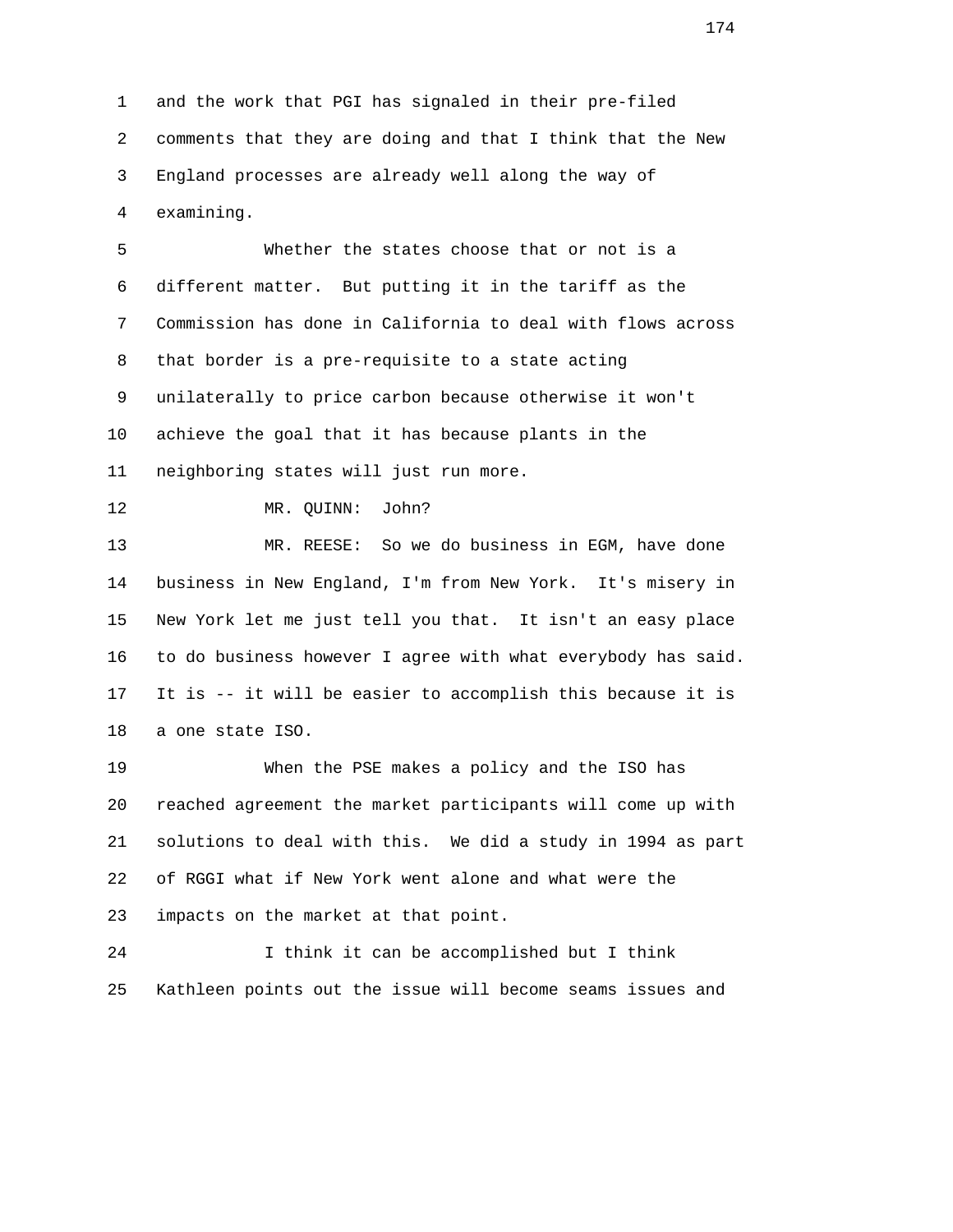1 and the work that PGI has signaled in their pre-filed 2 comments that they are doing and that I think that the New 3 England processes are already well along the way of 4 examining.

 5 Whether the states choose that or not is a 6 different matter. But putting it in the tariff as the 7 Commission has done in California to deal with flows across 8 that border is a pre-requisite to a state acting 9 unilaterally to price carbon because otherwise it won't 10 achieve the goal that it has because plants in the 11 neighboring states will just run more. 12 MR. QUINN: John? 13 MR. REESE: So we do business in EGM, have done 14 business in New England, I'm from New York. It's misery in 15 New York let me just tell you that. It isn't an easy place 16 to do business however I agree with what everybody has said. 17 It is -- it will be easier to accomplish this because it is 18 a one state ISO.

 19 When the PSE makes a policy and the ISO has 20 reached agreement the market participants will come up with 21 solutions to deal with this. We did a study in 1994 as part 22 of RGGI what if New York went alone and what were the 23 impacts on the market at that point.

 24 I think it can be accomplished but I think 25 Kathleen points out the issue will become seams issues and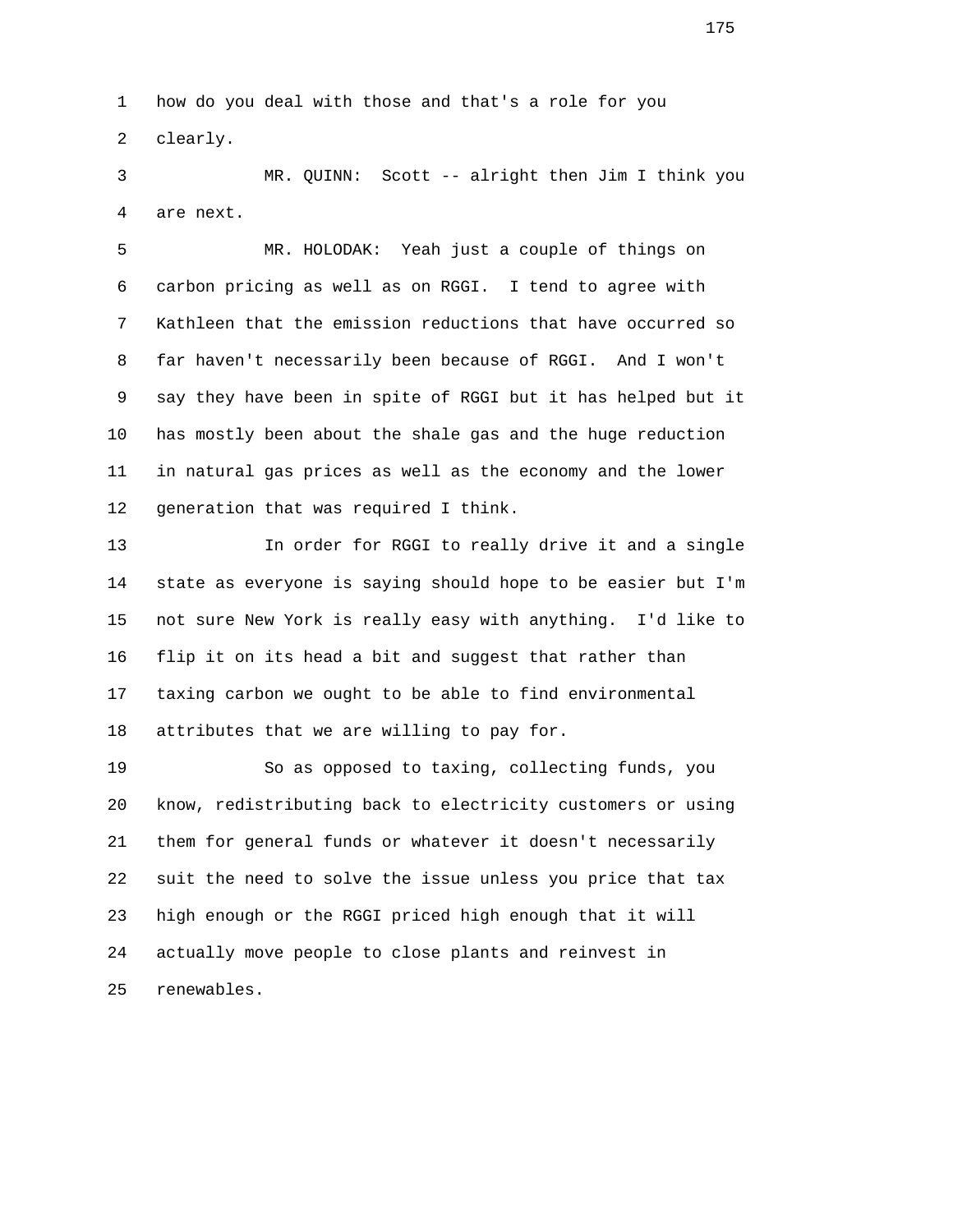1 how do you deal with those and that's a role for you 2 clearly.

 3 MR. QUINN: Scott -- alright then Jim I think you 4 are next.

 5 MR. HOLODAK: Yeah just a couple of things on 6 carbon pricing as well as on RGGI. I tend to agree with 7 Kathleen that the emission reductions that have occurred so 8 far haven't necessarily been because of RGGI. And I won't 9 say they have been in spite of RGGI but it has helped but it 10 has mostly been about the shale gas and the huge reduction 11 in natural gas prices as well as the economy and the lower 12 generation that was required I think.

 13 In order for RGGI to really drive it and a single 14 state as everyone is saying should hope to be easier but I'm 15 not sure New York is really easy with anything. I'd like to 16 flip it on its head a bit and suggest that rather than 17 taxing carbon we ought to be able to find environmental 18 attributes that we are willing to pay for.

 19 So as opposed to taxing, collecting funds, you 20 know, redistributing back to electricity customers or using 21 them for general funds or whatever it doesn't necessarily 22 suit the need to solve the issue unless you price that tax 23 high enough or the RGGI priced high enough that it will 24 actually move people to close plants and reinvest in 25 renewables.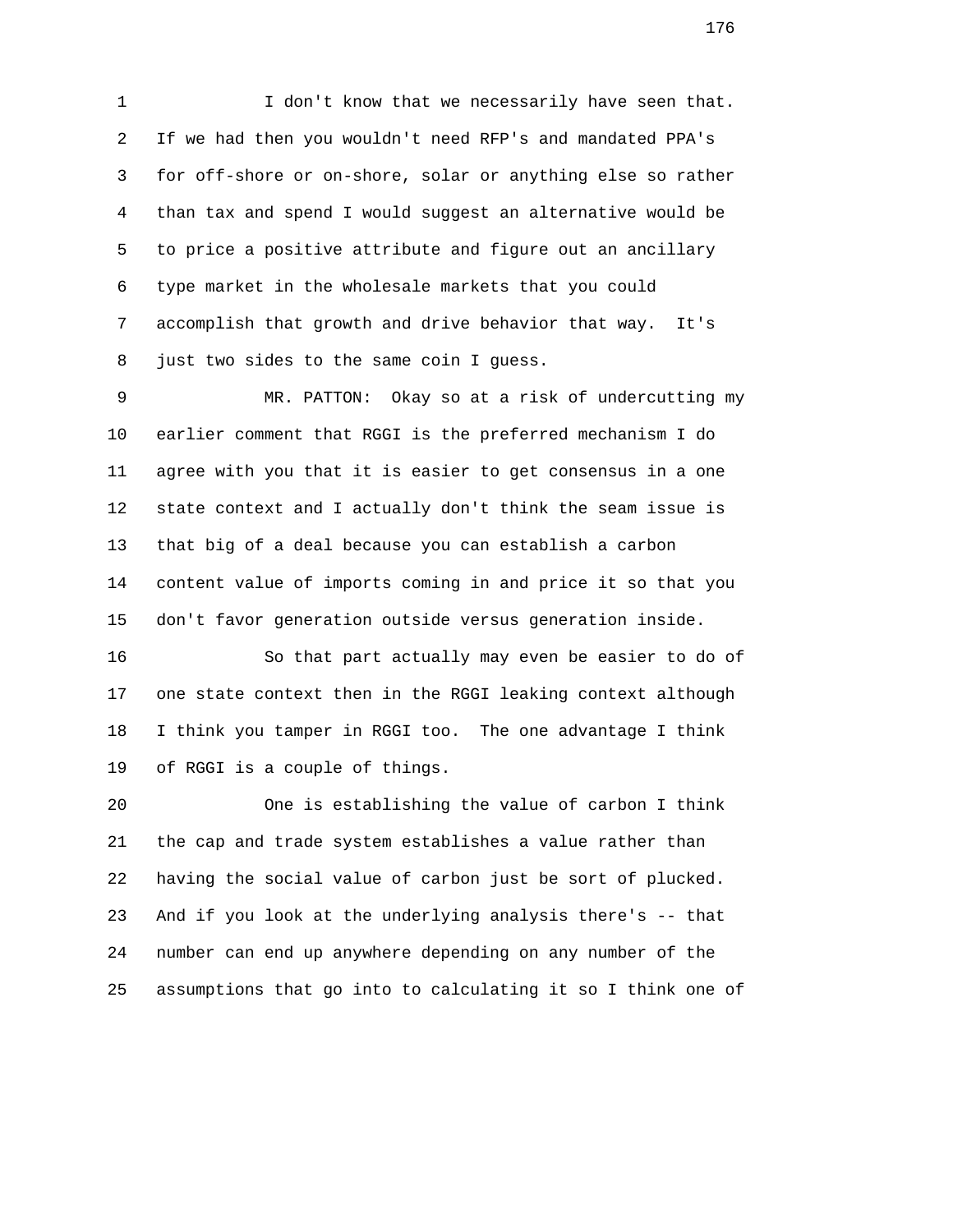1 I don't know that we necessarily have seen that. 2 If we had then you wouldn't need RFP's and mandated PPA's 3 for off-shore or on-shore, solar or anything else so rather 4 than tax and spend I would suggest an alternative would be 5 to price a positive attribute and figure out an ancillary 6 type market in the wholesale markets that you could 7 accomplish that growth and drive behavior that way. It's 8 just two sides to the same coin I guess.

 9 MR. PATTON: Okay so at a risk of undercutting my 10 earlier comment that RGGI is the preferred mechanism I do 11 agree with you that it is easier to get consensus in a one 12 state context and I actually don't think the seam issue is 13 that big of a deal because you can establish a carbon 14 content value of imports coming in and price it so that you 15 don't favor generation outside versus generation inside.

 16 So that part actually may even be easier to do of 17 one state context then in the RGGI leaking context although 18 I think you tamper in RGGI too. The one advantage I think 19 of RGGI is a couple of things.

 20 One is establishing the value of carbon I think 21 the cap and trade system establishes a value rather than 22 having the social value of carbon just be sort of plucked. 23 And if you look at the underlying analysis there's -- that 24 number can end up anywhere depending on any number of the 25 assumptions that go into to calculating it so I think one of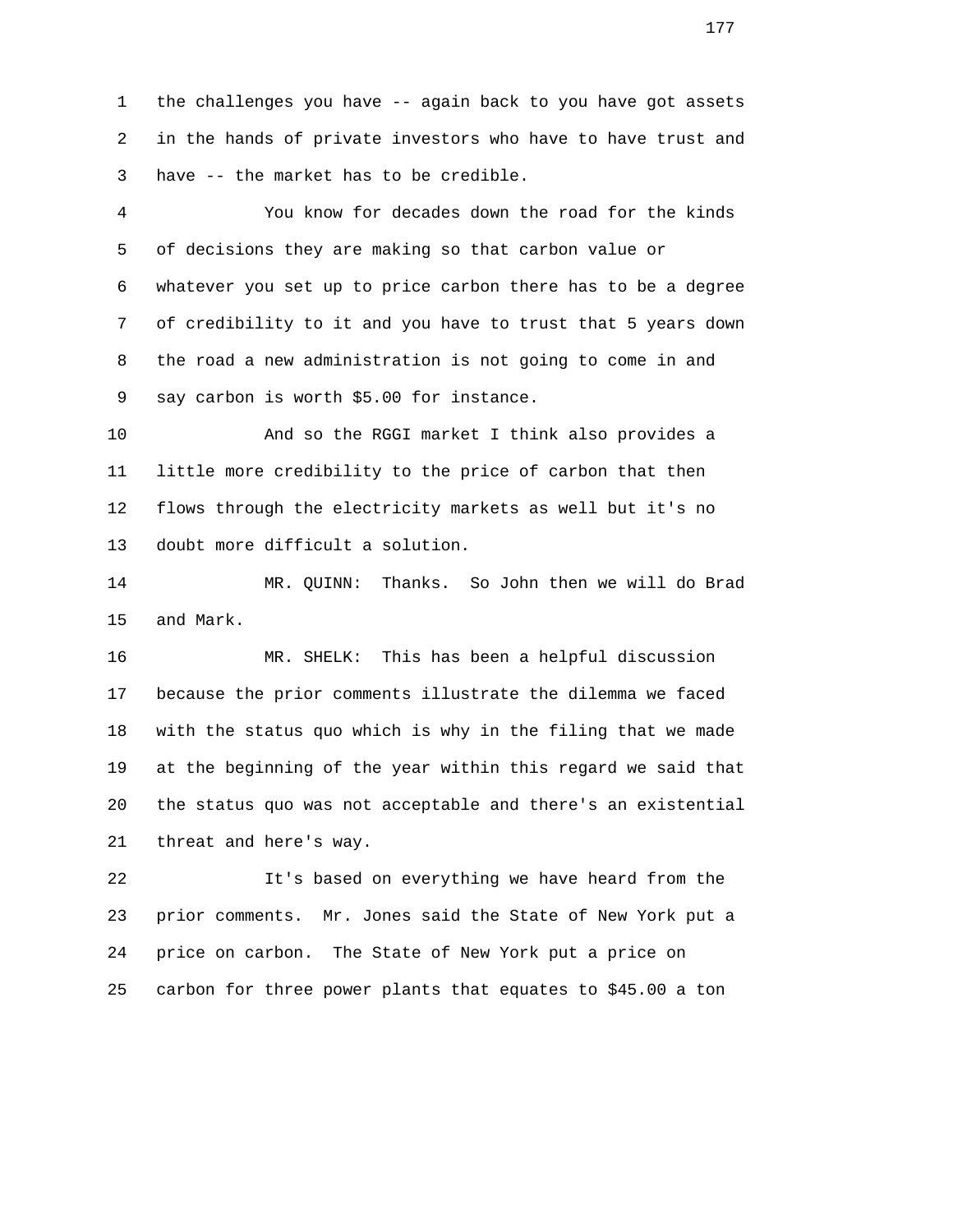1 the challenges you have -- again back to you have got assets 2 in the hands of private investors who have to have trust and 3 have -- the market has to be credible.

 4 You know for decades down the road for the kinds 5 of decisions they are making so that carbon value or 6 whatever you set up to price carbon there has to be a degree 7 of credibility to it and you have to trust that 5 years down 8 the road a new administration is not going to come in and 9 say carbon is worth \$5.00 for instance.

 10 And so the RGGI market I think also provides a 11 little more credibility to the price of carbon that then 12 flows through the electricity markets as well but it's no 13 doubt more difficult a solution.

 14 MR. QUINN: Thanks. So John then we will do Brad 15 and Mark.

 16 MR. SHELK: This has been a helpful discussion 17 because the prior comments illustrate the dilemma we faced 18 with the status quo which is why in the filing that we made 19 at the beginning of the year within this regard we said that 20 the status quo was not acceptable and there's an existential 21 threat and here's way.

 22 It's based on everything we have heard from the 23 prior comments. Mr. Jones said the State of New York put a 24 price on carbon. The State of New York put a price on 25 carbon for three power plants that equates to \$45.00 a ton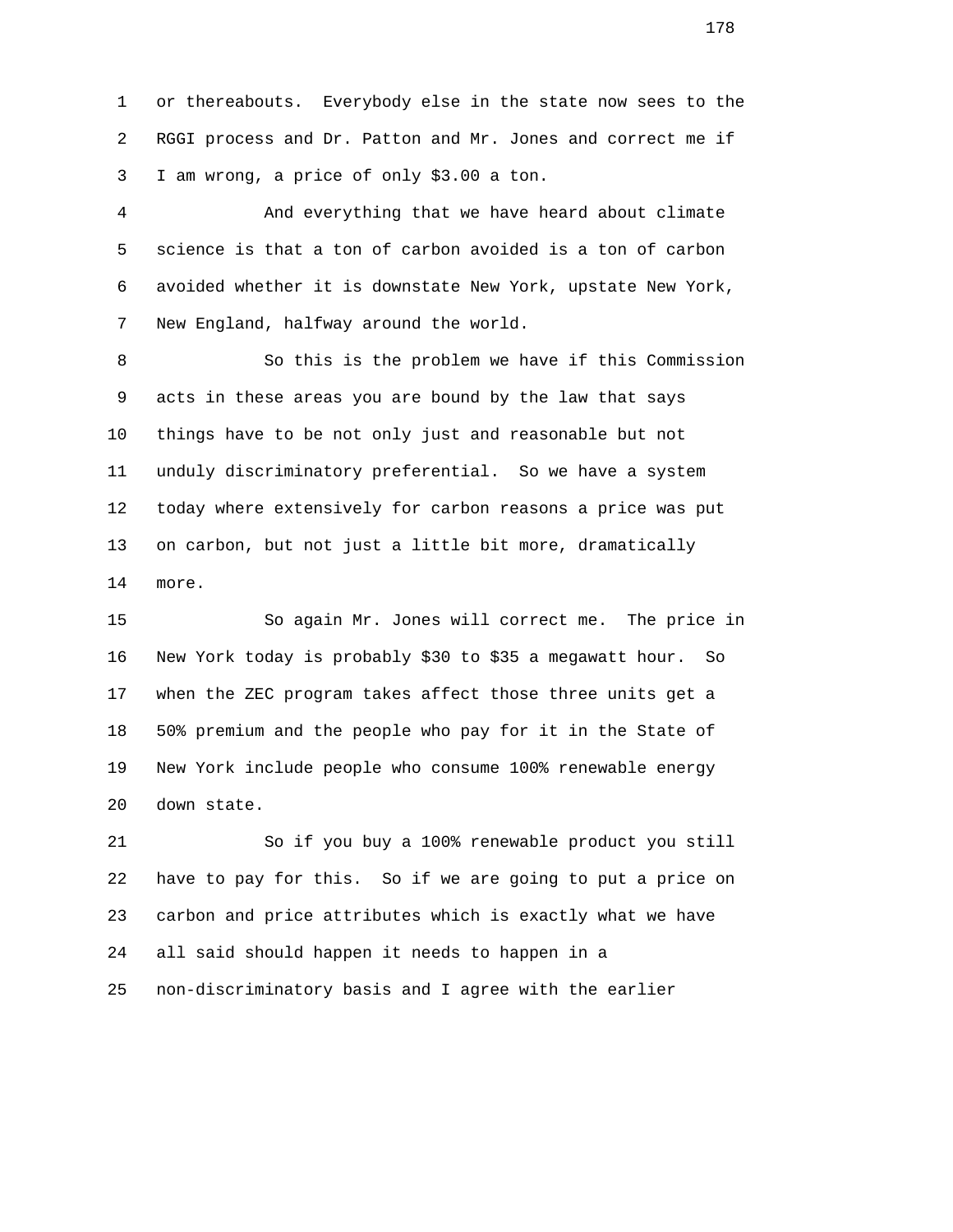1 or thereabouts. Everybody else in the state now sees to the 2 RGGI process and Dr. Patton and Mr. Jones and correct me if 3 I am wrong, a price of only \$3.00 a ton.

 4 And everything that we have heard about climate 5 science is that a ton of carbon avoided is a ton of carbon 6 avoided whether it is downstate New York, upstate New York, 7 New England, halfway around the world.

 8 So this is the problem we have if this Commission 9 acts in these areas you are bound by the law that says 10 things have to be not only just and reasonable but not 11 unduly discriminatory preferential. So we have a system 12 today where extensively for carbon reasons a price was put 13 on carbon, but not just a little bit more, dramatically 14 more.

 15 So again Mr. Jones will correct me. The price in 16 New York today is probably \$30 to \$35 a megawatt hour. So 17 when the ZEC program takes affect those three units get a 18 50% premium and the people who pay for it in the State of 19 New York include people who consume 100% renewable energy 20 down state.

 21 So if you buy a 100% renewable product you still 22 have to pay for this. So if we are going to put a price on 23 carbon and price attributes which is exactly what we have 24 all said should happen it needs to happen in a 25 non-discriminatory basis and I agree with the earlier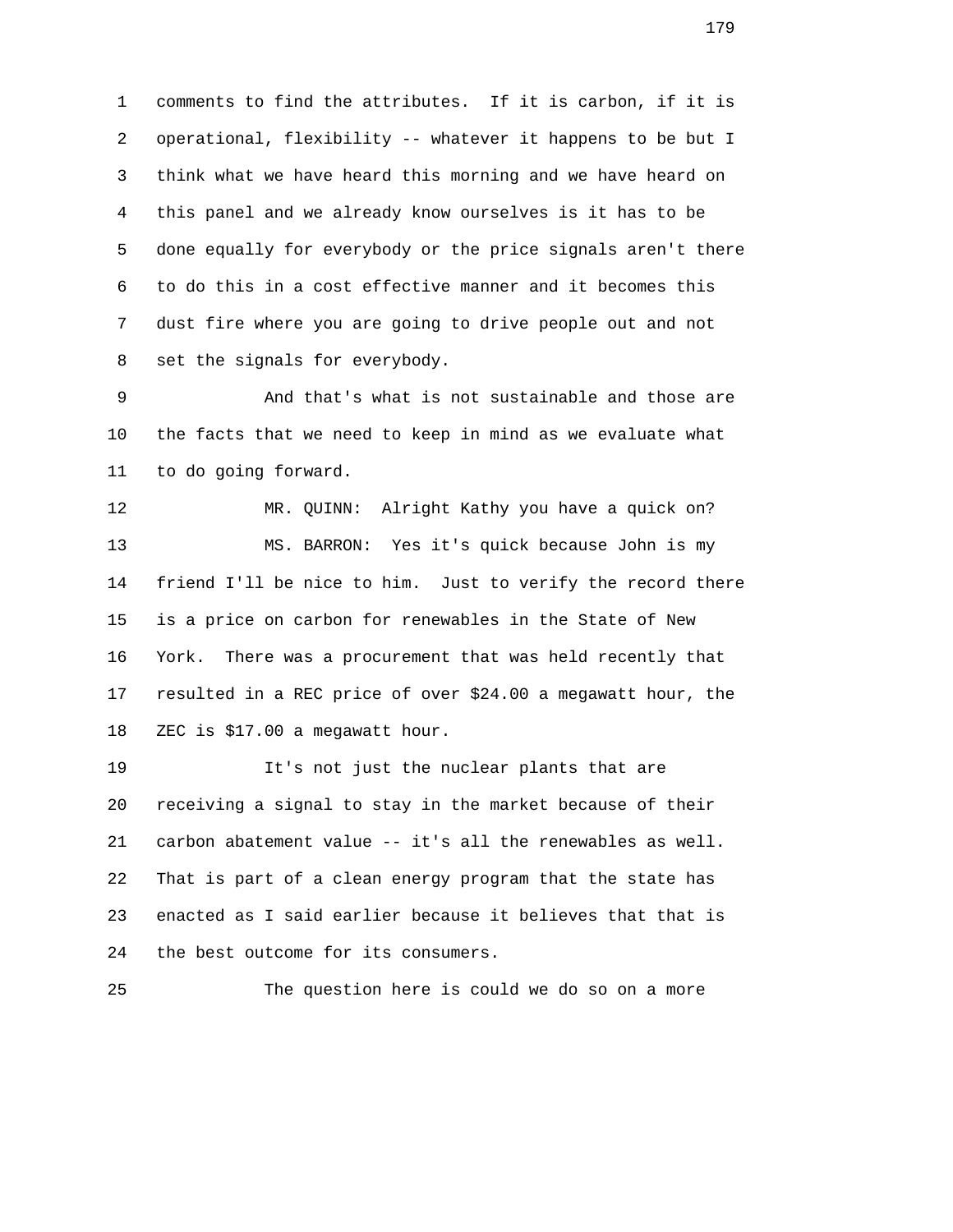1 comments to find the attributes. If it is carbon, if it is 2 operational, flexibility -- whatever it happens to be but I 3 think what we have heard this morning and we have heard on 4 this panel and we already know ourselves is it has to be 5 done equally for everybody or the price signals aren't there 6 to do this in a cost effective manner and it becomes this 7 dust fire where you are going to drive people out and not 8 set the signals for everybody.

 9 And that's what is not sustainable and those are 10 the facts that we need to keep in mind as we evaluate what 11 to do going forward.

 12 MR. QUINN: Alright Kathy you have a quick on? 13 MS. BARRON: Yes it's quick because John is my 14 friend I'll be nice to him. Just to verify the record there 15 is a price on carbon for renewables in the State of New 16 York. There was a procurement that was held recently that 17 resulted in a REC price of over \$24.00 a megawatt hour, the 18 ZEC is \$17.00 a megawatt hour.

 19 It's not just the nuclear plants that are 20 receiving a signal to stay in the market because of their 21 carbon abatement value -- it's all the renewables as well. 22 That is part of a clean energy program that the state has 23 enacted as I said earlier because it believes that that is 24 the best outcome for its consumers.

25 The question here is could we do so on a more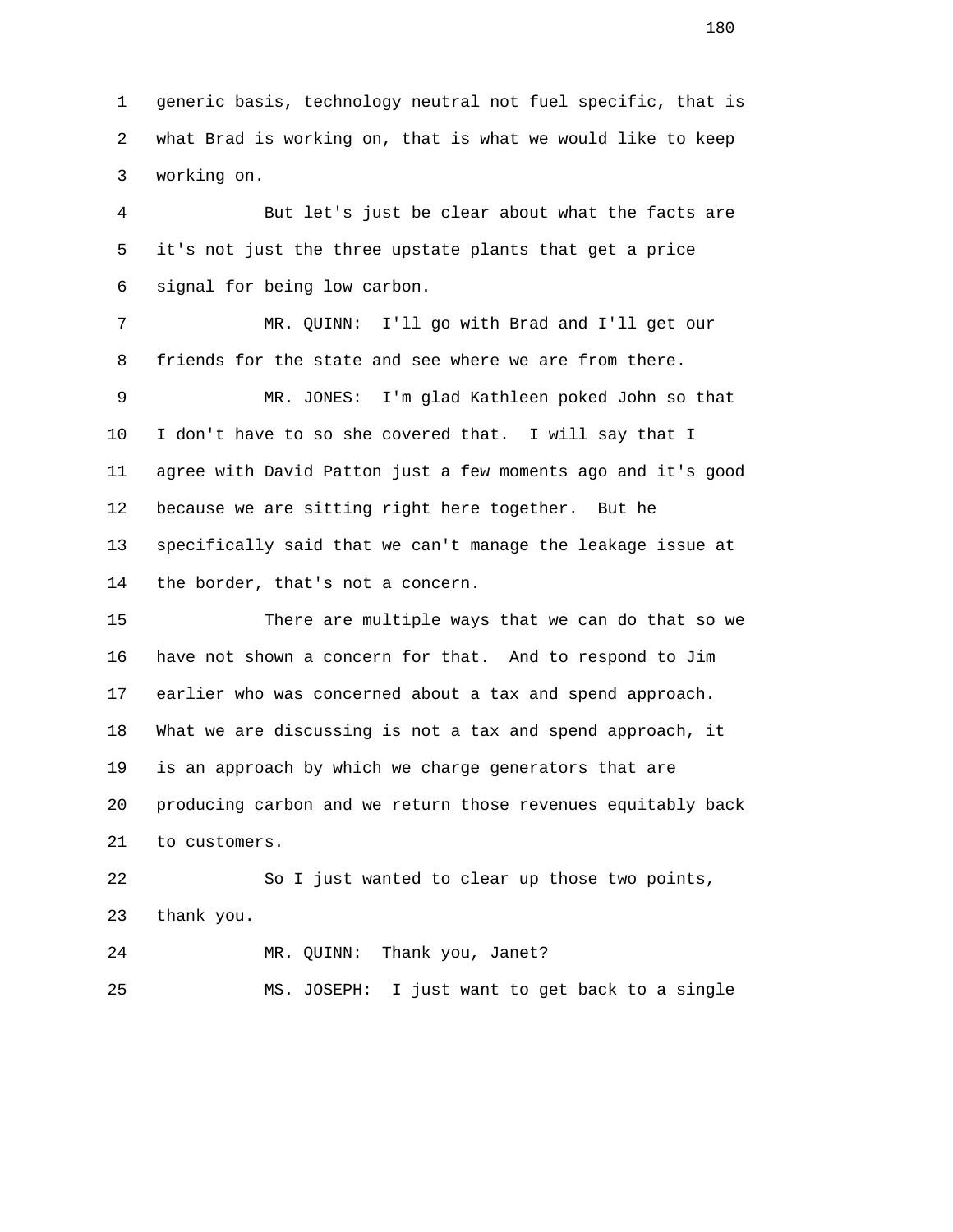1 generic basis, technology neutral not fuel specific, that is 2 what Brad is working on, that is what we would like to keep 3 working on.

 4 But let's just be clear about what the facts are 5 it's not just the three upstate plants that get a price 6 signal for being low carbon.

 7 MR. QUINN: I'll go with Brad and I'll get our 8 friends for the state and see where we are from there.

 9 MR. JONES: I'm glad Kathleen poked John so that 10 I don't have to so she covered that. I will say that I 11 agree with David Patton just a few moments ago and it's good 12 because we are sitting right here together. But he 13 specifically said that we can't manage the leakage issue at 14 the border, that's not a concern.

 15 There are multiple ways that we can do that so we 16 have not shown a concern for that. And to respond to Jim 17 earlier who was concerned about a tax and spend approach. 18 What we are discussing is not a tax and spend approach, it 19 is an approach by which we charge generators that are 20 producing carbon and we return those revenues equitably back 21 to customers.

 22 So I just wanted to clear up those two points, 23 thank you.

24 MR. QUINN: Thank you, Janet?

25 MS. JOSEPH: I just want to get back to a single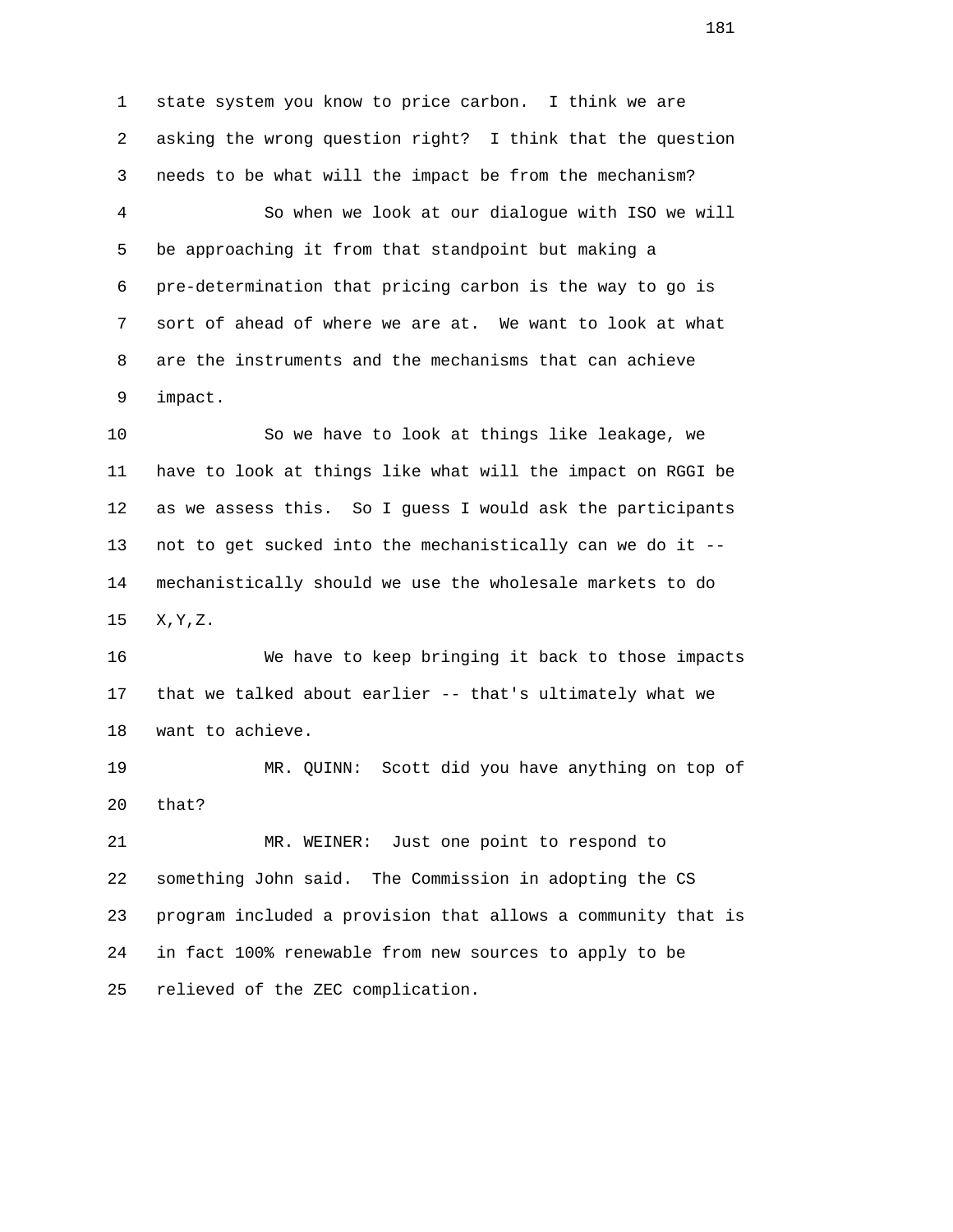1 state system you know to price carbon. I think we are 2 asking the wrong question right? I think that the question 3 needs to be what will the impact be from the mechanism?

 4 So when we look at our dialogue with ISO we will 5 be approaching it from that standpoint but making a 6 pre-determination that pricing carbon is the way to go is 7 sort of ahead of where we are at. We want to look at what 8 are the instruments and the mechanisms that can achieve 9 impact.

 10 So we have to look at things like leakage, we 11 have to look at things like what will the impact on RGGI be 12 as we assess this. So I guess I would ask the participants 13 not to get sucked into the mechanistically can we do it -- 14 mechanistically should we use the wholesale markets to do 15 X,Y,Z.

 16 We have to keep bringing it back to those impacts 17 that we talked about earlier -- that's ultimately what we 18 want to achieve.

 19 MR. QUINN: Scott did you have anything on top of 20 that?

 21 MR. WEINER: Just one point to respond to 22 something John said. The Commission in adopting the CS 23 program included a provision that allows a community that is 24 in fact 100% renewable from new sources to apply to be 25 relieved of the ZEC complication.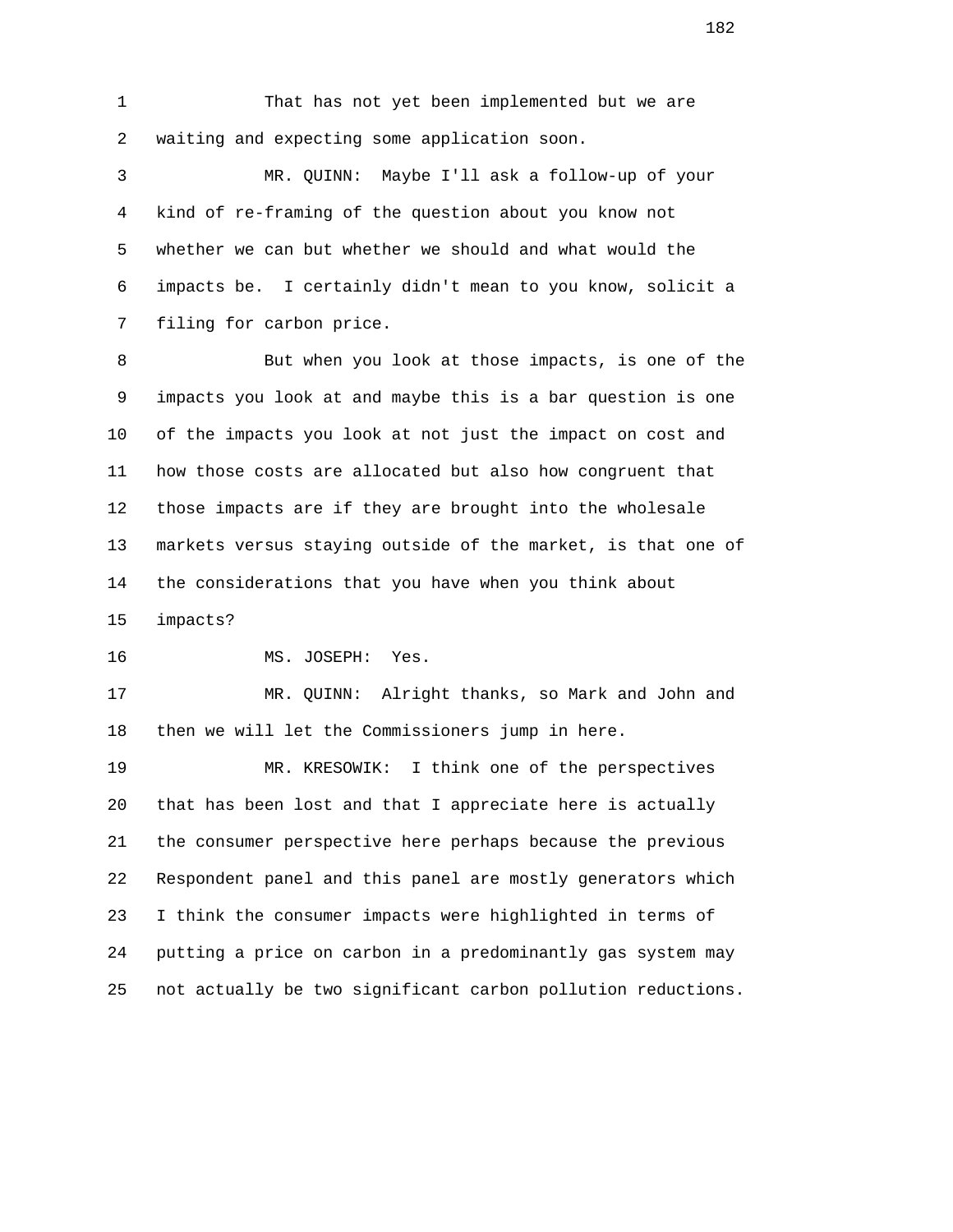1 That has not yet been implemented but we are 2 waiting and expecting some application soon.

 3 MR. QUINN: Maybe I'll ask a follow-up of your 4 kind of re-framing of the question about you know not 5 whether we can but whether we should and what would the 6 impacts be. I certainly didn't mean to you know, solicit a 7 filing for carbon price.

 8 But when you look at those impacts, is one of the 9 impacts you look at and maybe this is a bar question is one 10 of the impacts you look at not just the impact on cost and 11 how those costs are allocated but also how congruent that 12 those impacts are if they are brought into the wholesale 13 markets versus staying outside of the market, is that one of 14 the considerations that you have when you think about 15 impacts?

16 MS. JOSEPH: Yes.

 17 MR. QUINN: Alright thanks, so Mark and John and 18 then we will let the Commissioners jump in here.

 19 MR. KRESOWIK: I think one of the perspectives 20 that has been lost and that I appreciate here is actually 21 the consumer perspective here perhaps because the previous 22 Respondent panel and this panel are mostly generators which 23 I think the consumer impacts were highlighted in terms of 24 putting a price on carbon in a predominantly gas system may 25 not actually be two significant carbon pollution reductions.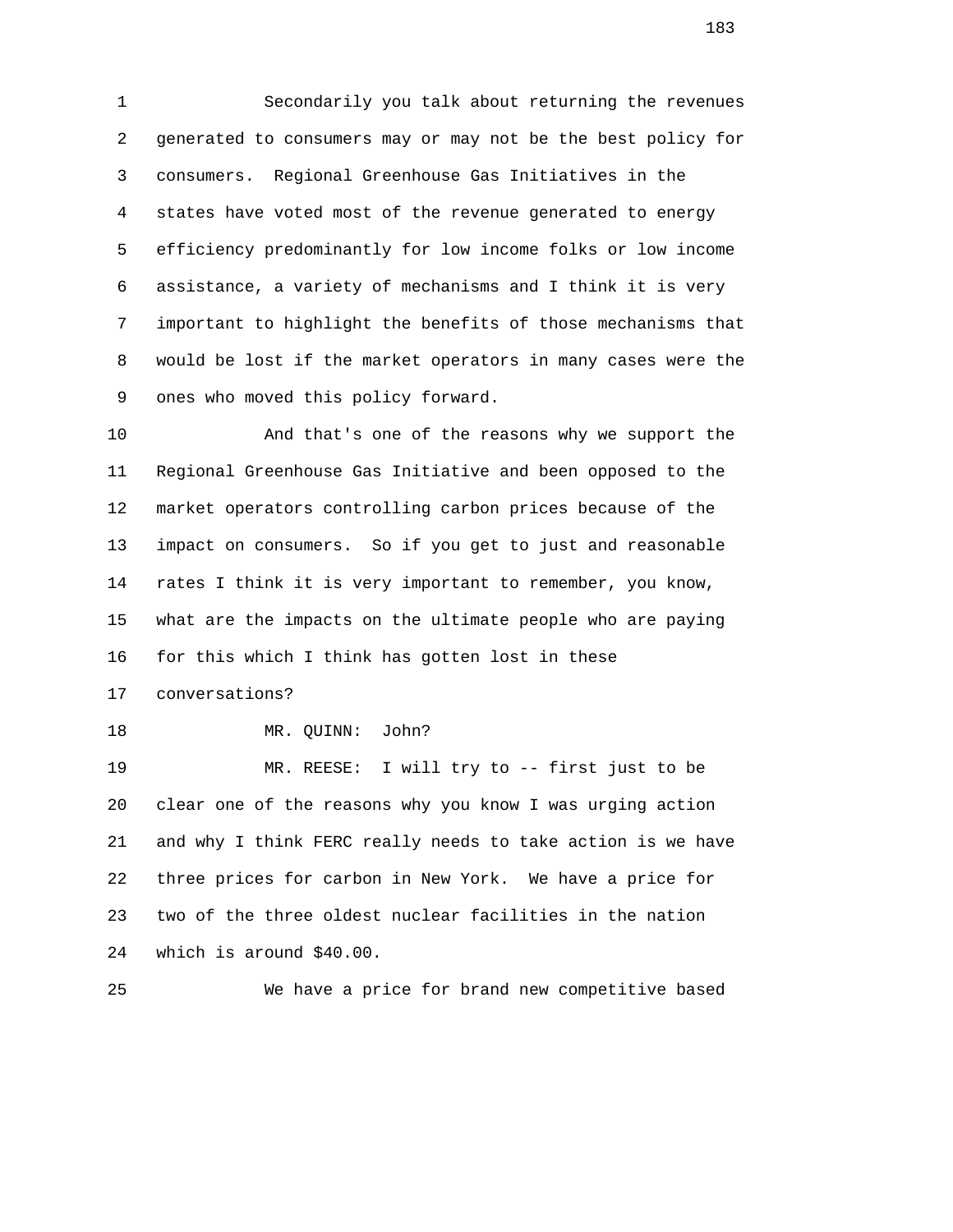1 Secondarily you talk about returning the revenues 2 generated to consumers may or may not be the best policy for 3 consumers. Regional Greenhouse Gas Initiatives in the 4 states have voted most of the revenue generated to energy 5 efficiency predominantly for low income folks or low income 6 assistance, a variety of mechanisms and I think it is very 7 important to highlight the benefits of those mechanisms that 8 would be lost if the market operators in many cases were the 9 ones who moved this policy forward.

 10 And that's one of the reasons why we support the 11 Regional Greenhouse Gas Initiative and been opposed to the 12 market operators controlling carbon prices because of the 13 impact on consumers. So if you get to just and reasonable 14 rates I think it is very important to remember, you know, 15 what are the impacts on the ultimate people who are paying 16 for this which I think has gotten lost in these

17 conversations?

18 MR. QUINN: John?

 19 MR. REESE: I will try to -- first just to be 20 clear one of the reasons why you know I was urging action 21 and why I think FERC really needs to take action is we have 22 three prices for carbon in New York. We have a price for 23 two of the three oldest nuclear facilities in the nation 24 which is around \$40.00.

25 We have a price for brand new competitive based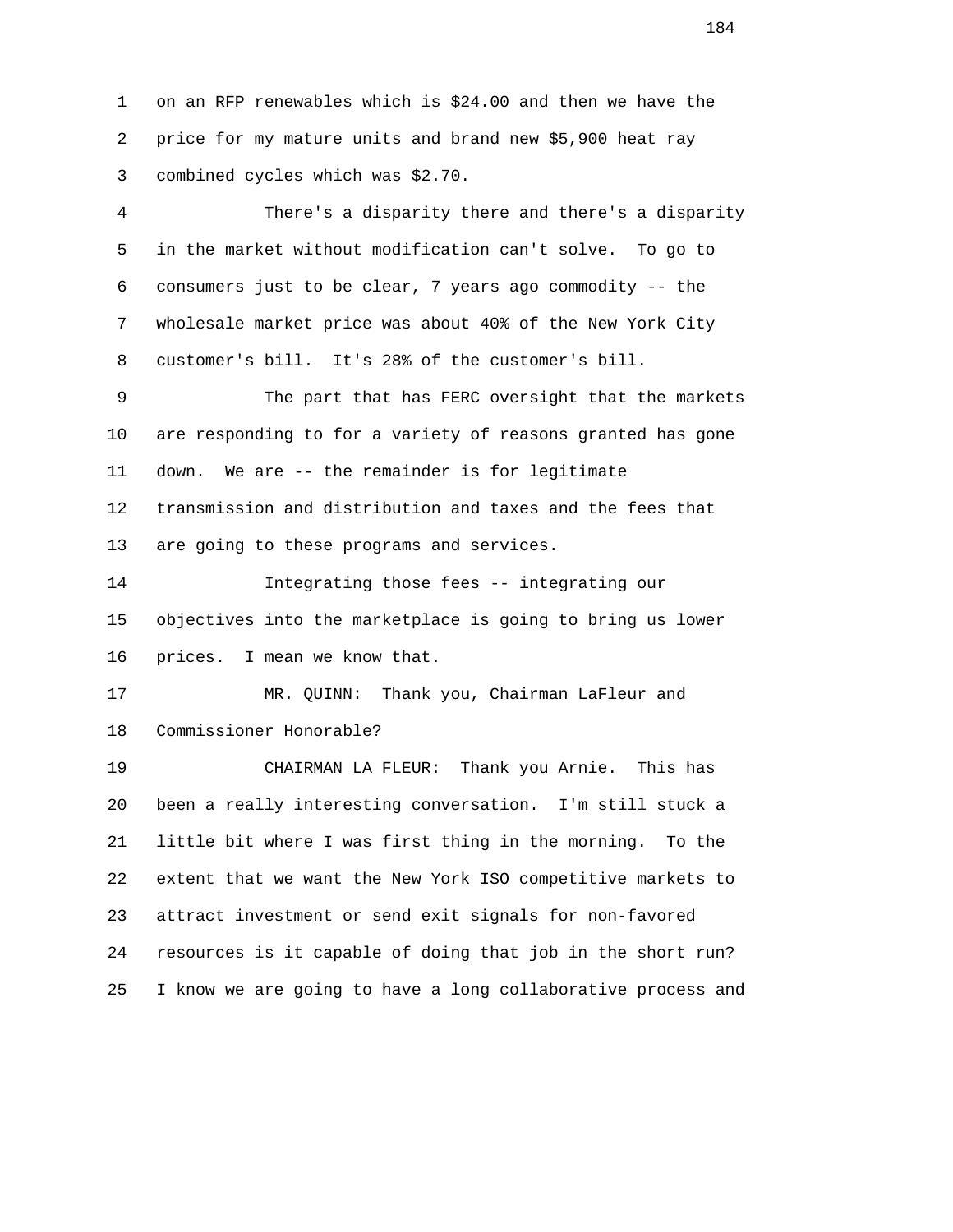1 on an RFP renewables which is \$24.00 and then we have the 2 price for my mature units and brand new \$5,900 heat ray 3 combined cycles which was \$2.70.

 4 There's a disparity there and there's a disparity 5 in the market without modification can't solve. To go to 6 consumers just to be clear, 7 years ago commodity -- the 7 wholesale market price was about 40% of the New York City 8 customer's bill. It's 28% of the customer's bill.

 9 The part that has FERC oversight that the markets 10 are responding to for a variety of reasons granted has gone 11 down. We are -- the remainder is for legitimate 12 transmission and distribution and taxes and the fees that 13 are going to these programs and services.

 14 Integrating those fees -- integrating our 15 objectives into the marketplace is going to bring us lower 16 prices. I mean we know that.

 17 MR. QUINN: Thank you, Chairman LaFleur and 18 Commissioner Honorable?

 19 CHAIRMAN LA FLEUR: Thank you Arnie. This has 20 been a really interesting conversation. I'm still stuck a 21 little bit where I was first thing in the morning. To the 22 extent that we want the New York ISO competitive markets to 23 attract investment or send exit signals for non-favored 24 resources is it capable of doing that job in the short run? 25 I know we are going to have a long collaborative process and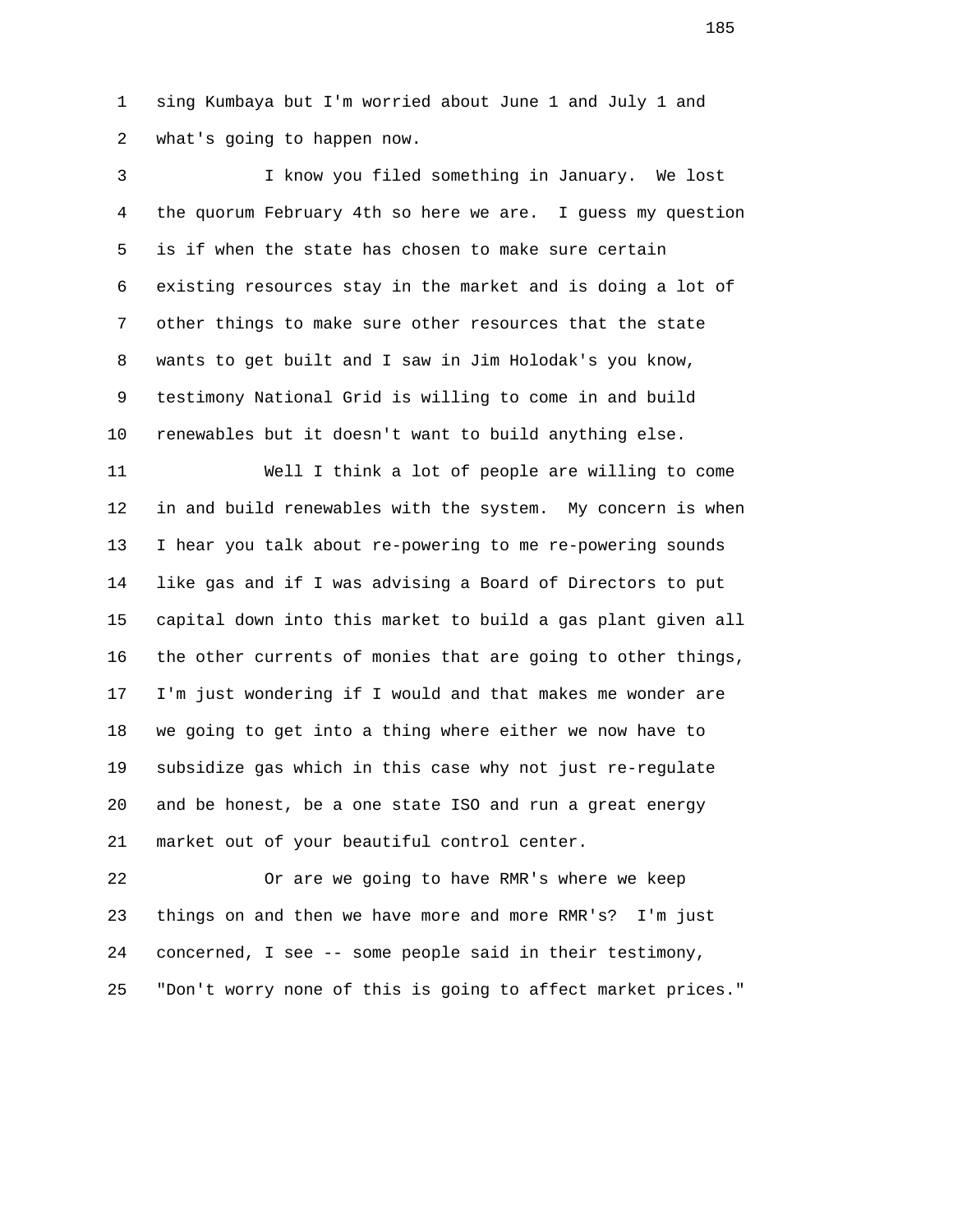1 sing Kumbaya but I'm worried about June 1 and July 1 and 2 what's going to happen now.

 3 I know you filed something in January. We lost 4 the quorum February 4th so here we are. I guess my question 5 is if when the state has chosen to make sure certain 6 existing resources stay in the market and is doing a lot of 7 other things to make sure other resources that the state 8 wants to get built and I saw in Jim Holodak's you know, 9 testimony National Grid is willing to come in and build 10 renewables but it doesn't want to build anything else.

 11 Well I think a lot of people are willing to come 12 in and build renewables with the system. My concern is when 13 I hear you talk about re-powering to me re-powering sounds 14 like gas and if I was advising a Board of Directors to put 15 capital down into this market to build a gas plant given all 16 the other currents of monies that are going to other things, 17 I'm just wondering if I would and that makes me wonder are 18 we going to get into a thing where either we now have to 19 subsidize gas which in this case why not just re-regulate 20 and be honest, be a one state ISO and run a great energy 21 market out of your beautiful control center.

 22 Or are we going to have RMR's where we keep 23 things on and then we have more and more RMR's? I'm just 24 concerned, I see -- some people said in their testimony, 25 "Don't worry none of this is going to affect market prices."

n 185 and 185 and 185 and 185 and 185 and 185 and 185 and 185 and 185 and 185 and 185 and 185 and 185 and 185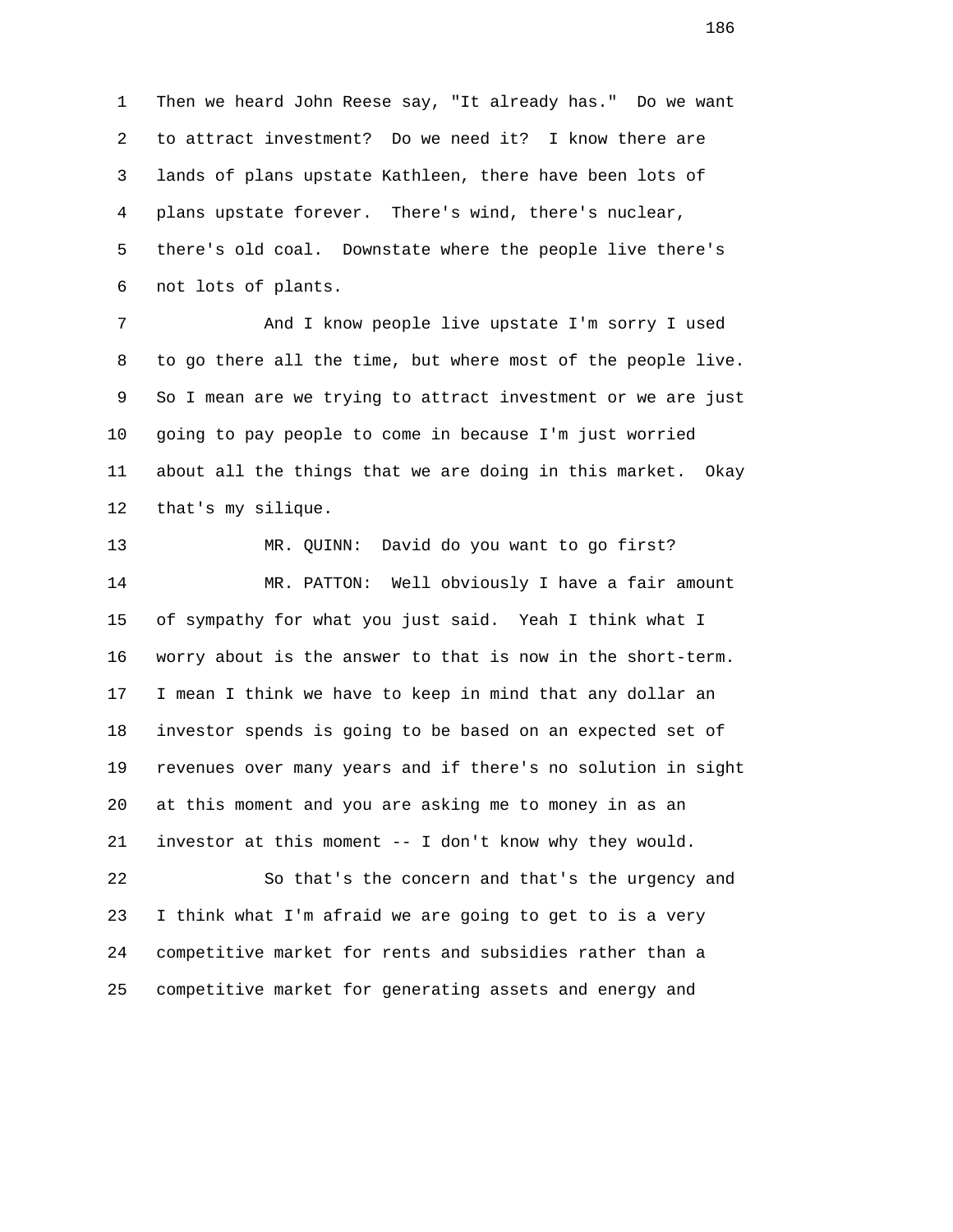1 Then we heard John Reese say, "It already has." Do we want 2 to attract investment? Do we need it? I know there are 3 lands of plans upstate Kathleen, there have been lots of 4 plans upstate forever. There's wind, there's nuclear, 5 there's old coal. Downstate where the people live there's 6 not lots of plants.

 7 And I know people live upstate I'm sorry I used 8 to go there all the time, but where most of the people live. 9 So I mean are we trying to attract investment or we are just 10 going to pay people to come in because I'm just worried 11 about all the things that we are doing in this market. Okay 12 that's my silique.

 13 MR. QUINN: David do you want to go first? 14 MR. PATTON: Well obviously I have a fair amount 15 of sympathy for what you just said. Yeah I think what I 16 worry about is the answer to that is now in the short-term. 17 I mean I think we have to keep in mind that any dollar an 18 investor spends is going to be based on an expected set of 19 revenues over many years and if there's no solution in sight 20 at this moment and you are asking me to money in as an 21 investor at this moment -- I don't know why they would.

 22 So that's the concern and that's the urgency and 23 I think what I'm afraid we are going to get to is a very 24 competitive market for rents and subsidies rather than a 25 competitive market for generating assets and energy and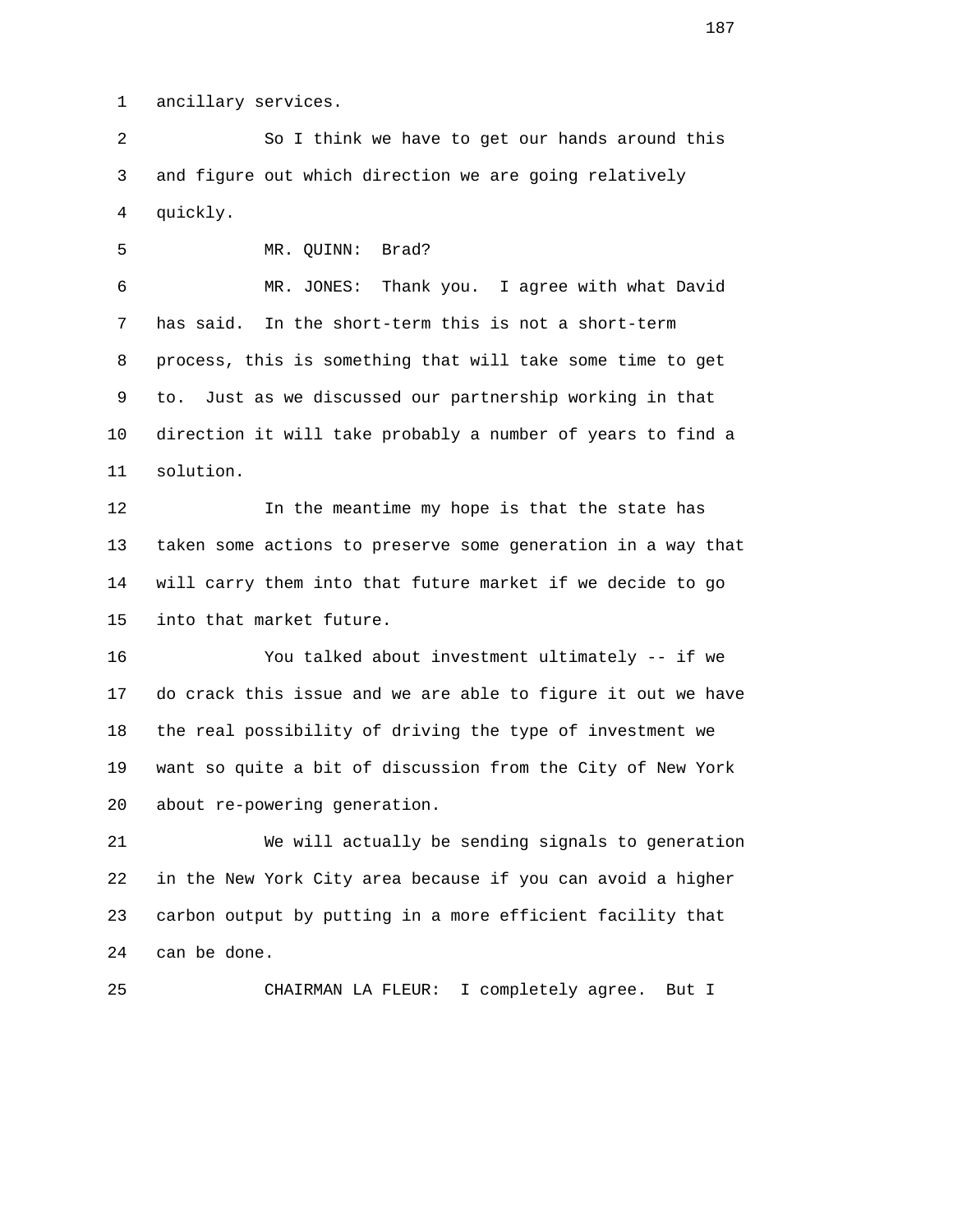1 ancillary services.

 2 So I think we have to get our hands around this 3 and figure out which direction we are going relatively 4 quickly.

5 MR. QUINN: Brad?

 6 MR. JONES: Thank you. I agree with what David 7 has said. In the short-term this is not a short-term 8 process, this is something that will take some time to get 9 to. Just as we discussed our partnership working in that 10 direction it will take probably a number of years to find a 11 solution.

 12 In the meantime my hope is that the state has 13 taken some actions to preserve some generation in a way that 14 will carry them into that future market if we decide to go 15 into that market future.

 16 You talked about investment ultimately -- if we 17 do crack this issue and we are able to figure it out we have 18 the real possibility of driving the type of investment we 19 want so quite a bit of discussion from the City of New York 20 about re-powering generation.

 21 We will actually be sending signals to generation 22 in the New York City area because if you can avoid a higher 23 carbon output by putting in a more efficient facility that 24 can be done.

25 CHAIRMAN LA FLEUR: I completely agree. But I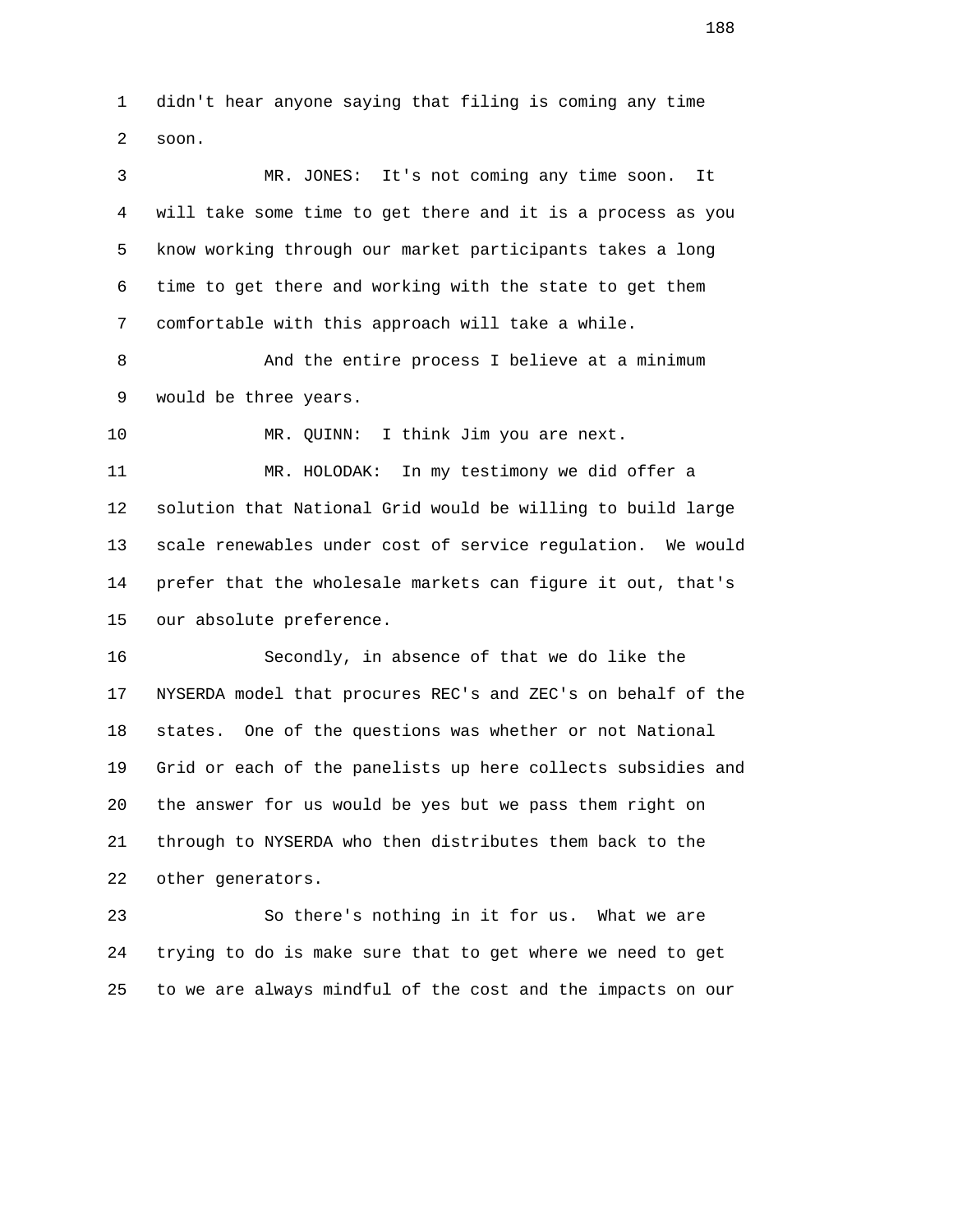1 didn't hear anyone saying that filing is coming any time 2 soon.

 3 MR. JONES: It's not coming any time soon. It 4 will take some time to get there and it is a process as you 5 know working through our market participants takes a long 6 time to get there and working with the state to get them 7 comfortable with this approach will take a while.

8 And the entire process I believe at a minimum 9 would be three years.

10 MR. QUINN: I think Jim you are next.

 11 MR. HOLODAK: In my testimony we did offer a 12 solution that National Grid would be willing to build large 13 scale renewables under cost of service regulation. We would 14 prefer that the wholesale markets can figure it out, that's 15 our absolute preference.

 16 Secondly, in absence of that we do like the 17 NYSERDA model that procures REC's and ZEC's on behalf of the 18 states. One of the questions was whether or not National 19 Grid or each of the panelists up here collects subsidies and 20 the answer for us would be yes but we pass them right on 21 through to NYSERDA who then distributes them back to the 22 other generators.

 23 So there's nothing in it for us. What we are 24 trying to do is make sure that to get where we need to get 25 to we are always mindful of the cost and the impacts on our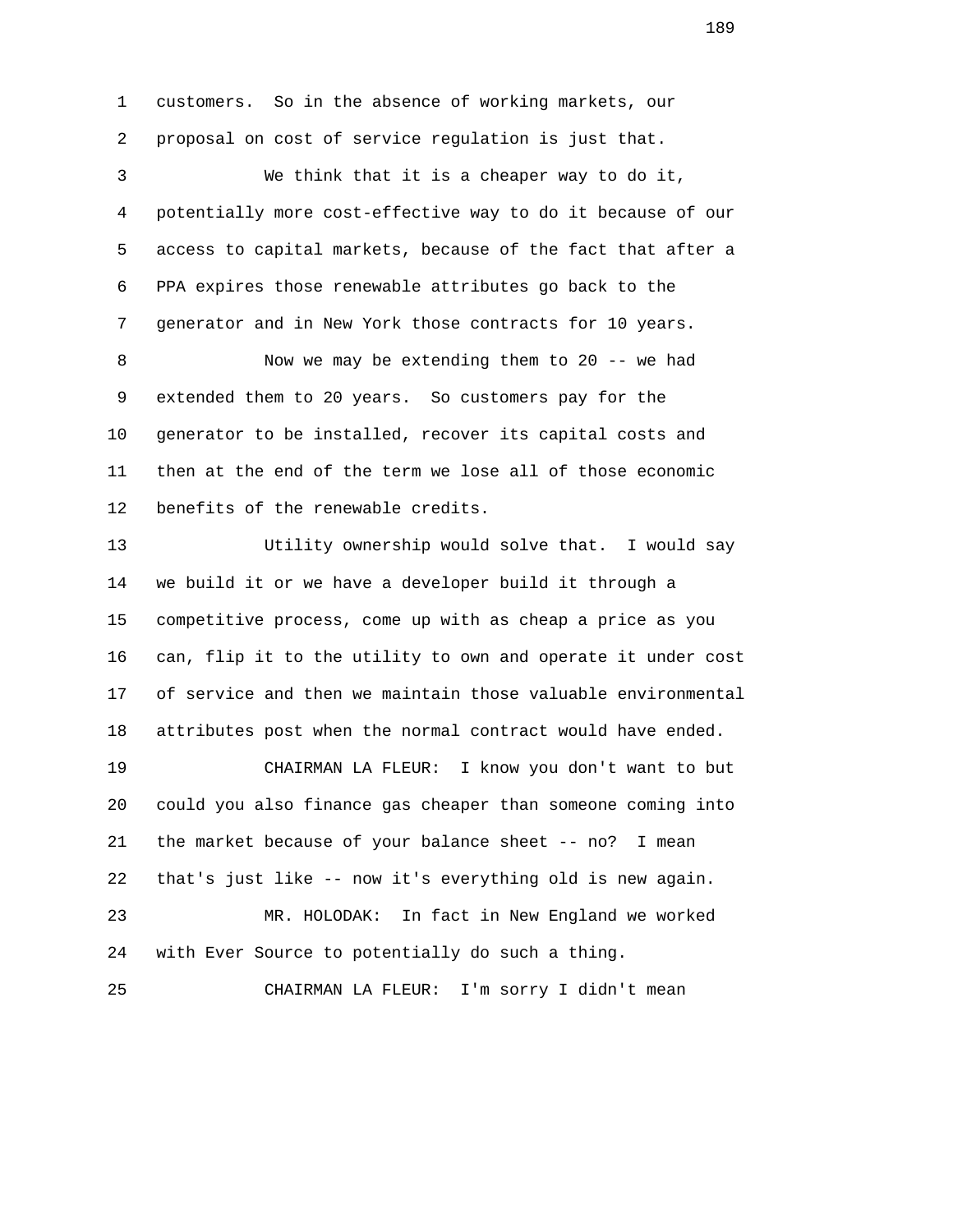1 customers. So in the absence of working markets, our 2 proposal on cost of service regulation is just that. 3 We think that it is a cheaper way to do it, 4 potentially more cost-effective way to do it because of our 5 access to capital markets, because of the fact that after a 6 PPA expires those renewable attributes go back to the 7 generator and in New York those contracts for 10 years. 8 Now we may be extending them to 20 -- we had 9 extended them to 20 years. So customers pay for the 10 generator to be installed, recover its capital costs and 11 then at the end of the term we lose all of those economic 12 benefits of the renewable credits. 13 Utility ownership would solve that. I would say 14 we build it or we have a developer build it through a 15 competitive process, come up with as cheap a price as you 16 can, flip it to the utility to own and operate it under cost 17 of service and then we maintain those valuable environmental 18 attributes post when the normal contract would have ended. 19 CHAIRMAN LA FLEUR: I know you don't want to but 20 could you also finance gas cheaper than someone coming into 21 the market because of your balance sheet -- no? I mean 22 that's just like -- now it's everything old is new again. 23 MR. HOLODAK: In fact in New England we worked 24 with Ever Source to potentially do such a thing. 25 CHAIRMAN LA FLEUR: I'm sorry I didn't mean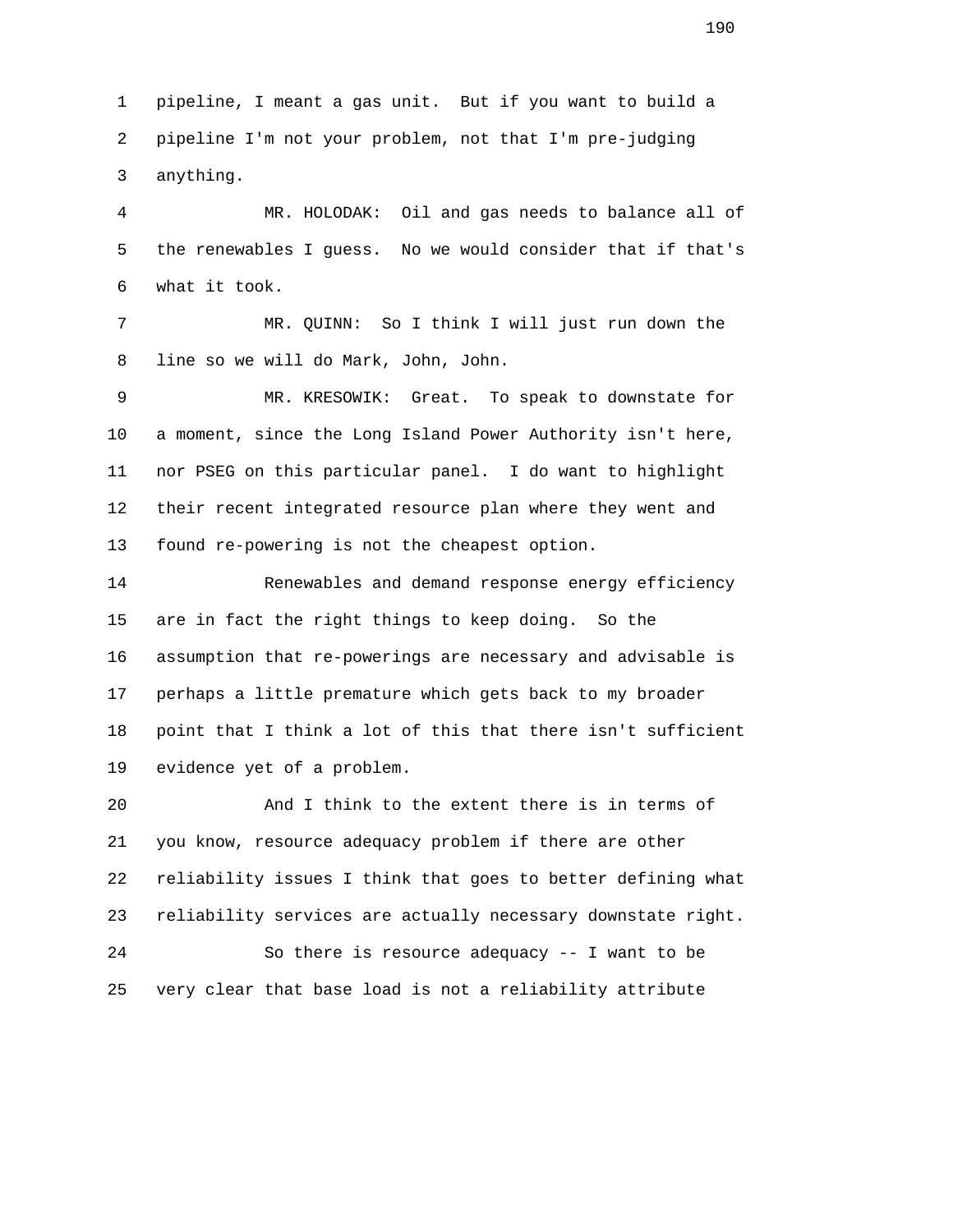1 pipeline, I meant a gas unit. But if you want to build a 2 pipeline I'm not your problem, not that I'm pre-judging 3 anything.

 4 MR. HOLODAK: Oil and gas needs to balance all of 5 the renewables I guess. No we would consider that if that's 6 what it took.

 7 MR. QUINN: So I think I will just run down the 8 line so we will do Mark, John, John.

 9 MR. KRESOWIK: Great. To speak to downstate for 10 a moment, since the Long Island Power Authority isn't here, 11 nor PSEG on this particular panel. I do want to highlight 12 their recent integrated resource plan where they went and 13 found re-powering is not the cheapest option.

 14 Renewables and demand response energy efficiency 15 are in fact the right things to keep doing. So the 16 assumption that re-powerings are necessary and advisable is 17 perhaps a little premature which gets back to my broader 18 point that I think a lot of this that there isn't sufficient 19 evidence yet of a problem.

 20 And I think to the extent there is in terms of 21 you know, resource adequacy problem if there are other 22 reliability issues I think that goes to better defining what 23 reliability services are actually necessary downstate right. 24 So there is resource adequacy -- I want to be 25 very clear that base load is not a reliability attribute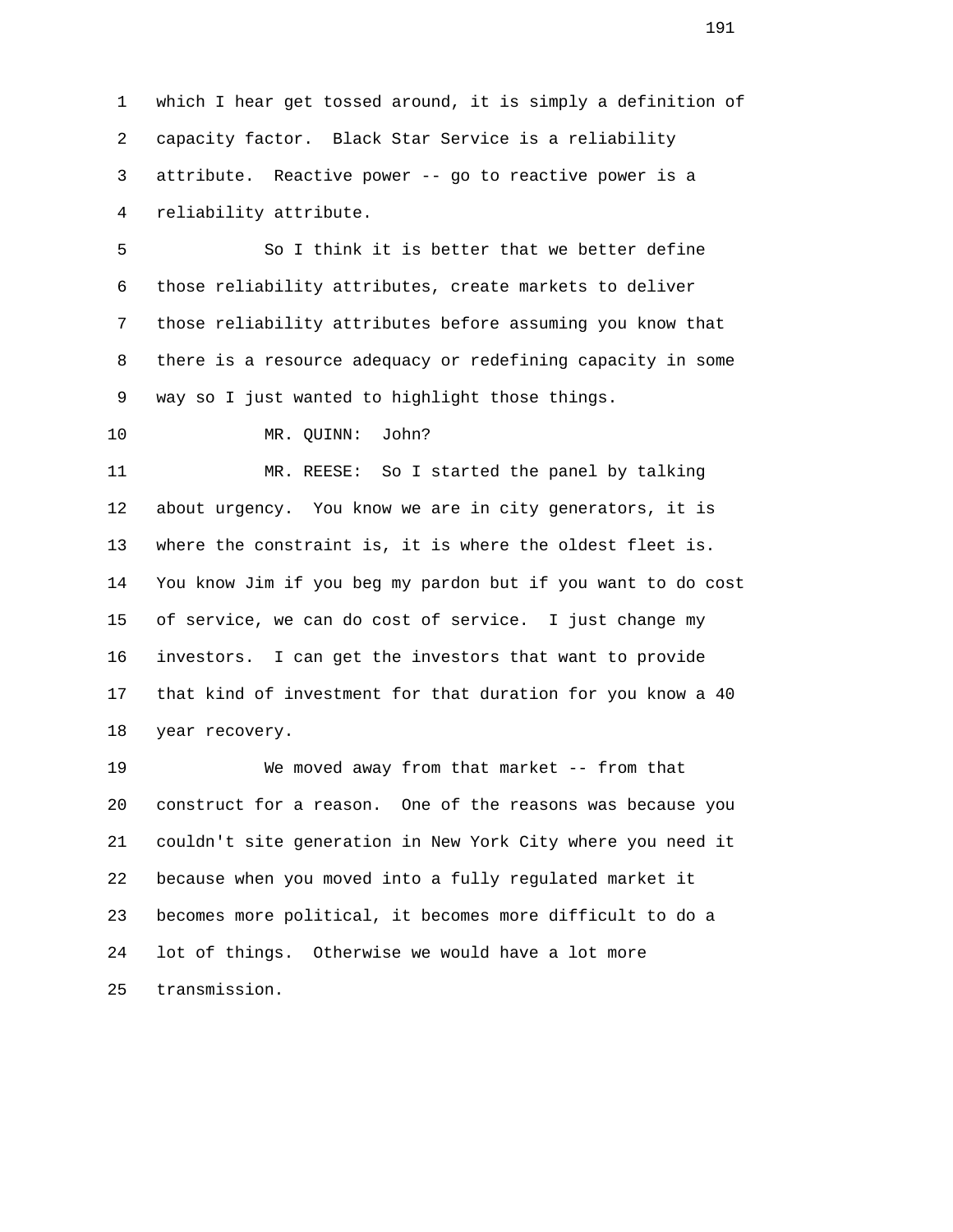1 which I hear get tossed around, it is simply a definition of 2 capacity factor. Black Star Service is a reliability 3 attribute. Reactive power -- go to reactive power is a 4 reliability attribute.

 5 So I think it is better that we better define 6 those reliability attributes, create markets to deliver 7 those reliability attributes before assuming you know that 8 there is a resource adequacy or redefining capacity in some 9 way so I just wanted to highlight those things.

10 MR. QUINN: John?

 11 MR. REESE: So I started the panel by talking 12 about urgency. You know we are in city generators, it is 13 where the constraint is, it is where the oldest fleet is. 14 You know Jim if you beg my pardon but if you want to do cost 15 of service, we can do cost of service. I just change my 16 investors. I can get the investors that want to provide 17 that kind of investment for that duration for you know a 40 18 year recovery.

 19 We moved away from that market -- from that 20 construct for a reason. One of the reasons was because you 21 couldn't site generation in New York City where you need it 22 because when you moved into a fully regulated market it 23 becomes more political, it becomes more difficult to do a 24 lot of things. Otherwise we would have a lot more 25 transmission.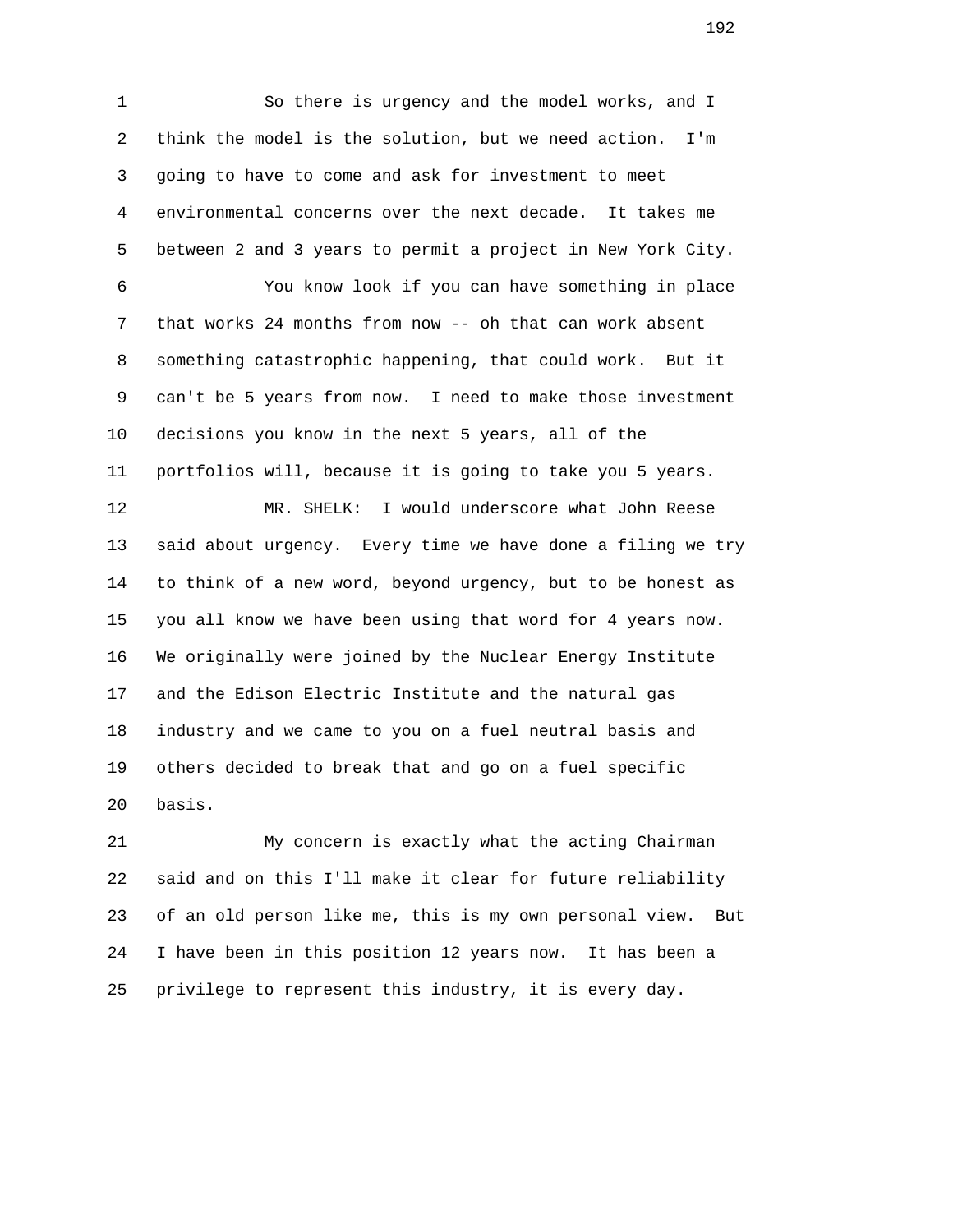1 So there is urgency and the model works, and I 2 think the model is the solution, but we need action. I'm 3 going to have to come and ask for investment to meet 4 environmental concerns over the next decade. It takes me 5 between 2 and 3 years to permit a project in New York City. 6 You know look if you can have something in place 7 that works 24 months from now -- oh that can work absent 8 something catastrophic happening, that could work. But it 9 can't be 5 years from now. I need to make those investment 10 decisions you know in the next 5 years, all of the 11 portfolios will, because it is going to take you 5 years. 12 MR. SHELK: I would underscore what John Reese 13 said about urgency. Every time we have done a filing we try 14 to think of a new word, beyond urgency, but to be honest as 15 you all know we have been using that word for 4 years now. 16 We originally were joined by the Nuclear Energy Institute 17 and the Edison Electric Institute and the natural gas 18 industry and we came to you on a fuel neutral basis and 19 others decided to break that and go on a fuel specific 20 basis.

 21 My concern is exactly what the acting Chairman 22 said and on this I'll make it clear for future reliability 23 of an old person like me, this is my own personal view. But 24 I have been in this position 12 years now. It has been a 25 privilege to represent this industry, it is every day.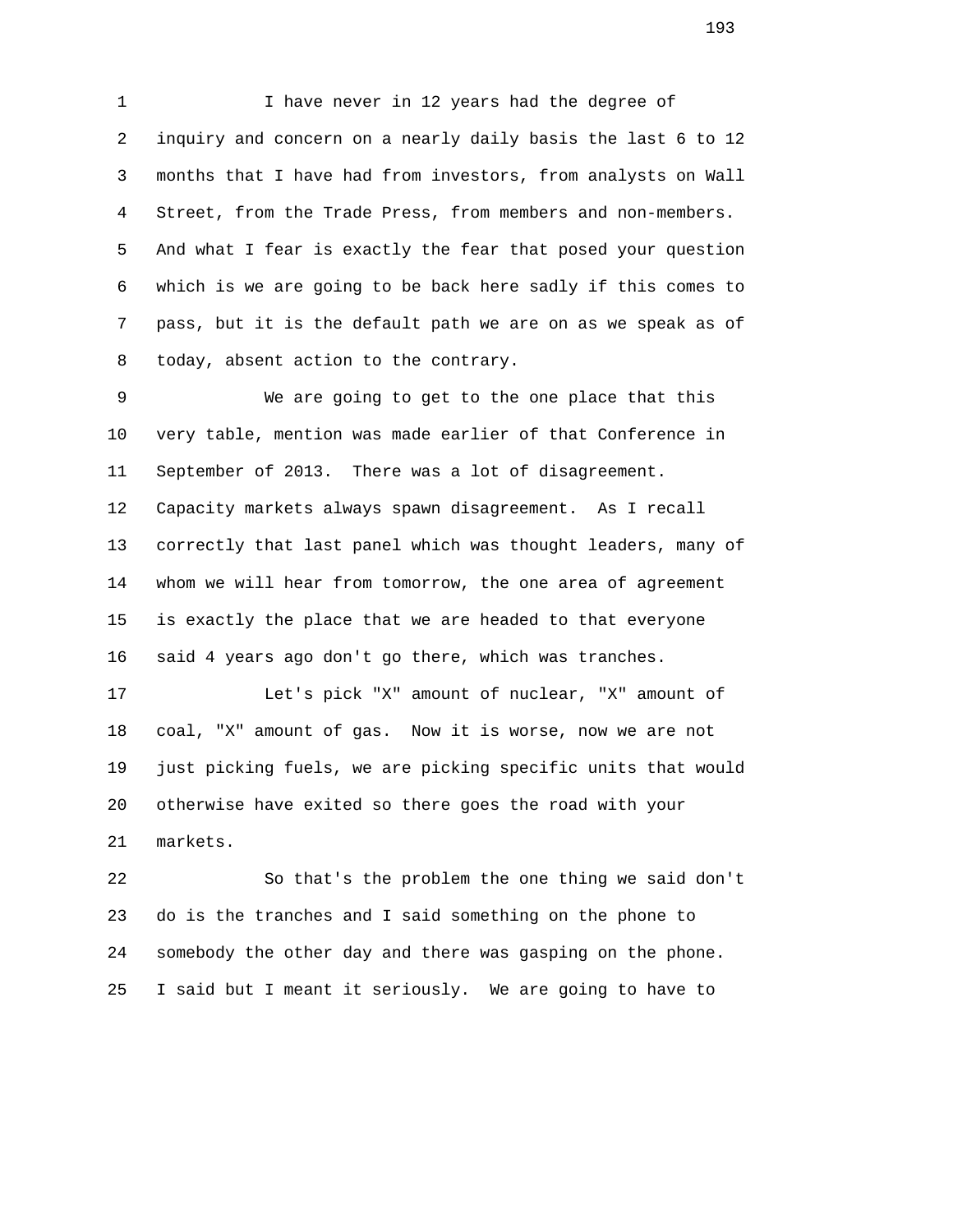1 I have never in 12 years had the degree of 2 inquiry and concern on a nearly daily basis the last 6 to 12 3 months that I have had from investors, from analysts on Wall 4 Street, from the Trade Press, from members and non-members. 5 And what I fear is exactly the fear that posed your question 6 which is we are going to be back here sadly if this comes to 7 pass, but it is the default path we are on as we speak as of 8 today, absent action to the contrary.

 9 We are going to get to the one place that this 10 very table, mention was made earlier of that Conference in 11 September of 2013. There was a lot of disagreement. 12 Capacity markets always spawn disagreement. As I recall 13 correctly that last panel which was thought leaders, many of 14 whom we will hear from tomorrow, the one area of agreement 15 is exactly the place that we are headed to that everyone 16 said 4 years ago don't go there, which was tranches.

 17 Let's pick "X" amount of nuclear, "X" amount of 18 coal, "X" amount of gas. Now it is worse, now we are not 19 just picking fuels, we are picking specific units that would 20 otherwise have exited so there goes the road with your 21 markets.

 22 So that's the problem the one thing we said don't 23 do is the tranches and I said something on the phone to 24 somebody the other day and there was gasping on the phone. 25 I said but I meant it seriously. We are going to have to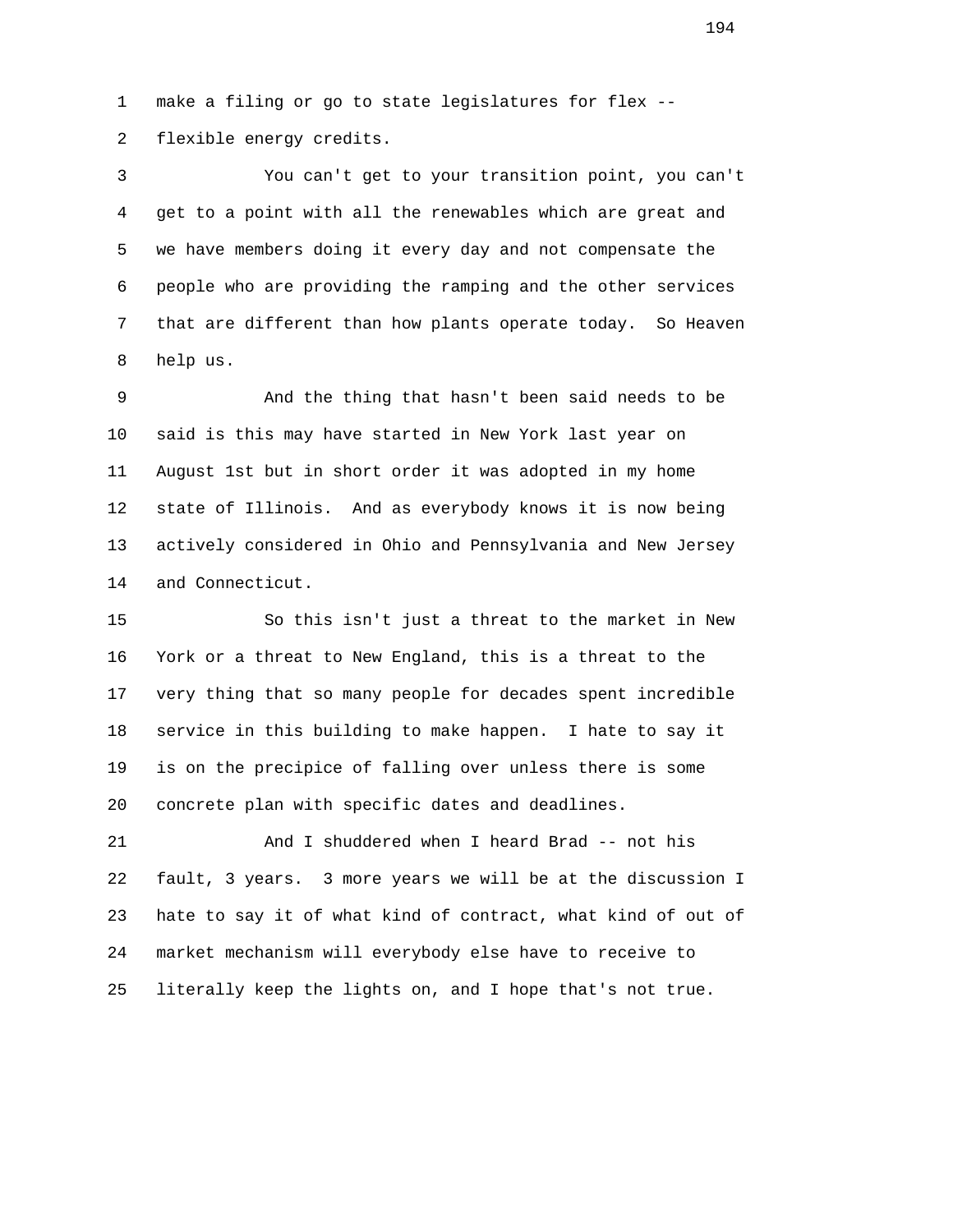1 make a filing or go to state legislatures for flex -- 2 flexible energy credits.

 3 You can't get to your transition point, you can't 4 get to a point with all the renewables which are great and 5 we have members doing it every day and not compensate the 6 people who are providing the ramping and the other services 7 that are different than how plants operate today. So Heaven 8 help us.

 9 And the thing that hasn't been said needs to be 10 said is this may have started in New York last year on 11 August 1st but in short order it was adopted in my home 12 state of Illinois. And as everybody knows it is now being 13 actively considered in Ohio and Pennsylvania and New Jersey 14 and Connecticut.

 15 So this isn't just a threat to the market in New 16 York or a threat to New England, this is a threat to the 17 very thing that so many people for decades spent incredible 18 service in this building to make happen. I hate to say it 19 is on the precipice of falling over unless there is some 20 concrete plan with specific dates and deadlines.

 21 And I shuddered when I heard Brad -- not his 22 fault, 3 years. 3 more years we will be at the discussion I 23 hate to say it of what kind of contract, what kind of out of 24 market mechanism will everybody else have to receive to 25 literally keep the lights on, and I hope that's not true.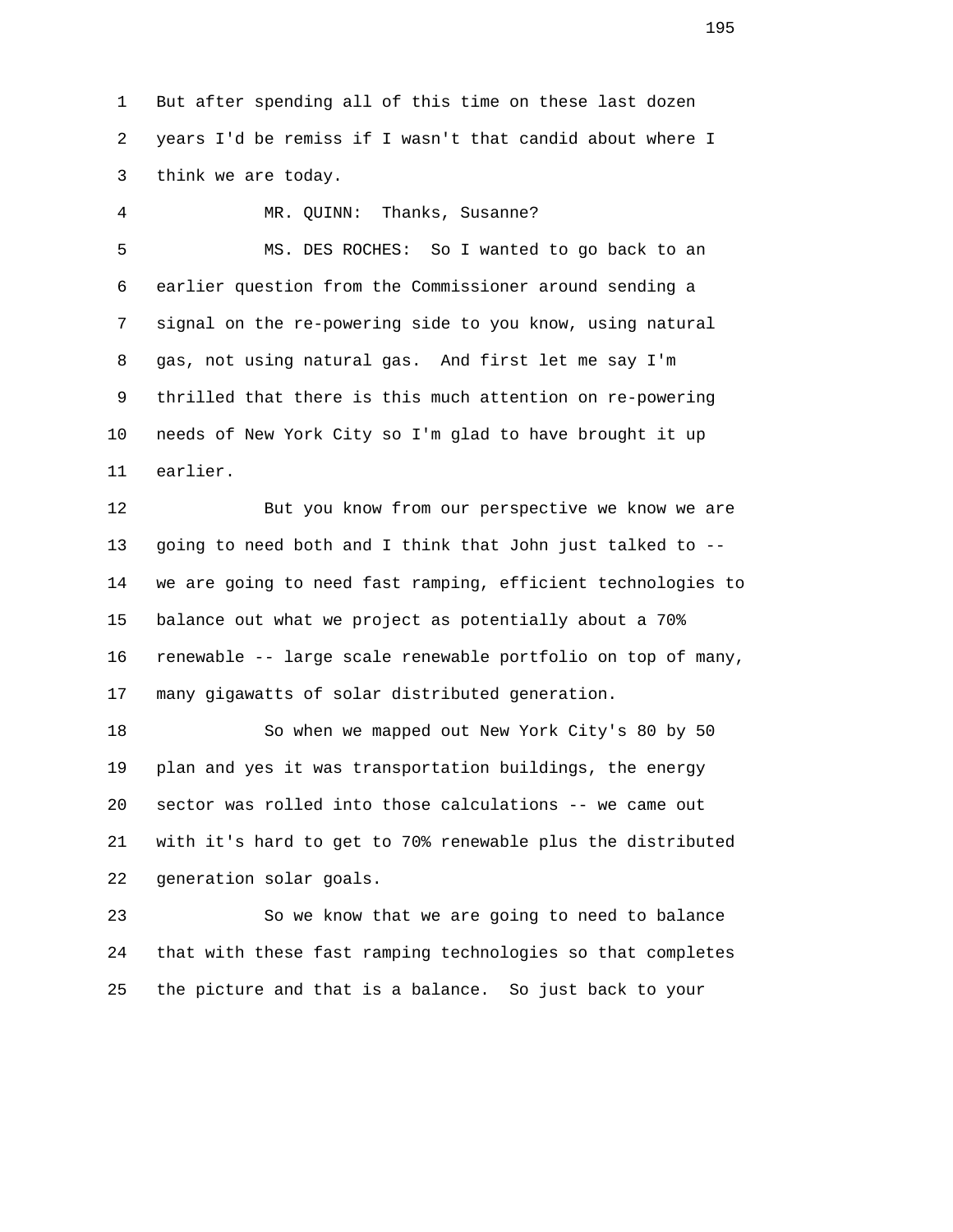1 But after spending all of this time on these last dozen 2 years I'd be remiss if I wasn't that candid about where I 3 think we are today.

 4 MR. QUINN: Thanks, Susanne? 5 MS. DES ROCHES: So I wanted to go back to an 6 earlier question from the Commissioner around sending a 7 signal on the re-powering side to you know, using natural 8 gas, not using natural gas. And first let me say I'm 9 thrilled that there is this much attention on re-powering 10 needs of New York City so I'm glad to have brought it up 11 earlier.

 12 But you know from our perspective we know we are 13 going to need both and I think that John just talked to -- 14 we are going to need fast ramping, efficient technologies to 15 balance out what we project as potentially about a 70% 16 renewable -- large scale renewable portfolio on top of many, 17 many gigawatts of solar distributed generation.

 18 So when we mapped out New York City's 80 by 50 19 plan and yes it was transportation buildings, the energy 20 sector was rolled into those calculations -- we came out 21 with it's hard to get to 70% renewable plus the distributed 22 generation solar goals.

 23 So we know that we are going to need to balance 24 that with these fast ramping technologies so that completes 25 the picture and that is a balance. So just back to your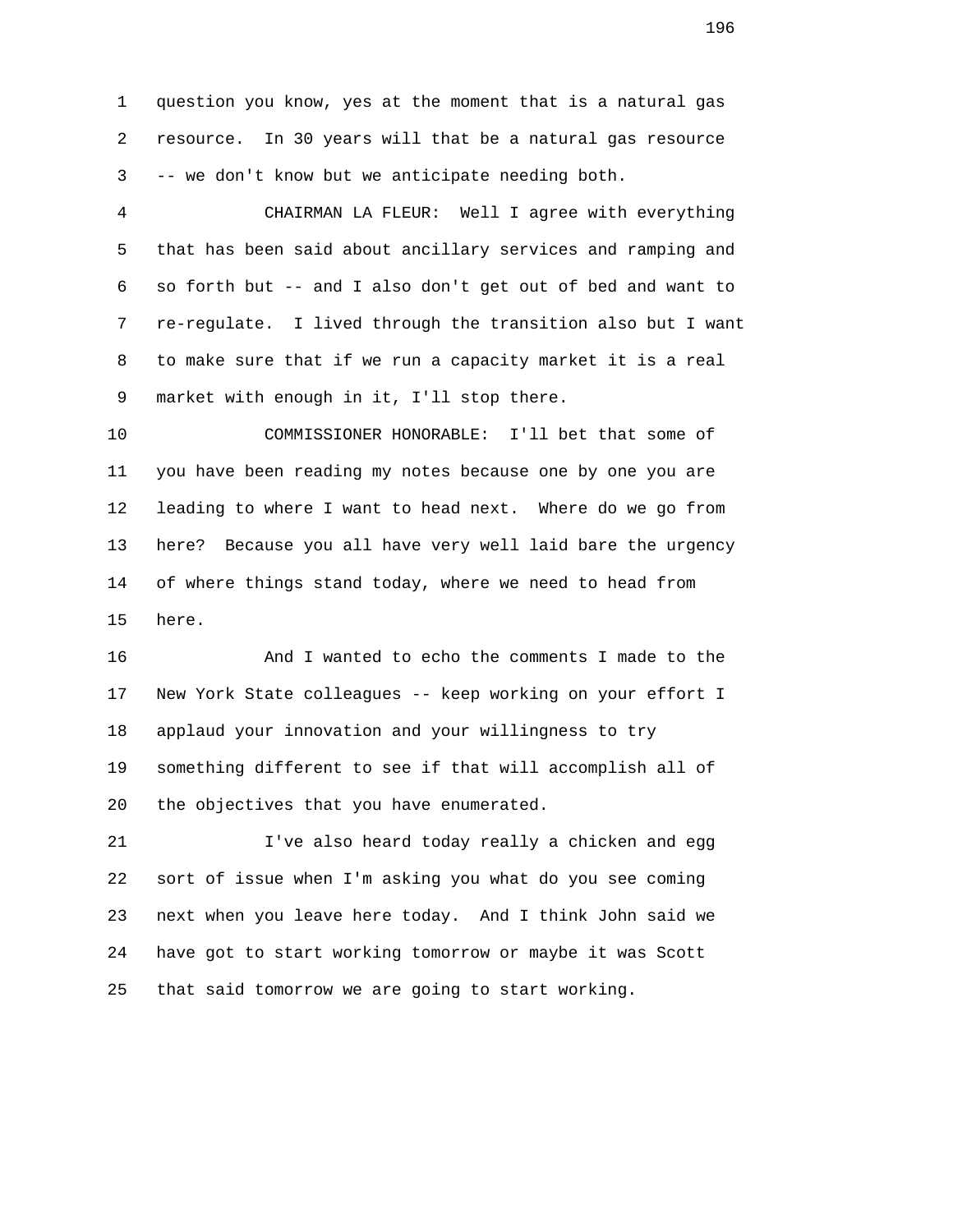1 question you know, yes at the moment that is a natural gas 2 resource. In 30 years will that be a natural gas resource 3 -- we don't know but we anticipate needing both.

 4 CHAIRMAN LA FLEUR: Well I agree with everything 5 that has been said about ancillary services and ramping and 6 so forth but -- and I also don't get out of bed and want to 7 re-regulate. I lived through the transition also but I want 8 to make sure that if we run a capacity market it is a real 9 market with enough in it, I'll stop there.

 10 COMMISSIONER HONORABLE: I'll bet that some of 11 you have been reading my notes because one by one you are 12 leading to where I want to head next. Where do we go from 13 here? Because you all have very well laid bare the urgency 14 of where things stand today, where we need to head from 15 here.

 16 And I wanted to echo the comments I made to the 17 New York State colleagues -- keep working on your effort I 18 applaud your innovation and your willingness to try 19 something different to see if that will accomplish all of 20 the objectives that you have enumerated.

 21 I've also heard today really a chicken and egg 22 sort of issue when I'm asking you what do you see coming 23 next when you leave here today. And I think John said we 24 have got to start working tomorrow or maybe it was Scott 25 that said tomorrow we are going to start working.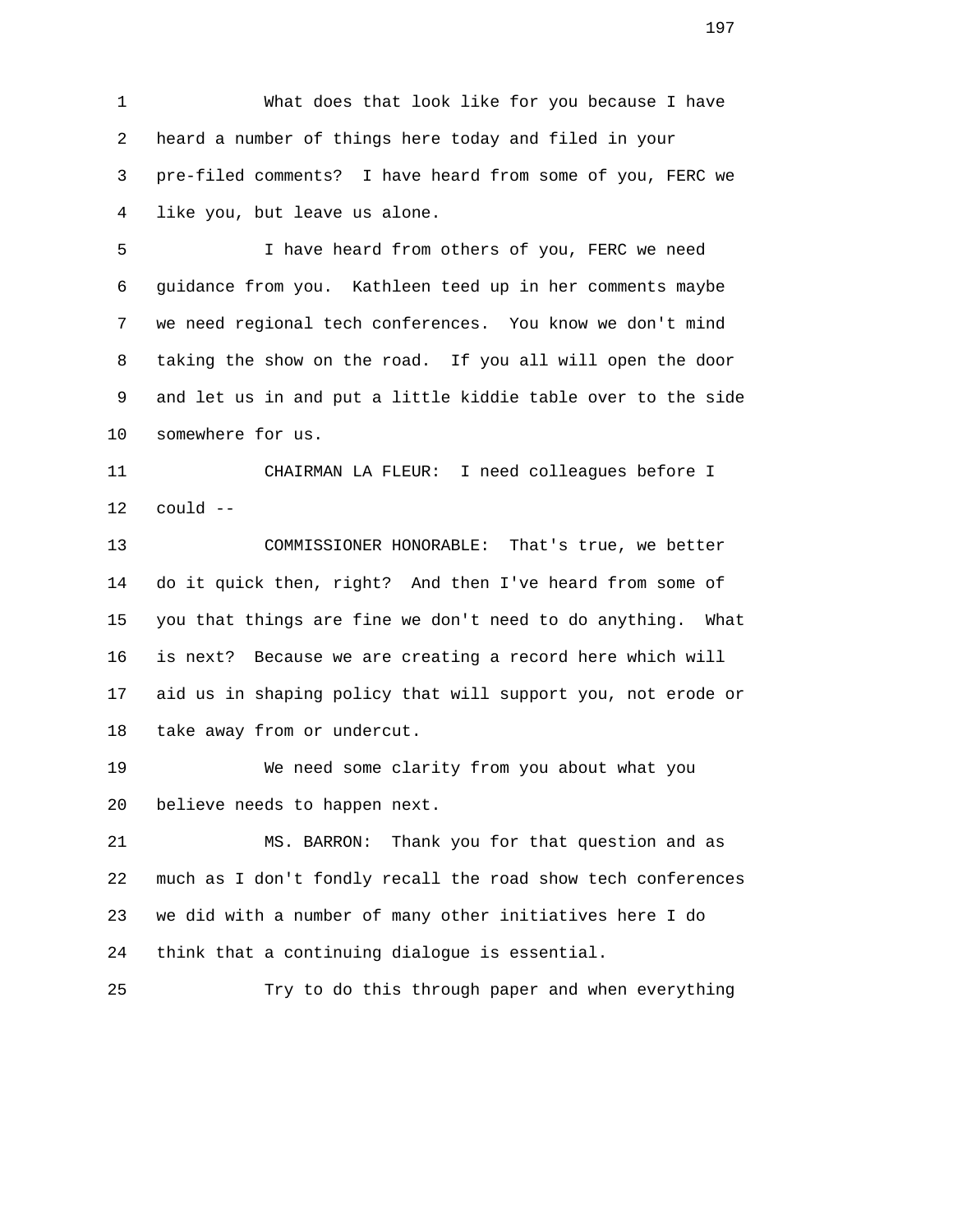1 What does that look like for you because I have 2 heard a number of things here today and filed in your 3 pre-filed comments? I have heard from some of you, FERC we 4 like you, but leave us alone.

 5 I have heard from others of you, FERC we need 6 guidance from you. Kathleen teed up in her comments maybe 7 we need regional tech conferences. You know we don't mind 8 taking the show on the road. If you all will open the door 9 and let us in and put a little kiddie table over to the side 10 somewhere for us.

 11 CHAIRMAN LA FLEUR: I need colleagues before I 12 could --

 13 COMMISSIONER HONORABLE: That's true, we better 14 do it quick then, right? And then I've heard from some of 15 you that things are fine we don't need to do anything. What 16 is next? Because we are creating a record here which will 17 aid us in shaping policy that will support you, not erode or 18 take away from or undercut.

 19 We need some clarity from you about what you 20 believe needs to happen next.

 21 MS. BARRON: Thank you for that question and as 22 much as I don't fondly recall the road show tech conferences 23 we did with a number of many other initiatives here I do 24 think that a continuing dialogue is essential.

```
 25 Try to do this through paper and when everything
```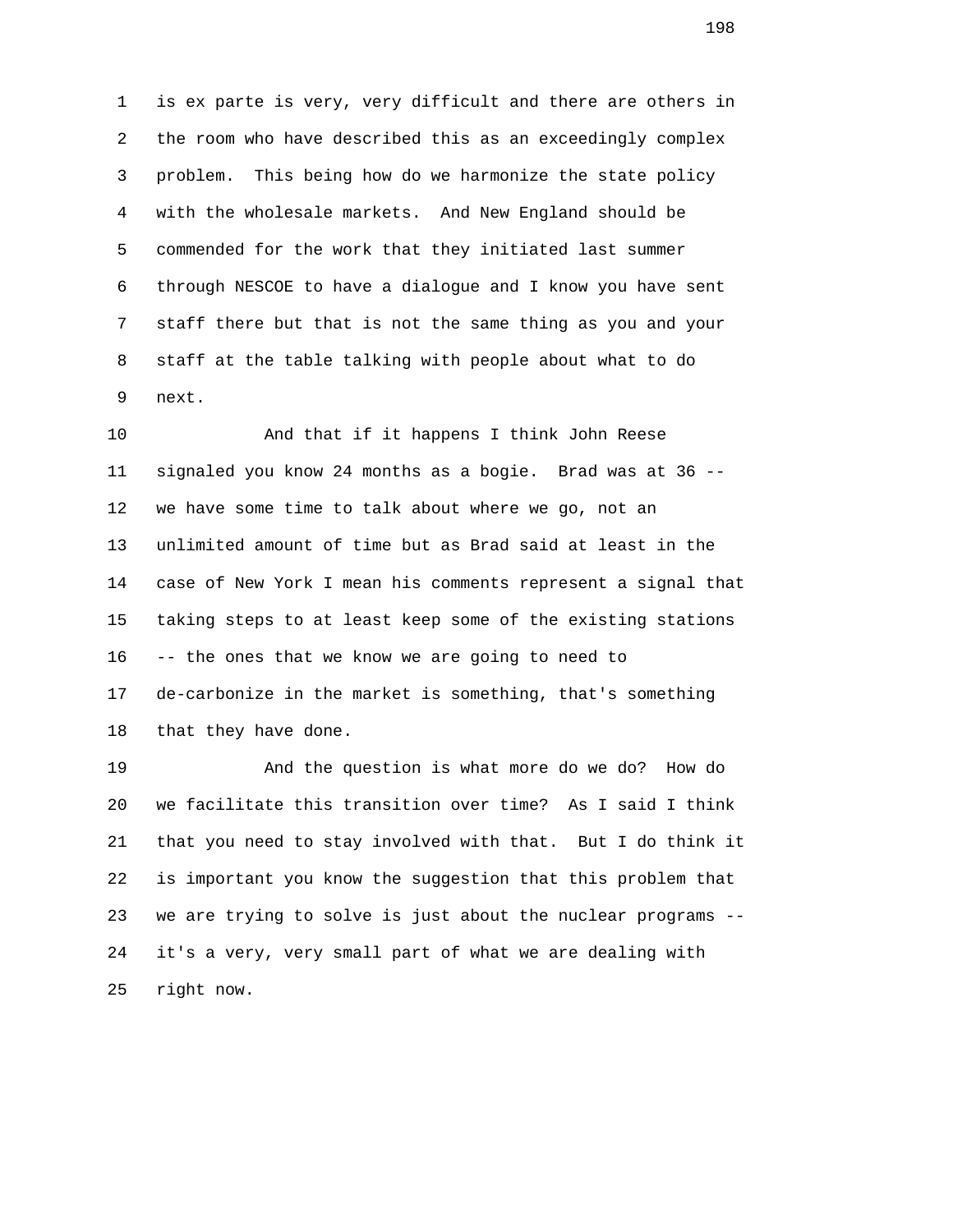1 is ex parte is very, very difficult and there are others in 2 the room who have described this as an exceedingly complex 3 problem. This being how do we harmonize the state policy 4 with the wholesale markets. And New England should be 5 commended for the work that they initiated last summer 6 through NESCOE to have a dialogue and I know you have sent 7 staff there but that is not the same thing as you and your 8 staff at the table talking with people about what to do 9 next.

 10 And that if it happens I think John Reese 11 signaled you know 24 months as a bogie. Brad was at 36 -- 12 we have some time to talk about where we go, not an 13 unlimited amount of time but as Brad said at least in the 14 case of New York I mean his comments represent a signal that 15 taking steps to at least keep some of the existing stations 16 -- the ones that we know we are going to need to 17 de-carbonize in the market is something, that's something 18 that they have done.

 19 And the question is what more do we do? How do 20 we facilitate this transition over time? As I said I think 21 that you need to stay involved with that. But I do think it 22 is important you know the suggestion that this problem that 23 we are trying to solve is just about the nuclear programs -- 24 it's a very, very small part of what we are dealing with 25 right now.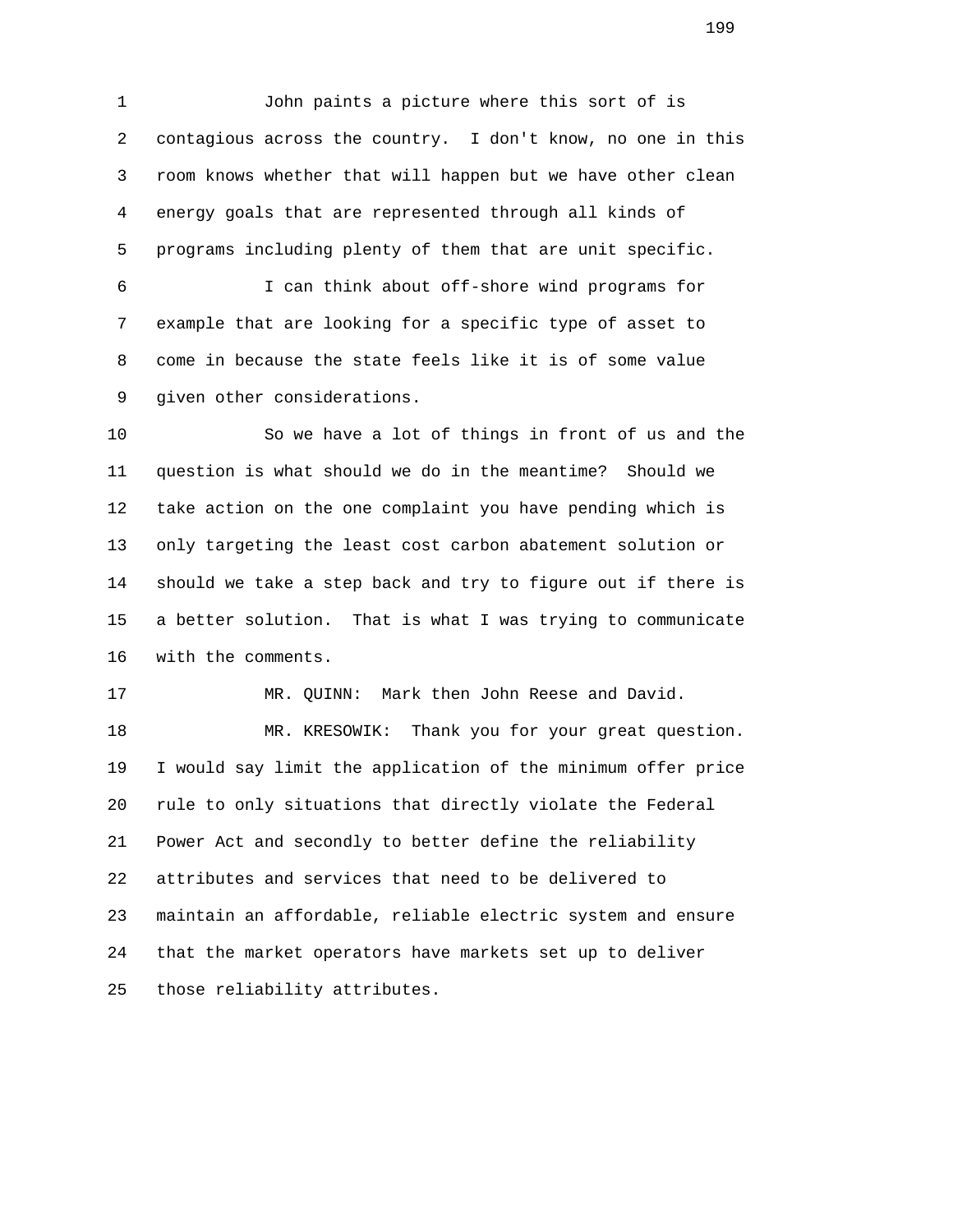1 John paints a picture where this sort of is 2 contagious across the country. I don't know, no one in this 3 room knows whether that will happen but we have other clean 4 energy goals that are represented through all kinds of 5 programs including plenty of them that are unit specific. 6 I can think about off-shore wind programs for 7 example that are looking for a specific type of asset to 8 come in because the state feels like it is of some value

9 given other considerations.

 10 So we have a lot of things in front of us and the 11 question is what should we do in the meantime? Should we 12 take action on the one complaint you have pending which is 13 only targeting the least cost carbon abatement solution or 14 should we take a step back and try to figure out if there is 15 a better solution. That is what I was trying to communicate 16 with the comments.

17 MR. QUINN: Mark then John Reese and David.

 18 MR. KRESOWIK: Thank you for your great question. 19 I would say limit the application of the minimum offer price 20 rule to only situations that directly violate the Federal 21 Power Act and secondly to better define the reliability 22 attributes and services that need to be delivered to 23 maintain an affordable, reliable electric system and ensure 24 that the market operators have markets set up to deliver 25 those reliability attributes.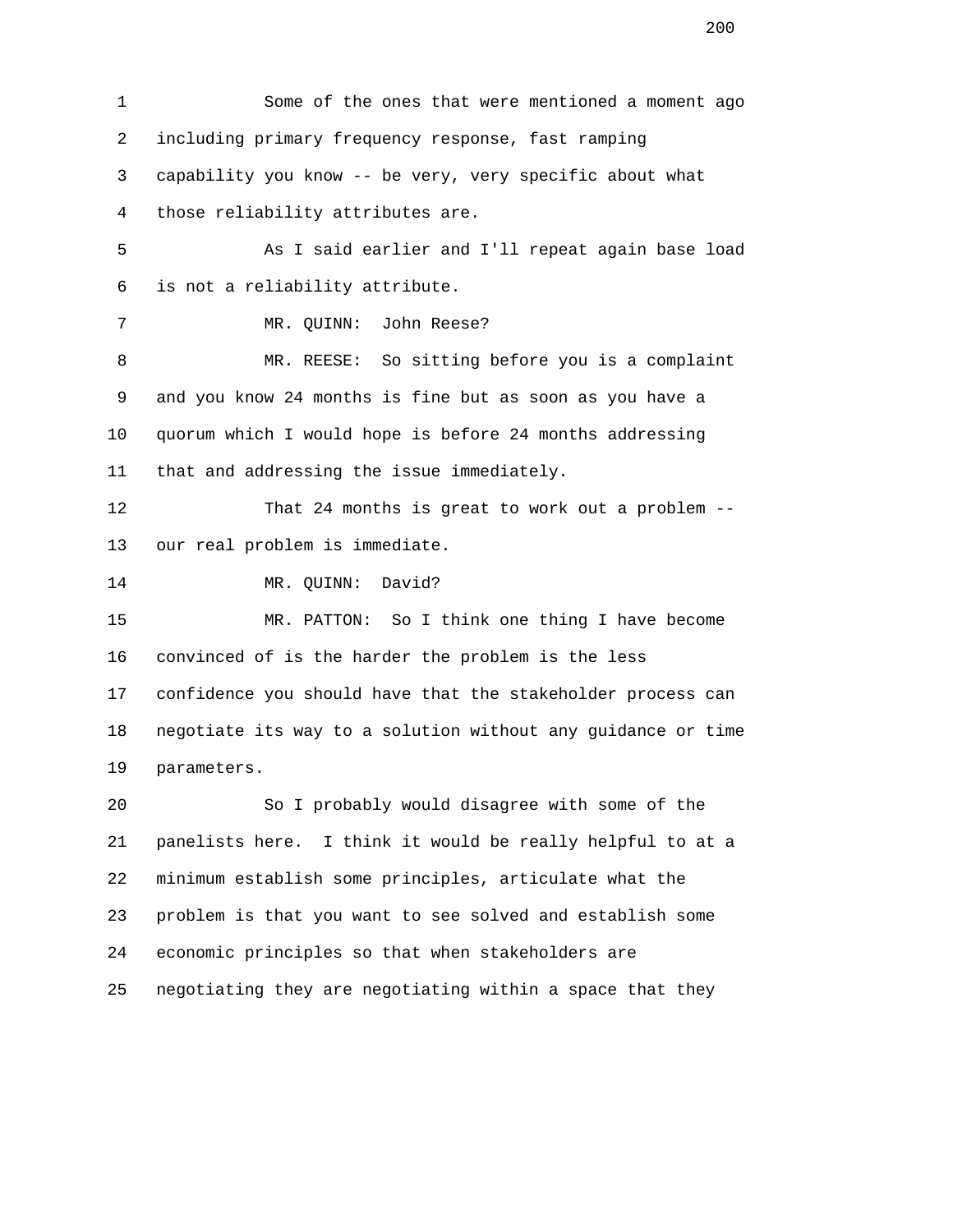| 1              | Some of the ones that were mentioned a moment ago            |
|----------------|--------------------------------------------------------------|
| 2              | including primary frequency response, fast ramping           |
| 3              | capability you know -- be very, very specific about what     |
| $\overline{4}$ | those reliability attributes are.                            |
| 5              | As I said earlier and I'll repeat again base load            |
| 6              | is not a reliability attribute.                              |
| 7              | John Reese?<br>MR. QUINN:                                    |
| 8              | MR. REESE: So sitting before you is a complaint              |
| 9              | and you know 24 months is fine but as soon as you have a     |
| 10             | quorum which I would hope is before 24 months addressing     |
| 11             | that and addressing the issue immediately.                   |
| 12             | That 24 months is great to work out a problem --             |
| 13             | our real problem is immediate.                               |
| 14             | David?<br>MR. QUINN:                                         |
| 15             | So I think one thing I have become<br>MR. PATTON:            |
| 16             | convinced of is the harder the problem is the less           |
| 17             | confidence you should have that the stakeholder process can  |
| 18             | negotiate its way to a solution without any guidance or time |
| 19             | parameters.                                                  |
| 20             | So I probably would disagree with some of the                |
| 21             | panelists here. I think it would be really helpful to at a   |
| 22             | minimum establish some principles, articulate what the       |
| 23             | problem is that you want to see solved and establish some    |
| 24             | economic principles so that when stakeholders are            |
| 25             | negotiating they are negotiating within a space that they    |

<u>200</u>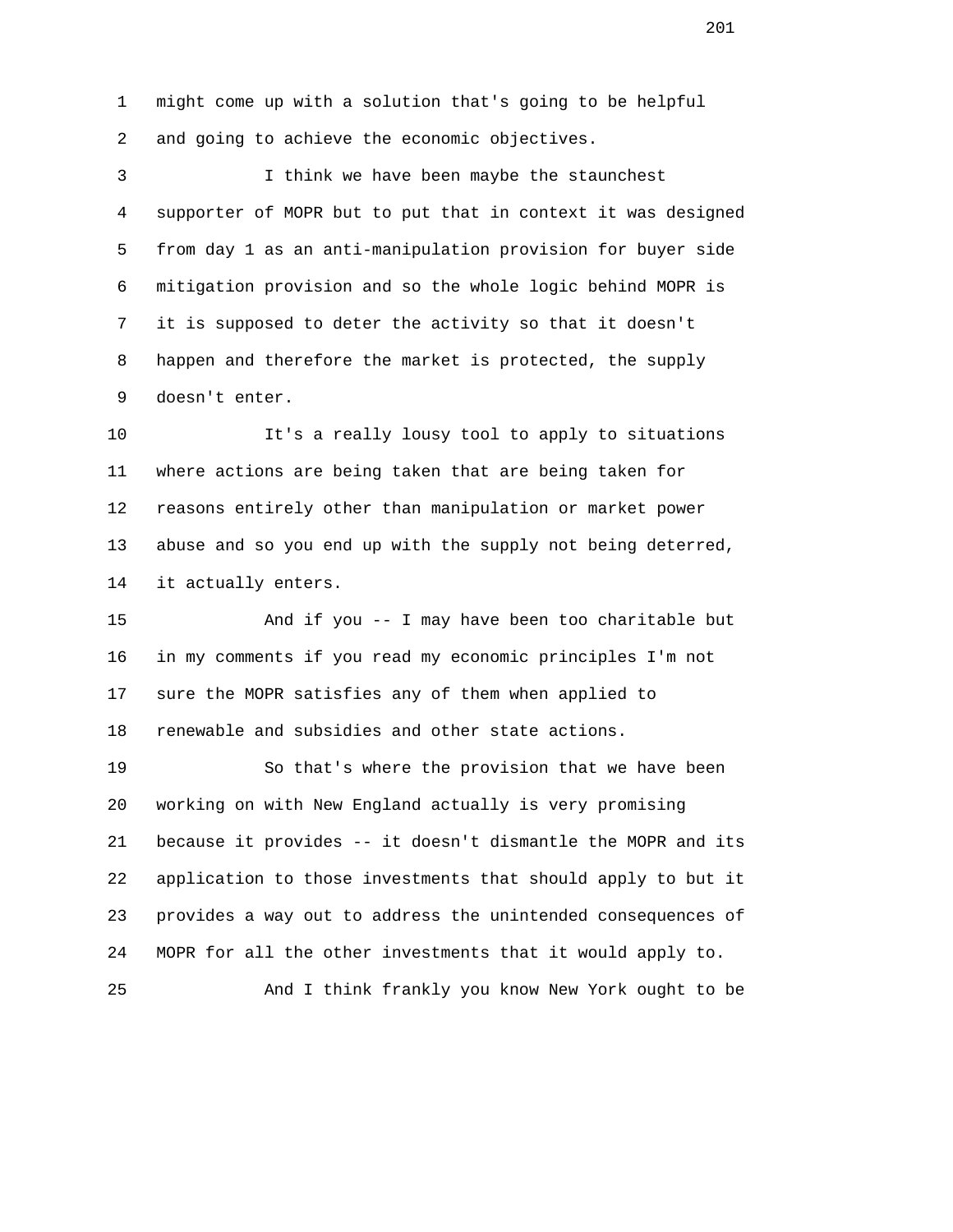1 might come up with a solution that's going to be helpful 2 and going to achieve the economic objectives.

 3 I think we have been maybe the staunchest 4 supporter of MOPR but to put that in context it was designed 5 from day 1 as an anti-manipulation provision for buyer side 6 mitigation provision and so the whole logic behind MOPR is 7 it is supposed to deter the activity so that it doesn't 8 happen and therefore the market is protected, the supply 9 doesn't enter.

 10 It's a really lousy tool to apply to situations 11 where actions are being taken that are being taken for 12 reasons entirely other than manipulation or market power 13 abuse and so you end up with the supply not being deterred, 14 it actually enters.

 15 And if you -- I may have been too charitable but 16 in my comments if you read my economic principles I'm not 17 sure the MOPR satisfies any of them when applied to 18 renewable and subsidies and other state actions.

 19 So that's where the provision that we have been 20 working on with New England actually is very promising 21 because it provides -- it doesn't dismantle the MOPR and its 22 application to those investments that should apply to but it 23 provides a way out to address the unintended consequences of 24 MOPR for all the other investments that it would apply to.

25 And I think frankly you know New York ought to be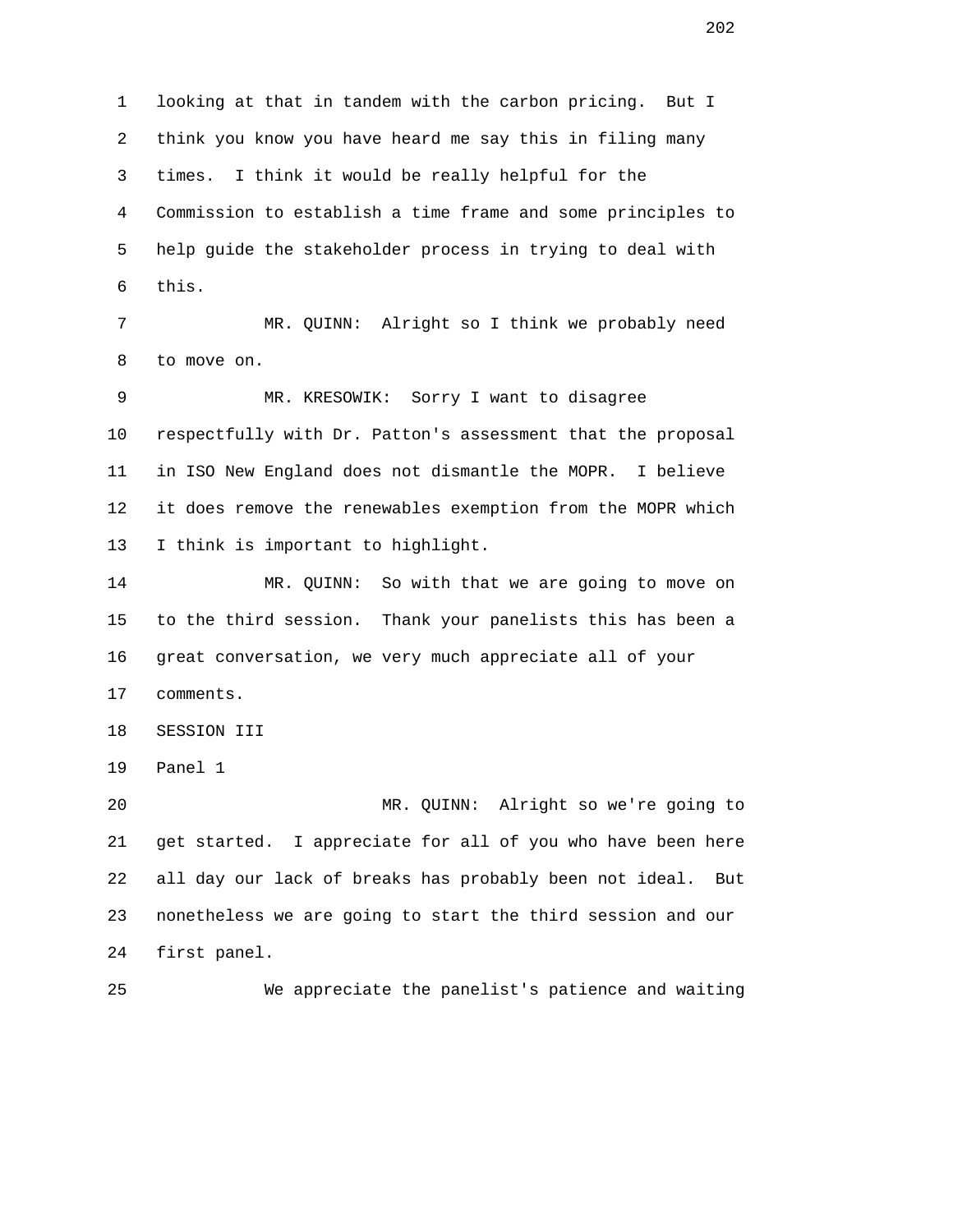1 looking at that in tandem with the carbon pricing. But I 2 think you know you have heard me say this in filing many 3 times. I think it would be really helpful for the 4 Commission to establish a time frame and some principles to 5 help guide the stakeholder process in trying to deal with 6 this. 7 MR. QUINN: Alright so I think we probably need 8 to move on. 9 MR. KRESOWIK: Sorry I want to disagree 10 respectfully with Dr. Patton's assessment that the proposal 11 in ISO New England does not dismantle the MOPR. I believe 12 it does remove the renewables exemption from the MOPR which 13 I think is important to highlight. 14 MR. QUINN: So with that we are going to move on 15 to the third session. Thank your panelists this has been a 16 great conversation, we very much appreciate all of your 17 comments. 18 SESSION III 19 Panel 1 20 MR. QUINN: Alright so we're going to 21 get started. I appreciate for all of you who have been here 22 all day our lack of breaks has probably been not ideal. But 23 nonetheless we are going to start the third session and our 24 first panel. 25 We appreciate the panelist's patience and waiting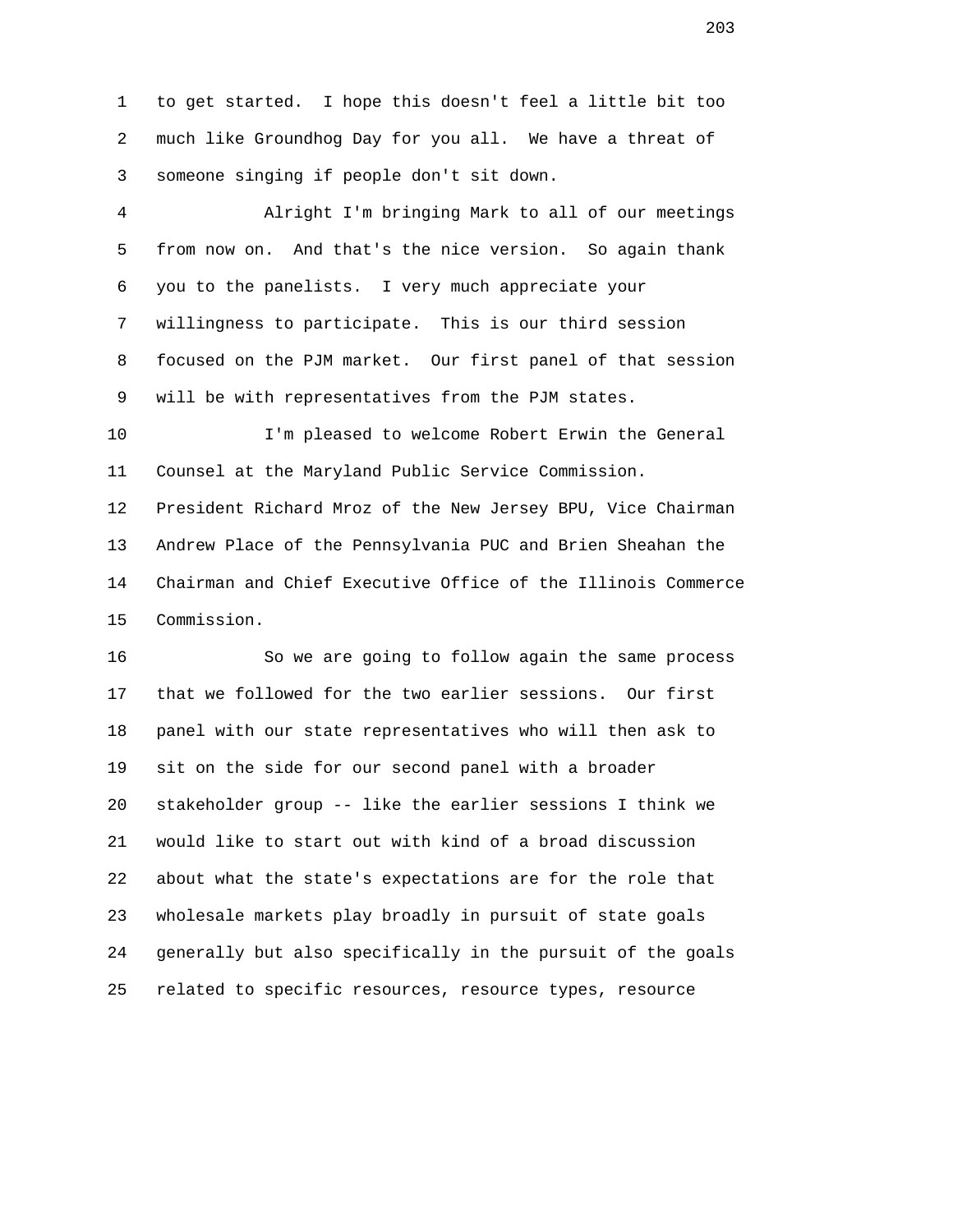1 to get started. I hope this doesn't feel a little bit too 2 much like Groundhog Day for you all. We have a threat of 3 someone singing if people don't sit down.

 4 Alright I'm bringing Mark to all of our meetings 5 from now on. And that's the nice version. So again thank 6 you to the panelists. I very much appreciate your 7 willingness to participate. This is our third session 8 focused on the PJM market. Our first panel of that session 9 will be with representatives from the PJM states.

 10 I'm pleased to welcome Robert Erwin the General 11 Counsel at the Maryland Public Service Commission. 12 President Richard Mroz of the New Jersey BPU, Vice Chairman 13 Andrew Place of the Pennsylvania PUC and Brien Sheahan the

 14 Chairman and Chief Executive Office of the Illinois Commerce 15 Commission.

 16 So we are going to follow again the same process 17 that we followed for the two earlier sessions. Our first 18 panel with our state representatives who will then ask to 19 sit on the side for our second panel with a broader 20 stakeholder group -- like the earlier sessions I think we 21 would like to start out with kind of a broad discussion 22 about what the state's expectations are for the role that 23 wholesale markets play broadly in pursuit of state goals 24 generally but also specifically in the pursuit of the goals 25 related to specific resources, resource types, resource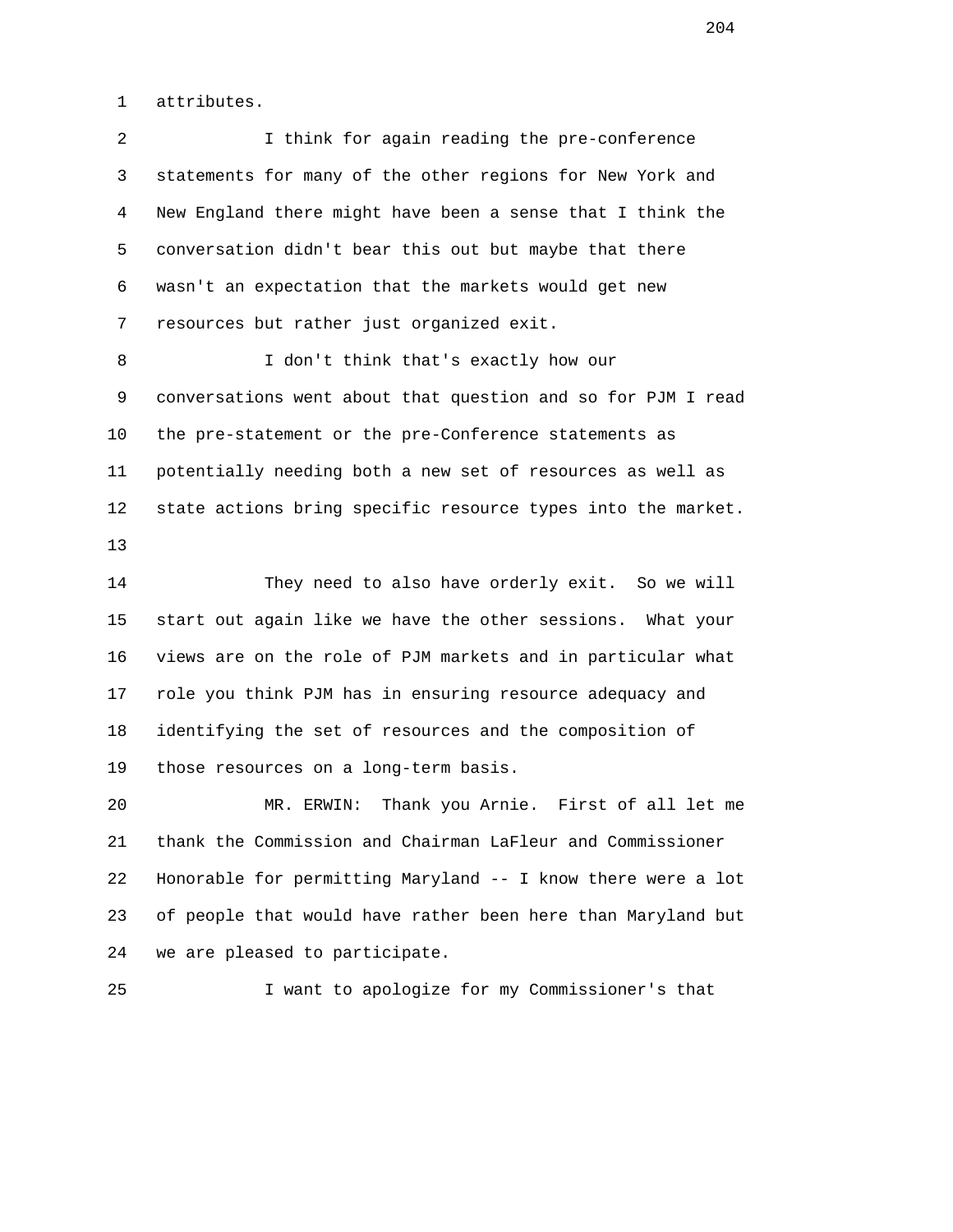1 attributes.

| $\overline{a}$ | I think for again reading the pre-conference                 |
|----------------|--------------------------------------------------------------|
| 3              | statements for many of the other regions for New York and    |
| 4              | New England there might have been a sense that I think the   |
| 5              | conversation didn't bear this out but maybe that there       |
| 6              | wasn't an expectation that the markets would get new         |
| 7              | resources but rather just organized exit.                    |
| 8              | I don't think that's exactly how our                         |
| 9              | conversations went about that question and so for PJM I read |
| 10             | the pre-statement or the pre-Conference statements as        |
| 11             | potentially needing both a new set of resources as well as   |
| 12             | state actions bring specific resource types into the market. |
| 13             |                                                              |
| 14             | They need to also have orderly exit. So we will              |
| 15             | start out again like we have the other sessions. What your   |
| 16             | views are on the role of PJM markets and in particular what  |
| 17             | role you think PJM has in ensuring resource adequacy and     |
| 18             | identifying the set of resources and the composition of      |
| 19             | those resources on a long-term basis.                        |
| 20             | Thank you Arnie. First of all let me<br>MR. ERWIN:           |
| 21             | thank the Commission and Chairman LaFleur and Commissioner   |
| 22             | Honorable for permitting Maryland -- I know there were a lot |
| 23             | of people that would have rather been here than Maryland but |
| 24             | we are pleased to participate.                               |

25 I want to apologize for my Commissioner's that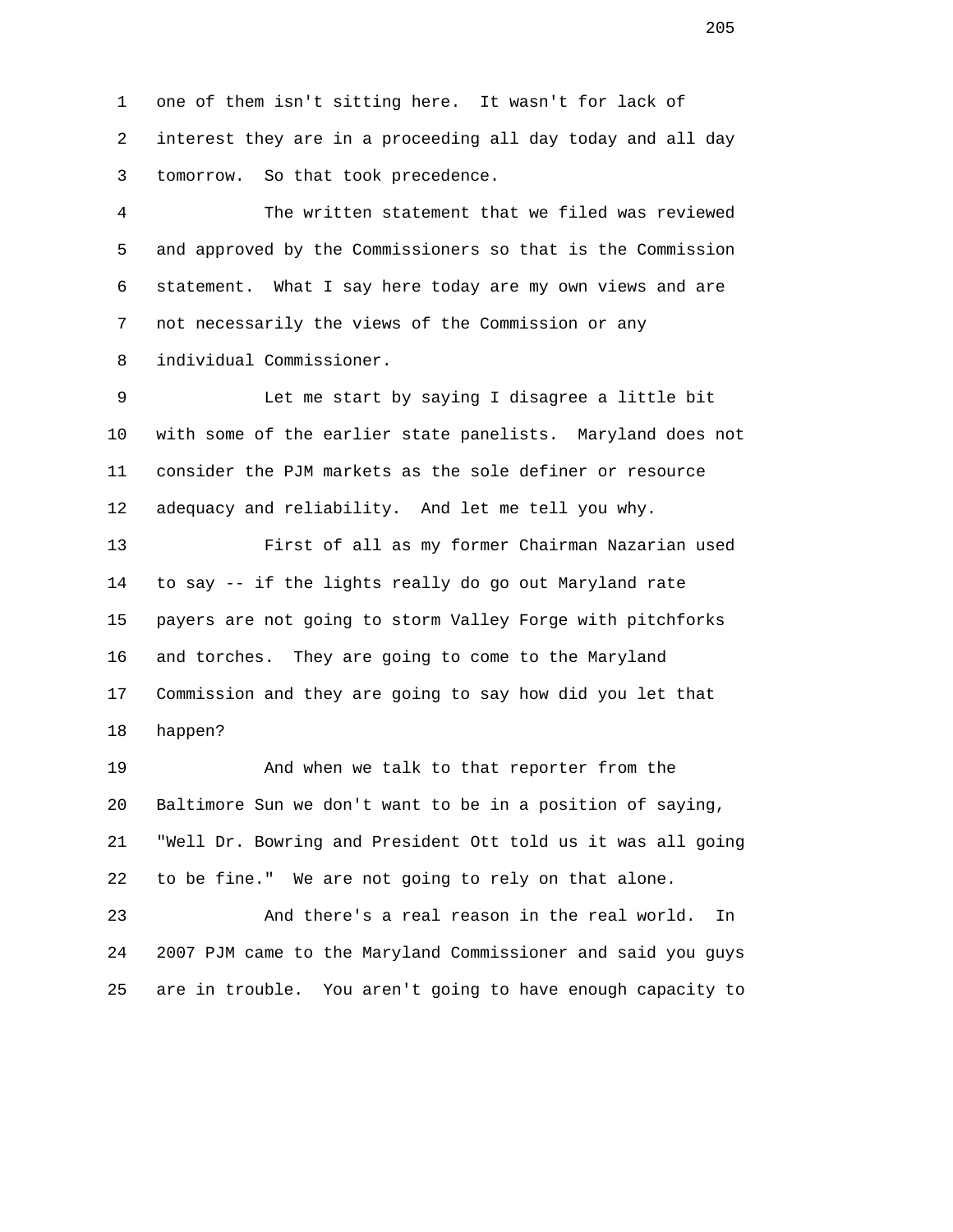1 one of them isn't sitting here. It wasn't for lack of 2 interest they are in a proceeding all day today and all day 3 tomorrow. So that took precedence.

 4 The written statement that we filed was reviewed 5 and approved by the Commissioners so that is the Commission 6 statement. What I say here today are my own views and are 7 not necessarily the views of the Commission or any 8 individual Commissioner.

 9 Let me start by saying I disagree a little bit 10 with some of the earlier state panelists. Maryland does not 11 consider the PJM markets as the sole definer or resource 12 adequacy and reliability. And let me tell you why.

 13 First of all as my former Chairman Nazarian used 14 to say -- if the lights really do go out Maryland rate 15 payers are not going to storm Valley Forge with pitchforks 16 and torches. They are going to come to the Maryland 17 Commission and they are going to say how did you let that 18 happen?

 19 And when we talk to that reporter from the 20 Baltimore Sun we don't want to be in a position of saying, 21 "Well Dr. Bowring and President Ott told us it was all going 22 to be fine." We are not going to rely on that alone.

 23 And there's a real reason in the real world. In 24 2007 PJM came to the Maryland Commissioner and said you guys 25 are in trouble. You aren't going to have enough capacity to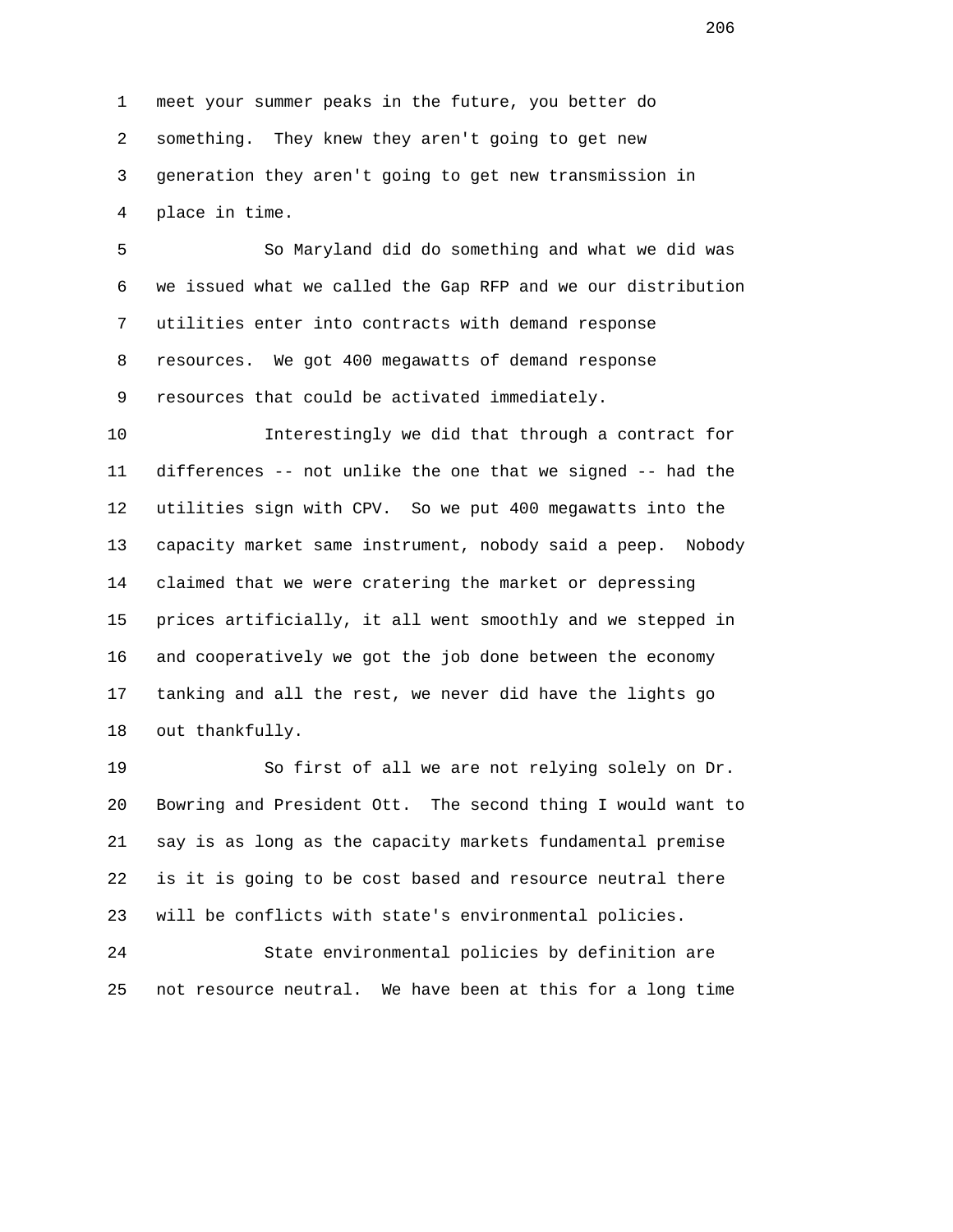1 meet your summer peaks in the future, you better do 2 something. They knew they aren't going to get new 3 generation they aren't going to get new transmission in 4 place in time.

 5 So Maryland did do something and what we did was 6 we issued what we called the Gap RFP and we our distribution 7 utilities enter into contracts with demand response 8 resources. We got 400 megawatts of demand response 9 resources that could be activated immediately.

 10 Interestingly we did that through a contract for 11 differences -- not unlike the one that we signed -- had the 12 utilities sign with CPV. So we put 400 megawatts into the 13 capacity market same instrument, nobody said a peep. Nobody 14 claimed that we were cratering the market or depressing 15 prices artificially, it all went smoothly and we stepped in 16 and cooperatively we got the job done between the economy 17 tanking and all the rest, we never did have the lights go 18 out thankfully.

 19 So first of all we are not relying solely on Dr. 20 Bowring and President Ott. The second thing I would want to 21 say is as long as the capacity markets fundamental premise 22 is it is going to be cost based and resource neutral there 23 will be conflicts with state's environmental policies.

 24 State environmental policies by definition are 25 not resource neutral. We have been at this for a long time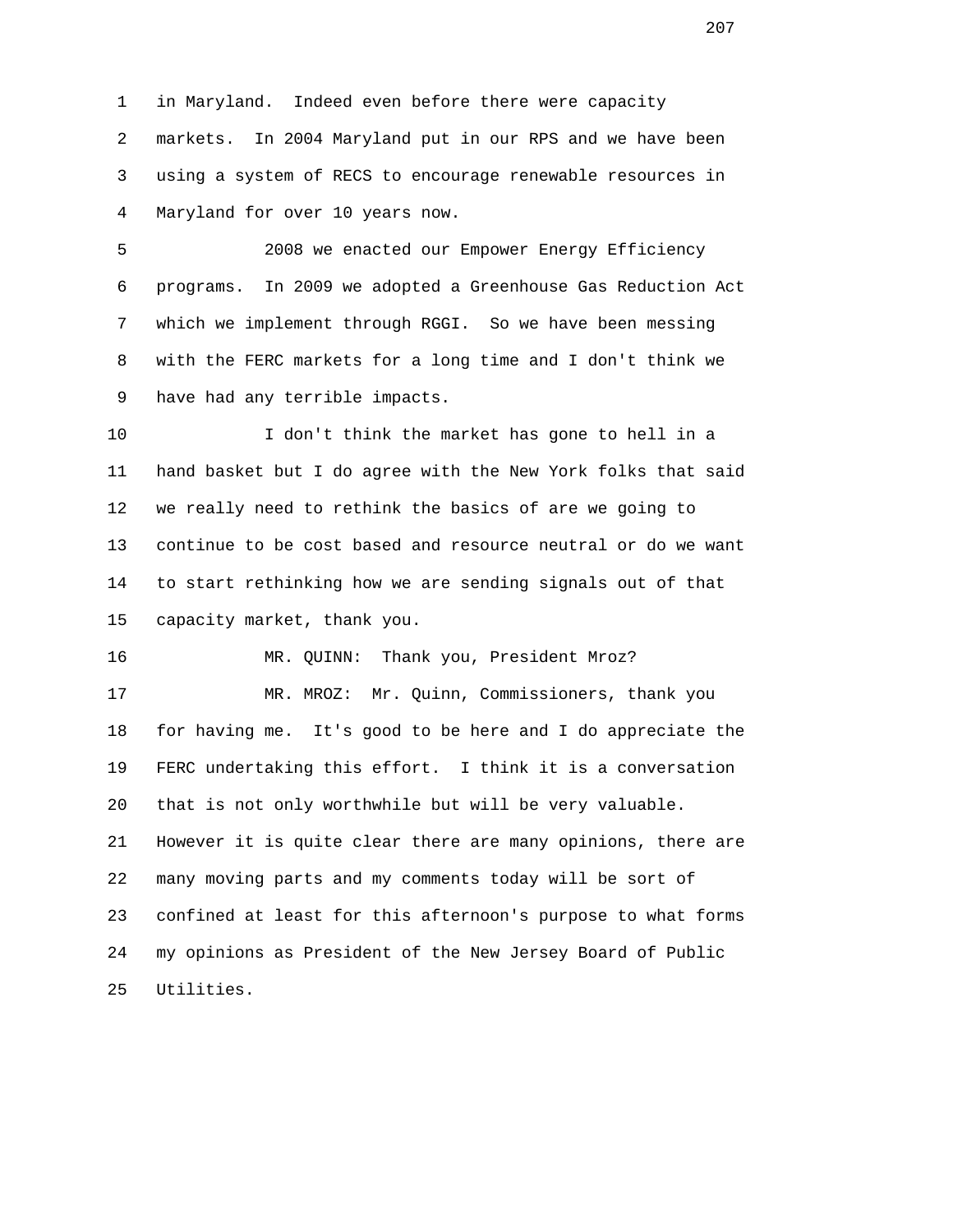1 in Maryland. Indeed even before there were capacity 2 markets. In 2004 Maryland put in our RPS and we have been 3 using a system of RECS to encourage renewable resources in 4 Maryland for over 10 years now.

 5 2008 we enacted our Empower Energy Efficiency 6 programs. In 2009 we adopted a Greenhouse Gas Reduction Act 7 which we implement through RGGI. So we have been messing 8 with the FERC markets for a long time and I don't think we 9 have had any terrible impacts.

 10 I don't think the market has gone to hell in a 11 hand basket but I do agree with the New York folks that said 12 we really need to rethink the basics of are we going to 13 continue to be cost based and resource neutral or do we want 14 to start rethinking how we are sending signals out of that 15 capacity market, thank you.

16 MR. QUINN: Thank you, President Mroz?

 17 MR. MROZ: Mr. Quinn, Commissioners, thank you 18 for having me. It's good to be here and I do appreciate the 19 FERC undertaking this effort. I think it is a conversation 20 that is not only worthwhile but will be very valuable. 21 However it is quite clear there are many opinions, there are 22 many moving parts and my comments today will be sort of 23 confined at least for this afternoon's purpose to what forms 24 my opinions as President of the New Jersey Board of Public 25 Utilities.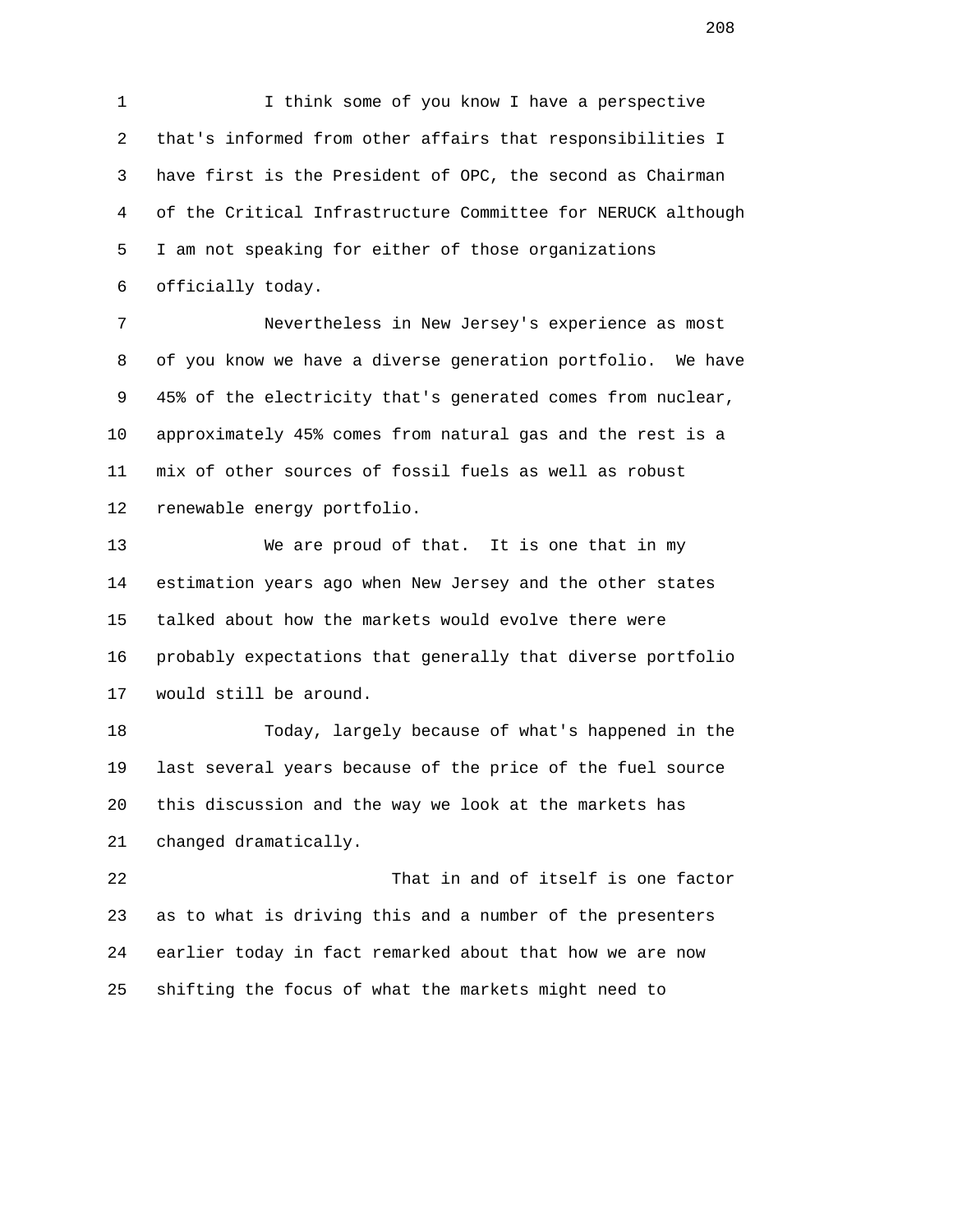1 I think some of you know I have a perspective 2 that's informed from other affairs that responsibilities I 3 have first is the President of OPC, the second as Chairman 4 of the Critical Infrastructure Committee for NERUCK although 5 I am not speaking for either of those organizations 6 officially today.

 7 Nevertheless in New Jersey's experience as most 8 of you know we have a diverse generation portfolio. We have 9 45% of the electricity that's generated comes from nuclear, 10 approximately 45% comes from natural gas and the rest is a 11 mix of other sources of fossil fuels as well as robust 12 renewable energy portfolio.

 13 We are proud of that. It is one that in my 14 estimation years ago when New Jersey and the other states 15 talked about how the markets would evolve there were 16 probably expectations that generally that diverse portfolio 17 would still be around.

 18 Today, largely because of what's happened in the 19 last several years because of the price of the fuel source 20 this discussion and the way we look at the markets has 21 changed dramatically.

 22 That in and of itself is one factor 23 as to what is driving this and a number of the presenters 24 earlier today in fact remarked about that how we are now 25 shifting the focus of what the markets might need to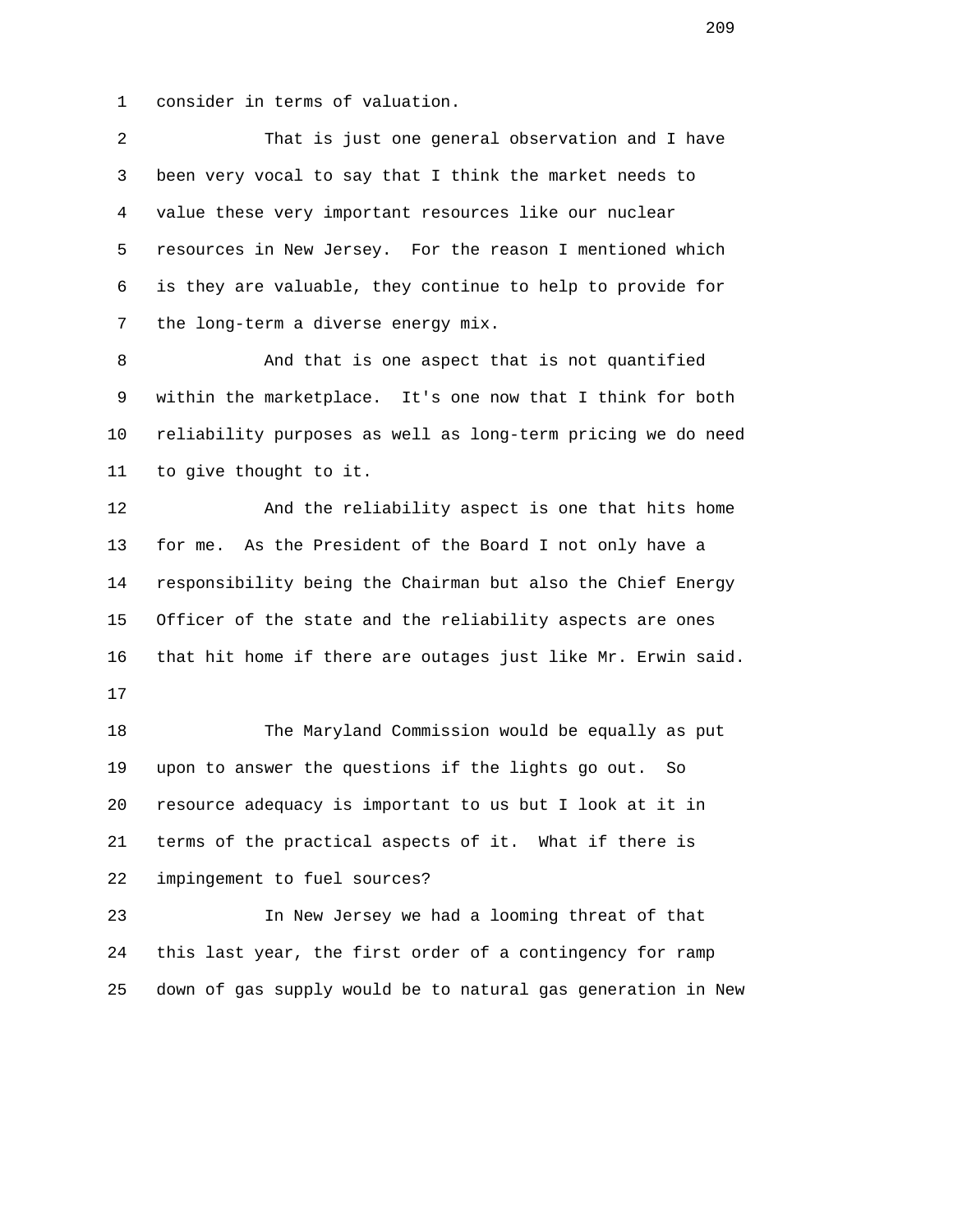1 consider in terms of valuation.

 2 That is just one general observation and I have 3 been very vocal to say that I think the market needs to 4 value these very important resources like our nuclear 5 resources in New Jersey. For the reason I mentioned which 6 is they are valuable, they continue to help to provide for 7 the long-term a diverse energy mix.

 8 And that is one aspect that is not quantified 9 within the marketplace. It's one now that I think for both 10 reliability purposes as well as long-term pricing we do need 11 to give thought to it.

 12 And the reliability aspect is one that hits home 13 for me. As the President of the Board I not only have a 14 responsibility being the Chairman but also the Chief Energy 15 Officer of the state and the reliability aspects are ones 16 that hit home if there are outages just like Mr. Erwin said. 17

 18 The Maryland Commission would be equally as put 19 upon to answer the questions if the lights go out. So 20 resource adequacy is important to us but I look at it in 21 terms of the practical aspects of it. What if there is 22 impingement to fuel sources?

 23 In New Jersey we had a looming threat of that 24 this last year, the first order of a contingency for ramp 25 down of gas supply would be to natural gas generation in New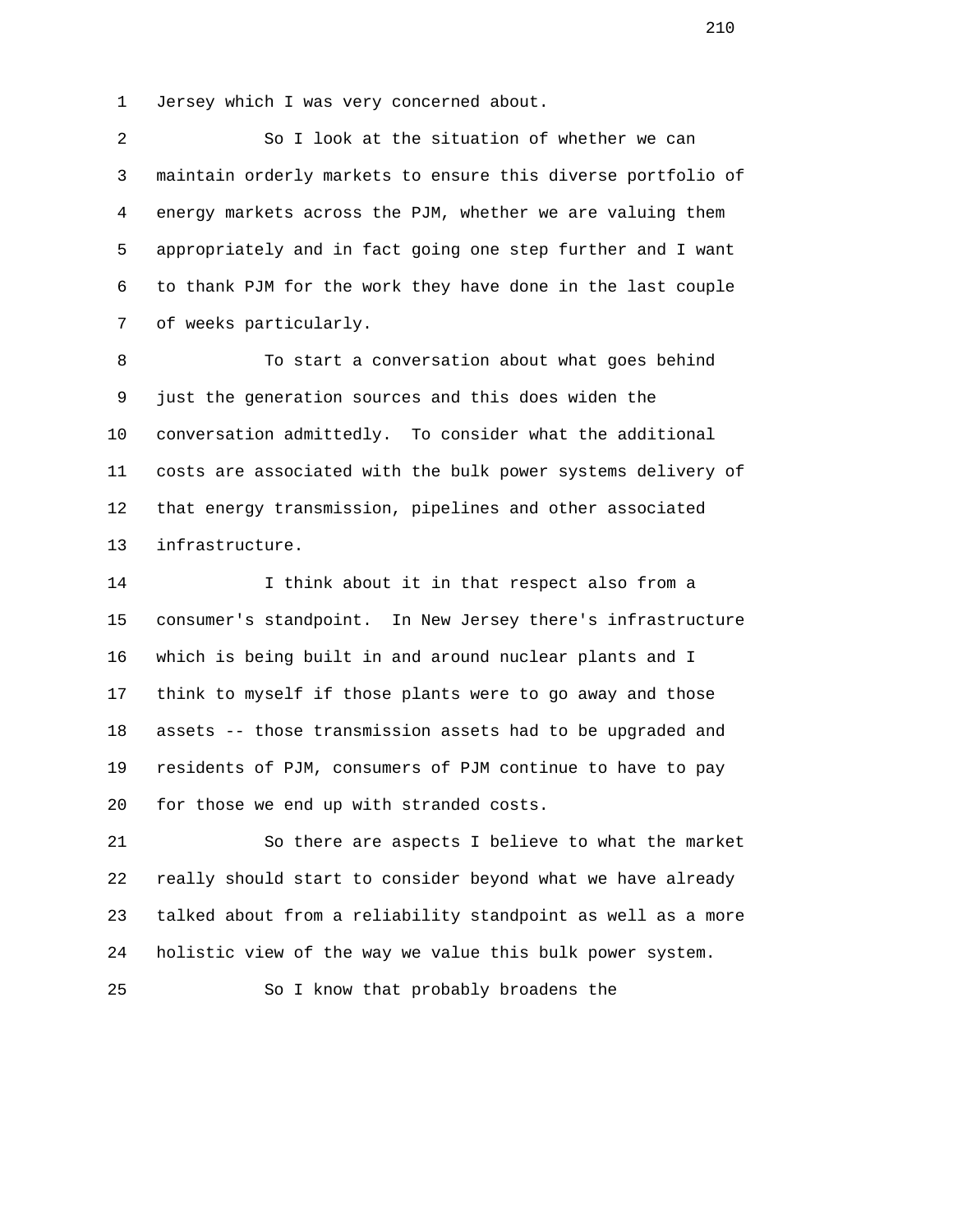1 Jersey which I was very concerned about.

 2 So I look at the situation of whether we can 3 maintain orderly markets to ensure this diverse portfolio of 4 energy markets across the PJM, whether we are valuing them 5 appropriately and in fact going one step further and I want 6 to thank PJM for the work they have done in the last couple 7 of weeks particularly.

 8 To start a conversation about what goes behind 9 just the generation sources and this does widen the 10 conversation admittedly. To consider what the additional 11 costs are associated with the bulk power systems delivery of 12 that energy transmission, pipelines and other associated 13 infrastructure.

 14 I think about it in that respect also from a 15 consumer's standpoint. In New Jersey there's infrastructure 16 which is being built in and around nuclear plants and I 17 think to myself if those plants were to go away and those 18 assets -- those transmission assets had to be upgraded and 19 residents of PJM, consumers of PJM continue to have to pay 20 for those we end up with stranded costs.

 21 So there are aspects I believe to what the market 22 really should start to consider beyond what we have already 23 talked about from a reliability standpoint as well as a more 24 holistic view of the way we value this bulk power system.

25 So I know that probably broadens the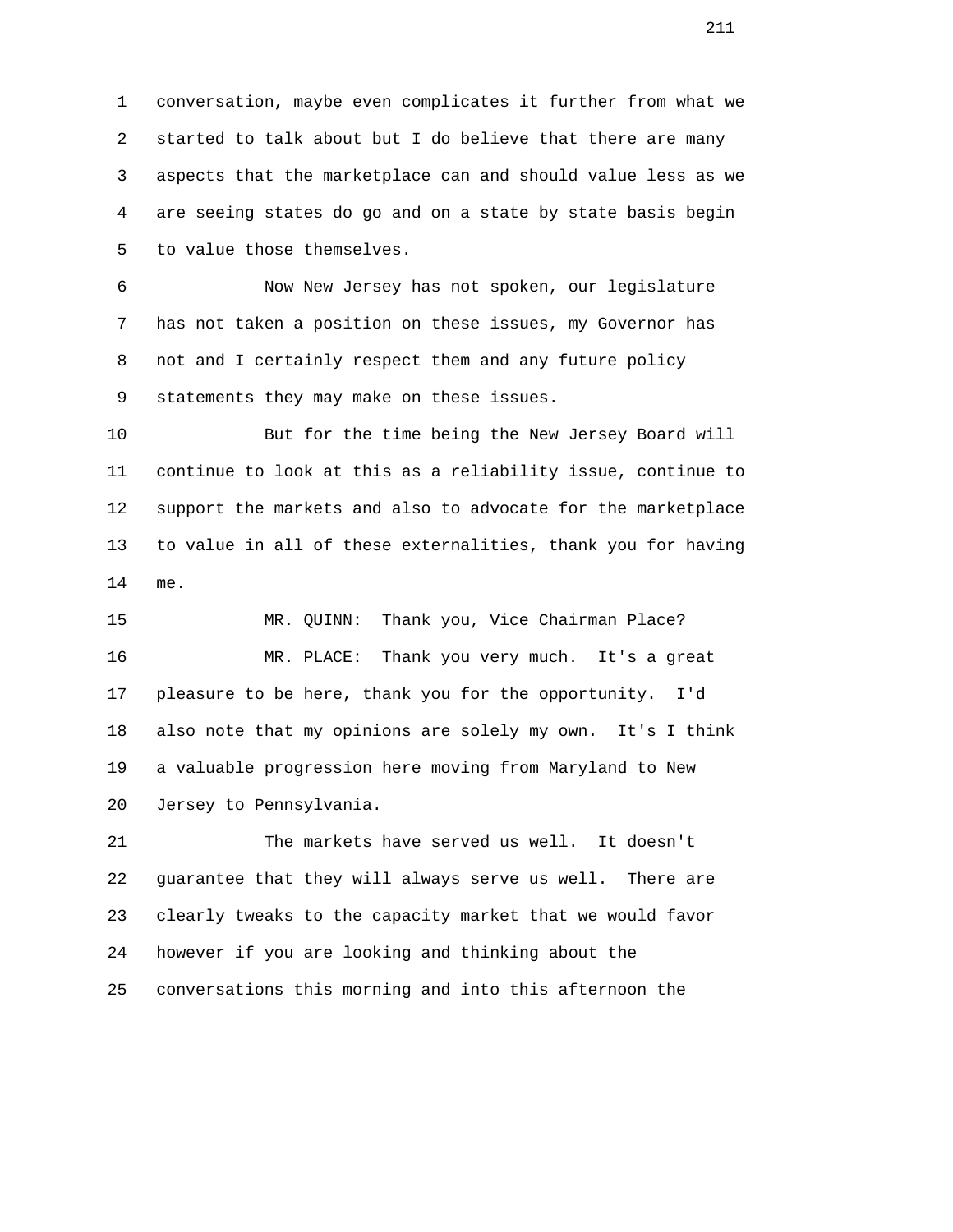1 conversation, maybe even complicates it further from what we 2 started to talk about but I do believe that there are many 3 aspects that the marketplace can and should value less as we 4 are seeing states do go and on a state by state basis begin 5 to value those themselves.

 6 Now New Jersey has not spoken, our legislature 7 has not taken a position on these issues, my Governor has 8 not and I certainly respect them and any future policy 9 statements they may make on these issues.

 10 But for the time being the New Jersey Board will 11 continue to look at this as a reliability issue, continue to 12 support the markets and also to advocate for the marketplace 13 to value in all of these externalities, thank you for having 14 me.

 15 MR. QUINN: Thank you, Vice Chairman Place? 16 MR. PLACE: Thank you very much. It's a great 17 pleasure to be here, thank you for the opportunity. I'd 18 also note that my opinions are solely my own. It's I think 19 a valuable progression here moving from Maryland to New 20 Jersey to Pennsylvania.

 21 The markets have served us well. It doesn't 22 guarantee that they will always serve us well. There are 23 clearly tweaks to the capacity market that we would favor 24 however if you are looking and thinking about the 25 conversations this morning and into this afternoon the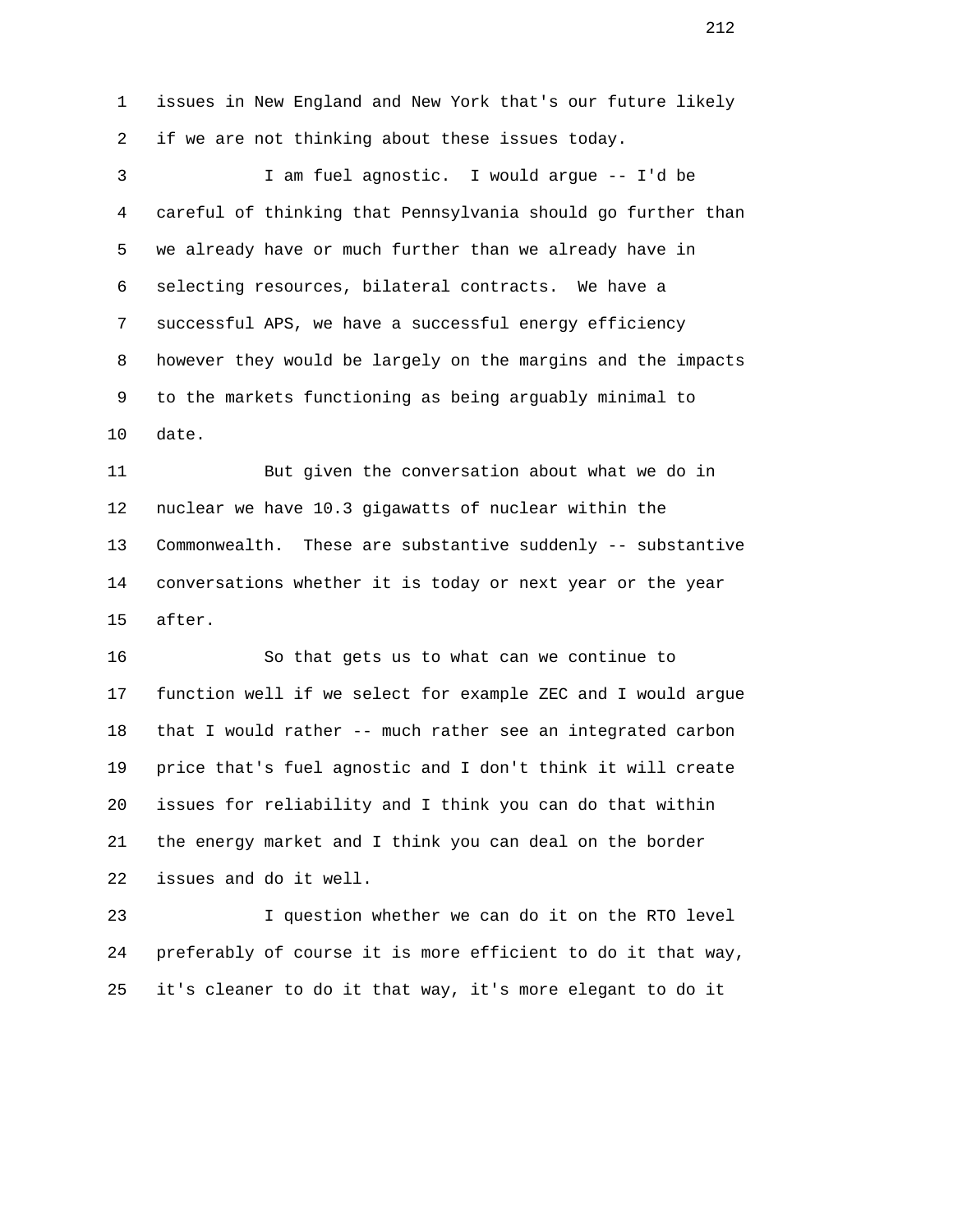1 issues in New England and New York that's our future likely 2 if we are not thinking about these issues today. 3 I am fuel agnostic. I would argue -- I'd be 4 careful of thinking that Pennsylvania should go further than 5 we already have or much further than we already have in 6 selecting resources, bilateral contracts. We have a 7 successful APS, we have a successful energy efficiency 8 however they would be largely on the margins and the impacts 9 to the markets functioning as being arguably minimal to 10 date. 11 But given the conversation about what we do in 12 nuclear we have 10.3 gigawatts of nuclear within the 13 Commonwealth. These are substantive suddenly -- substantive 14 conversations whether it is today or next year or the year 15 after. 16 So that gets us to what can we continue to 17 function well if we select for example ZEC and I would argue 18 that I would rather -- much rather see an integrated carbon

 19 price that's fuel agnostic and I don't think it will create 20 issues for reliability and I think you can do that within 21 the energy market and I think you can deal on the border 22 issues and do it well.

 23 I question whether we can do it on the RTO level 24 preferably of course it is more efficient to do it that way, 25 it's cleaner to do it that way, it's more elegant to do it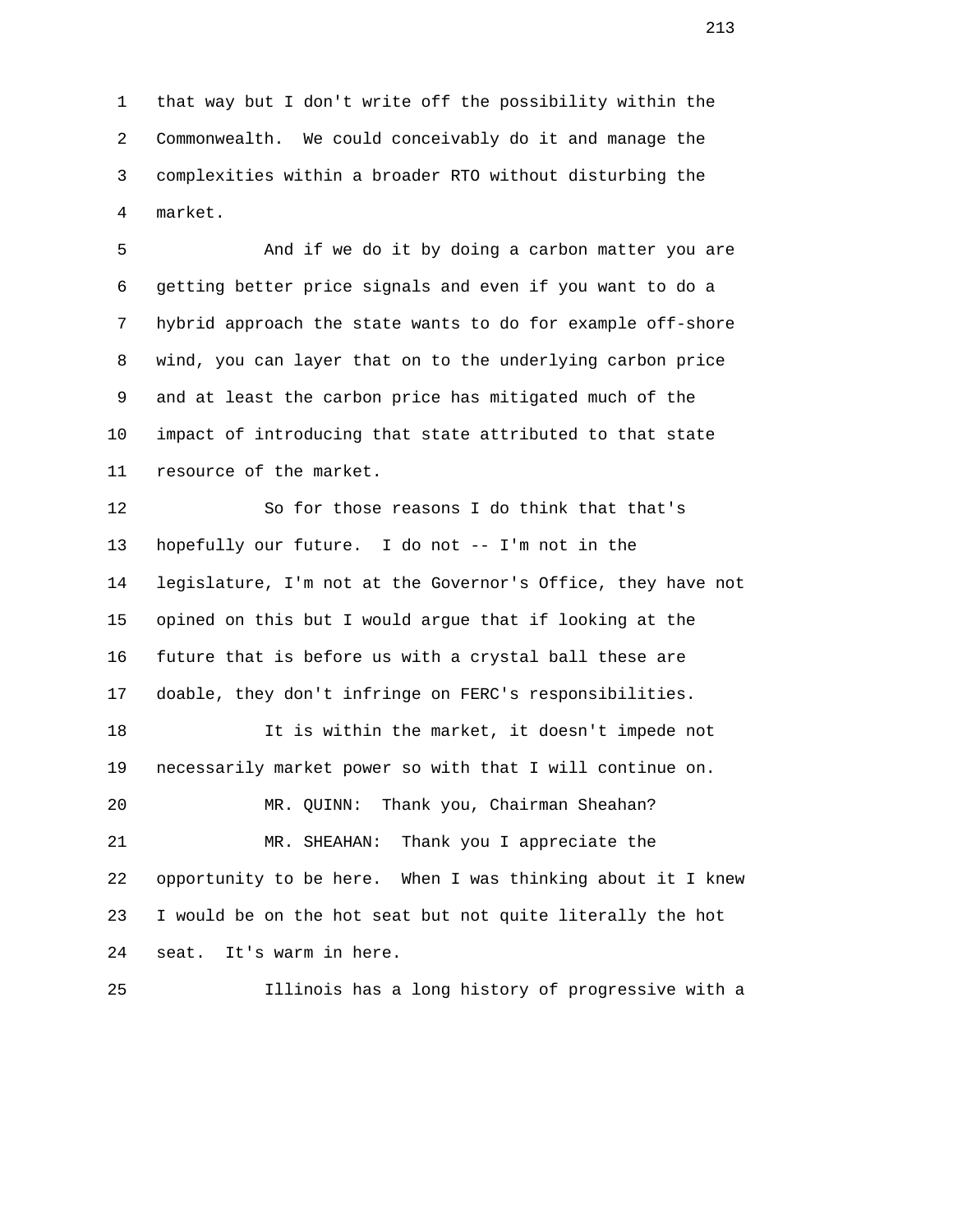1 that way but I don't write off the possibility within the 2 Commonwealth. We could conceivably do it and manage the 3 complexities within a broader RTO without disturbing the 4 market.

 5 And if we do it by doing a carbon matter you are 6 getting better price signals and even if you want to do a 7 hybrid approach the state wants to do for example off-shore 8 wind, you can layer that on to the underlying carbon price 9 and at least the carbon price has mitigated much of the 10 impact of introducing that state attributed to that state 11 resource of the market.

 12 So for those reasons I do think that that's 13 hopefully our future. I do not -- I'm not in the 14 legislature, I'm not at the Governor's Office, they have not 15 opined on this but I would argue that if looking at the 16 future that is before us with a crystal ball these are 17 doable, they don't infringe on FERC's responsibilities.

 18 It is within the market, it doesn't impede not 19 necessarily market power so with that I will continue on. 20 MR. QUINN: Thank you, Chairman Sheahan? 21 MR. SHEAHAN: Thank you I appreciate the 22 opportunity to be here. When I was thinking about it I knew 23 I would be on the hot seat but not quite literally the hot 24 seat. It's warm in here.

25 Illinois has a long history of progressive with a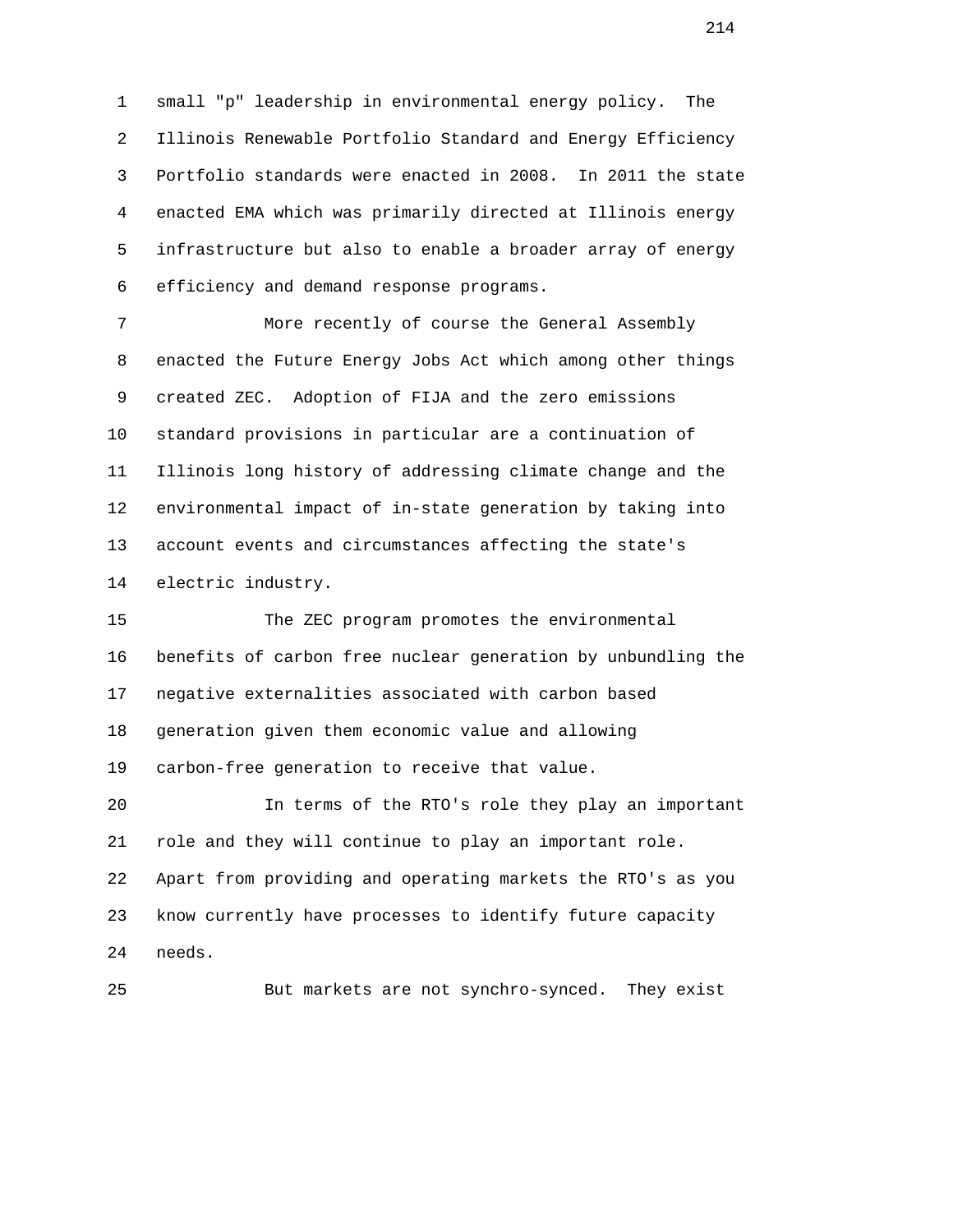1 small "p" leadership in environmental energy policy. The 2 Illinois Renewable Portfolio Standard and Energy Efficiency 3 Portfolio standards were enacted in 2008. In 2011 the state 4 enacted EMA which was primarily directed at Illinois energy 5 infrastructure but also to enable a broader array of energy 6 efficiency and demand response programs.

 7 More recently of course the General Assembly 8 enacted the Future Energy Jobs Act which among other things 9 created ZEC. Adoption of FIJA and the zero emissions 10 standard provisions in particular are a continuation of 11 Illinois long history of addressing climate change and the 12 environmental impact of in-state generation by taking into 13 account events and circumstances affecting the state's 14 electric industry.

 15 The ZEC program promotes the environmental 16 benefits of carbon free nuclear generation by unbundling the 17 negative externalities associated with carbon based 18 generation given them economic value and allowing 19 carbon-free generation to receive that value. 20 In terms of the RTO's role they play an important 21 role and they will continue to play an important role. 22 Apart from providing and operating markets the RTO's as you

 23 know currently have processes to identify future capacity 24 needs.

25 But markets are not synchro-synced. They exist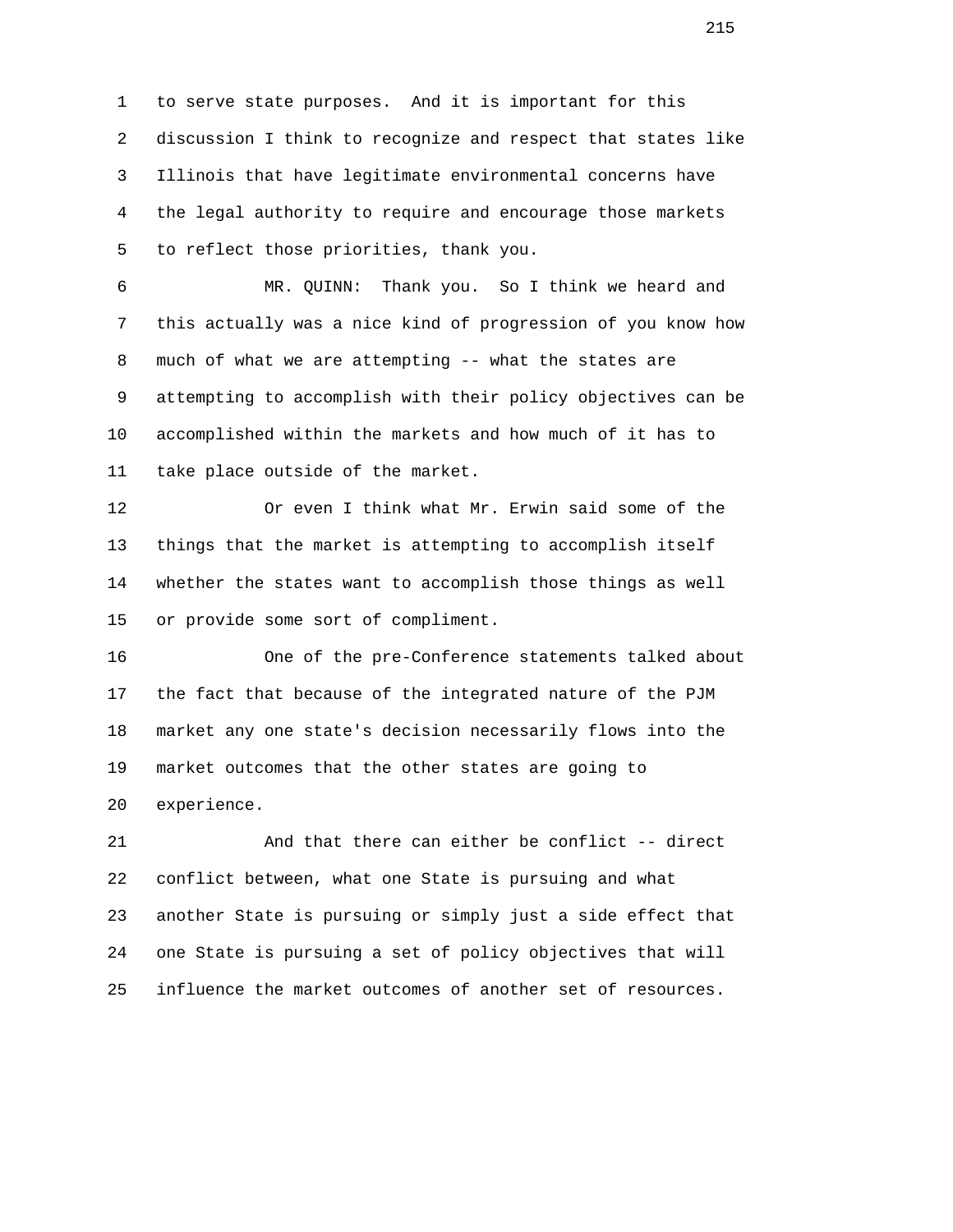1 to serve state purposes. And it is important for this 2 discussion I think to recognize and respect that states like 3 Illinois that have legitimate environmental concerns have 4 the legal authority to require and encourage those markets 5 to reflect those priorities, thank you.

 6 MR. QUINN: Thank you. So I think we heard and 7 this actually was a nice kind of progression of you know how 8 much of what we are attempting -- what the states are 9 attempting to accomplish with their policy objectives can be 10 accomplished within the markets and how much of it has to 11 take place outside of the market.

 12 Or even I think what Mr. Erwin said some of the 13 things that the market is attempting to accomplish itself 14 whether the states want to accomplish those things as well 15 or provide some sort of compliment.

 16 One of the pre-Conference statements talked about 17 the fact that because of the integrated nature of the PJM 18 market any one state's decision necessarily flows into the 19 market outcomes that the other states are going to 20 experience.

 21 And that there can either be conflict -- direct 22 conflict between, what one State is pursuing and what 23 another State is pursuing or simply just a side effect that 24 one State is pursuing a set of policy objectives that will 25 influence the market outcomes of another set of resources.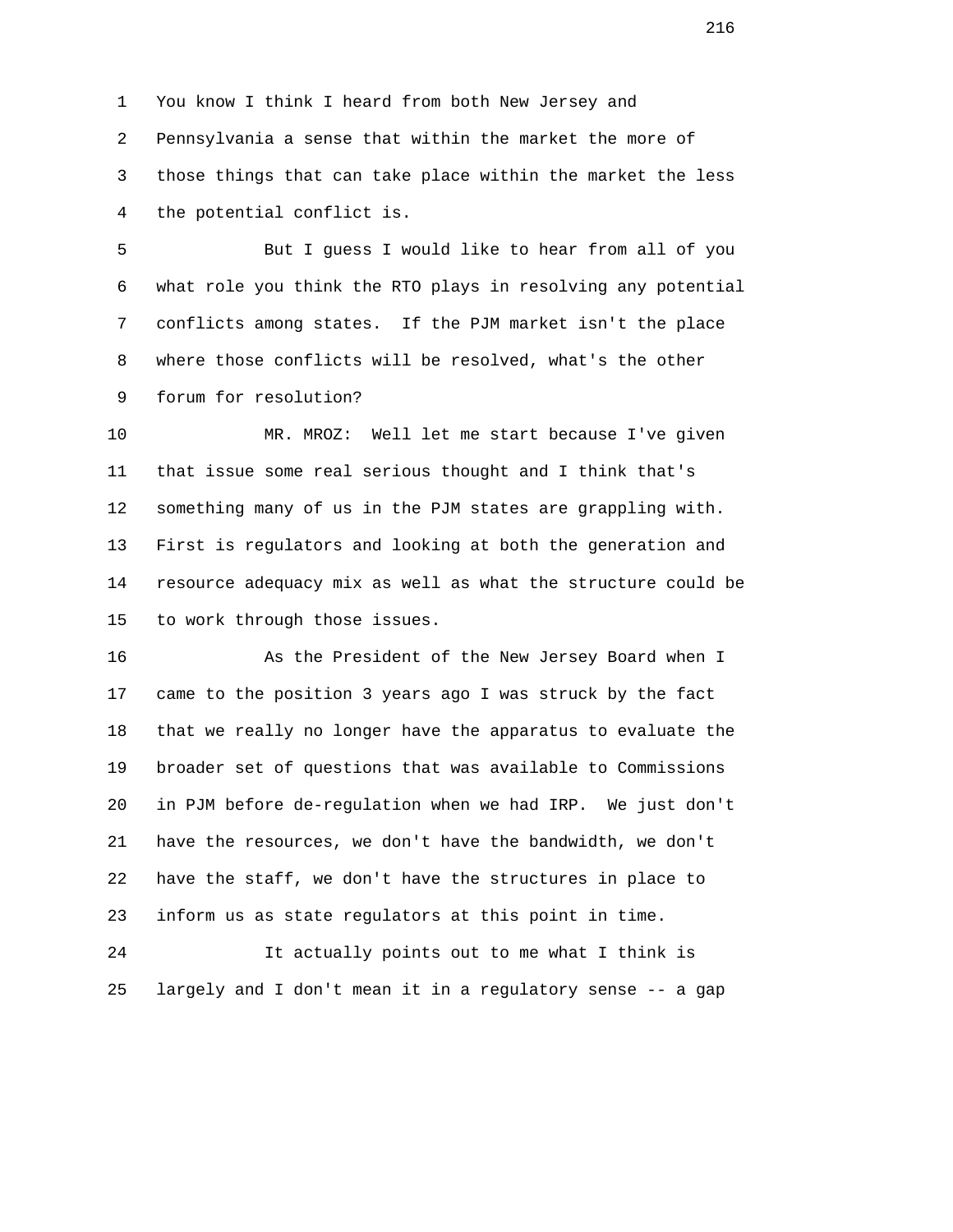1 You know I think I heard from both New Jersey and 2 Pennsylvania a sense that within the market the more of 3 those things that can take place within the market the less 4 the potential conflict is.

 5 But I guess I would like to hear from all of you 6 what role you think the RTO plays in resolving any potential 7 conflicts among states. If the PJM market isn't the place 8 where those conflicts will be resolved, what's the other 9 forum for resolution?

 10 MR. MROZ: Well let me start because I've given 11 that issue some real serious thought and I think that's 12 something many of us in the PJM states are grappling with. 13 First is regulators and looking at both the generation and 14 resource adequacy mix as well as what the structure could be 15 to work through those issues.

 16 As the President of the New Jersey Board when I 17 came to the position 3 years ago I was struck by the fact 18 that we really no longer have the apparatus to evaluate the 19 broader set of questions that was available to Commissions 20 in PJM before de-regulation when we had IRP. We just don't 21 have the resources, we don't have the bandwidth, we don't 22 have the staff, we don't have the structures in place to 23 inform us as state regulators at this point in time.

 24 It actually points out to me what I think is 25 largely and I don't mean it in a regulatory sense -- a gap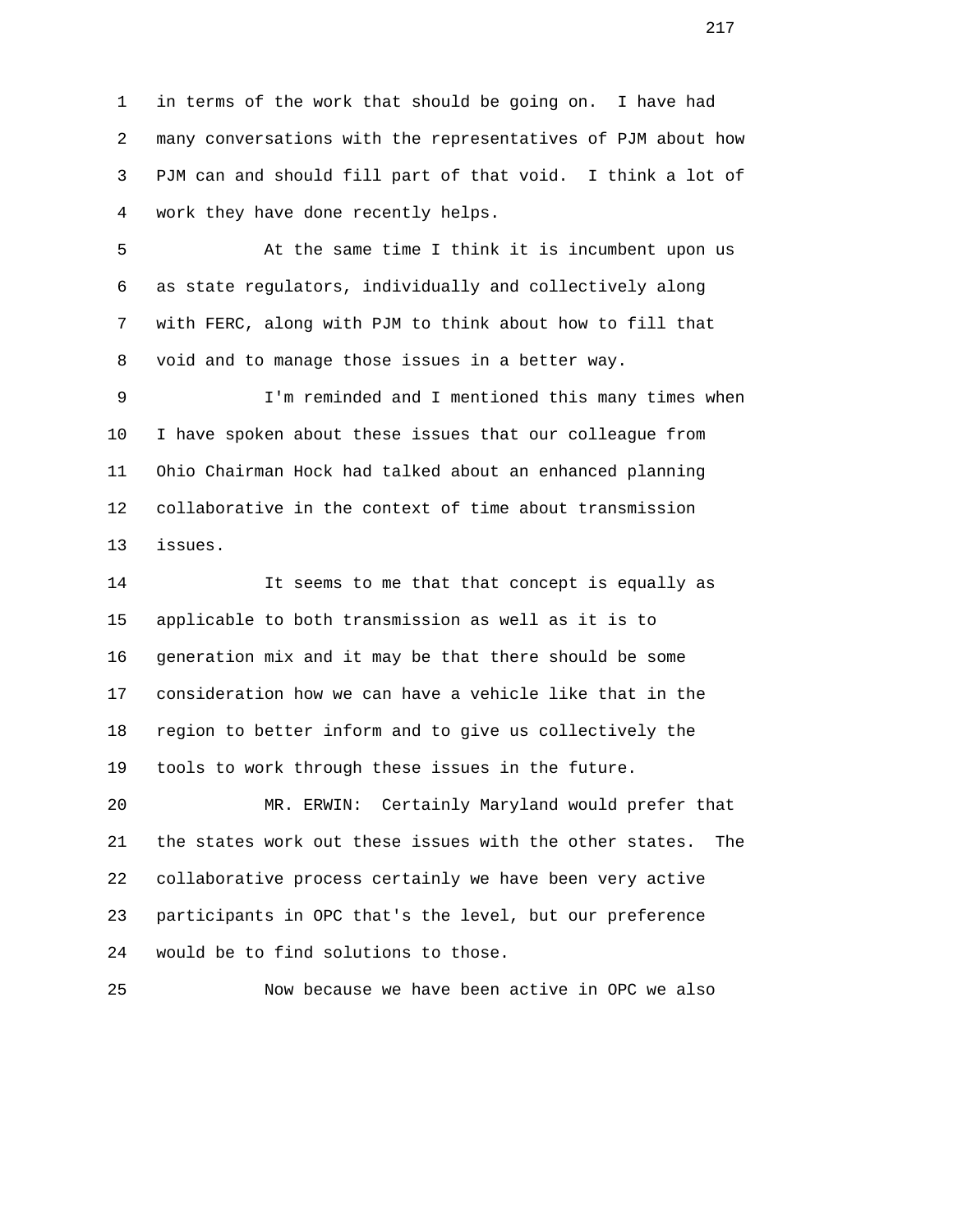1 in terms of the work that should be going on. I have had 2 many conversations with the representatives of PJM about how 3 PJM can and should fill part of that void. I think a lot of 4 work they have done recently helps.

 5 At the same time I think it is incumbent upon us 6 as state regulators, individually and collectively along 7 with FERC, along with PJM to think about how to fill that 8 void and to manage those issues in a better way.

 9 I'm reminded and I mentioned this many times when 10 I have spoken about these issues that our colleague from 11 Ohio Chairman Hock had talked about an enhanced planning 12 collaborative in the context of time about transmission 13 issues.

 14 It seems to me that that concept is equally as 15 applicable to both transmission as well as it is to 16 generation mix and it may be that there should be some 17 consideration how we can have a vehicle like that in the 18 region to better inform and to give us collectively the 19 tools to work through these issues in the future.

 20 MR. ERWIN: Certainly Maryland would prefer that 21 the states work out these issues with the other states. The 22 collaborative process certainly we have been very active 23 participants in OPC that's the level, but our preference 24 would be to find solutions to those.

25 Now because we have been active in OPC we also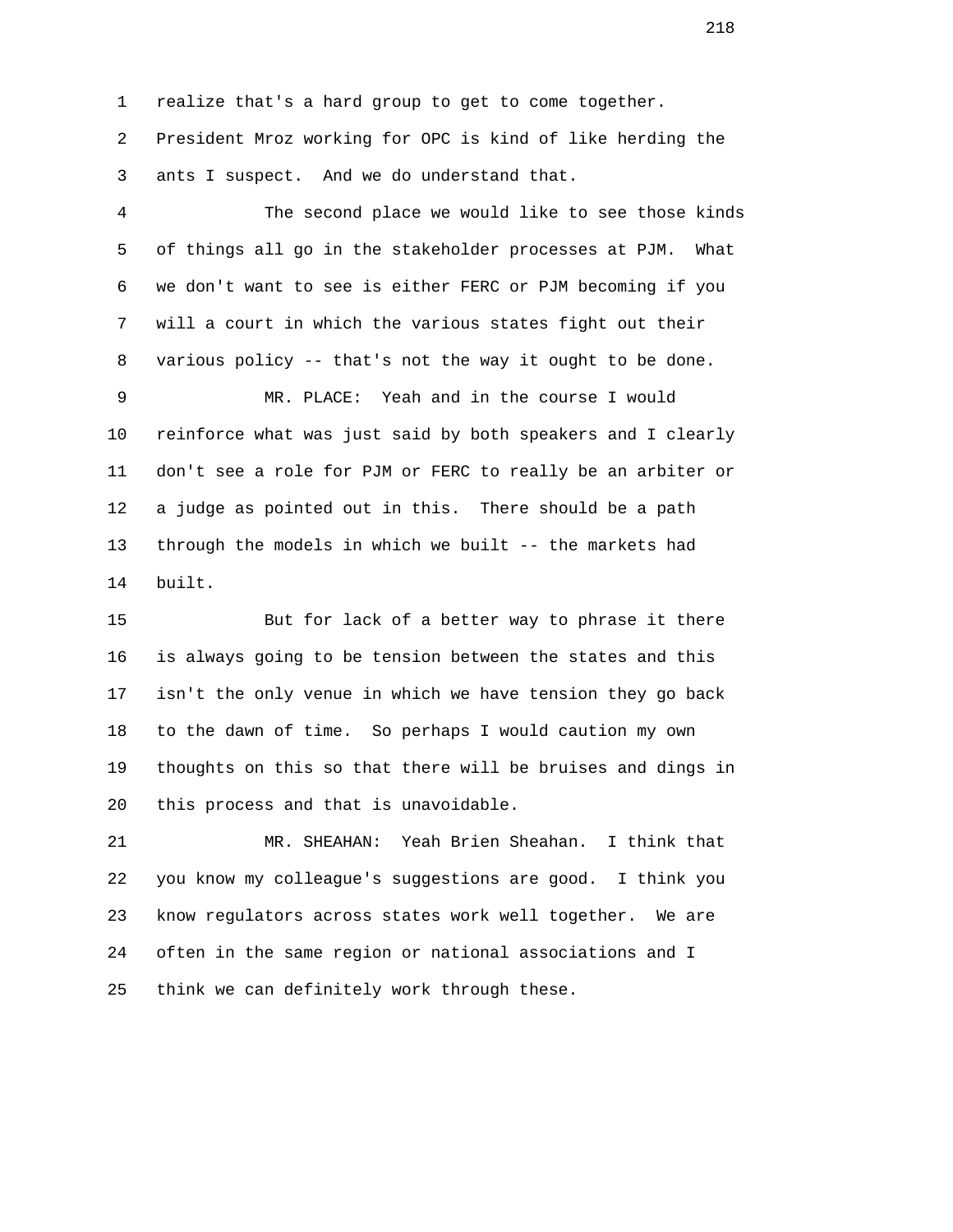1 realize that's a hard group to get to come together.

 2 President Mroz working for OPC is kind of like herding the 3 ants I suspect. And we do understand that.

 4 The second place we would like to see those kinds 5 of things all go in the stakeholder processes at PJM. What 6 we don't want to see is either FERC or PJM becoming if you 7 will a court in which the various states fight out their 8 various policy -- that's not the way it ought to be done.

 9 MR. PLACE: Yeah and in the course I would 10 reinforce what was just said by both speakers and I clearly 11 don't see a role for PJM or FERC to really be an arbiter or 12 a judge as pointed out in this. There should be a path 13 through the models in which we built -- the markets had 14 built.

 15 But for lack of a better way to phrase it there 16 is always going to be tension between the states and this 17 isn't the only venue in which we have tension they go back 18 to the dawn of time. So perhaps I would caution my own 19 thoughts on this so that there will be bruises and dings in 20 this process and that is unavoidable.

 21 MR. SHEAHAN: Yeah Brien Sheahan. I think that 22 you know my colleague's suggestions are good. I think you 23 know regulators across states work well together. We are 24 often in the same region or national associations and I 25 think we can definitely work through these.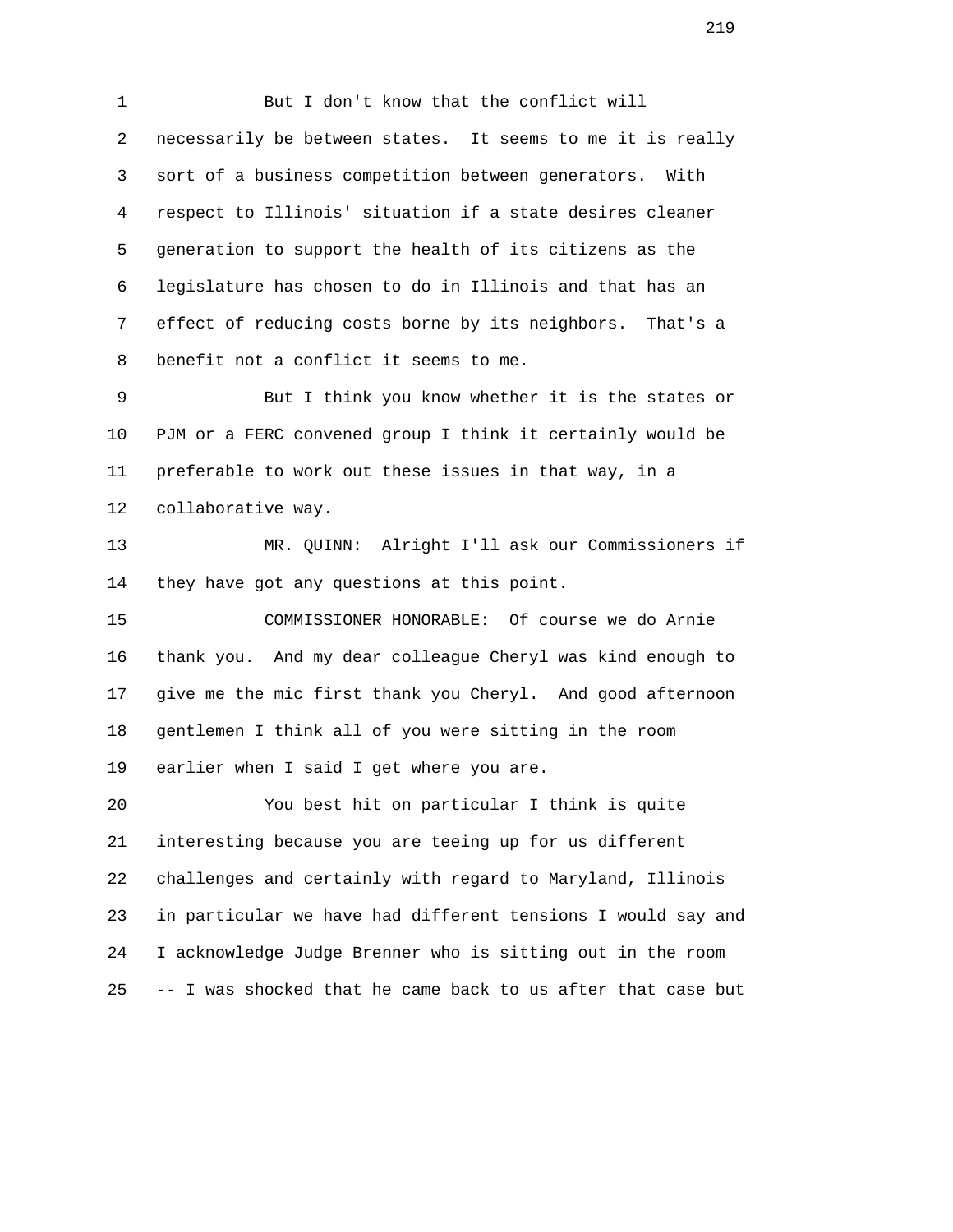1 But I don't know that the conflict will 2 necessarily be between states. It seems to me it is really 3 sort of a business competition between generators. With 4 respect to Illinois' situation if a state desires cleaner 5 generation to support the health of its citizens as the 6 legislature has chosen to do in Illinois and that has an 7 effect of reducing costs borne by its neighbors. That's a 8 benefit not a conflict it seems to me.

 9 But I think you know whether it is the states or 10 PJM or a FERC convened group I think it certainly would be 11 preferable to work out these issues in that way, in a 12 collaborative way.

 13 MR. QUINN: Alright I'll ask our Commissioners if 14 they have got any questions at this point.

 15 COMMISSIONER HONORABLE: Of course we do Arnie 16 thank you. And my dear colleague Cheryl was kind enough to 17 give me the mic first thank you Cheryl. And good afternoon 18 gentlemen I think all of you were sitting in the room 19 earlier when I said I get where you are.

 20 You best hit on particular I think is quite 21 interesting because you are teeing up for us different 22 challenges and certainly with regard to Maryland, Illinois 23 in particular we have had different tensions I would say and 24 I acknowledge Judge Brenner who is sitting out in the room 25 -- I was shocked that he came back to us after that case but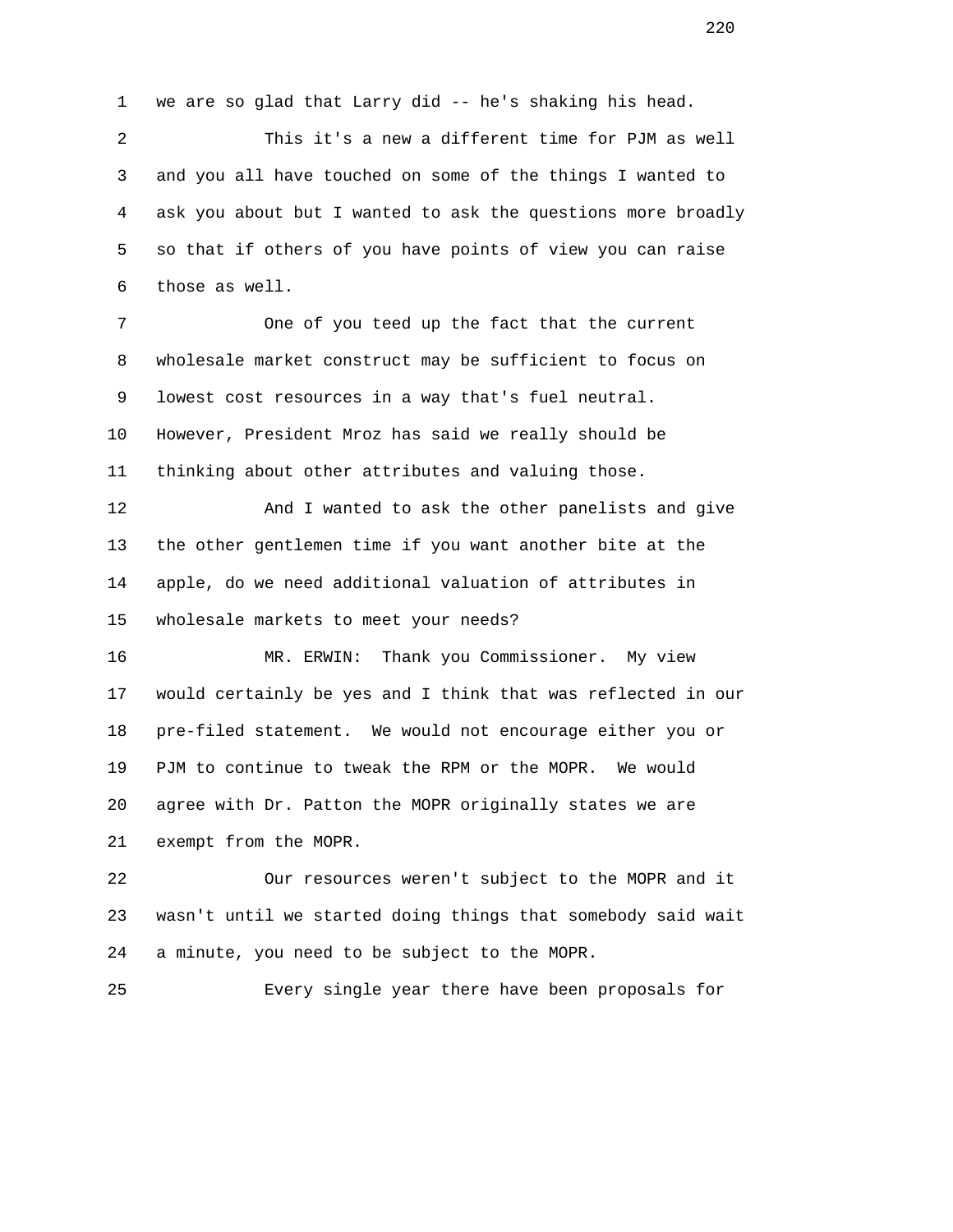1 we are so glad that Larry did -- he's shaking his head.

 2 This it's a new a different time for PJM as well 3 and you all have touched on some of the things I wanted to 4 ask you about but I wanted to ask the questions more broadly 5 so that if others of you have points of view you can raise 6 those as well.

 7 One of you teed up the fact that the current 8 wholesale market construct may be sufficient to focus on 9 lowest cost resources in a way that's fuel neutral. 10 However, President Mroz has said we really should be 11 thinking about other attributes and valuing those.

 12 And I wanted to ask the other panelists and give 13 the other gentlemen time if you want another bite at the 14 apple, do we need additional valuation of attributes in 15 wholesale markets to meet your needs?

 16 MR. ERWIN: Thank you Commissioner. My view 17 would certainly be yes and I think that was reflected in our 18 pre-filed statement. We would not encourage either you or 19 PJM to continue to tweak the RPM or the MOPR. We would 20 agree with Dr. Patton the MOPR originally states we are 21 exempt from the MOPR.

 22 Our resources weren't subject to the MOPR and it 23 wasn't until we started doing things that somebody said wait 24 a minute, you need to be subject to the MOPR.

25 Every single year there have been proposals for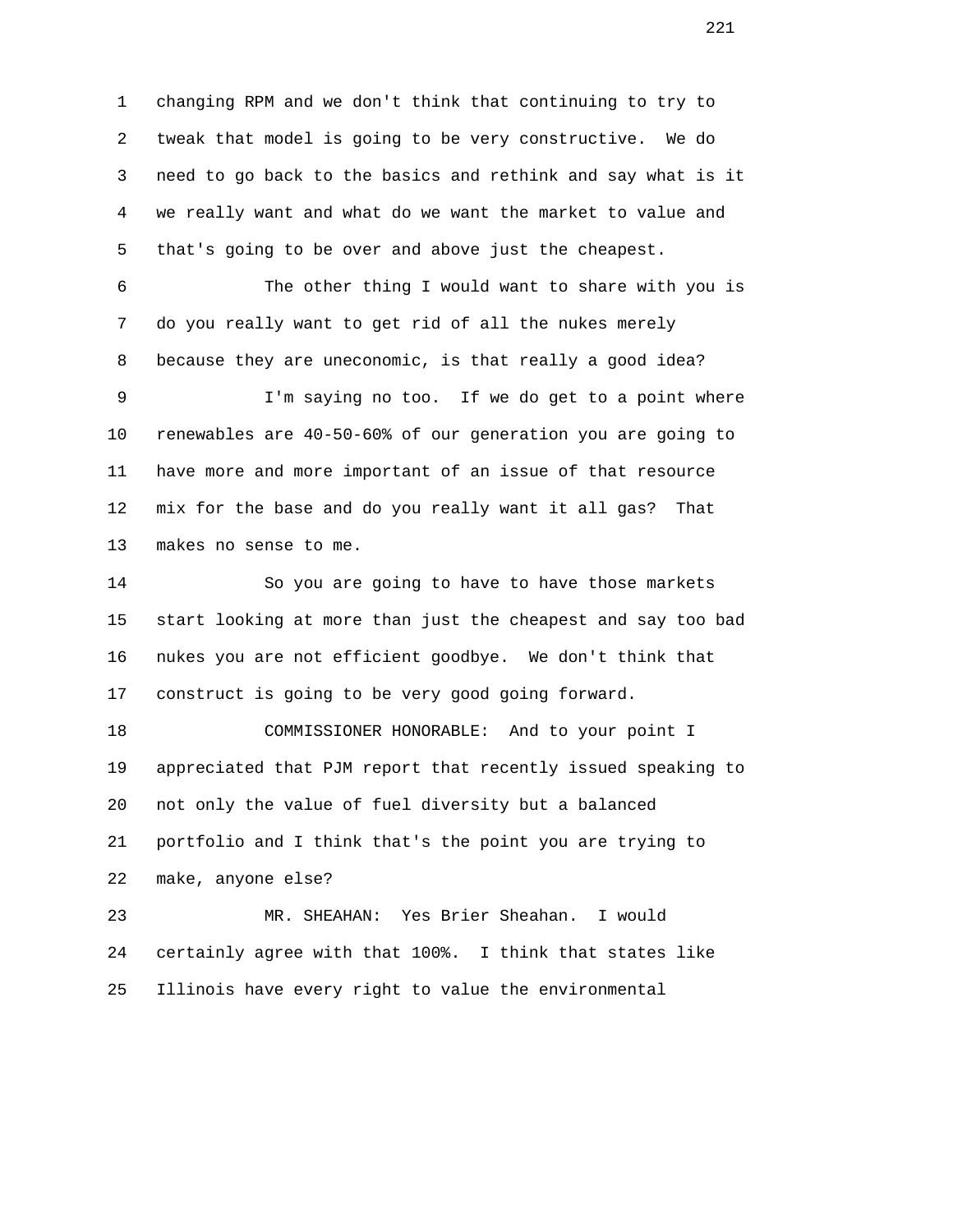1 changing RPM and we don't think that continuing to try to 2 tweak that model is going to be very constructive. We do 3 need to go back to the basics and rethink and say what is it 4 we really want and what do we want the market to value and 5 that's going to be over and above just the cheapest. 6 The other thing I would want to share with you is

 7 do you really want to get rid of all the nukes merely 8 because they are uneconomic, is that really a good idea?

 9 I'm saying no too. If we do get to a point where 10 renewables are 40-50-60% of our generation you are going to 11 have more and more important of an issue of that resource 12 mix for the base and do you really want it all gas? That 13 makes no sense to me.

 14 So you are going to have to have those markets 15 start looking at more than just the cheapest and say too bad 16 nukes you are not efficient goodbye. We don't think that 17 construct is going to be very good going forward.

 18 COMMISSIONER HONORABLE: And to your point I 19 appreciated that PJM report that recently issued speaking to 20 not only the value of fuel diversity but a balanced 21 portfolio and I think that's the point you are trying to 22 make, anyone else?

 23 MR. SHEAHAN: Yes Brier Sheahan. I would 24 certainly agree with that 100%. I think that states like 25 Illinois have every right to value the environmental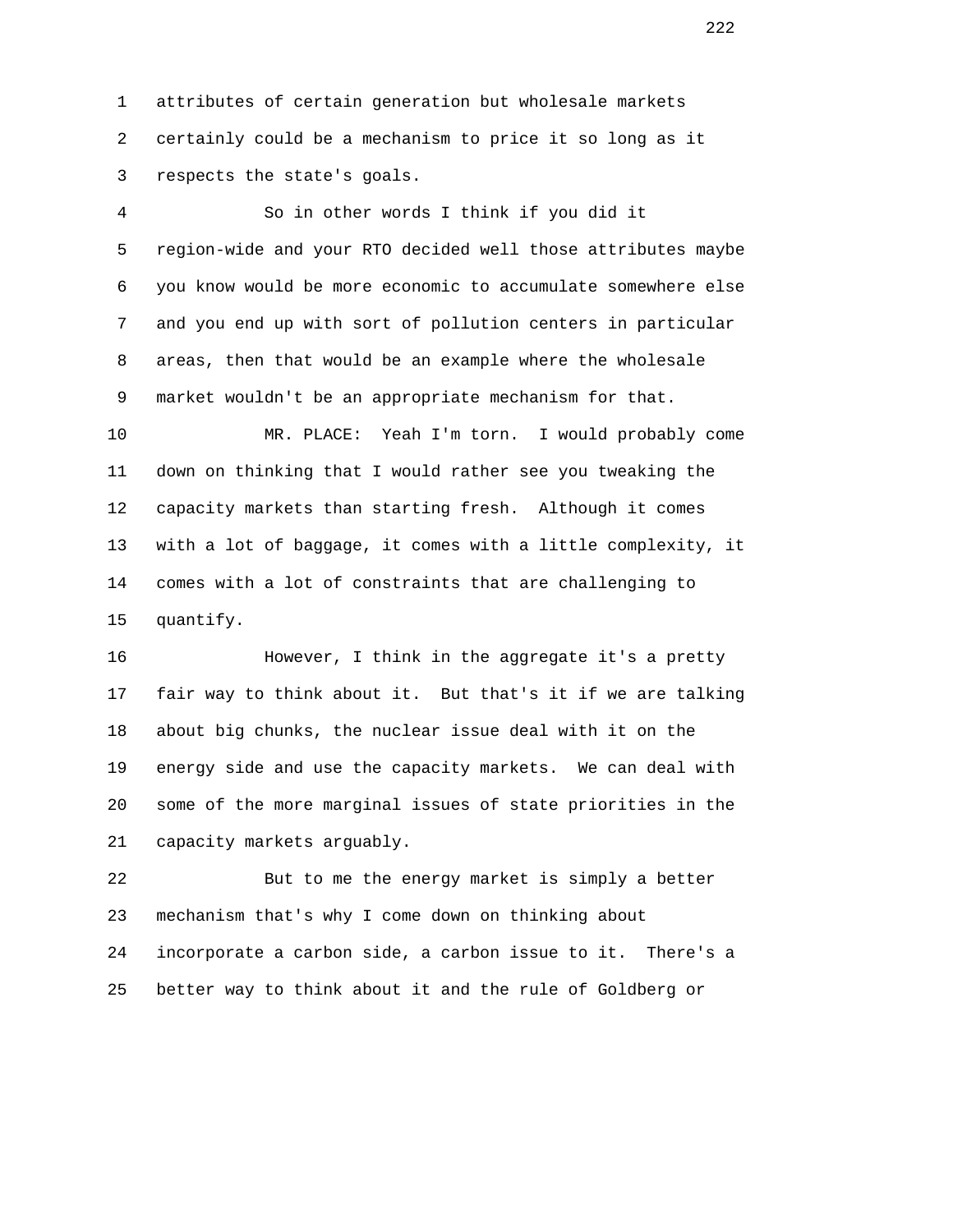1 attributes of certain generation but wholesale markets 2 certainly could be a mechanism to price it so long as it 3 respects the state's goals.

 4 So in other words I think if you did it 5 region-wide and your RTO decided well those attributes maybe 6 you know would be more economic to accumulate somewhere else 7 and you end up with sort of pollution centers in particular 8 areas, then that would be an example where the wholesale 9 market wouldn't be an appropriate mechanism for that.

 10 MR. PLACE: Yeah I'm torn. I would probably come 11 down on thinking that I would rather see you tweaking the 12 capacity markets than starting fresh. Although it comes 13 with a lot of baggage, it comes with a little complexity, it 14 comes with a lot of constraints that are challenging to 15 quantify.

 16 However, I think in the aggregate it's a pretty 17 fair way to think about it. But that's it if we are talking 18 about big chunks, the nuclear issue deal with it on the 19 energy side and use the capacity markets. We can deal with 20 some of the more marginal issues of state priorities in the 21 capacity markets arguably.

 22 But to me the energy market is simply a better 23 mechanism that's why I come down on thinking about 24 incorporate a carbon side, a carbon issue to it. There's a 25 better way to think about it and the rule of Goldberg or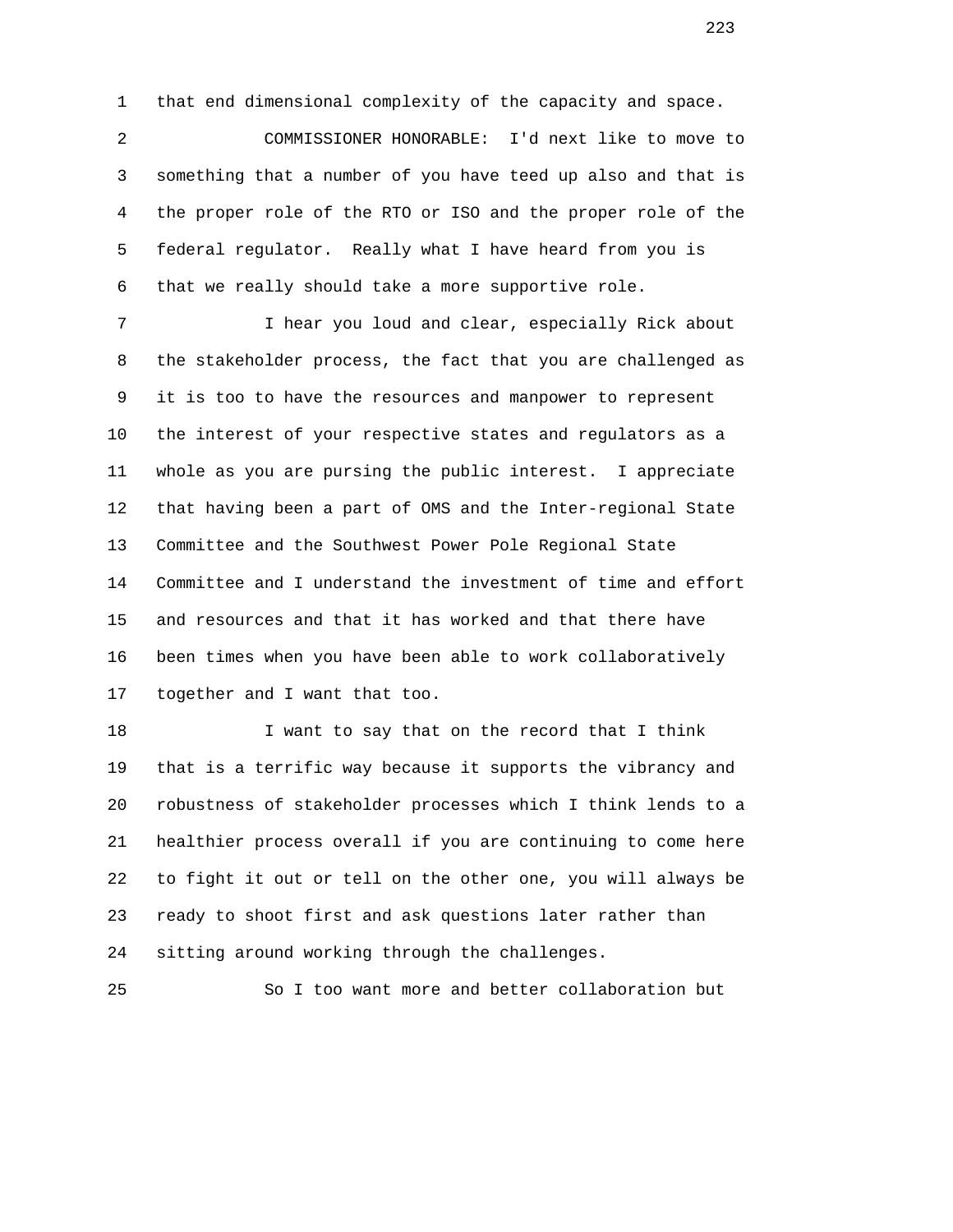1 that end dimensional complexity of the capacity and space.

 2 COMMISSIONER HONORABLE: I'd next like to move to 3 something that a number of you have teed up also and that is 4 the proper role of the RTO or ISO and the proper role of the 5 federal regulator. Really what I have heard from you is 6 that we really should take a more supportive role.

 7 I hear you loud and clear, especially Rick about 8 the stakeholder process, the fact that you are challenged as 9 it is too to have the resources and manpower to represent 10 the interest of your respective states and regulators as a 11 whole as you are pursing the public interest. I appreciate 12 that having been a part of OMS and the Inter-regional State 13 Committee and the Southwest Power Pole Regional State 14 Committee and I understand the investment of time and effort 15 and resources and that it has worked and that there have 16 been times when you have been able to work collaboratively 17 together and I want that too.

 18 I want to say that on the record that I think 19 that is a terrific way because it supports the vibrancy and 20 robustness of stakeholder processes which I think lends to a 21 healthier process overall if you are continuing to come here 22 to fight it out or tell on the other one, you will always be 23 ready to shoot first and ask questions later rather than 24 sitting around working through the challenges.

25 So I too want more and better collaboration but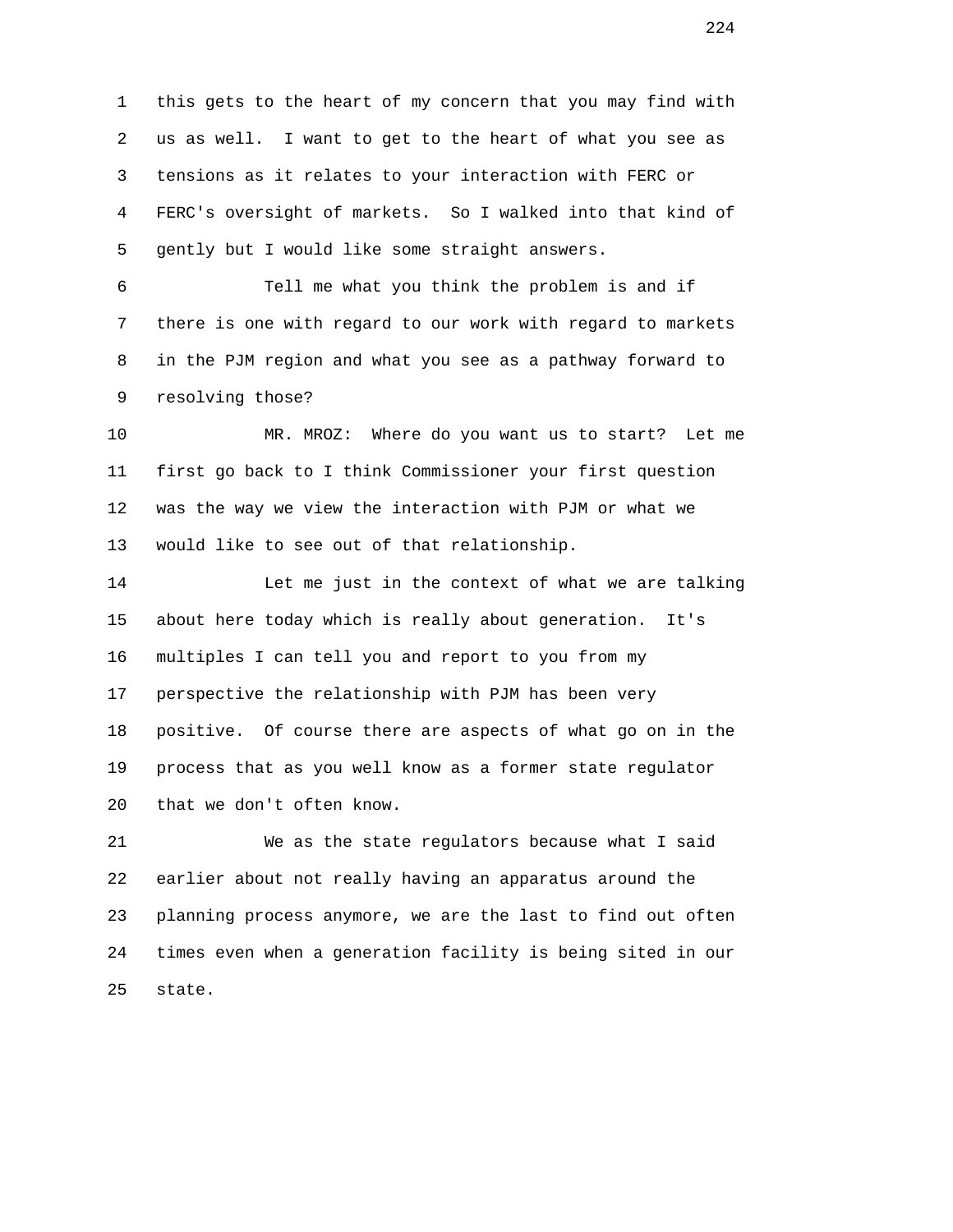1 this gets to the heart of my concern that you may find with 2 us as well. I want to get to the heart of what you see as 3 tensions as it relates to your interaction with FERC or 4 FERC's oversight of markets. So I walked into that kind of 5 gently but I would like some straight answers.

 6 Tell me what you think the problem is and if 7 there is one with regard to our work with regard to markets 8 in the PJM region and what you see as a pathway forward to 9 resolving those?

 10 MR. MROZ: Where do you want us to start? Let me 11 first go back to I think Commissioner your first question 12 was the way we view the interaction with PJM or what we 13 would like to see out of that relationship.

 14 Let me just in the context of what we are talking 15 about here today which is really about generation. It's 16 multiples I can tell you and report to you from my 17 perspective the relationship with PJM has been very 18 positive. Of course there are aspects of what go on in the 19 process that as you well know as a former state regulator 20 that we don't often know.

 21 We as the state regulators because what I said 22 earlier about not really having an apparatus around the 23 planning process anymore, we are the last to find out often 24 times even when a generation facility is being sited in our 25 state.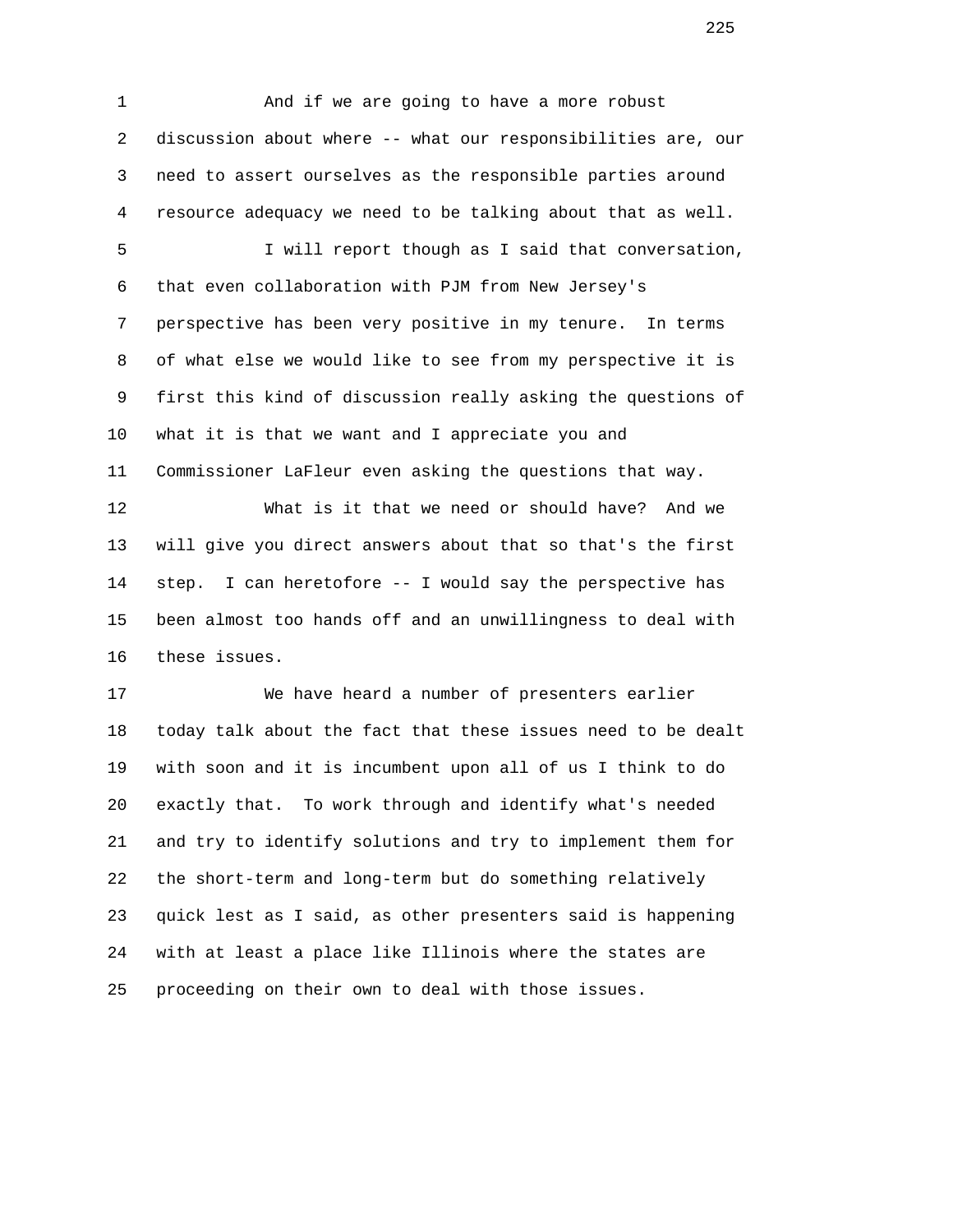1 And if we are going to have a more robust 2 discussion about where -- what our responsibilities are, our 3 need to assert ourselves as the responsible parties around 4 resource adequacy we need to be talking about that as well. 5 I will report though as I said that conversation, 6 that even collaboration with PJM from New Jersey's 7 perspective has been very positive in my tenure. In terms 8 of what else we would like to see from my perspective it is 9 first this kind of discussion really asking the questions of 10 what it is that we want and I appreciate you and 11 Commissioner LaFleur even asking the questions that way. 12 What is it that we need or should have? And we 13 will give you direct answers about that so that's the first 14 step. I can heretofore -- I would say the perspective has 15 been almost too hands off and an unwillingness to deal with 16 these issues.

 17 We have heard a number of presenters earlier 18 today talk about the fact that these issues need to be dealt 19 with soon and it is incumbent upon all of us I think to do 20 exactly that. To work through and identify what's needed 21 and try to identify solutions and try to implement them for 22 the short-term and long-term but do something relatively 23 quick lest as I said, as other presenters said is happening 24 with at least a place like Illinois where the states are 25 proceeding on their own to deal with those issues.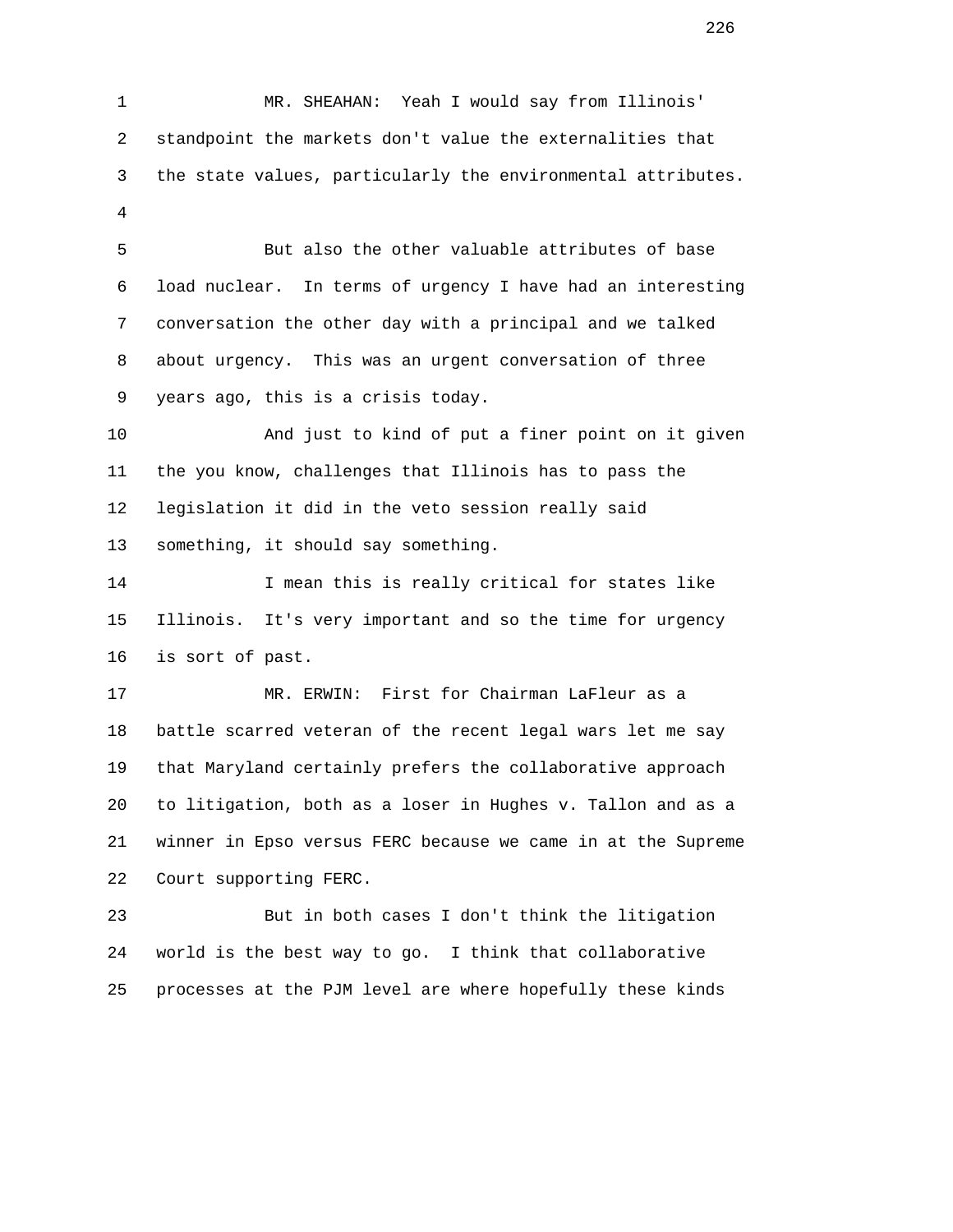1 MR. SHEAHAN: Yeah I would say from Illinois' 2 standpoint the markets don't value the externalities that 3 the state values, particularly the environmental attributes. 4 5 But also the other valuable attributes of base 6 load nuclear. In terms of urgency I have had an interesting 7 conversation the other day with a principal and we talked 8 about urgency. This was an urgent conversation of three 9 years ago, this is a crisis today. 10 And just to kind of put a finer point on it given 11 the you know, challenges that Illinois has to pass the 12 legislation it did in the veto session really said 13 something, it should say something. 14 I mean this is really critical for states like 15 Illinois. It's very important and so the time for urgency 16 is sort of past. 17 MR. ERWIN: First for Chairman LaFleur as a 18 battle scarred veteran of the recent legal wars let me say 19 that Maryland certainly prefers the collaborative approach 20 to litigation, both as a loser in Hughes v. Tallon and as a 21 winner in Epso versus FERC because we came in at the Supreme 22 Court supporting FERC. 23 But in both cases I don't think the litigation 24 world is the best way to go. I think that collaborative

25 processes at the PJM level are where hopefully these kinds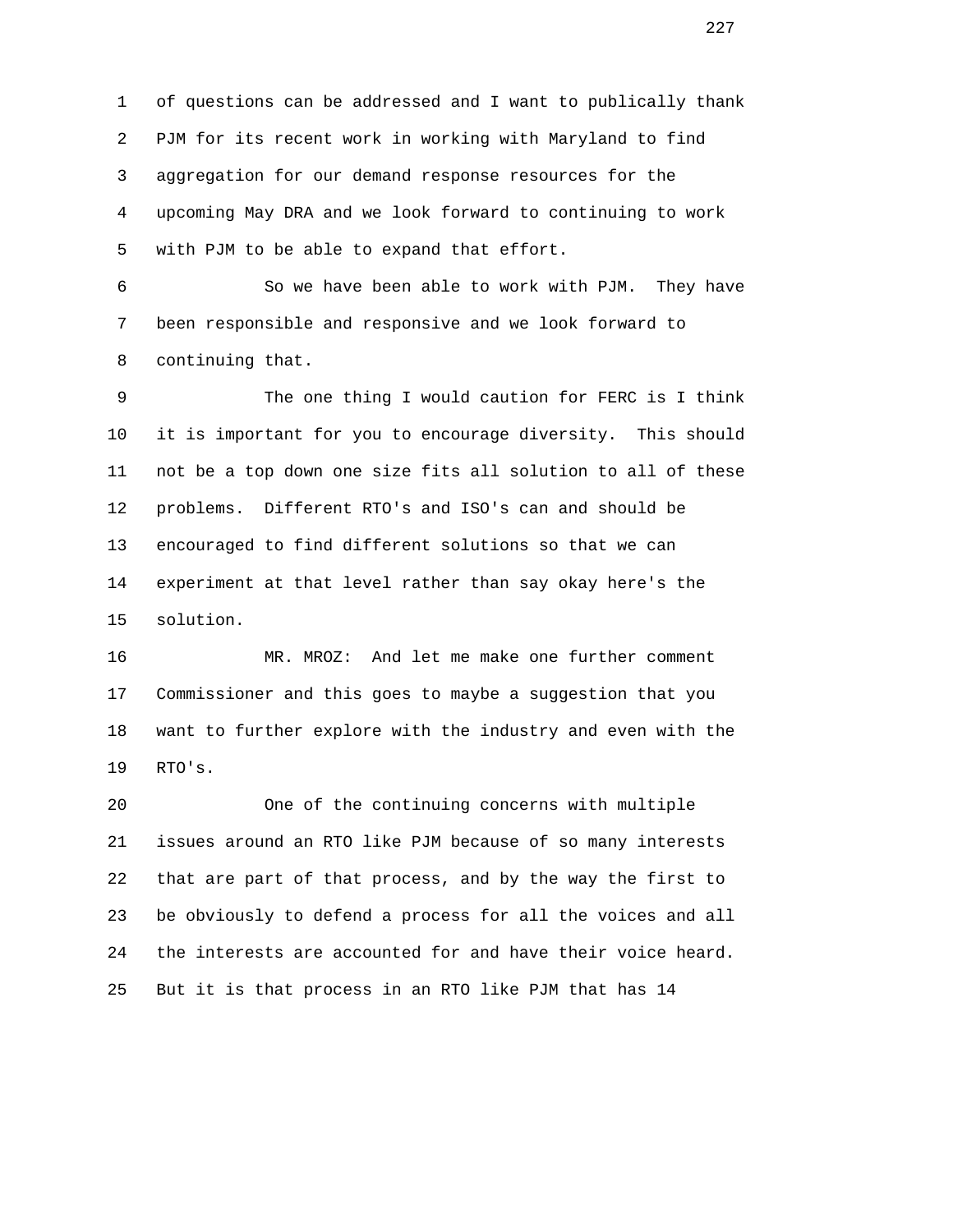1 of questions can be addressed and I want to publically thank 2 PJM for its recent work in working with Maryland to find 3 aggregation for our demand response resources for the 4 upcoming May DRA and we look forward to continuing to work 5 with PJM to be able to expand that effort.

 6 So we have been able to work with PJM. They have 7 been responsible and responsive and we look forward to 8 continuing that.

 9 The one thing I would caution for FERC is I think 10 it is important for you to encourage diversity. This should 11 not be a top down one size fits all solution to all of these 12 problems. Different RTO's and ISO's can and should be 13 encouraged to find different solutions so that we can 14 experiment at that level rather than say okay here's the 15 solution.

 16 MR. MROZ: And let me make one further comment 17 Commissioner and this goes to maybe a suggestion that you 18 want to further explore with the industry and even with the 19 RTO's.

 20 One of the continuing concerns with multiple 21 issues around an RTO like PJM because of so many interests 22 that are part of that process, and by the way the first to 23 be obviously to defend a process for all the voices and all 24 the interests are accounted for and have their voice heard. 25 But it is that process in an RTO like PJM that has 14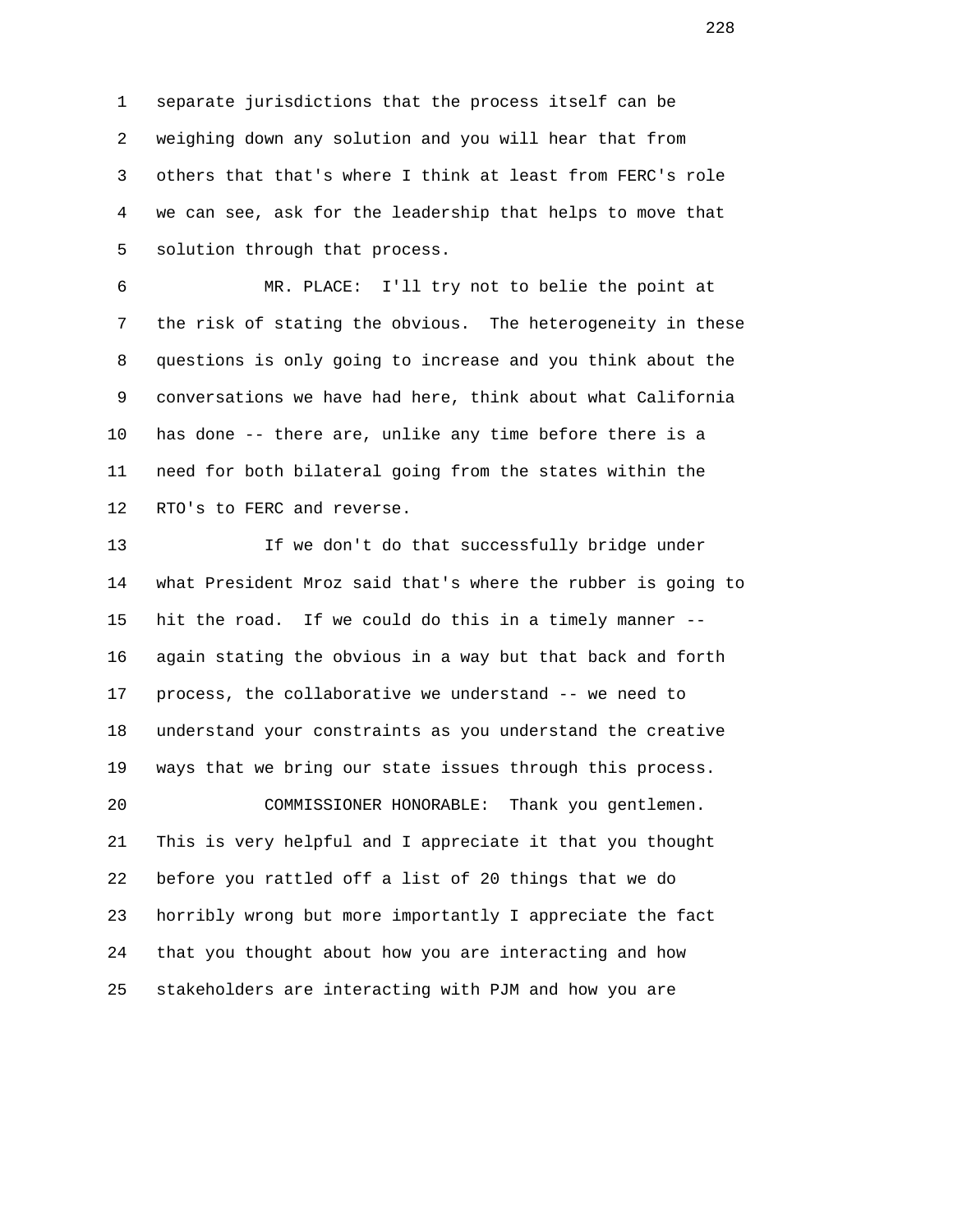1 separate jurisdictions that the process itself can be 2 weighing down any solution and you will hear that from 3 others that that's where I think at least from FERC's role 4 we can see, ask for the leadership that helps to move that 5 solution through that process.

 6 MR. PLACE: I'll try not to belie the point at 7 the risk of stating the obvious. The heterogeneity in these 8 questions is only going to increase and you think about the 9 conversations we have had here, think about what California 10 has done -- there are, unlike any time before there is a 11 need for both bilateral going from the states within the 12 RTO's to FERC and reverse.

 13 If we don't do that successfully bridge under 14 what President Mroz said that's where the rubber is going to 15 hit the road. If we could do this in a timely manner -- 16 again stating the obvious in a way but that back and forth 17 process, the collaborative we understand -- we need to 18 understand your constraints as you understand the creative 19 ways that we bring our state issues through this process. 20 COMMISSIONER HONORABLE: Thank you gentlemen. 21 This is very helpful and I appreciate it that you thought 22 before you rattled off a list of 20 things that we do 23 horribly wrong but more importantly I appreciate the fact 24 that you thought about how you are interacting and how 25 stakeholders are interacting with PJM and how you are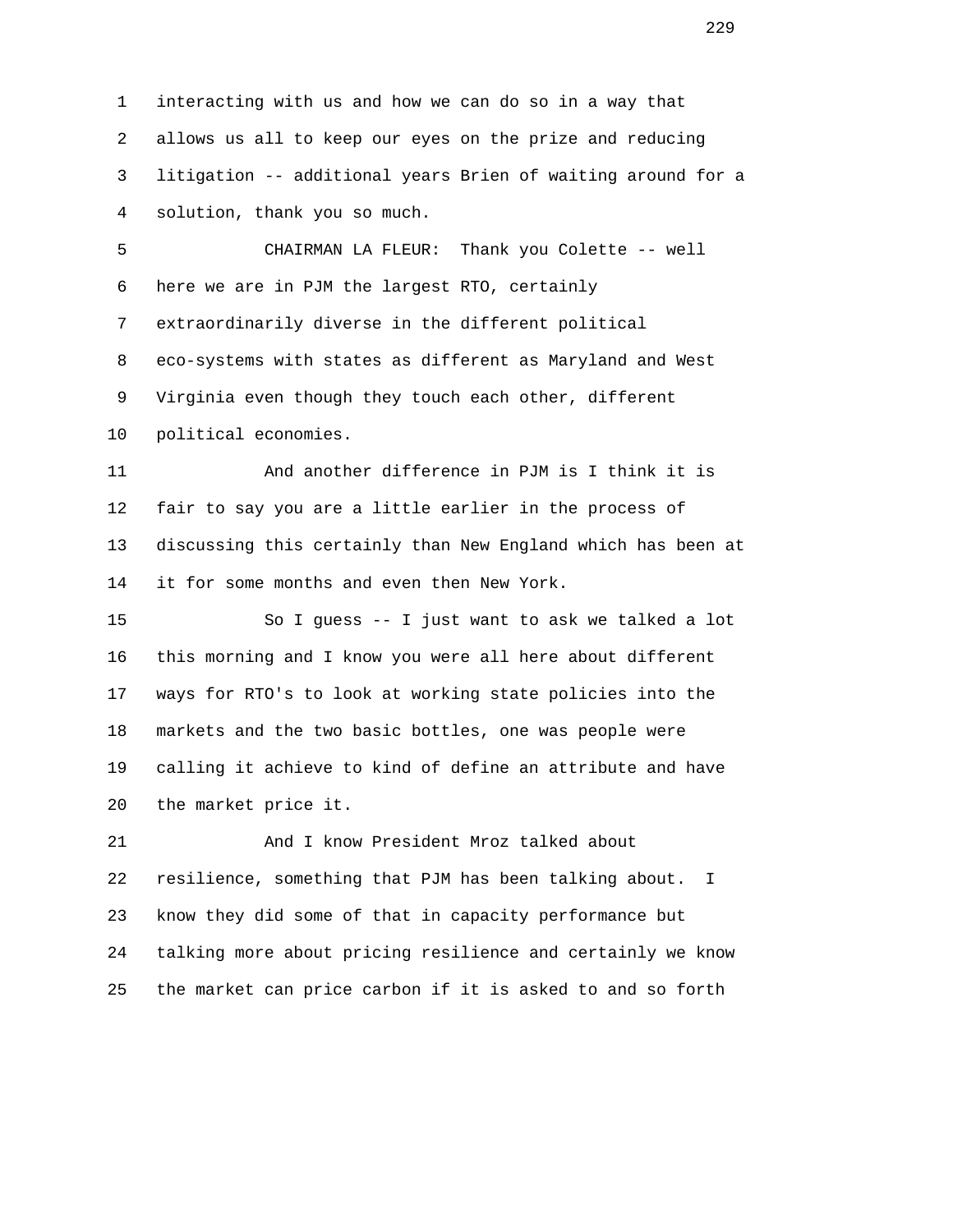1 interacting with us and how we can do so in a way that 2 allows us all to keep our eyes on the prize and reducing 3 litigation -- additional years Brien of waiting around for a 4 solution, thank you so much. 5 CHAIRMAN LA FLEUR: Thank you Colette -- well 6 here we are in PJM the largest RTO, certainly 7 extraordinarily diverse in the different political 8 eco-systems with states as different as Maryland and West 9 Virginia even though they touch each other, different 10 political economies. 11 And another difference in PJM is I think it is 12 fair to say you are a little earlier in the process of 13 discussing this certainly than New England which has been at 14 it for some months and even then New York. 15 So I guess -- I just want to ask we talked a lot 16 this morning and I know you were all here about different 17 ways for RTO's to look at working state policies into the 18 markets and the two basic bottles, one was people were 19 calling it achieve to kind of define an attribute and have 20 the market price it. 21 And I know President Mroz talked about 22 resilience, something that PJM has been talking about. I 23 know they did some of that in capacity performance but 24 talking more about pricing resilience and certainly we know

25 the market can price carbon if it is asked to and so forth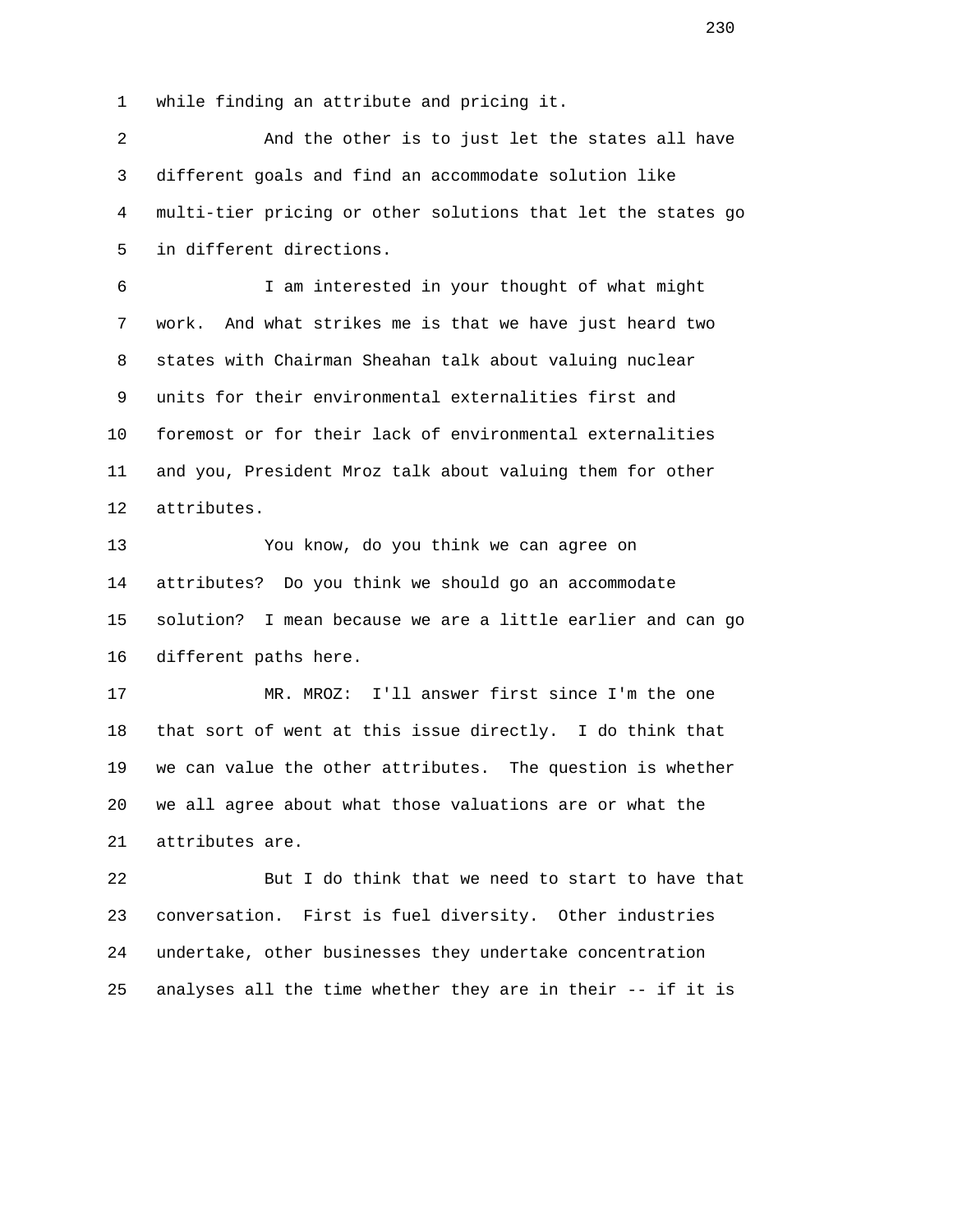1 while finding an attribute and pricing it.

 2 And the other is to just let the states all have 3 different goals and find an accommodate solution like 4 multi-tier pricing or other solutions that let the states go 5 in different directions.

 6 I am interested in your thought of what might 7 work. And what strikes me is that we have just heard two 8 states with Chairman Sheahan talk about valuing nuclear 9 units for their environmental externalities first and 10 foremost or for their lack of environmental externalities 11 and you, President Mroz talk about valuing them for other 12 attributes.

 13 You know, do you think we can agree on 14 attributes? Do you think we should go an accommodate 15 solution? I mean because we are a little earlier and can go 16 different paths here.

 17 MR. MROZ: I'll answer first since I'm the one 18 that sort of went at this issue directly. I do think that 19 we can value the other attributes. The question is whether 20 we all agree about what those valuations are or what the 21 attributes are.

 22 But I do think that we need to start to have that 23 conversation. First is fuel diversity. Other industries 24 undertake, other businesses they undertake concentration 25 analyses all the time whether they are in their -- if it is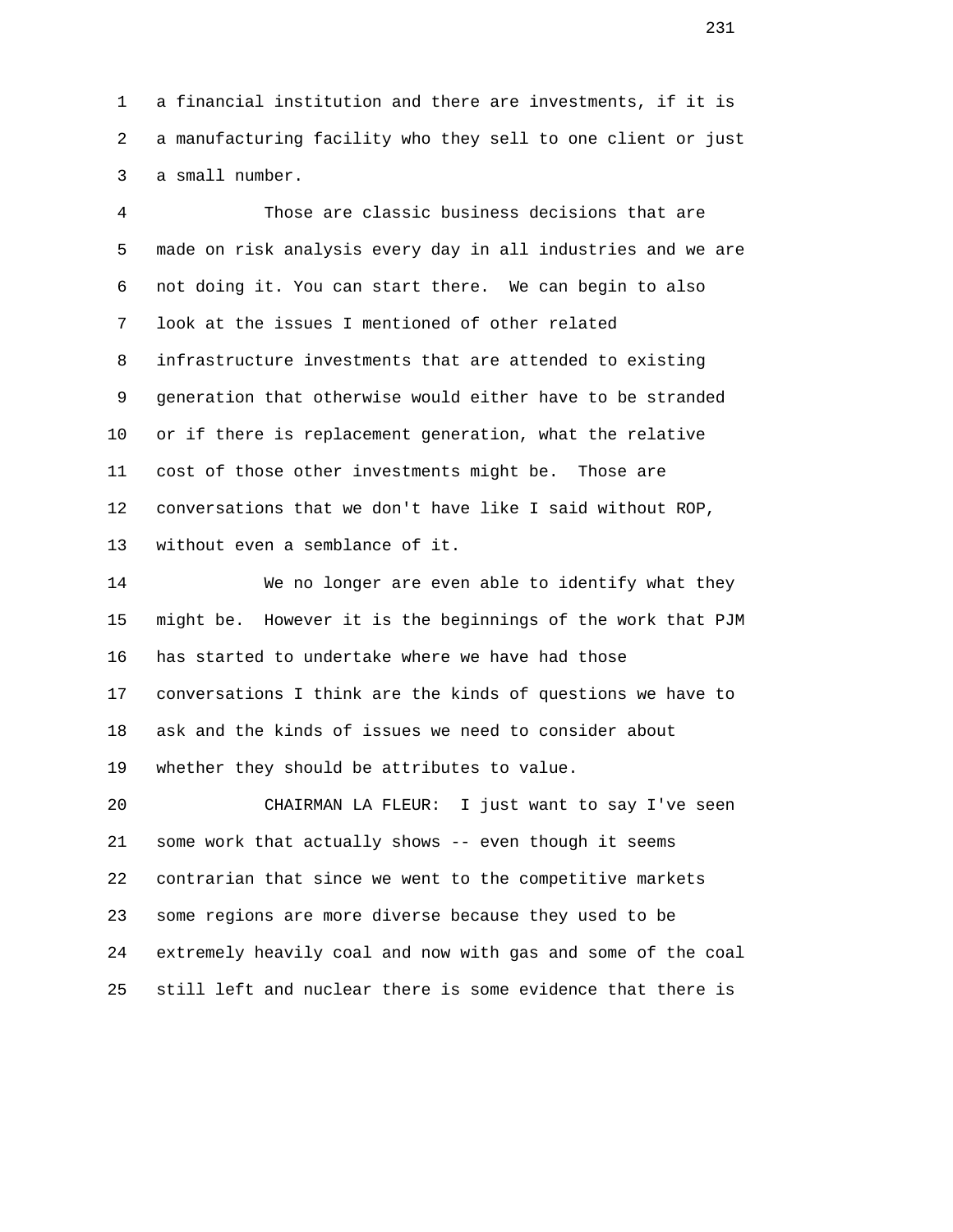1 a financial institution and there are investments, if it is 2 a manufacturing facility who they sell to one client or just 3 a small number.

 4 Those are classic business decisions that are 5 made on risk analysis every day in all industries and we are 6 not doing it. You can start there. We can begin to also 7 look at the issues I mentioned of other related 8 infrastructure investments that are attended to existing 9 generation that otherwise would either have to be stranded 10 or if there is replacement generation, what the relative 11 cost of those other investments might be. Those are 12 conversations that we don't have like I said without ROP, 13 without even a semblance of it.

 14 We no longer are even able to identify what they 15 might be. However it is the beginnings of the work that PJM 16 has started to undertake where we have had those 17 conversations I think are the kinds of questions we have to 18 ask and the kinds of issues we need to consider about 19 whether they should be attributes to value.

 20 CHAIRMAN LA FLEUR: I just want to say I've seen 21 some work that actually shows -- even though it seems 22 contrarian that since we went to the competitive markets 23 some regions are more diverse because they used to be 24 extremely heavily coal and now with gas and some of the coal 25 still left and nuclear there is some evidence that there is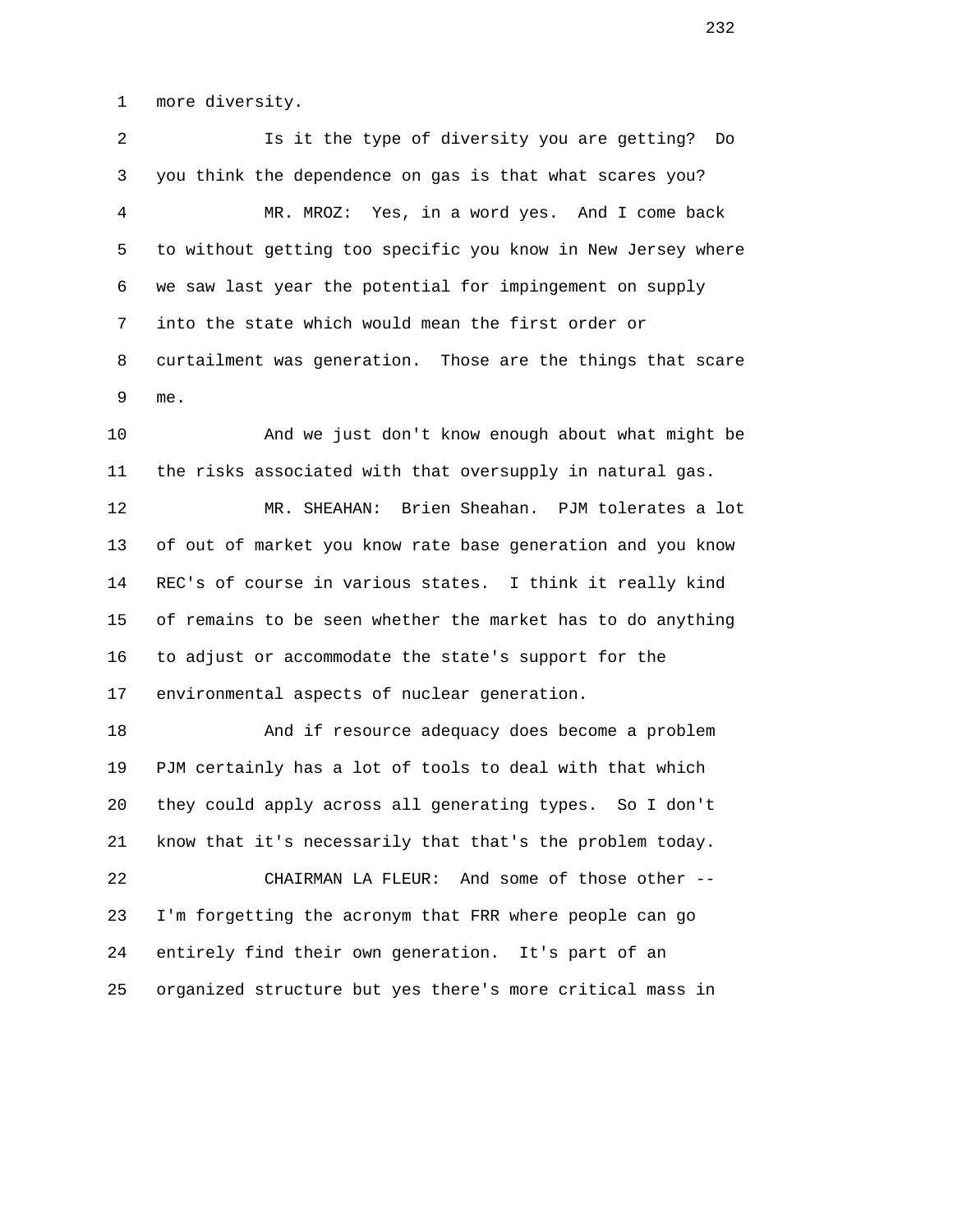1 more diversity.

 2 Is it the type of diversity you are getting? Do 3 you think the dependence on gas is that what scares you? 4 MR. MROZ: Yes, in a word yes. And I come back 5 to without getting too specific you know in New Jersey where 6 we saw last year the potential for impingement on supply 7 into the state which would mean the first order or 8 curtailment was generation. Those are the things that scare 9 me.

 10 And we just don't know enough about what might be 11 the risks associated with that oversupply in natural gas.

 12 MR. SHEAHAN: Brien Sheahan. PJM tolerates a lot 13 of out of market you know rate base generation and you know 14 REC's of course in various states. I think it really kind 15 of remains to be seen whether the market has to do anything 16 to adjust or accommodate the state's support for the 17 environmental aspects of nuclear generation.

 18 And if resource adequacy does become a problem 19 PJM certainly has a lot of tools to deal with that which 20 they could apply across all generating types. So I don't 21 know that it's necessarily that that's the problem today. 22 CHAIRMAN LA FLEUR: And some of those other --

 23 I'm forgetting the acronym that FRR where people can go 24 entirely find their own generation. It's part of an 25 organized structure but yes there's more critical mass in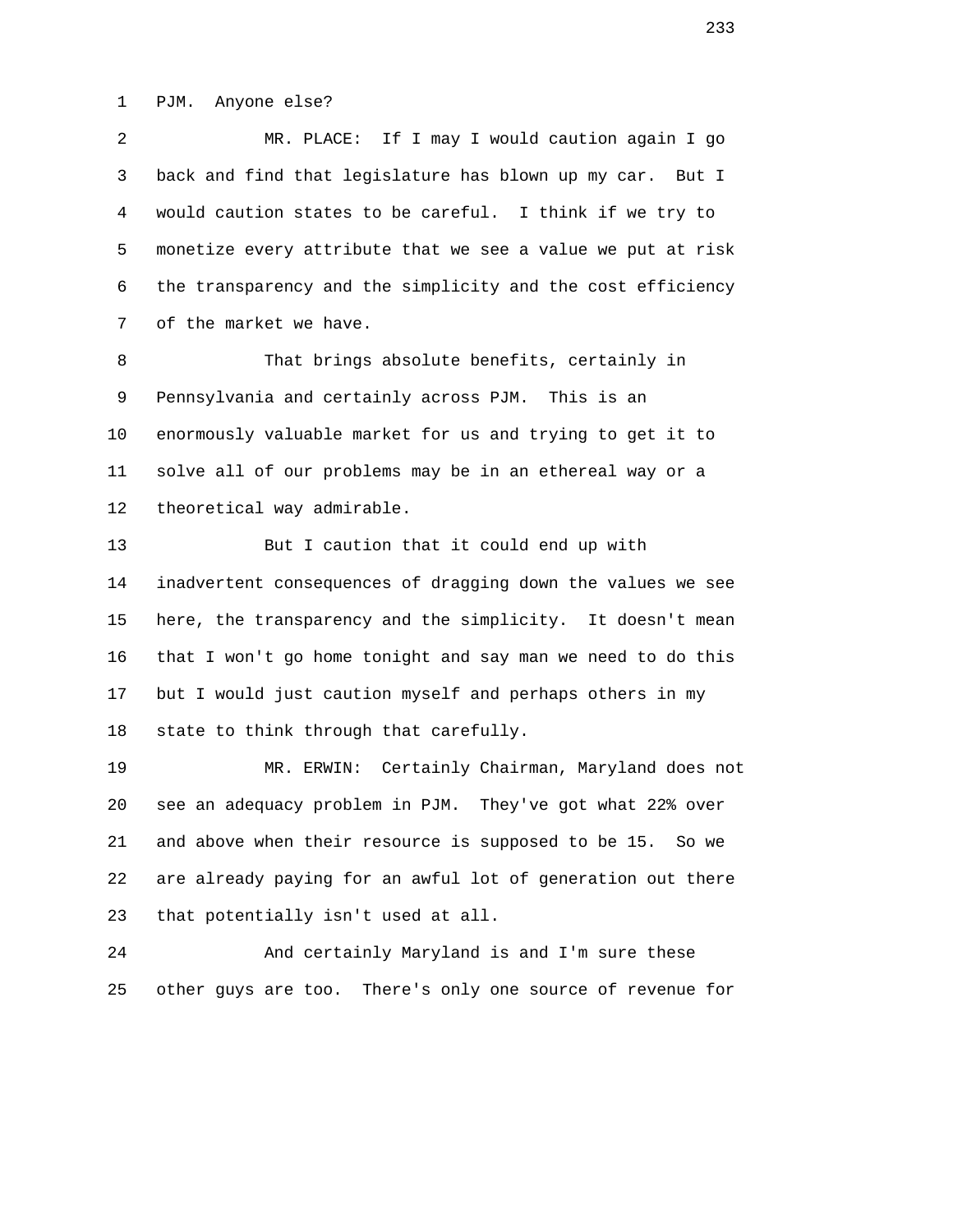1 PJM. Anyone else?

 2 MR. PLACE: If I may I would caution again I go 3 back and find that legislature has blown up my car. But I 4 would caution states to be careful. I think if we try to 5 monetize every attribute that we see a value we put at risk 6 the transparency and the simplicity and the cost efficiency 7 of the market we have.

 8 That brings absolute benefits, certainly in 9 Pennsylvania and certainly across PJM. This is an 10 enormously valuable market for us and trying to get it to 11 solve all of our problems may be in an ethereal way or a 12 theoretical way admirable.

 13 But I caution that it could end up with 14 inadvertent consequences of dragging down the values we see 15 here, the transparency and the simplicity. It doesn't mean 16 that I won't go home tonight and say man we need to do this 17 but I would just caution myself and perhaps others in my 18 state to think through that carefully.

 19 MR. ERWIN: Certainly Chairman, Maryland does not 20 see an adequacy problem in PJM. They've got what 22% over 21 and above when their resource is supposed to be 15. So we 22 are already paying for an awful lot of generation out there 23 that potentially isn't used at all.

 24 And certainly Maryland is and I'm sure these 25 other guys are too. There's only one source of revenue for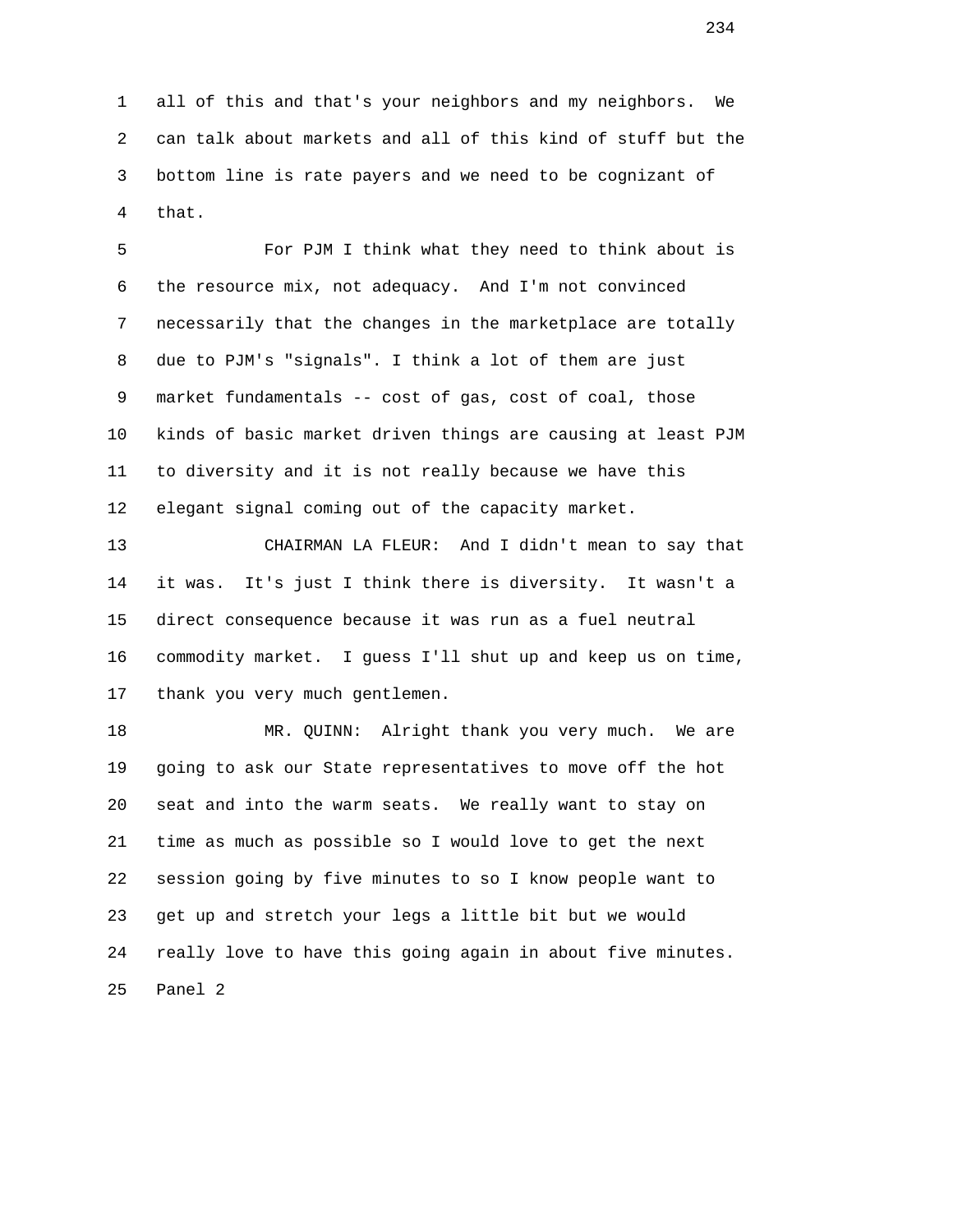1 all of this and that's your neighbors and my neighbors. We 2 can talk about markets and all of this kind of stuff but the 3 bottom line is rate payers and we need to be cognizant of 4 that.

 5 For PJM I think what they need to think about is 6 the resource mix, not adequacy. And I'm not convinced 7 necessarily that the changes in the marketplace are totally 8 due to PJM's "signals". I think a lot of them are just 9 market fundamentals -- cost of gas, cost of coal, those 10 kinds of basic market driven things are causing at least PJM 11 to diversity and it is not really because we have this 12 elegant signal coming out of the capacity market.

 13 CHAIRMAN LA FLEUR: And I didn't mean to say that 14 it was. It's just I think there is diversity. It wasn't a 15 direct consequence because it was run as a fuel neutral 16 commodity market. I guess I'll shut up and keep us on time, 17 thank you very much gentlemen.

 18 MR. QUINN: Alright thank you very much. We are 19 going to ask our State representatives to move off the hot 20 seat and into the warm seats. We really want to stay on 21 time as much as possible so I would love to get the next 22 session going by five minutes to so I know people want to 23 get up and stretch your legs a little bit but we would 24 really love to have this going again in about five minutes. 25 Panel 2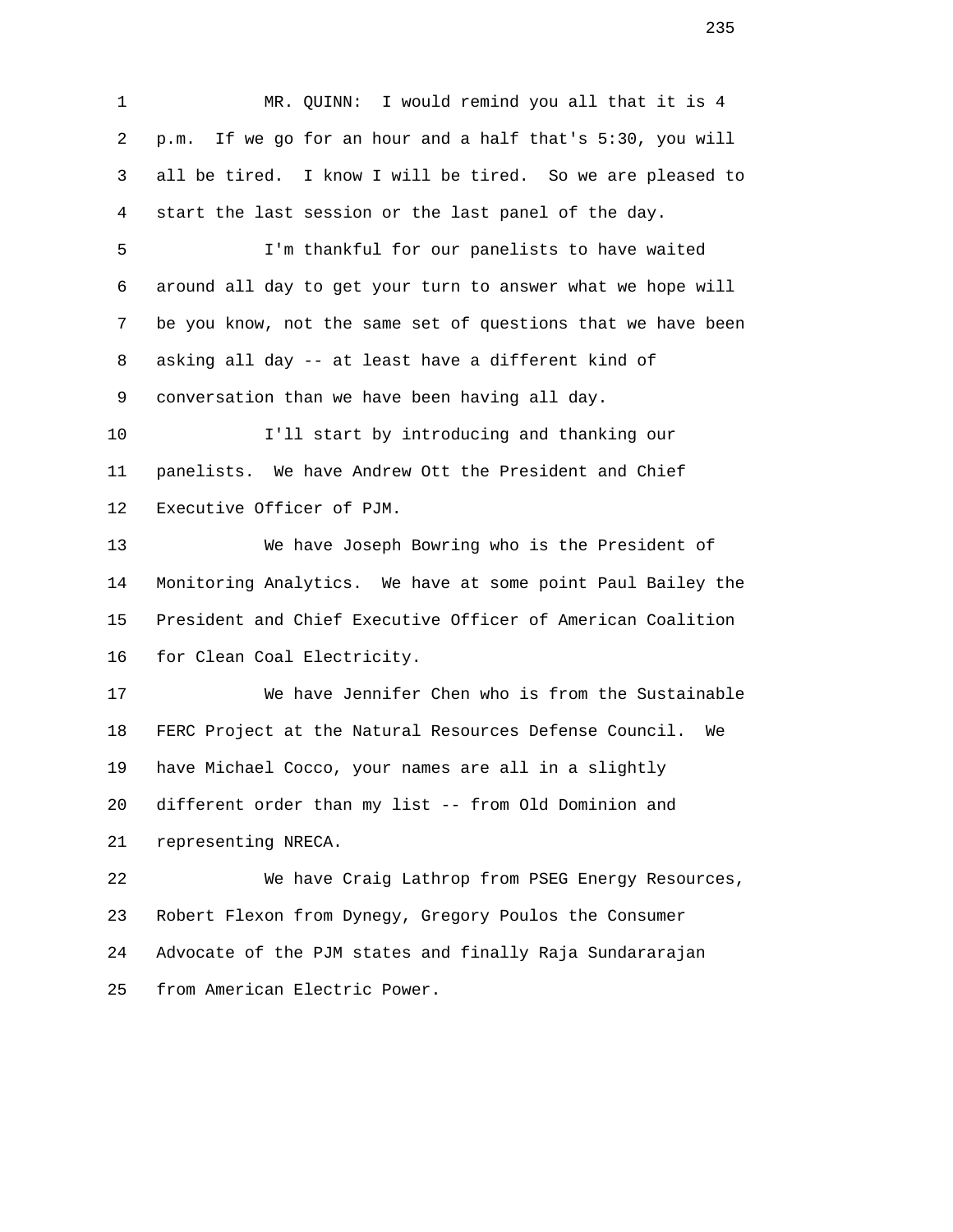1 MR. QUINN: I would remind you all that it is 4 2 p.m. If we go for an hour and a half that's 5:30, you will 3 all be tired. I know I will be tired. So we are pleased to 4 start the last session or the last panel of the day. 5 I'm thankful for our panelists to have waited 6 around all day to get your turn to answer what we hope will 7 be you know, not the same set of questions that we have been 8 asking all day -- at least have a different kind of 9 conversation than we have been having all day. 10 I'll start by introducing and thanking our 11 panelists. We have Andrew Ott the President and Chief 12 Executive Officer of PJM. 13 We have Joseph Bowring who is the President of 14 Monitoring Analytics. We have at some point Paul Bailey the 15 President and Chief Executive Officer of American Coalition 16 for Clean Coal Electricity. 17 We have Jennifer Chen who is from the Sustainable 18 FERC Project at the Natural Resources Defense Council. We 19 have Michael Cocco, your names are all in a slightly 20 different order than my list -- from Old Dominion and 21 representing NRECA. 22 We have Craig Lathrop from PSEG Energy Resources, 23 Robert Flexon from Dynegy, Gregory Poulos the Consumer 24 Advocate of the PJM states and finally Raja Sundararajan

25 from American Electric Power.

example 235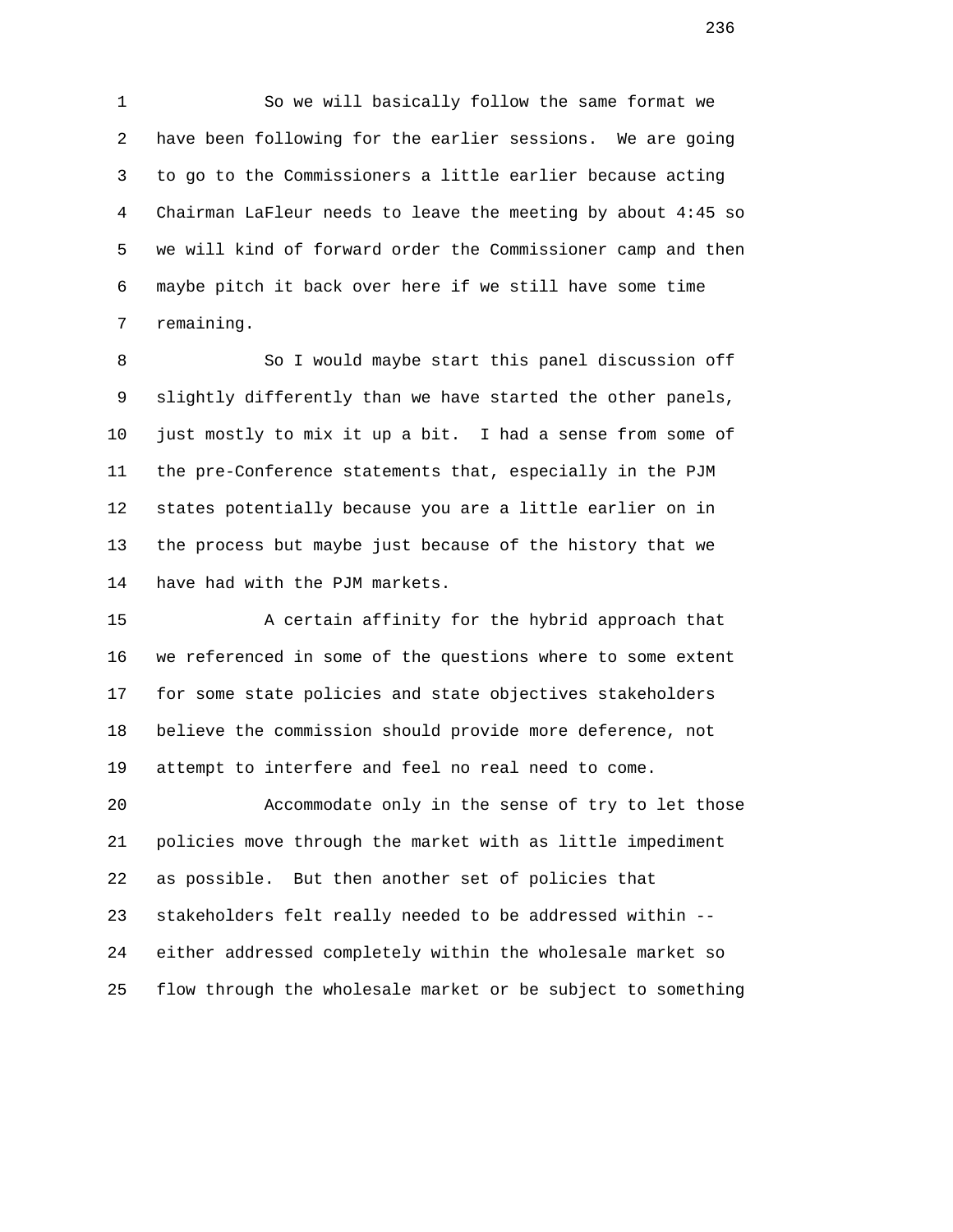1 So we will basically follow the same format we 2 have been following for the earlier sessions. We are going 3 to go to the Commissioners a little earlier because acting 4 Chairman LaFleur needs to leave the meeting by about 4:45 so 5 we will kind of forward order the Commissioner camp and then 6 maybe pitch it back over here if we still have some time 7 remaining.

8 So I would maybe start this panel discussion off 9 slightly differently than we have started the other panels, 10 just mostly to mix it up a bit. I had a sense from some of 11 the pre-Conference statements that, especially in the PJM 12 states potentially because you are a little earlier on in 13 the process but maybe just because of the history that we 14 have had with the PJM markets.

 15 A certain affinity for the hybrid approach that 16 we referenced in some of the questions where to some extent 17 for some state policies and state objectives stakeholders 18 believe the commission should provide more deference, not 19 attempt to interfere and feel no real need to come.

 20 Accommodate only in the sense of try to let those 21 policies move through the market with as little impediment 22 as possible. But then another set of policies that 23 stakeholders felt really needed to be addressed within -- 24 either addressed completely within the wholesale market so 25 flow through the wholesale market or be subject to something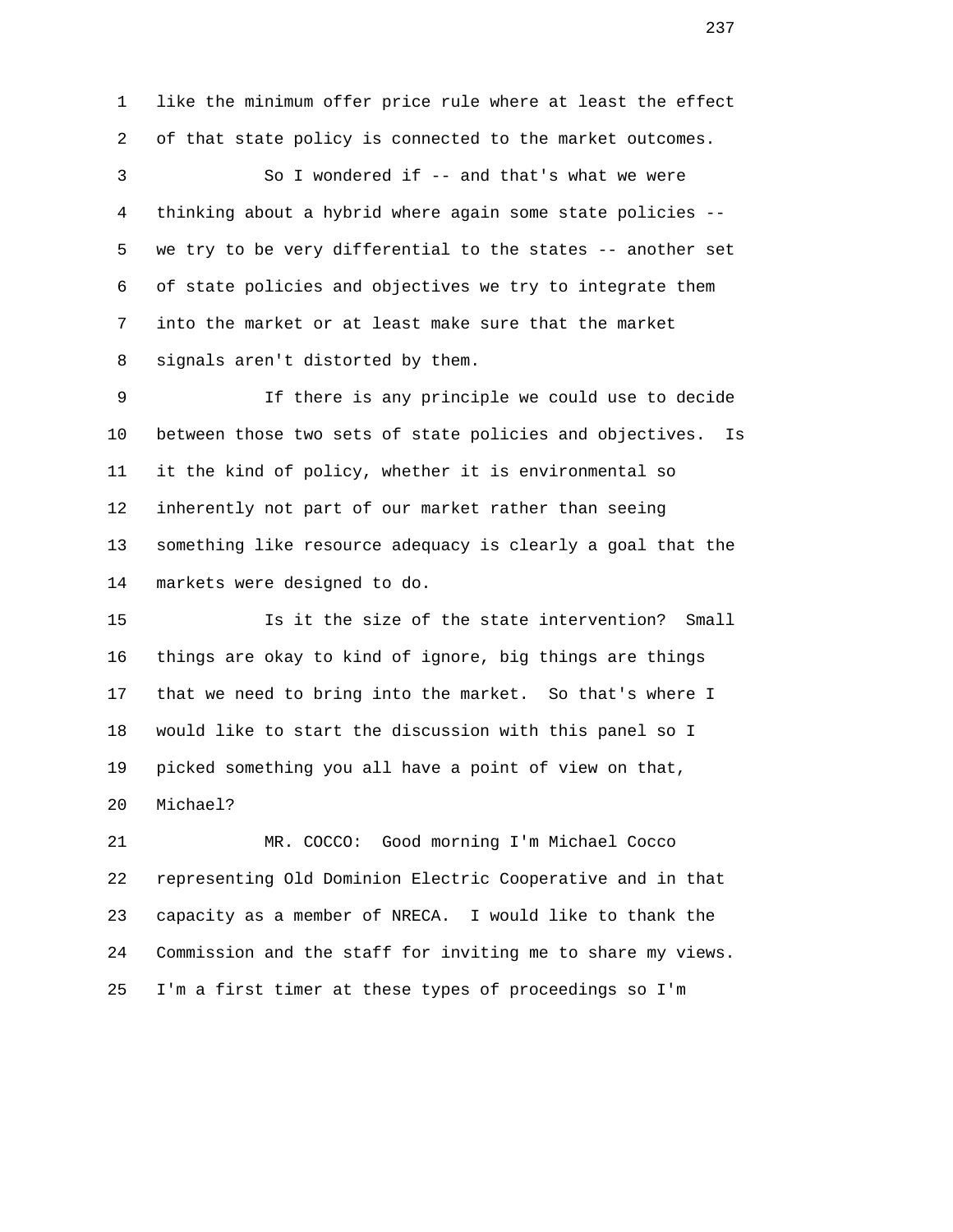1 like the minimum offer price rule where at least the effect 2 of that state policy is connected to the market outcomes. 3 So I wondered if -- and that's what we were 4 thinking about a hybrid where again some state policies -- 5 we try to be very differential to the states -- another set 6 of state policies and objectives we try to integrate them 7 into the market or at least make sure that the market 8 signals aren't distorted by them.

 9 If there is any principle we could use to decide 10 between those two sets of state policies and objectives. Is 11 it the kind of policy, whether it is environmental so 12 inherently not part of our market rather than seeing 13 something like resource adequacy is clearly a goal that the 14 markets were designed to do.

 15 Is it the size of the state intervention? Small 16 things are okay to kind of ignore, big things are things 17 that we need to bring into the market. So that's where I 18 would like to start the discussion with this panel so I 19 picked something you all have a point of view on that, 20 Michael?

 21 MR. COCCO: Good morning I'm Michael Cocco 22 representing Old Dominion Electric Cooperative and in that 23 capacity as a member of NRECA. I would like to thank the 24 Commission and the staff for inviting me to share my views. 25 I'm a first timer at these types of proceedings so I'm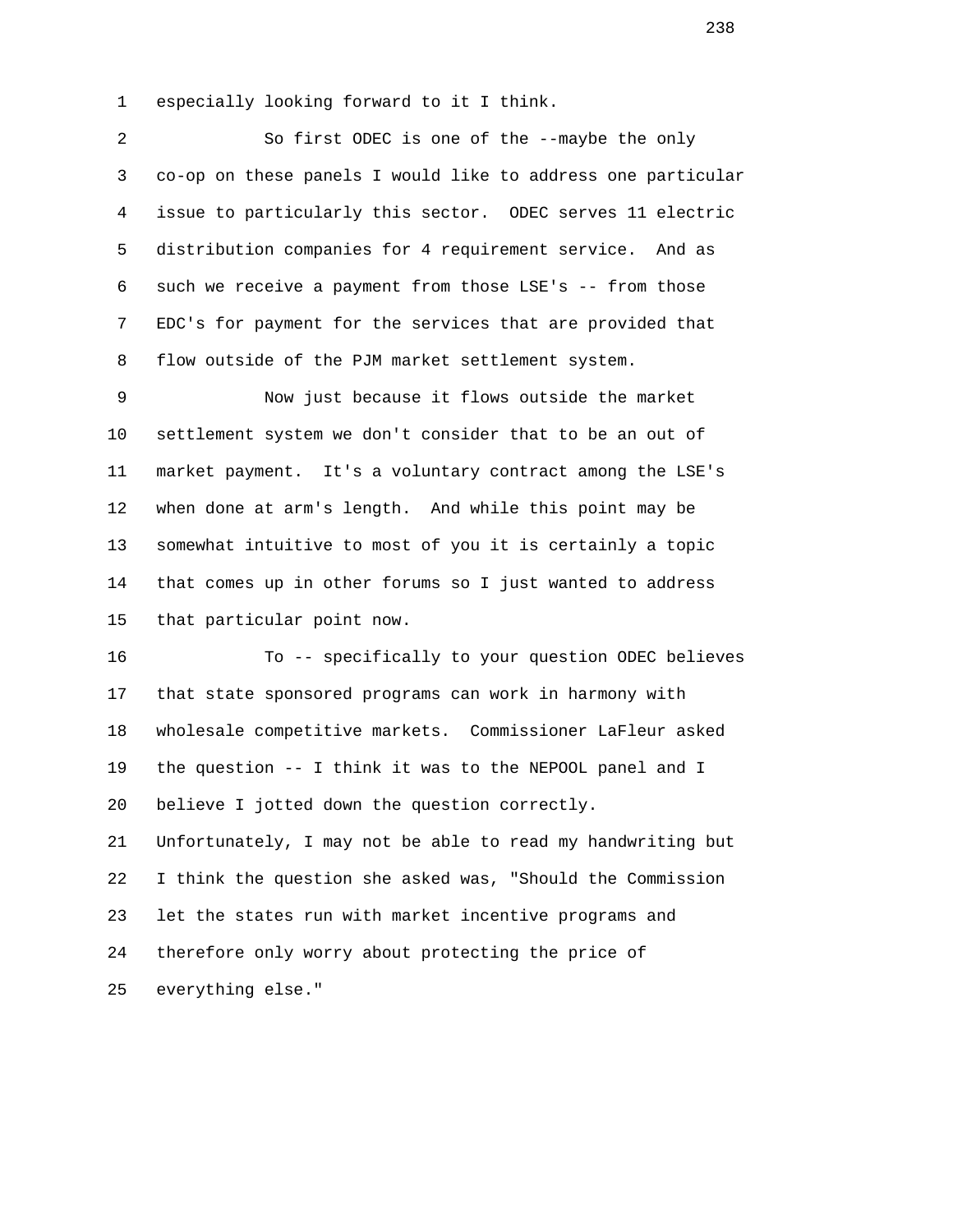1 especially looking forward to it I think.

 2 So first ODEC is one of the --maybe the only 3 co-op on these panels I would like to address one particular 4 issue to particularly this sector. ODEC serves 11 electric 5 distribution companies for 4 requirement service. And as 6 such we receive a payment from those LSE's -- from those 7 EDC's for payment for the services that are provided that 8 flow outside of the PJM market settlement system.

 9 Now just because it flows outside the market 10 settlement system we don't consider that to be an out of 11 market payment. It's a voluntary contract among the LSE's 12 when done at arm's length. And while this point may be 13 somewhat intuitive to most of you it is certainly a topic 14 that comes up in other forums so I just wanted to address 15 that particular point now.

 16 To -- specifically to your question ODEC believes 17 that state sponsored programs can work in harmony with 18 wholesale competitive markets. Commissioner LaFleur asked 19 the question -- I think it was to the NEPOOL panel and I 20 believe I jotted down the question correctly. 21 Unfortunately, I may not be able to read my handwriting but 22 I think the question she asked was, "Should the Commission 23 let the states run with market incentive programs and 24 therefore only worry about protecting the price of 25 everything else."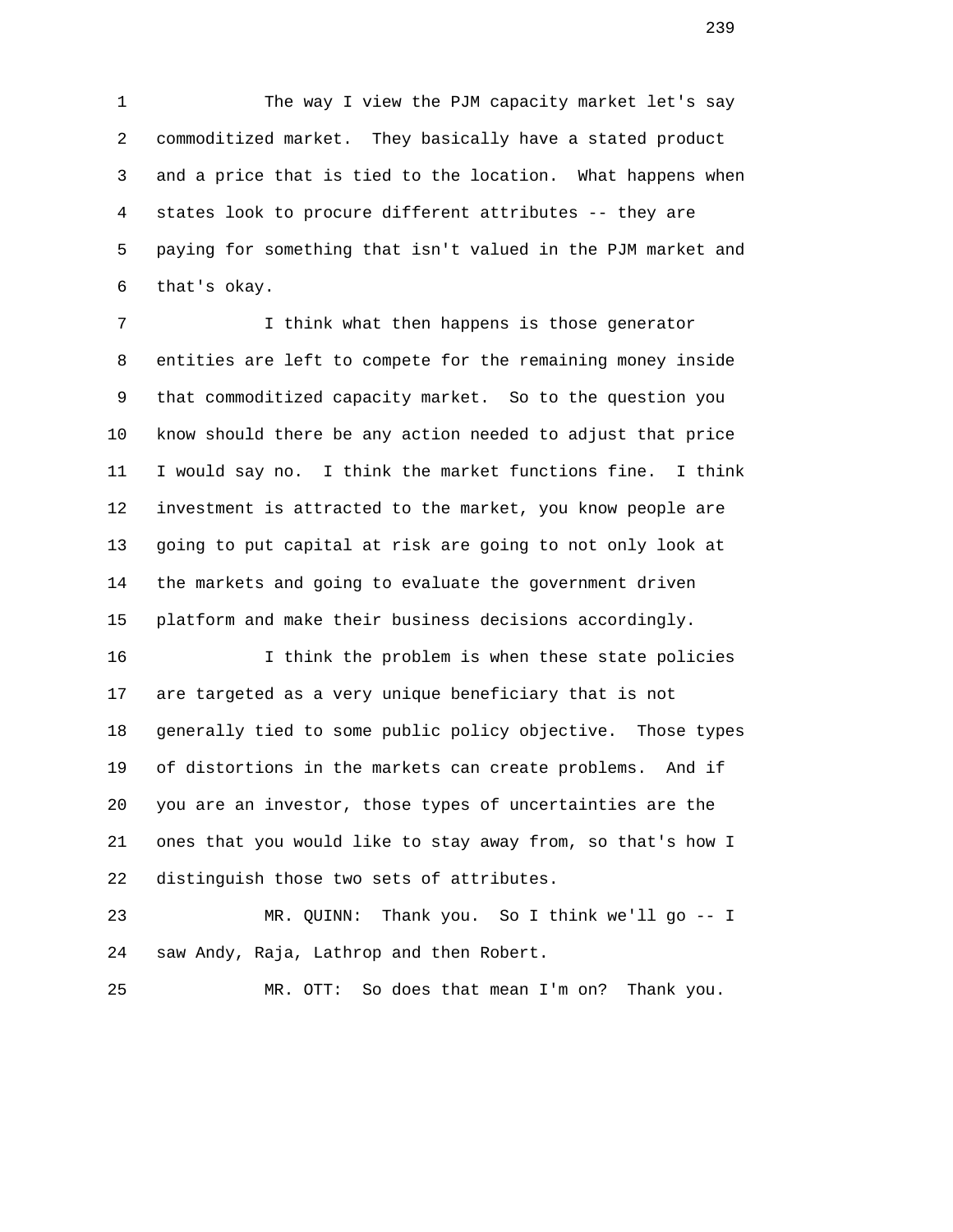1 The way I view the PJM capacity market let's say 2 commoditized market. They basically have a stated product 3 and a price that is tied to the location. What happens when 4 states look to procure different attributes -- they are 5 paying for something that isn't valued in the PJM market and 6 that's okay.

 7 I think what then happens is those generator 8 entities are left to compete for the remaining money inside 9 that commoditized capacity market. So to the question you 10 know should there be any action needed to adjust that price 11 I would say no. I think the market functions fine. I think 12 investment is attracted to the market, you know people are 13 going to put capital at risk are going to not only look at 14 the markets and going to evaluate the government driven 15 platform and make their business decisions accordingly.

 16 I think the problem is when these state policies 17 are targeted as a very unique beneficiary that is not 18 generally tied to some public policy objective. Those types 19 of distortions in the markets can create problems. And if 20 you are an investor, those types of uncertainties are the 21 ones that you would like to stay away from, so that's how I 22 distinguish those two sets of attributes.

 23 MR. QUINN: Thank you. So I think we'll go -- I 24 saw Andy, Raja, Lathrop and then Robert.

25 MR. OTT: So does that mean I'm on? Thank you.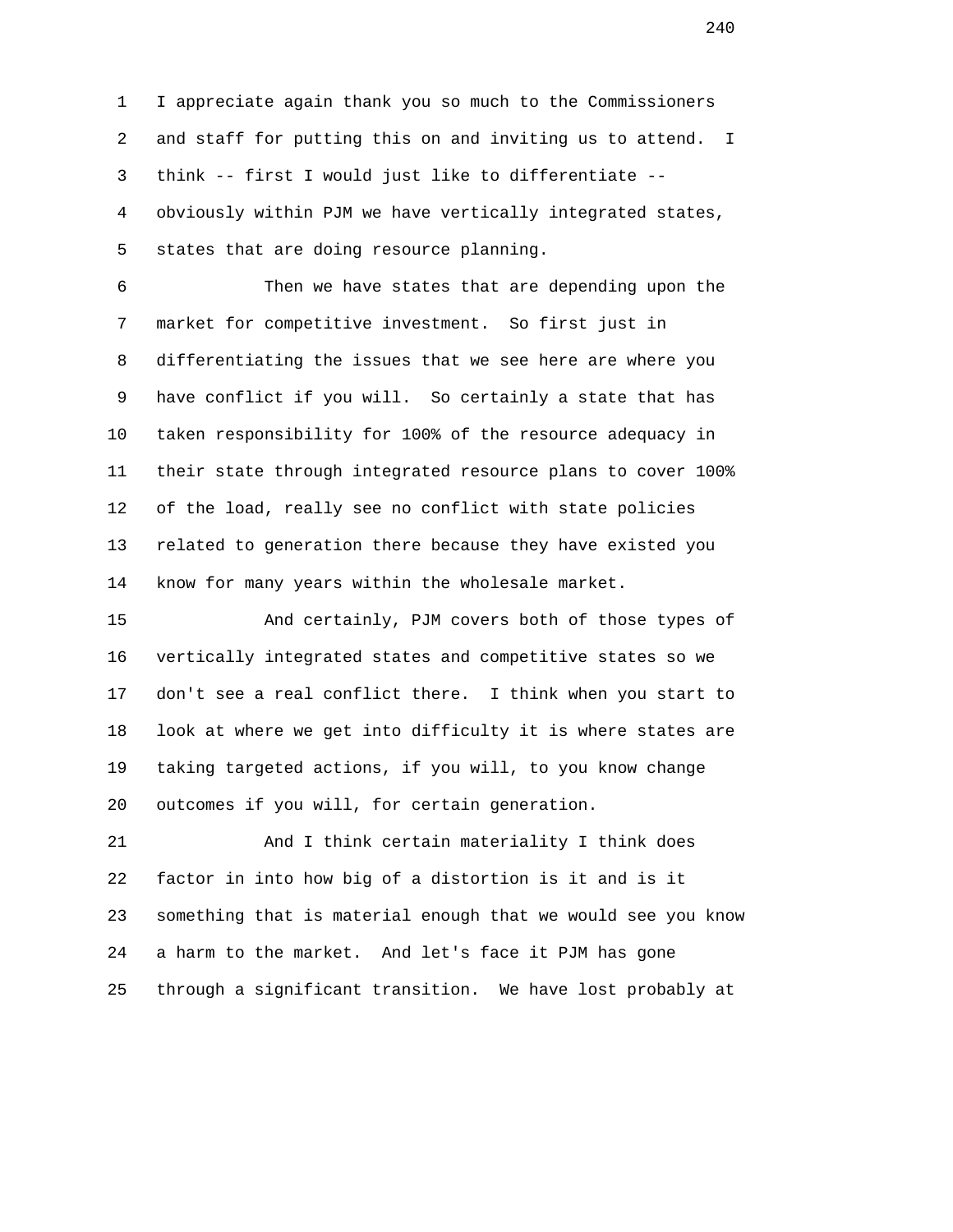1 I appreciate again thank you so much to the Commissioners 2 and staff for putting this on and inviting us to attend. I 3 think -- first I would just like to differentiate -- 4 obviously within PJM we have vertically integrated states, 5 states that are doing resource planning.

 6 Then we have states that are depending upon the 7 market for competitive investment. So first just in 8 differentiating the issues that we see here are where you 9 have conflict if you will. So certainly a state that has 10 taken responsibility for 100% of the resource adequacy in 11 their state through integrated resource plans to cover 100% 12 of the load, really see no conflict with state policies 13 related to generation there because they have existed you 14 know for many years within the wholesale market.

 15 And certainly, PJM covers both of those types of 16 vertically integrated states and competitive states so we 17 don't see a real conflict there. I think when you start to 18 look at where we get into difficulty it is where states are 19 taking targeted actions, if you will, to you know change 20 outcomes if you will, for certain generation.

 21 And I think certain materiality I think does 22 factor in into how big of a distortion is it and is it 23 something that is material enough that we would see you know 24 a harm to the market. And let's face it PJM has gone 25 through a significant transition. We have lost probably at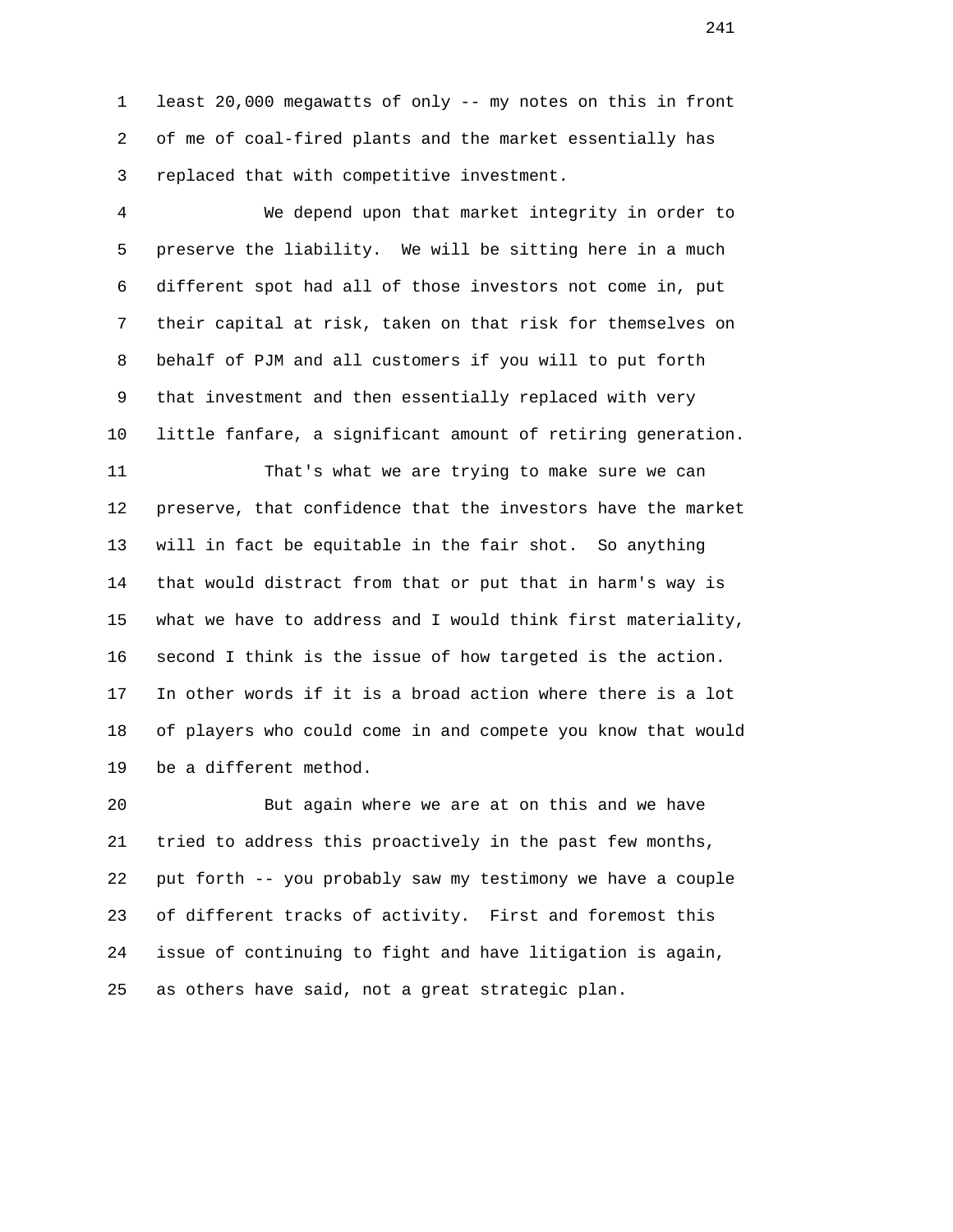1 least 20,000 megawatts of only -- my notes on this in front 2 of me of coal-fired plants and the market essentially has 3 replaced that with competitive investment.

 4 We depend upon that market integrity in order to 5 preserve the liability. We will be sitting here in a much 6 different spot had all of those investors not come in, put 7 their capital at risk, taken on that risk for themselves on 8 behalf of PJM and all customers if you will to put forth 9 that investment and then essentially replaced with very 10 little fanfare, a significant amount of retiring generation.

 11 That's what we are trying to make sure we can 12 preserve, that confidence that the investors have the market 13 will in fact be equitable in the fair shot. So anything 14 that would distract from that or put that in harm's way is 15 what we have to address and I would think first materiality, 16 second I think is the issue of how targeted is the action. 17 In other words if it is a broad action where there is a lot 18 of players who could come in and compete you know that would 19 be a different method.

 20 But again where we are at on this and we have 21 tried to address this proactively in the past few months, 22 put forth -- you probably saw my testimony we have a couple 23 of different tracks of activity. First and foremost this 24 issue of continuing to fight and have litigation is again, 25 as others have said, not a great strategic plan.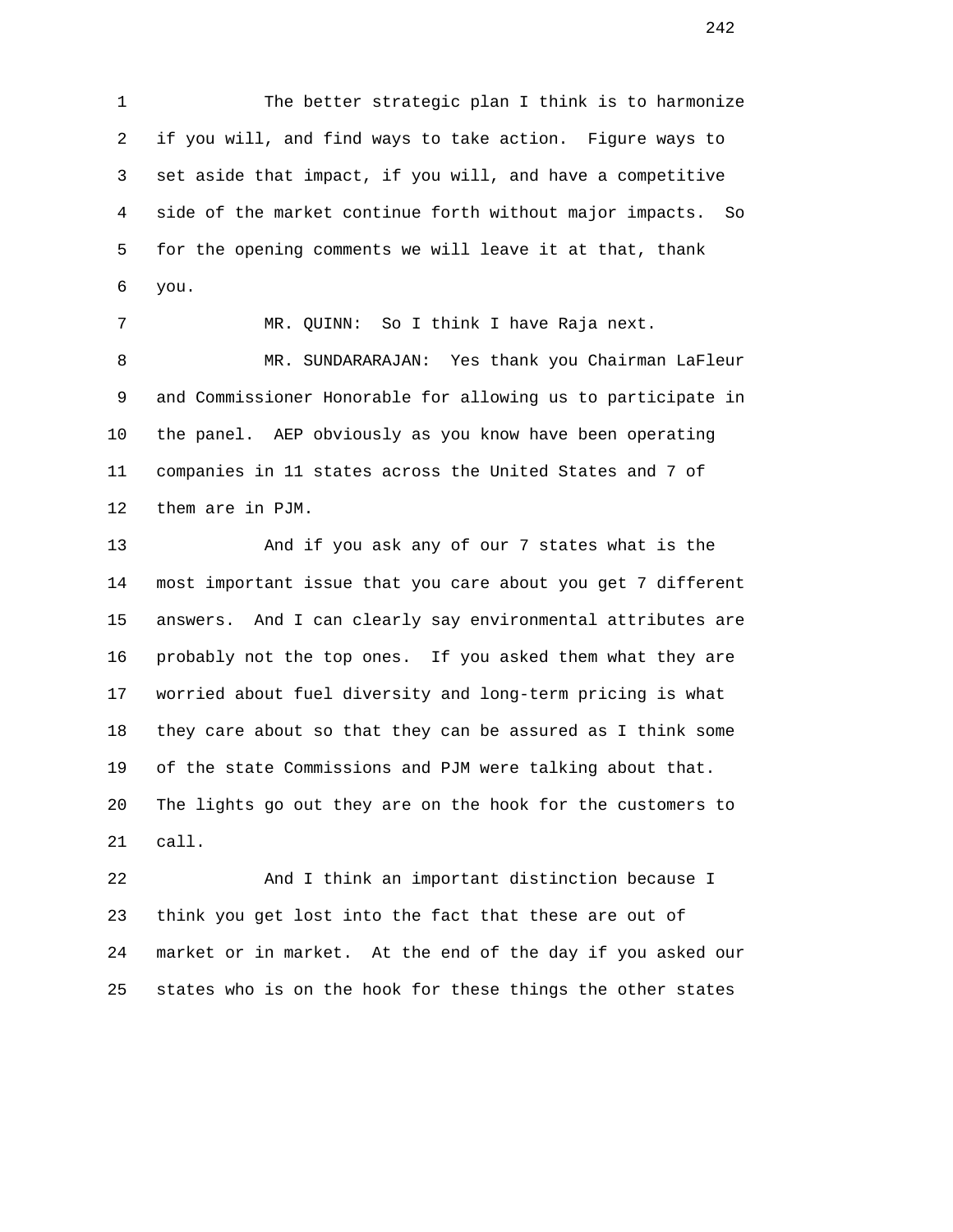1 The better strategic plan I think is to harmonize 2 if you will, and find ways to take action. Figure ways to 3 set aside that impact, if you will, and have a competitive 4 side of the market continue forth without major impacts. So 5 for the opening comments we will leave it at that, thank 6 you.

 7 MR. QUINN: So I think I have Raja next. 8 MR. SUNDARARAJAN: Yes thank you Chairman LaFleur 9 and Commissioner Honorable for allowing us to participate in 10 the panel. AEP obviously as you know have been operating 11 companies in 11 states across the United States and 7 of 12 them are in PJM.

 13 And if you ask any of our 7 states what is the 14 most important issue that you care about you get 7 different 15 answers. And I can clearly say environmental attributes are 16 probably not the top ones. If you asked them what they are 17 worried about fuel diversity and long-term pricing is what 18 they care about so that they can be assured as I think some 19 of the state Commissions and PJM were talking about that. 20 The lights go out they are on the hook for the customers to 21 call.

 22 And I think an important distinction because I 23 think you get lost into the fact that these are out of 24 market or in market. At the end of the day if you asked our 25 states who is on the hook for these things the other states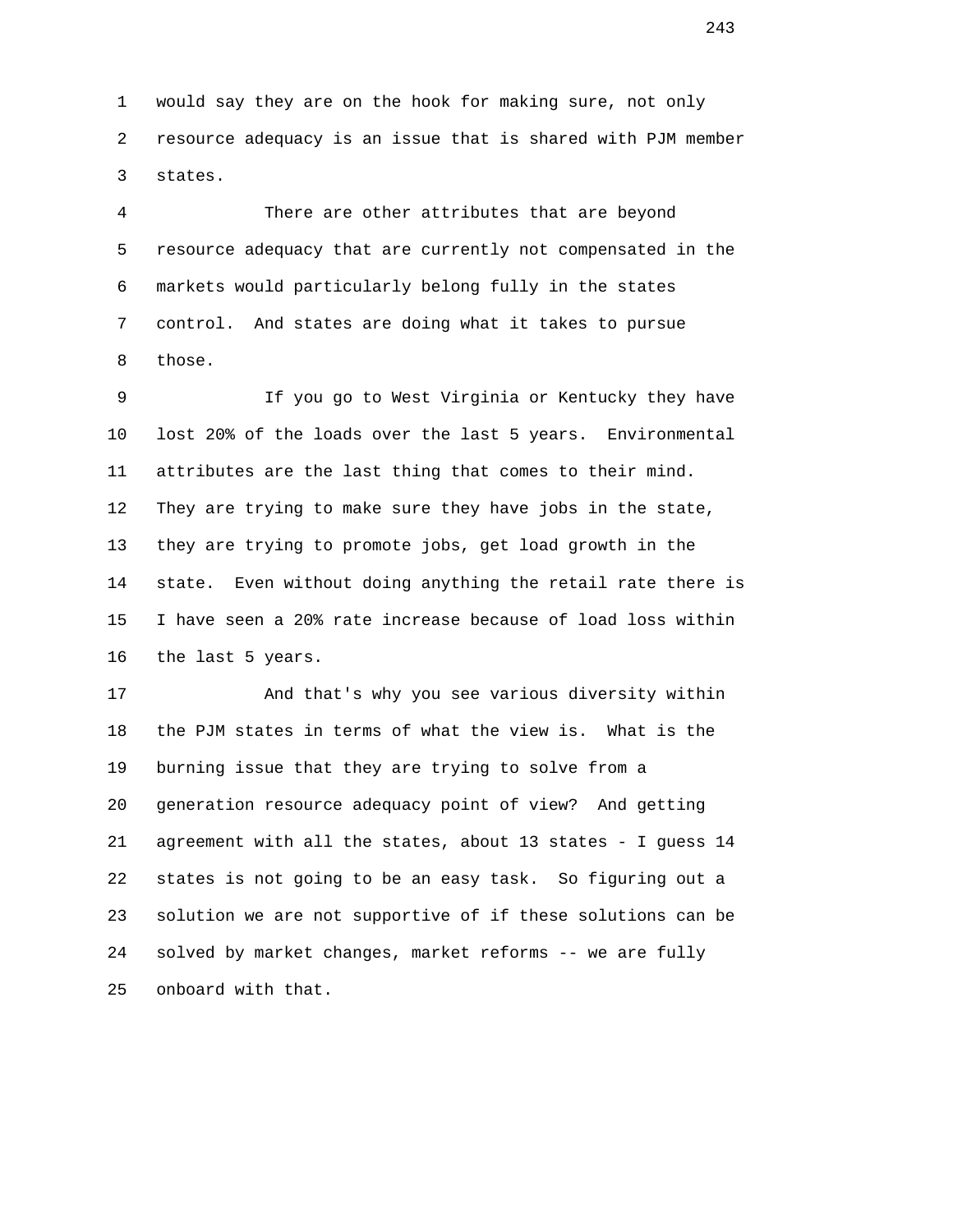1 would say they are on the hook for making sure, not only 2 resource adequacy is an issue that is shared with PJM member 3 states.

 4 There are other attributes that are beyond 5 resource adequacy that are currently not compensated in the 6 markets would particularly belong fully in the states 7 control. And states are doing what it takes to pursue 8 those.

 9 If you go to West Virginia or Kentucky they have 10 lost 20% of the loads over the last 5 years. Environmental 11 attributes are the last thing that comes to their mind. 12 They are trying to make sure they have jobs in the state, 13 they are trying to promote jobs, get load growth in the 14 state. Even without doing anything the retail rate there is 15 I have seen a 20% rate increase because of load loss within 16 the last 5 years.

 17 And that's why you see various diversity within 18 the PJM states in terms of what the view is. What is the 19 burning issue that they are trying to solve from a 20 generation resource adequacy point of view? And getting 21 agreement with all the states, about 13 states - I guess 14 22 states is not going to be an easy task. So figuring out a 23 solution we are not supportive of if these solutions can be 24 solved by market changes, market reforms -- we are fully 25 onboard with that.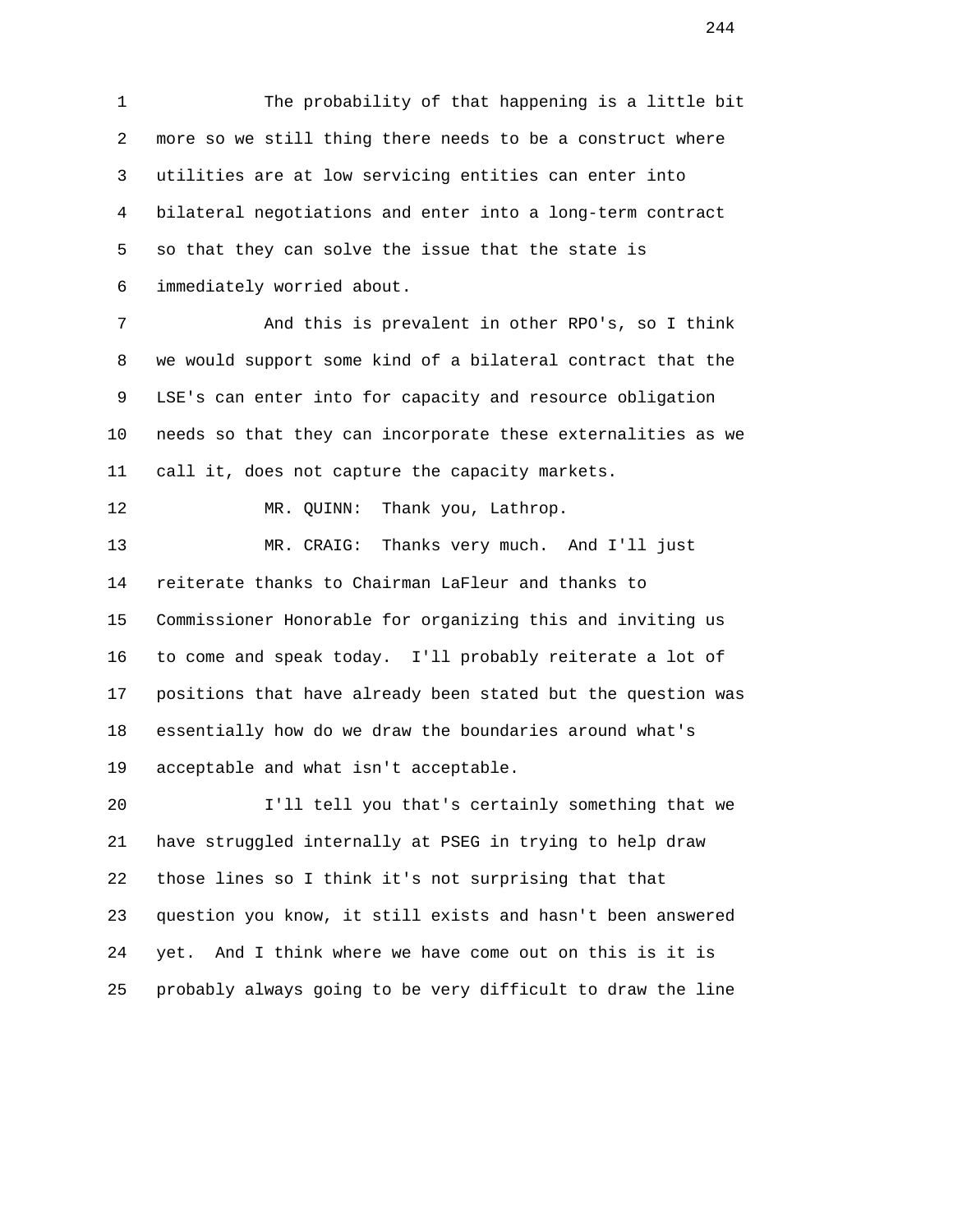1 The probability of that happening is a little bit 2 more so we still thing there needs to be a construct where 3 utilities are at low servicing entities can enter into 4 bilateral negotiations and enter into a long-term contract 5 so that they can solve the issue that the state is 6 immediately worried about.

 7 And this is prevalent in other RPO's, so I think 8 we would support some kind of a bilateral contract that the 9 LSE's can enter into for capacity and resource obligation 10 needs so that they can incorporate these externalities as we 11 call it, does not capture the capacity markets.

12 MR. QUINN: Thank you, Lathrop.

 13 MR. CRAIG: Thanks very much. And I'll just 14 reiterate thanks to Chairman LaFleur and thanks to 15 Commissioner Honorable for organizing this and inviting us 16 to come and speak today. I'll probably reiterate a lot of 17 positions that have already been stated but the question was 18 essentially how do we draw the boundaries around what's 19 acceptable and what isn't acceptable.

 20 I'll tell you that's certainly something that we 21 have struggled internally at PSEG in trying to help draw 22 those lines so I think it's not surprising that that 23 question you know, it still exists and hasn't been answered 24 yet. And I think where we have come out on this is it is 25 probably always going to be very difficult to draw the line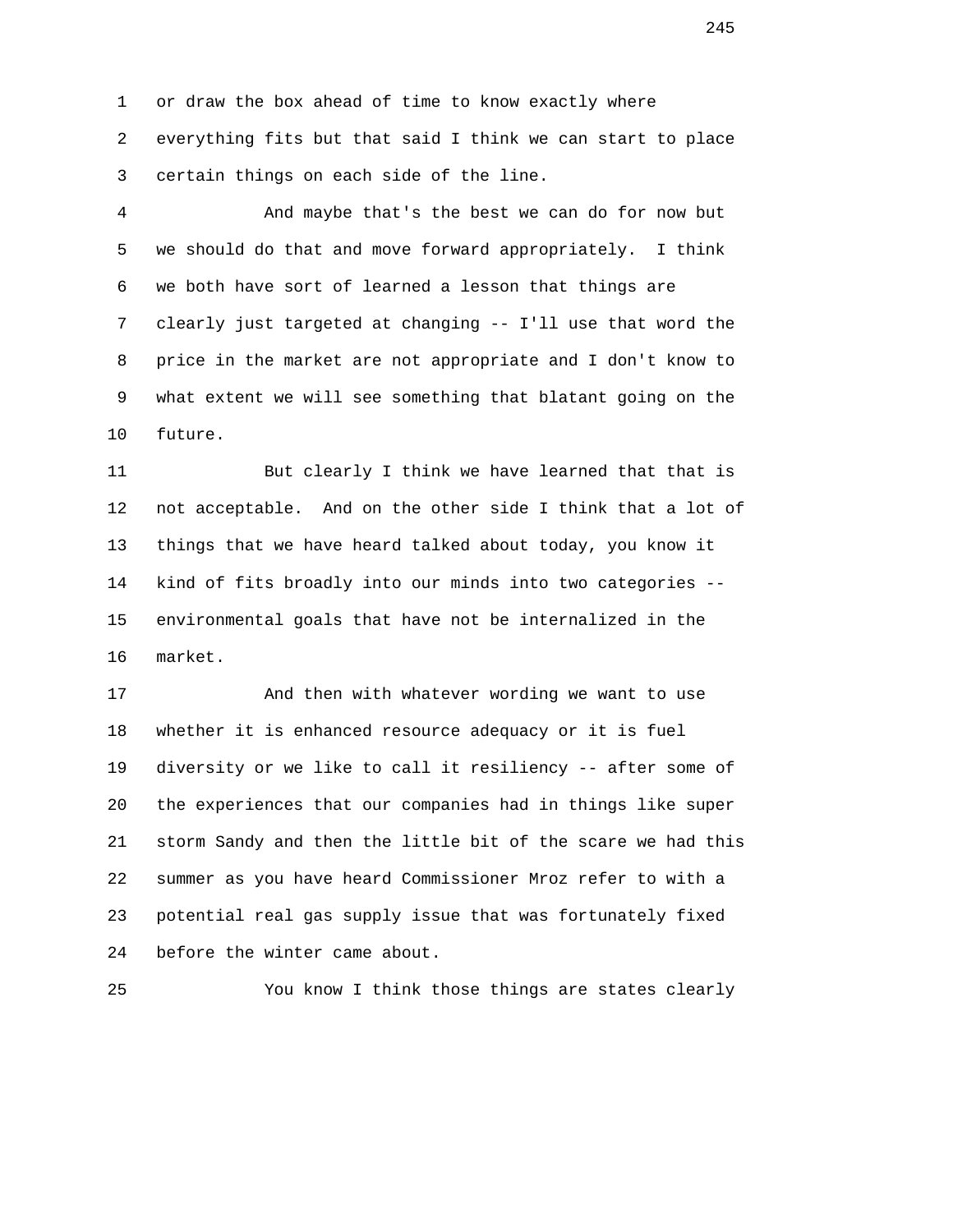1 or draw the box ahead of time to know exactly where 2 everything fits but that said I think we can start to place 3 certain things on each side of the line.

 4 And maybe that's the best we can do for now but 5 we should do that and move forward appropriately. I think 6 we both have sort of learned a lesson that things are 7 clearly just targeted at changing -- I'll use that word the 8 price in the market are not appropriate and I don't know to 9 what extent we will see something that blatant going on the 10 future.

 11 But clearly I think we have learned that that is 12 not acceptable. And on the other side I think that a lot of 13 things that we have heard talked about today, you know it 14 kind of fits broadly into our minds into two categories -- 15 environmental goals that have not be internalized in the 16 market.

 17 And then with whatever wording we want to use 18 whether it is enhanced resource adequacy or it is fuel 19 diversity or we like to call it resiliency -- after some of 20 the experiences that our companies had in things like super 21 storm Sandy and then the little bit of the scare we had this 22 summer as you have heard Commissioner Mroz refer to with a 23 potential real gas supply issue that was fortunately fixed 24 before the winter came about.

25 You know I think those things are states clearly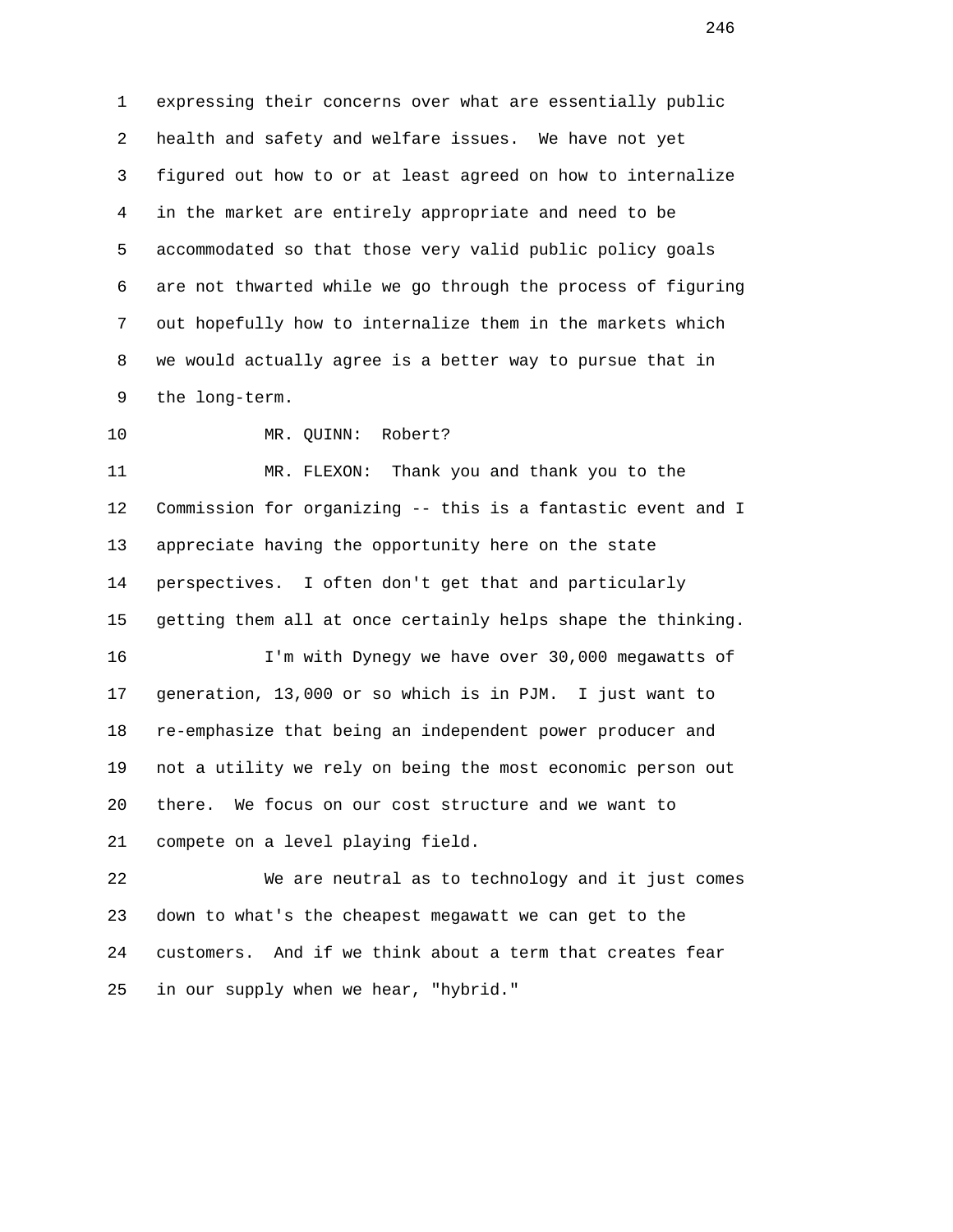1 expressing their concerns over what are essentially public 2 health and safety and welfare issues. We have not yet 3 figured out how to or at least agreed on how to internalize 4 in the market are entirely appropriate and need to be 5 accommodated so that those very valid public policy goals 6 are not thwarted while we go through the process of figuring 7 out hopefully how to internalize them in the markets which 8 we would actually agree is a better way to pursue that in 9 the long-term.

10 MR. OUINN: Robert?

 11 MR. FLEXON: Thank you and thank you to the 12 Commission for organizing -- this is a fantastic event and I 13 appreciate having the opportunity here on the state 14 perspectives. I often don't get that and particularly 15 getting them all at once certainly helps shape the thinking.

 16 I'm with Dynegy we have over 30,000 megawatts of 17 generation, 13,000 or so which is in PJM. I just want to 18 re-emphasize that being an independent power producer and 19 not a utility we rely on being the most economic person out 20 there. We focus on our cost structure and we want to 21 compete on a level playing field.

 22 We are neutral as to technology and it just comes 23 down to what's the cheapest megawatt we can get to the 24 customers. And if we think about a term that creates fear 25 in our supply when we hear, "hybrid."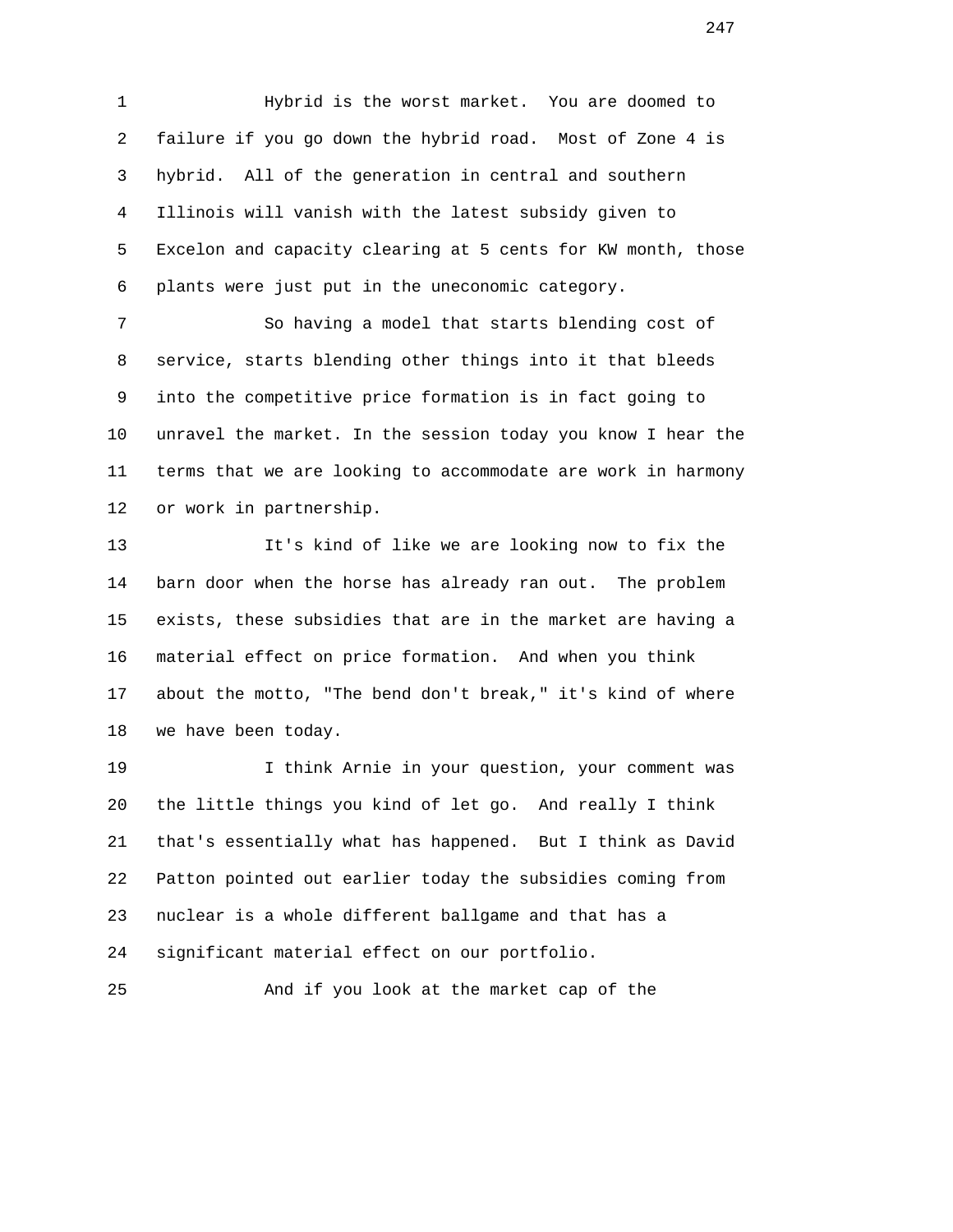1 Hybrid is the worst market. You are doomed to 2 failure if you go down the hybrid road. Most of Zone 4 is 3 hybrid. All of the generation in central and southern 4 Illinois will vanish with the latest subsidy given to 5 Excelon and capacity clearing at 5 cents for KW month, those 6 plants were just put in the uneconomic category.

 7 So having a model that starts blending cost of 8 service, starts blending other things into it that bleeds 9 into the competitive price formation is in fact going to 10 unravel the market. In the session today you know I hear the 11 terms that we are looking to accommodate are work in harmony 12 or work in partnership.

 13 It's kind of like we are looking now to fix the 14 barn door when the horse has already ran out. The problem 15 exists, these subsidies that are in the market are having a 16 material effect on price formation. And when you think 17 about the motto, "The bend don't break," it's kind of where 18 we have been today.

 19 I think Arnie in your question, your comment was 20 the little things you kind of let go. And really I think 21 that's essentially what has happened. But I think as David 22 Patton pointed out earlier today the subsidies coming from 23 nuclear is a whole different ballgame and that has a 24 significant material effect on our portfolio.

25 And if you look at the market cap of the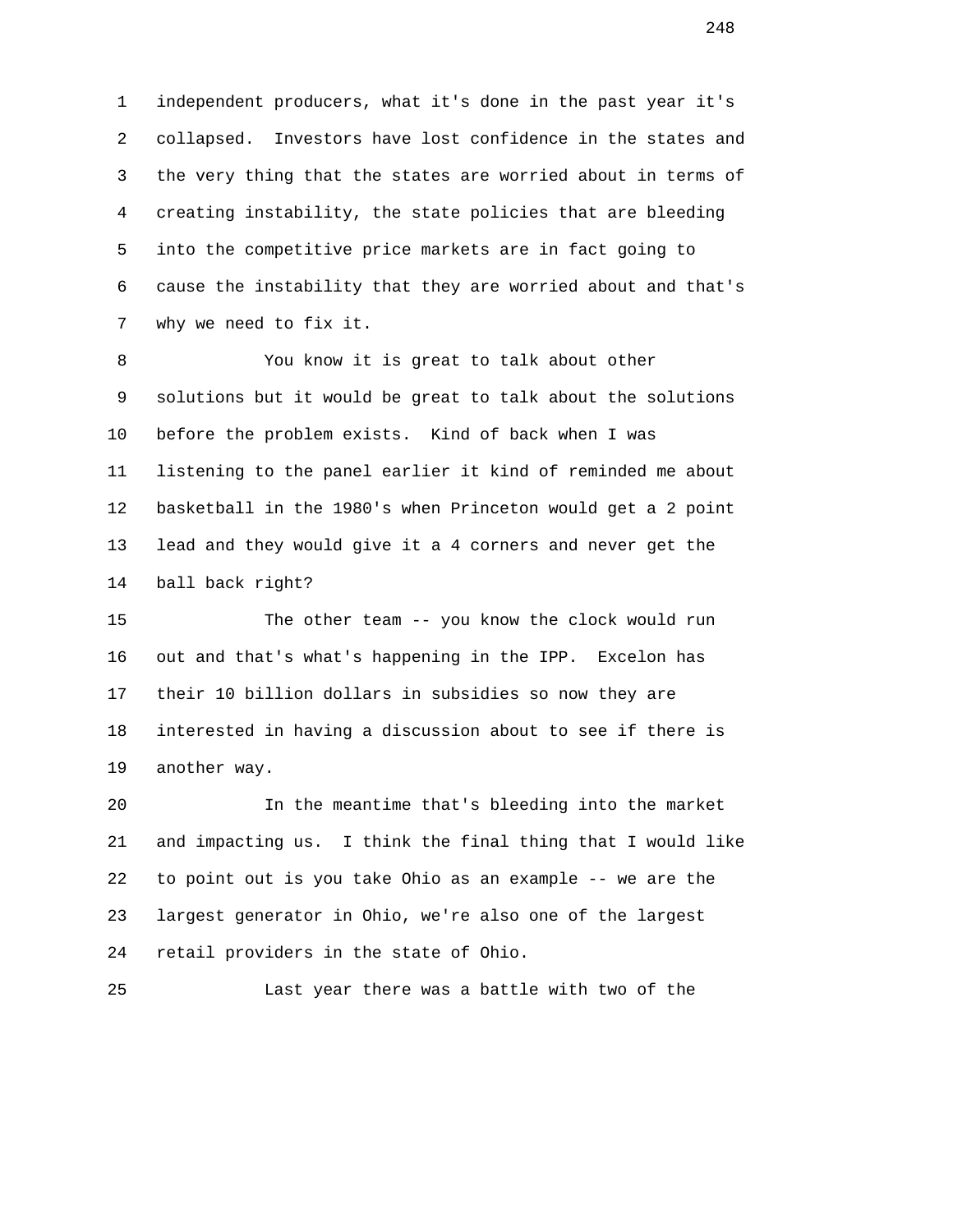1 independent producers, what it's done in the past year it's 2 collapsed. Investors have lost confidence in the states and 3 the very thing that the states are worried about in terms of 4 creating instability, the state policies that are bleeding 5 into the competitive price markets are in fact going to 6 cause the instability that they are worried about and that's 7 why we need to fix it.

 8 You know it is great to talk about other 9 solutions but it would be great to talk about the solutions 10 before the problem exists. Kind of back when I was 11 listening to the panel earlier it kind of reminded me about 12 basketball in the 1980's when Princeton would get a 2 point 13 lead and they would give it a 4 corners and never get the 14 ball back right?

 15 The other team -- you know the clock would run 16 out and that's what's happening in the IPP. Excelon has 17 their 10 billion dollars in subsidies so now they are 18 interested in having a discussion about to see if there is 19 another way.

 20 In the meantime that's bleeding into the market 21 and impacting us. I think the final thing that I would like 22 to point out is you take Ohio as an example -- we are the 23 largest generator in Ohio, we're also one of the largest 24 retail providers in the state of Ohio.

25 Last year there was a battle with two of the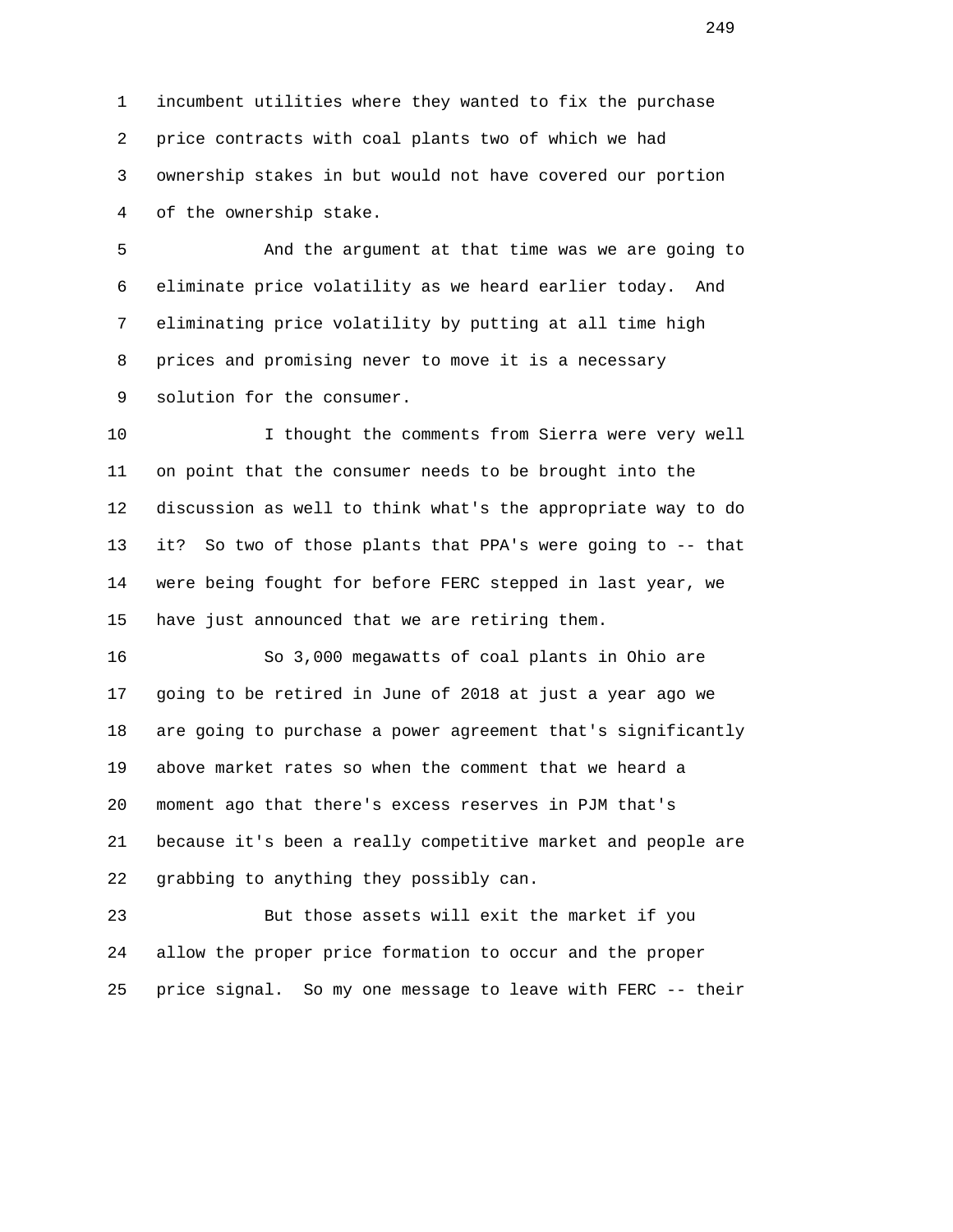1 incumbent utilities where they wanted to fix the purchase 2 price contracts with coal plants two of which we had 3 ownership stakes in but would not have covered our portion 4 of the ownership stake.

 5 And the argument at that time was we are going to 6 eliminate price volatility as we heard earlier today. And 7 eliminating price volatility by putting at all time high 8 prices and promising never to move it is a necessary 9 solution for the consumer.

 10 I thought the comments from Sierra were very well 11 on point that the consumer needs to be brought into the 12 discussion as well to think what's the appropriate way to do 13 it? So two of those plants that PPA's were going to -- that 14 were being fought for before FERC stepped in last year, we 15 have just announced that we are retiring them.

 16 So 3,000 megawatts of coal plants in Ohio are 17 going to be retired in June of 2018 at just a year ago we 18 are going to purchase a power agreement that's significantly 19 above market rates so when the comment that we heard a 20 moment ago that there's excess reserves in PJM that's 21 because it's been a really competitive market and people are 22 grabbing to anything they possibly can.

 23 But those assets will exit the market if you 24 allow the proper price formation to occur and the proper 25 price signal. So my one message to leave with FERC -- their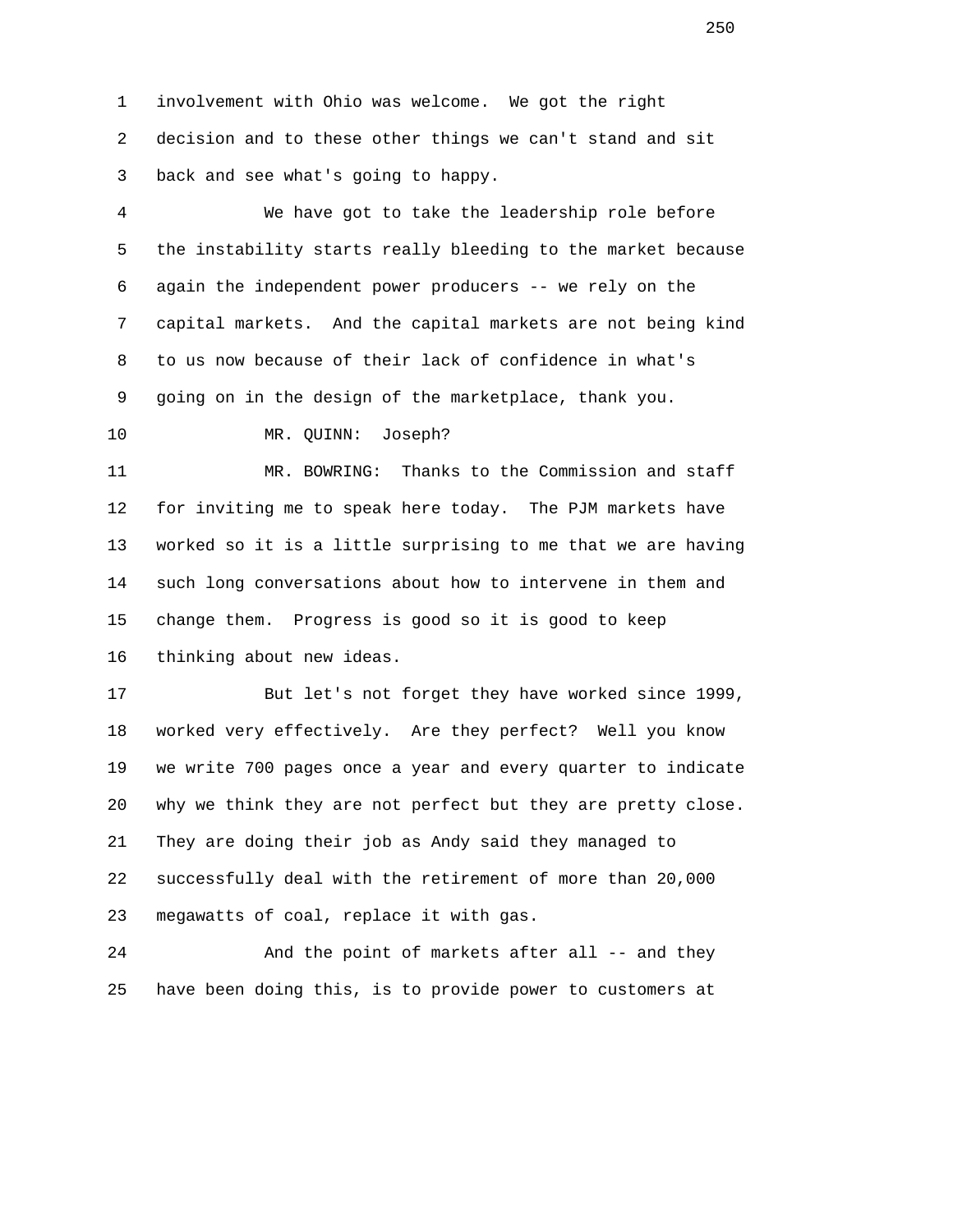1 involvement with Ohio was welcome. We got the right 2 decision and to these other things we can't stand and sit 3 back and see what's going to happy.

 4 We have got to take the leadership role before 5 the instability starts really bleeding to the market because 6 again the independent power producers -- we rely on the 7 capital markets. And the capital markets are not being kind 8 to us now because of their lack of confidence in what's 9 going on in the design of the marketplace, thank you.

10 MR. QUINN: Joseph?

 11 MR. BOWRING: Thanks to the Commission and staff 12 for inviting me to speak here today. The PJM markets have 13 worked so it is a little surprising to me that we are having 14 such long conversations about how to intervene in them and 15 change them. Progress is good so it is good to keep 16 thinking about new ideas.

 17 But let's not forget they have worked since 1999, 18 worked very effectively. Are they perfect? Well you know 19 we write 700 pages once a year and every quarter to indicate 20 why we think they are not perfect but they are pretty close. 21 They are doing their job as Andy said they managed to 22 successfully deal with the retirement of more than 20,000 23 megawatts of coal, replace it with gas.

24 And the point of markets after all -- and they 25 have been doing this, is to provide power to customers at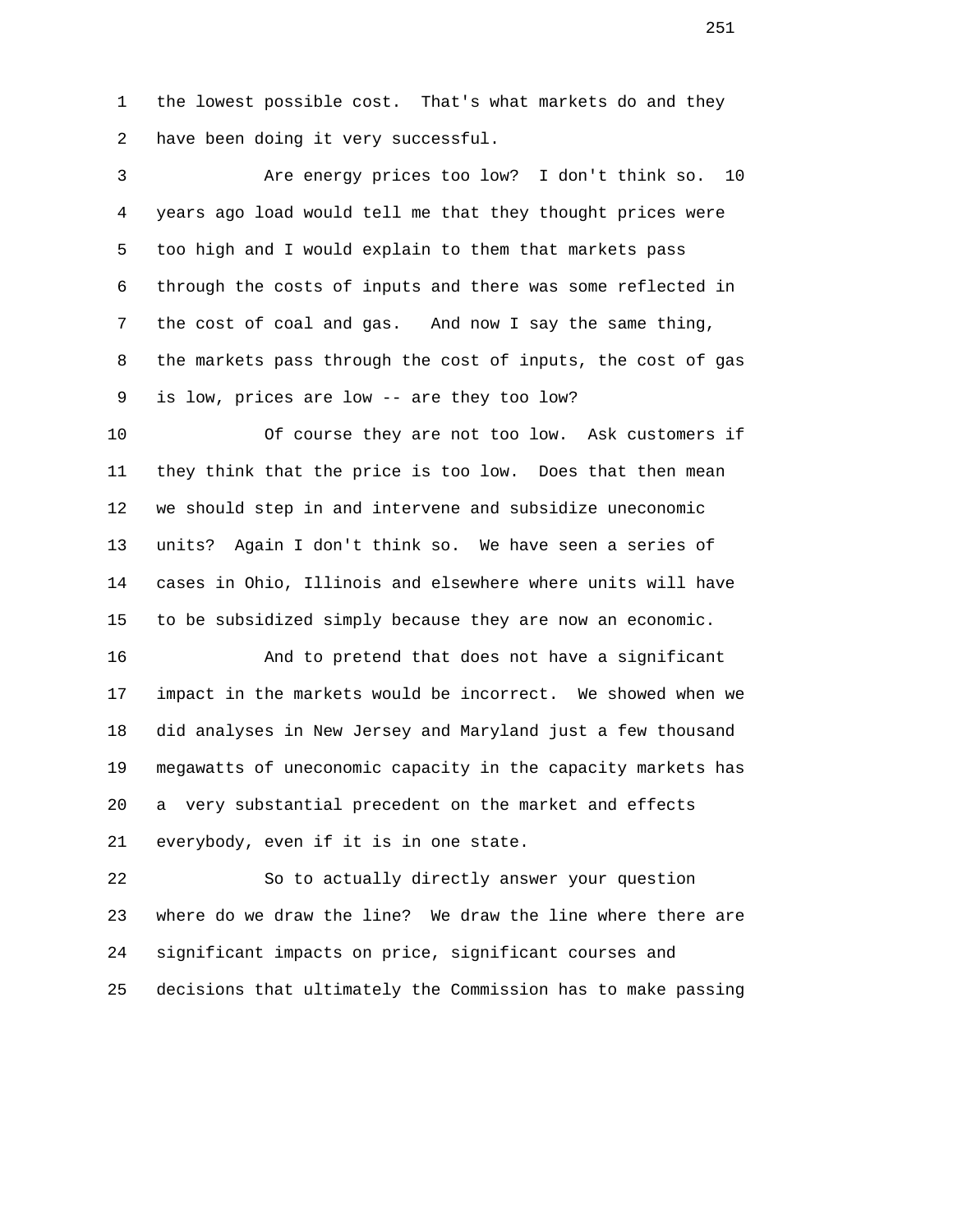1 the lowest possible cost. That's what markets do and they 2 have been doing it very successful.

 3 Are energy prices too low? I don't think so. 10 4 years ago load would tell me that they thought prices were 5 too high and I would explain to them that markets pass 6 through the costs of inputs and there was some reflected in 7 the cost of coal and gas. And now I say the same thing, 8 the markets pass through the cost of inputs, the cost of gas 9 is low, prices are low -- are they too low?

 10 Of course they are not too low. Ask customers if 11 they think that the price is too low. Does that then mean 12 we should step in and intervene and subsidize uneconomic 13 units? Again I don't think so. We have seen a series of 14 cases in Ohio, Illinois and elsewhere where units will have 15 to be subsidized simply because they are now an economic.

 16 And to pretend that does not have a significant 17 impact in the markets would be incorrect. We showed when we 18 did analyses in New Jersey and Maryland just a few thousand 19 megawatts of uneconomic capacity in the capacity markets has 20 a very substantial precedent on the market and effects 21 everybody, even if it is in one state.

 22 So to actually directly answer your question 23 where do we draw the line? We draw the line where there are 24 significant impacts on price, significant courses and 25 decisions that ultimately the Commission has to make passing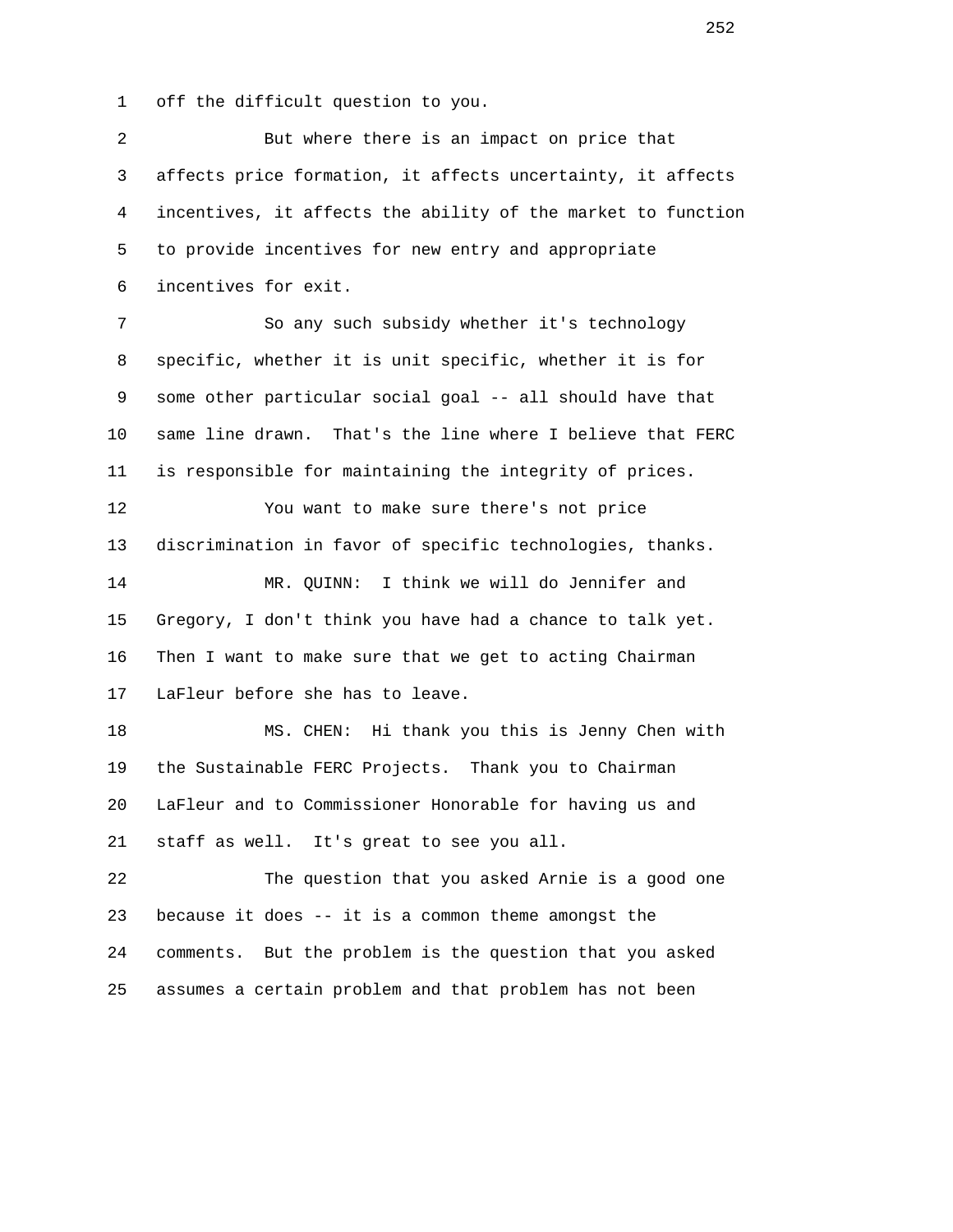1 off the difficult question to you.

| 2              | But where there is an impact on price that                   |
|----------------|--------------------------------------------------------------|
| 3              | affects price formation, it affects uncertainty, it affects  |
| $\overline{4}$ | incentives, it affects the ability of the market to function |
| 5              | to provide incentives for new entry and appropriate          |
| 6              | incentives for exit.                                         |
| $7\phantom{.}$ | So any such subsidy whether it's technology                  |
| 8              | specific, whether it is unit specific, whether it is for     |
| 9              | some other particular social goal -- all should have that    |
| 10             | same line drawn. That's the line where I believe that FERC   |
| 11             | is responsible for maintaining the integrity of prices.      |
| 12             | You want to make sure there's not price                      |
| 13             | discrimination in favor of specific technologies, thanks.    |
| 14             | I think we will do Jennifer and<br>MR. OUINN:                |
| 15             | Gregory, I don't think you have had a chance to talk yet.    |
| 16             | Then I want to make sure that we get to acting Chairman      |
| 17             | LaFleur before she has to leave.                             |
| 18             | MS. CHEN: Hi thank you this is Jenny Chen with               |
| 19             | the Sustainable FERC Projects. Thank you to Chairman         |
| 20             | LaFleur and to Commissioner Honorable for having us and      |
| 21             | staff as well. It's great to see you all.                    |
| 22             | The question that you asked Arnie is a good one              |
| 23             | because it does -- it is a common theme amongst the          |
| 24             | comments. But the problem is the question that you asked     |
| 25             | assumes a certain problem and that problem has not been      |
|                |                                                              |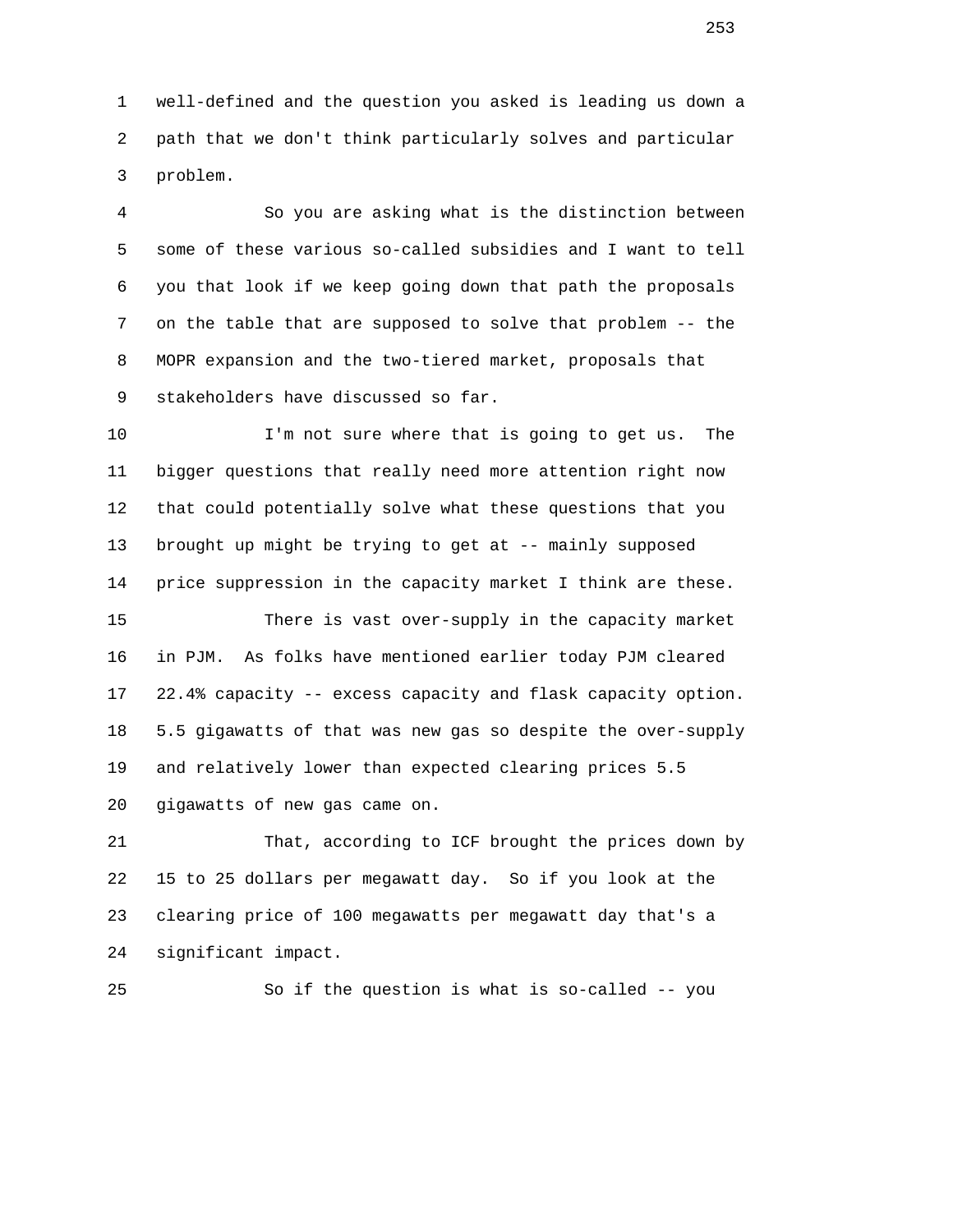1 well-defined and the question you asked is leading us down a 2 path that we don't think particularly solves and particular 3 problem.

 4 So you are asking what is the distinction between 5 some of these various so-called subsidies and I want to tell 6 you that look if we keep going down that path the proposals 7 on the table that are supposed to solve that problem -- the 8 MOPR expansion and the two-tiered market, proposals that 9 stakeholders have discussed so far.

 10 I'm not sure where that is going to get us. The 11 bigger questions that really need more attention right now 12 that could potentially solve what these questions that you 13 brought up might be trying to get at -- mainly supposed 14 price suppression in the capacity market I think are these. 15 There is vast over-supply in the capacity market 16 in PJM. As folks have mentioned earlier today PJM cleared 17 22.4% capacity -- excess capacity and flask capacity option. 18 5.5 gigawatts of that was new gas so despite the over-supply 19 and relatively lower than expected clearing prices 5.5 20 gigawatts of new gas came on.

 21 That, according to ICF brought the prices down by 22 15 to 25 dollars per megawatt day. So if you look at the 23 clearing price of 100 megawatts per megawatt day that's a 24 significant impact.

25 So if the question is what is so-called -- you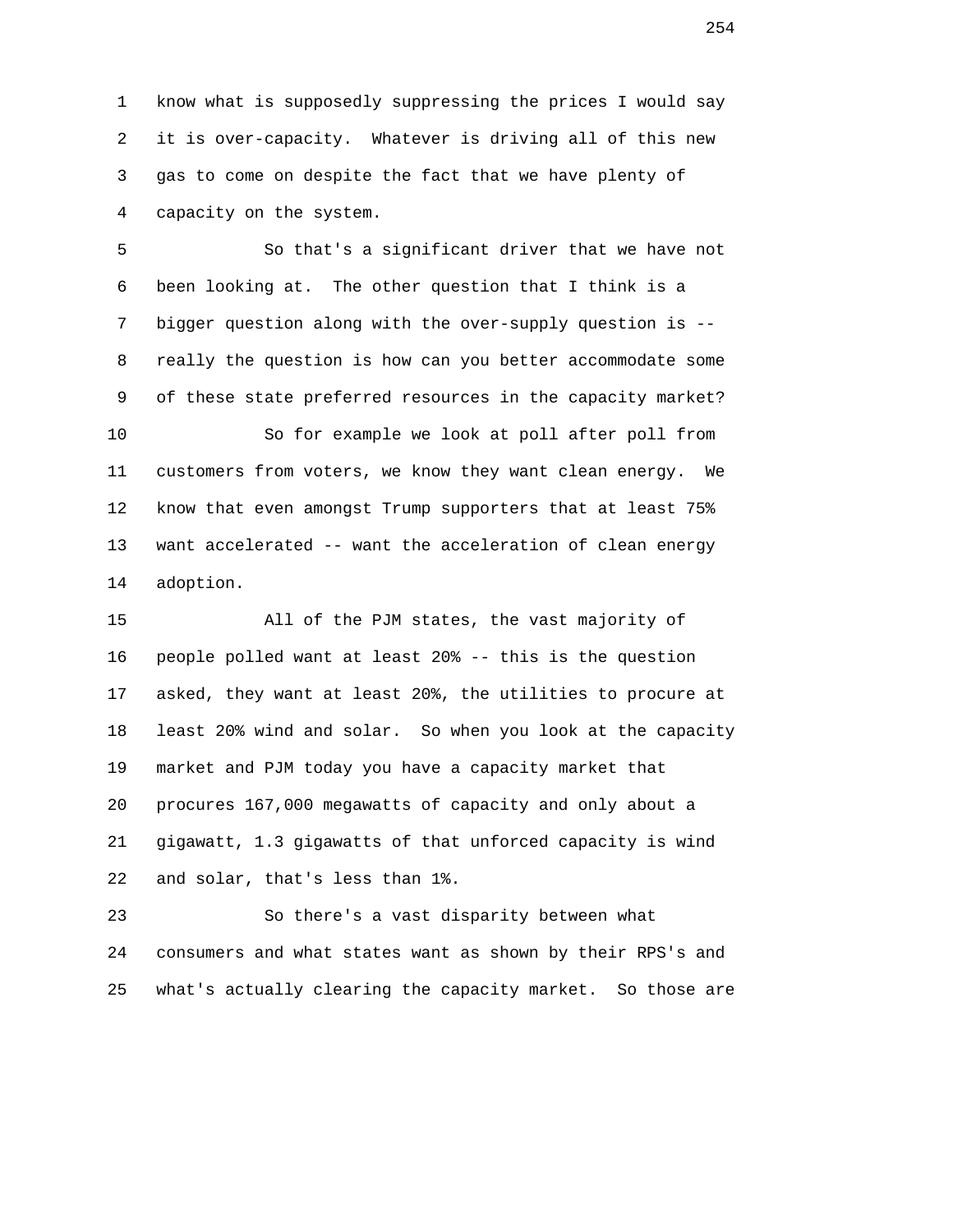1 know what is supposedly suppressing the prices I would say 2 it is over-capacity. Whatever is driving all of this new 3 gas to come on despite the fact that we have plenty of 4 capacity on the system.

 5 So that's a significant driver that we have not 6 been looking at. The other question that I think is a 7 bigger question along with the over-supply question is -- 8 really the question is how can you better accommodate some 9 of these state preferred resources in the capacity market? 10 So for example we look at poll after poll from 11 customers from voters, we know they want clean energy. We 12 know that even amongst Trump supporters that at least 75% 13 want accelerated -- want the acceleration of clean energy 14 adoption.

 15 All of the PJM states, the vast majority of 16 people polled want at least 20% -- this is the question 17 asked, they want at least 20%, the utilities to procure at 18 least 20% wind and solar. So when you look at the capacity 19 market and PJM today you have a capacity market that 20 procures 167,000 megawatts of capacity and only about a 21 gigawatt, 1.3 gigawatts of that unforced capacity is wind 22 and solar, that's less than 1%.

 23 So there's a vast disparity between what 24 consumers and what states want as shown by their RPS's and 25 what's actually clearing the capacity market. So those are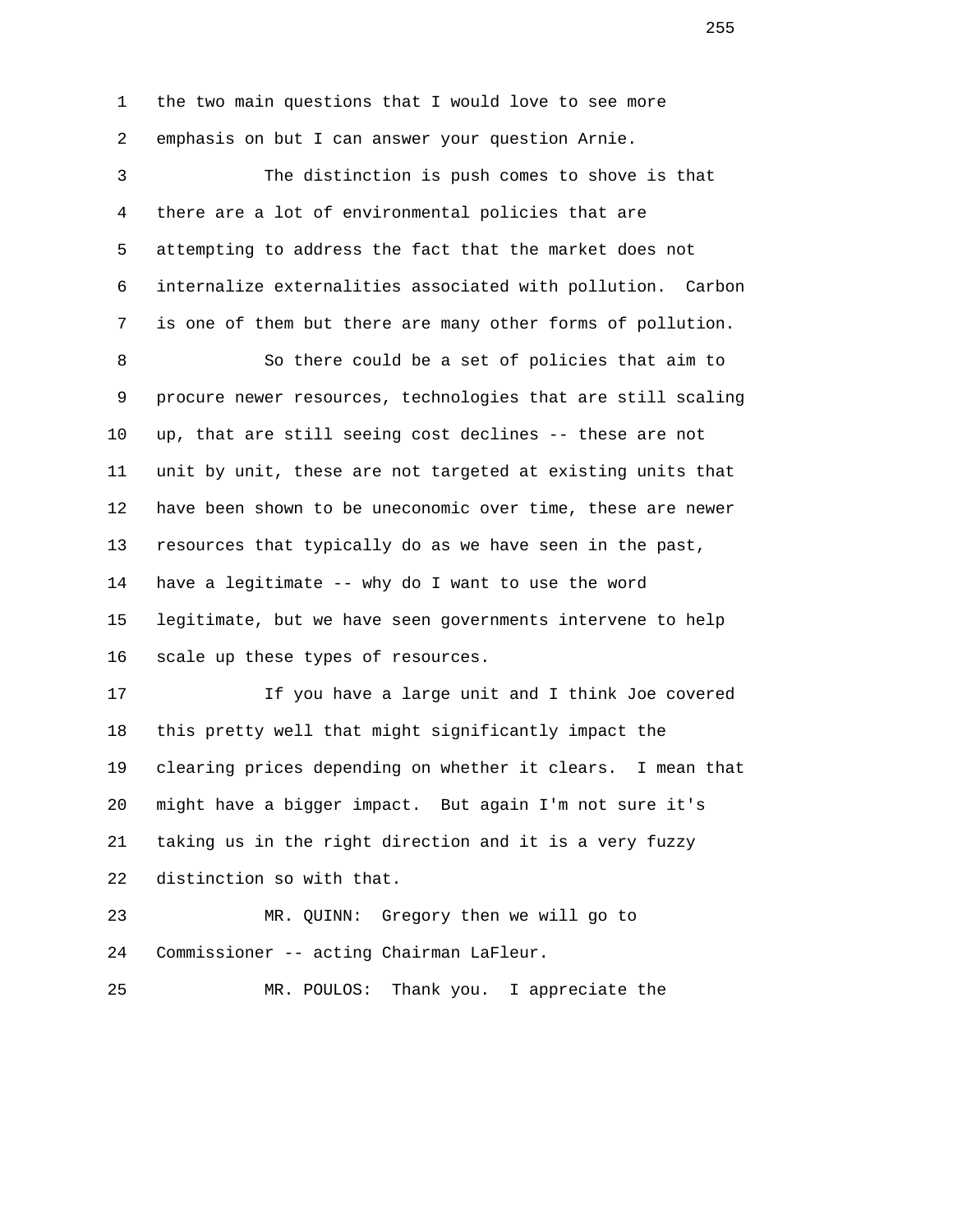1 the two main questions that I would love to see more 2 emphasis on but I can answer your question Arnie. 3 The distinction is push comes to shove is that 4 there are a lot of environmental policies that are 5 attempting to address the fact that the market does not 6 internalize externalities associated with pollution. Carbon 7 is one of them but there are many other forms of pollution. 8 So there could be a set of policies that aim to 9 procure newer resources, technologies that are still scaling 10 up, that are still seeing cost declines -- these are not 11 unit by unit, these are not targeted at existing units that 12 have been shown to be uneconomic over time, these are newer 13 resources that typically do as we have seen in the past, 14 have a legitimate -- why do I want to use the word 15 legitimate, but we have seen governments intervene to help 16 scale up these types of resources. 17 If you have a large unit and I think Joe covered 18 this pretty well that might significantly impact the 19 clearing prices depending on whether it clears. I mean that 20 might have a bigger impact. But again I'm not sure it's 21 taking us in the right direction and it is a very fuzzy 22 distinction so with that. 23 MR. QUINN: Gregory then we will go to 24 Commissioner -- acting Chairman LaFleur. 25 MR. POULOS: Thank you. I appreciate the

en de la construction de la construction de la construction de la construction de la construction de la construction de la construction de la construction de la construction de la construction de la construction de la cons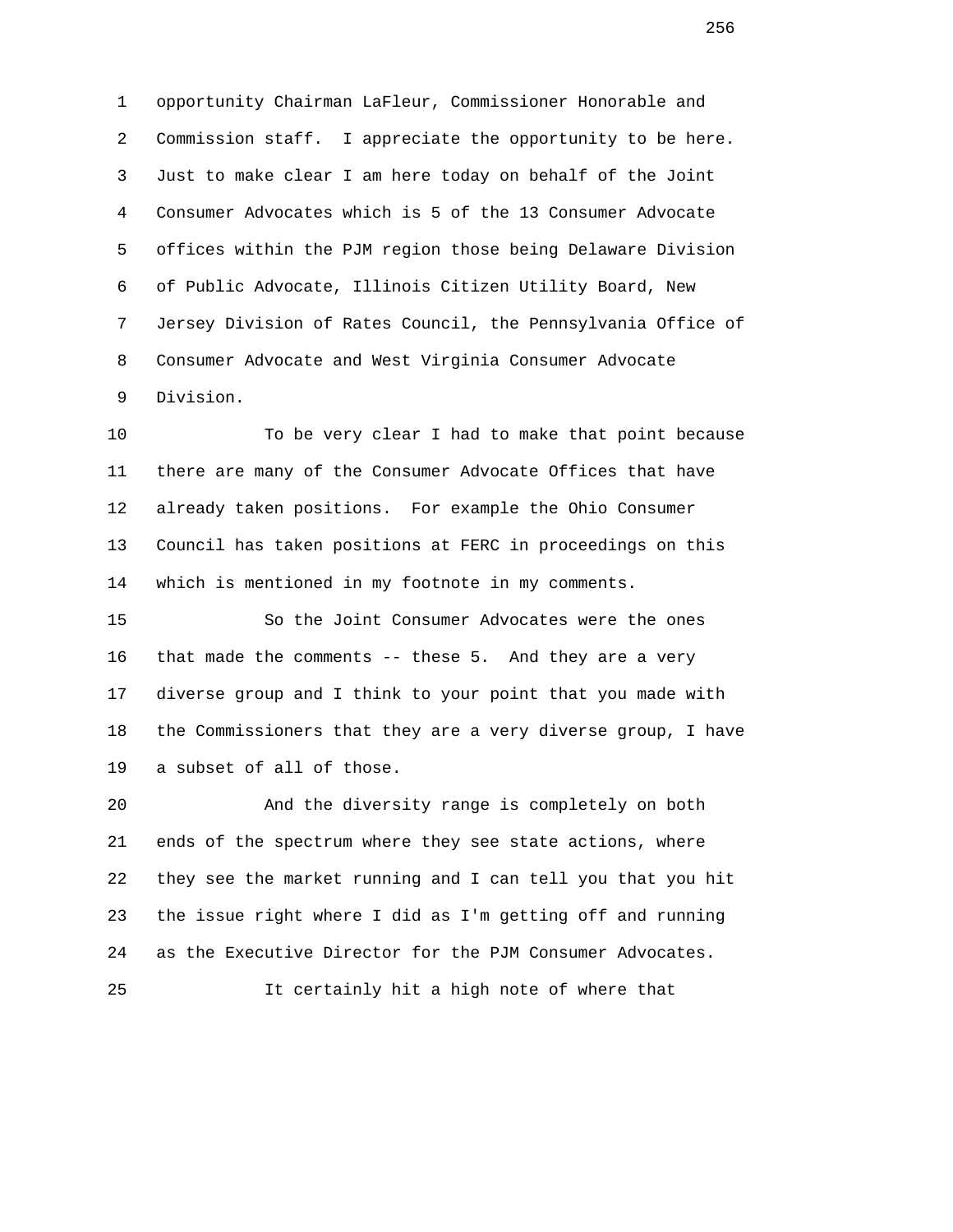1 opportunity Chairman LaFleur, Commissioner Honorable and 2 Commission staff. I appreciate the opportunity to be here. 3 Just to make clear I am here today on behalf of the Joint 4 Consumer Advocates which is 5 of the 13 Consumer Advocate 5 offices within the PJM region those being Delaware Division 6 of Public Advocate, Illinois Citizen Utility Board, New 7 Jersey Division of Rates Council, the Pennsylvania Office of 8 Consumer Advocate and West Virginia Consumer Advocate 9 Division.

 10 To be very clear I had to make that point because 11 there are many of the Consumer Advocate Offices that have 12 already taken positions. For example the Ohio Consumer 13 Council has taken positions at FERC in proceedings on this 14 which is mentioned in my footnote in my comments.

 15 So the Joint Consumer Advocates were the ones 16 that made the comments -- these 5. And they are a very 17 diverse group and I think to your point that you made with 18 the Commissioners that they are a very diverse group, I have 19 a subset of all of those.

 20 And the diversity range is completely on both 21 ends of the spectrum where they see state actions, where 22 they see the market running and I can tell you that you hit 23 the issue right where I did as I'm getting off and running 24 as the Executive Director for the PJM Consumer Advocates.

25 It certainly hit a high note of where that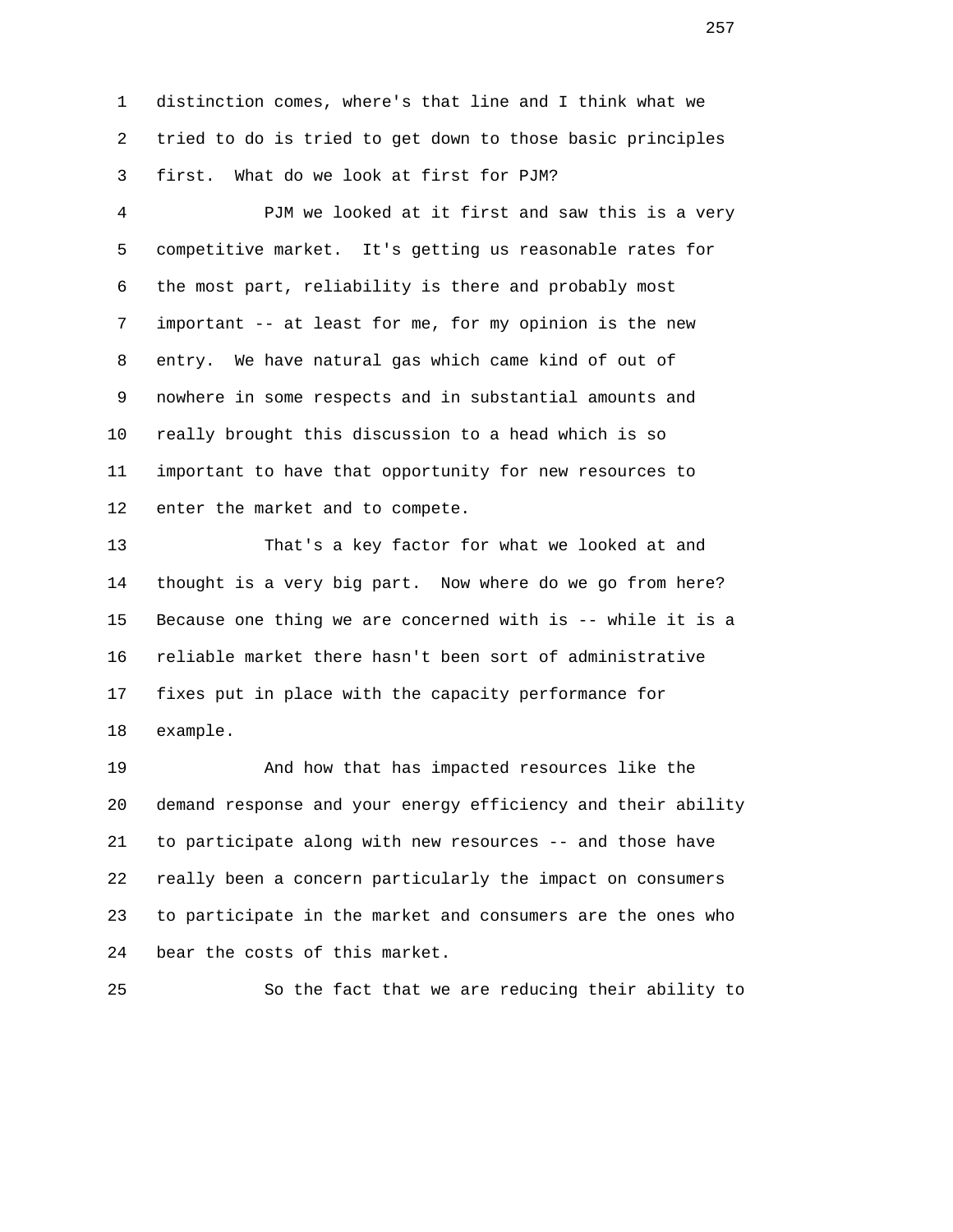1 distinction comes, where's that line and I think what we 2 tried to do is tried to get down to those basic principles 3 first. What do we look at first for PJM?

 4 PJM we looked at it first and saw this is a very 5 competitive market. It's getting us reasonable rates for 6 the most part, reliability is there and probably most 7 important -- at least for me, for my opinion is the new 8 entry. We have natural gas which came kind of out of 9 nowhere in some respects and in substantial amounts and 10 really brought this discussion to a head which is so 11 important to have that opportunity for new resources to 12 enter the market and to compete.

 13 That's a key factor for what we looked at and 14 thought is a very big part. Now where do we go from here? 15 Because one thing we are concerned with is -- while it is a 16 reliable market there hasn't been sort of administrative 17 fixes put in place with the capacity performance for 18 example.

 19 And how that has impacted resources like the 20 demand response and your energy efficiency and their ability 21 to participate along with new resources -- and those have 22 really been a concern particularly the impact on consumers 23 to participate in the market and consumers are the ones who 24 bear the costs of this market.

25 So the fact that we are reducing their ability to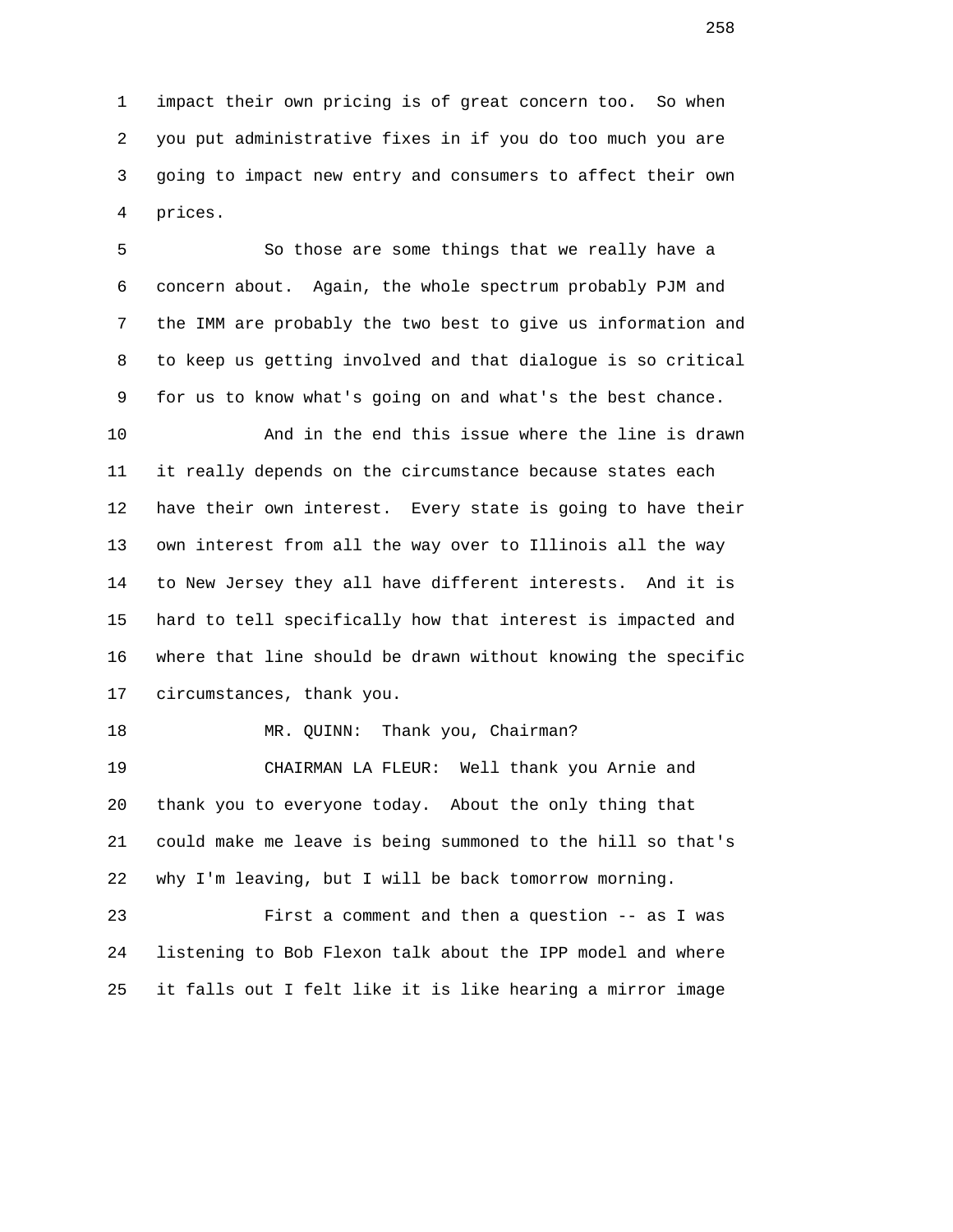1 impact their own pricing is of great concern too. So when 2 you put administrative fixes in if you do too much you are 3 going to impact new entry and consumers to affect their own 4 prices.

 5 So those are some things that we really have a 6 concern about. Again, the whole spectrum probably PJM and 7 the IMM are probably the two best to give us information and 8 to keep us getting involved and that dialogue is so critical 9 for us to know what's going on and what's the best chance.

 10 And in the end this issue where the line is drawn 11 it really depends on the circumstance because states each 12 have their own interest. Every state is going to have their 13 own interest from all the way over to Illinois all the way 14 to New Jersey they all have different interests. And it is 15 hard to tell specifically how that interest is impacted and 16 where that line should be drawn without knowing the specific 17 circumstances, thank you.

## 18 MR. QUINN: Thank you, Chairman?

 19 CHAIRMAN LA FLEUR: Well thank you Arnie and 20 thank you to everyone today. About the only thing that 21 could make me leave is being summoned to the hill so that's 22 why I'm leaving, but I will be back tomorrow morning.

 23 First a comment and then a question -- as I was 24 listening to Bob Flexon talk about the IPP model and where 25 it falls out I felt like it is like hearing a mirror image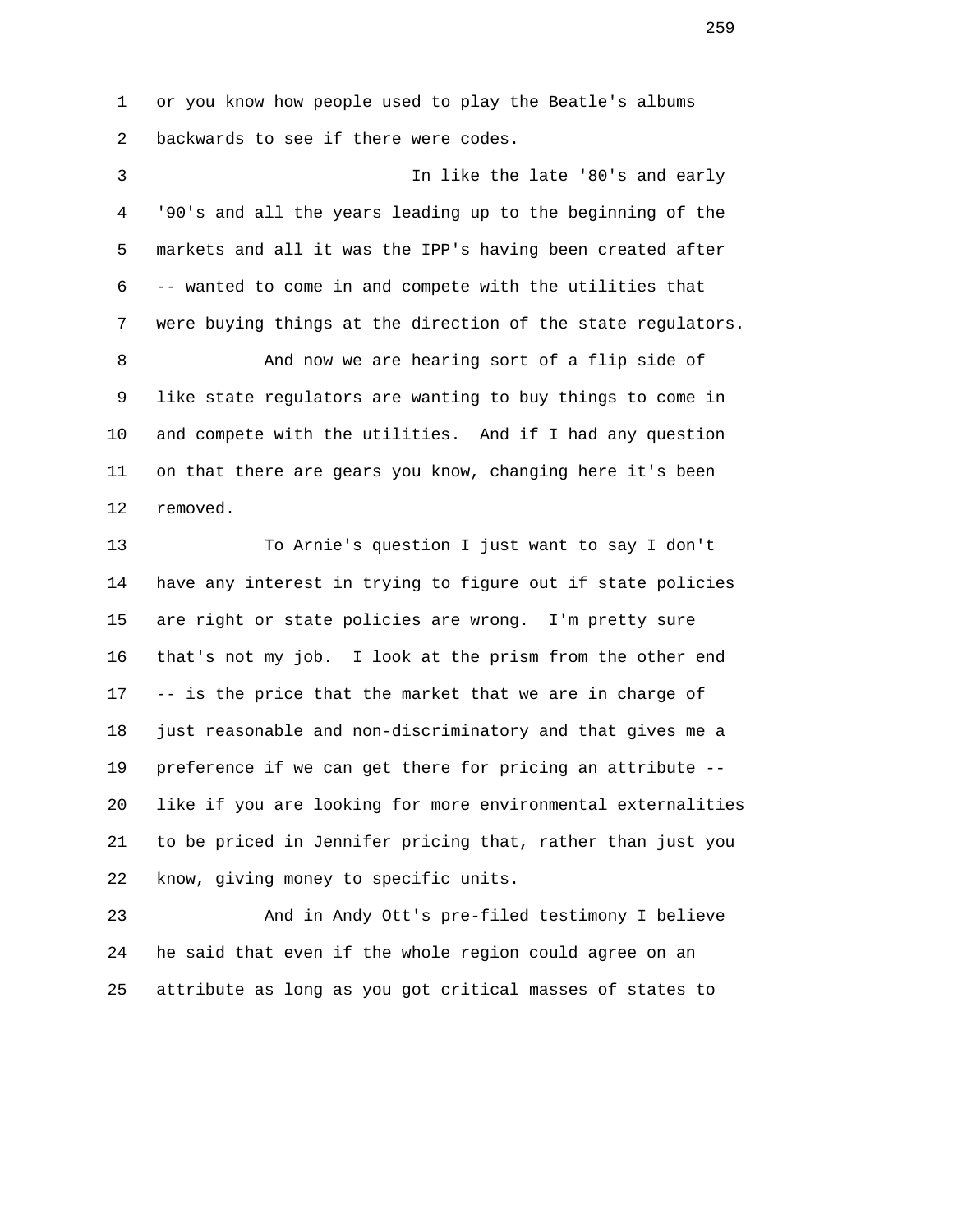1 or you know how people used to play the Beatle's albums 2 backwards to see if there were codes.

 3 In like the late '80's and early 4 '90's and all the years leading up to the beginning of the 5 markets and all it was the IPP's having been created after 6 -- wanted to come in and compete with the utilities that 7 were buying things at the direction of the state regulators.

 8 And now we are hearing sort of a flip side of 9 like state regulators are wanting to buy things to come in 10 and compete with the utilities. And if I had any question 11 on that there are gears you know, changing here it's been 12 removed.

 13 To Arnie's question I just want to say I don't 14 have any interest in trying to figure out if state policies 15 are right or state policies are wrong. I'm pretty sure 16 that's not my job. I look at the prism from the other end 17 -- is the price that the market that we are in charge of 18 just reasonable and non-discriminatory and that gives me a 19 preference if we can get there for pricing an attribute -- 20 like if you are looking for more environmental externalities 21 to be priced in Jennifer pricing that, rather than just you 22 know, giving money to specific units.

 23 And in Andy Ott's pre-filed testimony I believe 24 he said that even if the whole region could agree on an 25 attribute as long as you got critical masses of states to

<u>259</u>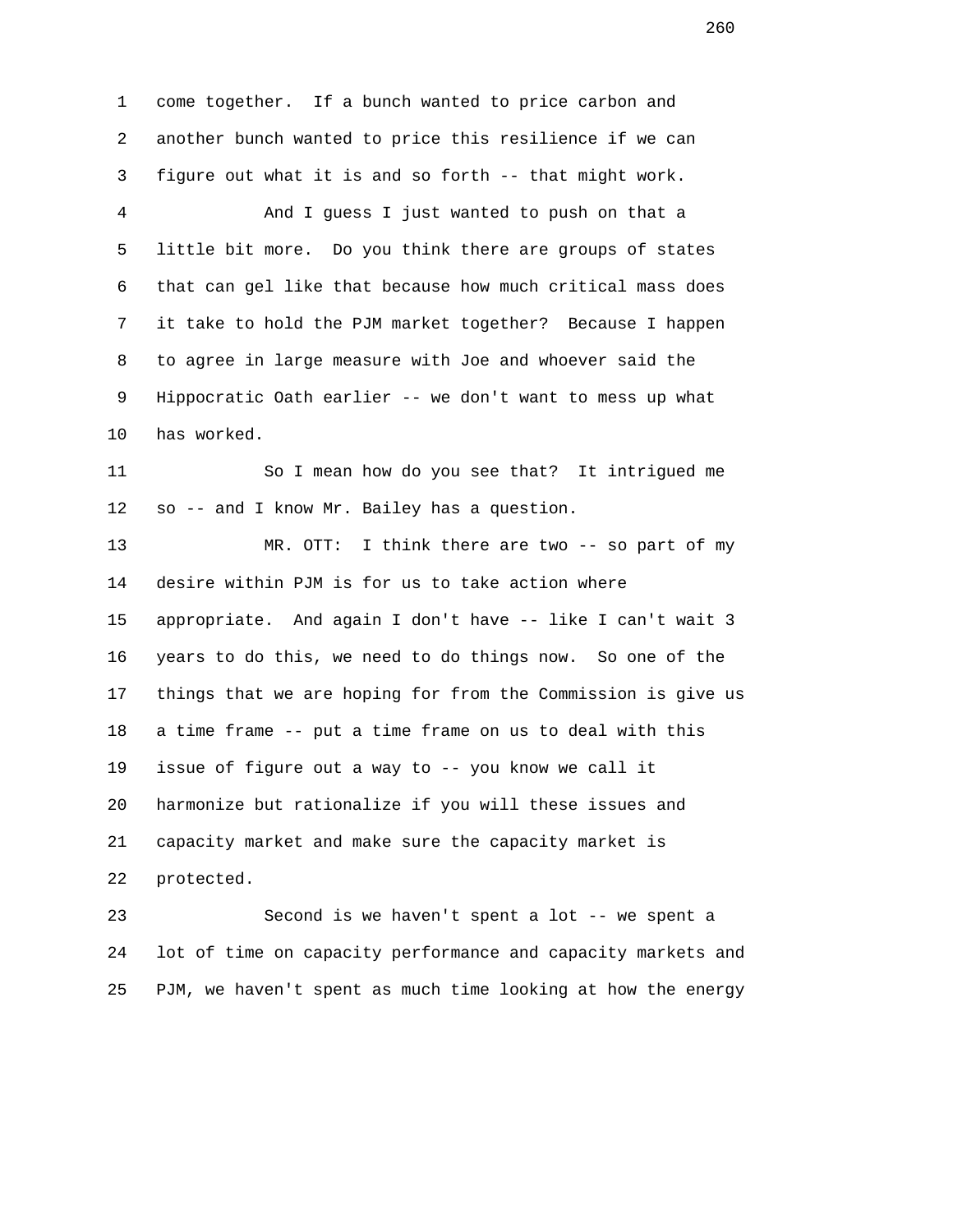1 come together. If a bunch wanted to price carbon and 2 another bunch wanted to price this resilience if we can 3 figure out what it is and so forth -- that might work. 4 And I guess I just wanted to push on that a 5 little bit more. Do you think there are groups of states 6 that can gel like that because how much critical mass does 7 it take to hold the PJM market together? Because I happen 8 to agree in large measure with Joe and whoever said the 9 Hippocratic Oath earlier -- we don't want to mess up what 10 has worked. 11 So I mean how do you see that? It intrigued me 12 so -- and I know Mr. Bailey has a question. 13 MR. OTT: I think there are two -- so part of my 14 desire within PJM is for us to take action where 15 appropriate. And again I don't have -- like I can't wait 3 16 years to do this, we need to do things now. So one of the 17 things that we are hoping for from the Commission is give us 18 a time frame -- put a time frame on us to deal with this 19 issue of figure out a way to -- you know we call it 20 harmonize but rationalize if you will these issues and 21 capacity market and make sure the capacity market is 22 protected. 23 Second is we haven't spent a lot -- we spent a

 24 lot of time on capacity performance and capacity markets and 25 PJM, we haven't spent as much time looking at how the energy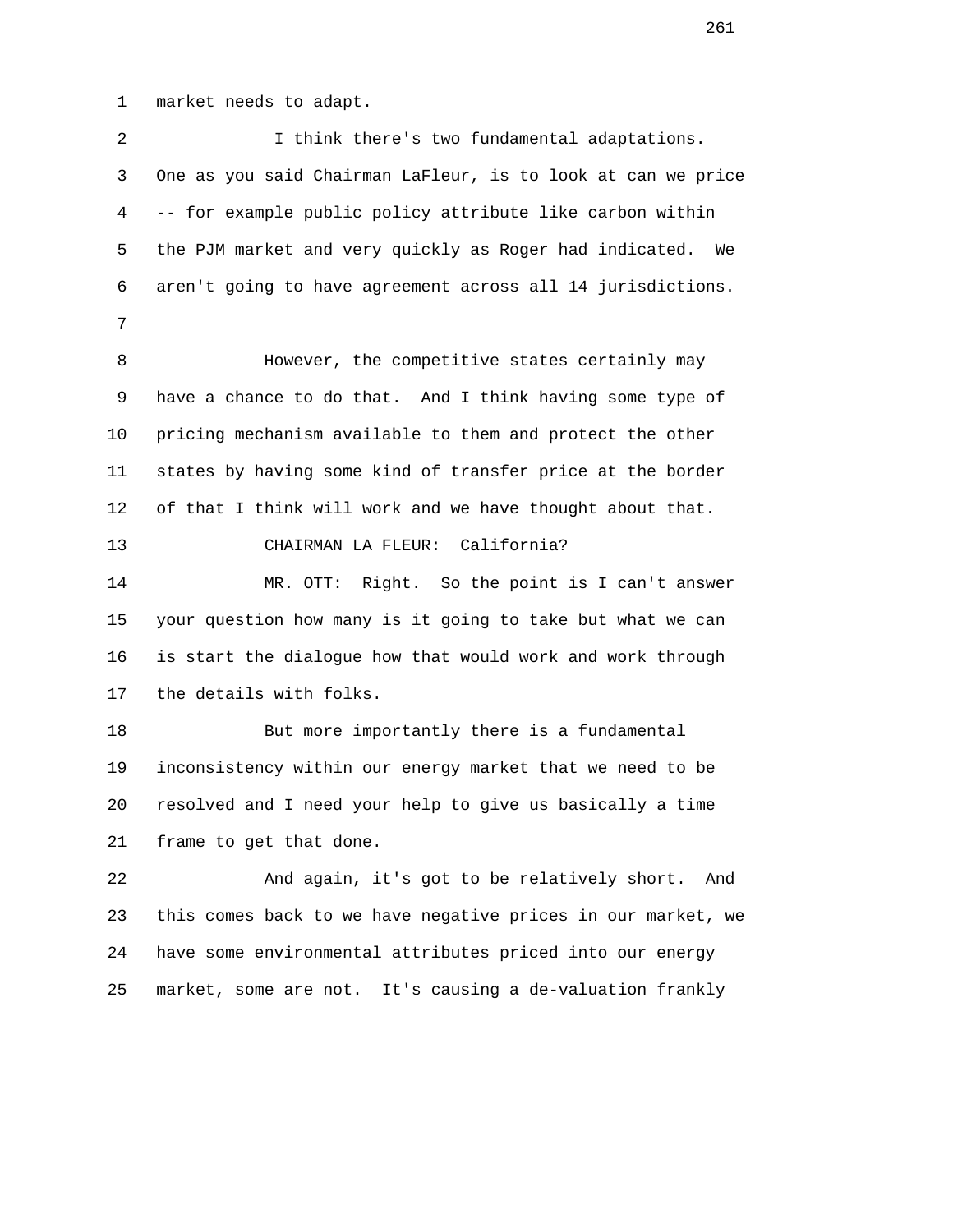1 market needs to adapt.

| $\sqrt{2}$ | I think there's two fundamental adaptations.                  |
|------------|---------------------------------------------------------------|
| 3          | One as you said Chairman LaFleur, is to look at can we price  |
| 4          | -- for example public policy attribute like carbon within     |
| 5          | the PJM market and very quickly as Roger had indicated.<br>We |
| 6          | aren't going to have agreement across all 14 jurisdictions.   |
| 7          |                                                               |
| 8          | However, the competitive states certainly may                 |
| 9          | have a chance to do that. And I think having some type of     |
| 10         | pricing mechanism available to them and protect the other     |
| 11         | states by having some kind of transfer price at the border    |
| 12         | of that I think will work and we have thought about that.     |
| 13         | CHAIRMAN LA FLEUR: California?                                |
| 14         | MR. OTT:<br>Right. So the point is I can't answer             |
| 15         | your question how many is it going to take but what we can    |
| 16         | is start the dialogue how that would work and work through    |
| 17         | the details with folks.                                       |
| 18         | But more importantly there is a fundamental                   |
| 19         | inconsistency within our energy market that we need to be     |
| 20         | resolved and I need your help to give us basically a time     |
| 21         | frame to get that done.                                       |
| 22         | And again, it's got to be relatively short.<br>And            |
| 23         | this comes back to we have negative prices in our market, we  |
| 24         | have some environmental attributes priced into our energy     |
| 25         | market, some are not. It's causing a de-valuation frankly     |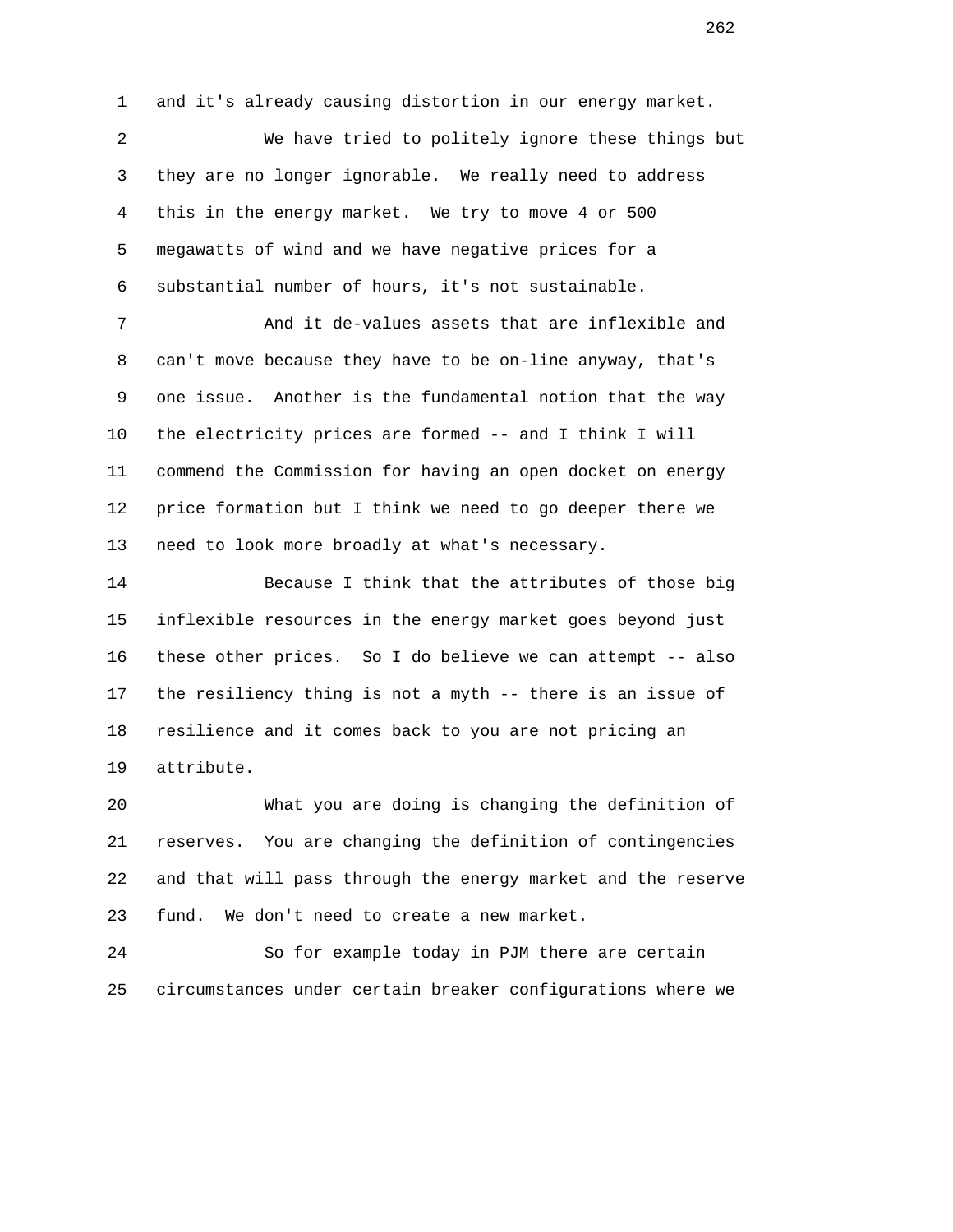1 and it's already causing distortion in our energy market.

 2 We have tried to politely ignore these things but 3 they are no longer ignorable. We really need to address 4 this in the energy market. We try to move 4 or 500 5 megawatts of wind and we have negative prices for a 6 substantial number of hours, it's not sustainable.

 7 And it de-values assets that are inflexible and 8 can't move because they have to be on-line anyway, that's 9 one issue. Another is the fundamental notion that the way 10 the electricity prices are formed -- and I think I will 11 commend the Commission for having an open docket on energy 12 price formation but I think we need to go deeper there we 13 need to look more broadly at what's necessary.

 14 Because I think that the attributes of those big 15 inflexible resources in the energy market goes beyond just 16 these other prices. So I do believe we can attempt -- also 17 the resiliency thing is not a myth -- there is an issue of 18 resilience and it comes back to you are not pricing an 19 attribute.

 20 What you are doing is changing the definition of 21 reserves. You are changing the definition of contingencies 22 and that will pass through the energy market and the reserve 23 fund. We don't need to create a new market.

 24 So for example today in PJM there are certain 25 circumstances under certain breaker configurations where we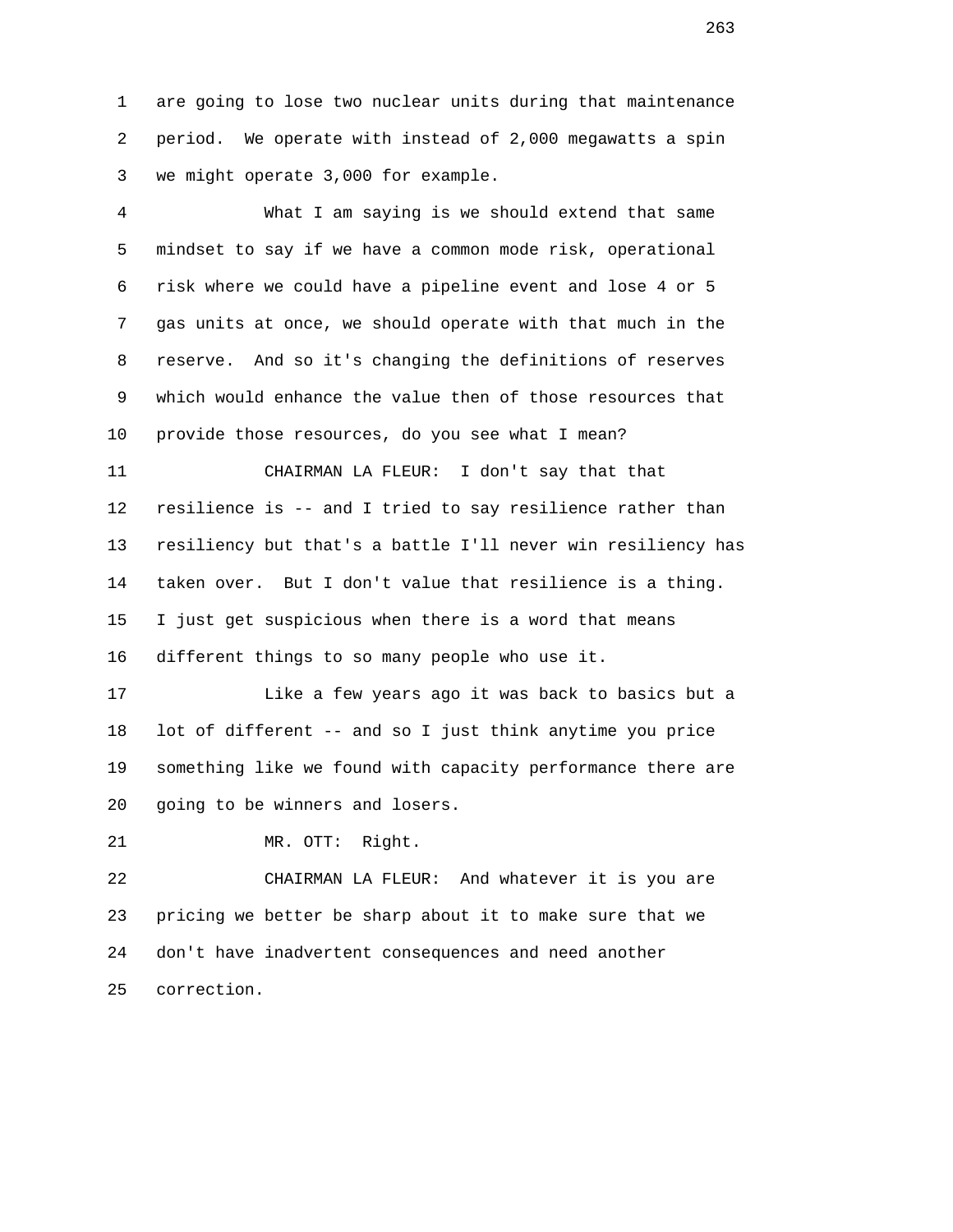1 are going to lose two nuclear units during that maintenance 2 period. We operate with instead of 2,000 megawatts a spin 3 we might operate 3,000 for example.

 4 What I am saying is we should extend that same 5 mindset to say if we have a common mode risk, operational 6 risk where we could have a pipeline event and lose 4 or 5 7 gas units at once, we should operate with that much in the 8 reserve. And so it's changing the definitions of reserves 9 which would enhance the value then of those resources that 10 provide those resources, do you see what I mean?

 11 CHAIRMAN LA FLEUR: I don't say that that 12 resilience is -- and I tried to say resilience rather than 13 resiliency but that's a battle I'll never win resiliency has 14 taken over. But I don't value that resilience is a thing. 15 I just get suspicious when there is a word that means 16 different things to so many people who use it.

 17 Like a few years ago it was back to basics but a 18 lot of different -- and so I just think anytime you price 19 something like we found with capacity performance there are 20 going to be winners and losers.

21 MR. OTT: Right.

 22 CHAIRMAN LA FLEUR: And whatever it is you are 23 pricing we better be sharp about it to make sure that we 24 don't have inadvertent consequences and need another 25 correction.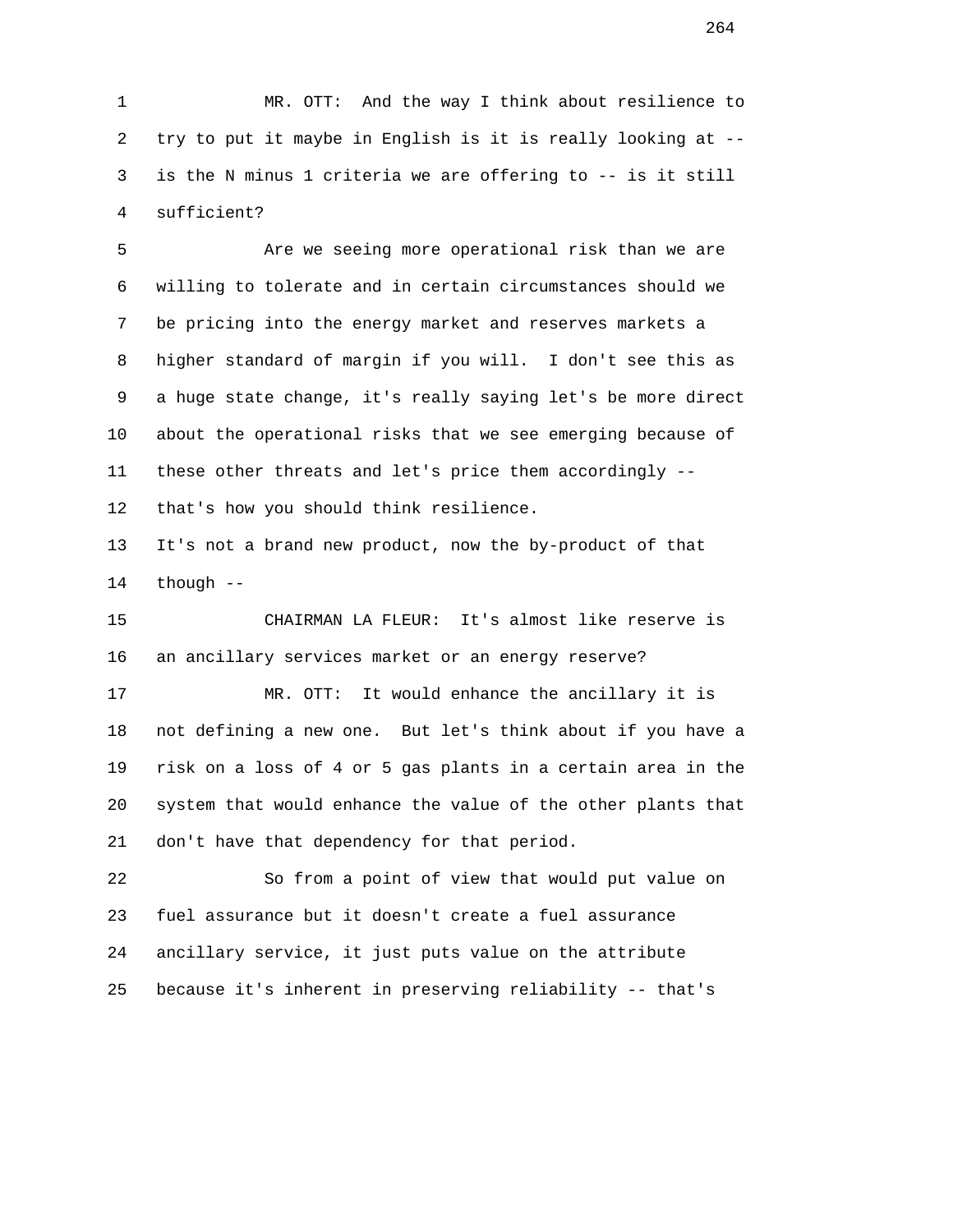1 MR. OTT: And the way I think about resilience to 2 try to put it maybe in English is it is really looking at -- 3 is the N minus 1 criteria we are offering to -- is it still 4 sufficient?

5 **Are we seeing more operational risk than we are**  6 willing to tolerate and in certain circumstances should we 7 be pricing into the energy market and reserves markets a 8 higher standard of margin if you will. I don't see this as 9 a huge state change, it's really saying let's be more direct 10 about the operational risks that we see emerging because of 11 these other threats and let's price them accordingly -- 12 that's how you should think resilience.

 13 It's not a brand new product, now the by-product of that 14 though --

 15 CHAIRMAN LA FLEUR: It's almost like reserve is 16 an ancillary services market or an energy reserve?

 17 MR. OTT: It would enhance the ancillary it is 18 not defining a new one. But let's think about if you have a 19 risk on a loss of 4 or 5 gas plants in a certain area in the 20 system that would enhance the value of the other plants that 21 don't have that dependency for that period.

 22 So from a point of view that would put value on 23 fuel assurance but it doesn't create a fuel assurance 24 ancillary service, it just puts value on the attribute 25 because it's inherent in preserving reliability -- that's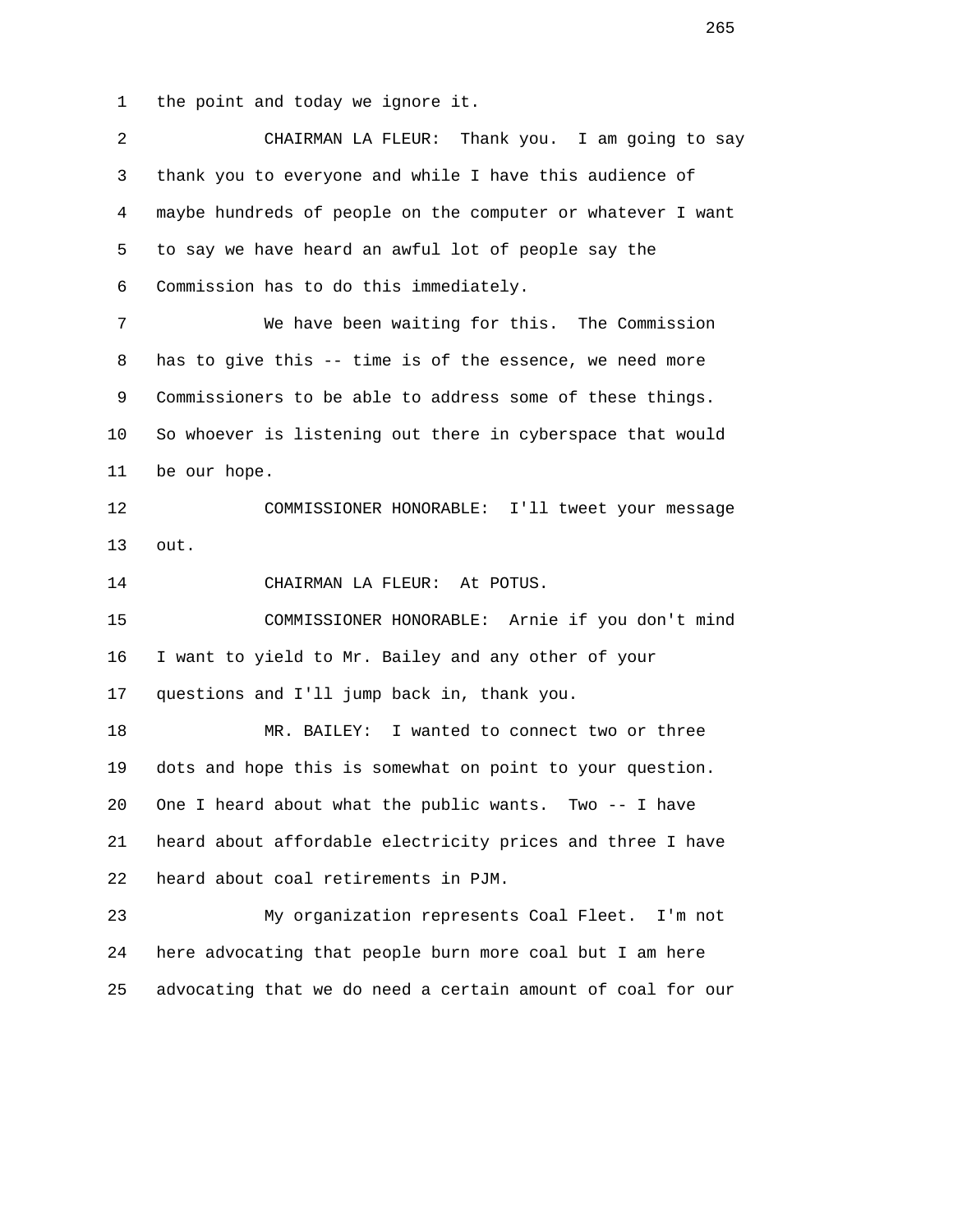1 the point and today we ignore it.

| $\overline{a}$ | CHAIRMAN LA FLEUR: Thank you. I am going to say             |
|----------------|-------------------------------------------------------------|
| 3              | thank you to everyone and while I have this audience of     |
| $\overline{4}$ | maybe hundreds of people on the computer or whatever I want |
| 5              | to say we have heard an awful lot of people say the         |
| 6              | Commission has to do this immediately.                      |
| $7\phantom{.}$ | We have been waiting for this. The Commission               |
| 8              | has to give this -- time is of the essence, we need more    |
| 9              | Commissioners to be able to address some of these things.   |
| 10             | So whoever is listening out there in cyberspace that would  |
| 11             | be our hope.                                                |
| 12             | COMMISSIONER HONORABLE: I'll tweet your message             |
| 13             | out.                                                        |
| 14             | CHAIRMAN LA FLEUR: At POTUS.                                |
| 15             | COMMISSIONER HONORABLE: Arnie if you don't mind             |
| 16             | I want to yield to Mr. Bailey and any other of your         |
| 17             | questions and I'll jump back in, thank you.                 |
| 18             | I wanted to connect two or three<br>MR. BAILEY:             |
| 19             | dots and hope this is somewhat on point to your question.   |
| 20             | One I heard about what the public wants.<br>Two $--$ I have |
| 21             | heard about affordable electricity prices and three I have  |
| 22             | heard about coal retirements in PJM.                        |
| 23             | My organization represents Coal Fleet. I'm not              |
| 24             | here advocating that people burn more coal but I am here    |
| 25             | advocating that we do need a certain amount of coal for our |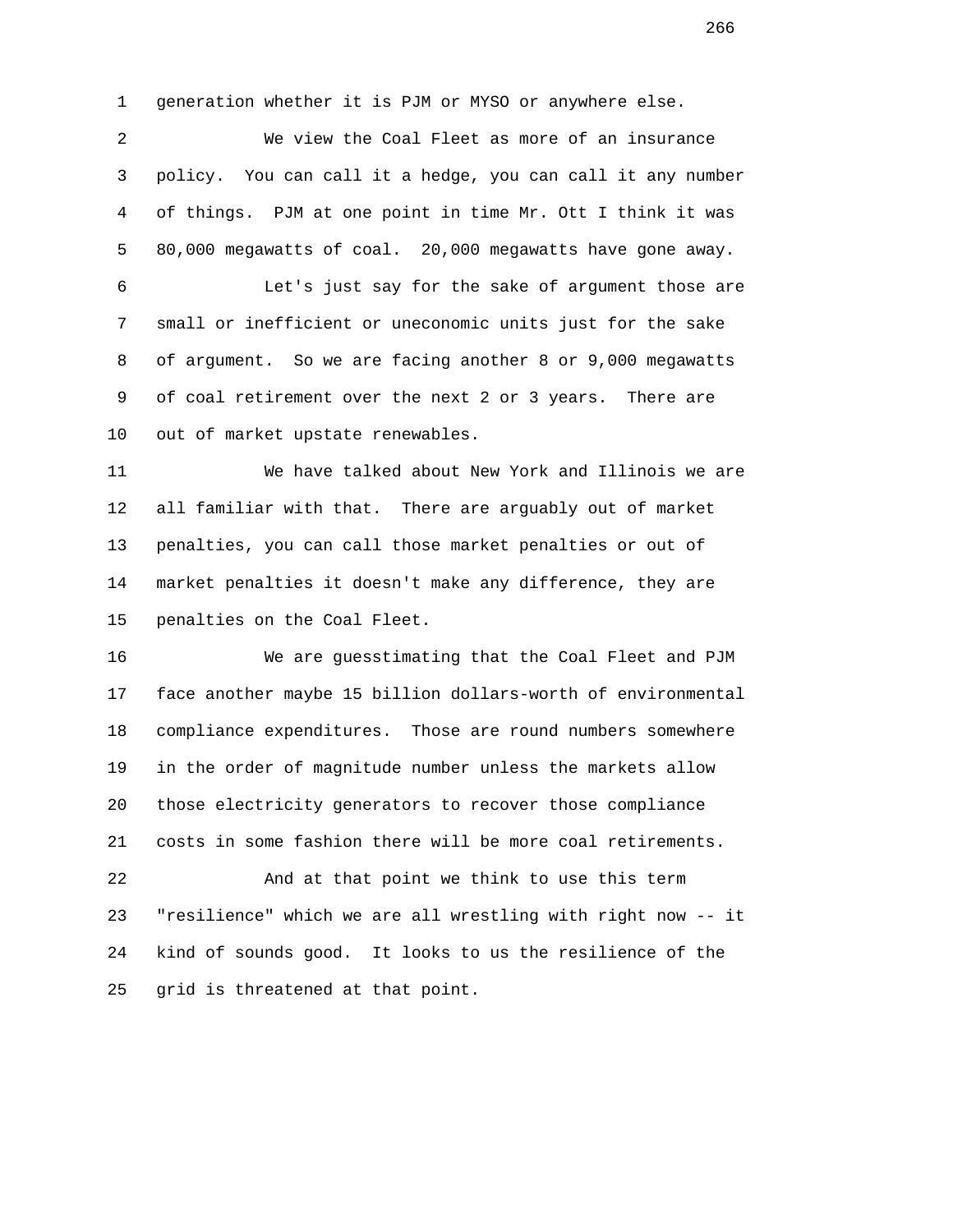1 generation whether it is PJM or MYSO or anywhere else.

 2 We view the Coal Fleet as more of an insurance 3 policy. You can call it a hedge, you can call it any number 4 of things. PJM at one point in time Mr. Ott I think it was 5 80,000 megawatts of coal. 20,000 megawatts have gone away.

 6 Let's just say for the sake of argument those are 7 small or inefficient or uneconomic units just for the sake 8 of argument. So we are facing another 8 or 9,000 megawatts 9 of coal retirement over the next 2 or 3 years. There are 10 out of market upstate renewables.

 11 We have talked about New York and Illinois we are 12 all familiar with that. There are arguably out of market 13 penalties, you can call those market penalties or out of 14 market penalties it doesn't make any difference, they are 15 penalties on the Coal Fleet.

 16 We are guesstimating that the Coal Fleet and PJM 17 face another maybe 15 billion dollars-worth of environmental 18 compliance expenditures. Those are round numbers somewhere 19 in the order of magnitude number unless the markets allow 20 those electricity generators to recover those compliance 21 costs in some fashion there will be more coal retirements.

 22 And at that point we think to use this term 23 "resilience" which we are all wrestling with right now -- it 24 kind of sounds good. It looks to us the resilience of the 25 grid is threatened at that point.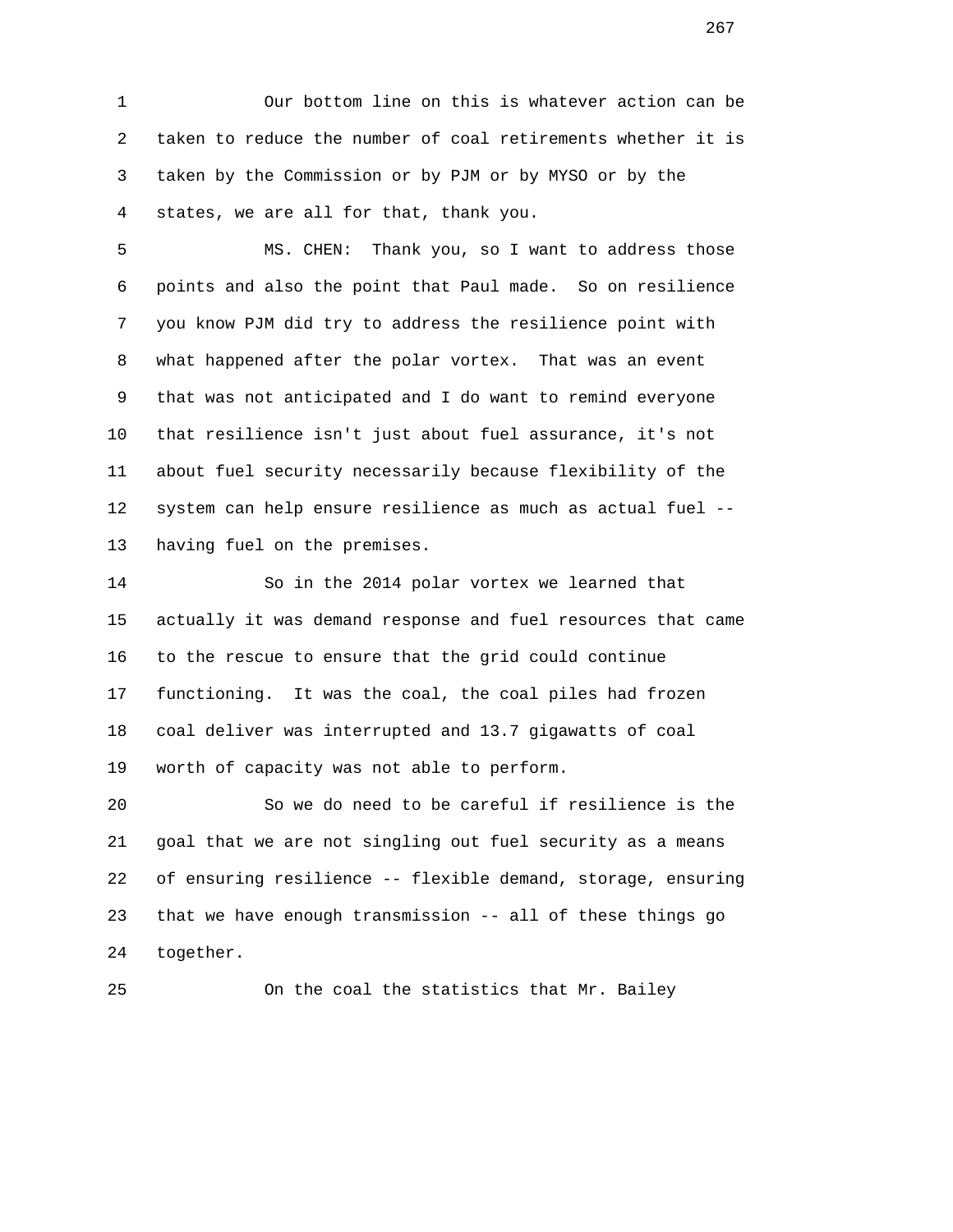1 Our bottom line on this is whatever action can be 2 taken to reduce the number of coal retirements whether it is 3 taken by the Commission or by PJM or by MYSO or by the 4 states, we are all for that, thank you.

 5 MS. CHEN: Thank you, so I want to address those 6 points and also the point that Paul made. So on resilience 7 you know PJM did try to address the resilience point with 8 what happened after the polar vortex. That was an event 9 that was not anticipated and I do want to remind everyone 10 that resilience isn't just about fuel assurance, it's not 11 about fuel security necessarily because flexibility of the 12 system can help ensure resilience as much as actual fuel -- 13 having fuel on the premises.

 14 So in the 2014 polar vortex we learned that 15 actually it was demand response and fuel resources that came 16 to the rescue to ensure that the grid could continue 17 functioning. It was the coal, the coal piles had frozen 18 coal deliver was interrupted and 13.7 gigawatts of coal 19 worth of capacity was not able to perform.

 20 So we do need to be careful if resilience is the 21 goal that we are not singling out fuel security as a means 22 of ensuring resilience -- flexible demand, storage, ensuring 23 that we have enough transmission -- all of these things go 24 together.

25 On the coal the statistics that Mr. Bailey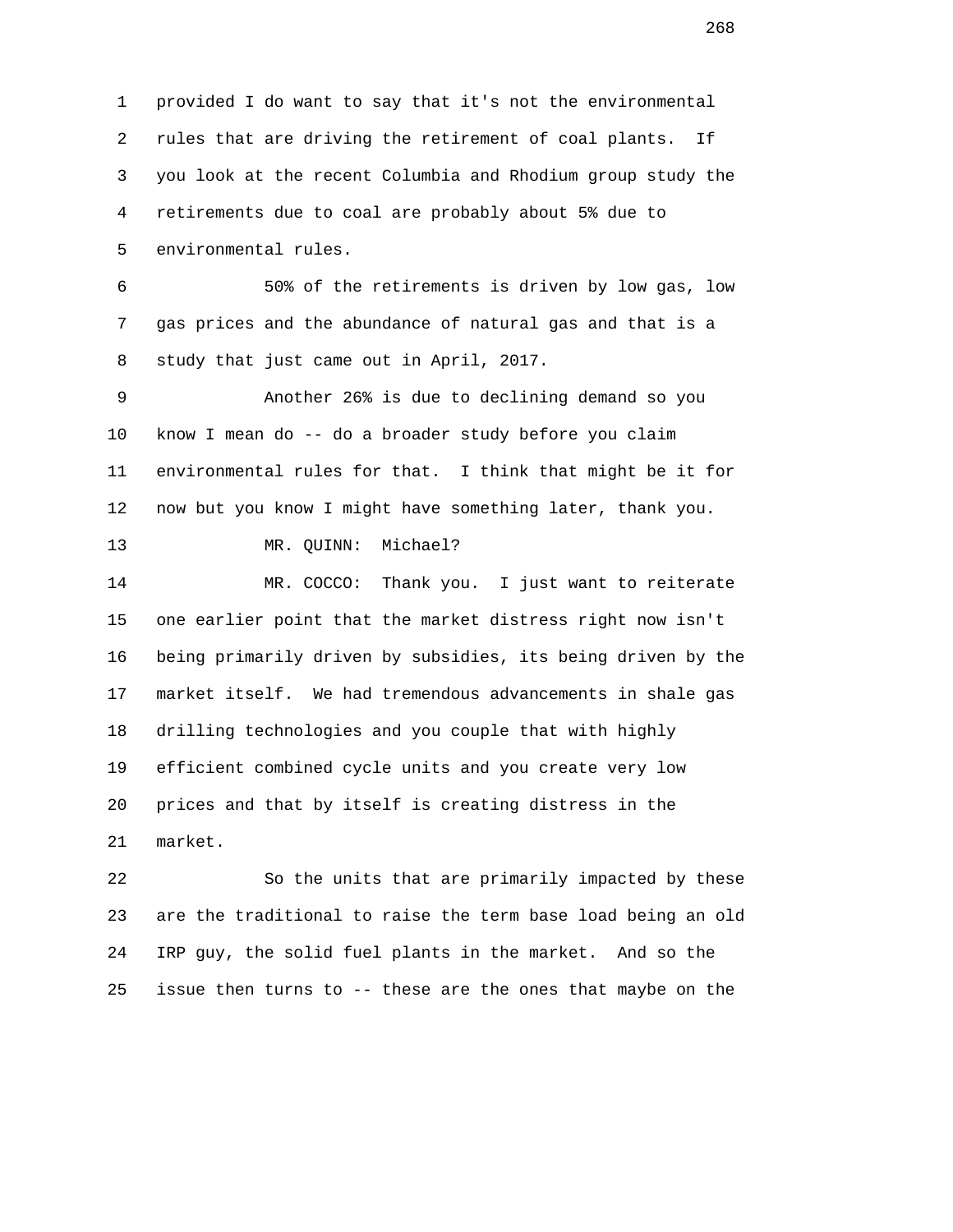1 provided I do want to say that it's not the environmental 2 rules that are driving the retirement of coal plants. If 3 you look at the recent Columbia and Rhodium group study the 4 retirements due to coal are probably about 5% due to 5 environmental rules. 6 50% of the retirements is driven by low gas, low 7 gas prices and the abundance of natural gas and that is a 8 study that just came out in April, 2017. 9 Another 26% is due to declining demand so you 10 know I mean do -- do a broader study before you claim 11 environmental rules for that. I think that might be it for 12 now but you know I might have something later, thank you. 13 MR. QUINN: Michael? 14 MR. COCCO: Thank you. I just want to reiterate 15 one earlier point that the market distress right now isn't 16 being primarily driven by subsidies, its being driven by the 17 market itself. We had tremendous advancements in shale gas 18 drilling technologies and you couple that with highly 19 efficient combined cycle units and you create very low 20 prices and that by itself is creating distress in the 21 market. 22 So the units that are primarily impacted by these 23 are the traditional to raise the term base load being an old

25 issue then turns to -- these are the ones that maybe on the

24 IRP guy, the solid fuel plants in the market. And so the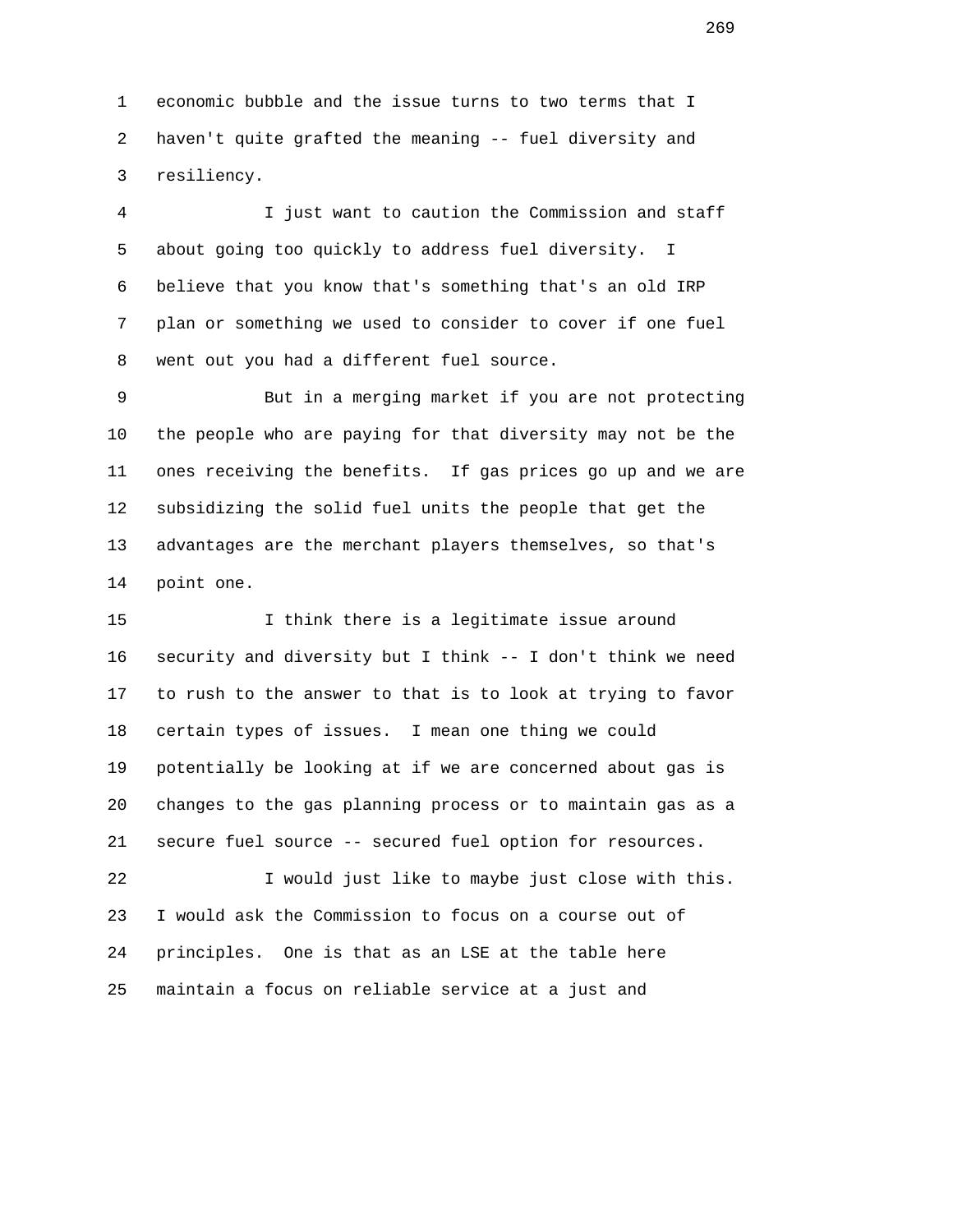1 economic bubble and the issue turns to two terms that I 2 haven't quite grafted the meaning -- fuel diversity and 3 resiliency.

 4 I just want to caution the Commission and staff 5 about going too quickly to address fuel diversity. I 6 believe that you know that's something that's an old IRP 7 plan or something we used to consider to cover if one fuel 8 went out you had a different fuel source.

 9 But in a merging market if you are not protecting 10 the people who are paying for that diversity may not be the 11 ones receiving the benefits. If gas prices go up and we are 12 subsidizing the solid fuel units the people that get the 13 advantages are the merchant players themselves, so that's 14 point one.

 15 I think there is a legitimate issue around 16 security and diversity but I think -- I don't think we need 17 to rush to the answer to that is to look at trying to favor 18 certain types of issues. I mean one thing we could 19 potentially be looking at if we are concerned about gas is 20 changes to the gas planning process or to maintain gas as a 21 secure fuel source -- secured fuel option for resources.

 22 I would just like to maybe just close with this. 23 I would ask the Commission to focus on a course out of 24 principles. One is that as an LSE at the table here 25 maintain a focus on reliable service at a just and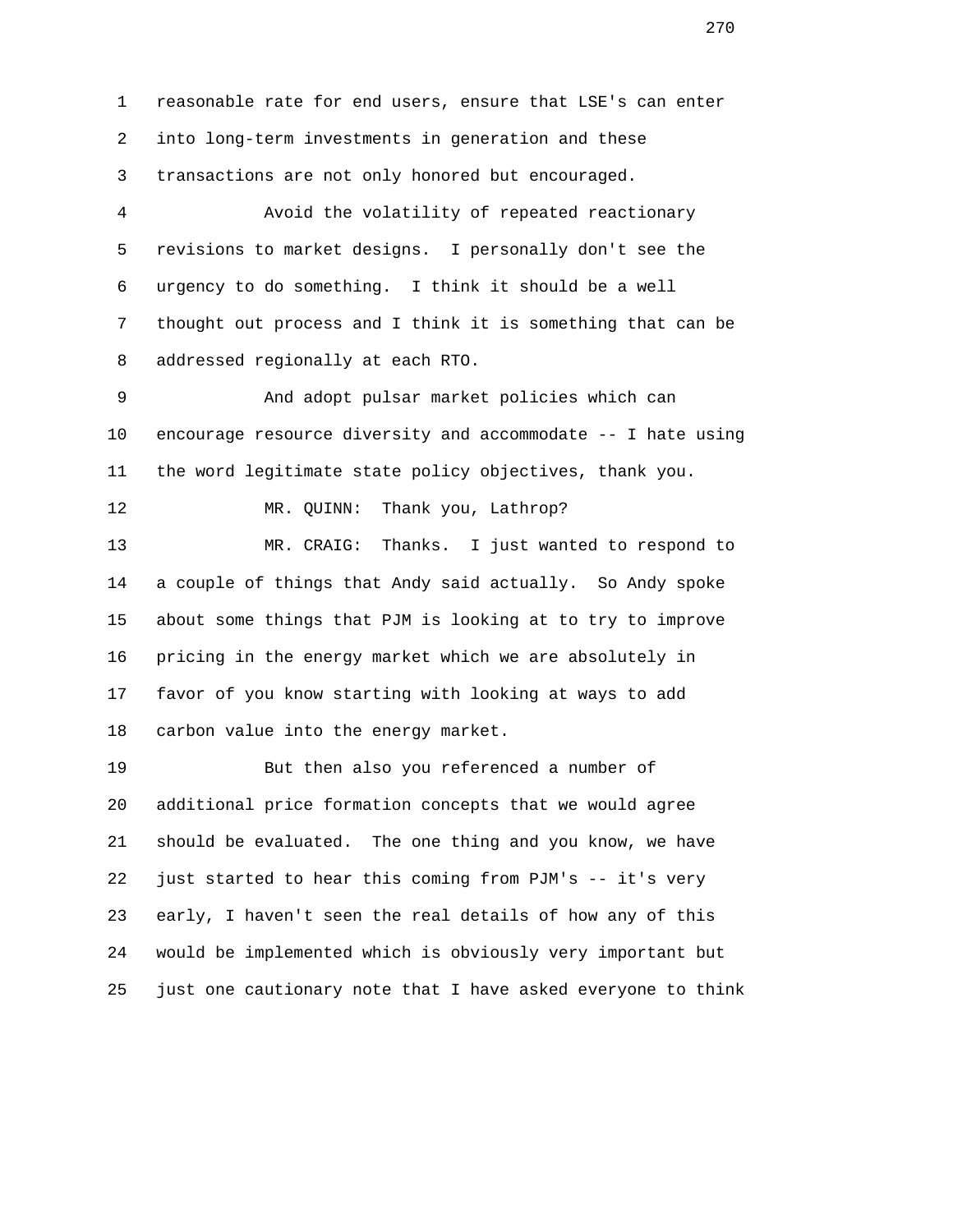1 reasonable rate for end users, ensure that LSE's can enter 2 into long-term investments in generation and these 3 transactions are not only honored but encouraged.

 4 Avoid the volatility of repeated reactionary 5 revisions to market designs. I personally don't see the 6 urgency to do something. I think it should be a well 7 thought out process and I think it is something that can be 8 addressed regionally at each RTO.

 9 And adopt pulsar market policies which can 10 encourage resource diversity and accommodate -- I hate using 11 the word legitimate state policy objectives, thank you.

12 MR. QUINN: Thank you, Lathrop?

 13 MR. CRAIG: Thanks. I just wanted to respond to 14 a couple of things that Andy said actually. So Andy spoke 15 about some things that PJM is looking at to try to improve 16 pricing in the energy market which we are absolutely in 17 favor of you know starting with looking at ways to add 18 carbon value into the energy market.

 19 But then also you referenced a number of 20 additional price formation concepts that we would agree 21 should be evaluated. The one thing and you know, we have 22 just started to hear this coming from PJM's -- it's very 23 early, I haven't seen the real details of how any of this 24 would be implemented which is obviously very important but 25 just one cautionary note that I have asked everyone to think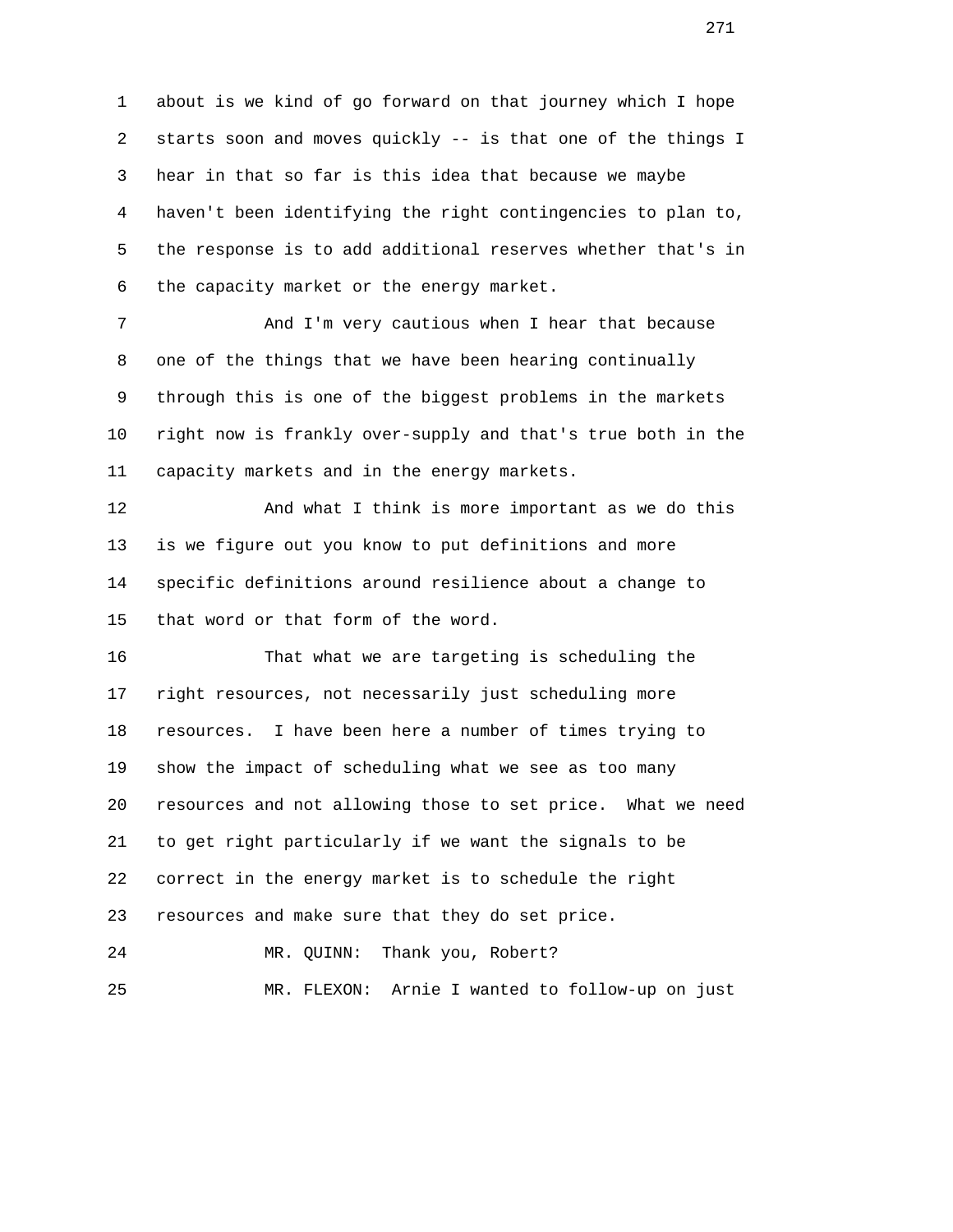1 about is we kind of go forward on that journey which I hope 2 starts soon and moves quickly -- is that one of the things I 3 hear in that so far is this idea that because we maybe 4 haven't been identifying the right contingencies to plan to, 5 the response is to add additional reserves whether that's in 6 the capacity market or the energy market.

 7 And I'm very cautious when I hear that because 8 one of the things that we have been hearing continually 9 through this is one of the biggest problems in the markets 10 right now is frankly over-supply and that's true both in the 11 capacity markets and in the energy markets.

 12 And what I think is more important as we do this 13 is we figure out you know to put definitions and more 14 specific definitions around resilience about a change to 15 that word or that form of the word.

 16 That what we are targeting is scheduling the 17 right resources, not necessarily just scheduling more 18 resources. I have been here a number of times trying to 19 show the impact of scheduling what we see as too many 20 resources and not allowing those to set price. What we need 21 to get right particularly if we want the signals to be 22 correct in the energy market is to schedule the right 23 resources and make sure that they do set price. 24 MR. QUINN: Thank you, Robert?

25 MR. FLEXON: Arnie I wanted to follow-up on just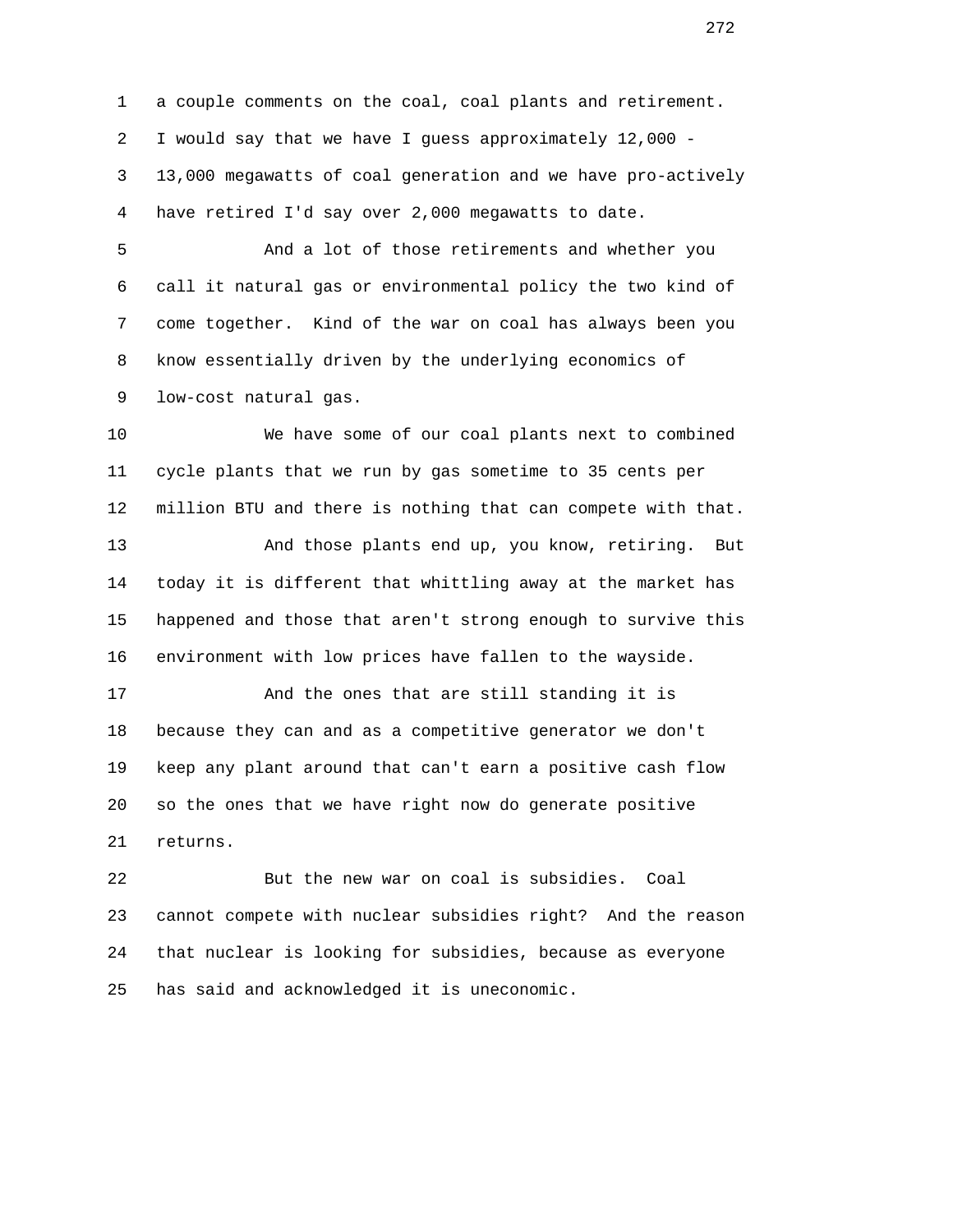1 a couple comments on the coal, coal plants and retirement. 2 I would say that we have I guess approximately 12,000 - 3 13,000 megawatts of coal generation and we have pro-actively 4 have retired I'd say over 2,000 megawatts to date.

 5 And a lot of those retirements and whether you 6 call it natural gas or environmental policy the two kind of 7 come together. Kind of the war on coal has always been you 8 know essentially driven by the underlying economics of 9 low-cost natural gas.

 10 We have some of our coal plants next to combined 11 cycle plants that we run by gas sometime to 35 cents per 12 million BTU and there is nothing that can compete with that. 13 And those plants end up, you know, retiring. But 14 today it is different that whittling away at the market has 15 happened and those that aren't strong enough to survive this

16 environment with low prices have fallen to the wayside.

 17 And the ones that are still standing it is 18 because they can and as a competitive generator we don't 19 keep any plant around that can't earn a positive cash flow 20 so the ones that we have right now do generate positive 21 returns.

 22 But the new war on coal is subsidies. Coal 23 cannot compete with nuclear subsidies right? And the reason 24 that nuclear is looking for subsidies, because as everyone 25 has said and acknowledged it is uneconomic.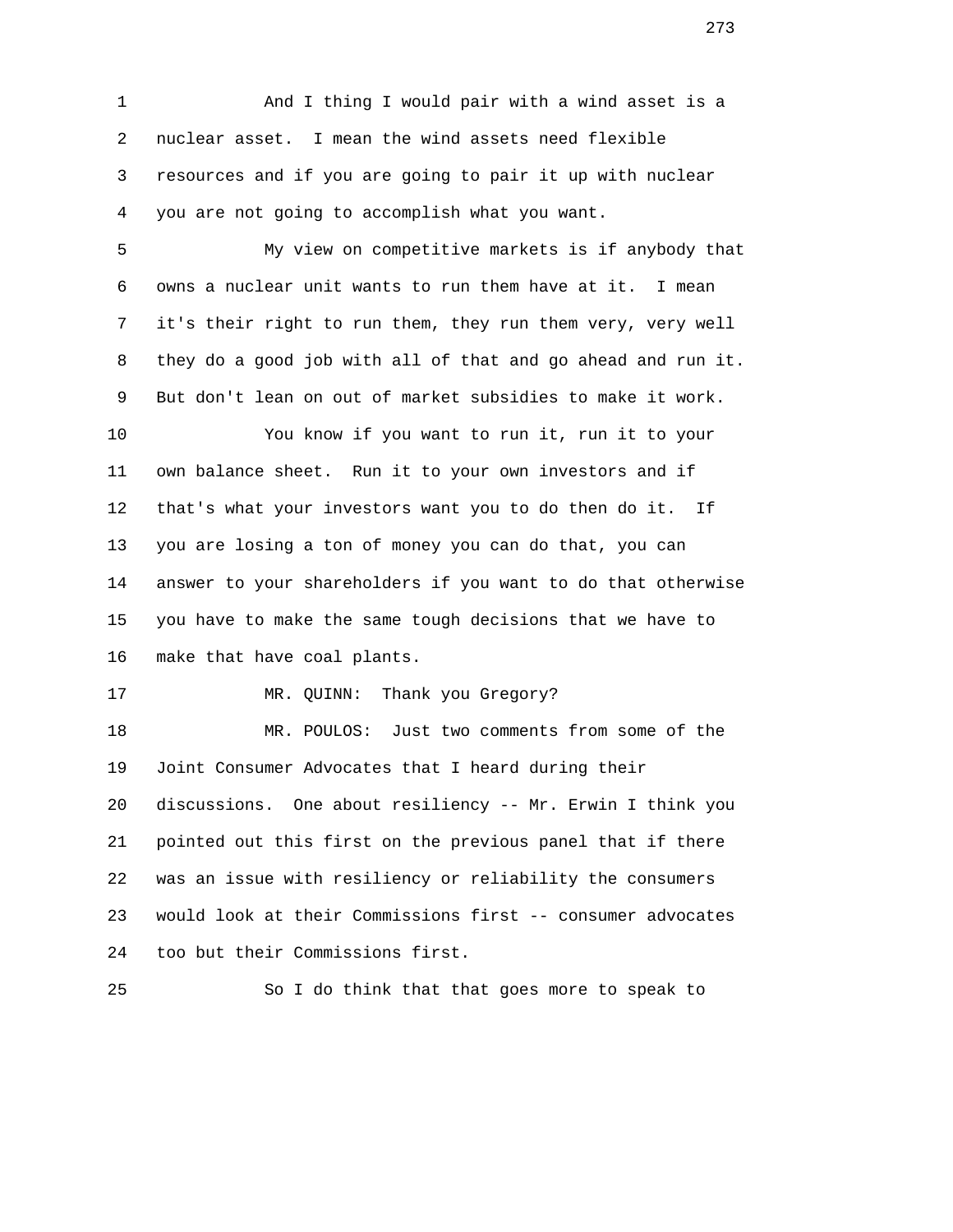1 And I thing I would pair with a wind asset is a 2 nuclear asset. I mean the wind assets need flexible 3 resources and if you are going to pair it up with nuclear 4 you are not going to accomplish what you want.

 5 My view on competitive markets is if anybody that 6 owns a nuclear unit wants to run them have at it. I mean 7 it's their right to run them, they run them very, very well 8 they do a good job with all of that and go ahead and run it. 9 But don't lean on out of market subsidies to make it work.

 10 You know if you want to run it, run it to your 11 own balance sheet. Run it to your own investors and if 12 that's what your investors want you to do then do it. If 13 you are losing a ton of money you can do that, you can 14 answer to your shareholders if you want to do that otherwise 15 you have to make the same tough decisions that we have to 16 make that have coal plants.

17 MR. QUINN: Thank you Gregory?

 18 MR. POULOS: Just two comments from some of the 19 Joint Consumer Advocates that I heard during their 20 discussions. One about resiliency -- Mr. Erwin I think you 21 pointed out this first on the previous panel that if there 22 was an issue with resiliency or reliability the consumers 23 would look at their Commissions first -- consumer advocates 24 too but their Commissions first.

25 So I do think that that goes more to speak to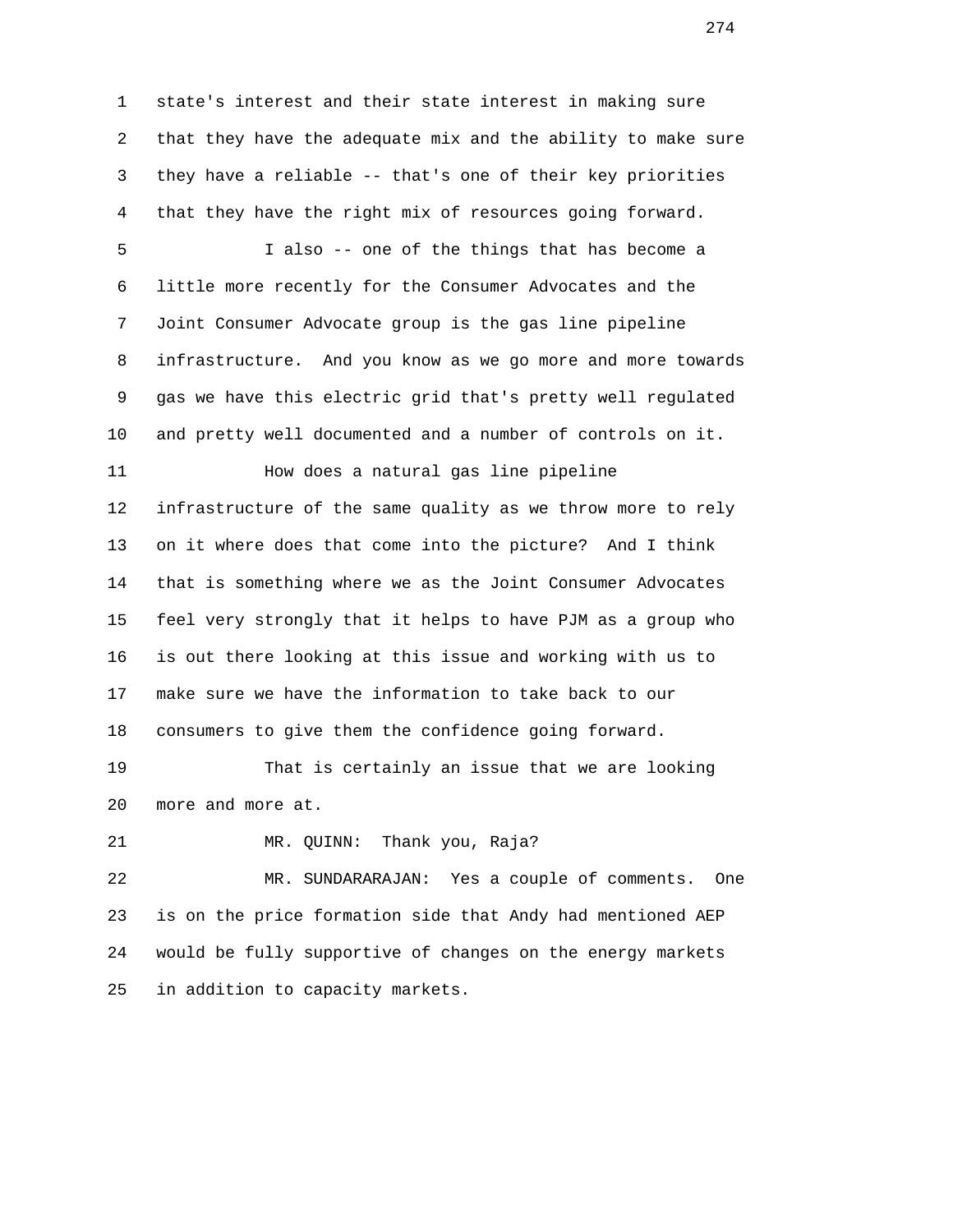1 state's interest and their state interest in making sure 2 that they have the adequate mix and the ability to make sure 3 they have a reliable -- that's one of their key priorities 4 that they have the right mix of resources going forward.

 5 I also -- one of the things that has become a 6 little more recently for the Consumer Advocates and the 7 Joint Consumer Advocate group is the gas line pipeline 8 infrastructure. And you know as we go more and more towards 9 gas we have this electric grid that's pretty well regulated 10 and pretty well documented and a number of controls on it.

 11 How does a natural gas line pipeline 12 infrastructure of the same quality as we throw more to rely 13 on it where does that come into the picture? And I think 14 that is something where we as the Joint Consumer Advocates 15 feel very strongly that it helps to have PJM as a group who 16 is out there looking at this issue and working with us to 17 make sure we have the information to take back to our 18 consumers to give them the confidence going forward.

 19 That is certainly an issue that we are looking 20 more and more at.

21 MR. QUINN: Thank you, Raja?

 22 MR. SUNDARARAJAN: Yes a couple of comments. One 23 is on the price formation side that Andy had mentioned AEP 24 would be fully supportive of changes on the energy markets 25 in addition to capacity markets.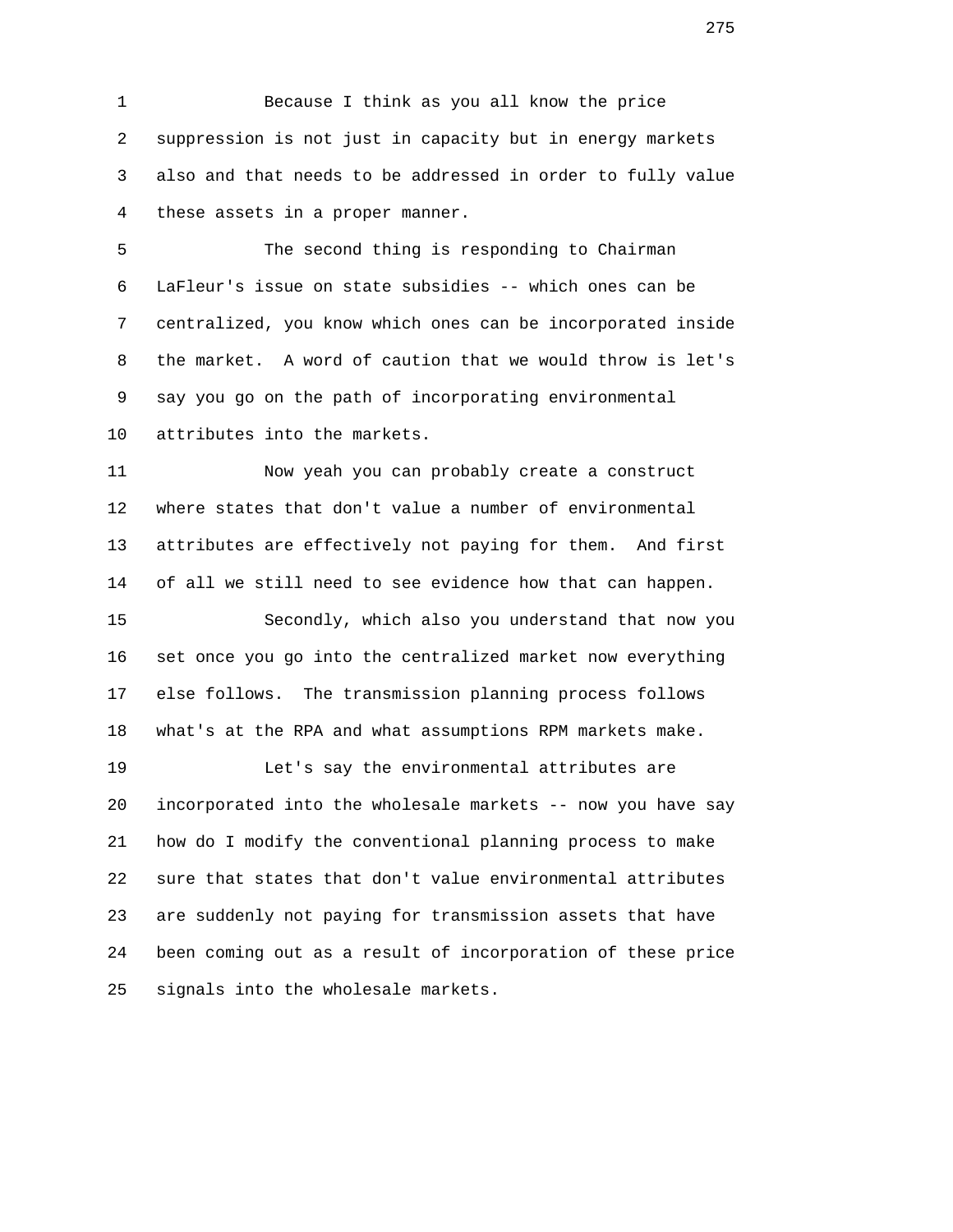1 Because I think as you all know the price 2 suppression is not just in capacity but in energy markets 3 also and that needs to be addressed in order to fully value 4 these assets in a proper manner.

 5 The second thing is responding to Chairman 6 LaFleur's issue on state subsidies -- which ones can be 7 centralized, you know which ones can be incorporated inside 8 the market. A word of caution that we would throw is let's 9 say you go on the path of incorporating environmental 10 attributes into the markets.

 11 Now yeah you can probably create a construct 12 where states that don't value a number of environmental 13 attributes are effectively not paying for them. And first 14 of all we still need to see evidence how that can happen. 15 Secondly, which also you understand that now you 16 set once you go into the centralized market now everything 17 else follows. The transmission planning process follows

18 what's at the RPA and what assumptions RPM markets make.

 19 Let's say the environmental attributes are 20 incorporated into the wholesale markets -- now you have say 21 how do I modify the conventional planning process to make 22 sure that states that don't value environmental attributes 23 are suddenly not paying for transmission assets that have 24 been coming out as a result of incorporation of these price 25 signals into the wholesale markets.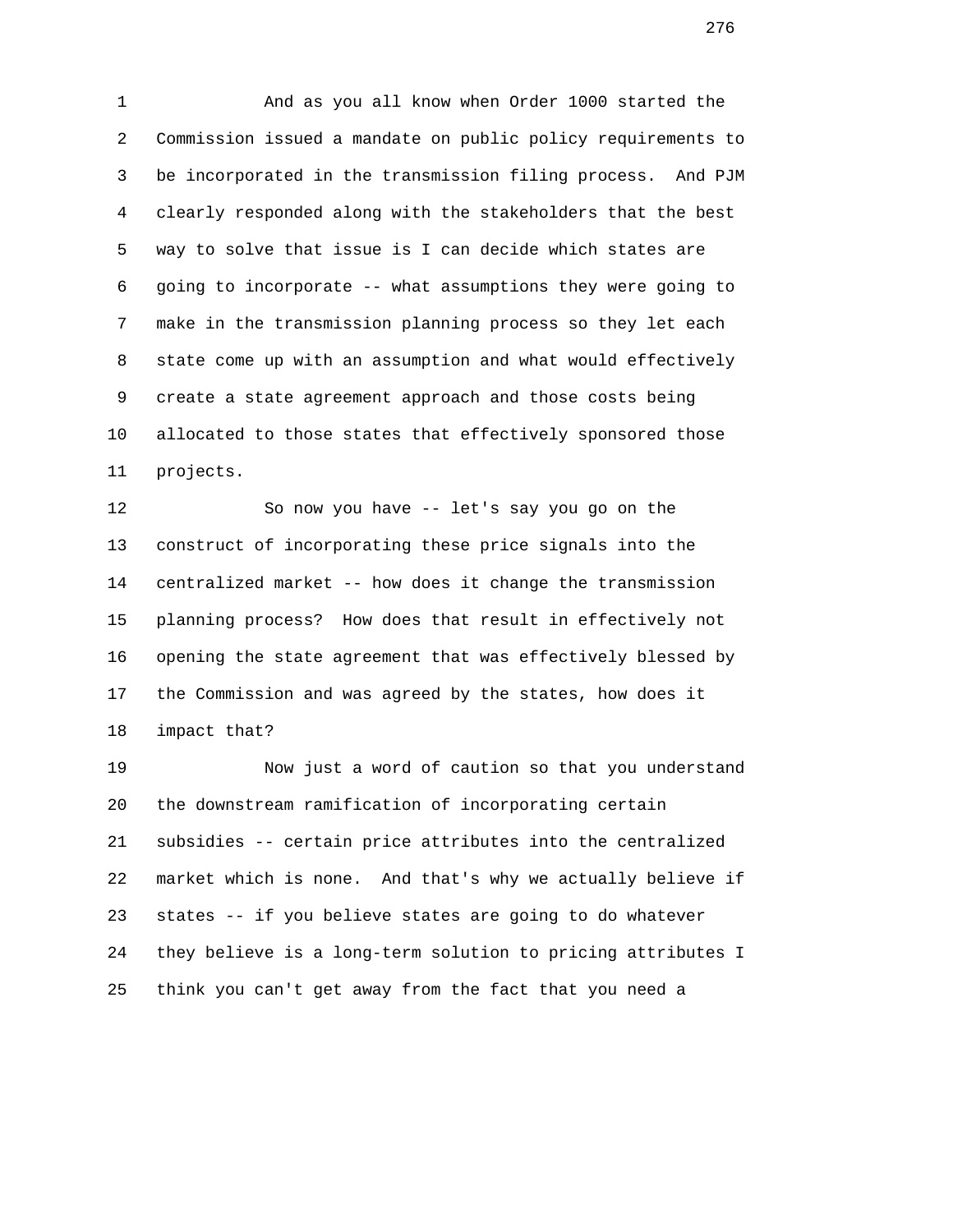1 And as you all know when Order 1000 started the 2 Commission issued a mandate on public policy requirements to 3 be incorporated in the transmission filing process. And PJM 4 clearly responded along with the stakeholders that the best 5 way to solve that issue is I can decide which states are 6 going to incorporate -- what assumptions they were going to 7 make in the transmission planning process so they let each 8 state come up with an assumption and what would effectively 9 create a state agreement approach and those costs being 10 allocated to those states that effectively sponsored those 11 projects.

 12 So now you have -- let's say you go on the 13 construct of incorporating these price signals into the 14 centralized market -- how does it change the transmission 15 planning process? How does that result in effectively not 16 opening the state agreement that was effectively blessed by 17 the Commission and was agreed by the states, how does it 18 impact that?

 19 Now just a word of caution so that you understand 20 the downstream ramification of incorporating certain 21 subsidies -- certain price attributes into the centralized 22 market which is none. And that's why we actually believe if 23 states -- if you believe states are going to do whatever 24 they believe is a long-term solution to pricing attributes I 25 think you can't get away from the fact that you need a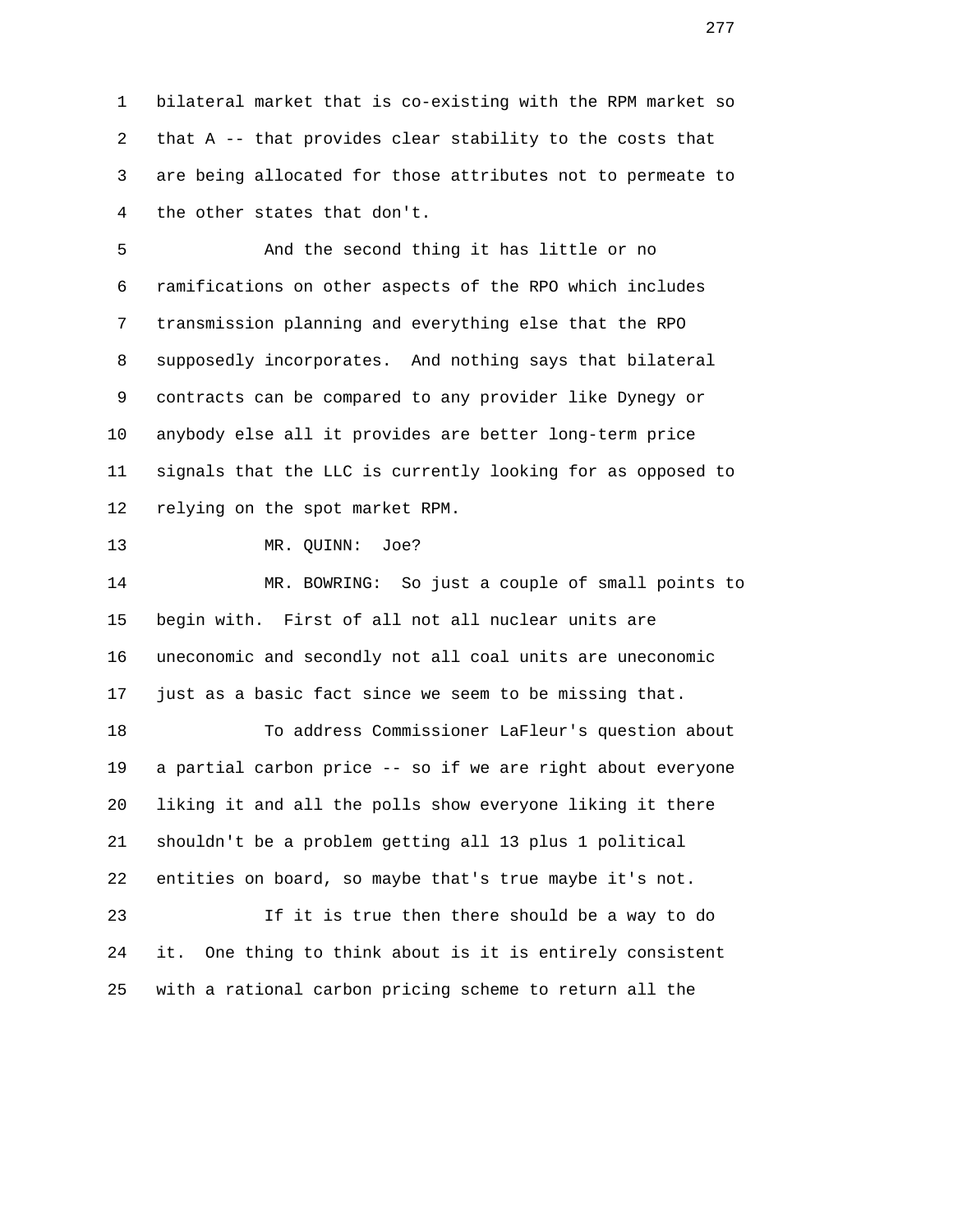1 bilateral market that is co-existing with the RPM market so 2 that A -- that provides clear stability to the costs that 3 are being allocated for those attributes not to permeate to 4 the other states that don't.

 5 And the second thing it has little or no 6 ramifications on other aspects of the RPO which includes 7 transmission planning and everything else that the RPO 8 supposedly incorporates. And nothing says that bilateral 9 contracts can be compared to any provider like Dynegy or 10 anybody else all it provides are better long-term price 11 signals that the LLC is currently looking for as opposed to 12 relying on the spot market RPM.

13 MR. QUINN: Joe?

 14 MR. BOWRING: So just a couple of small points to 15 begin with. First of all not all nuclear units are 16 uneconomic and secondly not all coal units are uneconomic 17 just as a basic fact since we seem to be missing that.

 18 To address Commissioner LaFleur's question about 19 a partial carbon price -- so if we are right about everyone 20 liking it and all the polls show everyone liking it there 21 shouldn't be a problem getting all 13 plus 1 political 22 entities on board, so maybe that's true maybe it's not.

 23 If it is true then there should be a way to do 24 it. One thing to think about is it is entirely consistent 25 with a rational carbon pricing scheme to return all the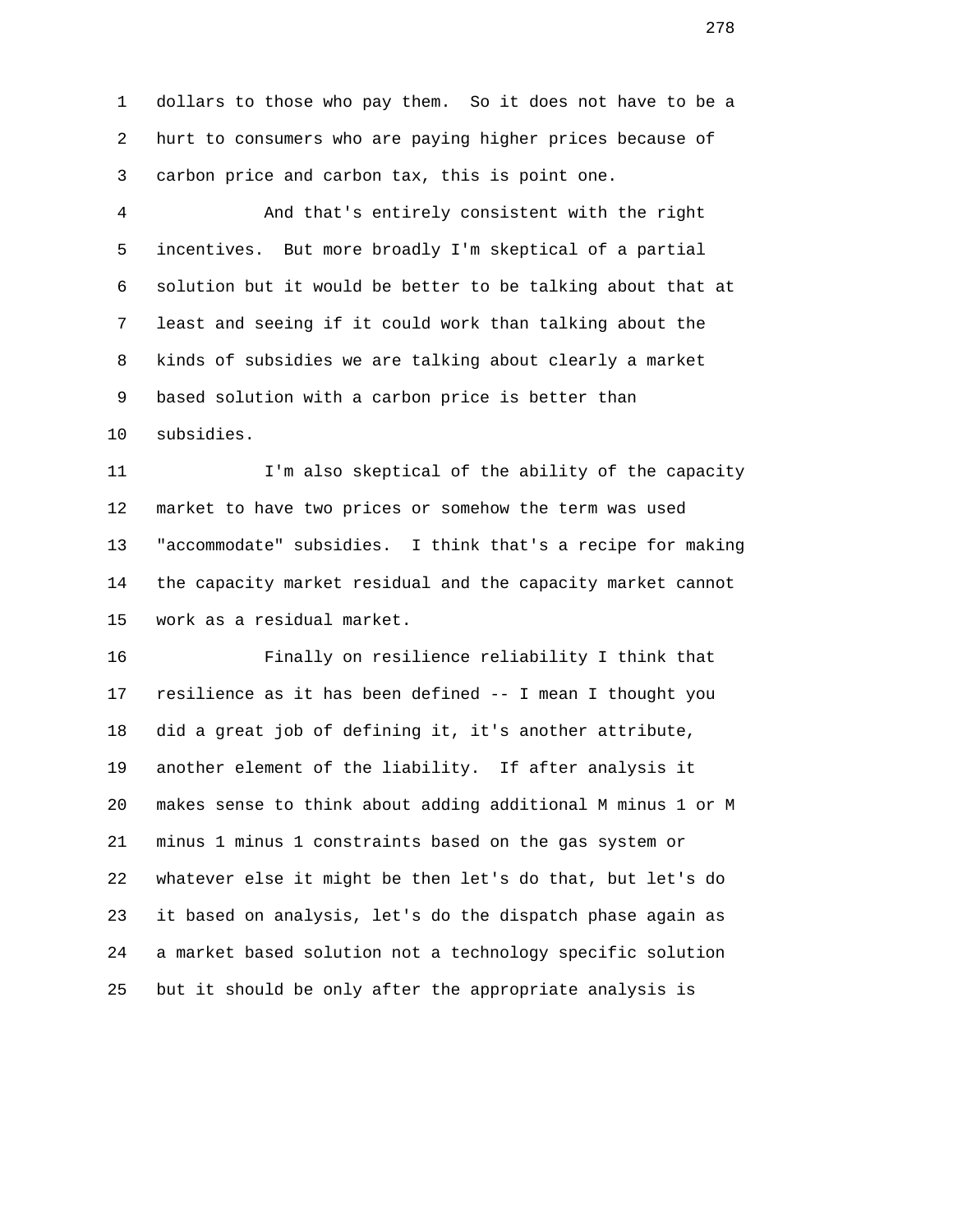1 dollars to those who pay them. So it does not have to be a 2 hurt to consumers who are paying higher prices because of 3 carbon price and carbon tax, this is point one.

 4 And that's entirely consistent with the right 5 incentives. But more broadly I'm skeptical of a partial 6 solution but it would be better to be talking about that at 7 least and seeing if it could work than talking about the 8 kinds of subsidies we are talking about clearly a market 9 based solution with a carbon price is better than 10 subsidies.

 11 I'm also skeptical of the ability of the capacity 12 market to have two prices or somehow the term was used 13 "accommodate" subsidies. I think that's a recipe for making 14 the capacity market residual and the capacity market cannot 15 work as a residual market.

 16 Finally on resilience reliability I think that 17 resilience as it has been defined -- I mean I thought you 18 did a great job of defining it, it's another attribute, 19 another element of the liability. If after analysis it 20 makes sense to think about adding additional M minus 1 or M 21 minus 1 minus 1 constraints based on the gas system or 22 whatever else it might be then let's do that, but let's do 23 it based on analysis, let's do the dispatch phase again as 24 a market based solution not a technology specific solution 25 but it should be only after the appropriate analysis is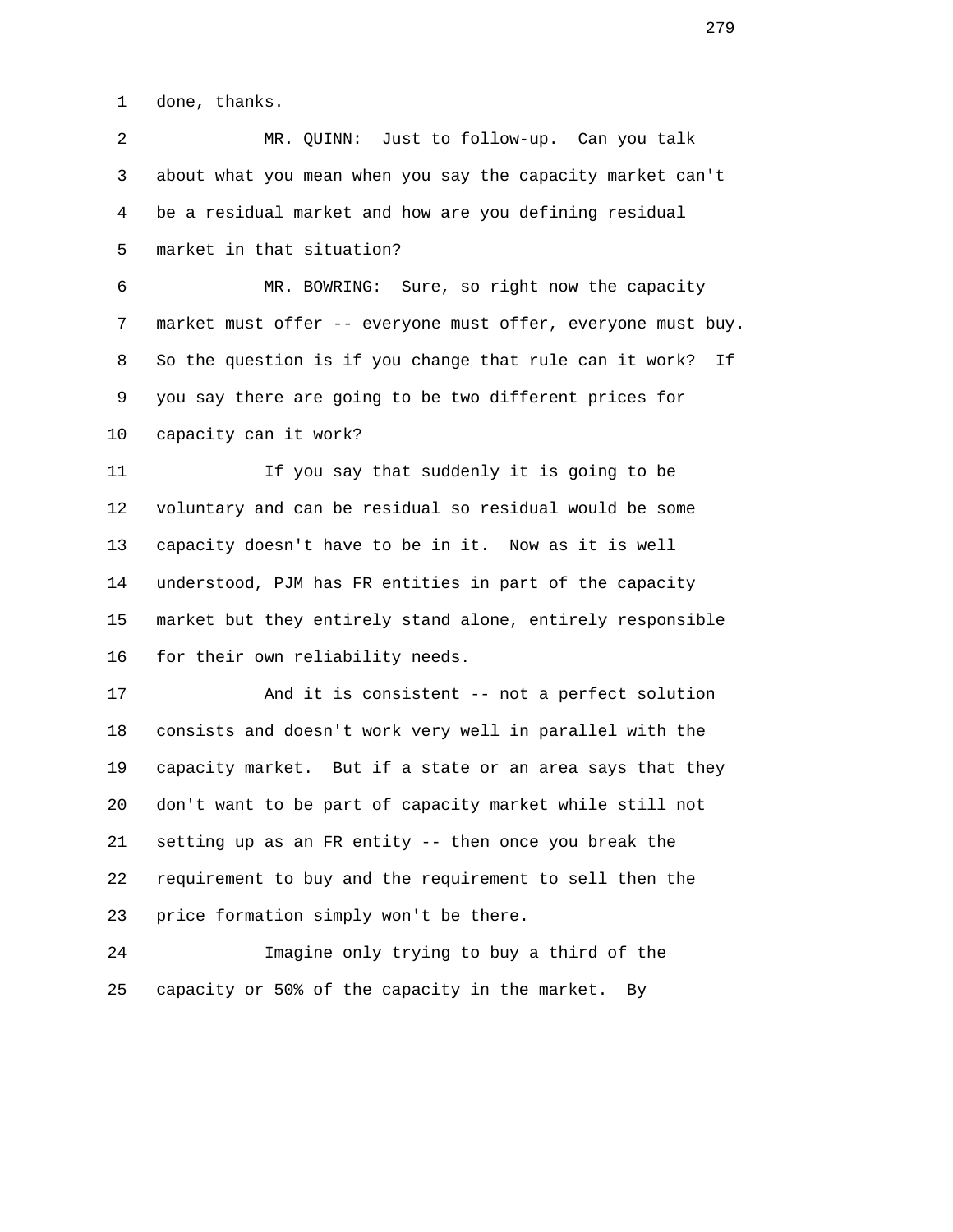1 done, thanks.

 2 MR. QUINN: Just to follow-up. Can you talk 3 about what you mean when you say the capacity market can't 4 be a residual market and how are you defining residual 5 market in that situation?

 6 MR. BOWRING: Sure, so right now the capacity 7 market must offer -- everyone must offer, everyone must buy. 8 So the question is if you change that rule can it work? If 9 you say there are going to be two different prices for 10 capacity can it work?

 11 If you say that suddenly it is going to be 12 voluntary and can be residual so residual would be some 13 capacity doesn't have to be in it. Now as it is well 14 understood, PJM has FR entities in part of the capacity 15 market but they entirely stand alone, entirely responsible 16 for their own reliability needs.

 17 And it is consistent -- not a perfect solution 18 consists and doesn't work very well in parallel with the 19 capacity market. But if a state or an area says that they 20 don't want to be part of capacity market while still not 21 setting up as an FR entity -- then once you break the 22 requirement to buy and the requirement to sell then the 23 price formation simply won't be there.

 24 Imagine only trying to buy a third of the 25 capacity or 50% of the capacity in the market. By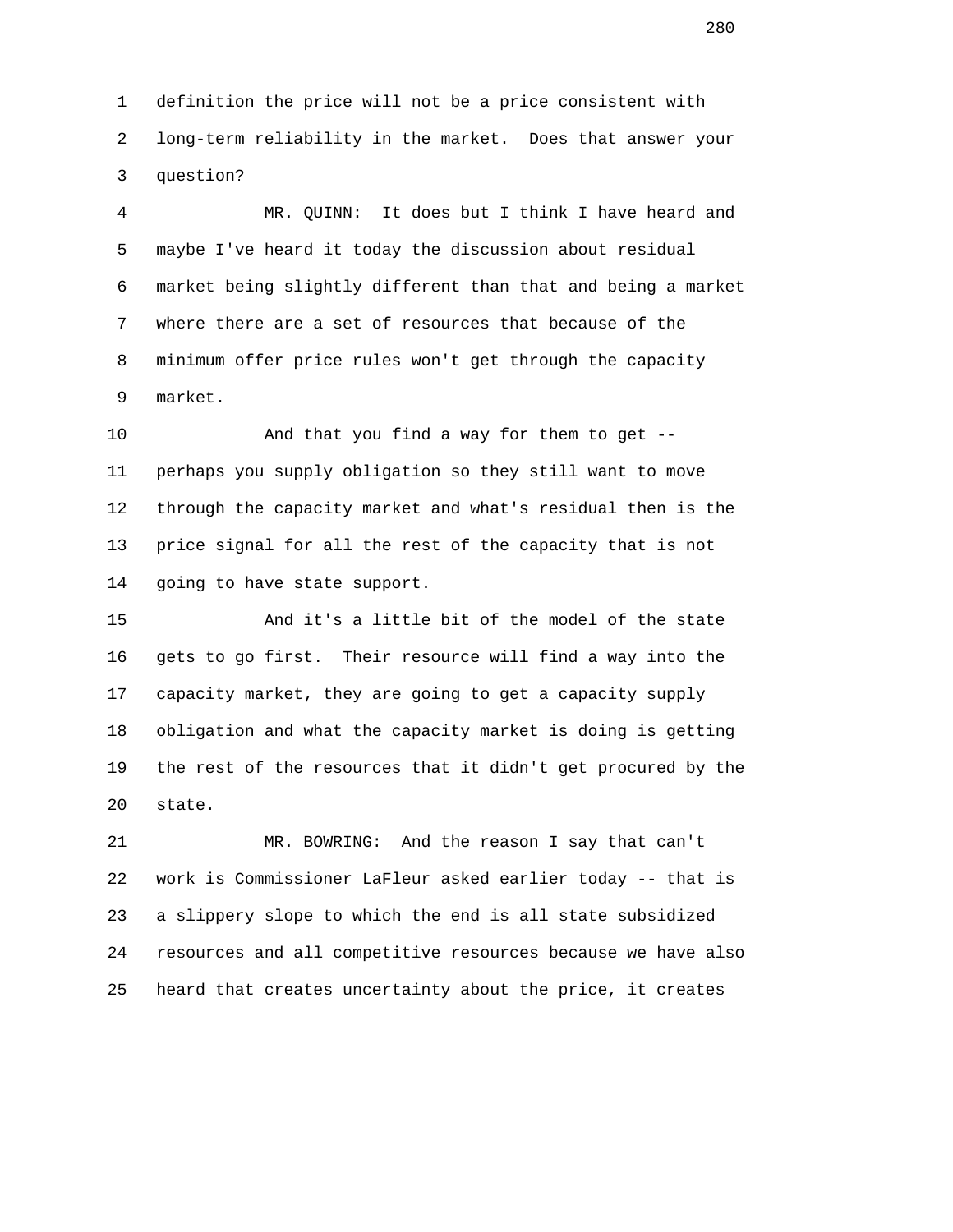1 definition the price will not be a price consistent with 2 long-term reliability in the market. Does that answer your 3 question?

 4 MR. QUINN: It does but I think I have heard and 5 maybe I've heard it today the discussion about residual 6 market being slightly different than that and being a market 7 where there are a set of resources that because of the 8 minimum offer price rules won't get through the capacity 9 market.

 10 And that you find a way for them to get -- 11 perhaps you supply obligation so they still want to move 12 through the capacity market and what's residual then is the 13 price signal for all the rest of the capacity that is not 14 going to have state support.

 15 And it's a little bit of the model of the state 16 gets to go first. Their resource will find a way into the 17 capacity market, they are going to get a capacity supply 18 obligation and what the capacity market is doing is getting 19 the rest of the resources that it didn't get procured by the 20 state.

 21 MR. BOWRING: And the reason I say that can't 22 work is Commissioner LaFleur asked earlier today -- that is 23 a slippery slope to which the end is all state subsidized 24 resources and all competitive resources because we have also 25 heard that creates uncertainty about the price, it creates

<u>280</u>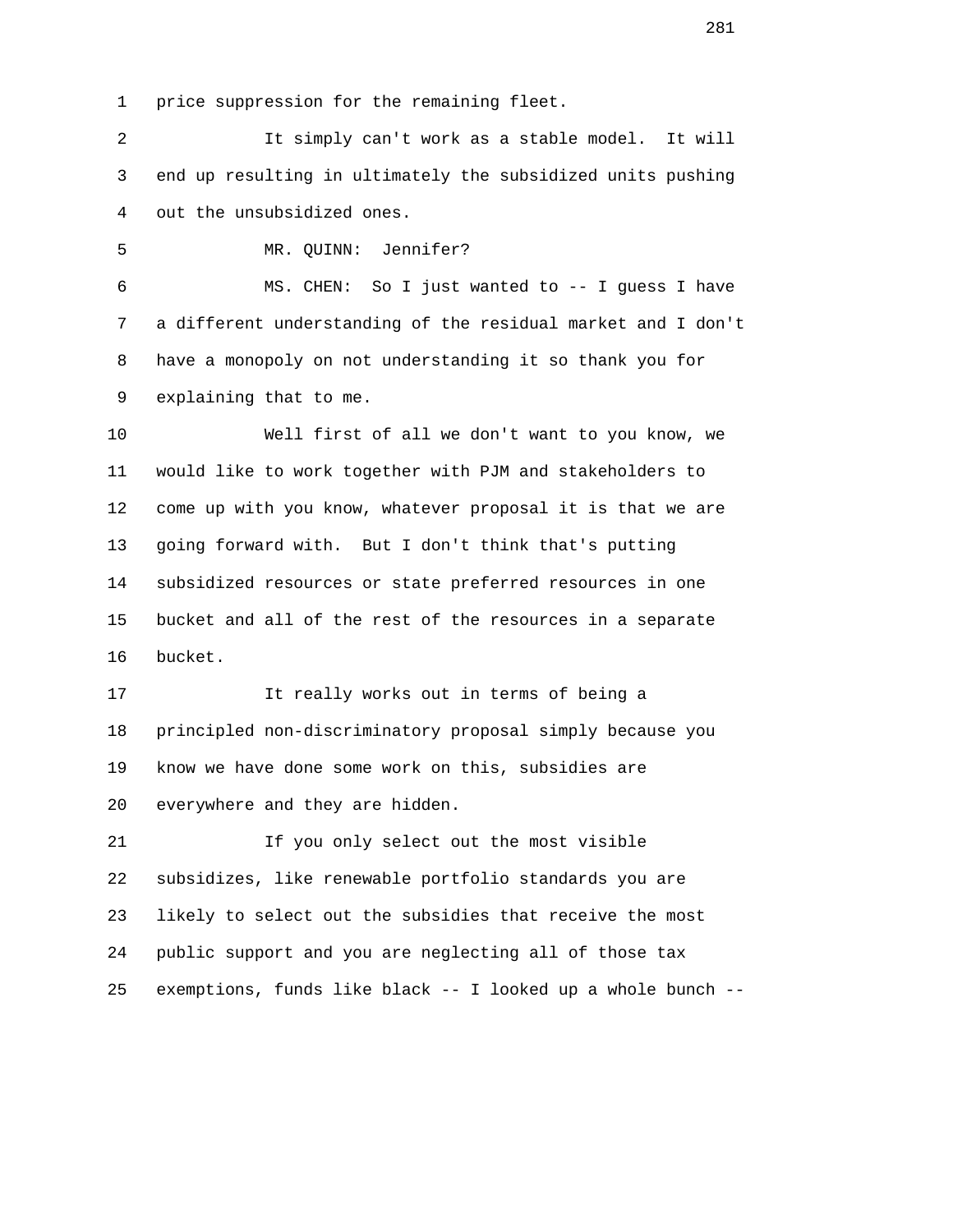1 price suppression for the remaining fleet.

 2 It simply can't work as a stable model. It will 3 end up resulting in ultimately the subsidized units pushing 4 out the unsubsidized ones.

5 MR. QUINN: Jennifer?

 6 MS. CHEN: So I just wanted to -- I guess I have 7 a different understanding of the residual market and I don't 8 have a monopoly on not understanding it so thank you for 9 explaining that to me.

 10 Well first of all we don't want to you know, we 11 would like to work together with PJM and stakeholders to 12 come up with you know, whatever proposal it is that we are 13 going forward with. But I don't think that's putting 14 subsidized resources or state preferred resources in one 15 bucket and all of the rest of the resources in a separate 16 bucket.

 17 It really works out in terms of being a 18 principled non-discriminatory proposal simply because you 19 know we have done some work on this, subsidies are 20 everywhere and they are hidden.

 21 If you only select out the most visible 22 subsidizes, like renewable portfolio standards you are 23 likely to select out the subsidies that receive the most 24 public support and you are neglecting all of those tax 25 exemptions, funds like black -- I looked up a whole bunch --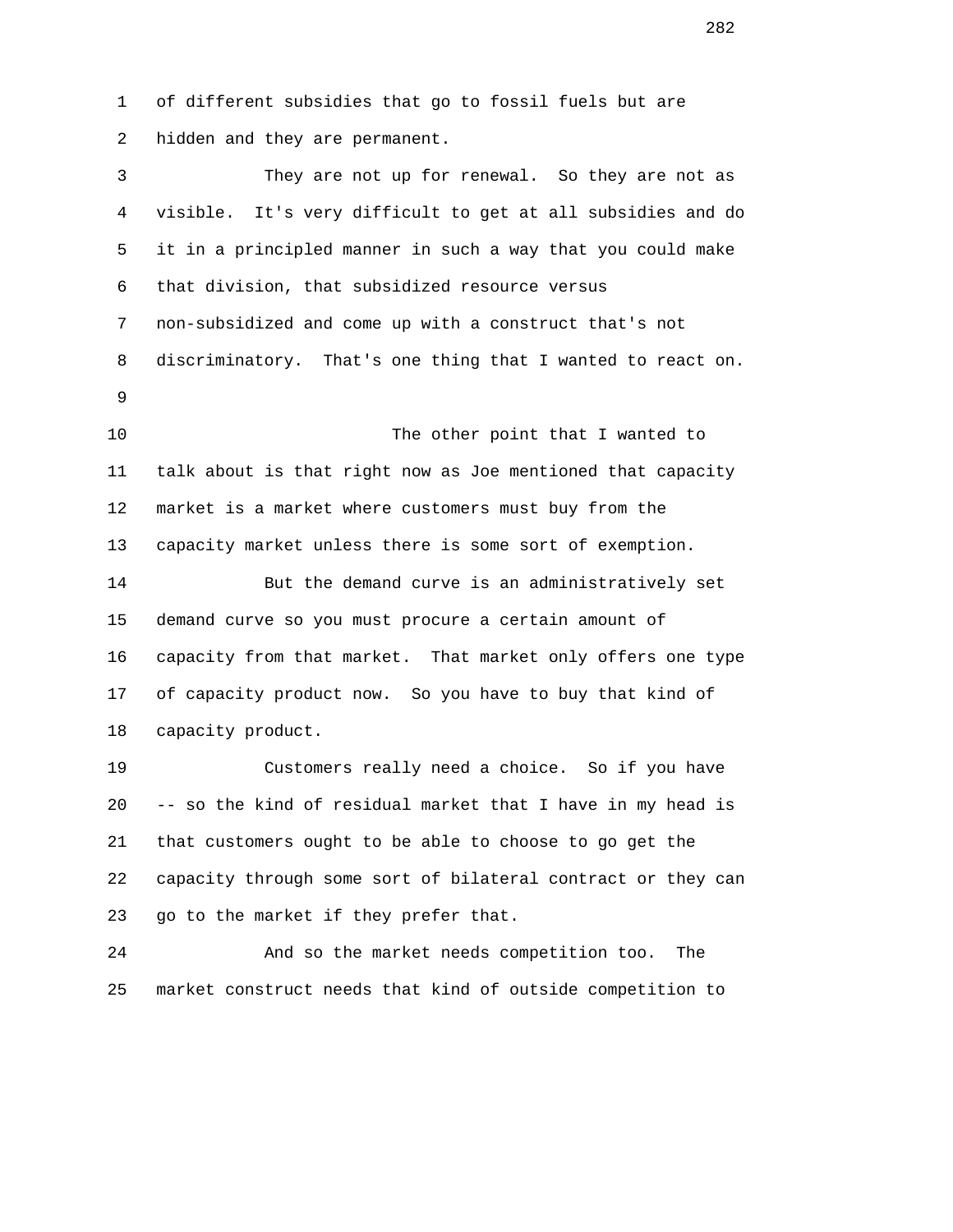1 of different subsidies that go to fossil fuels but are 2 hidden and they are permanent. 3 They are not up for renewal. So they are not as

 4 visible. It's very difficult to get at all subsidies and do 5 it in a principled manner in such a way that you could make 6 that division, that subsidized resource versus 7 non-subsidized and come up with a construct that's not 8 discriminatory. That's one thing that I wanted to react on. 9

> 10 The other point that I wanted to 11 talk about is that right now as Joe mentioned that capacity 12 market is a market where customers must buy from the 13 capacity market unless there is some sort of exemption.

 14 But the demand curve is an administratively set 15 demand curve so you must procure a certain amount of 16 capacity from that market. That market only offers one type 17 of capacity product now. So you have to buy that kind of 18 capacity product.

 19 Customers really need a choice. So if you have 20 -- so the kind of residual market that I have in my head is 21 that customers ought to be able to choose to go get the 22 capacity through some sort of bilateral contract or they can 23 go to the market if they prefer that.

 24 And so the market needs competition too. The 25 market construct needs that kind of outside competition to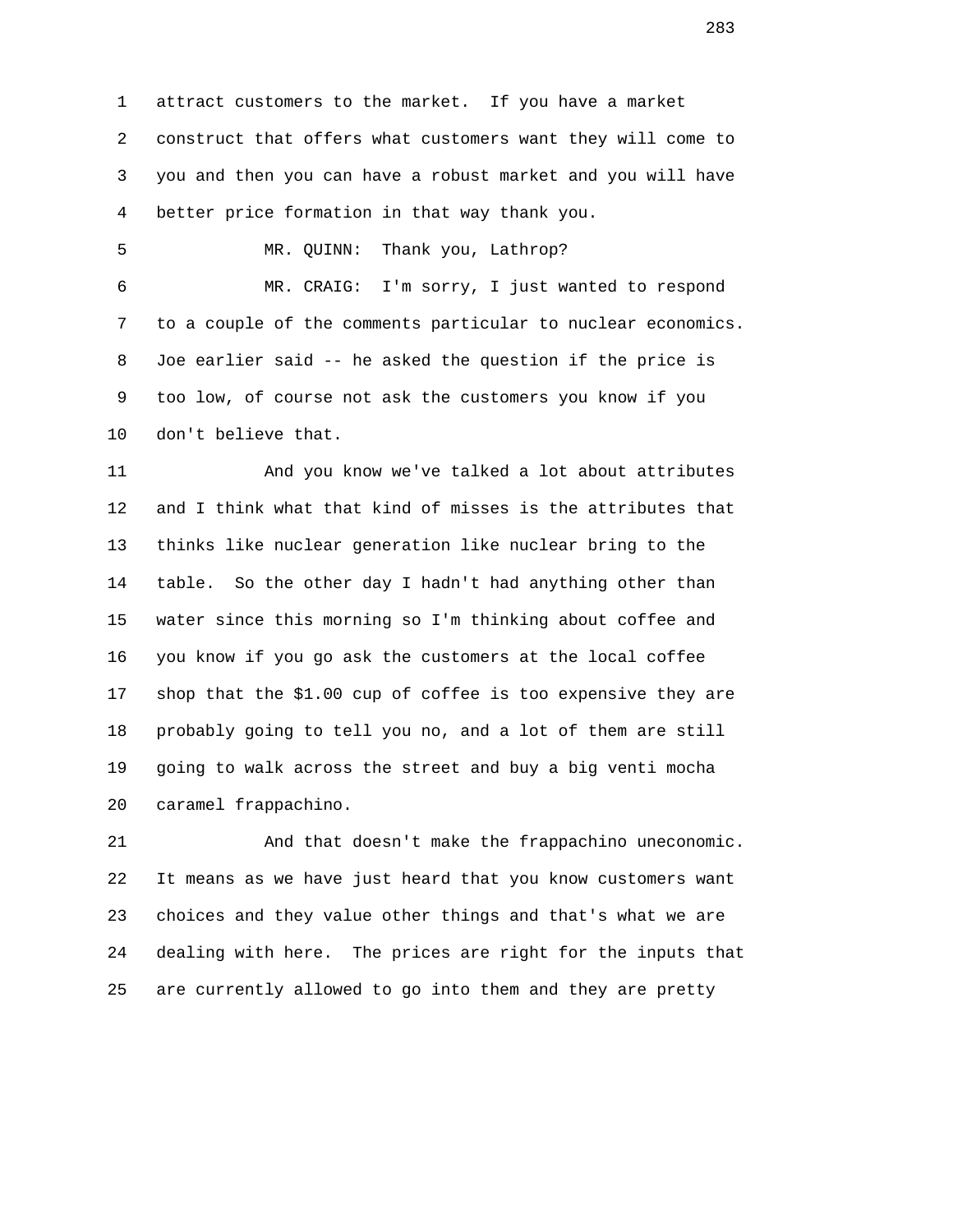1 attract customers to the market. If you have a market 2 construct that offers what customers want they will come to 3 you and then you can have a robust market and you will have 4 better price formation in that way thank you.

5 MR. QUINN: Thank you, Lathrop?

 6 MR. CRAIG: I'm sorry, I just wanted to respond 7 to a couple of the comments particular to nuclear economics. 8 Joe earlier said -- he asked the question if the price is 9 too low, of course not ask the customers you know if you 10 don't believe that.

 11 And you know we've talked a lot about attributes 12 and I think what that kind of misses is the attributes that 13 thinks like nuclear generation like nuclear bring to the 14 table. So the other day I hadn't had anything other than 15 water since this morning so I'm thinking about coffee and 16 you know if you go ask the customers at the local coffee 17 shop that the \$1.00 cup of coffee is too expensive they are 18 probably going to tell you no, and a lot of them are still 19 going to walk across the street and buy a big venti mocha 20 caramel frappachino.

 21 And that doesn't make the frappachino uneconomic. 22 It means as we have just heard that you know customers want 23 choices and they value other things and that's what we are 24 dealing with here. The prices are right for the inputs that 25 are currently allowed to go into them and they are pretty

<u>283</u>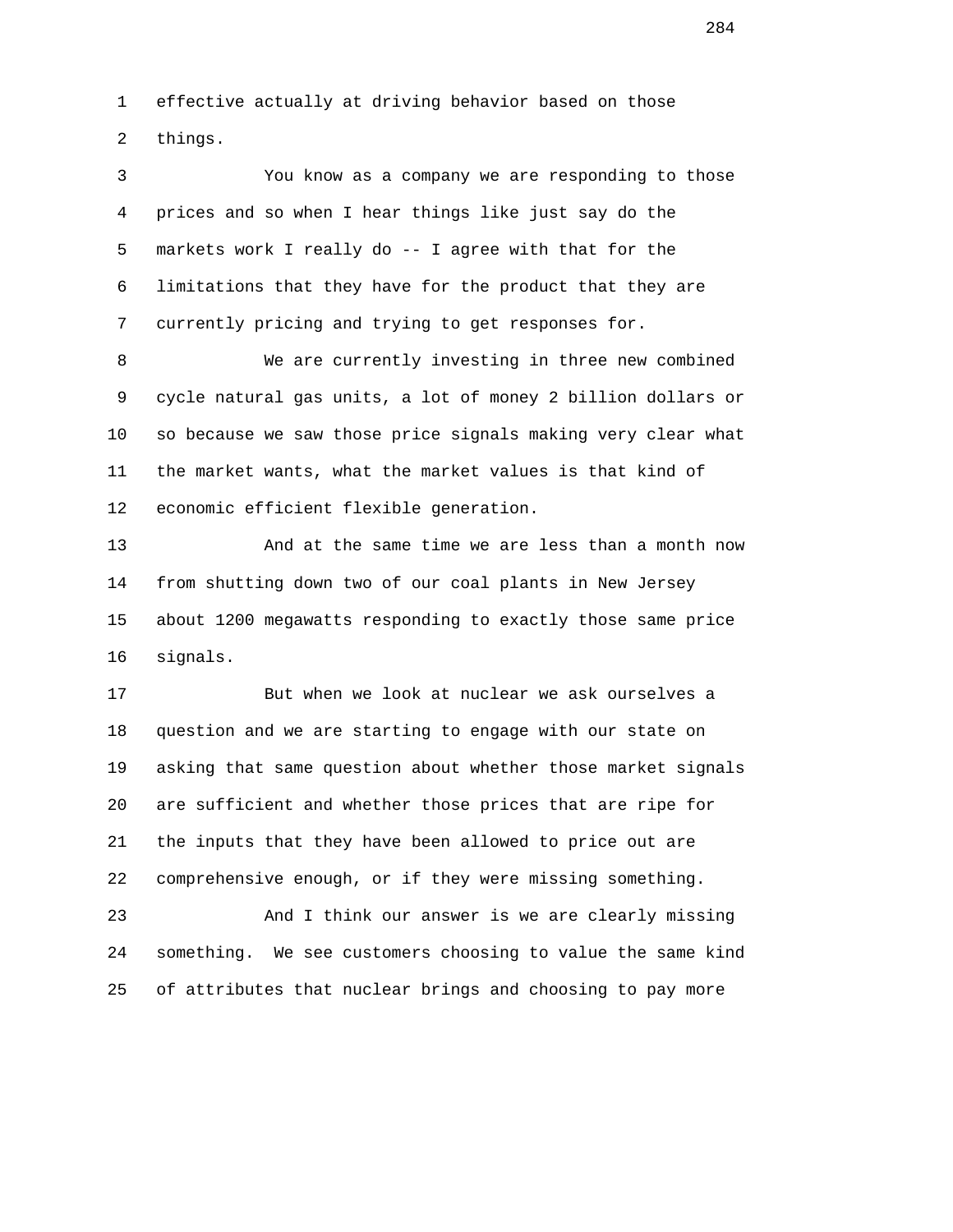1 effective actually at driving behavior based on those 2 things.

 3 You know as a company we are responding to those 4 prices and so when I hear things like just say do the 5 markets work I really do -- I agree with that for the 6 limitations that they have for the product that they are 7 currently pricing and trying to get responses for.

 8 We are currently investing in three new combined 9 cycle natural gas units, a lot of money 2 billion dollars or 10 so because we saw those price signals making very clear what 11 the market wants, what the market values is that kind of 12 economic efficient flexible generation.

 13 And at the same time we are less than a month now 14 from shutting down two of our coal plants in New Jersey 15 about 1200 megawatts responding to exactly those same price 16 signals.

 17 But when we look at nuclear we ask ourselves a 18 question and we are starting to engage with our state on 19 asking that same question about whether those market signals 20 are sufficient and whether those prices that are ripe for 21 the inputs that they have been allowed to price out are 22 comprehensive enough, or if they were missing something.

 23 And I think our answer is we are clearly missing 24 something. We see customers choosing to value the same kind 25 of attributes that nuclear brings and choosing to pay more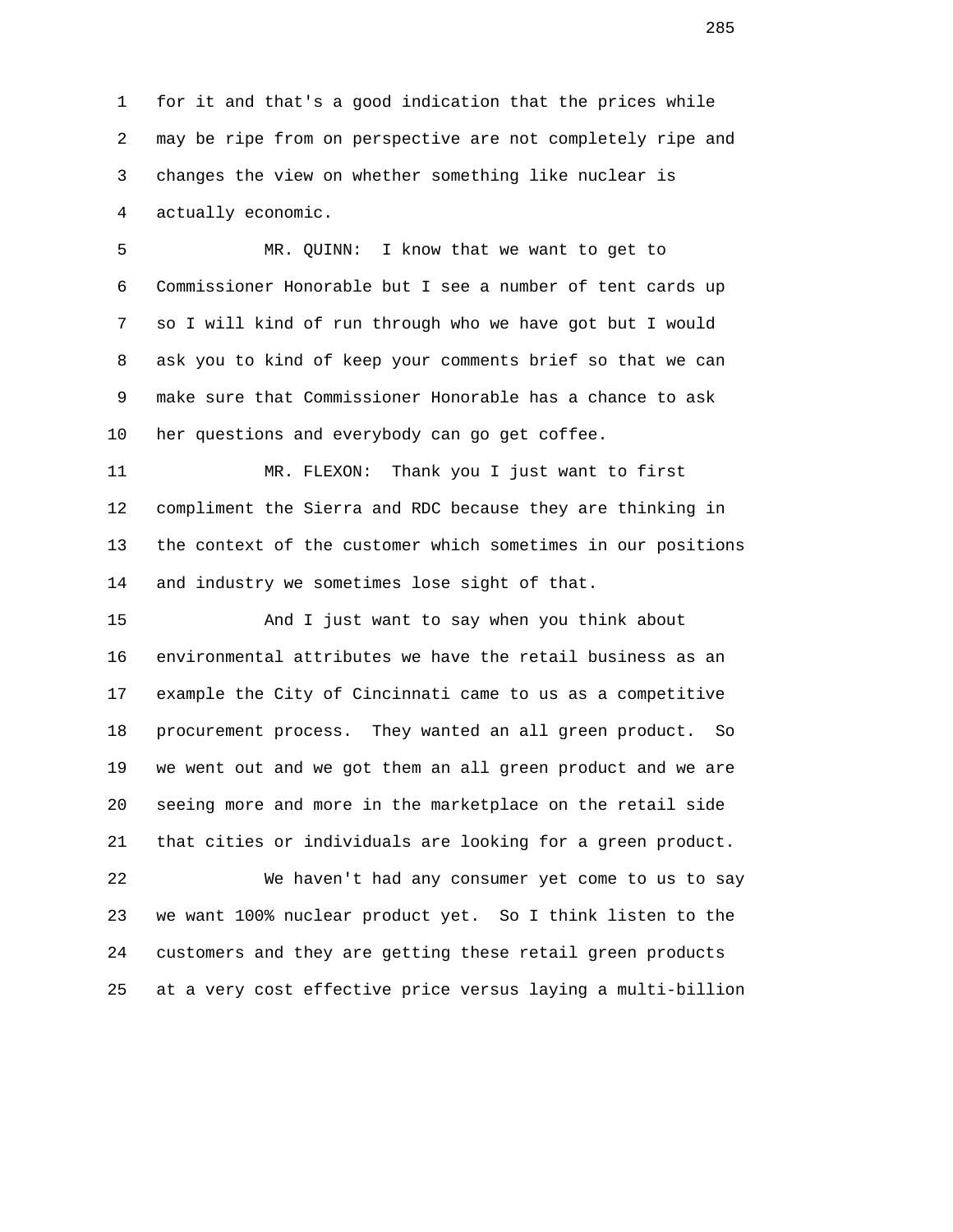1 for it and that's a good indication that the prices while 2 may be ripe from on perspective are not completely ripe and 3 changes the view on whether something like nuclear is 4 actually economic.

 5 MR. QUINN: I know that we want to get to 6 Commissioner Honorable but I see a number of tent cards up 7 so I will kind of run through who we have got but I would 8 ask you to kind of keep your comments brief so that we can 9 make sure that Commissioner Honorable has a chance to ask 10 her questions and everybody can go get coffee.

 11 MR. FLEXON: Thank you I just want to first 12 compliment the Sierra and RDC because they are thinking in 13 the context of the customer which sometimes in our positions 14 and industry we sometimes lose sight of that.

 15 And I just want to say when you think about 16 environmental attributes we have the retail business as an 17 example the City of Cincinnati came to us as a competitive 18 procurement process. They wanted an all green product. So 19 we went out and we got them an all green product and we are 20 seeing more and more in the marketplace on the retail side 21 that cities or individuals are looking for a green product.

 22 We haven't had any consumer yet come to us to say 23 we want 100% nuclear product yet. So I think listen to the 24 customers and they are getting these retail green products 25 at a very cost effective price versus laying a multi-billion

en and the state of the state of the state of the state of the state of the state of the state of the state of the state of the state of the state of the state of the state of the state of the state of the state of the sta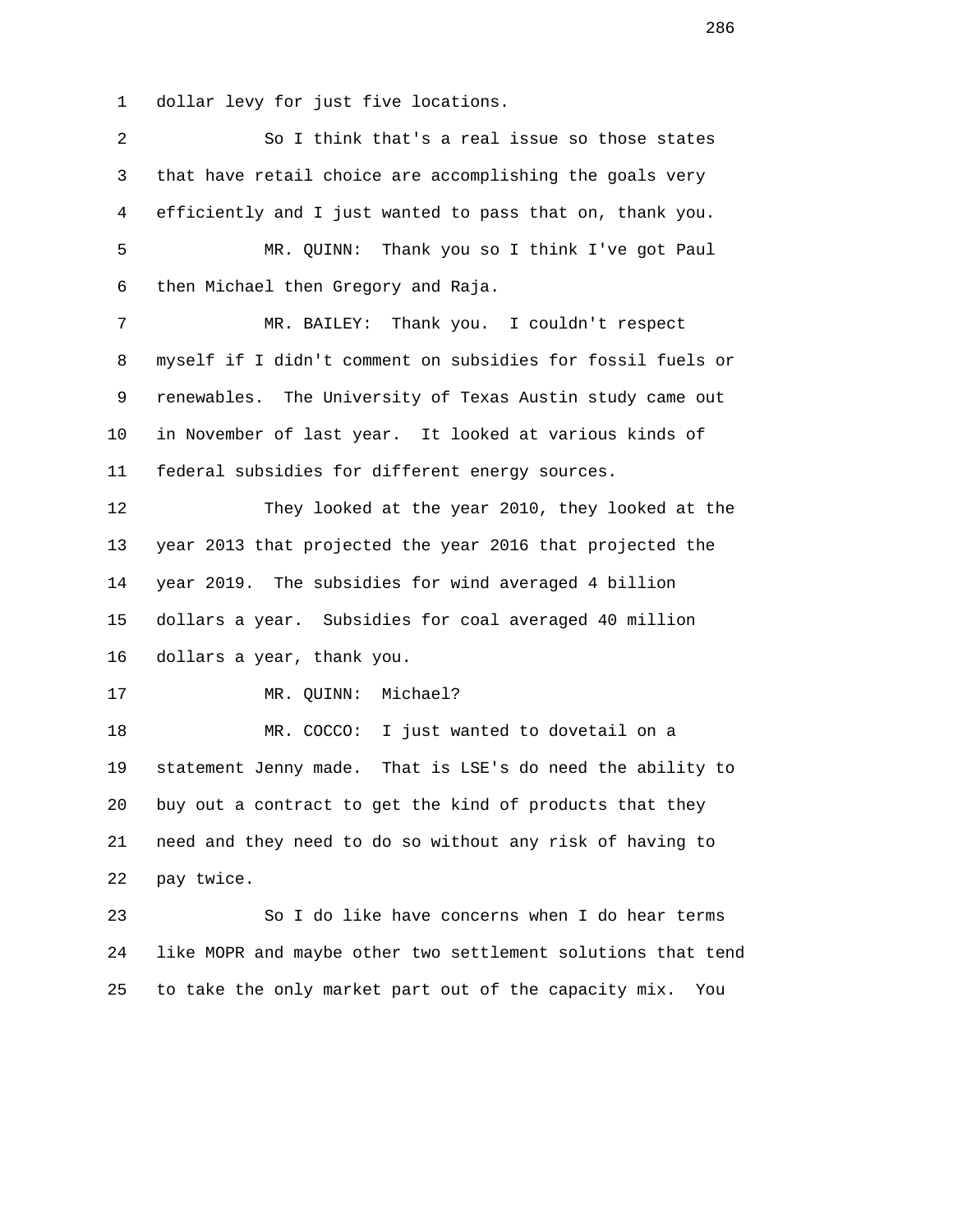1 dollar levy for just five locations.

 2 So I think that's a real issue so those states 3 that have retail choice are accomplishing the goals very 4 efficiently and I just wanted to pass that on, thank you. 5 MR. QUINN: Thank you so I think I've got Paul 6 then Michael then Gregory and Raja. 7 MR. BAILEY: Thank you. I couldn't respect 8 myself if I didn't comment on subsidies for fossil fuels or 9 renewables. The University of Texas Austin study came out 10 in November of last year. It looked at various kinds of 11 federal subsidies for different energy sources. 12 They looked at the year 2010, they looked at the 13 year 2013 that projected the year 2016 that projected the 14 year 2019. The subsidies for wind averaged 4 billion 15 dollars a year. Subsidies for coal averaged 40 million 16 dollars a year, thank you. 17 MR. QUINN: Michael? 18 MR. COCCO: I just wanted to dovetail on a 19 statement Jenny made. That is LSE's do need the ability to 20 buy out a contract to get the kind of products that they 21 need and they need to do so without any risk of having to 22 pay twice. 23 So I do like have concerns when I do hear terms 24 like MOPR and maybe other two settlement solutions that tend 25 to take the only market part out of the capacity mix. You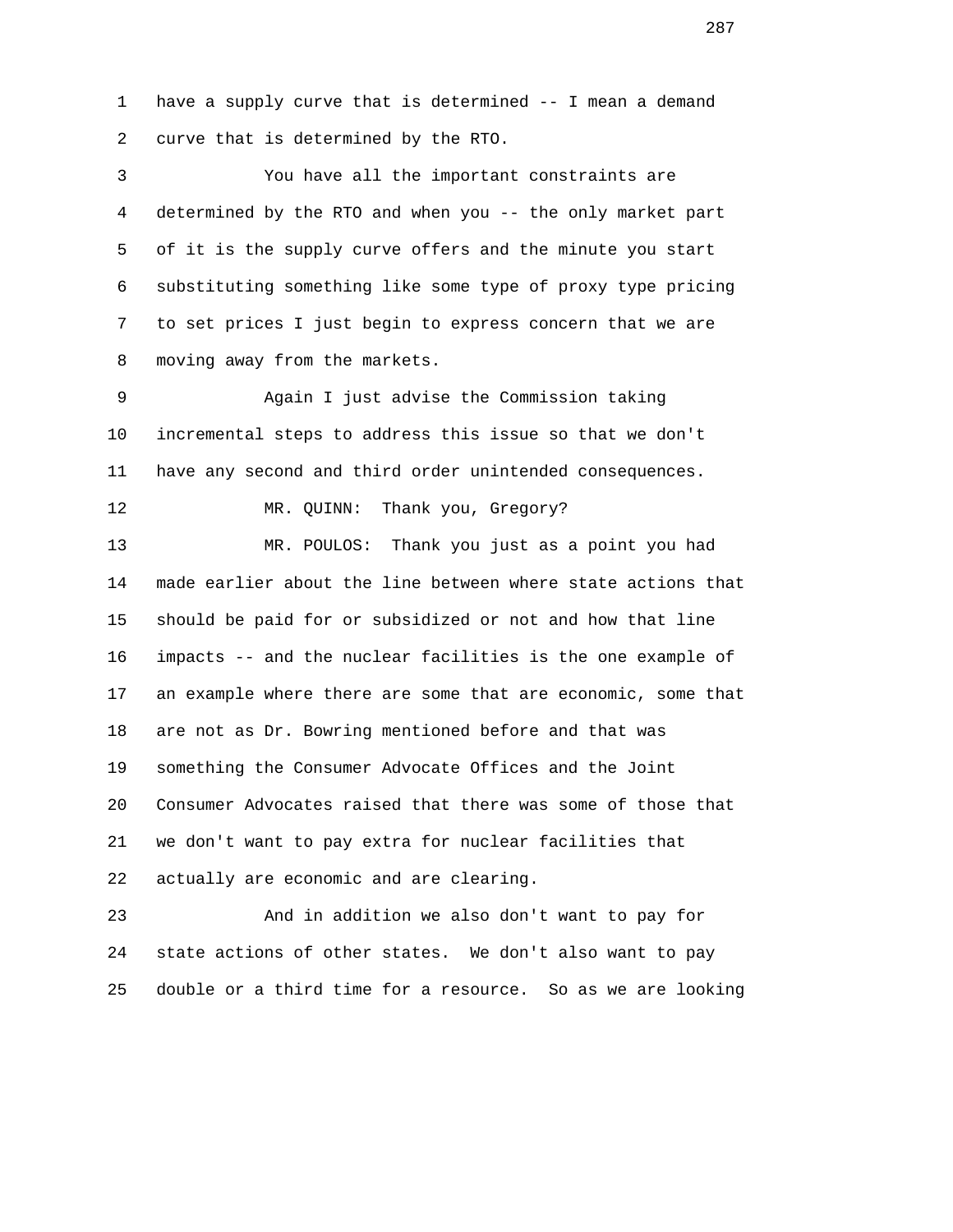1 have a supply curve that is determined -- I mean a demand 2 curve that is determined by the RTO.

 3 You have all the important constraints are 4 determined by the RTO and when you -- the only market part 5 of it is the supply curve offers and the minute you start 6 substituting something like some type of proxy type pricing 7 to set prices I just begin to express concern that we are 8 moving away from the markets.

 9 Again I just advise the Commission taking 10 incremental steps to address this issue so that we don't 11 have any second and third order unintended consequences.

12 MR. QUINN: Thank you, Gregory?

 13 MR. POULOS: Thank you just as a point you had 14 made earlier about the line between where state actions that 15 should be paid for or subsidized or not and how that line 16 impacts -- and the nuclear facilities is the one example of 17 an example where there are some that are economic, some that 18 are not as Dr. Bowring mentioned before and that was 19 something the Consumer Advocate Offices and the Joint 20 Consumer Advocates raised that there was some of those that 21 we don't want to pay extra for nuclear facilities that 22 actually are economic and are clearing.

 23 And in addition we also don't want to pay for 24 state actions of other states. We don't also want to pay 25 double or a third time for a resource. So as we are looking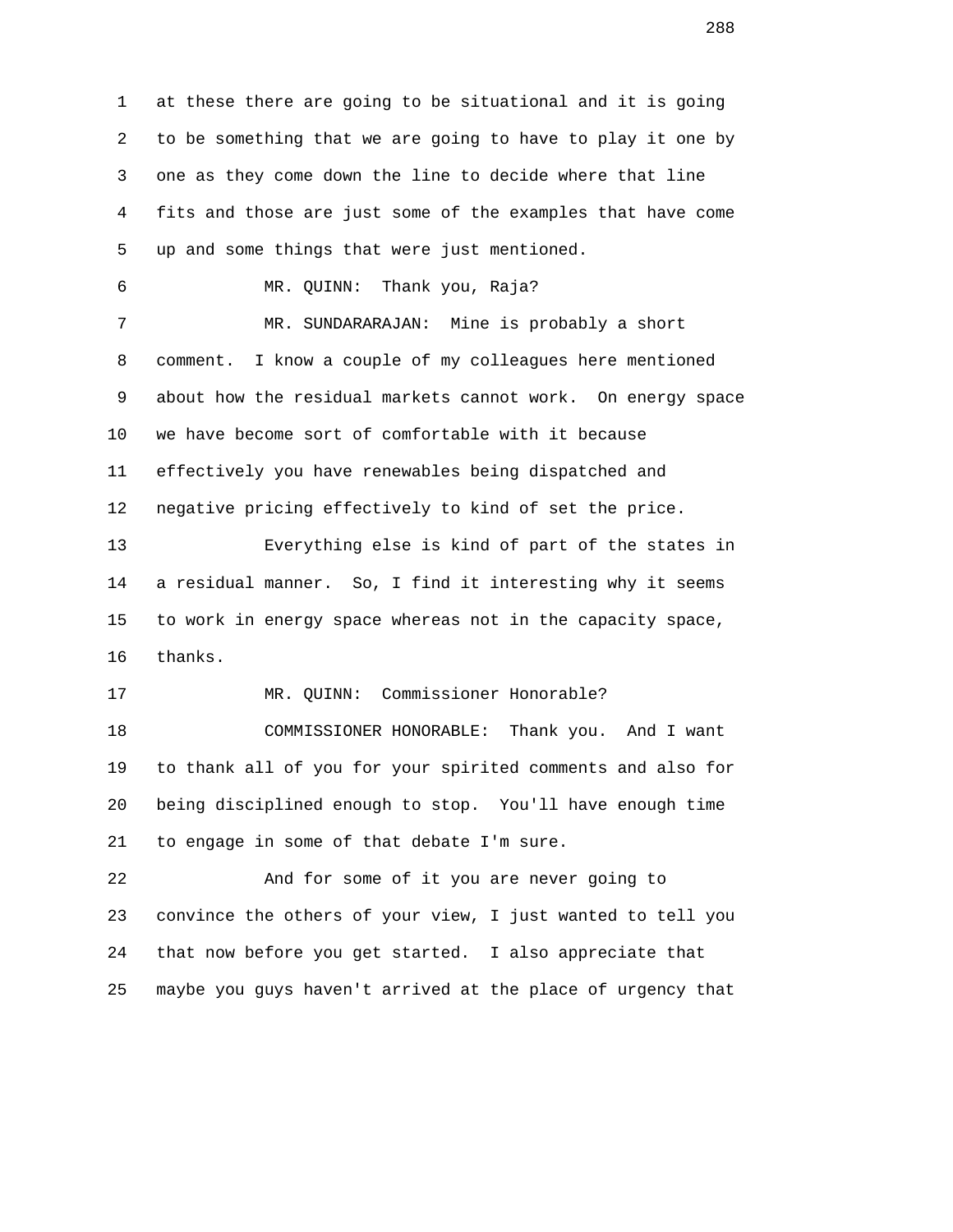1 at these there are going to be situational and it is going 2 to be something that we are going to have to play it one by 3 one as they come down the line to decide where that line 4 fits and those are just some of the examples that have come 5 up and some things that were just mentioned. 6 MR. QUINN: Thank you, Raja? 7 MR. SUNDARARAJAN: Mine is probably a short 8 comment. I know a couple of my colleagues here mentioned 9 about how the residual markets cannot work. On energy space 10 we have become sort of comfortable with it because 11 effectively you have renewables being dispatched and 12 negative pricing effectively to kind of set the price. 13 Everything else is kind of part of the states in 14 a residual manner. So, I find it interesting why it seems 15 to work in energy space whereas not in the capacity space, 16 thanks. 17 MR. QUINN: Commissioner Honorable? 18 COMMISSIONER HONORABLE: Thank you. And I want 19 to thank all of you for your spirited comments and also for 20 being disciplined enough to stop. You'll have enough time 21 to engage in some of that debate I'm sure. 22 And for some of it you are never going to 23 convince the others of your view, I just wanted to tell you 24 that now before you get started. I also appreciate that 25 maybe you guys haven't arrived at the place of urgency that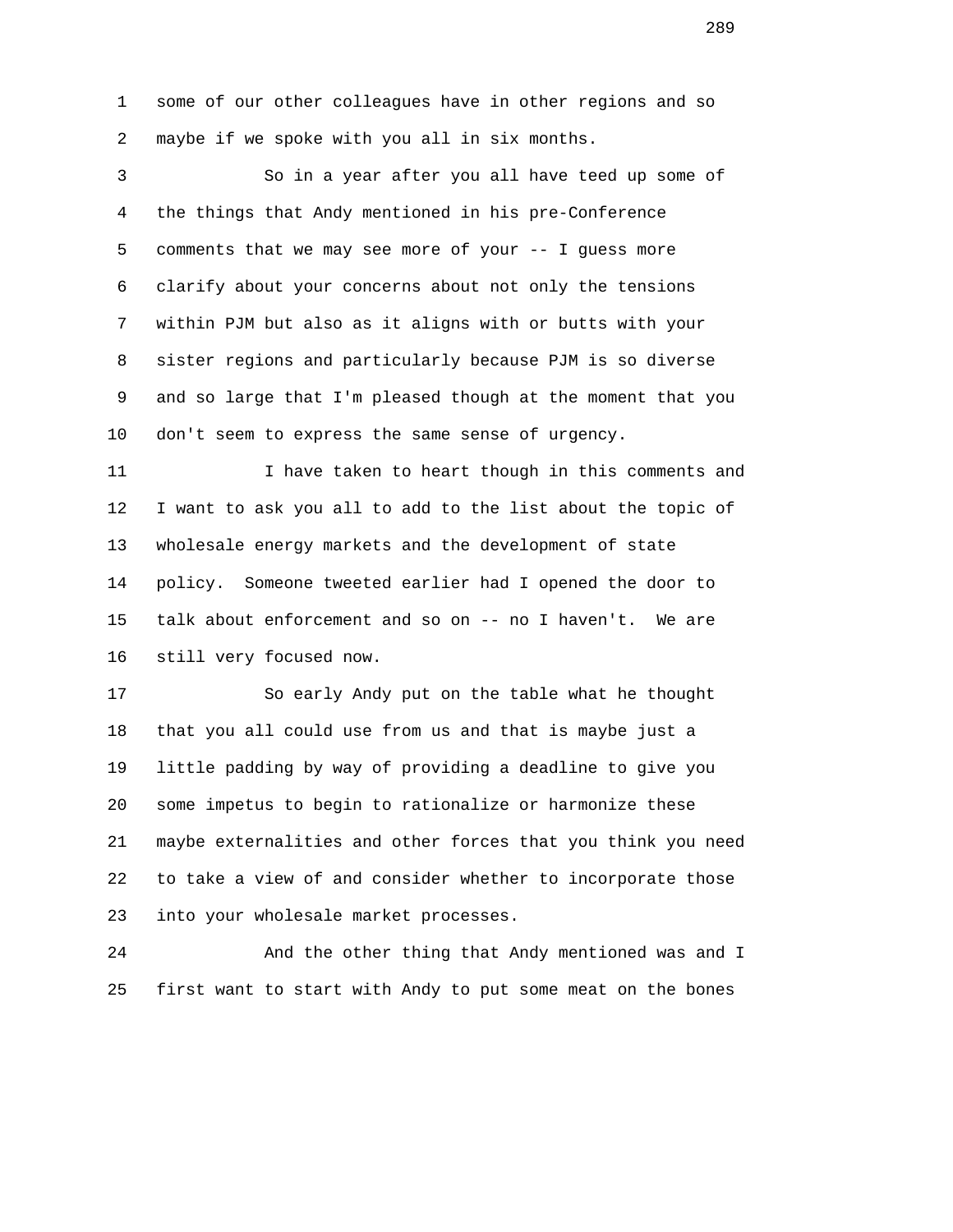1 some of our other colleagues have in other regions and so 2 maybe if we spoke with you all in six months.

 3 So in a year after you all have teed up some of 4 the things that Andy mentioned in his pre-Conference 5 comments that we may see more of your -- I guess more 6 clarify about your concerns about not only the tensions 7 within PJM but also as it aligns with or butts with your 8 sister regions and particularly because PJM is so diverse 9 and so large that I'm pleased though at the moment that you 10 don't seem to express the same sense of urgency.

 11 I have taken to heart though in this comments and 12 I want to ask you all to add to the list about the topic of 13 wholesale energy markets and the development of state 14 policy. Someone tweeted earlier had I opened the door to 15 talk about enforcement and so on -- no I haven't. We are 16 still very focused now.

 17 So early Andy put on the table what he thought 18 that you all could use from us and that is maybe just a 19 little padding by way of providing a deadline to give you 20 some impetus to begin to rationalize or harmonize these 21 maybe externalities and other forces that you think you need 22 to take a view of and consider whether to incorporate those 23 into your wholesale market processes.

 24 And the other thing that Andy mentioned was and I 25 first want to start with Andy to put some meat on the bones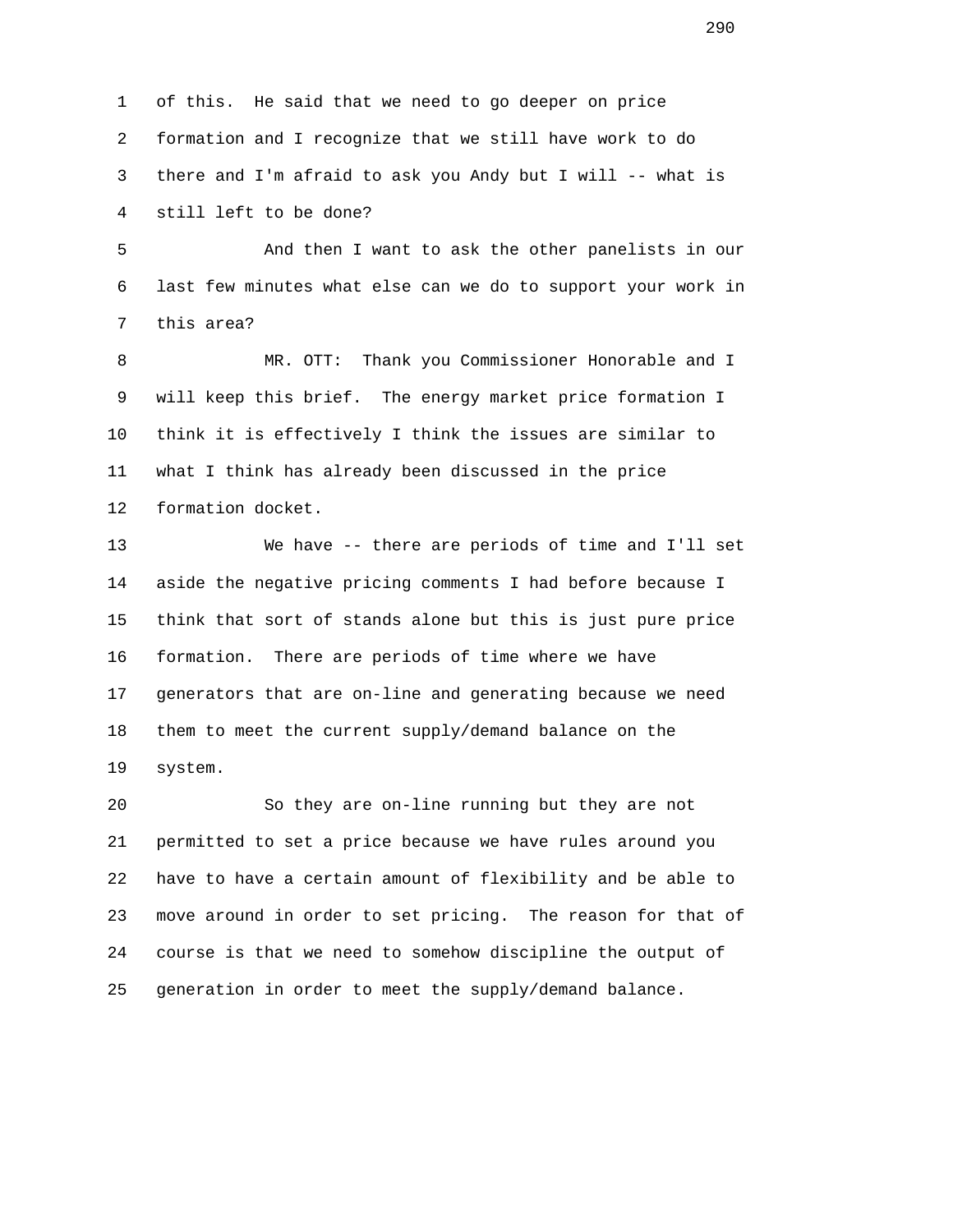1 of this. He said that we need to go deeper on price 2 formation and I recognize that we still have work to do 3 there and I'm afraid to ask you Andy but I will -- what is 4 still left to be done?

 5 And then I want to ask the other panelists in our 6 last few minutes what else can we do to support your work in 7 this area?

 8 MR. OTT: Thank you Commissioner Honorable and I 9 will keep this brief. The energy market price formation I 10 think it is effectively I think the issues are similar to 11 what I think has already been discussed in the price 12 formation docket.

 13 We have -- there are periods of time and I'll set 14 aside the negative pricing comments I had before because I 15 think that sort of stands alone but this is just pure price 16 formation. There are periods of time where we have 17 generators that are on-line and generating because we need 18 them to meet the current supply/demand balance on the 19 system.

 20 So they are on-line running but they are not 21 permitted to set a price because we have rules around you 22 have to have a certain amount of flexibility and be able to 23 move around in order to set pricing. The reason for that of 24 course is that we need to somehow discipline the output of 25 generation in order to meet the supply/demand balance.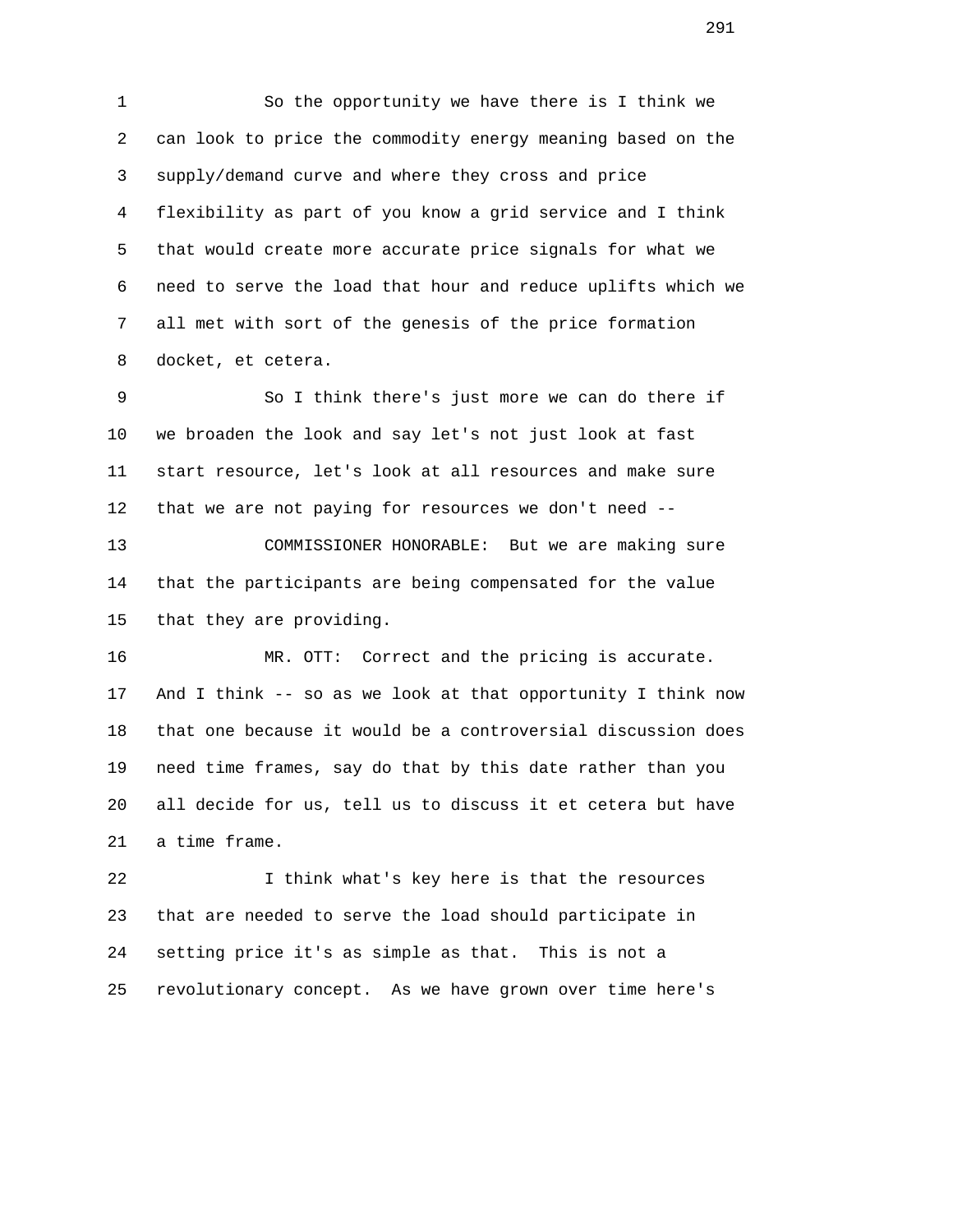1 So the opportunity we have there is I think we 2 can look to price the commodity energy meaning based on the 3 supply/demand curve and where they cross and price 4 flexibility as part of you know a grid service and I think 5 that would create more accurate price signals for what we 6 need to serve the load that hour and reduce uplifts which we 7 all met with sort of the genesis of the price formation 8 docket, et cetera.

 9 So I think there's just more we can do there if 10 we broaden the look and say let's not just look at fast 11 start resource, let's look at all resources and make sure 12 that we are not paying for resources we don't need --

 13 COMMISSIONER HONORABLE: But we are making sure 14 that the participants are being compensated for the value 15 that they are providing.

 16 MR. OTT: Correct and the pricing is accurate. 17 And I think -- so as we look at that opportunity I think now 18 that one because it would be a controversial discussion does 19 need time frames, say do that by this date rather than you 20 all decide for us, tell us to discuss it et cetera but have 21 a time frame.

 22 I think what's key here is that the resources 23 that are needed to serve the load should participate in 24 setting price it's as simple as that. This is not a 25 revolutionary concept. As we have grown over time here's

291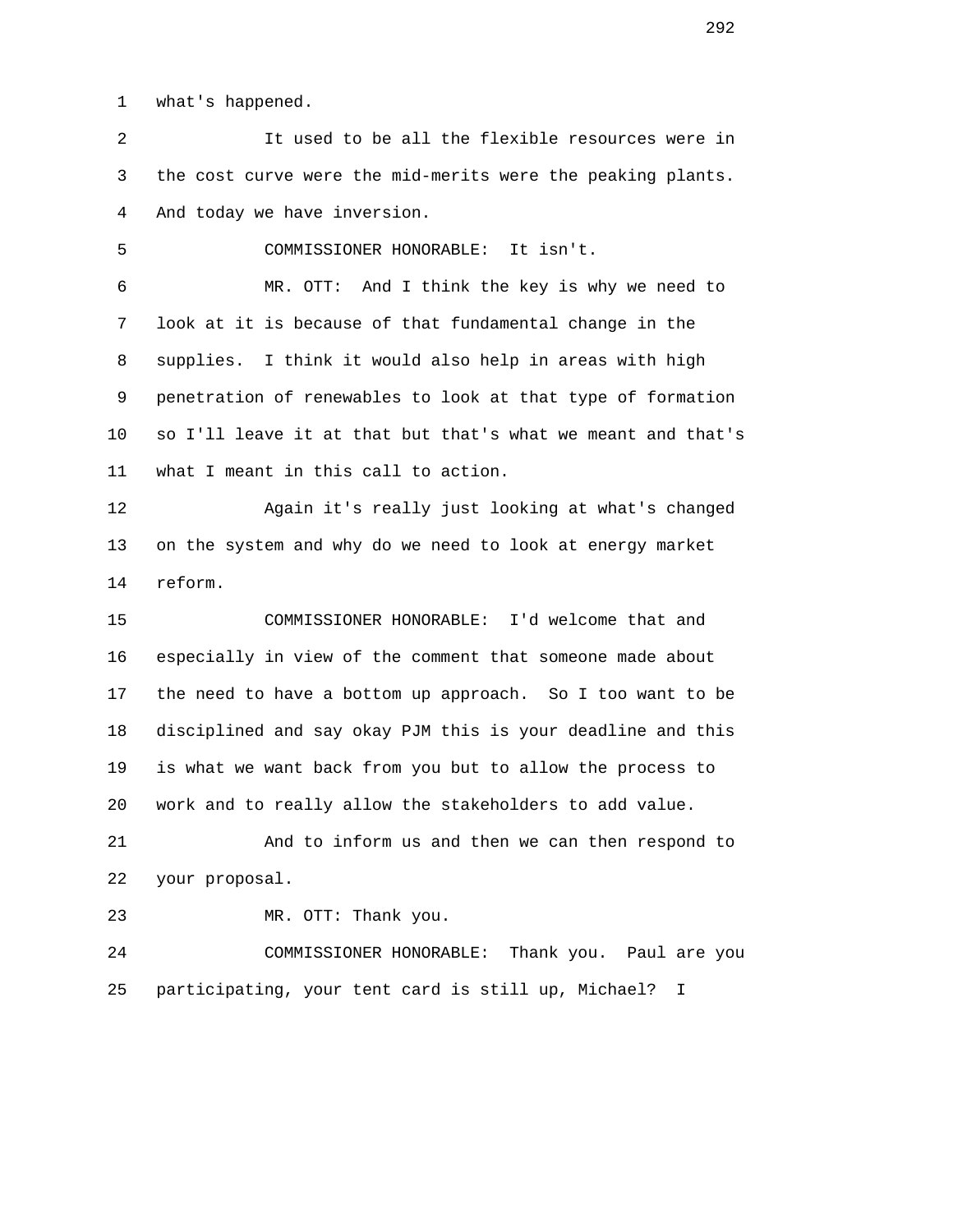1 what's happened.

 2 It used to be all the flexible resources were in 3 the cost curve were the mid-merits were the peaking plants. 4 And today we have inversion.

5 COMMISSIONER HONORABLE: It isn't.

 6 MR. OTT: And I think the key is why we need to 7 look at it is because of that fundamental change in the 8 supplies. I think it would also help in areas with high 9 penetration of renewables to look at that type of formation 10 so I'll leave it at that but that's what we meant and that's 11 what I meant in this call to action.

 12 Again it's really just looking at what's changed 13 on the system and why do we need to look at energy market 14 reform.

 15 COMMISSIONER HONORABLE: I'd welcome that and 16 especially in view of the comment that someone made about 17 the need to have a bottom up approach. So I too want to be 18 disciplined and say okay PJM this is your deadline and this 19 is what we want back from you but to allow the process to 20 work and to really allow the stakeholders to add value.

 21 And to inform us and then we can then respond to 22 your proposal.

23 MR. OTT: Thank you.

 24 COMMISSIONER HONORABLE: Thank you. Paul are you 25 participating, your tent card is still up, Michael? I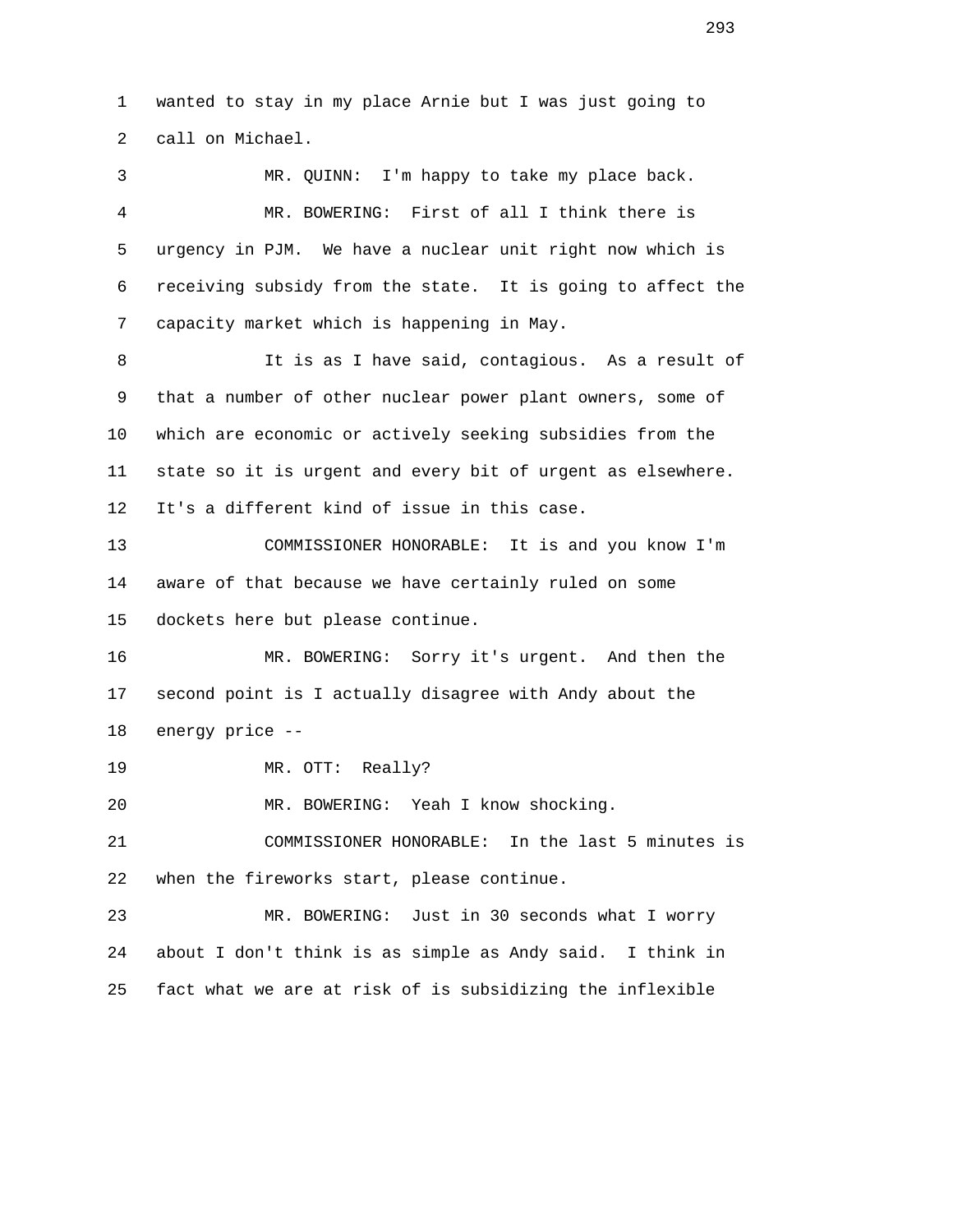1 wanted to stay in my place Arnie but I was just going to 2 call on Michael. 3 MR. QUINN: I'm happy to take my place back. 4 MR. BOWERING: First of all I think there is 5 urgency in PJM. We have a nuclear unit right now which is 6 receiving subsidy from the state. It is going to affect the 7 capacity market which is happening in May. 8 11 It is as I have said, contagious. As a result of 9 that a number of other nuclear power plant owners, some of 10 which are economic or actively seeking subsidies from the 11 state so it is urgent and every bit of urgent as elsewhere. 12 It's a different kind of issue in this case. 13 COMMISSIONER HONORABLE: It is and you know I'm 14 aware of that because we have certainly ruled on some 15 dockets here but please continue. 16 MR. BOWERING: Sorry it's urgent. And then the 17 second point is I actually disagree with Andy about the 18 energy price -- 19 MR. OTT: Really? 20 MR. BOWERING: Yeah I know shocking. 21 COMMISSIONER HONORABLE: In the last 5 minutes is 22 when the fireworks start, please continue. 23 MR. BOWERING: Just in 30 seconds what I worry 24 about I don't think is as simple as Andy said. I think in 25 fact what we are at risk of is subsidizing the inflexible

293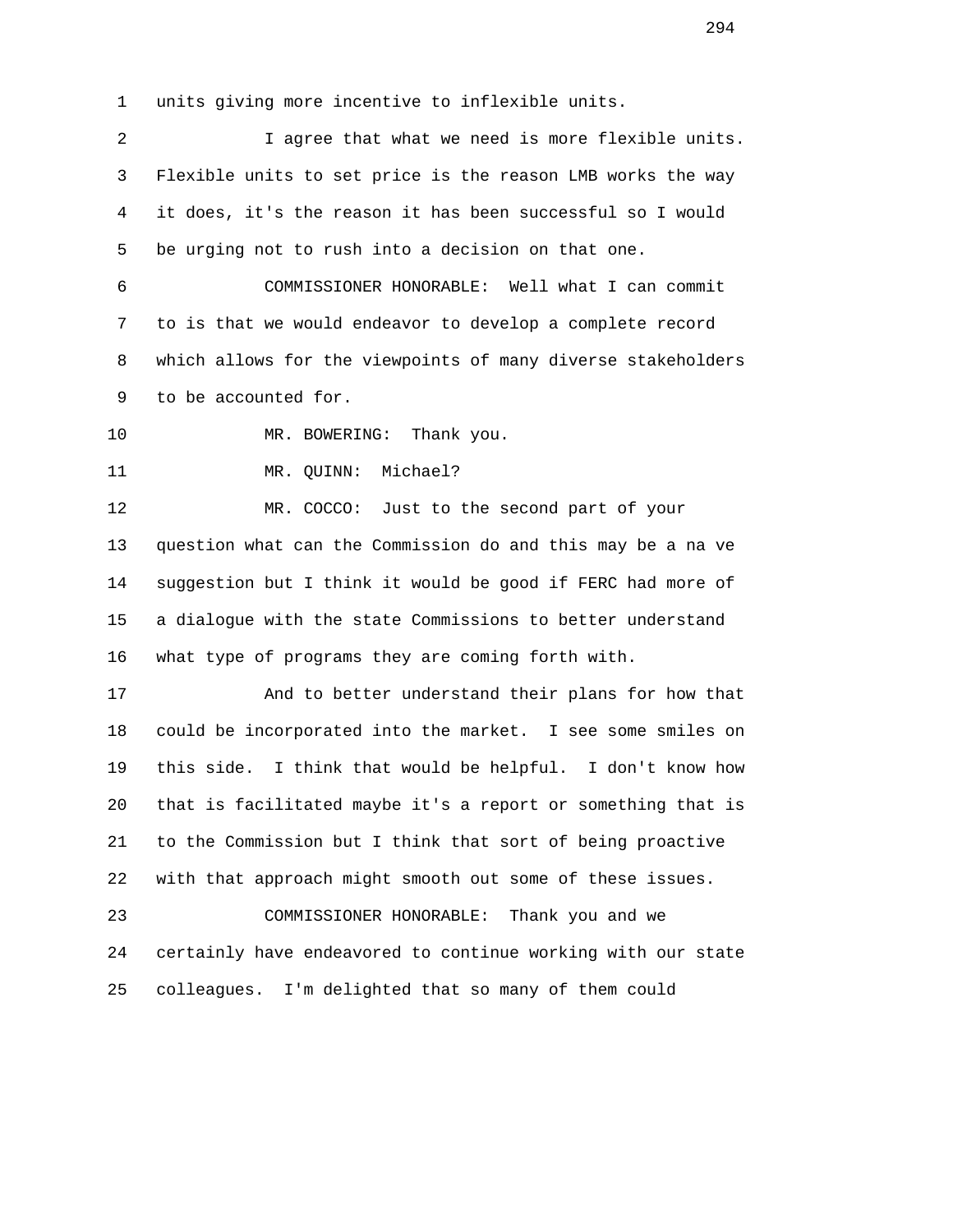1 units giving more incentive to inflexible units.

 2 I agree that what we need is more flexible units. 3 Flexible units to set price is the reason LMB works the way 4 it does, it's the reason it has been successful so I would 5 be urging not to rush into a decision on that one. 6 COMMISSIONER HONORABLE: Well what I can commit 7 to is that we would endeavor to develop a complete record 8 which allows for the viewpoints of many diverse stakeholders 9 to be accounted for. 10 MR. BOWERING: Thank you. 11 MR. QUINN: Michael? 12 MR. COCCO: Just to the second part of your 13 question what can the Commission do and this may be a na ve 14 suggestion but I think it would be good if FERC had more of 15 a dialogue with the state Commissions to better understand 16 what type of programs they are coming forth with. 17 And to better understand their plans for how that 18 could be incorporated into the market. I see some smiles on 19 this side. I think that would be helpful. I don't know how 20 that is facilitated maybe it's a report or something that is 21 to the Commission but I think that sort of being proactive 22 with that approach might smooth out some of these issues. 23 COMMISSIONER HONORABLE: Thank you and we 24 certainly have endeavored to continue working with our state 25 colleagues. I'm delighted that so many of them could

294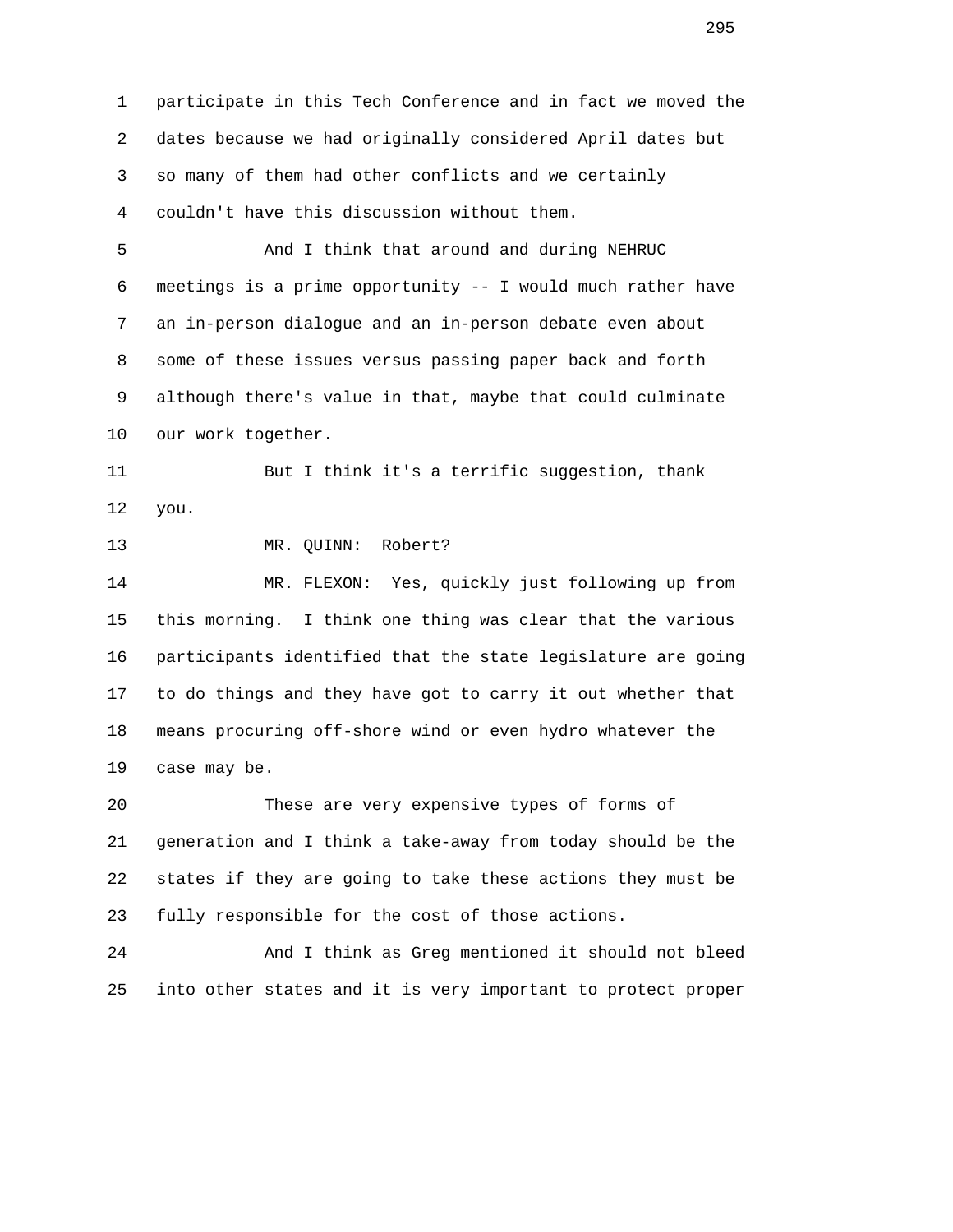1 participate in this Tech Conference and in fact we moved the 2 dates because we had originally considered April dates but 3 so many of them had other conflicts and we certainly 4 couldn't have this discussion without them.

 5 And I think that around and during NEHRUC 6 meetings is a prime opportunity -- I would much rather have 7 an in-person dialogue and an in-person debate even about 8 some of these issues versus passing paper back and forth 9 although there's value in that, maybe that could culminate 10 our work together.

 11 But I think it's a terrific suggestion, thank 12 you.

## 13 MR. QUINN: Robert?

 14 MR. FLEXON: Yes, quickly just following up from 15 this morning. I think one thing was clear that the various 16 participants identified that the state legislature are going 17 to do things and they have got to carry it out whether that 18 means procuring off-shore wind or even hydro whatever the 19 case may be.

 20 These are very expensive types of forms of 21 generation and I think a take-away from today should be the 22 states if they are going to take these actions they must be 23 fully responsible for the cost of those actions.

 24 And I think as Greg mentioned it should not bleed 25 into other states and it is very important to protect proper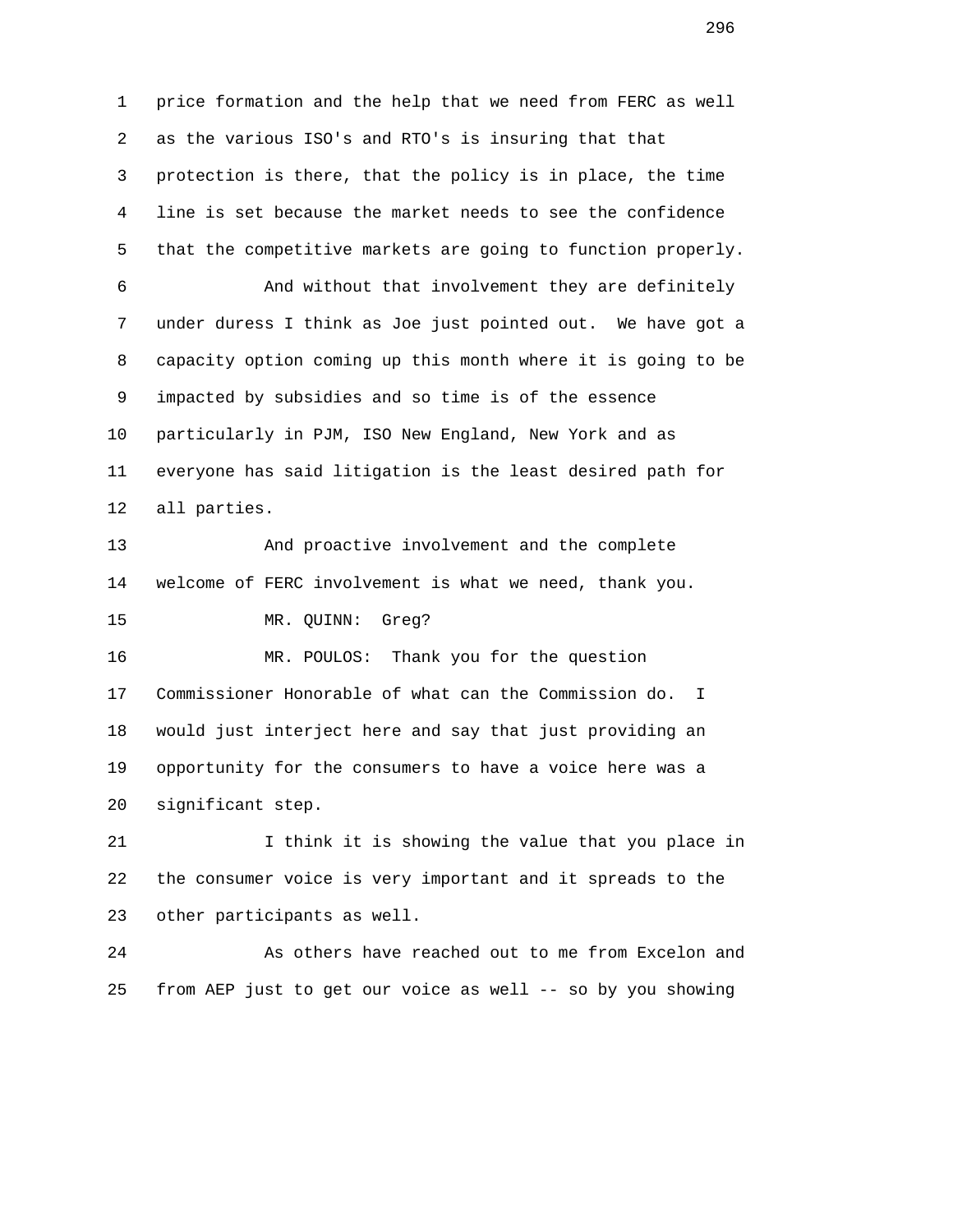1 price formation and the help that we need from FERC as well 2 as the various ISO's and RTO's is insuring that that 3 protection is there, that the policy is in place, the time 4 line is set because the market needs to see the confidence 5 that the competitive markets are going to function properly. 6 And without that involvement they are definitely 7 under duress I think as Joe just pointed out. We have got a 8 capacity option coming up this month where it is going to be 9 impacted by subsidies and so time is of the essence 10 particularly in PJM, ISO New England, New York and as 11 everyone has said litigation is the least desired path for 12 all parties. 13 And proactive involvement and the complete 14 welcome of FERC involvement is what we need, thank you. 15 MR. QUINN: Greg? 16 MR. POULOS: Thank you for the question 17 Commissioner Honorable of what can the Commission do. I 18 would just interject here and say that just providing an 19 opportunity for the consumers to have a voice here was a 20 significant step. 21 I think it is showing the value that you place in 22 the consumer voice is very important and it spreads to the 23 other participants as well. 24 As others have reached out to me from Excelon and 25 from AEP just to get our voice as well -- so by you showing

последници производите в 1996 године в 1996 године в 1996 године и 1996 године в 1996 године и 1996 године и 1<br>В 1996 године в 1996 године в 1996 године в 1996 године в 1996 године в 1996 године в 1996 године в 1996 годин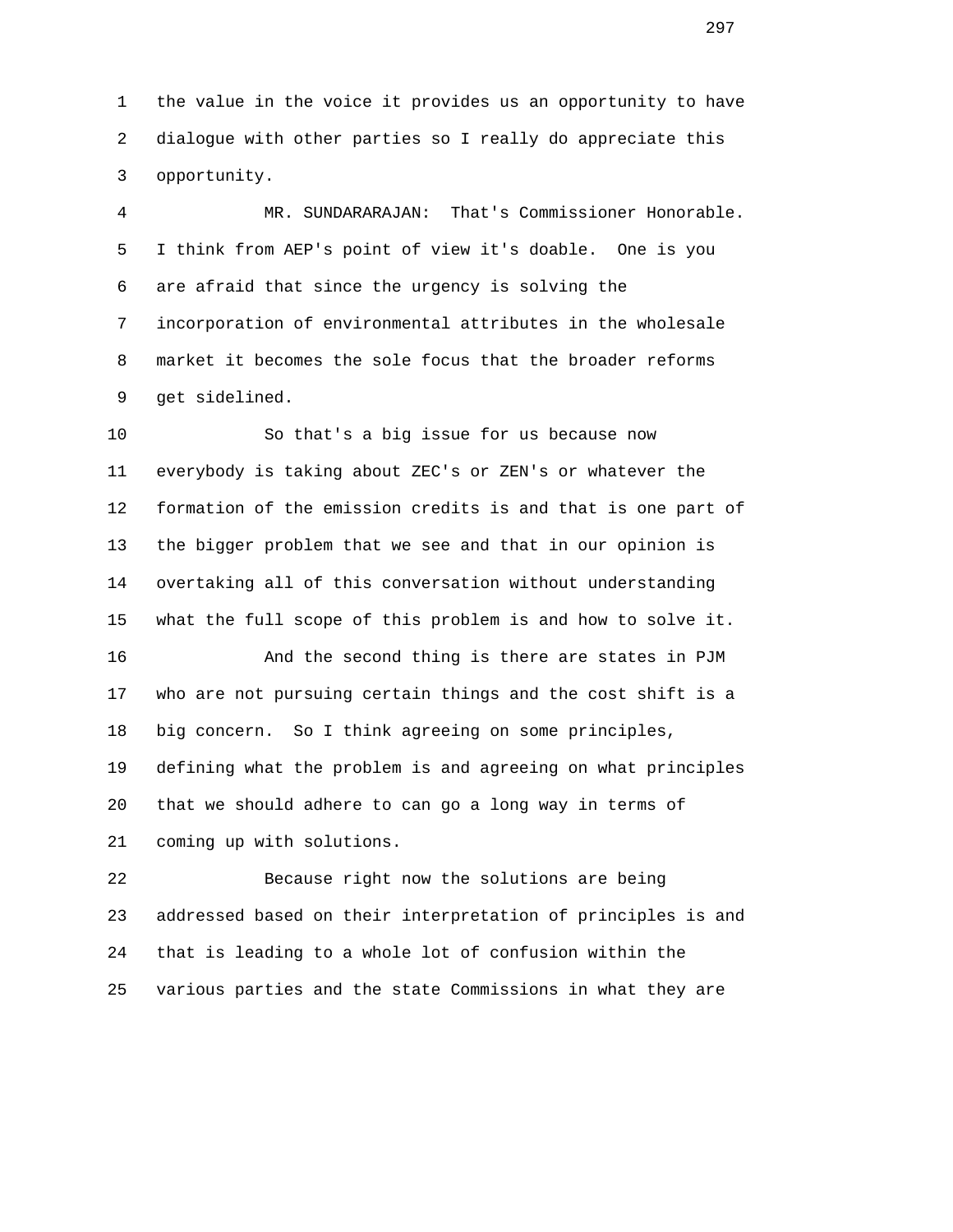1 the value in the voice it provides us an opportunity to have 2 dialogue with other parties so I really do appreciate this 3 opportunity.

 4 MR. SUNDARARAJAN: That's Commissioner Honorable. 5 I think from AEP's point of view it's doable. One is you 6 are afraid that since the urgency is solving the 7 incorporation of environmental attributes in the wholesale 8 market it becomes the sole focus that the broader reforms 9 get sidelined.

 10 So that's a big issue for us because now 11 everybody is taking about ZEC's or ZEN's or whatever the 12 formation of the emission credits is and that is one part of 13 the bigger problem that we see and that in our opinion is 14 overtaking all of this conversation without understanding 15 what the full scope of this problem is and how to solve it.

 16 And the second thing is there are states in PJM 17 who are not pursuing certain things and the cost shift is a 18 big concern. So I think agreeing on some principles, 19 defining what the problem is and agreeing on what principles 20 that we should adhere to can go a long way in terms of 21 coming up with solutions.

 22 Because right now the solutions are being 23 addressed based on their interpretation of principles is and 24 that is leading to a whole lot of confusion within the 25 various parties and the state Commissions in what they are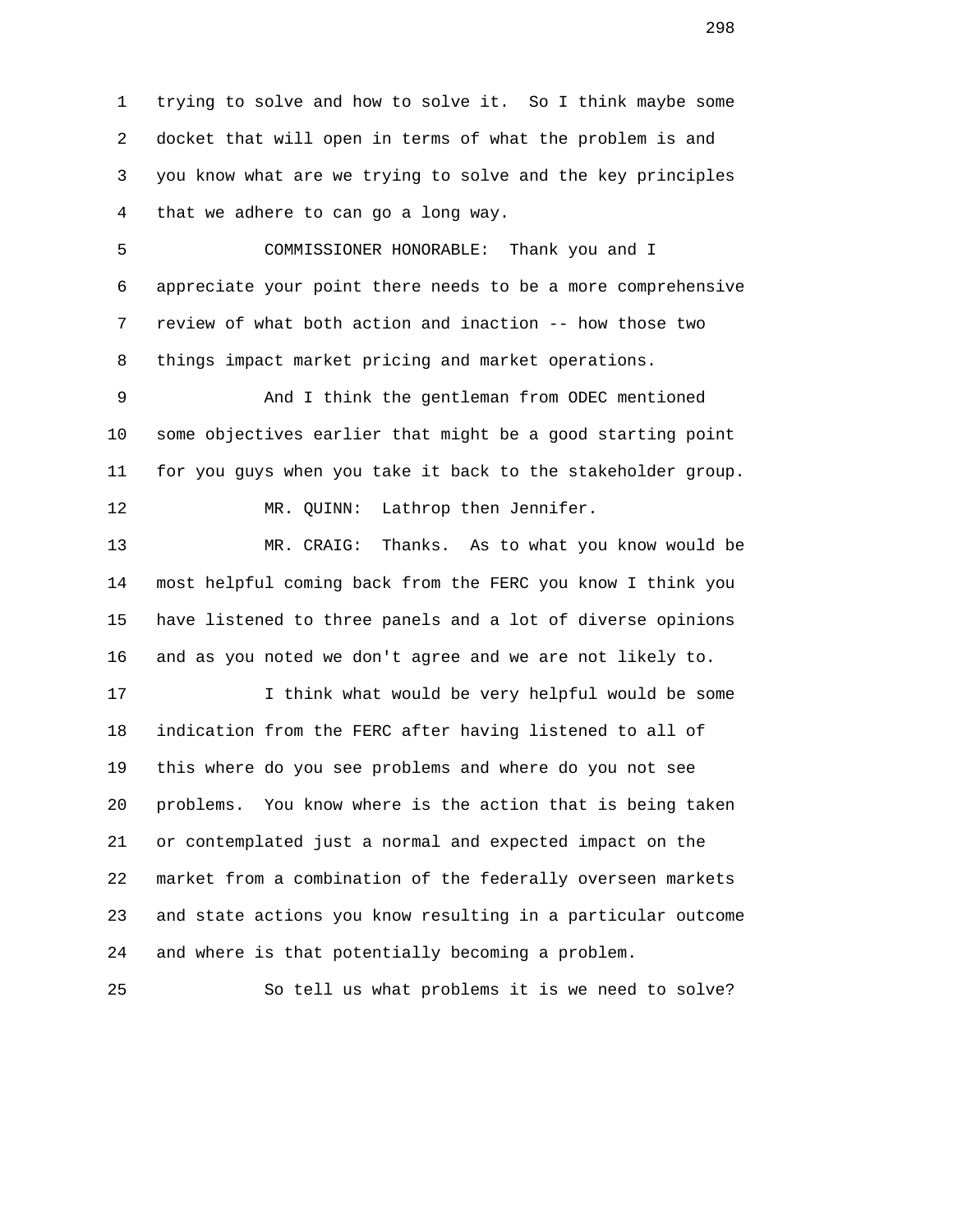1 trying to solve and how to solve it. So I think maybe some 2 docket that will open in terms of what the problem is and 3 you know what are we trying to solve and the key principles 4 that we adhere to can go a long way.

 5 COMMISSIONER HONORABLE: Thank you and I 6 appreciate your point there needs to be a more comprehensive 7 review of what both action and inaction -- how those two 8 things impact market pricing and market operations.

 9 And I think the gentleman from ODEC mentioned 10 some objectives earlier that might be a good starting point 11 for you guys when you take it back to the stakeholder group.

12 MR. QUINN: Lathrop then Jennifer.

 13 MR. CRAIG: Thanks. As to what you know would be 14 most helpful coming back from the FERC you know I think you 15 have listened to three panels and a lot of diverse opinions 16 and as you noted we don't agree and we are not likely to.

 17 I think what would be very helpful would be some 18 indication from the FERC after having listened to all of 19 this where do you see problems and where do you not see 20 problems. You know where is the action that is being taken 21 or contemplated just a normal and expected impact on the 22 market from a combination of the federally overseen markets 23 and state actions you know resulting in a particular outcome 24 and where is that potentially becoming a problem.

25 So tell us what problems it is we need to solve?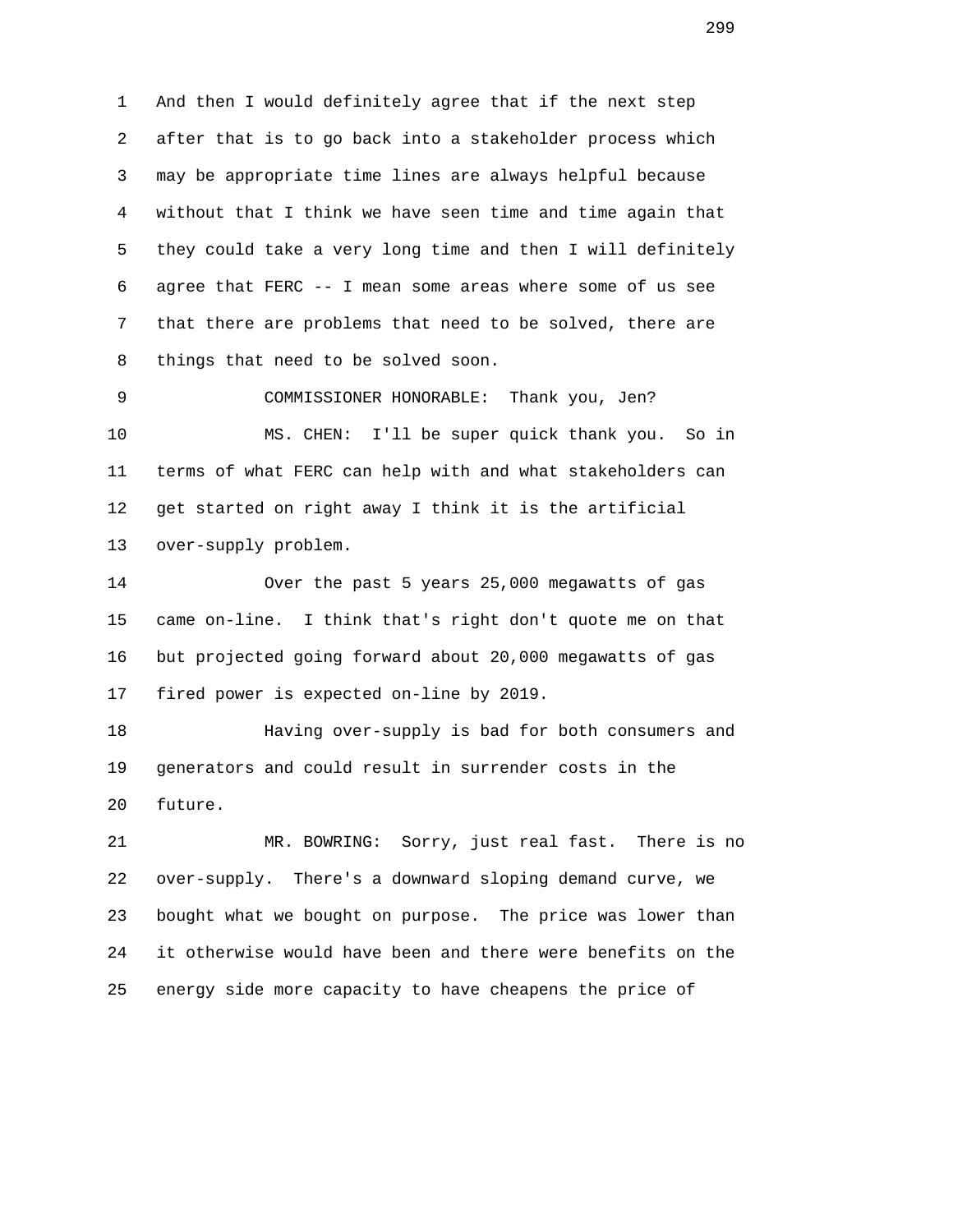1 And then I would definitely agree that if the next step 2 after that is to go back into a stakeholder process which 3 may be appropriate time lines are always helpful because 4 without that I think we have seen time and time again that 5 they could take a very long time and then I will definitely 6 agree that FERC -- I mean some areas where some of us see 7 that there are problems that need to be solved, there are 8 things that need to be solved soon.

 9 COMMISSIONER HONORABLE: Thank you, Jen? 10 MS. CHEN: I'll be super quick thank you. So in 11 terms of what FERC can help with and what stakeholders can 12 get started on right away I think it is the artificial 13 over-supply problem.

 14 Over the past 5 years 25,000 megawatts of gas 15 came on-line. I think that's right don't quote me on that 16 but projected going forward about 20,000 megawatts of gas 17 fired power is expected on-line by 2019.

 18 Having over-supply is bad for both consumers and 19 generators and could result in surrender costs in the 20 future.

 21 MR. BOWRING: Sorry, just real fast. There is no 22 over-supply. There's a downward sloping demand curve, we 23 bought what we bought on purpose. The price was lower than 24 it otherwise would have been and there were benefits on the 25 energy side more capacity to have cheapens the price of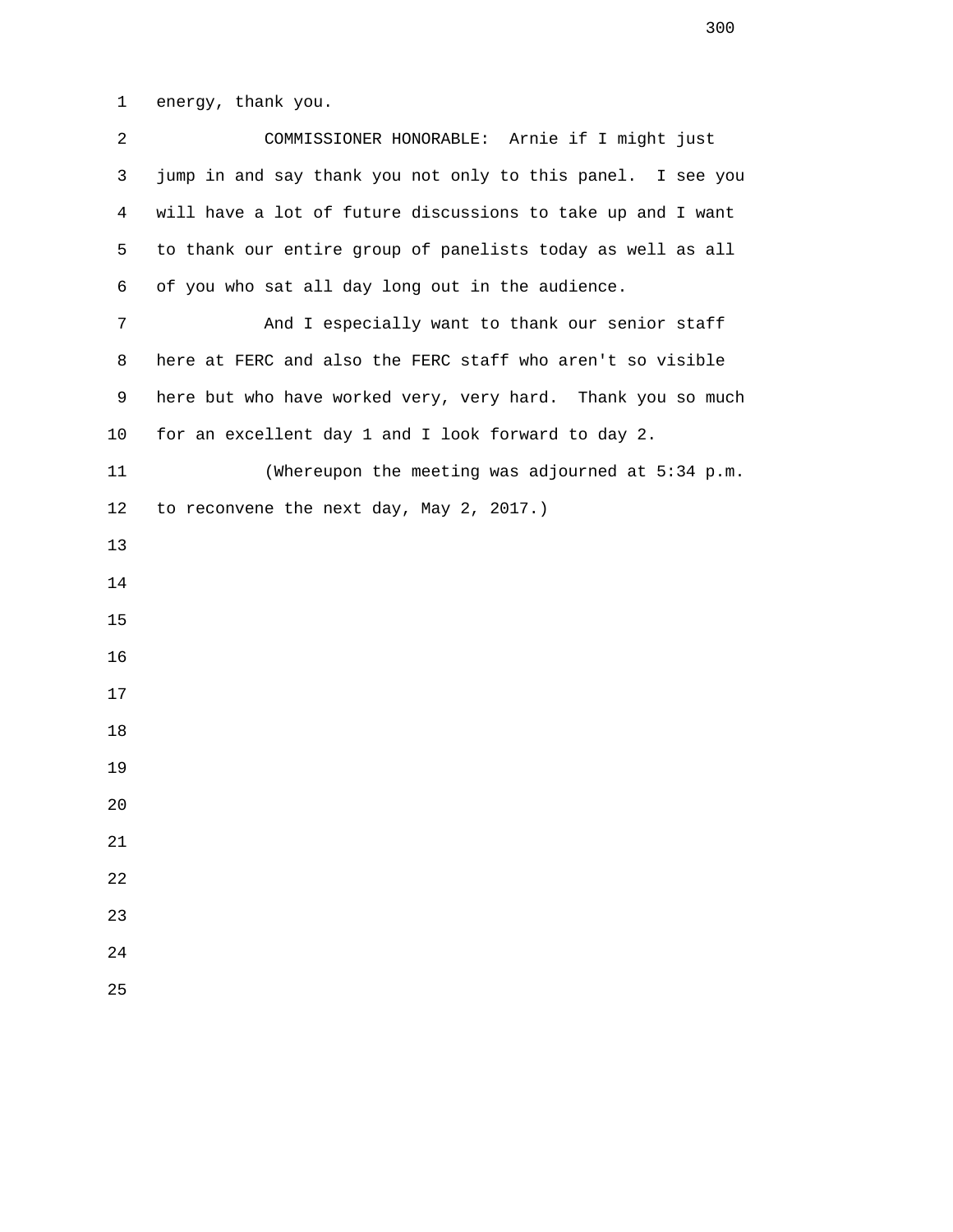1 energy, thank you.

| 2  | COMMISSIONER HONORABLE: Arnie if I might just               |
|----|-------------------------------------------------------------|
| 3  | jump in and say thank you not only to this panel. I see you |
| 4  | will have a lot of future discussions to take up and I want |
| 5  | to thank our entire group of panelists today as well as all |
| 6  | of you who sat all day long out in the audience.            |
| 7  | And I especially want to thank our senior staff             |
| 8  | here at FERC and also the FERC staff who aren't so visible  |
| 9  | here but who have worked very, very hard. Thank you so much |
| 10 | for an excellent day 1 and I look forward to day 2.         |
| 11 | (Whereupon the meeting was adjourned at 5:34 p.m.           |
| 12 | to reconvene the next day, May 2, 2017.)                    |
| 13 |                                                             |
| 14 |                                                             |
| 15 |                                                             |
| 16 |                                                             |
| 17 |                                                             |
| 18 |                                                             |
| 19 |                                                             |
| 20 |                                                             |
| 21 |                                                             |
| 22 |                                                             |
| 23 |                                                             |
| 24 |                                                             |
| 25 |                                                             |